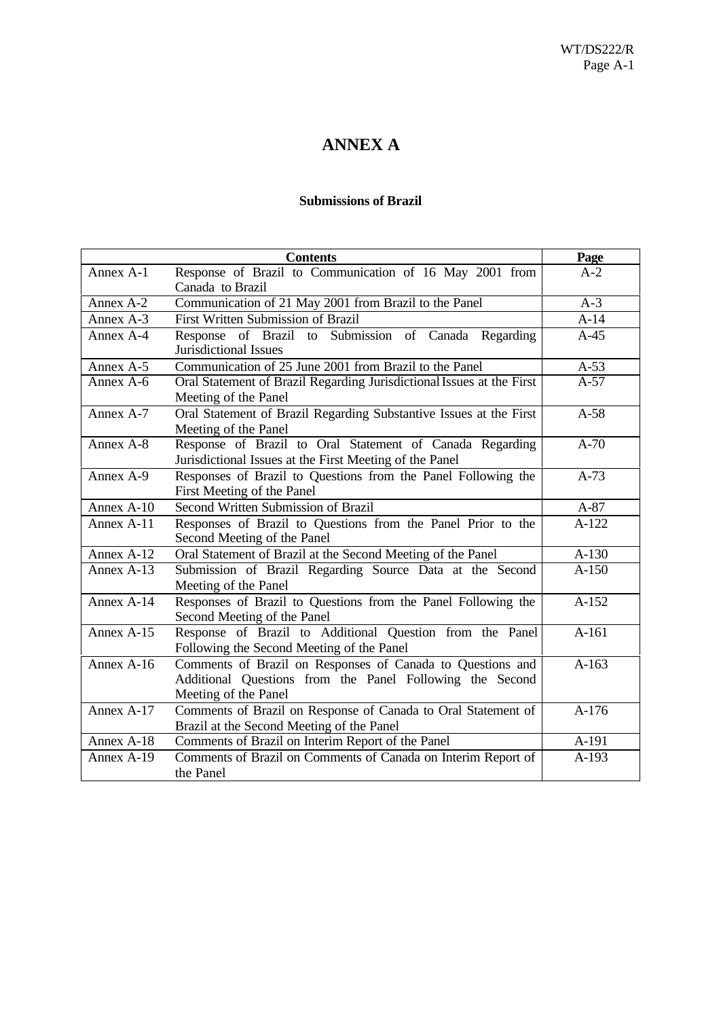# **ANNEX A**

#### **Submissions of Brazil**

|              | <b>Contents</b>                                                                                                                                | Page    |
|--------------|------------------------------------------------------------------------------------------------------------------------------------------------|---------|
| Annex A-1    | Response of Brazil to Communication of 16 May 2001 from<br>Canada to Brazil                                                                    | $A-2$   |
| Annex A-2    | Communication of 21 May 2001 from Brazil to the Panel                                                                                          | $A-3$   |
| Annex A-3    | First Written Submission of Brazil                                                                                                             | $A-14$  |
| Annex A-4    | Response of Brazil to Submission of Canada Regarding<br>Jurisdictional Issues                                                                  | $A-45$  |
| Annex A-5    | Communication of 25 June 2001 from Brazil to the Panel                                                                                         | $A-53$  |
| Annex A-6    | Oral Statement of Brazil Regarding Jurisdictional Issues at the First<br>Meeting of the Panel                                                  | $A-57$  |
| Annex A-7    | Oral Statement of Brazil Regarding Substantive Issues at the First<br>Meeting of the Panel                                                     | $A-58$  |
| Annex A-8    | Response of Brazil to Oral Statement of Canada Regarding<br>Jurisdictional Issues at the First Meeting of the Panel                            | $A-70$  |
| Annex A-9    | Responses of Brazil to Questions from the Panel Following the<br>First Meeting of the Panel                                                    | $A-73$  |
| Annex A-10   | Second Written Submission of Brazil                                                                                                            | $A-87$  |
| Annex A-11   | Responses of Brazil to Questions from the Panel Prior to the<br>Second Meeting of the Panel                                                    | $A-122$ |
| Annex A-12   | Oral Statement of Brazil at the Second Meeting of the Panel                                                                                    | $A-130$ |
| Annex A-13   | Submission of Brazil Regarding Source Data at the Second<br>Meeting of the Panel                                                               | $A-150$ |
| Annex A-14   | Responses of Brazil to Questions from the Panel Following the<br>Second Meeting of the Panel                                                   | $A-152$ |
| Annex A-15   | Response of Brazil to Additional Question from the Panel<br>Following the Second Meeting of the Panel                                          | $A-161$ |
| Annex A-16   | Comments of Brazil on Responses of Canada to Questions and<br>Additional Questions from the Panel Following the Second<br>Meeting of the Panel | $A-163$ |
| Annex $A-17$ | Comments of Brazil on Response of Canada to Oral Statement of<br>Brazil at the Second Meeting of the Panel                                     | $A-176$ |
| Annex A-18   | Comments of Brazil on Interim Report of the Panel                                                                                              | A-191   |
| Annex A-19   | Comments of Brazil on Comments of Canada on Interim Report of<br>the Panel                                                                     | A-193   |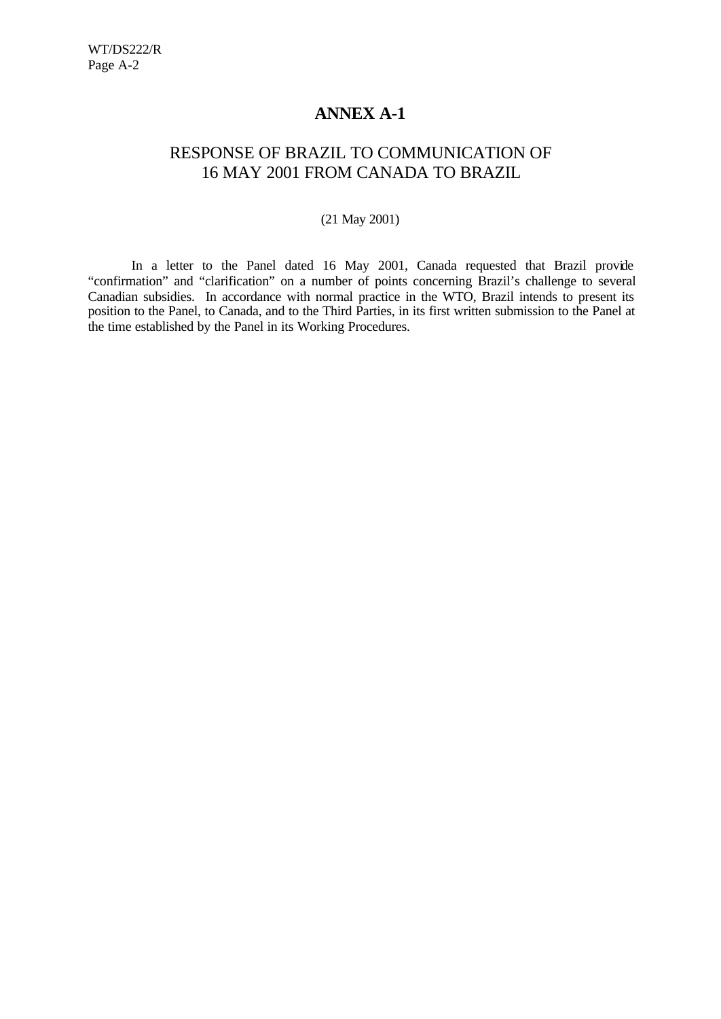# **ANNEX A-1**

# RESPONSE OF BRAZIL TO COMMUNICATION OF 16 MAY 2001 FROM CANADA TO BRAZIL

## (21 May 2001)

In a letter to the Panel dated 16 May 2001, Canada requested that Brazil provide "confirmation" and "clarification" on a number of points concerning Brazil's challenge to several Canadian subsidies. In accordance with normal practice in the WTO, Brazil intends to present its position to the Panel, to Canada, and to the Third Parties, in its first written submission to the Panel at the time established by the Panel in its Working Procedures.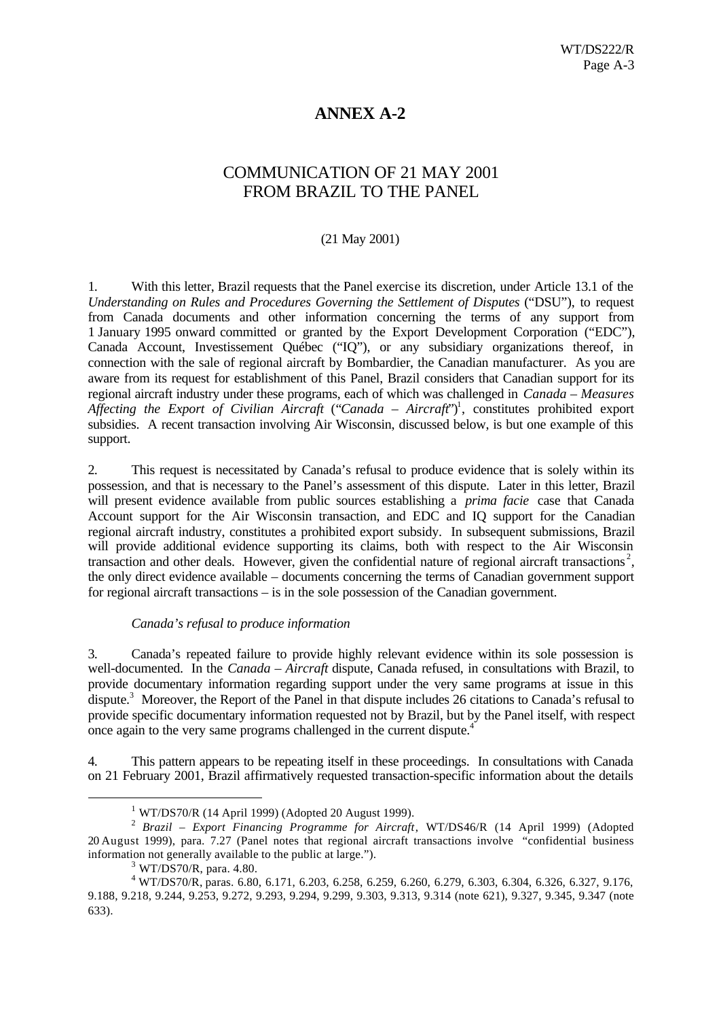# **ANNEX A-2**

## COMMUNICATION OF 21 MAY 2001 FROM BRAZIL TO THE PANEL

#### (21 May 2001)

1. With this letter, Brazil requests that the Panel exercise its discretion, under Article 13.1 of the *Understanding on Rules and Procedures Governing the Settlement of Disputes* ("DSU"), to request from Canada documents and other information concerning the terms of any support from 1 January 1995 onward committed or granted by the Export Development Corporation ("EDC"), Canada Account, Investissement Québec ("IQ"), or any subsidiary organizations thereof, in connection with the sale of regional aircraft by Bombardier, the Canadian manufacturer. As you are aware from its request for establishment of this Panel, Brazil considers that Canadian support for its regional aircraft industry under these programs, each of which was challenged in *Canada – Measures* Affecting the Export of Civilian Aircraft ("Canada – Aircraft")<sup>1</sup>, constitutes prohibited export subsidies. A recent transaction involving Air Wisconsin, discussed below, is but one example of this support.

2. This request is necessitated by Canada's refusal to produce evidence that is solely within its possession, and that is necessary to the Panel's assessment of this dispute. Later in this letter, Brazil will present evidence available from public sources establishing a *prima facie* case that Canada Account support for the Air Wisconsin transaction, and EDC and IQ support for the Canadian regional aircraft industry, constitutes a prohibited export subsidy. In subsequent submissions, Brazil will provide additional evidence supporting its claims, both with respect to the Air Wisconsin transaction and other deals. However, given the confidential nature of regional aircraft transactions<sup>2</sup>, the only direct evidence available – documents concerning the terms of Canadian government support for regional aircraft transactions – is in the sole possession of the Canadian government.

#### *Canada's refusal to produce information*

3. Canada's repeated failure to provide highly relevant evidence within its sole possession is well-documented. In the *Canada – Aircraft* dispute, Canada refused, in consultations with Brazil, to provide documentary information regarding support under the very same programs at issue in this dispute.<sup>3</sup> Moreover, the Report of the Panel in that dispute includes 26 citations to Canada's refusal to provide specific documentary information requested not by Brazil, but by the Panel itself, with respect once again to the very same programs challenged in the current dispute.<sup>4</sup>

4. This pattern appears to be repeating itself in these proceedings. In consultations with Canada on 21 February 2001, Brazil affirmatively requested transaction-specific information about the details

 $1$  WT/DS70/R (14 April 1999) (Adopted 20 August 1999).

<sup>2</sup> *Brazil – Export Financing Programme for Aircraft*, WT/DS46/R (14 April 1999) (Adopted 20 August 1999), para. 7.27 (Panel notes that regional aircraft transactions involve "confidential business information not generally available to the public at large.").

<sup>&</sup>lt;sup>3</sup> WT/DS70/R, para. 4.80.

<sup>4</sup> WT/DS70/R, paras. 6.80, 6.171, 6.203, 6.258, 6.259, 6.260, 6.279, 6.303, 6.304, 6.326, 6.327, 9.176, 9.188, 9.218, 9.244, 9.253, 9.272, 9.293, 9.294, 9.299, 9.303, 9.313, 9.314 (note 621), 9.327, 9.345, 9.347 (note 633).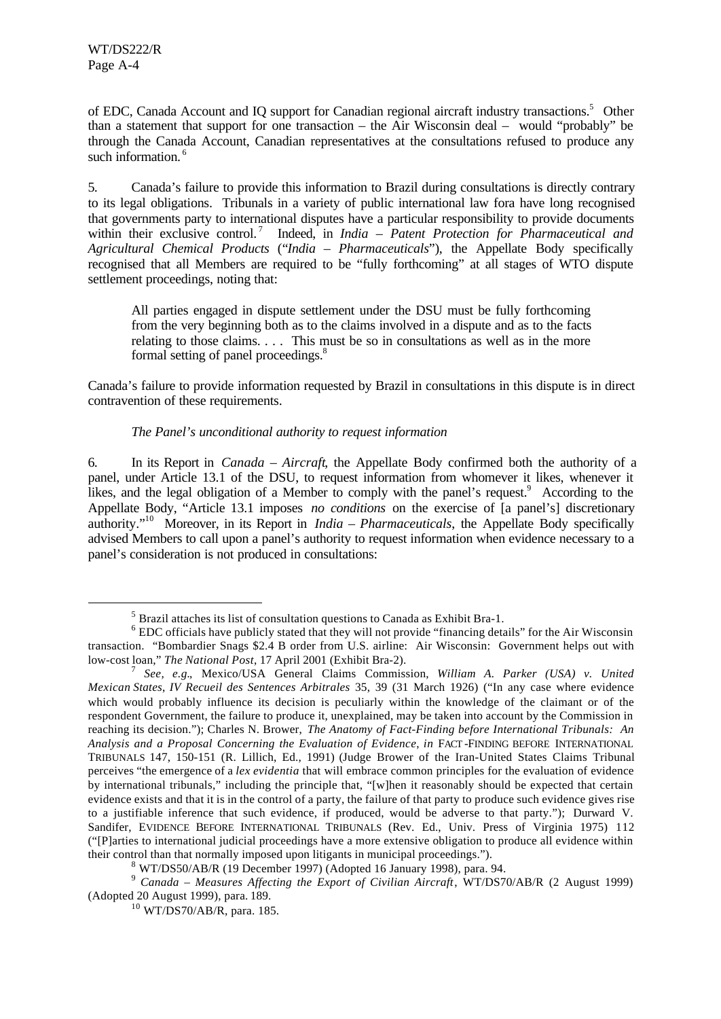l

of EDC, Canada Account and IQ support for Canadian regional aircraft industry transactions.<sup>5</sup> Other than a statement that support for one transaction – the Air Wisconsin deal – would "probably" be through the Canada Account, Canadian representatives at the consultations refused to produce any such information.<sup>6</sup>

5. Canada's failure to provide this information to Brazil during consultations is directly contrary to its legal obligations. Tribunals in a variety of public international law fora have long recognised that governments party to international disputes have a particular responsibility to provide documents within their exclusive control.<sup>7</sup> Indeed, in *India – Patent Protection for Pharmaceutical and Agricultural Chemical Products* ("*India – Pharmaceuticals*"), the Appellate Body specifically recognised that all Members are required to be "fully forthcoming" at all stages of WTO dispute settlement proceedings, noting that:

All parties engaged in dispute settlement under the DSU must be fully forthcoming from the very beginning both as to the claims involved in a dispute and as to the facts relating to those claims. . . . This must be so in consultations as well as in the more formal setting of panel proceedings.<sup>8</sup>

Canada's failure to provide information requested by Brazil in consultations in this dispute is in direct contravention of these requirements.

#### *The Panel's unconditional authority to request information*

6. In its Report in *Canada – Aircraft*, the Appellate Body confirmed both the authority of a panel, under Article 13.1 of the DSU, to request information from whomever it likes, whenever it likes, and the legal obligation of a Member to comply with the panel's request.<sup>9</sup> According to the Appellate Body, "Article 13.1 imposes *no conditions* on the exercise of [a panel's] discretionary authority."<sup>10</sup> Moreover, in its Report in *India – Pharmaceuticals*, the Appellate Body specifically advised Members to call upon a panel's authority to request information when evidence necessary to a panel's consideration is not produced in consultations:

 $<sup>5</sup>$  Brazil attaches its list of consultation questions to Canada as Exhibit Bra-1.</sup>

<sup>&</sup>lt;sup>6</sup> EDC officials have publicly stated that they will not provide "financing details" for the Air Wisconsin transaction. "Bombardier Snags \$2.4 B order from U.S. airline: Air Wisconsin: Government helps out with low-cost loan," *The National Post*, 17 April 2001 (Exhibit Bra-2). 7

*See, e.g.*, Mexico/USA General Claims Commission, *William A. Parker (USA) v. United Mexican States*, *IV Recueil des Sentences Arbitrales* 35, 39 (31 March 1926) ("In any case where evidence which would probably influence its decision is peculiarly within the knowledge of the claimant or of the respondent Government, the failure to produce it, unexplained, may be taken into account by the Commission in reaching its decision."); Charles N. Brower, *The Anatomy of Fact-Finding before International Tribunals: An Analysis and a Proposal Concerning the Evaluation of Evidence*, *in* FACT -FINDING BEFORE INTERNATIONAL TRIBUNALS 147, 150-151 (R. Lillich, Ed., 1991) (Judge Brower of the Iran-United States Claims Tribunal perceives "the emergence of a *lex evidentia* that will embrace common principles for the evaluation of evidence by international tribunals," including the principle that, "[w]hen it reasonably should be expected that certain evidence exists and that it is in the control of a party, the failure of that party to produce such evidence gives rise to a justifiable inference that such evidence, if produced, would be adverse to that party."); Durward V. Sandifer, EVIDENCE BEFORE INTERNATIONAL TRIBUNALS (Rev. Ed., Univ. Press of Virginia 1975) 112 ("[P]arties to international judicial proceedings have a more extensive obligation to produce all evidence within their control than that normally imposed upon litigants in municipal proceedings.").

<sup>8</sup> WT/DS50/AB/R (19 December 1997) (Adopted 16 January 1998), para. 94.

<sup>&</sup>lt;sup>9</sup> *Canada – Measures Affecting the Export of Civilian Aircraft*, WT/DS70/AB/R (2 August 1999) (Adopted 20 August 1999), para.  $189$ .

<sup>10</sup> WT/DS70/AB/R, para. 185.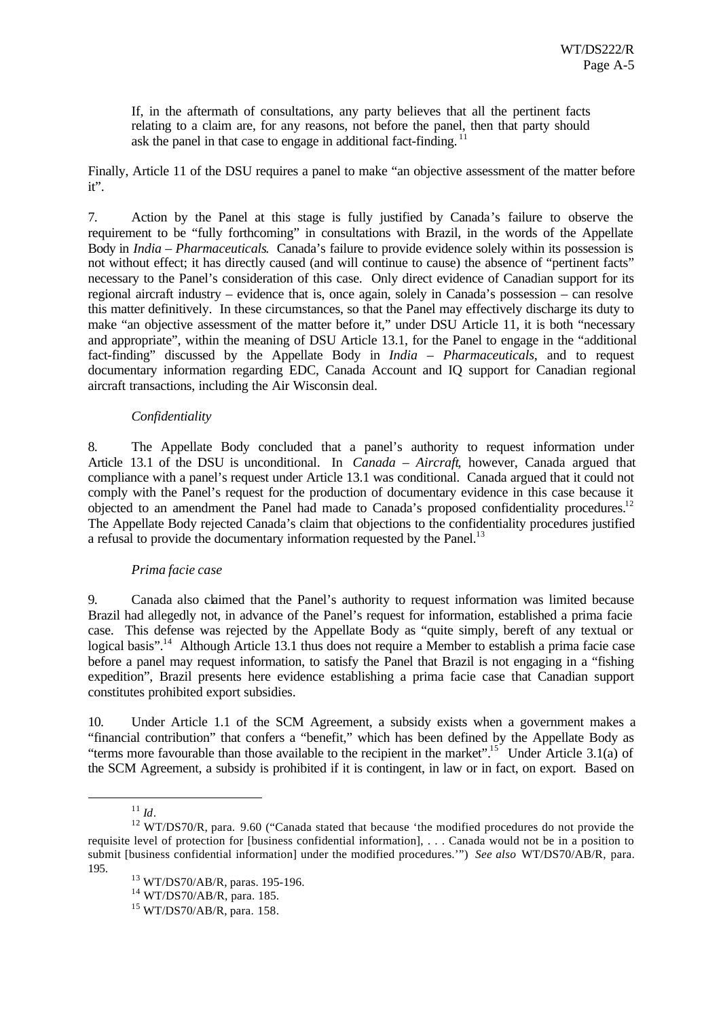If, in the aftermath of consultations, any party believes that all the pertinent facts relating to a claim are, for any reasons, not before the panel, then that party should ask the panel in that case to engage in additional fact-finding.  $11$ 

Finally, Article 11 of the DSU requires a panel to make "an objective assessment of the matter before it".

7. Action by the Panel at this stage is fully justified by Canada's failure to observe the requirement to be "fully forthcoming" in consultations with Brazil, in the words of the Appellate Body in *India – Pharmaceuticals*. Canada's failure to provide evidence solely within its possession is not without effect; it has directly caused (and will continue to cause) the absence of "pertinent facts" necessary to the Panel's consideration of this case. Only direct evidence of Canadian support for its regional aircraft industry – evidence that is, once again, solely in Canada's possession – can resolve this matter definitively. In these circumstances, so that the Panel may effectively discharge its duty to make "an objective assessment of the matter before it," under DSU Article 11, it is both "necessary and appropriate", within the meaning of DSU Article 13.1, for the Panel to engage in the "additional fact-finding" discussed by the Appellate Body in *India – Pharmaceuticals*, and to request documentary information regarding EDC, Canada Account and IQ support for Canadian regional aircraft transactions, including the Air Wisconsin deal.

#### *Confidentiality*

8. The Appellate Body concluded that a panel's authority to request information under Article 13.1 of the DSU is unconditional. In *Canada – Aircraft*, however, Canada argued that compliance with a panel's request under Article 13.1 was conditional. Canada argued that it could not comply with the Panel's request for the production of documentary evidence in this case because it objected to an amendment the Panel had made to Canada's proposed confidentiality procedures.<sup>12</sup> The Appellate Body rejected Canada's claim that objections to the confidentiality procedures justified a refusal to provide the documentary information requested by the Panel.<sup>13</sup>

#### *Prima facie case*

9. Canada also claimed that the Panel's authority to request information was limited because Brazil had allegedly not, in advance of the Panel's request for information, established a prima facie case. This defense was rejected by the Appellate Body as "quite simply, bereft of any textual or logical basis".<sup>14</sup> Although Article 13.1 thus does not require a Member to establish a prima facie case before a panel may request information, to satisfy the Panel that Brazil is not engaging in a "fishing expedition", Brazil presents here evidence establishing a prima facie case that Canadian support constitutes prohibited export subsidies.

10. Under Article 1.1 of the SCM Agreement, a subsidy exists when a government makes a "financial contribution" that confers a "benefit," which has been defined by the Appellate Body as "terms more favourable than those available to the recipient in the market".<sup>15</sup> Under Article 3.1(a) of the SCM Agreement, a subsidy is prohibited if it is contingent, in law or in fact, on export. Based on

<sup>11</sup> *Id*.

<sup>&</sup>lt;sup>12</sup> WT/DS70/R, para. 9.60 ("Canada stated that because 'the modified procedures do not provide the requisite level of protection for [business confidential information], . . . Canada would not be in a position to submit [business confidential information] under the modified procedures.'") *See also* WT/DS70/AB/R, para. 195.

<sup>13</sup> WT/DS70/AB/R, paras. 195-196.

<sup>14</sup> WT/DS70/AB/R, para. 185.

<sup>15</sup> WT/DS70/AB/R, para. 158.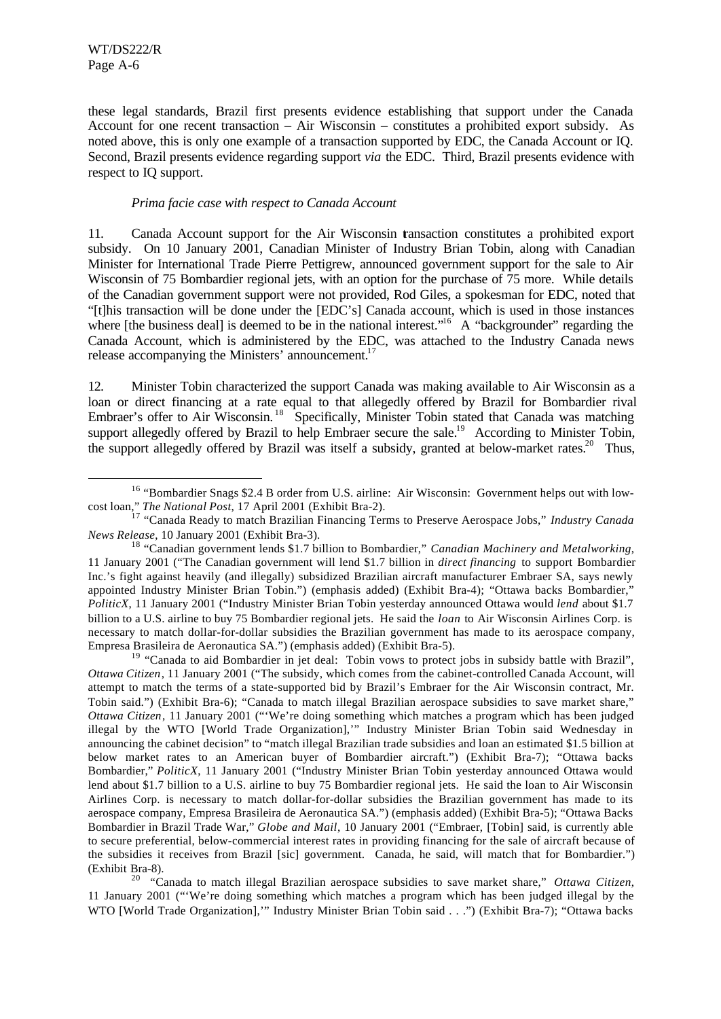l

these legal standards, Brazil first presents evidence establishing that support under the Canada Account for one recent transaction – Air Wisconsin – constitutes a prohibited export subsidy. As noted above, this is only one example of a transaction supported by EDC, the Canada Account or IQ. Second, Brazil presents evidence regarding support *via* the EDC. Third, Brazil presents evidence with respect to IQ support.

#### *Prima facie case with respect to Canada Account*

11. Canada Account support for the Air Wisconsin transaction constitutes a prohibited export subsidy. On 10 January 2001, Canadian Minister of Industry Brian Tobin, along with Canadian Minister for International Trade Pierre Pettigrew, announced government support for the sale to Air Wisconsin of 75 Bombardier regional jets, with an option for the purchase of 75 more. While details of the Canadian government support were not provided, Rod Giles, a spokesman for EDC, noted that "[t]his transaction will be done under the [EDC's] Canada account, which is used in those instances where [the business deal] is deemed to be in the national interest."<sup>16</sup> A "backgrounder" regarding the Canada Account, which is administered by the EDC, was attached to the Industry Canada news release accompanying the Ministers' announcement.<sup>17</sup>

12. Minister Tobin characterized the support Canada was making available to Air Wisconsin as a loan or direct financing at a rate equal to that allegedly offered by Brazil for Bombardier rival Embraer's offer to Air Wisconsin.<sup>18</sup> Specifically, Minister Tobin stated that Canada was matching support allegedly offered by Brazil to help Embraer secure the sale.<sup>19</sup> According to Minister Tobin, the support allegedly offered by Brazil was itself a subsidy, granted at below-market rates.<sup>20</sup> Thus,

<sup>19</sup> "Canada to aid Bombardier in jet deal: Tobin vows to protect jobs in subsidy battle with Brazil", *Ottawa Citizen*, 11 January 2001 ("The subsidy, which comes from the cabinet-controlled Canada Account, will attempt to match the terms of a state-supported bid by Brazil's Embraer for the Air Wisconsin contract, Mr. Tobin said.") (Exhibit Bra-6); "Canada to match illegal Brazilian aerospace subsidies to save market share," *Ottawa Citizen*, 11 January 2001 ("'We're doing something which matches a program which has been judged illegal by the WTO [World Trade Organization],'" Industry Minister Brian Tobin said Wednesday in announcing the cabinet decision" to "match illegal Brazilian trade subsidies and loan an estimated \$1.5 billion at below market rates to an American buyer of Bombardier aircraft.") (Exhibit Bra-7); "Ottawa backs Bombardier," *PoliticX*, 11 January 2001 ("Industry Minister Brian Tobin yesterday announced Ottawa would lend about \$1.7 billion to a U.S. airline to buy 75 Bombardier regional jets. He said the loan to Air Wisconsin Airlines Corp. is necessary to match dollar-for-dollar subsidies the Brazilian government has made to its aerospace company, Empresa Brasileira de Aeronautica SA.") (emphasis added) (Exhibit Bra-5); "Ottawa Backs Bombardier in Brazil Trade War," *Globe and Mail*, 10 January 2001 ("Embraer, [Tobin] said, is currently able to secure preferential, below-commercial interest rates in providing financing for the sale of aircraft because of the subsidies it receives from Brazil [sic] government. Canada, he said, will match that for Bombardier.") (Exhibit Bra-8).

<sup>20</sup> "Canada to match illegal Brazilian aerospace subsidies to save market share," *Ottawa Citizen*, 11 January 2001 ("'We're doing something which matches a program which has been judged illegal by the WTO [World Trade Organization],'" Industry Minister Brian Tobin said . . .") (Exhibit Bra-7); "Ottawa backs

<sup>&</sup>lt;sup>16</sup> "Bombardier Snags \$2.4 B order from U.S. airline: Air Wisconsin: Government helps out with lowcost loan," *The National Post*, 17 April 2001 (Exhibit Bra-2).

<sup>17</sup> "Canada Ready to match Brazilian Financing Terms to Preserve Aerospace Jobs," *Industry Canada News Release*, 10 January 2001 (Exhibit Bra-3).

<sup>18</sup> "Canadian government lends \$1.7 billion to Bombardier," *Canadian Machinery and Metalworking*, 11 January 2001 ("The Canadian government will lend \$1.7 billion in *direct financing* to support Bombardier Inc.'s fight against heavily (and illegally) subsidized Brazilian aircraft manufacturer Embraer SA, says newly appointed Industry Minister Brian Tobin.") (emphasis added) (Exhibit Bra-4); "Ottawa backs Bombardier," *PoliticX*, 11 January 2001 ("Industry Minister Brian Tobin yesterday announced Ottawa would *lend* about \$1.7 billion to a U.S. airline to buy 75 Bombardier regional jets. He said the *loan* to Air Wisconsin Airlines Corp. is necessary to match dollar-for-dollar subsidies the Brazilian government has made to its aerospace company, Empresa Brasileira de Aeronautica SA.") (emphasis added) (Exhibit Bra-5).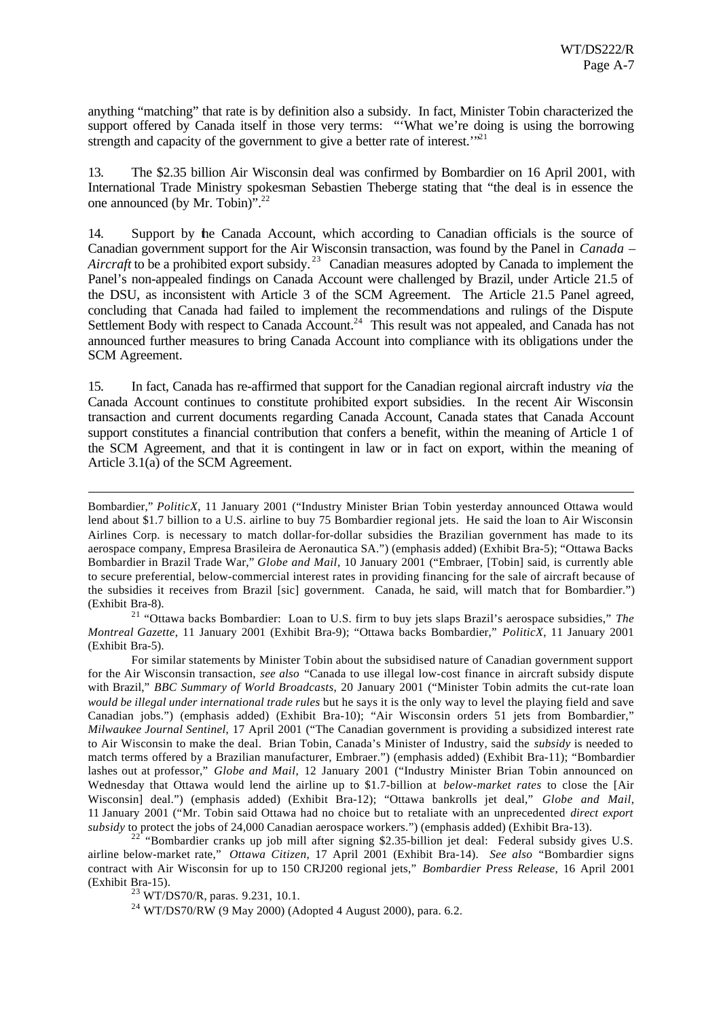anything "matching" that rate is by definition also a subsidy. In fact, Minister Tobin characterized the support offered by Canada itself in those very terms: "'What we're doing is using the borrowing strength and capacity of the government to give a better rate of interest.<sup> $2^{21}$ </sup>

13. The \$2.35 billion Air Wisconsin deal was confirmed by Bombardier on 16 April 2001, with International Trade Ministry spokesman Sebastien Theberge stating that "the deal is in essence the one announced (by Mr. Tobin)".<sup>22</sup>

14. Support by the Canada Account, which according to Canadian officials is the source of Canadian government support for the Air Wisconsin transaction, was found by the Panel in *Canada – Aircraft* to be a prohibited export subsidy.<sup>23</sup> Canadian measures adopted by Canada to implement the Panel's non-appealed findings on Canada Account were challenged by Brazil, under Article 21.5 of the DSU, as inconsistent with Article 3 of the SCM Agreement. The Article 21.5 Panel agreed, concluding that Canada had failed to implement the recommendations and rulings of the Dispute Settlement Body with respect to Canada Account.<sup>24</sup> This result was not appealed, and Canada has not announced further measures to bring Canada Account into compliance with its obligations under the SCM Agreement.

15. In fact, Canada has re-affirmed that support for the Canadian regional aircraft industry *via* the Canada Account continues to constitute prohibited export subsidies. In the recent Air Wisconsin transaction and current documents regarding Canada Account, Canada states that Canada Account support constitutes a financial contribution that confers a benefit, within the meaning of Article 1 of the SCM Agreement, and that it is contingent in law or in fact on export, within the meaning of Article 3.1(a) of the SCM Agreement.

Bombardier," *PoliticX*, 11 January 2001 ("Industry Minister Brian Tobin yesterday announced Ottawa would lend about \$1.7 billion to a U.S. airline to buy 75 Bombardier regional jets. He said the loan to Air Wisconsin Airlines Corp. is necessary to match dollar-for-dollar subsidies the Brazilian government has made to its aerospace company, Empresa Brasileira de Aeronautica SA.") (emphasis added) (Exhibit Bra-5); "Ottawa Backs Bombardier in Brazil Trade War," *Globe and Mail*, 10 January 2001 ("Embraer, [Tobin] said, is currently able to secure preferential, below-commercial interest rates in providing financing for the sale of aircraft because of the subsidies it receives from Brazil [sic] government. Canada, he said, will match that for Bombardier.") (Exhibit Bra-8).

<sup>21</sup> "Ottawa backs Bombardier: Loan to U.S. firm to buy jets slaps Brazil's aerospace subsidies," *The Montreal Gazette*, 11 January 2001 (Exhibit Bra-9); "Ottawa backs Bombardier," *PoliticX*, 11 January 2001 (Exhibit Bra-5).

For similar statements by Minister Tobin about the subsidised nature of Canadian government support for the Air Wisconsin transaction, *see also* "Canada to use illegal low-cost finance in aircraft subsidy dispute with Brazil," *BBC Summary of World Broadcasts*, 20 January 2001 ("Minister Tobin admits the cut-rate loan *would be illegal under international trade rules* but he says it is the only way to level the playing field and save Canadian jobs.") (emphasis added) (Exhibit Bra-10); "Air Wisconsin orders 51 jets from Bombardier," *Milwaukee Journal Sentinel*, 17 April 2001 ("The Canadian government is providing a subsidized interest rate to Air Wisconsin to make the deal. Brian Tobin, Canada's Minister of Industry, said the *subsidy* is needed to match terms offered by a Brazilian manufacturer, Embraer.") (emphasis added) (Exhibit Bra-11); "Bombardier lashes out at professor," *Globe and Mail*, 12 January 2001 ("Industry Minister Brian Tobin announced on Wednesday that Ottawa would lend the airline up to \$1.7-billion at *below-market rates* to close the [Air Wisconsin] deal.") (emphasis added) (Exhibit Bra-12); "Ottawa bankrolls jet deal," *Globe and Mail*, 11 January 2001 ("Mr. Tobin said Ottawa had no choice but to retaliate with an unprecedented *direct export subsidy* to protect the jobs of 24,000 Canadian aerospace workers.") (emphasis added) (Exhibit Bra-13).

 $22^{22}$  "Bombardier cranks up job mill after signing \$2.35-billion jet deal: Federal subsidy gives U.S. airline below-market rate," *Ottawa Citizen*, 17 April 2001 (Exhibit Bra-14). *See also* "Bombardier signs contract with Air Wisconsin for up to 150 CRJ200 regional jets," *Bombardier Press Release*, 16 April 2001 (Exhibit Bra-15).

<sup>23</sup> WT/DS70/R, paras. 9.231, 10.1.

l

 $^{24}$  WT/DS70/RW (9 May 2000) (Adopted 4 August 2000), para. 6.2.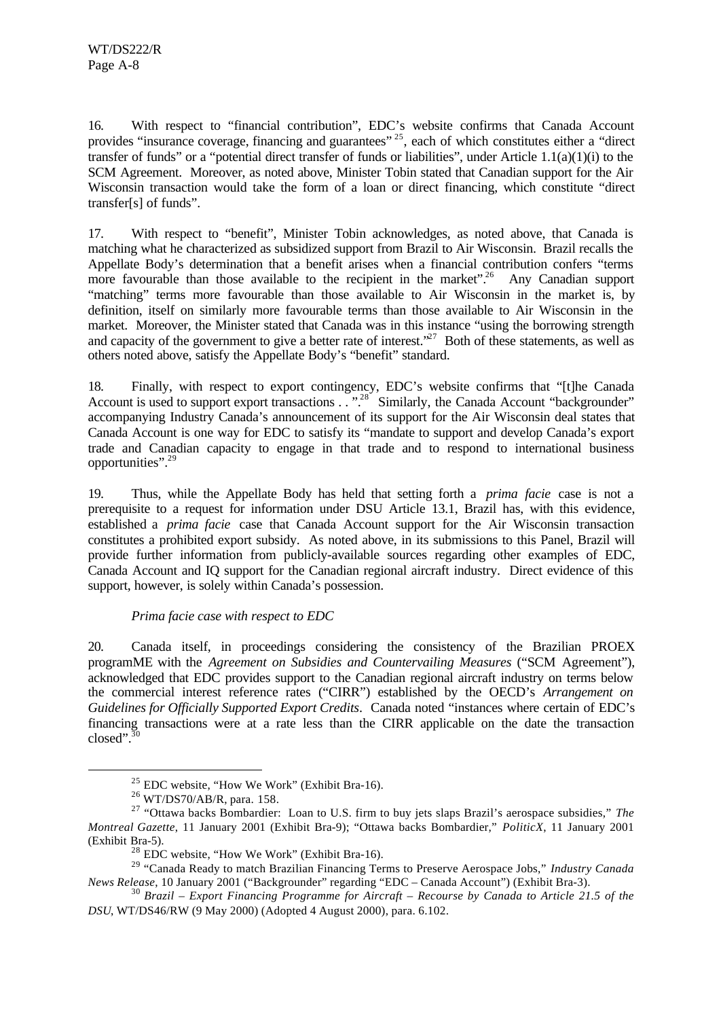16. With respect to "financial contribution", EDC's website confirms that Canada Account provides "insurance coverage, financing and guarantees"<sup>25</sup>, each of which constitutes either a "direct" transfer of funds" or a "potential direct transfer of funds or liabilities", under Article 1.1(a)(1)(i) to the SCM Agreement. Moreover, as noted above, Minister Tobin stated that Canadian support for the Air Wisconsin transaction would take the form of a loan or direct financing, which constitute "direct transfer[s] of funds".

17. With respect to "benefit", Minister Tobin acknowledges, as noted above, that Canada is matching what he characterized as subsidized support from Brazil to Air Wisconsin. Brazil recalls the Appellate Body's determination that a benefit arises when a financial contribution confers "terms more favourable than those available to the recipient in the market".<sup>26</sup> Any Canadian support "matching" terms more favourable than those available to Air Wisconsin in the market is, by definition, itself on similarly more favourable terms than those available to Air Wisconsin in the market. Moreover, the Minister stated that Canada was in this instance "using the borrowing strength and capacity of the government to give a better rate of interest.<sup> $27$ </sup> Both of these statements, as well as others noted above, satisfy the Appellate Body's "benefit" standard.

18. Finally, with respect to export contingency, EDC's website confirms that "[t]he Canada Account is used to support export transactions . . "<sup>28</sup> Similarly, the Canada Account "backgrounder" accompanying Industry Canada's announcement of its support for the Air Wisconsin deal states that Canada Account is one way for EDC to satisfy its "mandate to support and develop Canada's export trade and Canadian capacity to engage in that trade and to respond to international business opportunities".<sup>29</sup>

19. Thus, while the Appellate Body has held that setting forth a *prima facie* case is not a prerequisite to a request for information under DSU Article 13.1, Brazil has, with this evidence, established a *prima facie* case that Canada Account support for the Air Wisconsin transaction constitutes a prohibited export subsidy. As noted above, in its submissions to this Panel, Brazil will provide further information from publicly-available sources regarding other examples of EDC, Canada Account and IQ support for the Canadian regional aircraft industry. Direct evidence of this support, however, is solely within Canada's possession.

## *Prima facie case with respect to EDC*

20. Canada itself, in proceedings considering the consistency of the Brazilian PROEX programME with the *Agreement on Subsidies and Countervailing Measures* ("SCM Agreement"), acknowledged that EDC provides support to the Canadian regional aircraft industry on terms below the commercial interest reference rates ("CIRR") established by the OECD's *Arrangement on Guidelines for Officially Supported Export Credits*. Canada noted "instances where certain of EDC's financing transactions were at a rate less than the CIRR applicable on the date the transaction closed". $30$ 

 $25$  EDC website, "How We Work" (Exhibit Bra-16).

<sup>26</sup> WT/DS70/AB/R, para. 158.

<sup>27</sup> "Ottawa backs Bombardier: Loan to U.S. firm to buy jets slaps Brazil's aerospace subsidies," *The Montreal Gazette*, 11 January 2001 (Exhibit Bra-9); "Ottawa backs Bombardier," *PoliticX*, 11 January 2001 (Exhibit Bra-5).

 $28$  EDC website, "How We Work" (Exhibit Bra-16).

<sup>29</sup> "Canada Ready to match Brazilian Financing Terms to Preserve Aerospace Jobs," *Industry Canada News Release*, 10 January 2001 ("Backgrounder" regarding "EDC – Canada Account") (Exhibit Bra-3).

<sup>30</sup> *Brazil – Export Financing Programme for Aircraft – Recourse by Canada to Article 21.5 of the DSU*, WT/DS46/RW (9 May 2000) (Adopted 4 August 2000), para. 6.102.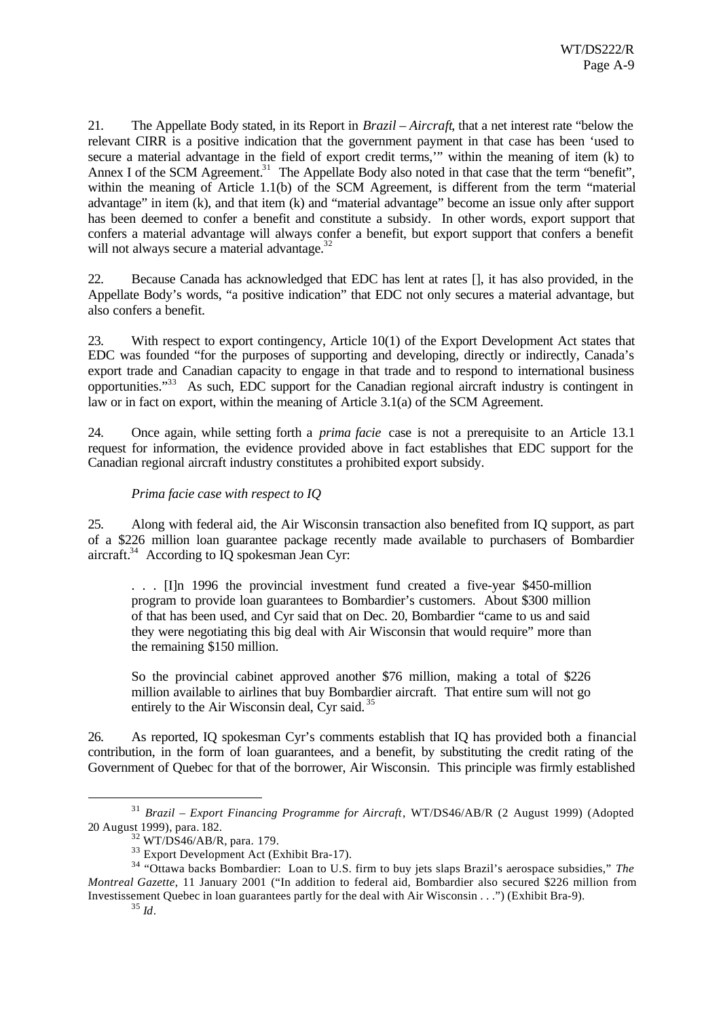21. The Appellate Body stated, in its Report in *Brazil – Aircraft*, that a net interest rate "below the relevant CIRR is a positive indication that the government payment in that case has been 'used to secure a material advantage in the field of export credit terms,'" within the meaning of item (k) to Annex I of the SCM Agreement.<sup>31</sup> The Appellate Body also noted in that case that the term "benefit", within the meaning of Article 1.1(b) of the SCM Agreement, is different from the term "material advantage" in item (k), and that item (k) and "material advantage" become an issue only after support has been deemed to confer a benefit and constitute a subsidy. In other words, export support that confers a material advantage will always confer a benefit, but export support that confers a benefit will not always secure a material advantage. $32$ 

22. Because Canada has acknowledged that EDC has lent at rates [], it has also provided, in the Appellate Body's words, "a positive indication" that EDC not only secures a material advantage, but also confers a benefit.

23. With respect to export contingency, Article 10(1) of the Export Development Act states that EDC was founded "for the purposes of supporting and developing, directly or indirectly, Canada's export trade and Canadian capacity to engage in that trade and to respond to international business opportunities."<sup>33</sup> As such, EDC support for the Canadian regional aircraft industry is contingent in law or in fact on export, within the meaning of Article 3.1(a) of the SCM Agreement.

24. Once again, while setting forth a *prima facie* case is not a prerequisite to an Article 13.1 request for information, the evidence provided above in fact establishes that EDC support for the Canadian regional aircraft industry constitutes a prohibited export subsidy.

#### *Prima facie case with respect to IQ*

25. Along with federal aid, the Air Wisconsin transaction also benefited from IQ support, as part of a \$226 million loan guarantee package recently made available to purchasers of Bombardier aircraft.<sup>34</sup> According to IQ spokesman Jean Cyr:

. . . [I]n 1996 the provincial investment fund created a five-year \$450-million program to provide loan guarantees to Bombardier's customers. About \$300 million of that has been used, and Cyr said that on Dec. 20, Bombardier "came to us and said they were negotiating this big deal with Air Wisconsin that would require" more than the remaining \$150 million.

So the provincial cabinet approved another \$76 million, making a total of \$226 million available to airlines that buy Bombardier aircraft. That entire sum will not go entirely to the Air Wisconsin deal, Cyr said.<sup>35</sup>

26. As reported, IQ spokesman Cyr's comments establish that IQ has provided both a financial contribution, in the form of loan guarantees, and a benefit, by substituting the credit rating of the Government of Quebec for that of the borrower, Air Wisconsin. This principle was firmly established

<sup>&</sup>lt;sup>31</sup> *Brazil – Export Financing Programme for Aircraft*, WT/DS46/AB/R (2 August 1999) (Adopted 20 August 1999), para. 182.

 $32$  WT/DS46/AB/R, para. 179.

<sup>&</sup>lt;sup>33</sup> Export Development Act (Exhibit Bra-17).

<sup>34</sup> "Ottawa backs Bombardier: Loan to U.S. firm to buy jets slaps Brazil's aerospace subsidies," *The Montreal Gazette*, 11 January 2001 ("In addition to federal aid, Bombardier also secured \$226 million from Investissement Quebec in loan guarantees partly for the deal with Air Wisconsin . . .") (Exhibit Bra-9).

 $rac{35}{1}$ *M*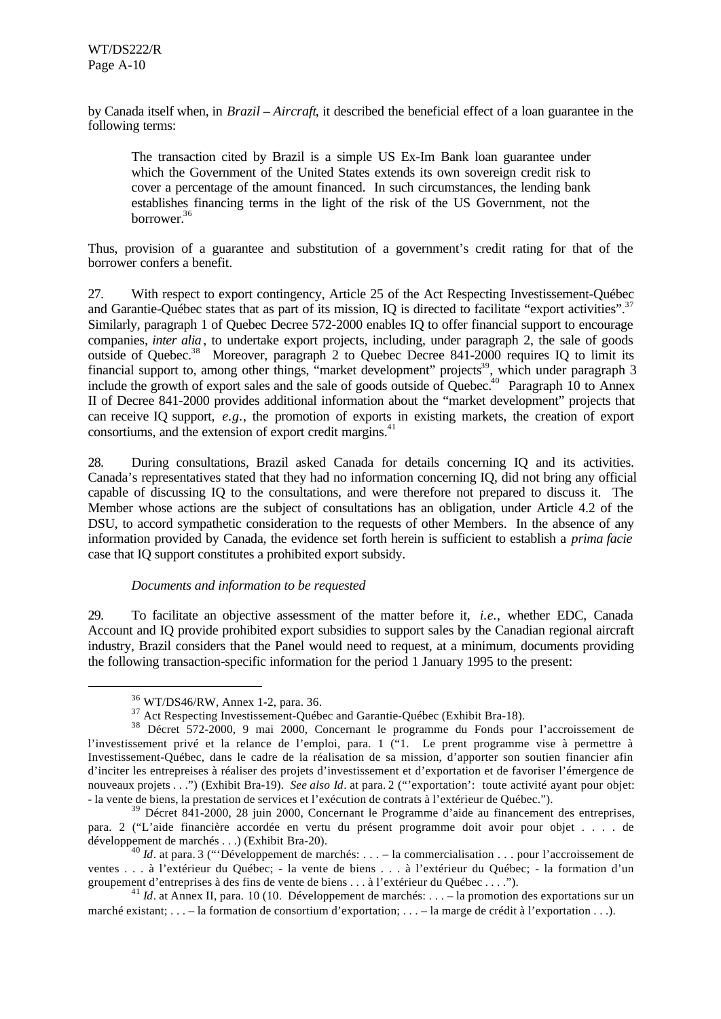by Canada itself when, in *Brazil – Aircraft*, it described the beneficial effect of a loan guarantee in the following terms:

The transaction cited by Brazil is a simple US Ex-Im Bank loan guarantee under which the Government of the United States extends its own sovereign credit risk to cover a percentage of the amount financed. In such circumstances, the lending bank establishes financing terms in the light of the risk of the US Government, not the borrower.<sup>36</sup>

Thus, provision of a guarantee and substitution of a government's credit rating for that of the borrower confers a benefit.

27. With respect to export contingency, Article 25 of the Act Respecting Investissement-Québec and Garantie-Québec states that as part of its mission, IQ is directed to facilitate "export activities".<sup>37</sup> Similarly, paragraph 1 of Quebec Decree 572-2000 enables IQ to offer financial support to encourage companies, *inter alia*, to undertake export projects, including, under paragraph 2, the sale of goods outside of Quebec.<sup>38</sup> Moreover, paragraph 2 to Quebec Decree 841-2000 requires IQ to limit its financial support to, among other things, "market development" projects<sup>39</sup>, which under paragraph 3 include the growth of export sales and the sale of goods outside of Quebec.<sup>40</sup> Paragraph 10 to Annex II of Decree 841-2000 provides additional information about the "market development" projects that can receive IQ support, *e.g.*, the promotion of exports in existing markets, the creation of export consortiums, and the extension of export credit margins. $41$ 

28. During consultations, Brazil asked Canada for details concerning IQ and its activities. Canada's representatives stated that they had no information concerning IQ, did not bring any official capable of discussing IQ to the consultations, and were therefore not prepared to discuss it. The Member whose actions are the subject of consultations has an obligation, under Article 4.2 of the DSU, to accord sympathetic consideration to the requests of other Members. In the absence of any information provided by Canada, the evidence set forth herein is sufficient to establish a *prima facie* case that IQ support constitutes a prohibited export subsidy.

#### *Documents and information to be requested*

29. To facilitate an objective assessment of the matter before it, *i.e.*, whether EDC, Canada Account and IQ provide prohibited export subsidies to support sales by the Canadian regional aircraft industry, Brazil considers that the Panel would need to request, at a minimum, documents providing the following transaction-specific information for the period 1 January 1995 to the present:

<sup>36</sup> WT/DS46/RW, Annex 1-2, para. 36.

<sup>&</sup>lt;sup>37</sup> Act Respecting Investissement-Québec and Garantie-Québec (Exhibit Bra-18).

<sup>38</sup> Décret 572-2000, 9 mai 2000, Concernant le programme du Fonds pour l'accroissement de l'investissement privé et la relance de l'emploi, para. 1 ("1. Le prent programme vise à permettre à Investissement-Québec, dans le cadre de la réalisation de sa mission, d'apporter son soutien financier afin d'inciter les entrepreises à réaliser des projets d'investissement et d'exportation et de favoriser l'émergence de nouveaux projets . . .") (Exhibit Bra-19). *See also Id*. at para. 2 ("'exportation': toute activité ayant pour objet: - la vente de biens, la prestation de services et l'exécution de contrats à l'extérieur de Québec.").

 $39$  Décret 841-2000, 28 juin 2000, Concernant le Programme d'aide au financement des entreprises, para. 2 ("L'aide financière accordée en vertu du présent programme doit avoir pour objet . . . . de développement de marchés . . .) (Exhibit Bra-20).

<sup>40</sup> *Id*. at para. 3 ("'Développement de marchés: . . . – la commercialisation . . . pour l'accroissement de ventes . . . à l'extérieur du Québec; - la vente de biens . . . à l'extérieur du Québec; - la formation d'un groupement d'entreprises à des fins de vente de biens . . . à l'extérieur du Québec . . . .").

<sup>&</sup>lt;sup>41</sup> *Id.* at Annex II, para. 10 (10. Développement de marchés: ... – la promotion des exportations sur un marché existant; . . . – la formation de consortium d'exportation; . . . – la marge de crédit à l'exportation . . .).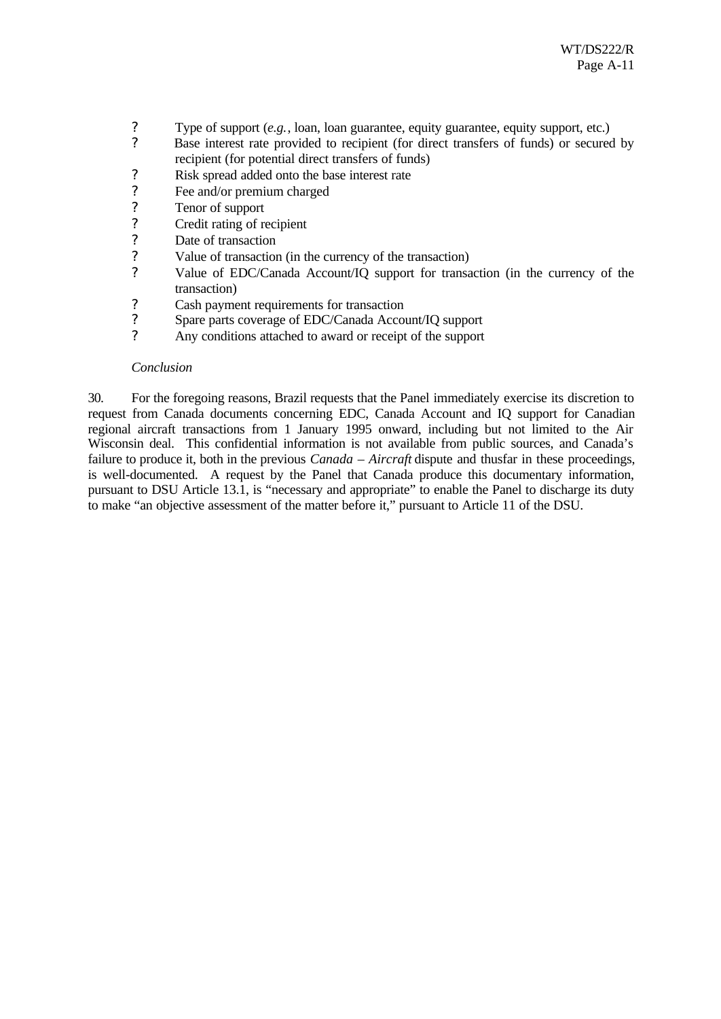- ? Type of support (*e.g.*, loan, loan guarantee, equity guarantee, equity support, etc.)<br>Passe interest rate provided to recipient (for direct transfers of funds) or secured
- Base interest rate provided to recipient (for direct transfers of funds) or secured by recipient (for potential direct transfers of funds)
- ? Risk spread added onto the base interest rate
- ? Fee and/or premium charged
- ? Tenor of support
- ? Credit rating of recipient
- ? Date of transaction
- ? Value of transaction (in the currency of the transaction)
- ? Value of EDC/Canada Account/IQ support for transaction (in the currency of the transaction)
- ? Cash payment requirements for transaction<br>
? Spare parts coverage of EDC/Canada Accou
- ? Spare parts coverage of EDC/Canada Account/IQ support
- ? Any conditions attached to award or receipt of the support

#### *Conclusion*

30. For the foregoing reasons, Brazil requests that the Panel immediately exercise its discretion to request from Canada documents concerning EDC, Canada Account and IQ support for Canadian regional aircraft transactions from 1 January 1995 onward, including but not limited to the Air Wisconsin deal. This confidential information is not available from public sources, and Canada's failure to produce it, both in the previous *Canada – Aircraft* dispute and thusfar in these proceedings, is well-documented. A request by the Panel that Canada produce this documentary information, pursuant to DSU Article 13.1, is "necessary and appropriate" to enable the Panel to discharge its duty to make "an objective assessment of the matter before it," pursuant to Article 11 of the DSU.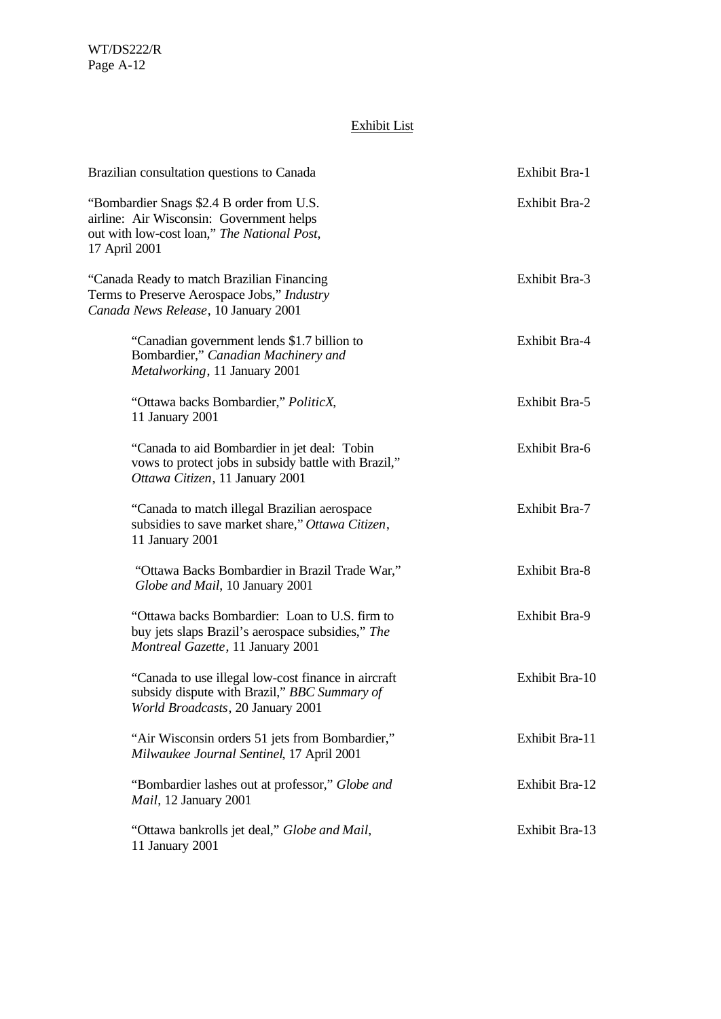## Exhibit List

| Brazilian consultation questions to Canada                                                                                                            | Exhibit Bra-1        |
|-------------------------------------------------------------------------------------------------------------------------------------------------------|----------------------|
| "Bombardier Snags \$2.4 B order from U.S.<br>airline: Air Wisconsin: Government helps<br>out with low-cost loan," The National Post,<br>17 April 2001 | Exhibit Bra-2        |
| "Canada Ready to match Brazilian Financing<br>Terms to Preserve Aerospace Jobs," Industry<br>Canada News Release, 10 January 2001                     | Exhibit Bra-3        |
| "Canadian government lends \$1.7 billion to<br>Bombardier," Canadian Machinery and<br>Metalworking, 11 January 2001                                   | Exhibit Bra-4        |
| "Ottawa backs Bombardier," PoliticX,<br>11 January 2001                                                                                               | <b>Exhibit Bra-5</b> |
| "Canada to aid Bombardier in jet deal: Tobin<br>vows to protect jobs in subsidy battle with Brazil,"<br>Ottawa Citizen, 11 January 2001               | Exhibit Bra-6        |
| "Canada to match illegal Brazilian aerospace<br>subsidies to save market share," Ottawa Citizen,<br>11 January 2001                                   | Exhibit Bra-7        |
| "Ottawa Backs Bombardier in Brazil Trade War,"<br>Globe and Mail, 10 January 2001                                                                     | Exhibit Bra-8        |
| "Ottawa backs Bombardier: Loan to U.S. firm to<br>buy jets slaps Brazil's aerospace subsidies," The<br>Montreal Gazette, 11 January 2001              | Exhibit Bra-9        |
| "Canada to use illegal low-cost finance in aircraft<br>subsidy dispute with Brazil," BBC Summary of<br>World Broadcasts, 20 January 2001              | Exhibit Bra-10       |
| "Air Wisconsin orders 51 jets from Bombardier,"<br>Milwaukee Journal Sentinel, 17 April 2001                                                          | Exhibit Bra-11       |
| "Bombardier lashes out at professor," Globe and<br>Mail, 12 January 2001                                                                              | Exhibit Bra-12       |
| "Ottawa bankrolls jet deal," Globe and Mail,<br>11 January 2001                                                                                       | Exhibit Bra-13       |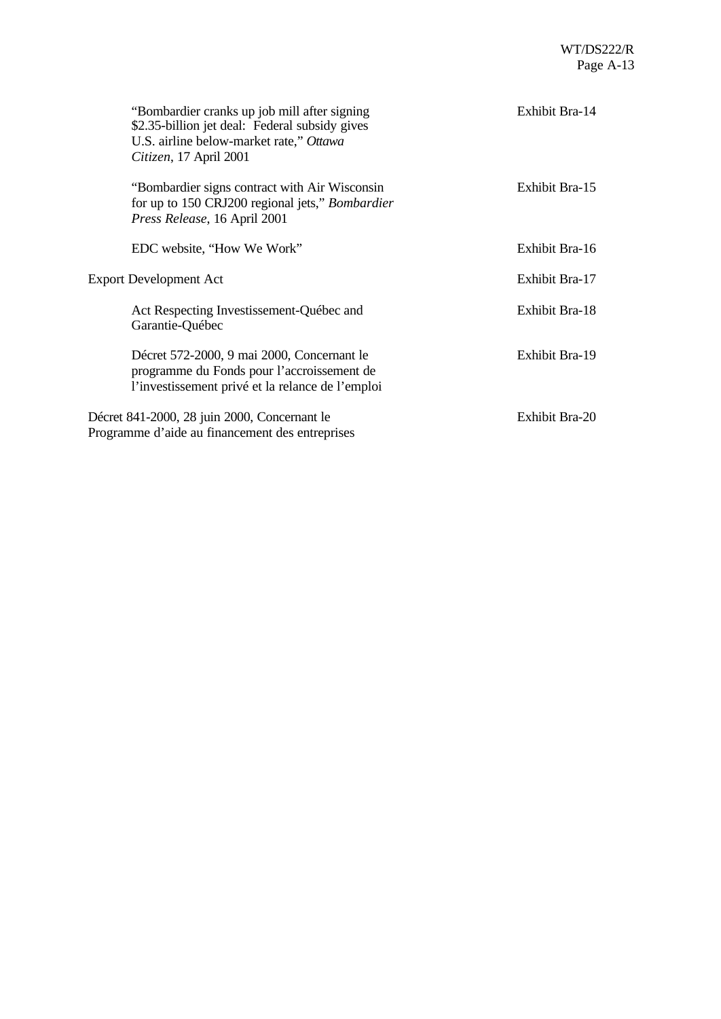| "Bombardier cranks up job mill after signing<br>\$2.35-billion jet deal: Federal subsidy gives<br>U.S. airline below-market rate," Ottawa<br>Citizen, 17 April 2001 | Exhibit Bra-14 |
|---------------------------------------------------------------------------------------------------------------------------------------------------------------------|----------------|
| "Bombardier signs contract with Air Wisconsin<br>for up to 150 CRJ200 regional jets," Bombardier<br>Press Release, 16 April 2001                                    | Exhibit Bra-15 |
| EDC website, "How We Work"                                                                                                                                          | Exhibit Bra-16 |
| <b>Export Development Act</b>                                                                                                                                       | Exhibit Bra-17 |
| Act Respecting Investissement-Québec and<br>Garantie-Québec                                                                                                         | Exhibit Bra-18 |
| Décret 572-2000, 9 mai 2000, Concernant le<br>programme du Fonds pour l'accroissement de<br>l'investissement privé et la relance de l'emploi                        | Exhibit Bra-19 |
| Décret 841-2000, 28 juin 2000, Concernant le<br>Programme d'aide au financement des entreprises                                                                     | Exhibit Bra-20 |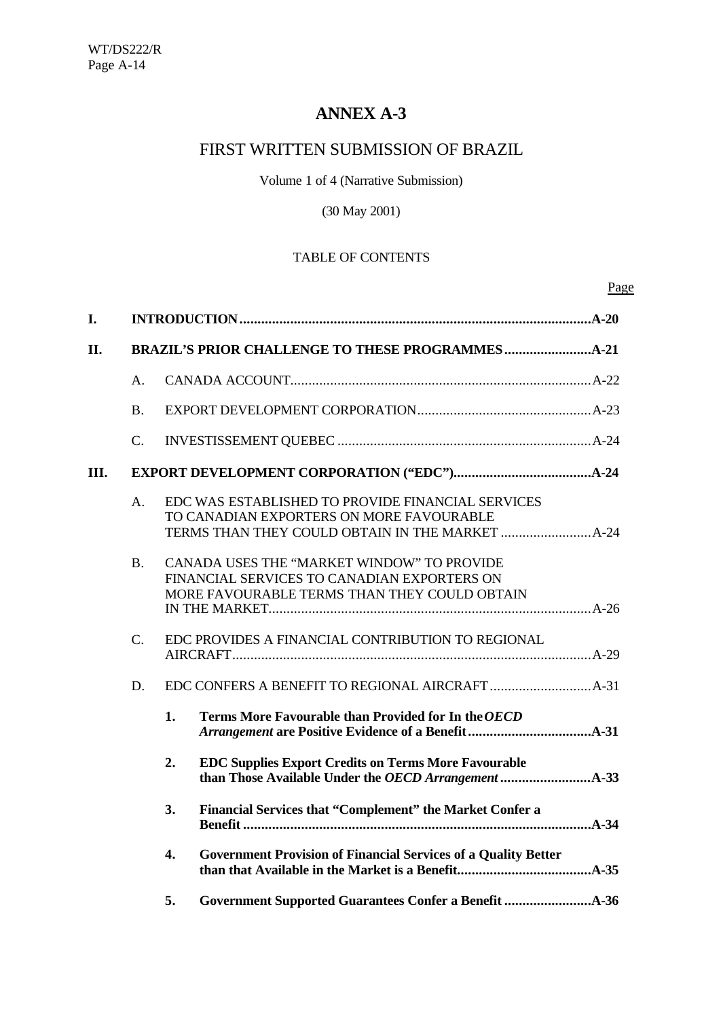# **ANNEX A-3**

# FIRST WRITTEN SUBMISSION OF BRAZIL

Volume 1 of 4 (Narrative Submission)

# (30 May 2001)

## TABLE OF CONTENTS

| I.   |                |    |                                                                                                                                           |
|------|----------------|----|-------------------------------------------------------------------------------------------------------------------------------------------|
| Η.   |                |    |                                                                                                                                           |
|      | A.             |    |                                                                                                                                           |
|      | <b>B.</b>      |    |                                                                                                                                           |
|      | $C_{\cdot}$    |    |                                                                                                                                           |
| III. |                |    |                                                                                                                                           |
|      | A.             |    | EDC WAS ESTABLISHED TO PROVIDE FINANCIAL SERVICES<br>TO CANADIAN EXPORTERS ON MORE FAVOURABLE                                             |
|      | B <sub>1</sub> |    | CANADA USES THE "MARKET WINDOW" TO PROVIDE<br>FINANCIAL SERVICES TO CANADIAN EXPORTERS ON<br>MORE FAVOURABLE TERMS THAN THEY COULD OBTAIN |
|      | $\mathbf{C}$ . |    | EDC PROVIDES A FINANCIAL CONTRIBUTION TO REGIONAL                                                                                         |
|      | D.             |    |                                                                                                                                           |
|      |                | 1. | Terms More Favourable than Provided for In the OECD                                                                                       |
|      |                | 2. | <b>EDC Supplies Export Credits on Terms More Favourable</b>                                                                               |
|      |                | 3. | Financial Services that "Complement" the Market Confer a                                                                                  |
|      |                | 4. | <b>Government Provision of Financial Services of a Quality Better</b>                                                                     |
|      |                | 5. |                                                                                                                                           |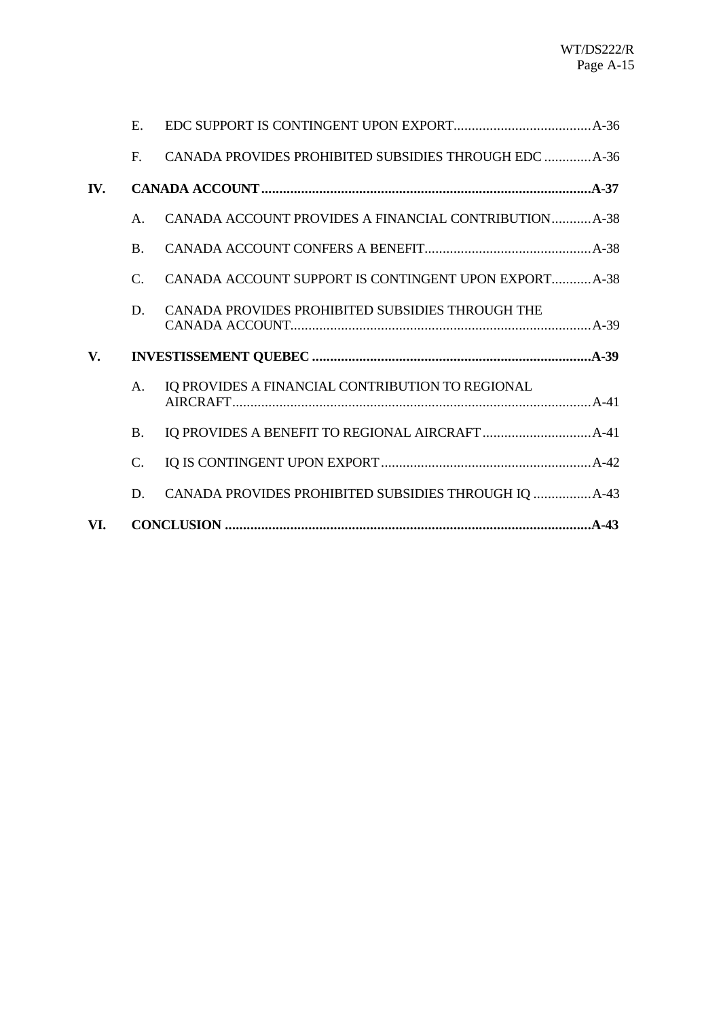|     | $E_{\rm{m}}$    |                                                        |
|-----|-----------------|--------------------------------------------------------|
|     | $F_{\rm c}$     | CANADA PROVIDES PROHIBITED SUBSIDIES THROUGH EDC  A-36 |
| IV. |                 |                                                        |
|     | $\mathsf{A}$ .  | CANADA ACCOUNT PROVIDES A FINANCIAL CONTRIBUTIONA-38   |
|     | $\mathbf{B}$ .  |                                                        |
|     | $\mathcal{C}$ . | CANADA ACCOUNT SUPPORT IS CONTINGENT UPON EXPORT A-38  |
|     | D.              | CANADA PROVIDES PROHIBITED SUBSIDIES THROUGH THE       |
| V.  |                 |                                                        |
|     | A.              | IQ PROVIDES A FINANCIAL CONTRIBUTION TO REGIONAL       |
|     | $\mathbf{B}$ .  |                                                        |
|     | $C_{\cdot}$     |                                                        |
|     | D.              |                                                        |
| VI. |                 |                                                        |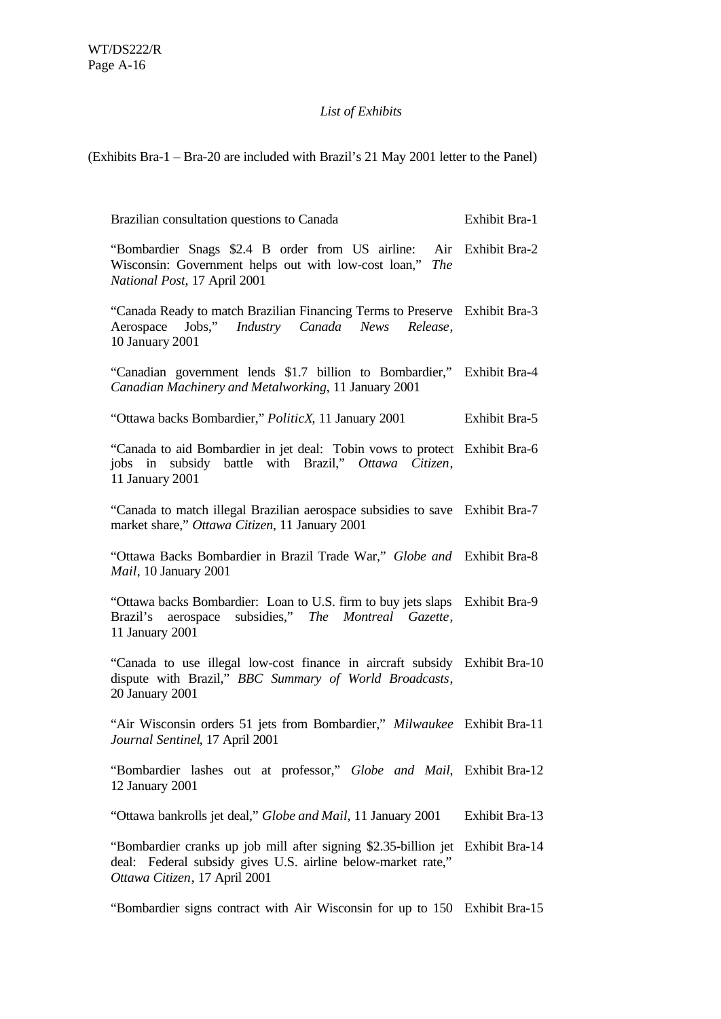## *List of Exhibits*

(Exhibits Bra-1 – Bra-20 are included with Brazil's 21 May 2001 letter to the Panel)

| Brazilian consultation questions to Canada                                                                                                                                      | Exhibit Bra-1  |
|---------------------------------------------------------------------------------------------------------------------------------------------------------------------------------|----------------|
| "Bombardier Snags \$2.4 B order from US airline: Air Exhibit Bra-2<br>Wisconsin: Government helps out with low-cost loan," The<br>National Post, 17 April 2001                  |                |
| "Canada Ready to match Brazilian Financing Terms to Preserve Exhibit Bra-3<br>Jobs," Industry Canada News Release,<br>Aerospace<br>10 January 2001                              |                |
| "Canadian government lends \$1.7 billion to Bombardier," Exhibit Bra-4<br>Canadian Machinery and Metalworking, 11 January 2001                                                  |                |
| "Ottawa backs Bombardier," PoliticX, 11 January 2001                                                                                                                            | Exhibit Bra-5  |
| "Canada to aid Bombardier in jet deal: Tobin vows to protect Exhibit Bra-6<br>jobs in subsidy battle with Brazil," Ottawa Citizen,<br>11 January 2001                           |                |
| "Canada to match illegal Brazilian aerospace subsidies to save Exhibit Bra-7<br>market share," Ottawa Citizen, 11 January 2001                                                  |                |
| "Ottawa Backs Bombardier in Brazil Trade War," Globe and Exhibit Bra-8<br>Mail, 10 January 2001                                                                                 |                |
| "Ottawa backs Bombardier: Loan to U.S. firm to buy jets slaps Exhibit Bra-9<br>aerospace subsidies," The Montreal Gazette,<br>Brazil's<br>11 January 2001                       |                |
| "Canada to use illegal low-cost finance in aircraft subsidy Exhibit Bra-10<br>dispute with Brazil," BBC Summary of World Broadcasts,<br>20 January 2001                         |                |
| "Air Wisconsin orders 51 jets from Bombardier," Milwaukee Exhibit Bra-11<br>Journal Sentinel, 17 April 2001                                                                     |                |
| "Bombardier lashes out at professor," Globe and Mail, Exhibit Bra-12<br>12 January 2001                                                                                         |                |
| "Ottawa bankrolls jet deal," Globe and Mail, 11 January 2001                                                                                                                    | Exhibit Bra-13 |
| "Bombardier cranks up job mill after signing \$2.35-billion jet Exhibit Bra-14<br>deal: Federal subsidy gives U.S. airline below-market rate,"<br>Ottawa Citizen, 17 April 2001 |                |
| "Bombardier signs contract with Air Wisconsin for up to 150 Exhibit Bra-15                                                                                                      |                |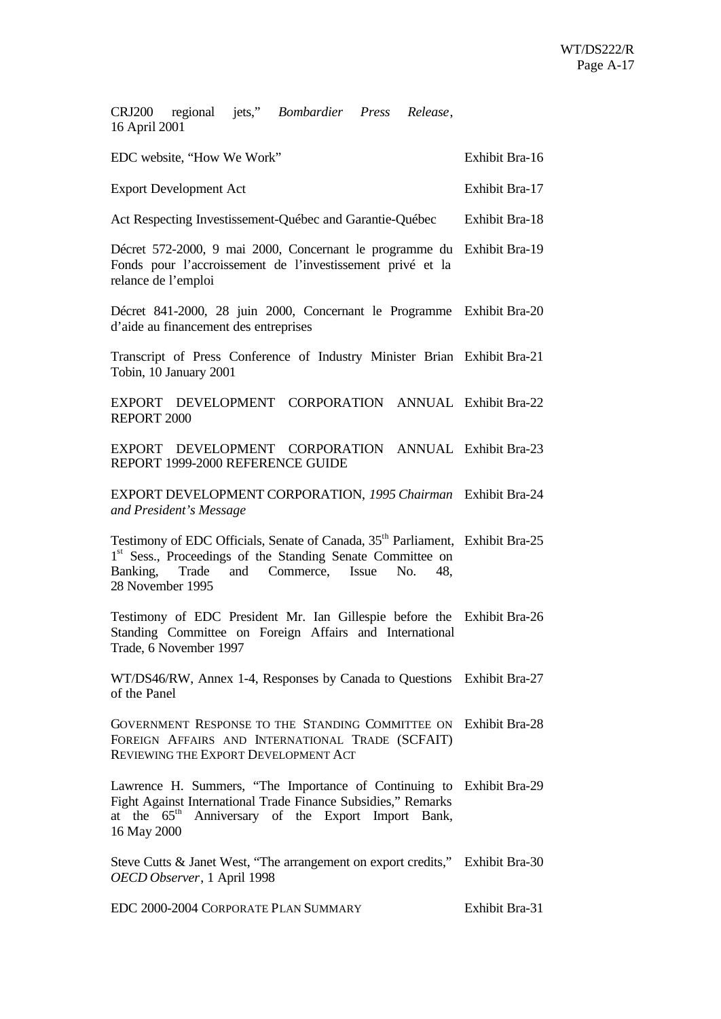CRJ200 regional jets," *Bombardier Press Release*, 16 April 2001

| EDC website, "How We Work" | Exhibit Bra-16 |
|----------------------------|----------------|
|----------------------------|----------------|

Export Development Act Exhibit Bra-17

Act Respecting Investissement-Québec and Garantie-Québec Exhibit Bra-18

Décret 572-2000, 9 mai 2000, Concernant le programme du Exhibit Bra-19 Fonds pour l'accroissement de l'investissement privé et la relance de l'emploi

Décret 841-2000, 28 juin 2000, Concernant le Programme Exhibit Bra-20 d'aide au financement des entreprises

Transcript of Press Conference of Industry Minister Brian Exhibit Bra-21 Tobin, 10 January 2001

EXPORT DEVELOPMENT CORPORATION ANNUAL Exhibit Bra-22 REPORT 2000

EXPORT DEVELOPMENT CORPORATION ANNUAL Exhibit Bra-23 REPORT 1999-2000 REFERENCE GUIDE

EXPORT DEVELOPMENT CORPORATION, *1995 Chairman* Exhibit Bra-24 *and President's Message*

Testimony of EDC Officials, Senate of Canada, 35<sup>th</sup> Parliament, Exhibit Bra-25 1<sup>st</sup> Sess., Proceedings of the Standing Senate Committee on Banking, Trade and Commerce, Issue No. 48, 28 November 1995

Testimony of EDC President Mr. Ian Gillespie before the Exhibit Bra-26 Standing Committee on Foreign Affairs and International Trade, 6 November 1997

WT/DS46/RW, Annex 1-4, Responses by Canada to Questions Exhibit Bra-27 of the Panel

GOVERNMENT RESPONSE TO THE STANDING COMMITTEE ON Exhibit Bra-28 FOREIGN AFFAIRS AND INTERNATIONAL TRADE (SCFAIT) REVIEWING THE EXPORT DEVELOPMENT ACT

Lawrence H. Summers, "The Importance of Continuing to Exhibit Bra-29 Fight Against International Trade Finance Subsidies," Remarks at the  $65<sup>th</sup>$  Anniversary of the Export Import Bank, 16 May 2000

Steve Cutts & Janet West, "The arrangement on export credits," Exhibit Bra-30 *OECD Observer*, 1 April 1998

EDC 2000-2004 CORPORATE PLAN SUMMARY Exhibit Bra-31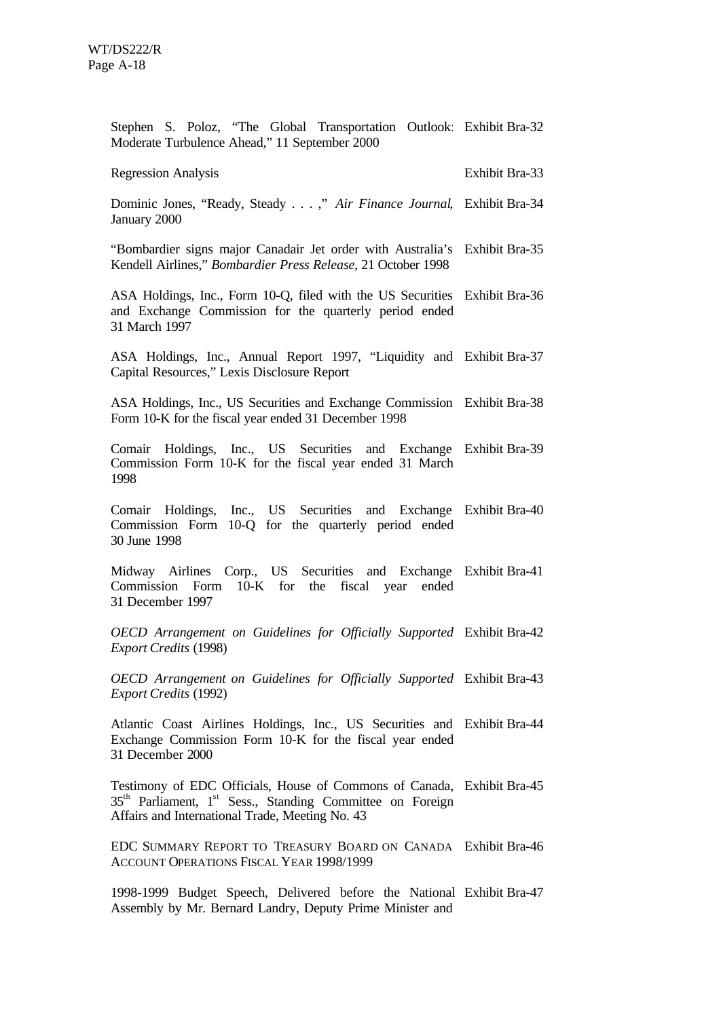Stephen S. Poloz, "The Global Transportation Outlook: Exhibit Bra-32 Moderate Turbulence Ahead," 11 September 2000

Regression Analysis Exhibit Bra-33

Dominic Jones, "Ready, Steady . . . ," *Air Finance Journal*, Exhibit Bra-34 January 2000

"Bombardier signs major Canadair Jet order with Australia's Exhibit Bra-35 Kendell Airlines," *Bombardier Press Release*, 21 October 1998

ASA Holdings, Inc., Form 10-Q, filed with the US Securities Exhibit Bra-36 and Exchange Commission for the quarterly period ended 31 March 1997

ASA Holdings, Inc., Annual Report 1997, "Liquidity and Exhibit Bra-37 Capital Resources," Lexis Disclosure Report

ASA Holdings, Inc., US Securities and Exchange Commission Exhibit Bra-38 Form 10-K for the fiscal year ended 31 December 1998

Comair Holdings, Inc., US Securities and Exchange Exhibit Bra-39 Commission Form 10-K for the fiscal year ended 31 March 1998

Comair Holdings, Inc., US Securities and Exchange Exhibit Bra-40 Commission Form 10-Q for the quarterly period ended 30 June 1998

Midway Airlines Corp., US Securities and Exchange Exhibit Bra-41 Commission Form 10-K for the fiscal year ended 31 December 1997

*OECD Arrangement on Guidelines for Officially Supported* Exhibit Bra-42 *Export Credits* (1998)

*OECD Arrangement on Guidelines for Officially Supported* Exhibit Bra-43 *Export Credits* (1992)

Atlantic Coast Airlines Holdings, Inc., US Securities and Exhibit Bra-44 Exchange Commission Form 10-K for the fiscal year ended 31 December 2000

Testimony of EDC Officials, House of Commons of Canada, Exhibit Bra-45 35<sup>th</sup> Parliament, 1<sup>st</sup> Sess., Standing Committee on Foreign Affairs and International Trade, Meeting No. 43

EDC SUMMARY REPORT TO TREASURY BOARD ON CANADA Exhibit Bra-46 ACCOUNT OPERATIONS FISCAL YEAR 1998/1999

1998-1999 Budget Speech, Delivered before the National Exhibit Bra-47Assembly by Mr. Bernard Landry, Deputy Prime Minister and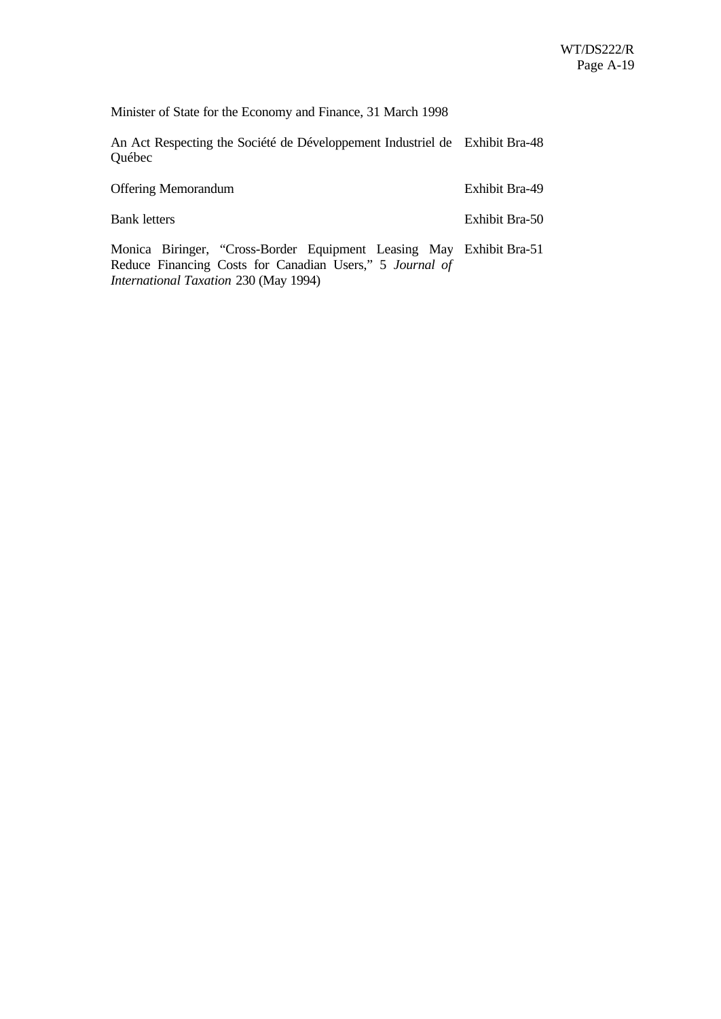Minister of State for the Economy and Finance, 31 March 1998

An Act Respecting the Société de Développement Industriel de Exhibit Bra-48 Québec

| <b>Offering Memorandum</b> | <b>Exhibit Bra-49</b> |  |
|----------------------------|-----------------------|--|
|                            |                       |  |

Bank letters Exhibit Bra-50

Monica Biringer, "Cross-Border Equipment Leasing May Reduce Financing Costs for Canadian Users," 5 *Journal of International Taxation* 230 (May 1994) Exhibit Bra-51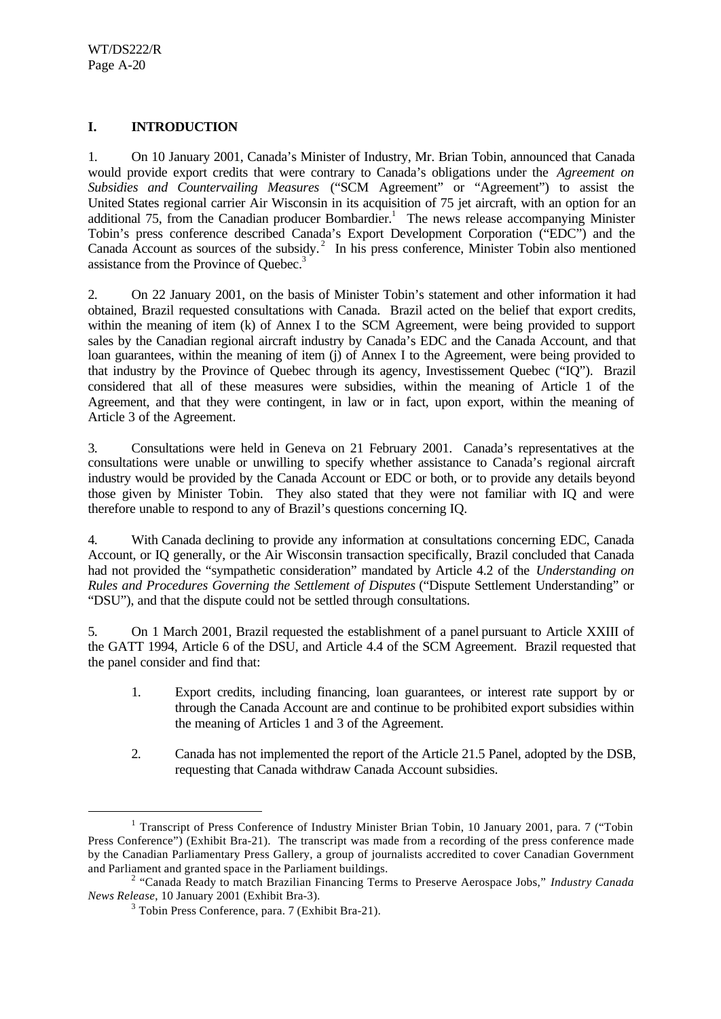l

## **I. INTRODUCTION**

1. On 10 January 2001, Canada's Minister of Industry, Mr. Brian Tobin, announced that Canada would provide export credits that were contrary to Canada's obligations under the *Agreement on Subsidies and Countervailing Measures* ("SCM Agreement" or "Agreement") to assist the United States regional carrier Air Wisconsin in its acquisition of 75 jet aircraft, with an option for an additional 75, from the Canadian producer Bombardier.<sup>1</sup> The news release accompanying Minister Tobin's press conference described Canada's Export Development Corporation ("EDC") and the Canada Account as sources of the subsidy.<sup>2</sup> In his press conference, Minister Tobin also mentioned assistance from the Province of Ouebec.<sup>3</sup>

2. On 22 January 2001, on the basis of Minister Tobin's statement and other information it had obtained, Brazil requested consultations with Canada. Brazil acted on the belief that export credits, within the meaning of item (k) of Annex I to the SCM Agreement, were being provided to support sales by the Canadian regional aircraft industry by Canada's EDC and the Canada Account, and that loan guarantees, within the meaning of item (j) of Annex I to the Agreement, were being provided to that industry by the Province of Quebec through its agency, Investissement Quebec ("IQ"). Brazil considered that all of these measures were subsidies, within the meaning of Article 1 of the Agreement, and that they were contingent, in law or in fact, upon export, within the meaning of Article 3 of the Agreement.

3. Consultations were held in Geneva on 21 February 2001. Canada's representatives at the consultations were unable or unwilling to specify whether assistance to Canada's regional aircraft industry would be provided by the Canada Account or EDC or both, or to provide any details beyond those given by Minister Tobin. They also stated that they were not familiar with IQ and were therefore unable to respond to any of Brazil's questions concerning IQ.

4. With Canada declining to provide any information at consultations concerning EDC, Canada Account, or IQ generally, or the Air Wisconsin transaction specifically, Brazil concluded that Canada had not provided the "sympathetic consideration" mandated by Article 4.2 of the *Understanding on Rules and Procedures Governing the Settlement of Disputes* ("Dispute Settlement Understanding" or "DSU"), and that the dispute could not be settled through consultations.

5. On 1 March 2001, Brazil requested the establishment of a panel pursuant to Article XXIII of the GATT 1994, Article 6 of the DSU, and Article 4.4 of the SCM Agreement. Brazil requested that the panel consider and find that:

- 1. Export credits, including financing, loan guarantees, or interest rate support by or through the Canada Account are and continue to be prohibited export subsidies within the meaning of Articles 1 and 3 of the Agreement.
- 2. Canada has not implemented the report of the Article 21.5 Panel, adopted by the DSB, requesting that Canada withdraw Canada Account subsidies.

<sup>&</sup>lt;sup>1</sup> Transcript of Press Conference of Industry Minister Brian Tobin, 10 January 2001, para. 7 ("Tobin Press Conference") (Exhibit Bra-21). The transcript was made from a recording of the press conference made by the Canadian Parliamentary Press Gallery, a group of journalists accredited to cover Canadian Government and Parliament and granted space in the Parliament buildings.

<sup>2</sup> "Canada Ready to match Brazilian Financing Terms to Preserve Aerospace Jobs," *Industry Canada News Release*, 10 January 2001 (Exhibit Bra-3).

<sup>&</sup>lt;sup>3</sup> Tobin Press Conference, para. 7 (Exhibit Bra-21).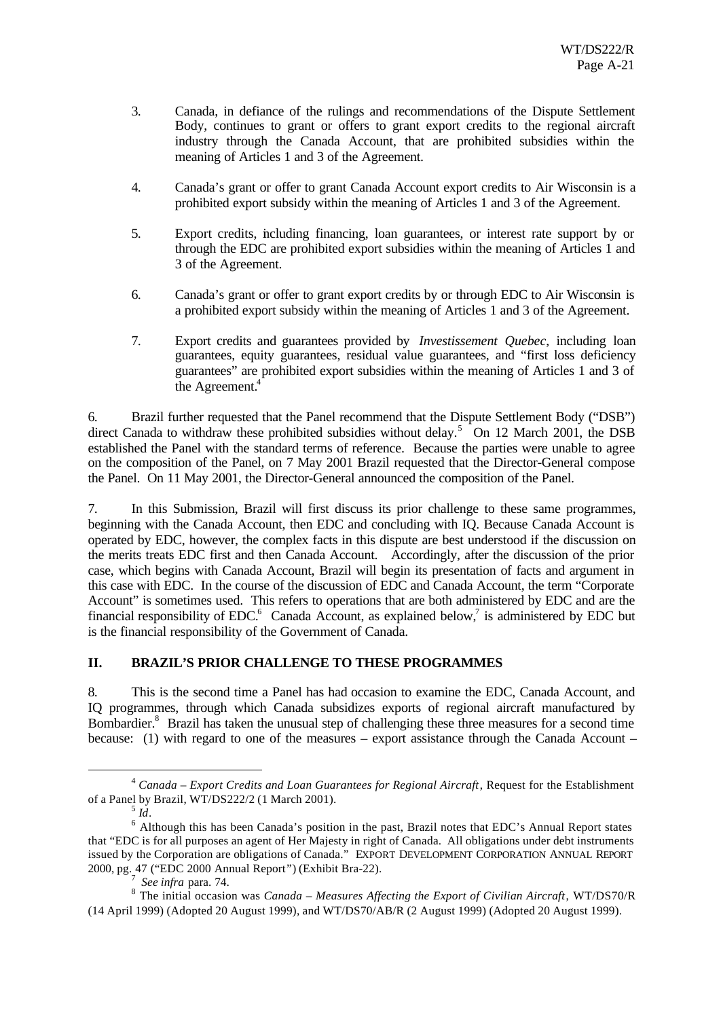- 3. Canada, in defiance of the rulings and recommendations of the Dispute Settlement Body, continues to grant or offers to grant export credits to the regional aircraft industry through the Canada Account, that are prohibited subsidies within the meaning of Articles 1 and 3 of the Agreement.
- 4. Canada's grant or offer to grant Canada Account export credits to Air Wisconsin is a prohibited export subsidy within the meaning of Articles 1 and 3 of the Agreement.
- 5. Export credits, including financing, loan guarantees, or interest rate support by or through the EDC are prohibited export subsidies within the meaning of Articles 1 and 3 of the Agreement.
- 6. Canada's grant or offer to grant export credits by or through EDC to Air Wisconsin is a prohibited export subsidy within the meaning of Articles 1 and 3 of the Agreement.
- 7. Export credits and guarantees provided by *Investissement Quebec*, including loan guarantees, equity guarantees, residual value guarantees, and "first loss deficiency guarantees" are prohibited export subsidies within the meaning of Articles 1 and 3 of the Agreement.<sup>4</sup>

6. Brazil further requested that the Panel recommend that the Dispute Settlement Body ("DSB") direct Canada to withdraw these prohibited subsidies without delay.<sup>5</sup> On 12 March 2001, the DSB established the Panel with the standard terms of reference. Because the parties were unable to agree on the composition of the Panel, on 7 May 2001 Brazil requested that the Director-General compose the Panel. On 11 May 2001, the Director-General announced the composition of the Panel.

7. In this Submission, Brazil will first discuss its prior challenge to these same programmes, beginning with the Canada Account, then EDC and concluding with IQ. Because Canada Account is operated by EDC, however, the complex facts in this dispute are best understood if the discussion on the merits treats EDC first and then Canada Account. Accordingly, after the discussion of the prior case, which begins with Canada Account, Brazil will begin its presentation of facts and argument in this case with EDC. In the course of the discussion of EDC and Canada Account, the term "Corporate Account" is sometimes used. This refers to operations that are both administered by EDC and are the financial responsibility of EDC.<sup>6</sup> Canada Account, as explained below,<sup>7</sup> is administered by EDC but is the financial responsibility of the Government of Canada.

## **II. BRAZIL'S PRIOR CHALLENGE TO THESE PROGRAMMES**

8. This is the second time a Panel has had occasion to examine the EDC, Canada Account, and IQ programmes, through which Canada subsidizes exports of regional aircraft manufactured by Bombardier.<sup>8</sup> Brazil has taken the unusual step of challenging these three measures for a second time because: (1) with regard to one of the measures – export assistance through the Canada Account –

<sup>&</sup>lt;sup>4</sup> Canada – Export Credits and Loan Guarantees for Regional Aircraft, Request for the Establishment of a Panel by Brazil, WT/DS222/2 (1 March 2001).

<sup>5</sup> *Id*.

 $6$  Although this has been Canada's position in the past, Brazil notes that EDC's Annual Report states that "EDC is for all purposes an agent of Her Majesty in right of Canada. All obligations under debt instruments issued by the Corporation are obligations of Canada." EXPORT DEVELOPMENT CORPORATION ANNUAL REPORT 2000, pg. 47 ("EDC 2000 Annual Report") (Exhibit Bra-22).

*See infra* para. 74.

<sup>8</sup> The initial occasion was *Canada – Measures Affecting the Export of Civilian Aircraft*, WT/DS70/R (14 April 1999) (Adopted 20 August 1999), and WT/DS70/AB/R (2 August 1999) (Adopted 20 August 1999).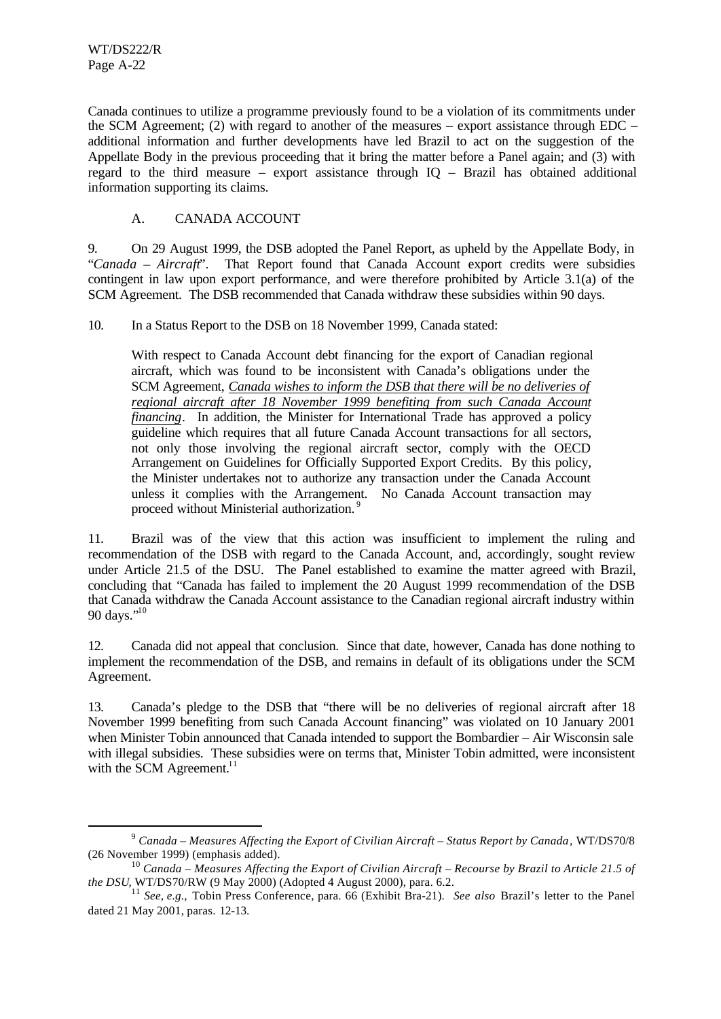l

Canada continues to utilize a programme previously found to be a violation of its commitments under the SCM Agreement; (2) with regard to another of the measures – export assistance through EDC – additional information and further developments have led Brazil to act on the suggestion of the Appellate Body in the previous proceeding that it bring the matter before a Panel again; and (3) with regard to the third measure – export assistance through IQ – Brazil has obtained additional information supporting its claims.

## A. CANADA ACCOUNT

9. On 29 August 1999, the DSB adopted the Panel Report, as upheld by the Appellate Body, in "*Canada – Aircraft*". That Report found that Canada Account export credits were subsidies contingent in law upon export performance, and were therefore prohibited by Article 3.1(a) of the SCM Agreement. The DSB recommended that Canada withdraw these subsidies within 90 days.

10. In a Status Report to the DSB on 18 November 1999, Canada stated:

With respect to Canada Account debt financing for the export of Canadian regional aircraft, which was found to be inconsistent with Canada's obligations under the SCM Agreement, *Canada wishes to inform the DSB that there will be no deliveries of regional aircraft after 18 November 1999 benefiting from such Canada Account financing.* In addition, the Minister for International Trade has approved a policy guideline which requires that all future Canada Account transactions for all sectors, not only those involving the regional aircraft sector, comply with the OECD Arrangement on Guidelines for Officially Supported Export Credits. By this policy, the Minister undertakes not to authorize any transaction under the Canada Account unless it complies with the Arrangement. No Canada Account transaction may proceed without Ministerial authorization.<sup>9</sup>

11. Brazil was of the view that this action was insufficient to implement the ruling and recommendation of the DSB with regard to the Canada Account, and, accordingly, sought review under Article 21.5 of the DSU. The Panel established to examine the matter agreed with Brazil, concluding that "Canada has failed to implement the 20 August 1999 recommendation of the DSB that Canada withdraw the Canada Account assistance to the Canadian regional aircraft industry within 90 days."<sup>10</sup>

12. Canada did not appeal that conclusion. Since that date, however, Canada has done nothing to implement the recommendation of the DSB, and remains in default of its obligations under the SCM Agreement.

13. Canada's pledge to the DSB that "there will be no deliveries of regional aircraft after 18 November 1999 benefiting from such Canada Account financing" was violated on 10 January 2001 when Minister Tobin announced that Canada intended to support the Bombardier – Air Wisconsin sale with illegal subsidies. These subsidies were on terms that, Minister Tobin admitted, were inconsistent with the SCM Agreement. $11$ 

<sup>9</sup> *Canada – Measures Affecting the Export of Civilian Aircraft – Status Report by Canada*, WT/DS70/8 (26 November 1999) (emphasis added).

<sup>10</sup> *Canada – Measures Affecting the Export of Civilian Aircraft – Recourse by Brazil to Article 21.5 of the DSU*, WT/DS70/RW (9 May 2000) (Adopted 4 August 2000), para. 6.2.

<sup>11</sup> *See, e.g.,* Tobin Press Conference*,* para. 66 (Exhibit Bra-21). *See also* Brazil's letter to the Panel dated 21 May 2001, paras. 12-13.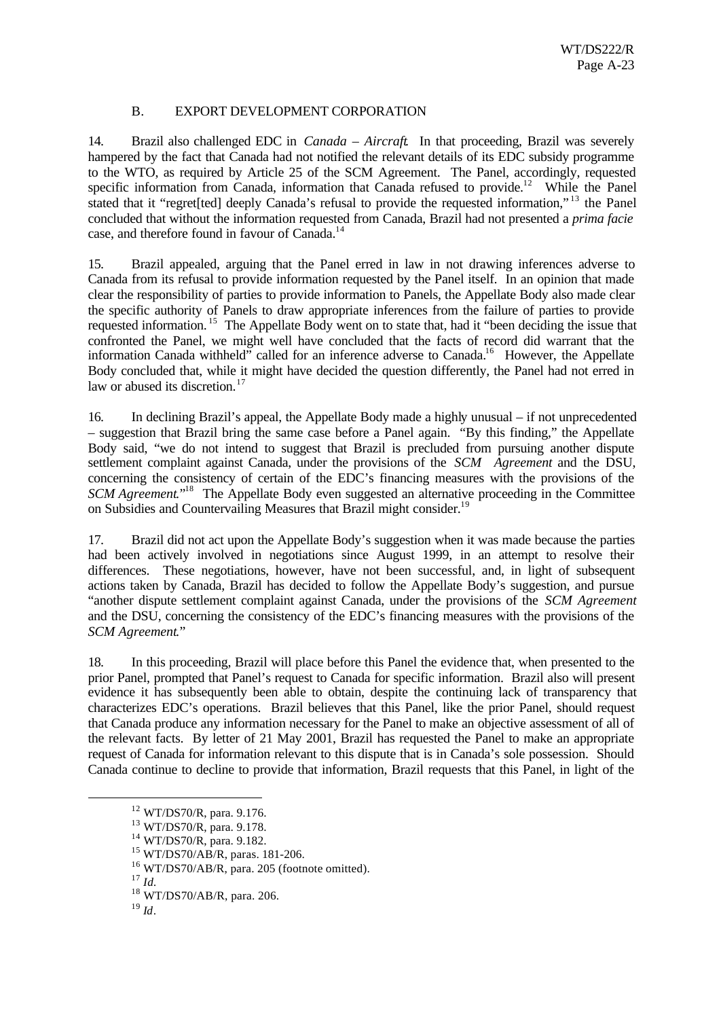## B. EXPORT DEVELOPMENT CORPORATION

14. Brazil also challenged EDC in *Canada – Aircraft*. In that proceeding, Brazil was severely hampered by the fact that Canada had not notified the relevant details of its EDC subsidy programme to the WTO, as required by Article 25 of the SCM Agreement. The Panel, accordingly, requested specific information from Canada, information that Canada refused to provide.<sup>12</sup> While the Panel stated that it "regret[ted] deeply Canada's refusal to provide the requested information,"<sup>13</sup> the Panel concluded that without the information requested from Canada, Brazil had not presented a *prima facie* case, and therefore found in favour of Canada.<sup>14</sup>

15. Brazil appealed, arguing that the Panel erred in law in not drawing inferences adverse to Canada from its refusal to provide information requested by the Panel itself. In an opinion that made clear the responsibility of parties to provide information to Panels, the Appellate Body also made clear the specific authority of Panels to draw appropriate inferences from the failure of parties to provide requested information. <sup>15</sup> The Appellate Body went on to state that, had it "been deciding the issue that confronted the Panel, we might well have concluded that the facts of record did warrant that the information Canada withheld" called for an inference adverse to Canada.<sup>16</sup> However, the Appellate Body concluded that, while it might have decided the question differently, the Panel had not erred in law or abused its discretion.<sup>17</sup>

16. In declining Brazil's appeal, the Appellate Body made a highly unusual – if not unprecedented – suggestion that Brazil bring the same case before a Panel again. "By this finding," the Appellate Body said, "we do not intend to suggest that Brazil is precluded from pursuing another dispute settlement complaint against Canada, under the provisions of the *SCM Agreement* and the DSU, concerning the consistency of certain of the EDC's financing measures with the provisions of the *SCM Agreement.*"<sup>18</sup> The Appellate Body even suggested an alternative proceeding in the Committee on Subsidies and Countervailing Measures that Brazil might consider.<sup>19</sup>

17. Brazil did not act upon the Appellate Body's suggestion when it was made because the parties had been actively involved in negotiations since August 1999, in an attempt to resolve their differences. These negotiations, however, have not been successful, and, in light of subsequent actions taken by Canada, Brazil has decided to follow the Appellate Body's suggestion, and pursue "another dispute settlement complaint against Canada, under the provisions of the *SCM Agreement* and the DSU, concerning the consistency of the EDC's financing measures with the provisions of the *SCM Agreement*."

18. In this proceeding, Brazil will place before this Panel the evidence that, when presented to the prior Panel, prompted that Panel's request to Canada for specific information. Brazil also will present evidence it has subsequently been able to obtain, despite the continuing lack of transparency that characterizes EDC's operations. Brazil believes that this Panel, like the prior Panel, should request that Canada produce any information necessary for the Panel to make an objective assessment of all of the relevant facts. By letter of 21 May 2001, Brazil has requested the Panel to make an appropriate request of Canada for information relevant to this dispute that is in Canada's sole possession. Should Canada continue to decline to provide that information, Brazil requests that this Panel, in light of the

<sup>12</sup> WT/DS70/R, para. 9.176.

<sup>13</sup> WT/DS70/R, para. 9.178.

<sup>14</sup> WT/DS70/R, para. 9.182.

<sup>15</sup> WT/DS70/AB/R, paras. 181-206.

<sup>16</sup> WT/DS70/AB/R, para. 205 (footnote omitted).

<sup>17</sup> *Id.*

<sup>18</sup> WT/DS70/AB/R, para. 206.

<sup>19</sup> *Id*.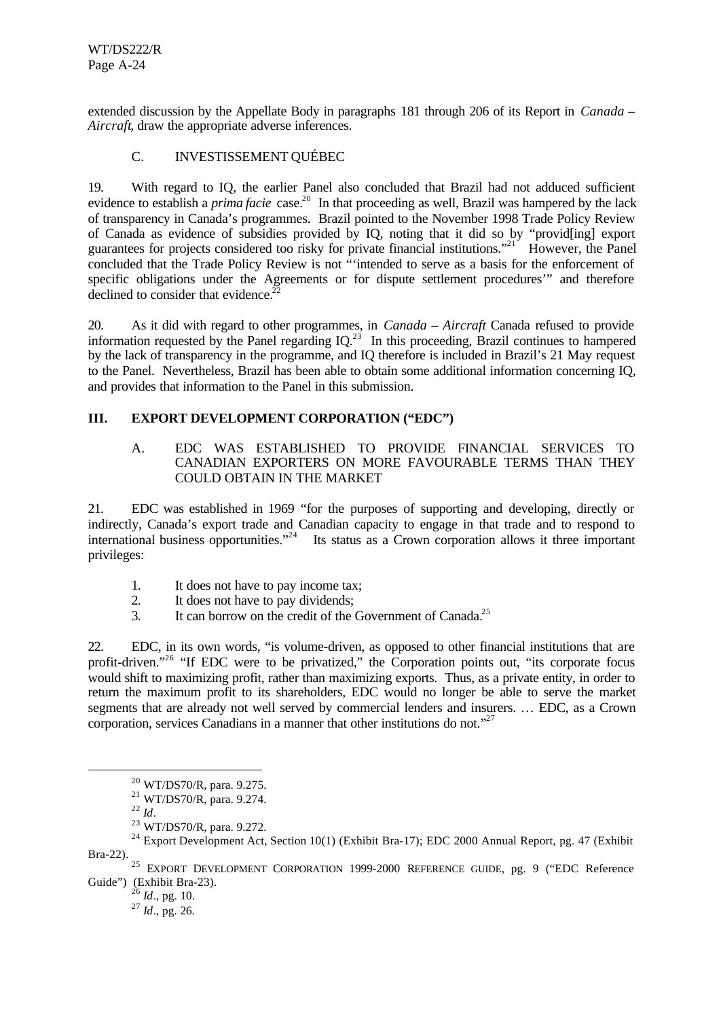extended discussion by the Appellate Body in paragraphs 181 through 206 of its Report in *Canada – Aircraft*, draw the appropriate adverse inferences.

## C. INVESTISSEMENT QUÉBEC

19. With regard to IQ, the earlier Panel also concluded that Brazil had not adduced sufficient evidence to establish a *prima facie* case.<sup>20</sup> In that proceeding as well, Brazil was hampered by the lack of transparency in Canada's programmes. Brazil pointed to the November 1998 Trade Policy Review of Canada as evidence of subsidies provided by IQ, noting that it did so by "provid[ing] export guarantees for projects considered too risky for private financial institutions."<sup>21</sup> However, the Panel concluded that the Trade Policy Review is not "intended to serve as a basis for the enforcement of specific obligations under the Agreements or for dispute settlement procedures'" and therefore declined to consider that evidence.<sup>2</sup>

20. As it did with regard to other programmes, in *Canada – Aircraft* Canada refused to provide information requested by the Panel regarding IO.<sup>23</sup> In this proceeding, Brazil continues to hampered by the lack of transparency in the programme, and IQ therefore is included in Brazil's 21 May request to the Panel. Nevertheless, Brazil has been able to obtain some additional information concerning IQ, and provides that information to the Panel in this submission.

## **III. EXPORT DEVELOPMENT CORPORATION ("EDC")**

### A. EDC WAS ESTABLISHED TO PROVIDE FINANCIAL SERVICES TO CANADIAN EXPORTERS ON MORE FAVOURABLE TERMS THAN THEY COULD OBTAIN IN THE MARKET

21. EDC was established in 1969 "for the purposes of supporting and developing, directly or indirectly, Canada's export trade and Canadian capacity to engage in that trade and to respond to international business opportunities.<sup> $24$ </sup> Its status as a Crown corporation allows it three important privileges:

- 1. It does not have to pay income tax;
- 2. It does not have to pay dividends;
- 3. It can borrow on the credit of the Government of Canada.<sup>25</sup>

22. EDC, in its own words, "is volume-driven, as opposed to other financial institutions that are profit-driven."<sup>26</sup> "If EDC were to be privatized," the Corporation points out, "its corporate focus would shift to maximizing profit, rather than maximizing exports. Thus, as a private entity, in order to return the maximum profit to its shareholders, EDC would no longer be able to serve the market segments that are already not well served by commercial lenders and insurers. … EDC, as a Crown corporation, services Canadians in a manner that other institutions do not."<sup>27</sup>

<sup>20</sup> WT/DS70/R, para. 9.275.

<sup>21</sup> WT/DS70/R, para. 9.274.

 $^{22}$  *Id*.

<sup>23</sup> WT/DS70/R, para. 9.272.

<sup>&</sup>lt;sup>24</sup> Export Development Act, Section 10(1) (Exhibit Bra-17); EDC 2000 Annual Report, pg. 47 (Exhibit Bra-22).

<sup>25</sup> EXPORT DEVELOPMENT CORPORATION 1999-2000 REFERENCE GUIDE, pg. 9 ("EDC Reference Guide") (Exhibit Bra-23).

<sup>26</sup> *Id*., pg. 10.

<sup>27</sup> *Id*., pg. 26.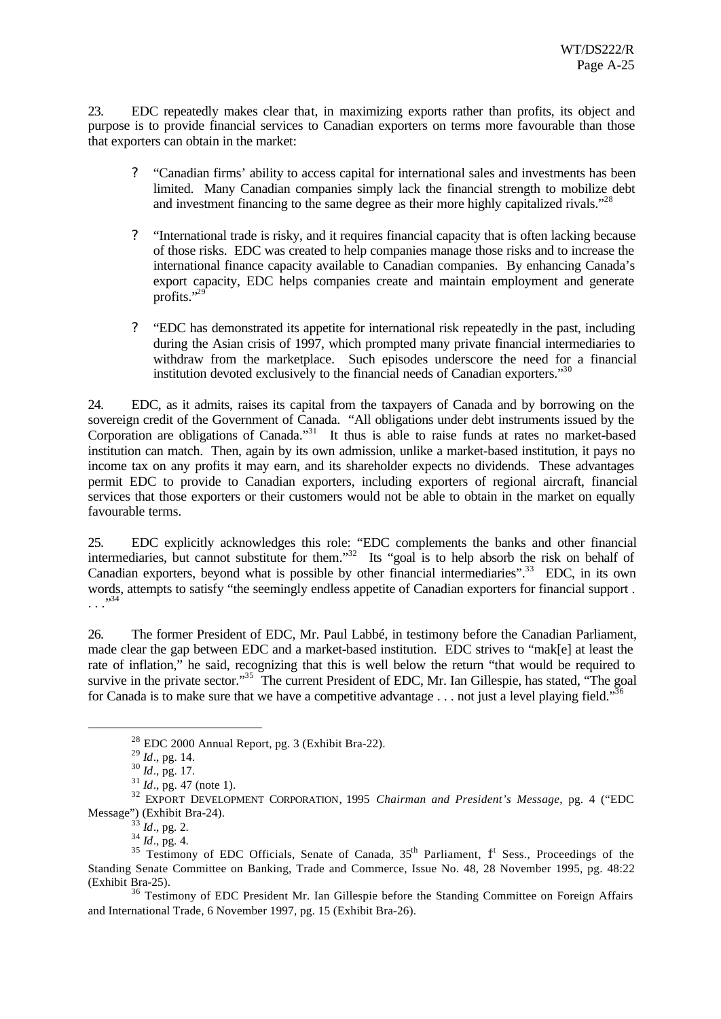23. EDC repeatedly makes clear that, in maximizing exports rather than profits, its object and purpose is to provide financial services to Canadian exporters on terms more favourable than those that exporters can obtain in the market:

- ? "Canadian firms' ability to access capital for international sales and investments has been limited. Many Canadian companies simply lack the financial strength to mobilize debt and investment financing to the same degree as their more highly capitalized rivals."<sup>28</sup>
- ? "International trade is risky, and it requires financial capacity that is often lacking because of those risks. EDC was created to help companies manage those risks and to increase the international finance capacity available to Canadian companies. By enhancing Canada's export capacity, EDC helps companies create and maintain employment and generate profits." $^{29}$
- ? "EDC has demonstrated its appetite for international risk repeatedly in the past, including during the Asian crisis of 1997, which prompted many private financial intermediaries to withdraw from the marketplace. Such episodes underscore the need for a financial institution devoted exclusively to the financial needs of Canadian exporters."<sup>30</sup>

24. EDC, as it admits, raises its capital from the taxpayers of Canada and by borrowing on the sovereign credit of the Government of Canada. "All obligations under debt instruments issued by the Corporation are obligations of Canada."<sup>31</sup> It thus is able to raise funds at rates no market-based institution can match. Then, again by its own admission, unlike a market-based institution, it pays no income tax on any profits it may earn, and its shareholder expects no dividends. These advantages permit EDC to provide to Canadian exporters, including exporters of regional aircraft, financial services that those exporters or their customers would not be able to obtain in the market on equally favourable terms.

25. EDC explicitly acknowledges this role: "EDC complements the banks and other financial intermediaries, but cannot substitute for them."<sup>32</sup> Its "goal is to help absorb the risk on behalf of Canadian exporters, beyond what is possible by other financial intermediaries".<sup>33</sup> EDC, in its own words, attempts to satisfy "the seemingly endless appetite of Canadian exporters for financial support .  $\ldots$ <sup>34</sup>

26. The former President of EDC, Mr. Paul Labbé, in testimony before the Canadian Parliament, made clear the gap between EDC and a market-based institution. EDC strives to "mak[e] at least the rate of inflation," he said, recognizing that this is well below the return "that would be required to survive in the private sector."<sup>35</sup> The current President of EDC, Mr. Ian Gillespie, has stated, "The goal for Canada is to make sure that we have a competitive advantage  $\ldots$  not just a level playing field."<sup>36</sup>

l

<sup>32</sup> EXPORT DEVELOPMENT CORPORATION, 1995 *Chairman and President's Message*, pg. 4 ("EDC Message") (Exhibit Bra-24).

<sup>36</sup> Testimony of EDC President Mr. Ian Gillespie before the Standing Committee on Foreign Affairs and International Trade, 6 November 1997, pg. 15 (Exhibit Bra-26).

<sup>28</sup> EDC 2000 Annual Report, pg. 3 (Exhibit Bra-22).

<sup>29</sup> *Id*., pg. 14.

<sup>30</sup> *Id*., pg. 17.

<sup>31</sup> *Id*., pg. 47 (note 1).

<sup>33</sup> *Id*., pg. 2.

 $^{34}$   $^{10}$ ,  $^{16}$ ,  $^{16}$ ,  $^{16}$ ,  $^{16}$ ,  $^{16}$ ,  $^{16}$ ,  $^{16}$ ,  $^{16}$ 

<sup>&</sup>lt;sup>35</sup> Testimony of EDC Officials, Senate of Canada,  $35<sup>th</sup>$  Parliament,  $f<sup>t</sup>$  Sess., Proceedings of the Standing Senate Committee on Banking, Trade and Commerce, Issue No. 48, 28 November 1995, pg. 48:22 (Exhibit Bra-25).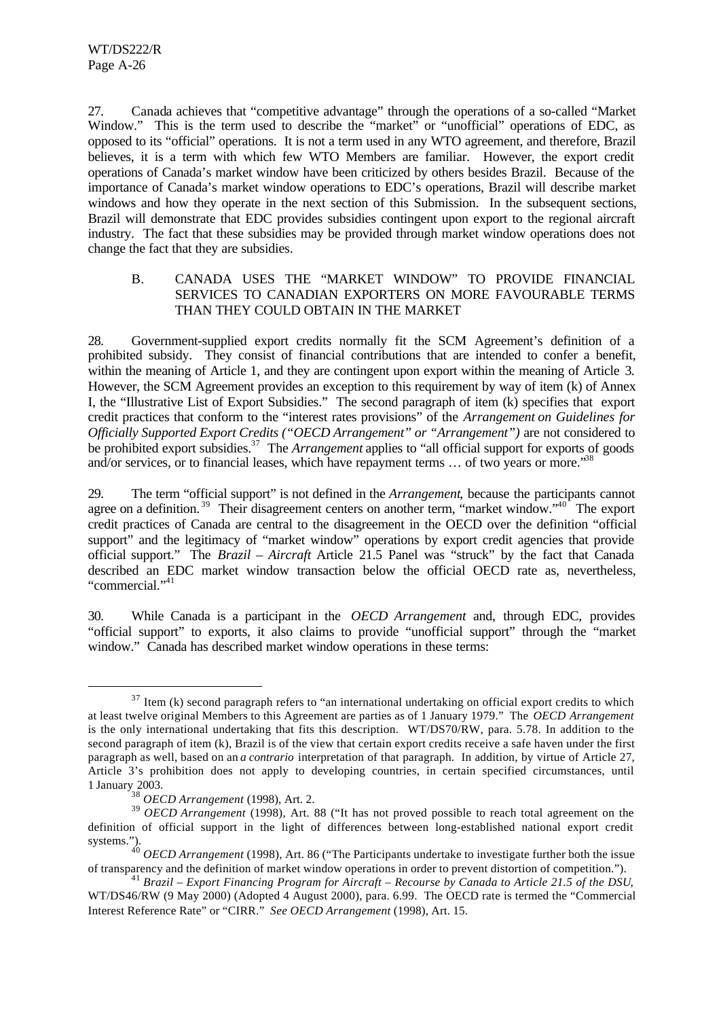27. Canada achieves that "competitive advantage" through the operations of a so-called "Market Window." This is the term used to describe the "market" or "unofficial" operations of EDC, as opposed to its "official" operations. It is not a term used in any WTO agreement, and therefore, Brazil believes, it is a term with which few WTO Members are familiar. However, the export credit operations of Canada's market window have been criticized by others besides Brazil. Because of the importance of Canada's market window operations to EDC's operations, Brazil will describe market windows and how they operate in the next section of this Submission. In the subsequent sections, Brazil will demonstrate that EDC provides subsidies contingent upon export to the regional aircraft industry. The fact that these subsidies may be provided through market window operations does not change the fact that they are subsidies.

#### B. CANADA USES THE "MARKET WINDOW" TO PROVIDE FINANCIAL SERVICES TO CANADIAN EXPORTERS ON MORE FAVOURABLE TERMS THAN THEY COULD OBTAIN IN THE MARKET

28. Government-supplied export credits normally fit the SCM Agreement's definition of a prohibited subsidy. They consist of financial contributions that are intended to confer a benefit, within the meaning of Article 1, and they are contingent upon export within the meaning of Article 3. However, the SCM Agreement provides an exception to this requirement by way of item (k) of Annex I, the "Illustrative List of Export Subsidies." The second paragraph of item (k) specifies that export credit practices that conform to the "interest rates provisions" of the *Arrangement on Guidelines for Officially Supported Export Credits ("OECD Arrangement" or "Arrangement")* are not considered to be prohibited export subsidies.<sup>37</sup> The *Arrangement* applies to "all official support for exports of goods" and/or services, or to financial leases, which have repayment terms  $\dots$  of two years or more.<sup>38</sup>

29. The term "official support" is not defined in the *Arrangement*, because the participants cannot agree on a definition.<sup>39</sup> Their disagreement centers on another term, "market window."<sup>40</sup> The export credit practices of Canada are central to the disagreement in the OECD over the definition "official support" and the legitimacy of "market window" operations by export credit agencies that provide official support." The *Brazil – Aircraft* Article 21.5 Panel was "struck" by the fact that Canada described an EDC market window transaction below the official OECD rate as, nevertheless, "commercial." $\frac{1}{41}$ 

30. While Canada is a participant in the *OECD Arrangement* and, through EDC, provides "official support" to exports, it also claims to provide "unofficial support" through the "market window." Canada has described market window operations in these terms:

 $37$  Item (k) second paragraph refers to "an international undertaking on official export credits to which at least twelve original Members to this Agreement are parties as of 1 January 1979." The *OECD Arrangement* is the only international undertaking that fits this description. WT/DS70/RW, para. 5.78. In addition to the second paragraph of item (k), Brazil is of the view that certain export credits receive a safe haven under the first paragraph as well, based on an *a contrario* interpretation of that paragraph. In addition, by virtue of Article 27, Article 3's prohibition does not apply to developing countries, in certain specified circumstances, until 1 January 2003.

<sup>38</sup> *OECD Arrangement* (1998), Art. 2.

<sup>&</sup>lt;sup>39</sup> *OECD Arrangement* (1998), Art. 88 ("It has not proved possible to reach total agreement on the definition of official support in the light of differences between long-established national export credit systems.").

<sup>40</sup> *OECD Arrangement* (1998), Art. 86 ("The Participants undertake to investigate further both the issue of transparency and the definition of market window operations in order to prevent distortion of competition.").

<sup>41</sup> *Brazil – Export Financing Program for Aircraft – Recourse by Canada to Article 21.5 of the DSU*, WT/DS46/RW (9 May 2000) (Adopted 4 August 2000), para. 6.99. The OECD rate is termed the "Commercial Interest Reference Rate" or "CIRR." *See OECD Arrangement* (1998), Art. 15.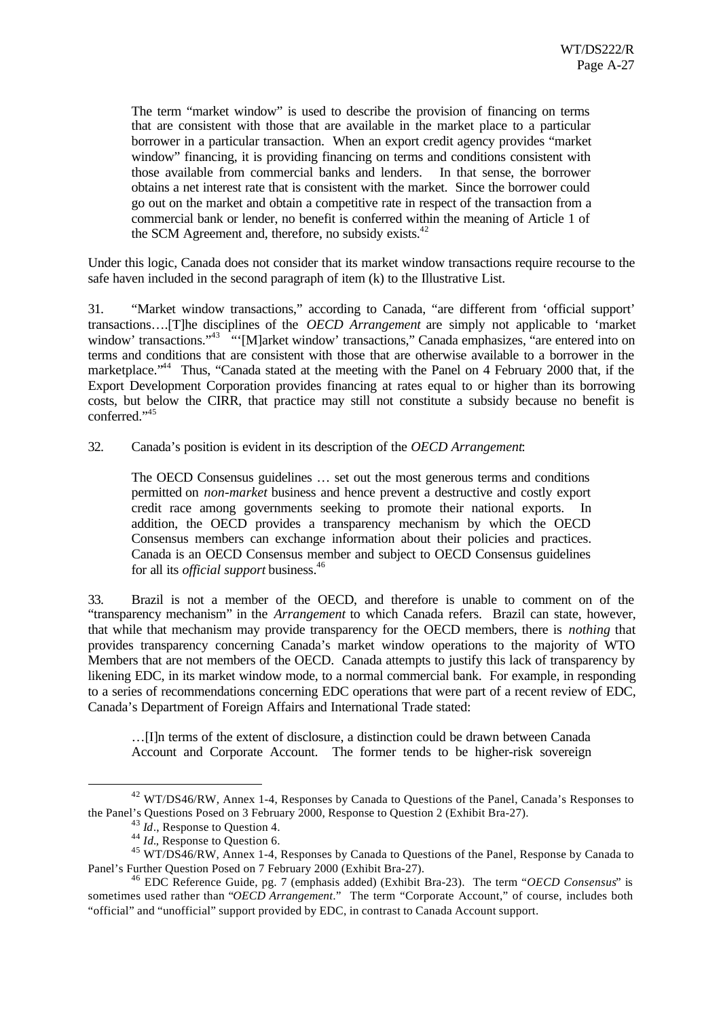The term "market window" is used to describe the provision of financing on terms that are consistent with those that are available in the market place to a particular borrower in a particular transaction. When an export credit agency provides "market window" financing, it is providing financing on terms and conditions consistent with those available from commercial banks and lenders. In that sense, the borrower obtains a net interest rate that is consistent with the market. Since the borrower could go out on the market and obtain a competitive rate in respect of the transaction from a commercial bank or lender, no benefit is conferred within the meaning of Article 1 of the SCM Agreement and, therefore, no subsidy exists. $42$ 

Under this logic, Canada does not consider that its market window transactions require recourse to the safe haven included in the second paragraph of item (k) to the Illustrative List.

31. "Market window transactions," according to Canada, "are different from 'official support' transactions….[T]he disciplines of the *OECD Arrangement* are simply not applicable to 'market window' transactions."<sup>43</sup> ""[M]arket window' transactions," Canada emphasizes, "are entered into on terms and conditions that are consistent with those that are otherwise available to a borrower in the marketplace."<sup>44</sup> Thus, "Canada stated at the meeting with the Panel on 4 February 2000 that, if the Export Development Corporation provides financing at rates equal to or higher than its borrowing costs, but below the CIRR, that practice may still not constitute a subsidy because no benefit is conferred."<sup>45</sup>

32. Canada's position is evident in its description of the *OECD Arrangement*:

The OECD Consensus guidelines … set out the most generous terms and conditions permitted on *non-market* business and hence prevent a destructive and costly export credit race among governments seeking to promote their national exports. In addition, the OECD provides a transparency mechanism by which the OECD Consensus members can exchange information about their policies and practices. Canada is an OECD Consensus member and subject to OECD Consensus guidelines for all its *official support* business.<sup>46</sup>

33. Brazil is not a member of the OECD, and therefore is unable to comment on of the "transparency mechanism" in the *Arrangement* to which Canada refers. Brazil can state, however, that while that mechanism may provide transparency for the OECD members, there is *nothing* that provides transparency concerning Canada's market window operations to the majority of WTO Members that are not members of the OECD. Canada attempts to justify this lack of transparency by likening EDC, in its market window mode, to a normal commercial bank. For example, in responding to a series of recommendations concerning EDC operations that were part of a recent review of EDC, Canada's Department of Foreign Affairs and International Trade stated:

…[I]n terms of the extent of disclosure, a distinction could be drawn between Canada Account and Corporate Account. The former tends to be higher-risk sovereign

 $42$  WT/DS46/RW, Annex 1-4, Responses by Canada to Questions of the Panel, Canada's Responses to the Panel's Questions Posed on 3 February 2000, Response to Question 2 (Exhibit Bra-27).

<sup>43</sup> *Id*., Response to Question 4.

<sup>44</sup> *Id.*, Response to Question 6.

<sup>&</sup>lt;sup>45</sup> WT/DS46/RW, Annex 1-4, Responses by Canada to Questions of the Panel, Response by Canada to Panel's Further Question Posed on 7 February 2000 (Exhibit Bra-27).

<sup>46</sup> EDC Reference Guide, pg. 7 (emphasis added) (Exhibit Bra-23). The term "*OECD Consensus*" is sometimes used rather than "*OECD Arrangement*." The term "Corporate Account," of course, includes both "official" and "unofficial" support provided by EDC, in contrast to Canada Account support.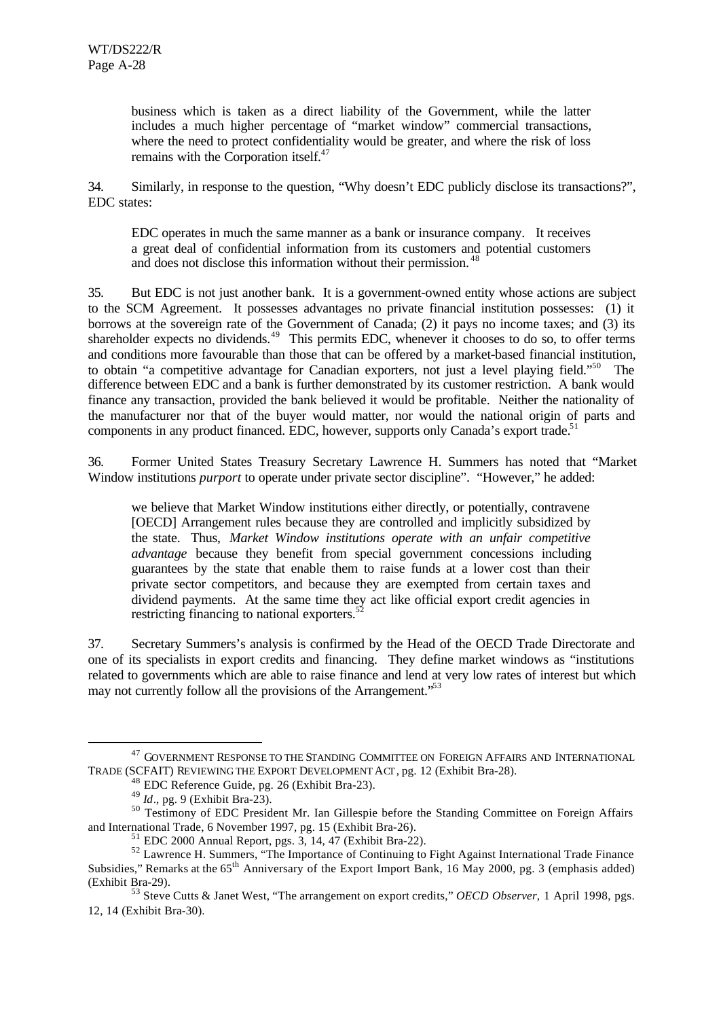business which is taken as a direct liability of the Government, while the latter includes a much higher percentage of "market window" commercial transactions, where the need to protect confidentiality would be greater, and where the risk of loss remains with the Corporation itself.<sup>47</sup>

34. Similarly, in response to the question, "Why doesn't EDC publicly disclose its transactions?", EDC states:

EDC operates in much the same manner as a bank or insurance company. It receives a great deal of confidential information from its customers and potential customers and does not disclose this information without their permission.<sup>48</sup>

35. But EDC is not just another bank. It is a government-owned entity whose actions are subject to the SCM Agreement. It possesses advantages no private financial institution possesses: (1) it borrows at the sovereign rate of the Government of Canada; (2) it pays no income taxes; and (3) its shareholder expects no dividends.<sup>49</sup> This permits EDC, whenever it chooses to do so, to offer terms and conditions more favourable than those that can be offered by a market-based financial institution, to obtain "a competitive advantage for Canadian exporters, not just a level playing field."<sup>50</sup> The difference between EDC and a bank is further demonstrated by its customer restriction. A bank would finance any transaction, provided the bank believed it would be profitable. Neither the nationality of the manufacturer nor that of the buyer would matter, nor would the national origin of parts and components in any product financed. EDC, however, supports only Canada's export trade.<sup>51</sup>

36. Former United States Treasury Secretary Lawrence H. Summers has noted that "Market Window institutions *purport* to operate under private sector discipline". "However," he added:

we believe that Market Window institutions either directly, or potentially, contravene [OECD] Arrangement rules because they are controlled and implicitly subsidized by the state. Thus, *Market Window institutions operate with an unfair competitive advantage* because they benefit from special government concessions including guarantees by the state that enable them to raise funds at a lower cost than their private sector competitors, and because they are exempted from certain taxes and dividend payments. At the same time they act like official export credit agencies in restricting financing to national exporters.<sup>5</sup>

37. Secretary Summers's analysis is confirmed by the Head of the OECD Trade Directorate and one of its specialists in export credits and financing. They define market windows as "institutions related to governments which are able to raise finance and lend at very low rates of interest but which may not currently follow all the provisions of the Arrangement.<sup>553</sup>

 $^{47}$  GOVERNMENT RESPONSE TO THE STANDING COMMITTEE ON FOREIGN AFFAIRS AND INTERNATIONAL TRADE (SCFAIT) REVIEWING THE EXPORT DEVELOPMENT ACT, pg. 12 (Exhibit Bra-28).

<sup>&</sup>lt;sup>48</sup> EDC Reference Guide, pg. 26 (Exhibit Bra-23).

<sup>49</sup> *Id*., pg. 9 (Exhibit Bra-23).

<sup>&</sup>lt;sup>50</sup> Testimony of EDC President Mr. Ian Gillespie before the Standing Committee on Foreign Affairs and International Trade, 6 November 1997, pg. 15 (Exhibit Bra-26).

 $51$  EDC 2000 Annual Report, pgs. 3, 14, 47 (Exhibit Bra-22).

<sup>&</sup>lt;sup>52</sup> Lawrence H. Summers, "The Importance of Continuing to Fight Against International Trade Finance Subsidies," Remarks at the  $65^{\text{th}}$  Anniversary of the Export Import Bank, 16 May 2000, pg. 3 (emphasis added) (Exhibit Bra-29).

<sup>53</sup> Steve Cutts & Janet West, "The arrangement on export credits," *OECD Observer*, 1 April 1998, pgs. 12, 14 (Exhibit Bra-30).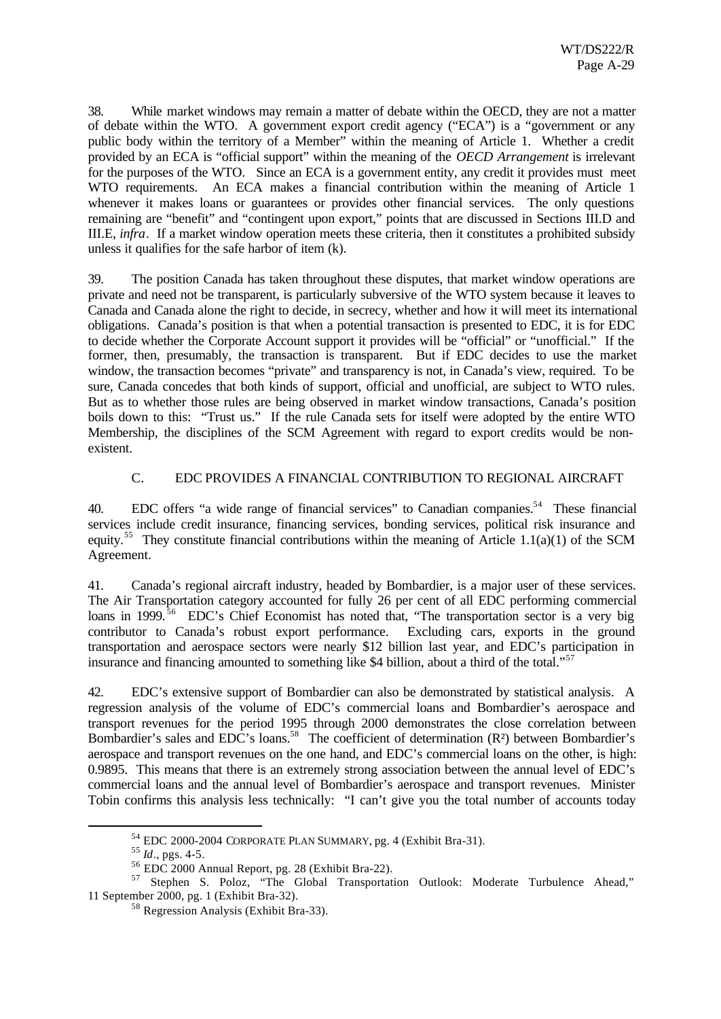38. While market windows may remain a matter of debate within the OECD, they are not a matter of debate within the WTO. A government export credit agency ("ECA") is a "government or any public body within the territory of a Member" within the meaning of Article 1. Whether a credit provided by an ECA is "official support" within the meaning of the *OECD Arrangement* is irrelevant for the purposes of the WTO. Since an ECA is a government entity, any credit it provides must meet WTO requirements. An ECA makes a financial contribution within the meaning of Article 1 whenever it makes loans or guarantees or provides other financial services. The only questions remaining are "benefit" and "contingent upon export," points that are discussed in Sections III.D and III.E, *infra*. If a market window operation meets these criteria, then it constitutes a prohibited subsidy unless it qualifies for the safe harbor of item (k).

39. The position Canada has taken throughout these disputes, that market window operations are private and need not be transparent, is particularly subversive of the WTO system because it leaves to Canada and Canada alone the right to decide, in secrecy, whether and how it will meet its international obligations. Canada's position is that when a potential transaction is presented to EDC, it is for EDC to decide whether the Corporate Account support it provides will be "official" or "unofficial." If the former, then, presumably, the transaction is transparent. But if EDC decides to use the market window, the transaction becomes "private" and transparency is not, in Canada's view, required. To be sure, Canada concedes that both kinds of support, official and unofficial, are subject to WTO rules. But as to whether those rules are being observed in market window transactions, Canada's position boils down to this: "Trust us." If the rule Canada sets for itself were adopted by the entire WTO Membership, the disciplines of the SCM Agreement with regard to export credits would be nonexistent.

#### C. EDC PROVIDES A FINANCIAL CONTRIBUTION TO REGIONAL AIRCRAFT

40. EDC offers "a wide range of financial services" to Canadian companies.<sup>54</sup> These financial services include credit insurance, financing services, bonding services, political risk insurance and equity.<sup>55</sup> They constitute financial contributions within the meaning of Article 1.1(a)(1) of the SCM Agreement.

41. Canada's regional aircraft industry, headed by Bombardier, is a major user of these services. The Air Transportation category accounted for fully 26 per cent of all EDC performing commercial loans in 1999.<sup>36</sup> EDC's Chief Economist has noted that, "The transportation sector is a very big contributor to Canada's robust export performance. Excluding cars, exports in the ground transportation and aerospace sectors were nearly \$12 billion last year, and EDC's participation in insurance and financing amounted to something like \$4 billion, about a third of the total."<sup>57</sup>

42. EDC's extensive support of Bombardier can also be demonstrated by statistical analysis. A regression analysis of the volume of EDC's commercial loans and Bombardier's aerospace and transport revenues for the period 1995 through 2000 demonstrates the close correlation between Bombardier's sales and EDC's loans.<sup>58</sup> The coefficient of determination (R<sup>2</sup>) between Bombardier's aerospace and transport revenues on the one hand, and EDC's commercial loans on the other, is high: 0.9895. This means that there is an extremely strong association between the annual level of EDC's commercial loans and the annual level of Bombardier's aerospace and transport revenues. Minister Tobin confirms this analysis less technically: "I can't give you the total number of accounts today

<sup>54</sup> EDC 2000-2004 CORPORATE PLAN SUMMARY, pg. 4 (Exhibit Bra-31).

<sup>55</sup> *Id*., pgs. 4-5.

<sup>56</sup> EDC 2000 Annual Report, pg. 28 (Exhibit Bra-22).

<sup>57</sup> Stephen S. Poloz, "The Global Transportation Outlook: Moderate Turbulence Ahead," 11 September 2000, pg. 1 (Exhibit Bra-32).

<sup>58</sup> Regression Analysis (Exhibit Bra-33).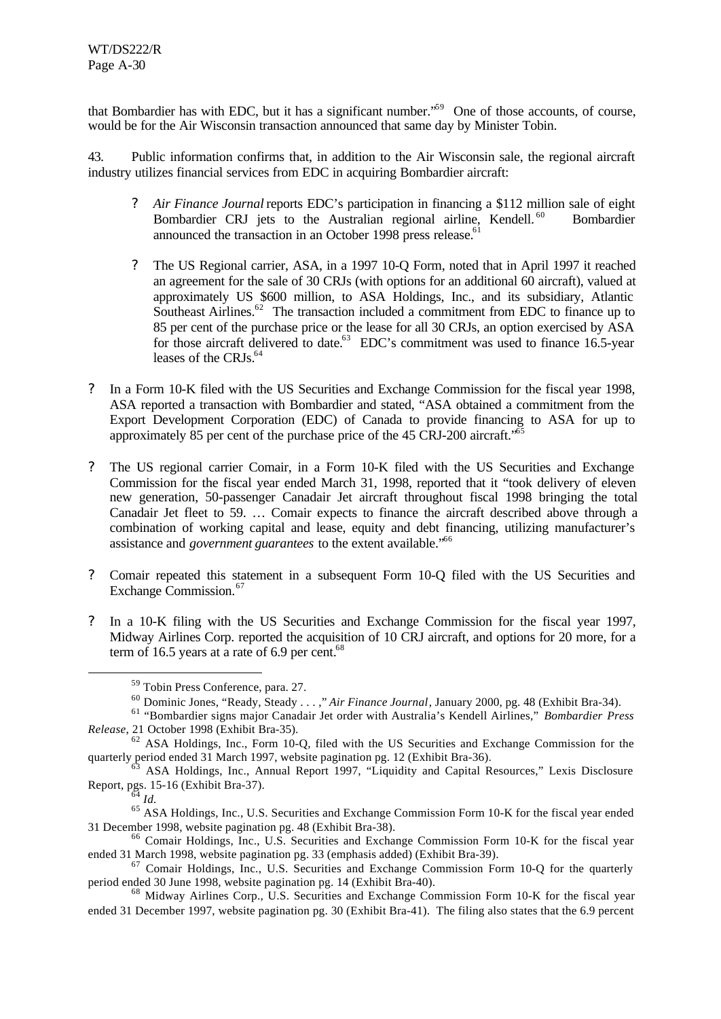that Bombardier has with EDC, but it has a significant number."<sup>59</sup> One of those accounts, of course, would be for the Air Wisconsin transaction announced that same day by Minister Tobin.

43. Public information confirms that, in addition to the Air Wisconsin sale, the regional aircraft industry utilizes financial services from EDC in acquiring Bombardier aircraft:

- ? *Air Finance Journal* reports EDC's participation in financing a \$112 million sale of eight Bombardier CRJ jets to the Australian regional airline, Kendell.<sup>60</sup> Bombardier announced the transaction in an October 1998 press release.<sup>61</sup>
- ? The US Regional carrier, ASA, in a 1997 10-Q Form, noted that in April 1997 it reached an agreement for the sale of 30 CRJs (with options for an additional 60 aircraft), valued at approximately US \$600 million, to ASA Holdings, Inc., and its subsidiary, Atlantic Southeast Airlines.<sup>62</sup> The transaction included a commitment from EDC to finance up to 85 per cent of the purchase price or the lease for all 30 CRJs, an option exercised by ASA for those aircraft delivered to date.<sup>63</sup> EDC's commitment was used to finance 16.5-year leases of the CRJs.<sup>64</sup>
- ? In a Form 10-K filed with the US Securities and Exchange Commission for the fiscal year 1998, ASA reported a transaction with Bombardier and stated, "ASA obtained a commitment from the Export Development Corporation (EDC) of Canada to provide financing to ASA for up to approximately 85 per cent of the purchase price of the 45 CRJ-200 aircraft.<sup>56</sup>
- ? The US regional carrier Comair, in a Form 10-K filed with the US Securities and Exchange Commission for the fiscal year ended March 31, 1998, reported that it "took delivery of eleven new generation, 50-passenger Canadair Jet aircraft throughout fiscal 1998 bringing the total Canadair Jet fleet to 59. … Comair expects to finance the aircraft described above through a combination of working capital and lease, equity and debt financing, utilizing manufacturer's assistance and *government guarantees* to the extent available."<sup>66</sup>
- ? Comair repeated this statement in a subsequent Form 10-Q filed with the US Securities and Exchange Commission.<sup>67</sup>
- ? In a 10-K filing with the US Securities and Exchange Commission for the fiscal year 1997, Midway Airlines Corp. reported the acquisition of 10 CRJ aircraft, and options for 20 more, for a term of 16.5 years at a rate of 6.9 per cent. $68$

<sup>59</sup> Tobin Press Conference, para. 27.

<sup>60</sup> Dominic Jones, "Ready, Steady . . . ," *Air Finance Journal*, January 2000, pg. 48 (Exhibit Bra-34).

<sup>61</sup> "Bombardier signs major Canadair Jet order with Australia's Kendell Airlines," *Bombardier Press Release*, 21 October 1998 (Exhibit Bra-35).

<sup>&</sup>lt;sup>62</sup> ASA Holdings, Inc., Form 10-Q, filed with the US Securities and Exchange Commission for the quarterly period ended 31 March 1997, website pagination pg. 12 (Exhibit Bra-36).

<sup>63</sup> ASA Holdings, Inc., Annual Report 1997, "Liquidity and Capital Resources," Lexis Disclosure Report, pgs. 15-16 (Exhibit Bra-37).

<sup>64</sup> *Id.*

<sup>&</sup>lt;sup>65</sup> ASA Holdings, Inc., U.S. Securities and Exchange Commission Form 10-K for the fiscal year ended 31 December 1998, website pagination pg. 48 (Exhibit Bra-38).

<sup>66</sup> Comair Holdings, Inc., U.S. Securities and Exchange Commission Form 10-K for the fiscal year ended 31 March 1998, website pagination pg. 33 (emphasis added) (Exhibit Bra-39).

<sup>&</sup>lt;sup>67</sup> Comair Holdings, Inc., U.S. Securities and Exchange Commission Form 10-Q for the quarterly period ended 30 June 1998, website pagination pg. 14 (Exhibit Bra-40).

<sup>&</sup>lt;sup>68</sup> Midway Airlines Corp., U.S. Securities and Exchange Commission Form 10-K for the fiscal year ended 31 December 1997, website pagination pg. 30 (Exhibit Bra-41). The filing also states that the 6.9 percent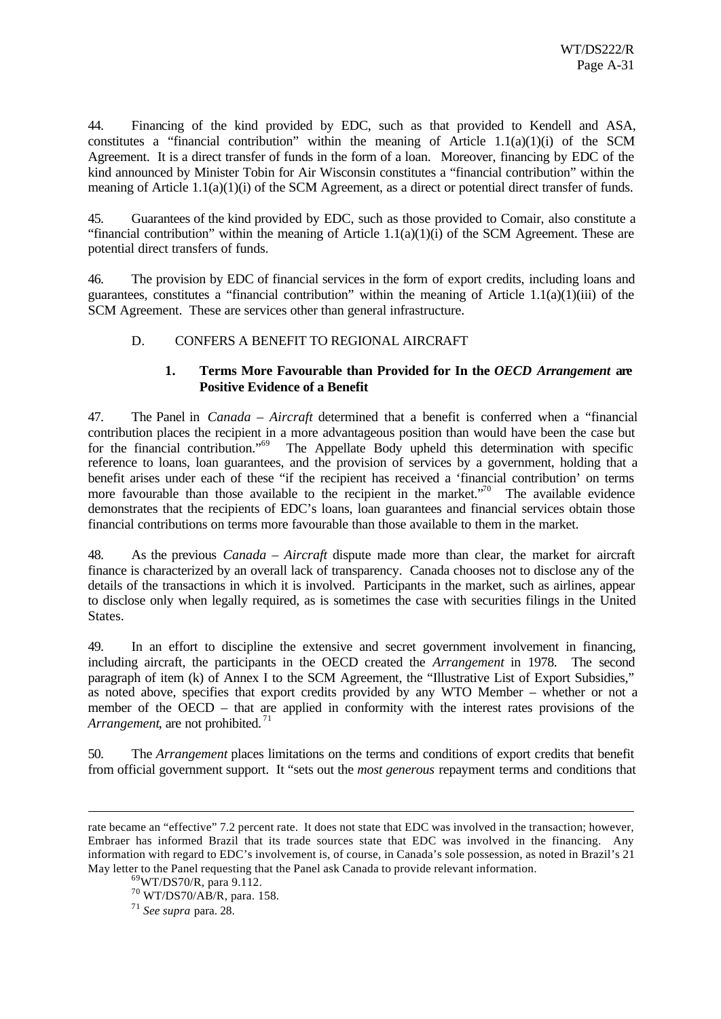44. Financing of the kind provided by EDC, such as that provided to Kendell and ASA, constitutes a "financial contribution" within the meaning of Article 1.1(a)(1)(i) of the SCM Agreement. It is a direct transfer of funds in the form of a loan. Moreover, financing by EDC of the kind announced by Minister Tobin for Air Wisconsin constitutes a "financial contribution" within the meaning of Article  $1.1(a)(1)(i)$  of the SCM Agreement, as a direct or potential direct transfer of funds.

45. Guarantees of the kind provided by EDC, such as those provided to Comair, also constitute a "financial contribution" within the meaning of Article 1.1(a)(1)(i) of the SCM Agreement. These are potential direct transfers of funds.

46. The provision by EDC of financial services in the form of export credits, including loans and guarantees, constitutes a "financial contribution" within the meaning of Article 1.1(a)(1)(iii) of the SCM Agreement. These are services other than general infrastructure.

## D. CONFERS A BENEFIT TO REGIONAL AIRCRAFT

### **1. Terms More Favourable than Provided for In the** *OECD Arrangement* are **Positive Evidence of a Benefit**

47. The Panel in *Canada – Aircraft* determined that a benefit is conferred when a "financial contribution places the recipient in a more advantageous position than would have been the case but for the financial contribution."<sup>69</sup> The Appellate Body upheld this determination with specific reference to loans, loan guarantees, and the provision of services by a government, holding that a benefit arises under each of these "if the recipient has received a 'financial contribution' on terms more favourable than those available to the recipient in the market. $"^{70}$  The available evidence demonstrates that the recipients of EDC's loans, loan guarantees and financial services obtain those financial contributions on terms more favourable than those available to them in the market.

48. As the previous *Canada – Aircraft* dispute made more than clear, the market for aircraft finance is characterized by an overall lack of transparency. Canada chooses not to disclose any of the details of the transactions in which it is involved. Participants in the market, such as airlines, appear to disclose only when legally required, as is sometimes the case with securities filings in the United States.

49. In an effort to discipline the extensive and secret government involvement in financing, including aircraft, the participants in the OECD created the *Arrangement* in 1978. The second paragraph of item (k) of Annex I to the SCM Agreement, the "Illustrative List of Export Subsidies," as noted above, specifies that export credits provided by any WTO Member – whether or not a member of the OECD – that are applied in conformity with the interest rates provisions of the *Arrangement*, are not prohibited.<sup>71</sup>

50. The *Arrangement* places limitations on the terms and conditions of export credits that benefit from official government support. It "sets out the *most generous* repayment terms and conditions that

rate became an "effective" 7.2 percent rate. It does not state that EDC was involved in the transaction; however, Embraer has informed Brazil that its trade sources state that EDC was involved in the financing. Any information with regard to EDC's involvement is, of course, in Canada's sole possession, as noted in Brazil's 21 May letter to the Panel requesting that the Panel ask Canada to provide relevant information.

<sup>69</sup>WT/DS70/R, para 9.112.

<sup>70</sup> WT/DS70/AB/R, para. 158.

<sup>71</sup> *See supra* para. 28.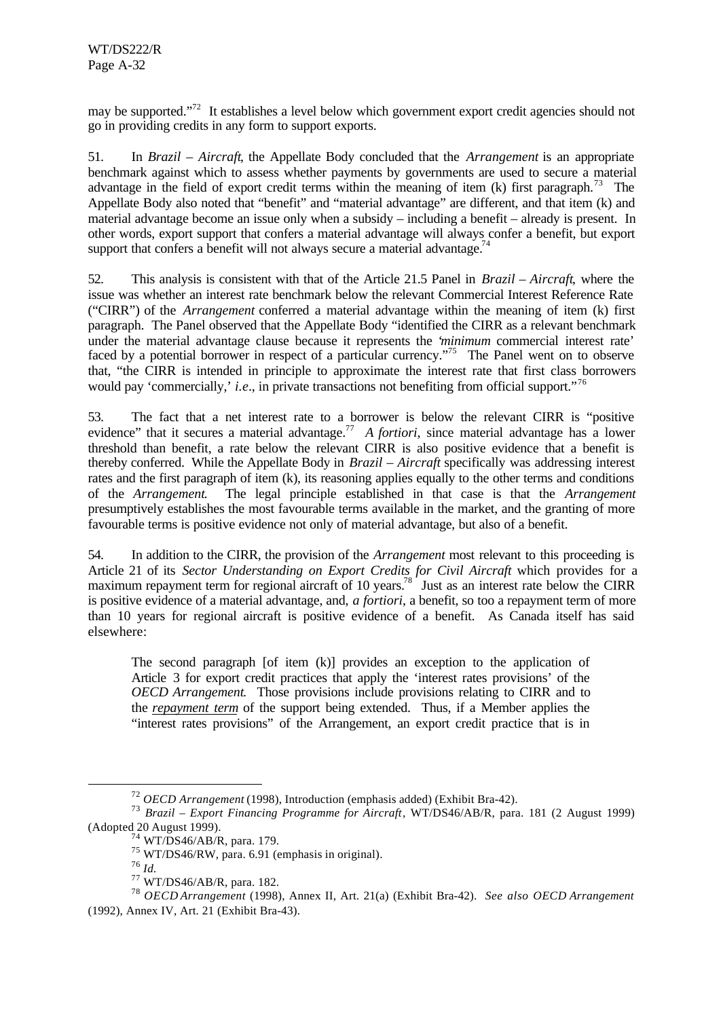may be supported."<sup>72</sup> It establishes a level below which government export credit agencies should not go in providing credits in any form to support exports.

51. In *Brazil – Aircraft*, the Appellate Body concluded that the *Arrangement* is an appropriate benchmark against which to assess whether payments by governments are used to secure a material advantage in the field of export credit terms within the meaning of item (k) first paragraph.<sup>73</sup> The Appellate Body also noted that "benefit" and "material advantage" are different, and that item (k) and material advantage become an issue only when a subsidy – including a benefit – already is present. In other words, export support that confers a material advantage will always confer a benefit, but export support that confers a benefit will not always secure a material advantage.<sup>74</sup>

52. This analysis is consistent with that of the Article 21.5 Panel in *Brazil – Aircraft*, where the issue was whether an interest rate benchmark below the relevant Commercial Interest Reference Rate ("CIRR") of the *Arrangement* conferred a material advantage within the meaning of item (k) first paragraph. The Panel observed that the Appellate Body "identified the CIRR as a relevant benchmark under the material advantage clause because it represents the '*minimum* commercial interest rate' faced by a potential borrower in respect of a particular currency.<sup>75</sup> The Panel went on to observe that, "the CIRR is intended in principle to approximate the interest rate that first class borrowers would pay 'commercially,' *i.e.*, in private transactions not benefiting from official support."<sup>76</sup>

53. The fact that a net interest rate to a borrower is below the relevant CIRR is "positive evidence" that it secures a material advantage.<sup>77</sup> A fortiori, since material advantage has a lower threshold than benefit, a rate below the relevant CIRR is also positive evidence that a benefit is thereby conferred. While the Appellate Body in *Brazil – Aircraft* specifically was addressing interest rates and the first paragraph of item (k), its reasoning applies equally to the other terms and conditions of the *Arrangement*. The legal principle established in that case is that the *Arrangement* presumptively establishes the most favourable terms available in the market, and the granting of more favourable terms is positive evidence not only of material advantage, but also of a benefit.

54. In addition to the CIRR, the provision of the *Arrangement* most relevant to this proceeding is Article 21 of its *Sector Understanding on Export Credits for Civil Aircraft* which provides for a maximum repayment term for regional aircraft of 10 years.<sup>78</sup> Just as an interest rate below the CIRR is positive evidence of a material advantage, and, *a fortiori*, a benefit, so too a repayment term of more than 10 years for regional aircraft is positive evidence of a benefit. As Canada itself has said elsewhere:

The second paragraph [of item (k)] provides an exception to the application of Article 3 for export credit practices that apply the 'interest rates provisions' of the *OECD Arrangement*. Those provisions include provisions relating to CIRR and to the *repayment term* of the support being extended. Thus, if a Member applies the "interest rates provisions" of the Arrangement, an export credit practice that is in

<sup>72</sup> *OECD Arrangement* (1998), Introduction (emphasis added) (Exhibit Bra-42).

<sup>73</sup> *Brazil – Export Financing Programme for Aircraft*, WT/DS46/AB/R, para. 181 (2 August 1999) (Adopted 20 August 1999).

 $74$  WT/DS46/AB/R, para. 179.

<sup>75</sup> WT/DS46/RW, para. 6.91 (emphasis in original).

<sup>76</sup> *Id.*

<sup>77</sup> WT/DS46/AB/R, para. 182.

<sup>78</sup> *OECD Arrangement* (1998), Annex II, Art. 21(a) (Exhibit Bra-42). *See also OECD Arrangement* (1992), Annex IV, Art. 21 (Exhibit Bra-43).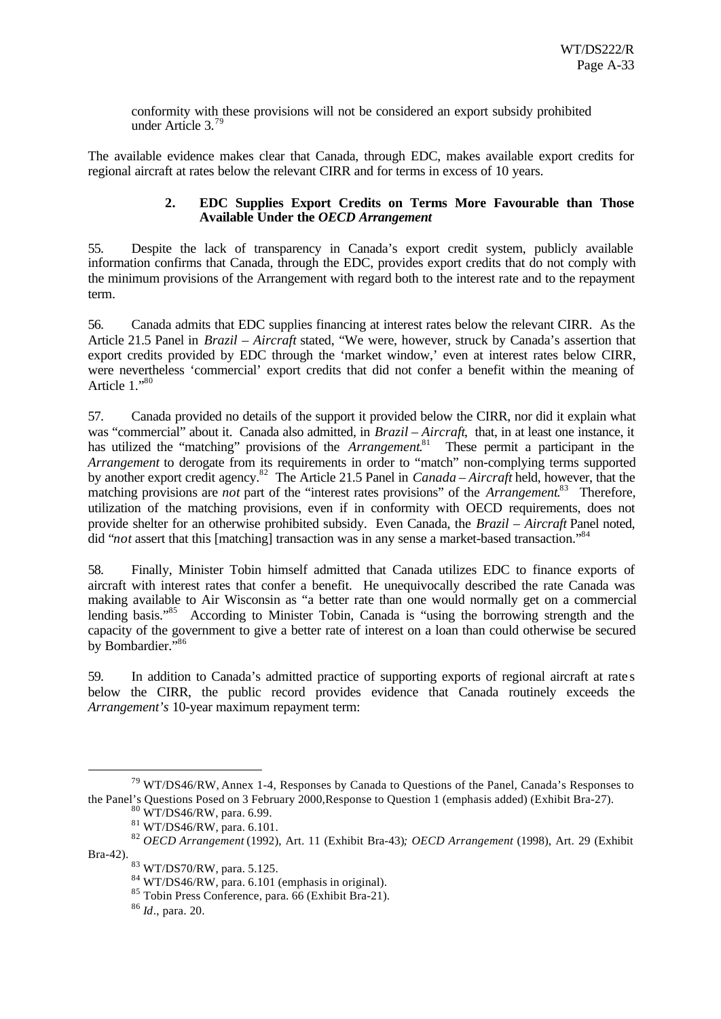conformity with these provisions will not be considered an export subsidy prohibited under Article 3.<sup>79</sup>

The available evidence makes clear that Canada, through EDC, makes available export credits for regional aircraft at rates below the relevant CIRR and for terms in excess of 10 years.

#### **2. EDC Supplies Export Credits on Terms More Favourable than Those Available Under the** *OECD Arrangement*

55. Despite the lack of transparency in Canada's export credit system, publicly available information confirms that Canada, through the EDC, provides export credits that do not comply with the minimum provisions of the Arrangement with regard both to the interest rate and to the repayment term.

56. Canada admits that EDC supplies financing at interest rates below the relevant CIRR. As the Article 21.5 Panel in *Brazil – Aircraft* stated, "We were, however, struck by Canada's assertion that export credits provided by EDC through the 'market window,' even at interest rates below CIRR, were nevertheless 'commercial' export credits that did not confer a benefit within the meaning of Article 1."80

57. Canada provided no details of the support it provided below the CIRR, nor did it explain what was "commercial" about it. Canada also admitted, in *Brazil – Aircraft*, that, in at least one instance, it has utilized the "matching" provisions of the *Arrangement*. <sup>81</sup> These permit a participant in the *Arrangement* to derogate from its requirements in order to "match" non-complying terms supported by another export credit agency.<sup>82</sup> The Article 21.5 Panel in *Canada – Aircraft* held, however, that the matching provisions are *not* part of the "interest rates provisions" of the *Arrangement*. <sup>83</sup> Therefore, utilization of the matching provisions, even if in conformity with OECD requirements, does not provide shelter for an otherwise prohibited subsidy. Even Canada, the *Brazil – Aircraft* Panel noted, did "*not* assert that this [matching] transaction was in any sense a market-based transaction."<sup>84</sup>

58. Finally, Minister Tobin himself admitted that Canada utilizes EDC to finance exports of aircraft with interest rates that confer a benefit. He unequivocally described the rate Canada was making available to Air Wisconsin as "a better rate than one would normally get on a commercial lending basis."<sup>85</sup> According to Minister Tobin, Canada is "using the borrowing strength and the capacity of the government to give a better rate of interest on a loan than could otherwise be secured by Bombardier."<sup>86</sup>

59. In addition to Canada's admitted practice of supporting exports of regional aircraft at rate s below the CIRR, the public record provides evidence that Canada routinely exceeds the *Arrangement's* 10-year maximum repayment term:

 $79$  WT/DS46/RW, Annex 1-4, Responses by Canada to Questions of the Panel, Canada's Responses to the Panel's Questions Posed on 3 February 2000,Response to Question 1 (emphasis added) (Exhibit Bra-27).

 ${}^{80}$  WT/DS46/RW, para. 6.99.

<sup>81</sup> WT/DS46/RW, para. 6.101.

<sup>82</sup> *OECD Arrangement* (1992), Art. 11 (Exhibit Bra-43)*; OECD Arrangement* (1998), Art. 29 (Exhibit Bra-42).

<sup>83</sup> WT/DS70/RW, para. 5.125.

<sup>84</sup> WT/DS46/RW, para. 6.101 (emphasis in original).

<sup>85</sup> Tobin Press Conference, para. 66 (Exhibit Bra-21).

<sup>86</sup> *Id*., para. 20.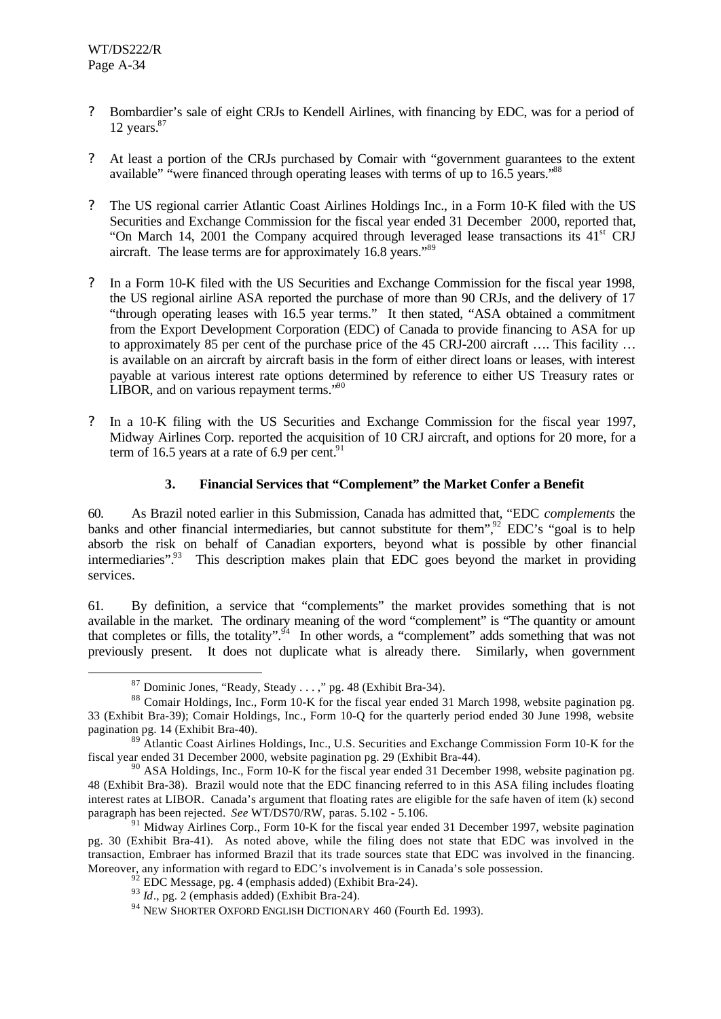l

- ? Bombardier's sale of eight CRJs to Kendell Airlines, with financing by EDC, was for a period of 12 years. $87$
- ? At least a portion of the CRJs purchased by Comair with "government guarantees to the extent available" "were financed through operating leases with terms of up to 16.5 years.<sup>888</sup>
- ? The US regional carrier Atlantic Coast Airlines Holdings Inc., in a Form 10-K filed with the US Securities and Exchange Commission for the fiscal year ended 31 December 2000, reported that, "On March 14, 2001 the Company acquired through leveraged lease transactions its 41st CRJ aircraft. The lease terms are for approximately 16.8 years."<sup>89</sup>
- ? In a Form 10-K filed with the US Securities and Exchange Commission for the fiscal year 1998, the US regional airline ASA reported the purchase of more than 90 CRJs, and the delivery of 17 "through operating leases with 16.5 year terms." It then stated, "ASA obtained a commitment from the Export Development Corporation (EDC) of Canada to provide financing to ASA for up to approximately 85 per cent of the purchase price of the 45 CRJ-200 aircraft …. This facility … is available on an aircraft by aircraft basis in the form of either direct loans or leases, with interest payable at various interest rate options determined by reference to either US Treasury rates or LIBOR, and on various repayment terms."<sup>90</sup>
- ? In a 10-K filing with the US Securities and Exchange Commission for the fiscal year 1997, Midway Airlines Corp. reported the acquisition of 10 CRJ aircraft, and options for 20 more, for a term of 16.5 years at a rate of 6.9 per cent.<sup>91</sup>

### **3. Financial Services that "Complement" the Market Confer a Benefit**

60. As Brazil noted earlier in this Submission, Canada has admitted that, "EDC *complements* the banks and other financial intermediaries, but cannot substitute for them", $\frac{92}{2}$  EDC's "goal is to help absorb the risk on behalf of Canadian exporters, beyond what is possible by other financial intermediaries".<sup>93</sup> This description makes plain that EDC goes beyond the market in providing services.

61. By definition, a service that "complements" the market provides something that is not available in the market. The ordinary meaning of the word "complement" is "The quantity or amount that completes or fills, the totality".<sup>94</sup> In other words, a "complement" adds something that was not previously present. It does not duplicate what is already there. Similarly, when government

 $87$  Dominic Jones, "Ready, Steady . . . ," pg. 48 (Exhibit Bra-34).

<sup>88</sup> Comair Holdings, Inc., Form 10-K for the fiscal year ended 31 March 1998, website pagination pg. 33 (Exhibit Bra-39); Comair Holdings, Inc., Form 10-Q for the quarterly period ended 30 June 1998, website pagination pg. 14 (Exhibit Bra-40).

<sup>&</sup>lt;sup>89</sup> Atlantic Coast Airlines Holdings, Inc., U.S. Securities and Exchange Commission Form 10-K for the fiscal year ended 31 December 2000, website pagination pg. 29 (Exhibit Bra-44).

<sup>&</sup>lt;sup>90</sup> ASA Holdings, Inc., Form 10-K for the fiscal year ended 31 December 1998, website pagination pg. 48 (Exhibit Bra-38). Brazil would note that the EDC financing referred to in this ASA filing includes floating interest rates at LIBOR. Canada's argument that floating rates are eligible for the safe haven of item (k) second paragraph has been rejected. *See* WT/DS70/RW, paras. 5.102 - 5.106.

<sup>&</sup>lt;sup>91</sup> Midway Airlines Corp., Form 10-K for the fiscal year ended 31 December 1997, website pagination pg. 30 (Exhibit Bra-41). As noted above, while the filing does not state that EDC was involved in the transaction, Embraer has informed Brazil that its trade sources state that EDC was involved in the financing. Moreover, any information with regard to EDC's involvement is in Canada's sole possession.

 $92$  EDC Message, pg. 4 (emphasis added) (Exhibit Bra-24).

<sup>&</sup>lt;sup>93</sup> *Id.*, pg. 2 (emphasis added) (Exhibit Bra-24).

<sup>&</sup>lt;sup>94</sup> NEW SHORTER OXFORD ENGLISH DICTIONARY 460 (Fourth Ed. 1993).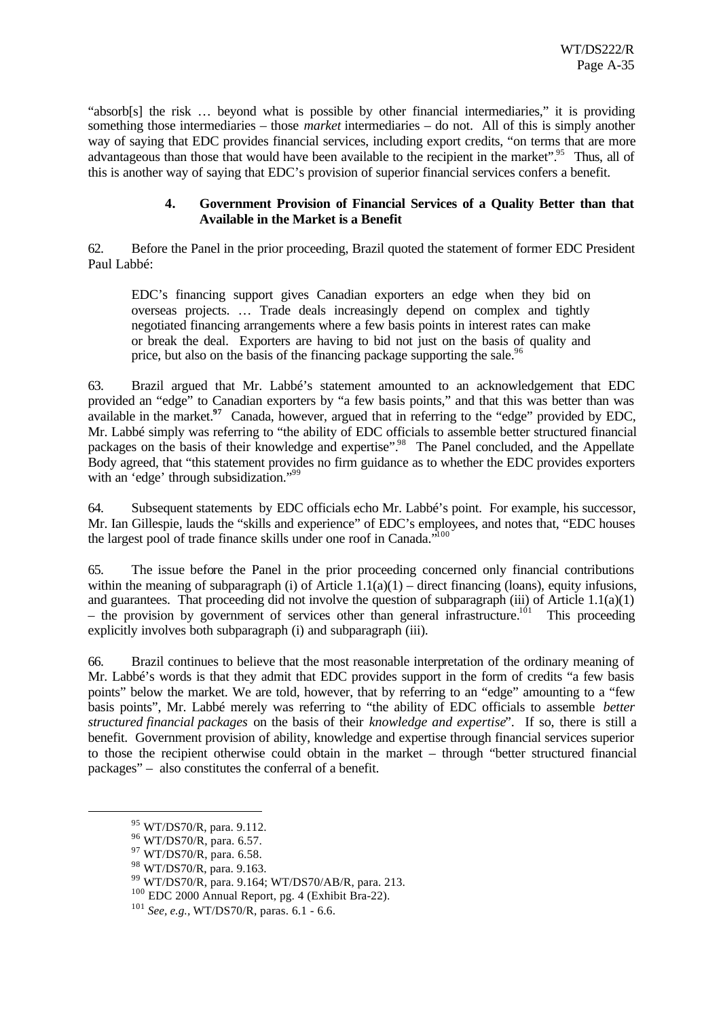"absorb[s] the risk … beyond what is possible by other financial intermediaries," it is providing something those intermediaries – those *market* intermediaries – do not. All of this is simply another way of saying that EDC provides financial services, including export credits, "on terms that are more advantageous than those that would have been available to the recipient in the market".<sup>95</sup> Thus, all of this is another way of saying that EDC's provision of superior financial services confers a benefit.

#### **4. Government Provision of Financial Services of a Quality Better than that Available in the Market is a Benefit**

62. Before the Panel in the prior proceeding, Brazil quoted the statement of former EDC President Paul Labbé:

EDC's financing support gives Canadian exporters an edge when they bid on overseas projects. … Trade deals increasingly depend on complex and tightly negotiated financing arrangements where a few basis points in interest rates can make or break the deal. Exporters are having to bid not just on the basis of quality and price, but also on the basis of the financing package supporting the sale.<sup>96</sup>

63. Brazil argued that Mr. Labbé's statement amounted to an acknowledgement that EDC provided an "edge" to Canadian exporters by "a few basis points," and that this was better than was available in the market.**<sup>97</sup>** Canada, however, argued that in referring to the "edge" provided by EDC, Mr. Labbé simply was referring to "the ability of EDC officials to assemble better structured financial packages on the basis of their knowledge and expertise".<sup>98</sup> The Panel concluded, and the Appellate Body agreed, that "this statement provides no firm guidance as to whether the EDC provides exporters with an 'edge' through subsidization."<sup>99</sup>

64. Subsequent statements by EDC officials echo Mr. Labbé's point. For example, his successor, Mr. Ian Gillespie, lauds the "skills and experience" of EDC's employees, and notes that, "EDC houses the largest pool of trade finance skills under one roof in Canada."<sup>100</sup>

65. The issue before the Panel in the prior proceeding concerned only financial contributions within the meaning of subparagraph (i) of Article  $1.1(a)(1)$  – direct financing (loans), equity infusions, and guarantees. That proceeding did not involve the question of subparagraph (iii) of Article 1.1(a)(1) – the provision by government of services other than general infrastructure.<sup>101</sup> This proceeding explicitly involves both subparagraph (i) and subparagraph (iii).

66. Brazil continues to believe that the most reasonable interpretation of the ordinary meaning of Mr. Labbé's words is that they admit that EDC provides support in the form of credits "a few basis points" below the market. We are told, however, that by referring to an "edge" amounting to a "few basis points", Mr. Labbé merely was referring to "the ability of EDC officials to assemble *better structured financial packages* on the basis of their *knowledge and expertise*". If so, there is still a benefit. Government provision of ability, knowledge and expertise through financial services superior to those the recipient otherwise could obtain in the market – through "better structured financial packages" – also constitutes the conferral of a benefit.

<sup>95</sup> WT/DS70/R, para. 9.112.

<sup>96</sup> WT/DS70/R, para. 6.57.

<sup>97</sup> WT/DS70/R, para. 6.58.

<sup>98</sup> WT/DS70/R, para. 9.163.

<sup>99</sup> WT/DS70/R, para. 9.164; WT/DS70/AB/R, para. 213.

<sup>100</sup> EDC 2000 Annual Report, pg. 4 (Exhibit Bra-22).

<sup>101</sup> *See, e.g.,* WT/DS70/R, paras. 6.1 - 6.6.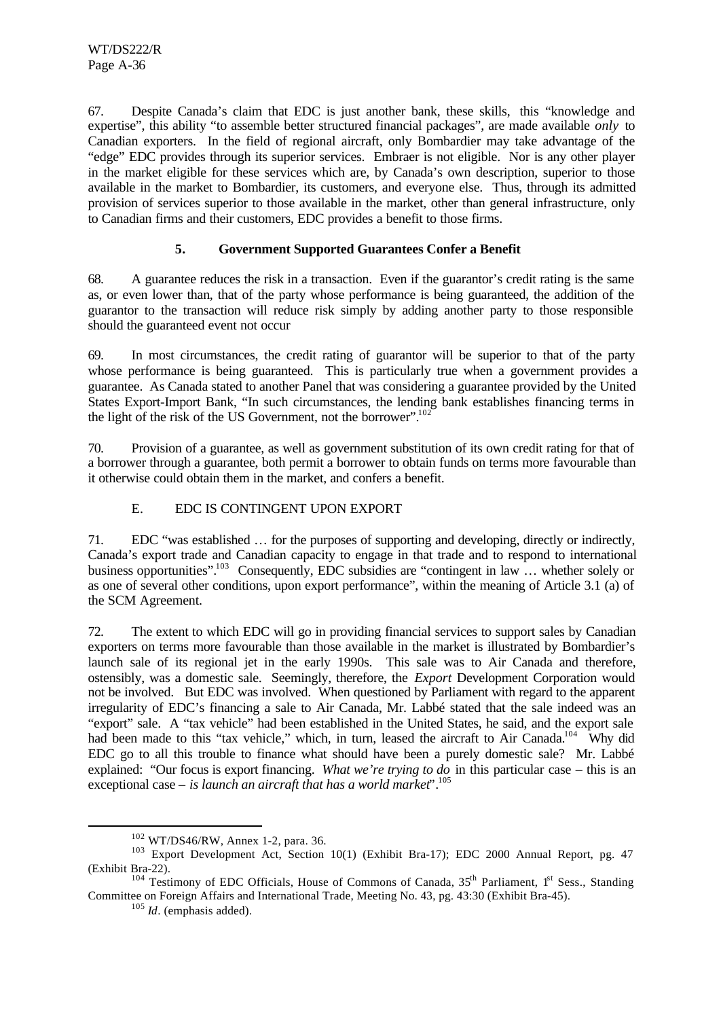67. Despite Canada's claim that EDC is just another bank, these skills, this "knowledge and expertise", this ability "to assemble better structured financial packages", are made available *only* to Canadian exporters. In the field of regional aircraft, only Bombardier may take advantage of the "edge" EDC provides through its superior services. Embraer is not eligible. Nor is any other player in the market eligible for these services which are, by Canada's own description, superior to those available in the market to Bombardier, its customers, and everyone else. Thus, through its admitted provision of services superior to those available in the market, other than general infrastructure, only to Canadian firms and their customers, EDC provides a benefit to those firms.

## **5. Government Supported Guarantees Confer a Benefit**

68. A guarantee reduces the risk in a transaction. Even if the guarantor's credit rating is the same as, or even lower than, that of the party whose performance is being guaranteed, the addition of the guarantor to the transaction will reduce risk simply by adding another party to those responsible should the guaranteed event not occur

69. In most circumstances, the credit rating of guarantor will be superior to that of the party whose performance is being guaranteed. This is particularly true when a government provides a guarantee. As Canada stated to another Panel that was considering a guarantee provided by the United States Export-Import Bank, "In such circumstances, the lending bank establishes financing terms in the light of the risk of the US Government, not the borrower".<sup>102</sup>

70. Provision of a guarantee, as well as government substitution of its own credit rating for that of a borrower through a guarantee, both permit a borrower to obtain funds on terms more favourable than it otherwise could obtain them in the market, and confers a benefit.

## E. EDC IS CONTINGENT UPON EXPORT

71. EDC "was established … for the purposes of supporting and developing, directly or indirectly, Canada's export trade and Canadian capacity to engage in that trade and to respond to international business opportunities".<sup>103</sup> Consequently, EDC subsidies are "contingent in law ... whether solely or as one of several other conditions, upon export performance", within the meaning of Article 3.1 (a) of the SCM Agreement.

72. The extent to which EDC will go in providing financial services to support sales by Canadian exporters on terms more favourable than those available in the market is illustrated by Bombardier's launch sale of its regional jet in the early 1990s. This sale was to Air Canada and therefore, ostensibly, was a domestic sale. Seemingly, therefore, the *Export* Development Corporation would not be involved. But EDC was involved. When questioned by Parliament with regard to the apparent irregularity of EDC's financing a sale to Air Canada, Mr. Labbé stated that the sale indeed was an "export" sale. A "tax vehicle" had been established in the United States, he said, and the export sale had been made to this "tax vehicle," which, in turn, leased the aircraft to Air Canada.<sup>104</sup> Why did EDC go to all this trouble to finance what should have been a purely domestic sale? Mr. Labbé explained: "Our focus is export financing. *What we're trying to do* in this particular case – this is an exceptional case – *is launch an aircraft that has a world market*".<sup>105</sup>

<sup>102</sup> WT/DS46/RW, Annex 1-2, para. 36.

<sup>&</sup>lt;sup>103</sup> Export Development Act, Section 10(1) (Exhibit Bra-17); EDC 2000 Annual Report, pg. 47 (Exhibit Bra-22).

<sup>&</sup>lt;sup>104</sup> Testimony of EDC Officials, House of Commons of Canada,  $35<sup>th</sup>$  Parliament, 1<sup>st</sup> Sess., Standing Committee on Foreign Affairs and International Trade, Meeting No. 43, pg. 43:30 (Exhibit Bra-45).

<sup>105</sup> *Id*. (emphasis added).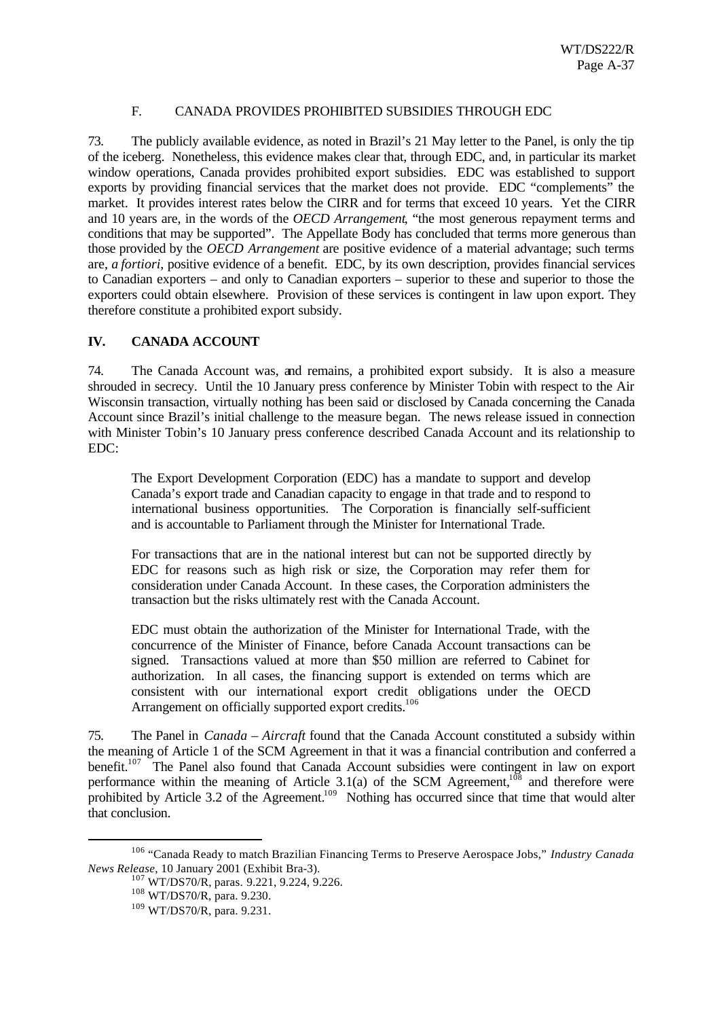### F. CANADA PROVIDES PROHIBITED SUBSIDIES THROUGH EDC

73. The publicly available evidence, as noted in Brazil's 21 May letter to the Panel, is only the tip of the iceberg. Nonetheless, this evidence makes clear that, through EDC, and, in particular its market window operations, Canada provides prohibited export subsidies. EDC was established to support exports by providing financial services that the market does not provide. EDC "complements" the market. It provides interest rates below the CIRR and for terms that exceed 10 years. Yet the CIRR and 10 years are, in the words of the *OECD Arrangement*, "the most generous repayment terms and conditions that may be supported". The Appellate Body has concluded that terms more generous than those provided by the *OECD Arrangement* are positive evidence of a material advantage; such terms are, *a fortiori*, positive evidence of a benefit. EDC, by its own description, provides financial services to Canadian exporters – and only to Canadian exporters – superior to these and superior to those the exporters could obtain elsewhere. Provision of these services is contingent in law upon export. They therefore constitute a prohibited export subsidy.

#### **IV. CANADA ACCOUNT**

74. The Canada Account was, and remains, a prohibited export subsidy. It is also a measure shrouded in secrecy. Until the 10 January press conference by Minister Tobin with respect to the Air Wisconsin transaction, virtually nothing has been said or disclosed by Canada concerning the Canada Account since Brazil's initial challenge to the measure began. The news release issued in connection with Minister Tobin's 10 January press conference described Canada Account and its relationship to EDC:

The Export Development Corporation (EDC) has a mandate to support and develop Canada's export trade and Canadian capacity to engage in that trade and to respond to international business opportunities. The Corporation is financially self-sufficient and is accountable to Parliament through the Minister for International Trade.

For transactions that are in the national interest but can not be supported directly by EDC for reasons such as high risk or size, the Corporation may refer them for consideration under Canada Account. In these cases, the Corporation administers the transaction but the risks ultimately rest with the Canada Account.

EDC must obtain the authorization of the Minister for International Trade, with the concurrence of the Minister of Finance, before Canada Account transactions can be signed. Transactions valued at more than \$50 million are referred to Cabinet for authorization. In all cases, the financing support is extended on terms which are consistent with our international export credit obligations under the OECD Arrangement on officially supported export credits.<sup>106</sup>

75. The Panel in *Canada – Aircraft* found that the Canada Account constituted a subsidy within the meaning of Article 1 of the SCM Agreement in that it was a financial contribution and conferred a benefit.<sup>107</sup> The Panel also found that Canada Account subsidies were contingent in law on export performance within the meaning of Article 3.1(a) of the SCM Agreement,<sup>108</sup> and therefore were prohibited by Article 3.2 of the Agreement.<sup>109</sup> Nothing has occurred since that time that would alter that conclusion.

<sup>106</sup> "Canada Ready to match Brazilian Financing Terms to Preserve Aerospace Jobs," *Industry Canada News Release*, 10 January 2001 (Exhibit Bra-3).

<sup>107</sup> WT/DS70/R, paras. 9.221, 9.224, 9.226.

<sup>108</sup> WT/DS70/R, para. 9.230.

<sup>109</sup> WT/DS70/R, para. 9.231.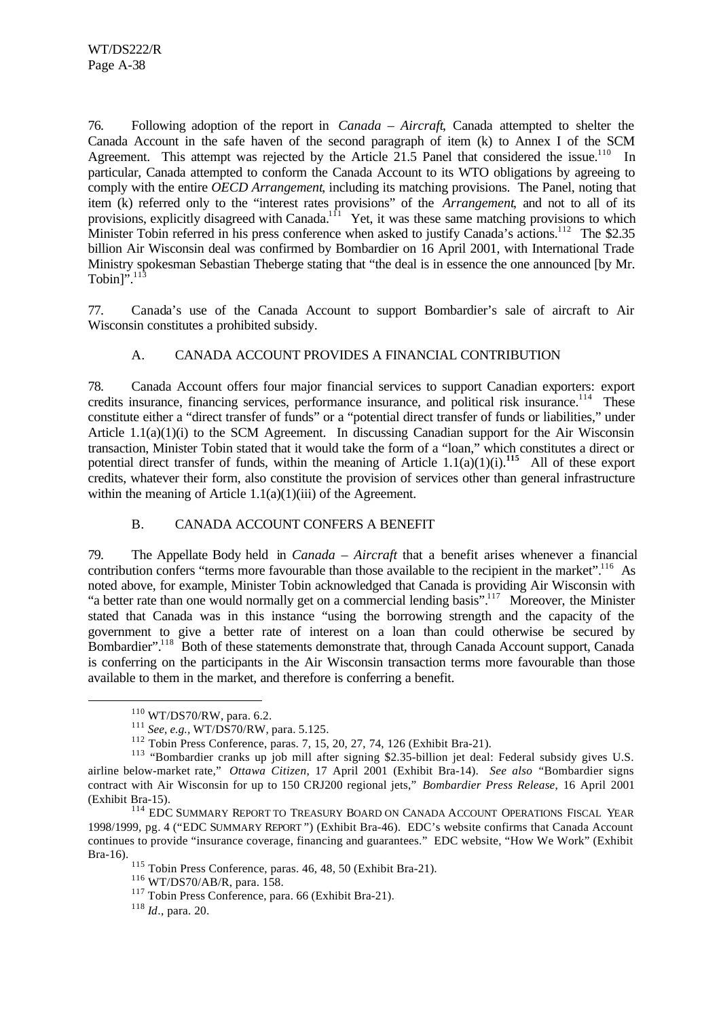76. Following adoption of the report in *Canada – Aircraft*, Canada attempted to shelter the Canada Account in the safe haven of the second paragraph of item (k) to Annex I of the SCM Agreement. This attempt was rejected by the Article 21.5 Panel that considered the issue.<sup>110</sup> In particular, Canada attempted to conform the Canada Account to its WTO obligations by agreeing to comply with the entire *OECD Arrangement*, including its matching provisions. The Panel, noting that item (k) referred only to the "interest rates provisions" of the *Arrangement*, and not to all of its provisions, explicitly disagreed with Canada.<sup>111</sup> Yet, it was these same matching provisions to which Minister Tobin referred in his press conference when asked to justify Canada's actions.<sup>112</sup> The \$2.35 billion Air Wisconsin deal was confirmed by Bombardier on 16 April 2001, with International Trade Ministry spokesman Sebastian Theberge stating that "the deal is in essence the one announced [by Mr. Tobin]". $11$ 

77. Canada's use of the Canada Account to support Bombardier's sale of aircraft to Air Wisconsin constitutes a prohibited subsidy.

## A. CANADA ACCOUNT PROVIDES A FINANCIAL CONTRIBUTION

78. Canada Account offers four major financial services to support Canadian exporters: export credits insurance, financing services, performance insurance, and political risk insurance.<sup>114</sup> These constitute either a "direct transfer of funds" or a "potential direct transfer of funds or liabilities," under Article  $1.1(a)(1)(i)$  to the SCM Agreement. In discussing Canadian support for the Air Wisconsin transaction, Minister Tobin stated that it would take the form of a "loan," which constitutes a direct or potential direct transfer of funds, within the meaning of Article 1.1(a)(1)(i).**<sup>115</sup>** All of these export credits, whatever their form, also constitute the provision of services other than general infrastructure within the meaning of Article  $1.1(a)(1)(iii)$  of the Agreement.

## B. CANADA ACCOUNT CONFERS A BENEFIT

79. The Appellate Body held in *Canada – Aircraft* that a benefit arises whenever a financial contribution confers "terms more favourable than those available to the recipient in the market".<sup>116</sup> As noted above, for example, Minister Tobin acknowledged that Canada is providing Air Wisconsin with "a better rate than one would normally get on a commercial lending basis".<sup>117</sup> Moreover, the Minister stated that Canada was in this instance "using the borrowing strength and the capacity of the government to give a better rate of interest on a loan than could otherwise be secured by  $\overline{B}$  Bombardier".<sup>118</sup> Both of these statements demonstrate that, through Canada Account support, Canada is conferring on the participants in the Air Wisconsin transaction terms more favourable than those available to them in the market, and therefore is conferring a benefit.

<sup>110</sup> WT/DS70/RW, para. 6.2.

<sup>111</sup> *See, e.g.,* WT/DS70/RW, para. 5.125.

<sup>112</sup> Tobin Press Conference, paras. 7, 15, 20, 27, 74, 126 (Exhibit Bra-21).

<sup>&</sup>lt;sup>113</sup> "Bombardier cranks up job mill after signing \$2.35-billion jet deal: Federal subsidy gives U.S. airline below-market rate," *Ottawa Citizen*, 17 April 2001 (Exhibit Bra-14). *See also* "Bombardier signs contract with Air Wisconsin for up to 150 CRJ200 regional jets," *Bombardier Press Release*, 16 April 2001 (Exhibit Bra-15).

<sup>&</sup>lt;sup>114</sup> EDC SUMMARY REPORT TO TREASURY BOARD ON CANADA ACCOUNT OPERATIONS FISCAL YEAR 1998/1999, pg. 4 ("EDC SUMMARY REPORT ") (Exhibit Bra-46). EDC's website confirms that Canada Account continues to provide "insurance coverage, financing and guarantees." EDC website, "How We Work" (Exhibit Bra-16).

<sup>115</sup> Tobin Press Conference, paras. 46, 48, 50 (Exhibit Bra-21).

<sup>116</sup> WT/DS70/AB/R, para. 158.

<sup>&</sup>lt;sup>117</sup> Tobin Press Conference, para. 66 (Exhibit Bra-21).

<sup>118</sup> *Id*., para. 20.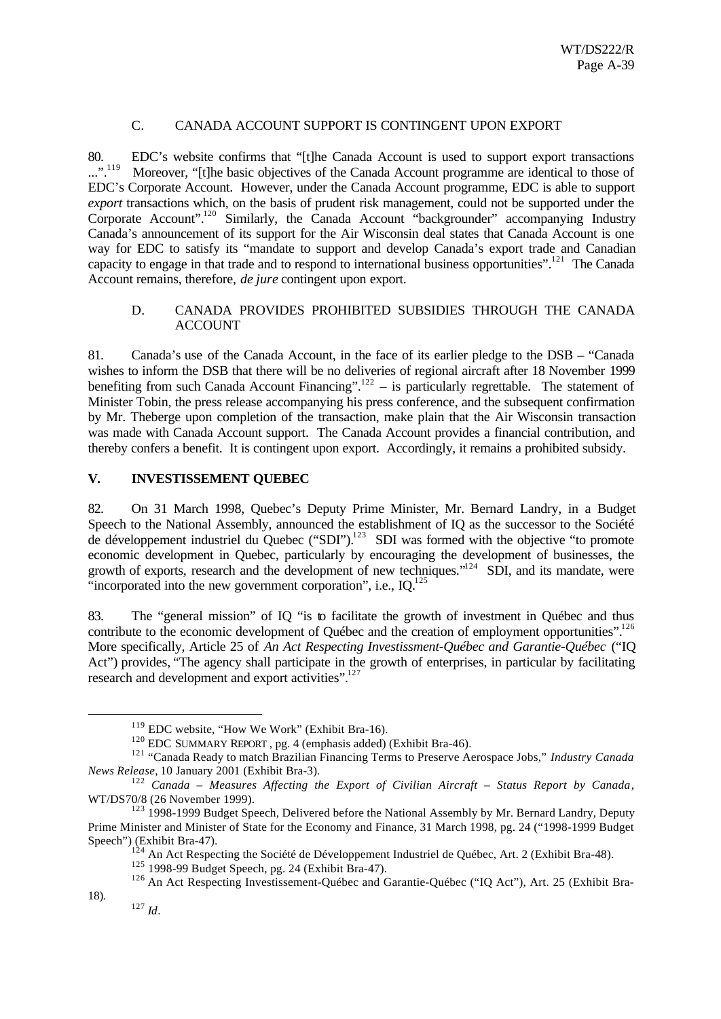## C. CANADA ACCOUNT SUPPORT IS CONTINGENT UPON EXPORT

80. EDC's website confirms that "[t]he Canada Account is used to support export transactions ...".<sup>119</sup> Moreover, "[t]he basic objectives of the Canada Account programme are identical to those of Moreover, "[t]he basic objectives of the Canada Account programme are identical to those of EDC's Corporate Account. However, under the Canada Account programme, EDC is able to support *export* transactions which, on the basis of prudent risk management, could not be supported under the Corporate Account".<sup>120</sup> Similarly, the Canada Account "backgrounder" accompanying Industry Canada's announcement of its support for the Air Wisconsin deal states that Canada Account is one way for EDC to satisfy its "mandate to support and develop Canada's export trade and Canadian capacity to engage in that trade and to respond to international business opportunities".<sup>121</sup> The Canada Account remains, therefore, *de jure* contingent upon export.

#### D. CANADA PROVIDES PROHIBITED SUBSIDIES THROUGH THE CANADA ACCOUNT

81. Canada's use of the Canada Account, in the face of its earlier pledge to the DSB – "Canada wishes to inform the DSB that there will be no deliveries of regional aircraft after 18 November 1999 benefiting from such Canada Account Financing".<sup>122</sup> – is particularly regrettable. The statement of Minister Tobin, the press release accompanying his press conference, and the subsequent confirmation by Mr. Theberge upon completion of the transaction, make plain that the Air Wisconsin transaction was made with Canada Account support. The Canada Account provides a financial contribution, and thereby confers a benefit. It is contingent upon export. Accordingly, it remains a prohibited subsidy.

#### **V. INVESTISSEMENT QUEBEC**

82. On 31 March 1998, Quebec's Deputy Prime Minister, Mr. Bernard Landry, in a Budget Speech to the National Assembly, announced the establishment of IQ as the successor to the Société de développement industriel du Quebec ("SDI").<sup>123</sup> SDI was formed with the objective "to promote economic development in Quebec, particularly by encouraging the development of businesses, the growth of exports, research and the development of new techniques."<sup>124</sup> SDI, and its mandate, were "incorporated into the new government corporation", i.e., IQ.<sup>125</sup>

83. The "general mission" of IQ "is to facilitate the growth of investment in Québec and thus contribute to the economic development of Québec and the creation of employment opportunities".<sup>126</sup> More specifically, Article 25 of *An Act Respecting Investissment-Québec and Garantie-Québec* ("IQ Act") provides, "The agency shall participate in the growth of enterprises, in particular by facilitating research and development and export activities".<sup>127</sup>

- <sup>126</sup> An Act Respecting Investissement-Québec and Garantie-Québec ("IQ Act"), Art. 25 (Exhibit Bra-
- 18).

<sup>127</sup> *Id*.

<sup>&</sup>lt;sup>119</sup> EDC website, "How We Work" (Exhibit Bra-16).

 $120$  EDC SUMMARY REPORT, pg. 4 (emphasis added) (Exhibit Bra-46).

<sup>121</sup> "Canada Ready to match Brazilian Financing Terms to Preserve Aerospace Jobs," *Industry Canada News Release*, 10 January 2001 (Exhibit Bra-3).

<sup>122</sup> *Canada – Measures Affecting the Export of Civilian Aircraft – Status Report by Canada*, WT/DS70/8 (26 November 1999).

 $123$  1998-1999 Budget Speech, Delivered before the National Assembly by Mr. Bernard Landry, Deputy Prime Minister and Minister of State for the Economy and Finance, 31 March 1998, pg. 24 ("1998-1999 Budget Speech") (Exhibit Bra-47).

 $1^{24}$  An Act Respecting the Société de Développement Industriel de Québec, Art. 2 (Exhibit Bra-48).

 $125$  1998-99 Budget Speech, pg. 24 (Exhibit Bra-47).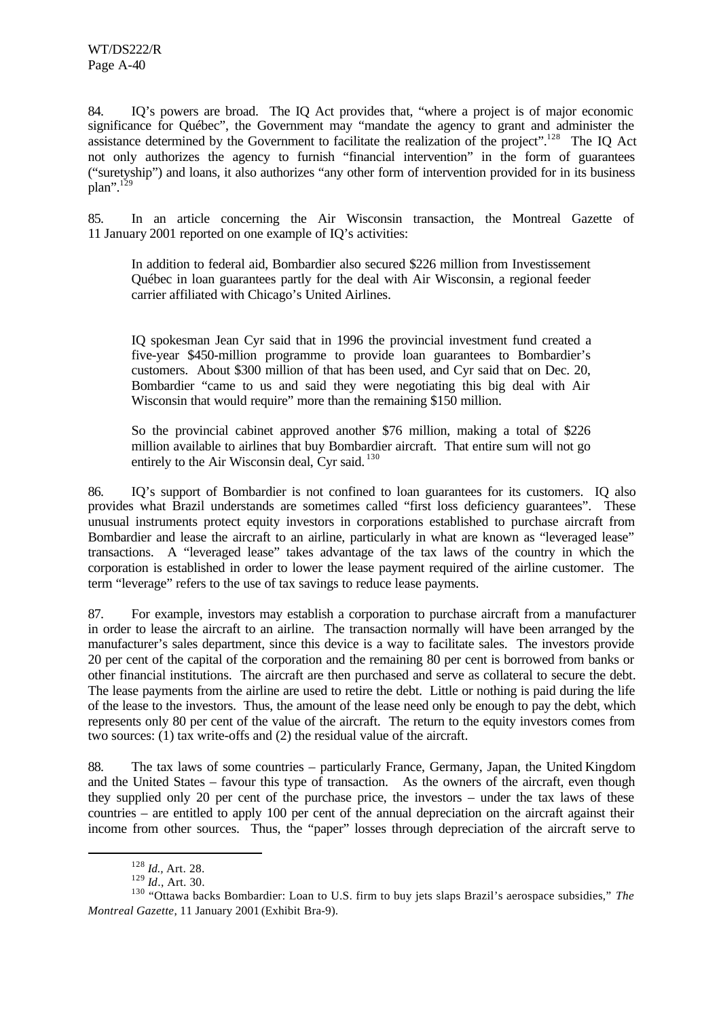84. IQ's powers are broad. The IQ Act provides that, "where a project is of major economic significance for Québec", the Government may "mandate the agency to grant and administer the assistance determined by the Government to facilitate the realization of the project".<sup>128</sup> The IQ Act not only authorizes the agency to furnish "financial intervention" in the form of guarantees ("suretyship") and loans, it also authorizes "any other form of intervention provided for in its business plan". $129$ 

85. In an article concerning the Air Wisconsin transaction, the Montreal Gazette of 11 January 2001 reported on one example of IQ's activities:

In addition to federal aid, Bombardier also secured \$226 million from Investissement Québec in loan guarantees partly for the deal with Air Wisconsin, a regional feeder carrier affiliated with Chicago's United Airlines.

IQ spokesman Jean Cyr said that in 1996 the provincial investment fund created a five-year \$450-million programme to provide loan guarantees to Bombardier's customers. About \$300 million of that has been used, and Cyr said that on Dec. 20, Bombardier "came to us and said they were negotiating this big deal with Air Wisconsin that would require" more than the remaining \$150 million.

So the provincial cabinet approved another \$76 million, making a total of \$226 million available to airlines that buy Bombardier aircraft. That entire sum will not go entirely to the Air Wisconsin deal, Cyr said.<sup>130</sup>

86. IQ's support of Bombardier is not confined to loan guarantees for its customers. IQ also provides what Brazil understands are sometimes called "first loss deficiency guarantees". These unusual instruments protect equity investors in corporations established to purchase aircraft from Bombardier and lease the aircraft to an airline, particularly in what are known as "leveraged lease" transactions. A "leveraged lease" takes advantage of the tax laws of the country in which the corporation is established in order to lower the lease payment required of the airline customer. The term "leverage" refers to the use of tax savings to reduce lease payments.

87. For example, investors may establish a corporation to purchase aircraft from a manufacturer in order to lease the aircraft to an airline. The transaction normally will have been arranged by the manufacturer's sales department, since this device is a way to facilitate sales. The investors provide 20 per cent of the capital of the corporation and the remaining 80 per cent is borrowed from banks or other financial institutions. The aircraft are then purchased and serve as collateral to secure the debt. The lease payments from the airline are used to retire the debt. Little or nothing is paid during the life of the lease to the investors. Thus, the amount of the lease need only be enough to pay the debt, which represents only 80 per cent of the value of the aircraft. The return to the equity investors comes from two sources: (1) tax write-offs and (2) the residual value of the aircraft.

88. The tax laws of some countries – particularly France, Germany, Japan, the United Kingdom and the United States – favour this type of transaction. As the owners of the aircraft, even though they supplied only 20 per cent of the purchase price, the investors – under the tax laws of these countries – are entitled to apply 100 per cent of the annual depreciation on the aircraft against their income from other sources. Thus, the "paper" losses through depreciation of the aircraft serve to

<sup>128</sup> *Id.,* Art. 28.

<sup>129</sup> *Id*., Art. 30.

<sup>130</sup> "Ottawa backs Bombardier: Loan to U.S. firm to buy jets slaps Brazil's aerospace subsidies," *The Montreal Gazette*, 11 January 2001 (Exhibit Bra-9).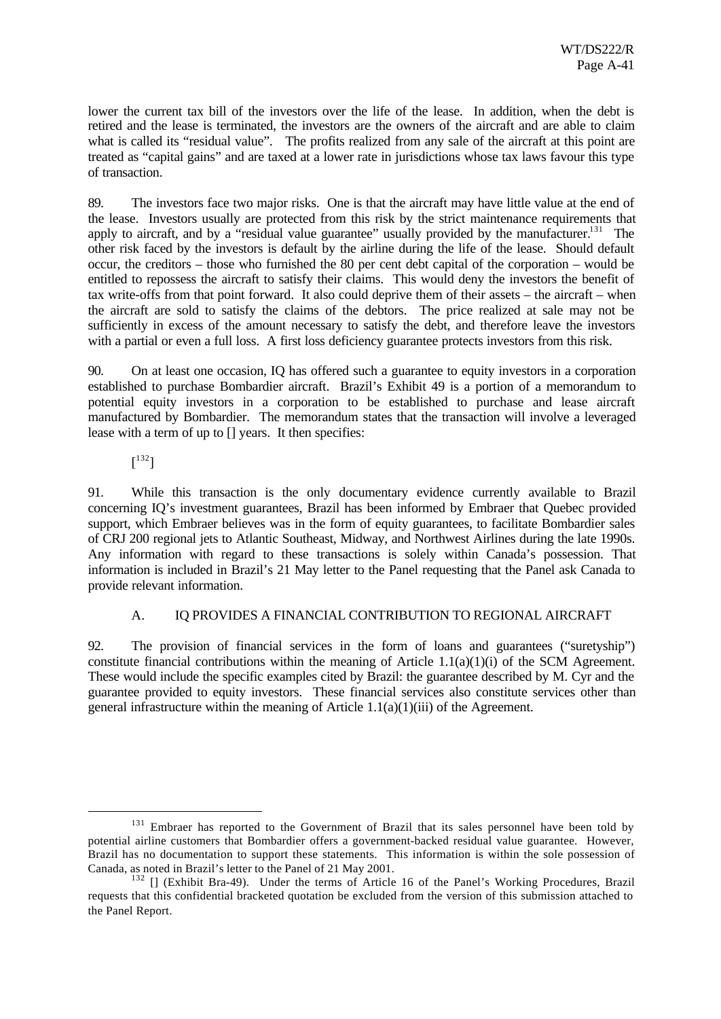lower the current tax bill of the investors over the life of the lease. In addition, when the debt is retired and the lease is terminated, the investors are the owners of the aircraft and are able to claim what is called its "residual value". The profits realized from any sale of the aircraft at this point are treated as "capital gains" and are taxed at a lower rate in jurisdictions whose tax laws favour this type of transaction.

89. The investors face two major risks. One is that the aircraft may have little value at the end of the lease. Investors usually are protected from this risk by the strict maintenance requirements that apply to aircraft, and by a "residual value guarantee" usually provided by the manufacturer.<sup>131</sup> The other risk faced by the investors is default by the airline during the life of the lease. Should default occur, the creditors – those who furnished the 80 per cent debt capital of the corporation – would be entitled to repossess the aircraft to satisfy their claims. This would deny the investors the benefit of tax write-offs from that point forward. It also could deprive them of their assets – the aircraft – when the aircraft are sold to satisfy the claims of the debtors. The price realized at sale may not be sufficiently in excess of the amount necessary to satisfy the debt, and therefore leave the investors with a partial or even a full loss. A first loss deficiency guarantee protects investors from this risk.

90. On at least one occasion, IQ has offered such a guarantee to equity investors in a corporation established to purchase Bombardier aircraft. Brazil's Exhibit 49 is a portion of a memorandum to potential equity investors in a corporation to be established to purchase and lease aircraft manufactured by Bombardier. The memorandum states that the transaction will involve a leveraged lease with a term of up to [] years. It then specifies:

 $\left[ \begin{smallmatrix} 1 & 3 & 2 \ 1 & 3 & 2 \end{smallmatrix} \right]$ 

l

91. While this transaction is the only documentary evidence currently available to Brazil concerning IQ's investment guarantees, Brazil has been informed by Embraer that Quebec provided support, which Embraer believes was in the form of equity guarantees, to facilitate Bombardier sales of CRJ 200 regional jets to Atlantic Southeast, Midway, and Northwest Airlines during the late 1990s. Any information with regard to these transactions is solely within Canada's possession. That information is included in Brazil's 21 May letter to the Panel requesting that the Panel ask Canada to provide relevant information.

## A. IQ PROVIDES A FINANCIAL CONTRIBUTION TO REGIONAL AIRCRAFT

92. The provision of financial services in the form of loans and guarantees ("suretyship") constitute financial contributions within the meaning of Article 1.1(a)(1)(i) of the SCM Agreement. These would include the specific examples cited by Brazil: the guarantee described by M. Cyr and the guarantee provided to equity investors. These financial services also constitute services other than general infrastructure within the meaning of Article 1.1(a)(1)(iii) of the Agreement.

<sup>&</sup>lt;sup>131</sup> Embraer has reported to the Government of Brazil that its sales personnel have been told by potential airline customers that Bombardier offers a government-backed residual value guarantee. However, Brazil has no documentation to support these statements. This information is within the sole possession of Canada, as noted in Brazil's letter to the Panel of 21 May 2001.

 $132$  [] (Exhibit Bra-49). Under the terms of Article 16 of the Panel's Working Procedures, Brazil requests that this confidential bracketed quotation be excluded from the version of this submission attached to the Panel Report.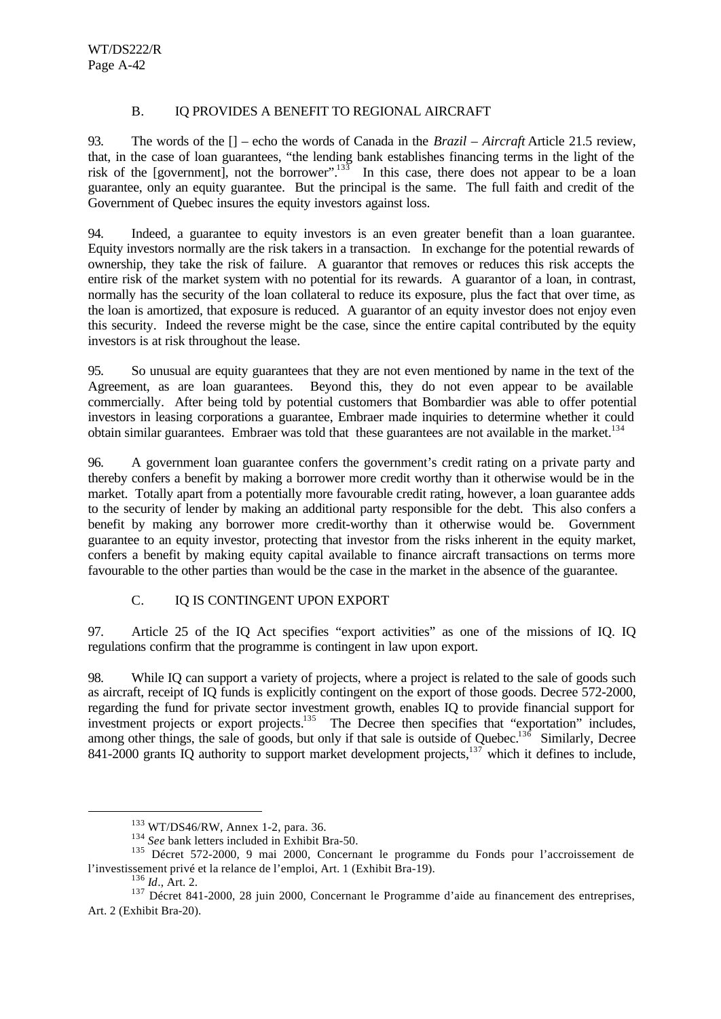## B. IQ PROVIDES A BENEFIT TO REGIONAL AIRCRAFT

93. The words of the  $\Box$  – echo the words of Canada in the *Brazil – Aircraft* Article 21.5 review, that, in the case of loan guarantees, "the lending bank establishes financing terms in the light of the risk of the [government], not the borrower".<sup>133</sup> In this case, there does not appear to be a loan guarantee, only an equity guarantee. But the principal is the same. The full faith and credit of the Government of Quebec insures the equity investors against loss.

94. Indeed, a guarantee to equity investors is an even greater benefit than a loan guarantee. Equity investors normally are the risk takers in a transaction. In exchange for the potential rewards of ownership, they take the risk of failure. A guarantor that removes or reduces this risk accepts the entire risk of the market system with no potential for its rewards. A guarantor of a loan, in contrast, normally has the security of the loan collateral to reduce its exposure, plus the fact that over time, as the loan is amortized, that exposure is reduced. A guarantor of an equity investor does not enjoy even this security. Indeed the reverse might be the case, since the entire capital contributed by the equity investors is at risk throughout the lease.

95. So unusual are equity guarantees that they are not even mentioned by name in the text of the Agreement, as are loan guarantees. Beyond this, they do not even appear to be available commercially. After being told by potential customers that Bombardier was able to offer potential investors in leasing corporations a guarantee, Embraer made inquiries to determine whether it could obtain similar guarantees. Embraer was told that these guarantees are not available in the market.<sup>134</sup>

96. A government loan guarantee confers the government's credit rating on a private party and thereby confers a benefit by making a borrower more credit worthy than it otherwise would be in the market. Totally apart from a potentially more favourable credit rating, however, a loan guarantee adds to the security of lender by making an additional party responsible for the debt. This also confers a benefit by making any borrower more credit-worthy than it otherwise would be. Government guarantee to an equity investor, protecting that investor from the risks inherent in the equity market, confers a benefit by making equity capital available to finance aircraft transactions on terms more favourable to the other parties than would be the case in the market in the absence of the guarantee.

## C. IQ IS CONTINGENT UPON EXPORT

97. Article 25 of the IQ Act specifies "export activities" as one of the missions of IQ. IQ regulations confirm that the programme is contingent in law upon export.

98. While IQ can support a variety of projects, where a project is related to the sale of goods such as aircraft, receipt of IQ funds is explicitly contingent on the export of those goods. Decree 572-2000, regarding the fund for private sector investment growth, enables IQ to provide financial support for investment projects or export projects.<sup>135</sup> The Decree then specifies that "exportation" includes, among other things, the sale of goods, but only if that sale is outside of Quebec.<sup>136</sup> Similarly, Decree 841-2000 grants IQ authority to support market development projects,<sup>137</sup> which it defines to include,

<sup>133</sup> WT/DS46/RW, Annex 1-2, para. 36.

<sup>&</sup>lt;sup>134</sup> See bank letters included in Exhibit Bra-50.

<sup>&</sup>lt;sup>135</sup> Décret 572-2000, 9 mai 2000, Concernant le programme du Fonds pour l'accroissement de l'investissement privé et la relance de l'emploi, Art. 1 (Exhibit Bra-19).

<sup>136</sup> *Id*., Art. 2.

<sup>&</sup>lt;sup>137</sup> Décret 841-2000, 28 juin 2000, Concernant le Programme d'aide au financement des entreprises, Art. 2 (Exhibit Bra-20).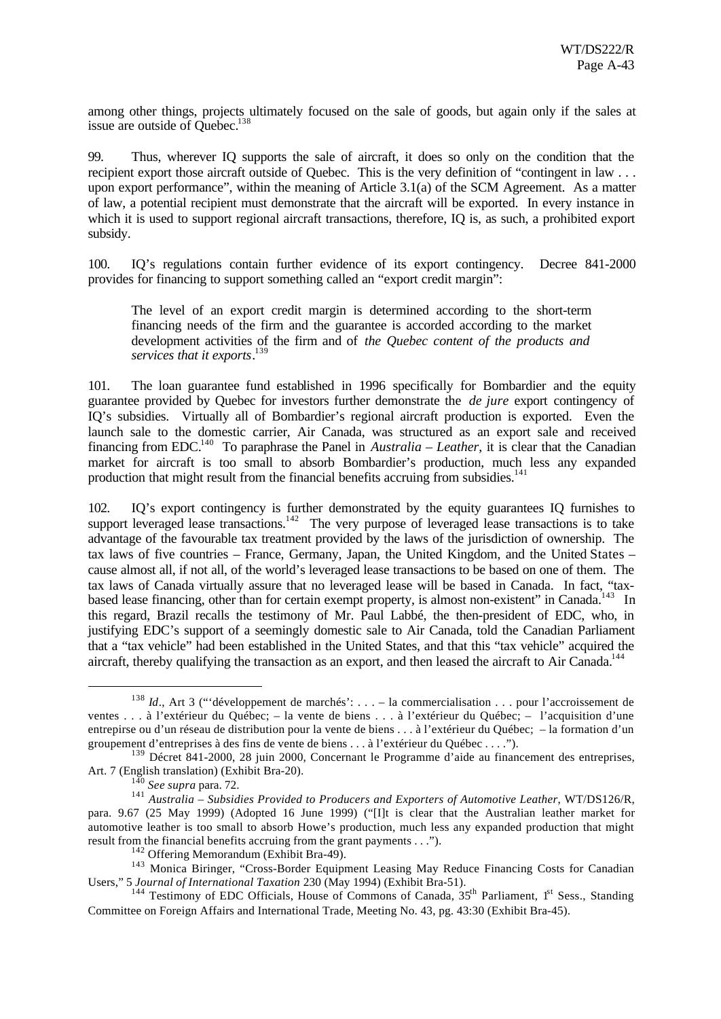among other things, projects ultimately focused on the sale of goods, but again only if the sales at issue are outside of Quebec.<sup>138</sup>

99. Thus, wherever IQ supports the sale of aircraft, it does so only on the condition that the recipient export those aircraft outside of Quebec. This is the very definition of "contingent in law . . . upon export performance", within the meaning of Article 3.1(a) of the SCM Agreement. As a matter of law, a potential recipient must demonstrate that the aircraft will be exported. In every instance in which it is used to support regional aircraft transactions, therefore, IQ is, as such, a prohibited export subsidy.

100. IQ's regulations contain further evidence of its export contingency. Decree 841-2000 provides for financing to support something called an "export credit margin":

The level of an export credit margin is determined according to the short-term financing needs of the firm and the guarantee is accorded according to the market development activities of the firm and of *the Quebec content of the products and services that it exports*. 139

101. The loan guarantee fund established in 1996 specifically for Bombardier and the equity guarantee provided by Quebec for investors further demonstrate the *de jure* export contingency of IQ's subsidies. Virtually all of Bombardier's regional aircraft production is exported. Even the launch sale to the domestic carrier, Air Canada, was structured as an export sale and received financing from EDC.<sup>140</sup> To paraphrase the Panel in *Australia – Leather*, it is clear that the Canadian market for aircraft is too small to absorb Bombardier's production, much less any expanded production that might result from the financial benefits accruing from subsidies. $14$ 

102. IQ's export contingency is further demonstrated by the equity guarantees IQ furnishes to support leveraged lease transactions.<sup>142</sup> The very purpose of leveraged lease transactions is to take advantage of the favourable tax treatment provided by the laws of the jurisdiction of ownership. The tax laws of five countries – France, Germany, Japan, the United Kingdom, and the United States – cause almost all, if not all, of the world's leveraged lease transactions to be based on one of them. The tax laws of Canada virtually assure that no leveraged lease will be based in Canada. In fact, "taxbased lease financing, other than for certain exempt property, is almost non-existent" in Canada.<sup>143</sup> In this regard, Brazil recalls the testimony of Mr. Paul Labbé, the then-president of EDC, who, in justifying EDC's support of a seemingly domestic sale to Air Canada, told the Canadian Parliament that a "tax vehicle" had been established in the United States, and that this "tax vehicle" acquired the aircraft, thereby qualifying the transaction as an export, and then leased the aircraft to Air Canada.<sup>144</sup>

<sup>&</sup>lt;sup>138</sup> *Id.*, Art 3 ("'développement de marchés': . . . – la commercialisation . . . pour l'accroissement de ventes . . . à l'extérieur du Québec; – la vente de biens . . . à l'extérieur du Québec; – l'acquisition d'une entrepirse ou d'un réseau de distribution pour la vente de biens . . . à l'extérieur du Québec; – la formation d'un groupement d'entreprises à des fins de vente de biens . . . à l'extérieur du Québec . . . .").

<sup>&</sup>lt;sup>139</sup> Décret 841-2000, 28 juin 2000, Concernant le Programme d'aide au financement des entreprises, Art. 7 (English translation) (Exhibit Bra-20).

<sup>140</sup> *See supra* para. 72.

<sup>&</sup>lt;sup>141</sup> Australia – Subsidies Provided to Producers and Exporters of Automotive Leather, WT/DS126/R, para. 9.67 (25 May 1999) (Adopted 16 June 1999) ("[I]t is clear that the Australian leather market for automotive leather is too small to absorb Howe's production, much less any expanded production that might result from the financial benefits accruing from the grant payments . . .").

<sup>&</sup>lt;sup>142</sup> Offering Memorandum (Exhibit Bra-49).

<sup>&</sup>lt;sup>143</sup> Monica Biringer, "Cross-Border Equipment Leasing May Reduce Financing Costs for Canadian Users," 5 *Journal of International Taxation* 230 (May 1994) (Exhibit Bra-51).

 $144$  Testimony of EDC Officials, House of Commons of Canada,  $35<sup>th</sup>$  Parliament,  $1<sup>st</sup>$  Sess., Standing Committee on Foreign Affairs and International Trade, Meeting No. 43, pg. 43:30 (Exhibit Bra-45).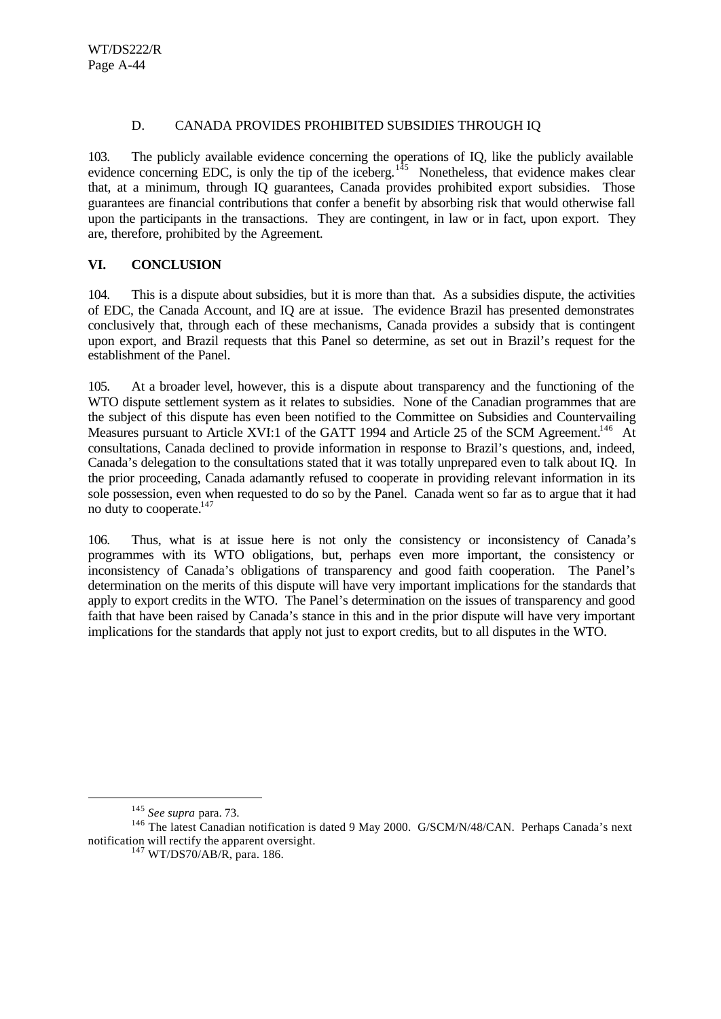## D. CANADA PROVIDES PROHIBITED SUBSIDIES THROUGH IQ

103. The publicly available evidence concerning the operations of IQ, like the publicly available evidence concerning EDC, is only the tip of the iceberg.<sup>145</sup> Nonetheless, that evidence makes clear that, at a minimum, through IQ guarantees, Canada provides prohibited export subsidies. Those guarantees are financial contributions that confer a benefit by absorbing risk that would otherwise fall upon the participants in the transactions. They are contingent, in law or in fact, upon export. They are, therefore, prohibited by the Agreement.

## **VI. CONCLUSION**

104. This is a dispute about subsidies, but it is more than that. As a subsidies dispute, the activities of EDC, the Canada Account, and IQ are at issue. The evidence Brazil has presented demonstrates conclusively that, through each of these mechanisms, Canada provides a subsidy that is contingent upon export, and Brazil requests that this Panel so determine, as set out in Brazil's request for the establishment of the Panel.

105. At a broader level, however, this is a dispute about transparency and the functioning of the WTO dispute settlement system as it relates to subsidies. None of the Canadian programmes that are the subject of this dispute has even been notified to the Committee on Subsidies and Countervailing Measures pursuant to Article XVI:1 of the GATT 1994 and Article 25 of the SCM Agreement.<sup>146</sup> At consultations, Canada declined to provide information in response to Brazil's questions, and, indeed, Canada's delegation to the consultations stated that it was totally unprepared even to talk about IQ. In the prior proceeding, Canada adamantly refused to cooperate in providing relevant information in its sole possession, even when requested to do so by the Panel. Canada went so far as to argue that it had no duty to cooperate.<sup>147</sup>

106. Thus, what is at issue here is not only the consistency or inconsistency of Canada's programmes with its WTO obligations, but, perhaps even more important, the consistency or inconsistency of Canada's obligations of transparency and good faith cooperation. The Panel's determination on the merits of this dispute will have very important implications for the standards that apply to export credits in the WTO. The Panel's determination on the issues of transparency and good faith that have been raised by Canada's stance in this and in the prior dispute will have very important implications for the standards that apply not just to export credits, but to all disputes in the WTO.

<sup>145</sup> *See supra* para. 73.

<sup>&</sup>lt;sup>146</sup> The latest Canadian notification is dated 9 May 2000. G/SCM/N/48/CAN. Perhaps Canada's next notification will rectify the apparent oversight.

<sup>147</sup> WT/DS70/AB/R, para. 186.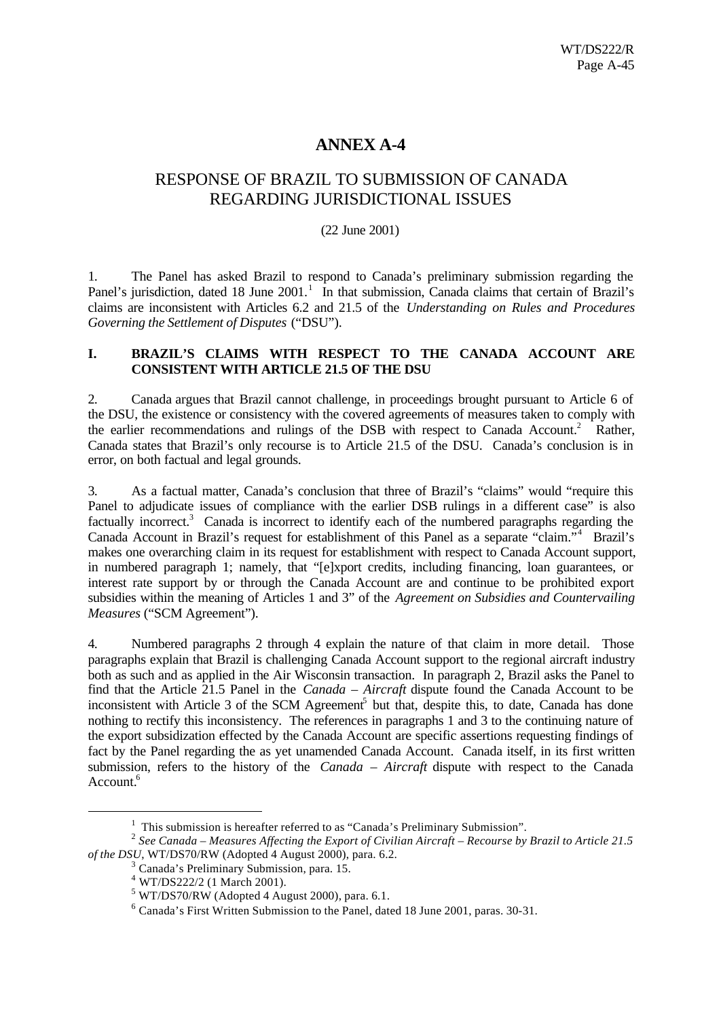# **ANNEX A-4**

## RESPONSE OF BRAZIL TO SUBMISSION OF CANADA REGARDING JURISDICTIONAL ISSUES

#### (22 June 2001)

1. The Panel has asked Brazil to respond to Canada's preliminary submission regarding the Panel's jurisdiction, dated 18 June 2001.<sup>1</sup> In that submission, Canada claims that certain of Brazil's claims are inconsistent with Articles 6.2 and 21.5 of the *Understanding on Rules and Procedures Governing the Settlement of Disputes* ("DSU").

### **I. BRAZIL'S CLAIMS WITH RESPECT TO THE CANADA ACCOUNT ARE CONSISTENT WITH ARTICLE 21.5 OF THE DSU**

2. Canada argues that Brazil cannot challenge, in proceedings brought pursuant to Article 6 of the DSU, the existence or consistency with the covered agreements of measures taken to comply with the earlier recommendations and rulings of the DSB with respect to Canada Account.<sup>2</sup> Rather, Canada states that Brazil's only recourse is to Article 21.5 of the DSU. Canada's conclusion is in error, on both factual and legal grounds.

3. As a factual matter, Canada's conclusion that three of Brazil's "claims" would "require this Panel to adjudicate issues of compliance with the earlier DSB rulings in a different case" is also factually incorrect.<sup>3</sup> Canada is incorrect to identify each of the numbered paragraphs regarding the Canada Account in Brazil's request for establishment of this Panel as a separate "claim."<sup>4</sup> Brazil's makes one overarching claim in its request for establishment with respect to Canada Account support, in numbered paragraph 1; namely, that "[e]xport credits, including financing, loan guarantees, or interest rate support by or through the Canada Account are and continue to be prohibited export subsidies within the meaning of Articles 1 and 3" of the *Agreement on Subsidies and Countervailing Measures* ("SCM Agreement").

4. Numbered paragraphs 2 through 4 explain the nature of that claim in more detail. Those paragraphs explain that Brazil is challenging Canada Account support to the regional aircraft industry both as such and as applied in the Air Wisconsin transaction. In paragraph 2, Brazil asks the Panel to find that the Article 21.5 Panel in the *Canada – Aircraft* dispute found the Canada Account to be inconsistent with Article 3 of the SCM Agreement<sup>5</sup> but that, despite this, to date, Canada has done nothing to rectify this inconsistency. The references in paragraphs 1 and 3 to the continuing nature of the export subsidization effected by the Canada Account are specific assertions requesting findings of fact by the Panel regarding the as yet unamended Canada Account. Canada itself, in its first written submission, refers to the history of the *Canada – Aircraft* dispute with respect to the Canada Account  $6$ 

<sup>&</sup>lt;sup>1</sup> This submission is hereafter referred to as "Canada's Preliminary Submission".

<sup>2</sup> *See Canada – Measures Affecting the Export of Civilian Aircraft – Recourse by Brazil to Article 21.5 of the DSU*, WT/DS70/RW (Adopted 4 August 2000), para. 6.2.

<sup>3</sup> Canada's Preliminary Submission, para. 15.

<sup>4</sup> WT/DS222/2 (1 March 2001).

 $5$  WT/DS70/RW (Adopted 4 August 2000), para. 6.1.

<sup>&</sup>lt;sup>6</sup> Canada's First Written Submission to the Panel, dated 18 June 2001, paras. 30-31.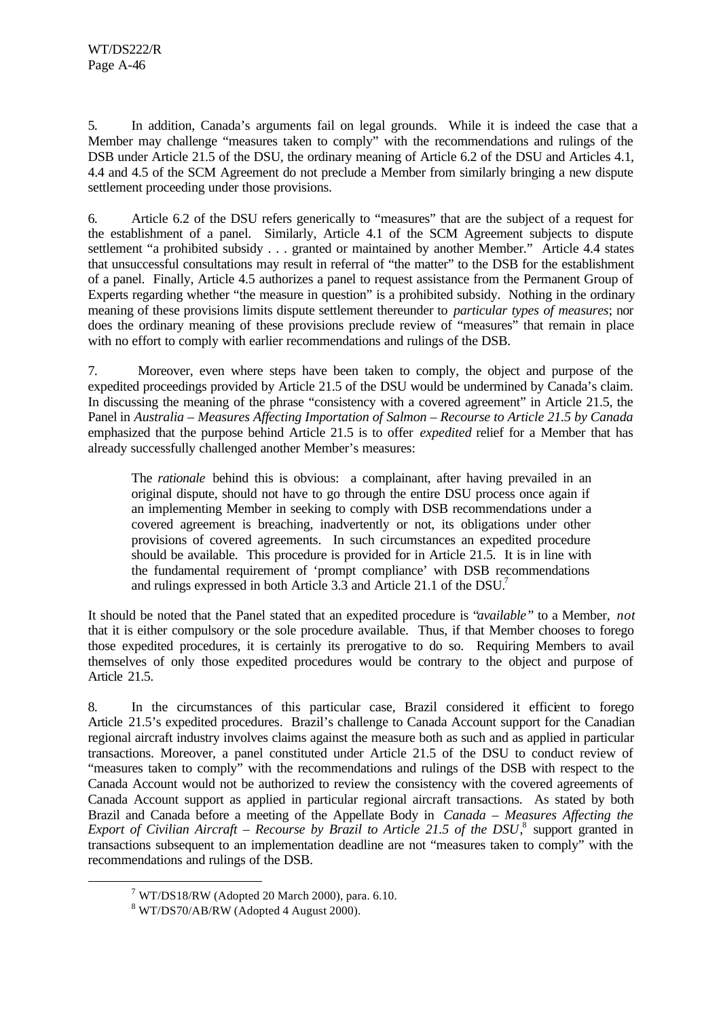5. In addition, Canada's arguments fail on legal grounds. While it is indeed the case that a Member may challenge "measures taken to comply" with the recommendations and rulings of the DSB under Article 21.5 of the DSU, the ordinary meaning of Article 6.2 of the DSU and Articles 4.1, 4.4 and 4.5 of the SCM Agreement do not preclude a Member from similarly bringing a new dispute settlement proceeding under those provisions.

6. Article 6.2 of the DSU refers generically to "measures" that are the subject of a request for the establishment of a panel. Similarly, Article 4.1 of the SCM Agreement subjects to dispute settlement "a prohibited subsidy . . . granted or maintained by another Member." Article 4.4 states that unsuccessful consultations may result in referral of "the matter" to the DSB for the establishment of a panel. Finally, Article 4.5 authorizes a panel to request assistance from the Permanent Group of Experts regarding whether "the measure in question" is a prohibited subsidy. Nothing in the ordinary meaning of these provisions limits dispute settlement thereunder to *particular types of measures*; nor does the ordinary meaning of these provisions preclude review of "measures" that remain in place with no effort to comply with earlier recommendations and rulings of the DSB.

7. Moreover, even where steps have been taken to comply, the object and purpose of the expedited proceedings provided by Article 21.5 of the DSU would be undermined by Canada's claim. In discussing the meaning of the phrase "consistency with a covered agreement" in Article 21.5, the Panel in *Australia – Measures Affecting Importation of Salmon – Recourse to Article 21.5 by Canada* emphasized that the purpose behind Article 21.5 is to offer *expedited* relief for a Member that has already successfully challenged another Member's measures:

The *rationale* behind this is obvious: a complainant, after having prevailed in an original dispute, should not have to go through the entire DSU process once again if an implementing Member in seeking to comply with DSB recommendations under a covered agreement is breaching, inadvertently or not, its obligations under other provisions of covered agreements. In such circumstances an expedited procedure should be available. This procedure is provided for in Article 21.5. It is in line with the fundamental requirement of 'prompt compliance' with DSB recommendations and rulings expressed in both Article 3.3 and Article 21.1 of the DSU.<sup>7</sup>

It should be noted that the Panel stated that an expedited procedure is "*available* " to a Member, *not* that it is either compulsory or the sole procedure available. Thus, if that Member chooses to forego those expedited procedures, it is certainly its prerogative to do so. Requiring Members to avail themselves of only those expedited procedures would be contrary to the object and purpose of Article 21.5.

8. In the circumstances of this particular case, Brazil considered it efficient to forego Article 21.5's expedited procedures. Brazil's challenge to Canada Account support for the Canadian regional aircraft industry involves claims against the measure both as such and as applied in particular transactions. Moreover, a panel constituted under Article 21.5 of the DSU to conduct review of "measures taken to comply" with the recommendations and rulings of the DSB with respect to the Canada Account would not be authorized to review the consistency with the covered agreements of Canada Account support as applied in particular regional aircraft transactions. As stated by both Brazil and Canada before a meeting of the Appellate Body in *Canada – Measures Affecting the Export of Civilian Aircraft – Recourse by Brazil to Article 21.5 of the DSU*,<sup>8</sup> support granted in transactions subsequent to an implementation deadline are not "measures taken to comply" with the recommendations and rulings of the DSB.

 $7$  WT/DS18/RW (Adopted 20 March 2000), para. 6.10.

<sup>8</sup> WT/DS70/AB/RW (Adopted 4 August 2000).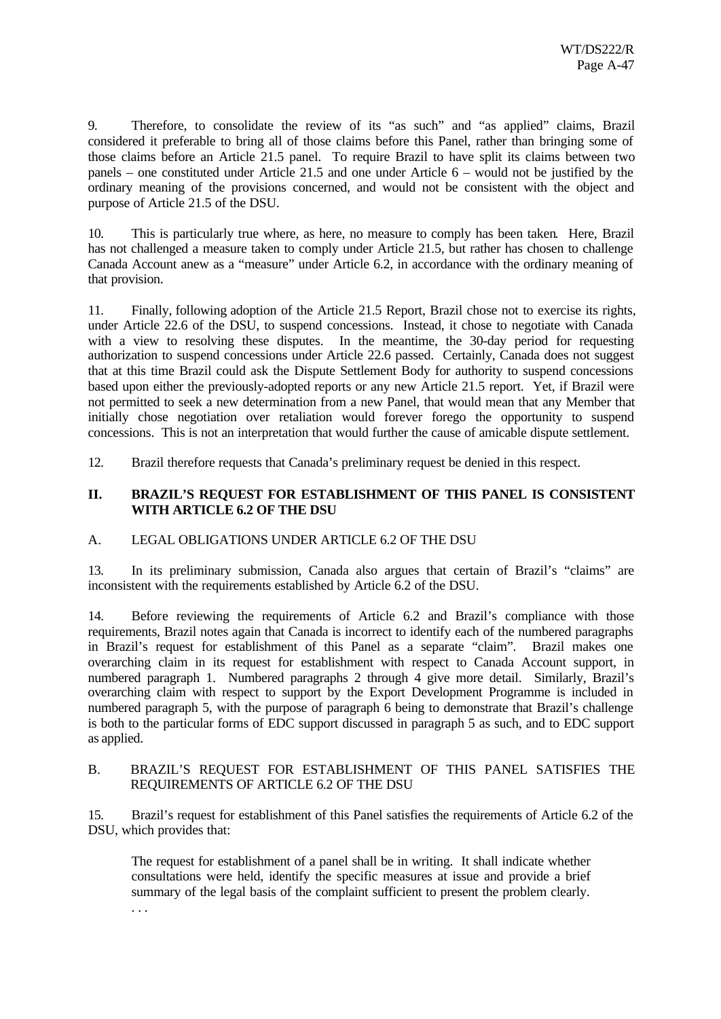9. Therefore, to consolidate the review of its "as such" and "as applied" claims, Brazil considered it preferable to bring all of those claims before this Panel, rather than bringing some of those claims before an Article 21.5 panel. To require Brazil to have split its claims between two panels – one constituted under Article 21.5 and one under Article 6 – would not be justified by the ordinary meaning of the provisions concerned, and would not be consistent with the object and purpose of Article 21.5 of the DSU.

10. This is particularly true where, as here, no measure to comply has been taken. Here, Brazil has not challenged a measure taken to comply under Article 21.5, but rather has chosen to challenge Canada Account anew as a "measure" under Article 6.2, in accordance with the ordinary meaning of that provision.

11. Finally, following adoption of the Article 21.5 Report, Brazil chose not to exercise its rights, under Article 22.6 of the DSU, to suspend concessions. Instead, it chose to negotiate with Canada with a view to resolving these disputes. In the meantime, the 30-day period for requesting authorization to suspend concessions under Article 22.6 passed. Certainly, Canada does not suggest that at this time Brazil could ask the Dispute Settlement Body for authority to suspend concessions based upon either the previously-adopted reports or any new Article 21.5 report. Yet, if Brazil were not permitted to seek a new determination from a new Panel, that would mean that any Member that initially chose negotiation over retaliation would forever forego the opportunity to suspend concessions. This is not an interpretation that would further the cause of amicable dispute settlement.

12. Brazil therefore requests that Canada's preliminary request be denied in this respect.

#### **II. BRAZIL'S REQUEST FOR ESTABLISHMENT OF THIS PANEL IS CONSISTENT WITH ARTICLE 6.2 OF THE DSU**

#### A. LEGAL OBLIGATIONS UNDER ARTICLE 6.2 OF THE DSU

13. In its preliminary submission, Canada also argues that certain of Brazil's "claims" are inconsistent with the requirements established by Article 6.2 of the DSU.

14. Before reviewing the requirements of Article 6.2 and Brazil's compliance with those requirements, Brazil notes again that Canada is incorrect to identify each of the numbered paragraphs in Brazil's request for establishment of this Panel as a separate "claim". Brazil makes one overarching claim in its request for establishment with respect to Canada Account support, in numbered paragraph 1. Numbered paragraphs 2 through 4 give more detail. Similarly, Brazil's overarching claim with respect to support by the Export Development Programme is included in numbered paragraph 5, with the purpose of paragraph 6 being to demonstrate that Brazil's challenge is both to the particular forms of EDC support discussed in paragraph 5 as such, and to EDC support as applied.

#### B. BRAZIL'S REQUEST FOR ESTABLISHMENT OF THIS PANEL SATISFIES THE REQUIREMENTS OF ARTICLE 6.2 OF THE DSU

15. Brazil's request for establishment of this Panel satisfies the requirements of Article 6.2 of the DSU, which provides that:

The request for establishment of a panel shall be in writing. It shall indicate whether consultations were held, identify the specific measures at issue and provide a brief summary of the legal basis of the complaint sufficient to present the problem clearly. . . .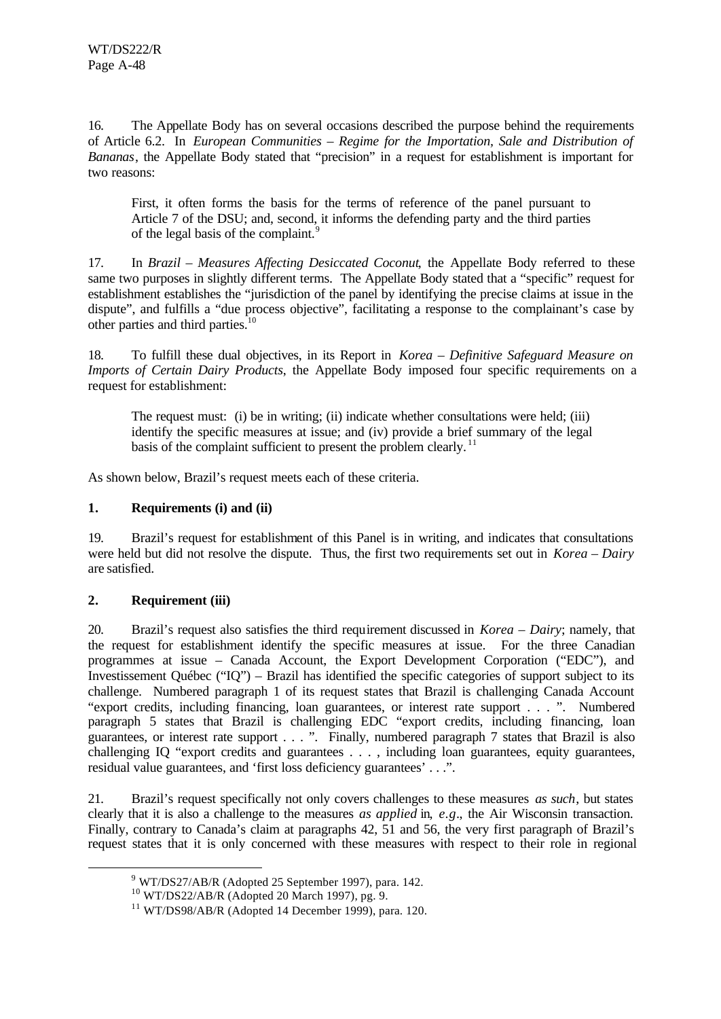16. The Appellate Body has on several occasions described the purpose behind the requirements of Article 6.2. In *European Communities – Regime for the Importation, Sale and Distribution of Bananas*, the Appellate Body stated that "precision" in a request for establishment is important for two reasons:

First, it often forms the basis for the terms of reference of the panel pursuant to Article 7 of the DSU; and, second, it informs the defending party and the third parties of the legal basis of the complaint.<sup>9</sup>

17. In *Brazil – Measures Affecting Desiccated Coconut*, the Appellate Body referred to these same two purposes in slightly different terms. The Appellate Body stated that a "specific" request for establishment establishes the "jurisdiction of the panel by identifying the precise claims at issue in the dispute", and fulfills a "due process objective", facilitating a response to the complainant's case by other parties and third parties.<sup>10</sup>

18. To fulfill these dual objectives, in its Report in *Korea – Definitive Safeguard Measure on Imports of Certain Dairy Products*, the Appellate Body imposed four specific requirements on a request for establishment:

The request must: (i) be in writing; (ii) indicate whether consultations were held; (iii) identify the specific measures at issue; and (iv) provide a brief summary of the legal basis of the complaint sufficient to present the problem clearly.<sup>11</sup>

As shown below, Brazil's request meets each of these criteria.

## **1. Requirements (i) and (ii)**

19. Brazil's request for establishment of this Panel is in writing, and indicates that consultations were held but did not resolve the dispute. Thus, the first two requirements set out in *Korea – Dairy* are satisfied.

## **2. Requirement (iii)**

l

20. Brazil's request also satisfies the third requirement discussed in *Korea – Dairy*; namely, that the request for establishment identify the specific measures at issue. For the three Canadian programmes at issue – Canada Account, the Export Development Corporation ("EDC"), and Investissement Québec ("IQ") – Brazil has identified the specific categories of support subject to its challenge. Numbered paragraph 1 of its request states that Brazil is challenging Canada Account "export credits, including financing, loan guarantees, or interest rate support . . . ". Numbered paragraph 5 states that Brazil is challenging EDC "export credits, including financing, loan guarantees, or interest rate support . . . ". Finally, numbered paragraph 7 states that Brazil is also challenging IQ "export credits and guarantees . . . , including loan guarantees, equity guarantees, residual value guarantees, and 'first loss deficiency guarantees' . . .".

21. Brazil's request specifically not only covers challenges to these measures *as such*, but states clearly that it is also a challenge to the measures *as applied* in, *e.g*., the Air Wisconsin transaction. Finally, contrary to Canada's claim at paragraphs 42, 51 and 56, the very first paragraph of Brazil's request states that it is only concerned with these measures with respect to their role in regional

 $9$  WT/DS27/AB/R (Adopted 25 September 1997), para. 142.

<sup>10</sup> WT/DS22/AB/R (Adopted 20 March 1997), pg. 9.

<sup>11</sup> WT/DS98/AB/R (Adopted 14 December 1999), para. 120.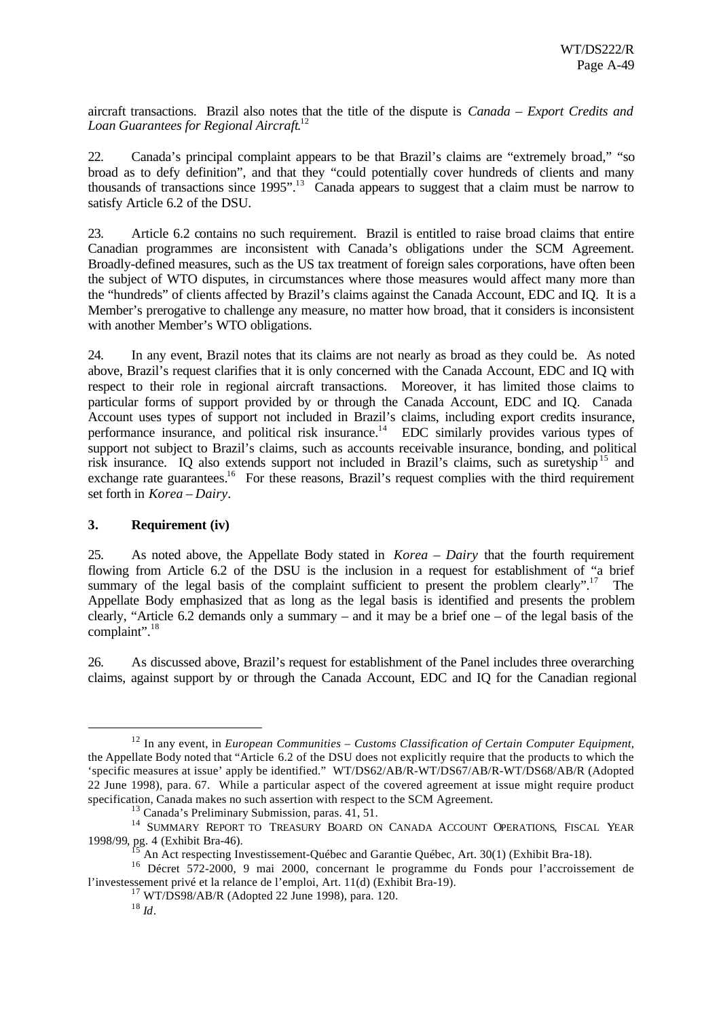aircraft transactions. Brazil also notes that the title of the dispute is *Canada – Export Credits and Loan Guarantees for Regional Aircraft*. 12

22. Canada's principal complaint appears to be that Brazil's claims are "extremely broad," "so broad as to defy definition", and that they "could potentially cover hundreds of clients and many thousands of transactions since  $1995$ ".<sup>13</sup> Canada appears to suggest that a claim must be narrow to satisfy Article 6.2 of the DSU.

23. Article 6.2 contains no such requirement. Brazil is entitled to raise broad claims that entire Canadian programmes are inconsistent with Canada's obligations under the SCM Agreement. Broadly-defined measures, such as the US tax treatment of foreign sales corporations, have often been the subject of WTO disputes, in circumstances where those measures would affect many more than the "hundreds" of clients affected by Brazil's claims against the Canada Account, EDC and IQ. It is a Member's prerogative to challenge any measure, no matter how broad, that it considers is inconsistent with another Member's WTO obligations.

24. In any event, Brazil notes that its claims are not nearly as broad as they could be. As noted above, Brazil's request clarifies that it is only concerned with the Canada Account, EDC and IQ with respect to their role in regional aircraft transactions. Moreover, it has limited those claims to particular forms of support provided by or through the Canada Account, EDC and IQ. Canada Account uses types of support not included in Brazil's claims, including export credits insurance, performance insurance, and political risk insurance.<sup>14</sup> EDC similarly provides various types of support not subject to Brazil's claims, such as accounts receivable insurance, bonding, and political risk insurance. IQ also extends support not included in Brazil's claims, such as suretyship<sup>15</sup> and exchange rate guarantees.<sup>16</sup> For these reasons, Brazil's request complies with the third requirement set forth in *Korea – Dairy*.

#### **3. Requirement (iv)**

25. As noted above, the Appellate Body stated in *Korea – Dairy* that the fourth requirement flowing from Article 6.2 of the DSU is the inclusion in a request for establishment of "a brief summary of the legal basis of the complaint sufficient to present the problem clearly".<sup>17</sup> The Appellate Body emphasized that as long as the legal basis is identified and presents the problem clearly, "Article 6.2 demands only a summary – and it may be a brief one – of the legal basis of the complaint".<sup>18</sup>

26. As discussed above, Brazil's request for establishment of the Panel includes three overarching claims, against support by or through the Canada Account, EDC and IQ for the Canadian regional

<sup>12</sup> In any event, in *European Communities – Customs Classification of Certain Computer Equipment*, the Appellate Body noted that "Article 6.2 of the DSU does not explicitly require that the products to which the 'specific measures at issue' apply be identified." WT/DS62/AB/R-WT/DS67/AB/R-WT/DS68/AB/R (Adopted 22 June 1998), para. 67. While a particular aspect of the covered agreement at issue might require product specification, Canada makes no such assertion with respect to the SCM Agreement.

 $13$  Canada's Preliminary Submission, paras. 41, 51.

<sup>&</sup>lt;sup>14</sup> SUMMARY REPORT TO TREASURY BOARD ON CANADA ACCOUNT OPERATIONS, FISCAL YEAR 1998/99, pg. 4 (Exhibit Bra-46).

<sup>15</sup> An Act respecting Investissement-Québec and Garantie Québec, Art. 30(1) (Exhibit Bra-18).

<sup>16</sup> Décret 572-2000, 9 mai 2000, concernant le programme du Fonds pour l'accroissement de l'investessement privé et la relance de l'emploi, Art. 11(d) (Exhibit Bra-19).

 $17$  WT/DS98/AB/R (Adopted 22 June 1998), para. 120.

<sup>18</sup> *Id*.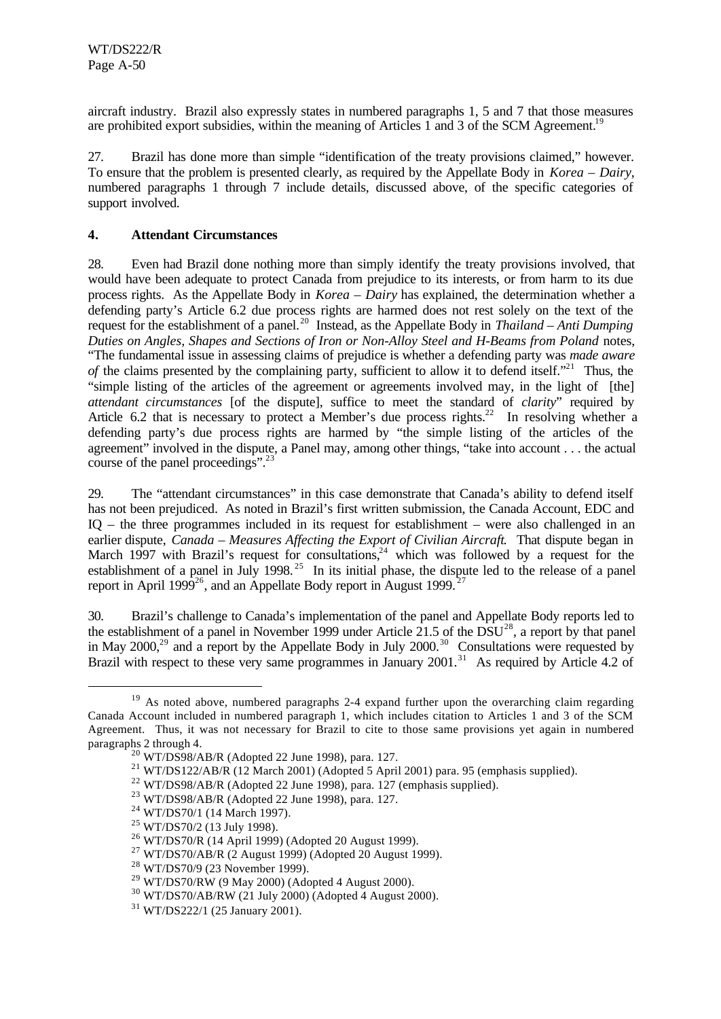aircraft industry. Brazil also expressly states in numbered paragraphs 1, 5 and 7 that those measures are prohibited export subsidies, within the meaning of Articles 1 and 3 of the SCM Agreement.<sup>19</sup>

27. Brazil has done more than simple "identification of the treaty provisions claimed," however. To ensure that the problem is presented clearly, as required by the Appellate Body in *Korea – Dairy*, numbered paragraphs 1 through 7 include details, discussed above, of the specific categories of support involved.

## **4. Attendant Circumstances**

28. Even had Brazil done nothing more than simply identify the treaty provisions involved, that would have been adequate to protect Canada from prejudice to its interests, or from harm to its due process rights. As the Appellate Body in *Korea – Dairy* has explained, the determination whether a defending party's Article 6.2 due process rights are harmed does not rest solely on the text of the request for the establishment of a panel.<sup>20</sup> Instead, as the Appellate Body in *Thailand – Anti Dumping Duties on Angles, Shapes and Sections of Iron or Non-Alloy Steel and H-Beams from Poland* notes, "The fundamental issue in assessing claims of prejudice is whether a defending party was *made aware of* the claims presented by the complaining party, sufficient to allow it to defend itself."<sup>21</sup> Thus, the "simple listing of the articles of the agreement or agreements involved may, in the light of [the] *attendant circumstances* [of the dispute], suffice to meet the standard of *clarity*" required by Article 6.2 that is necessary to protect a Member's due process rights.<sup>22</sup> In resolving whether a defending party's due process rights are harmed by "the simple listing of the articles of the agreement" involved in the dispute, a Panel may, among other things, "take into account . . . the actual course of the panel proceedings".<sup>2</sup>

29. The "attendant circumstances" in this case demonstrate that Canada's ability to defend itself has not been prejudiced. As noted in Brazil's first written submission, the Canada Account, EDC and IQ – the three programmes included in its request for establishment – were also challenged in an earlier dispute, *Canada – Measures Affecting the Export of Civilian Aircraft*. That dispute began in March 1997 with Brazil's request for consultations,<sup>24</sup> which was followed by a request for the establishment of a panel in July 1998.<sup>25</sup> In its initial phase, the dispute led to the release of a panel report in April 1999<sup>26</sup>, and an Appellate Body report in August 1999.

30. Brazil's challenge to Canada's implementation of the panel and Appellate Body reports led to the establishment of a panel in November 1999 under Article 21.5 of the DSU<sup>28</sup>, a report by that panel in May  $2000$ ,<sup>29</sup> and a report by the Appellate Body in July  $2000$ .<sup>30</sup> Consultations were requested by Brazil with respect to these very same programmes in January  $2001$ .<sup>31</sup> As required by Article 4.2 of

<sup>24</sup> WT/DS70/1 (14 March 1997).

<sup>&</sup>lt;sup>19</sup> As noted above, numbered paragraphs 2-4 expand further upon the overarching claim regarding Canada Account included in numbered paragraph 1, which includes citation to Articles 1 and 3 of the SCM Agreement. Thus, it was not necessary for Brazil to cite to those same provisions yet again in numbered paragraphs 2 through 4.

 $^{20}$  WT/DS98/AB/R (Adopted 22 June 1998), para. 127.

<sup>21</sup> WT/DS122/AB/R (12 March 2001) (Adopted 5 April 2001) para. 95 (emphasis supplied).

<sup>22</sup> WT/DS98/AB/R (Adopted 22 June 1998), para. 127 (emphasis supplied).

<sup>23</sup> WT/DS98/AB/R (Adopted 22 June 1998), para. 127.

<sup>25</sup> WT/DS70/2 (13 July 1998).

<sup>26</sup> WT/DS70/R (14 April 1999) (Adopted 20 August 1999).

 $27$  WT/DS70/AB/R (2 August 1999) (Adopted 20 August 1999).

<sup>28</sup> WT/DS70/9 (23 November 1999).

<sup>29</sup> WT/DS70/RW (9 May 2000) (Adopted 4 August 2000).

<sup>30</sup> WT/DS70/AB/RW (21 July 2000) (Adopted 4 August 2000).

<sup>31</sup> WT/DS222/1 (25 January 2001).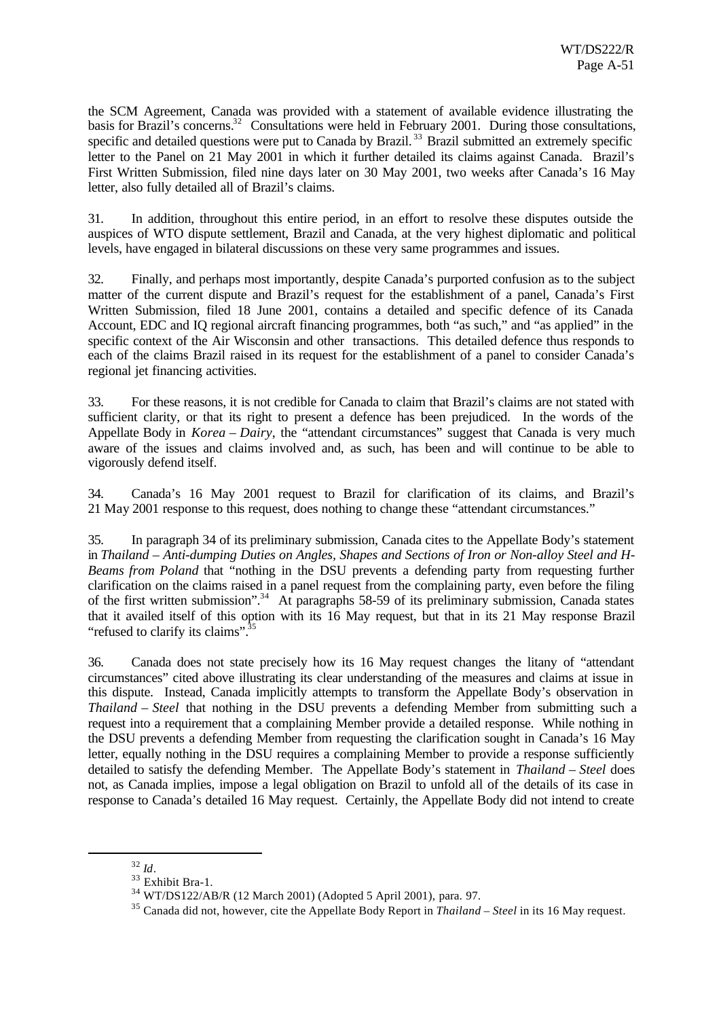the SCM Agreement, Canada was provided with a statement of available evidence illustrating the basis for Brazil's concerns.<sup>32</sup> Consultations were held in February 2001. During those consultations, specific and detailed questions were put to Canada by Brazil.<sup>33</sup> Brazil submitted an extremely specific letter to the Panel on 21 May 2001 in which it further detailed its claims against Canada. Brazil's First Written Submission, filed nine days later on 30 May 2001, two weeks after Canada's 16 May letter, also fully detailed all of Brazil's claims.

31. In addition, throughout this entire period, in an effort to resolve these disputes outside the auspices of WTO dispute settlement, Brazil and Canada, at the very highest diplomatic and political levels, have engaged in bilateral discussions on these very same programmes and issues.

32. Finally, and perhaps most importantly, despite Canada's purported confusion as to the subject matter of the current dispute and Brazil's request for the establishment of a panel, Canada's First Written Submission, filed 18 June 2001, contains a detailed and specific defence of its Canada Account, EDC and IQ regional aircraft financing programmes, both "as such," and "as applied" in the specific context of the Air Wisconsin and other transactions. This detailed defence thus responds to each of the claims Brazil raised in its request for the establishment of a panel to consider Canada's regional jet financing activities.

33. For these reasons, it is not credible for Canada to claim that Brazil's claims are not stated with sufficient clarity, or that its right to present a defence has been prejudiced. In the words of the Appellate Body in *Korea – Dairy*, the "attendant circumstances" suggest that Canada is very much aware of the issues and claims involved and, as such, has been and will continue to be able to vigorously defend itself.

34. Canada's 16 May 2001 request to Brazil for clarification of its claims, and Brazil's 21 May 2001 response to this request, does nothing to change these "attendant circumstances."

35. In paragraph 34 of its preliminary submission, Canada cites to the Appellate Body's statement in *Thailand – Anti-dumping Duties on Angles, Shapes and Sections of Iron or Non-alloy Steel and H-Beams from Poland* that "nothing in the DSU prevents a defending party from requesting further clarification on the claims raised in a panel request from the complaining party, even before the filing of the first written submission".<sup>34</sup> At paragraphs 58-59 of its preliminary submission, Canada states that it availed itself of this option with its 16 May request, but that in its 21 May response Brazil "refused to clarify its claims".<sup>35</sup>

36. Canada does not state precisely how its 16 May request changes the litany of "attendant circumstances" cited above illustrating its clear understanding of the measures and claims at issue in this dispute. Instead, Canada implicitly attempts to transform the Appellate Body's observation in *Thailand – Steel* that nothing in the DSU prevents a defending Member from submitting such a request into a requirement that a complaining Member provide a detailed response. While nothing in the DSU prevents a defending Member from requesting the clarification sought in Canada's 16 May letter, equally nothing in the DSU requires a complaining Member to provide a response sufficiently detailed to satisfy the defending Member. The Appellate Body's statement in *Thailand – Steel* does not, as Canada implies, impose a legal obligation on Brazil to unfold all of the details of its case in response to Canada's detailed 16 May request. Certainly, the Appellate Body did not intend to create

<sup>32</sup> *Id*.

<sup>33</sup> Exhibit Bra-1.

<sup>34</sup> WT/DS122/AB/R (12 March 2001) (Adopted 5 April 2001), para. 97.

<sup>35</sup> Canada did not, however, cite the Appellate Body Report in *Thailand – Steel* in its 16 May request.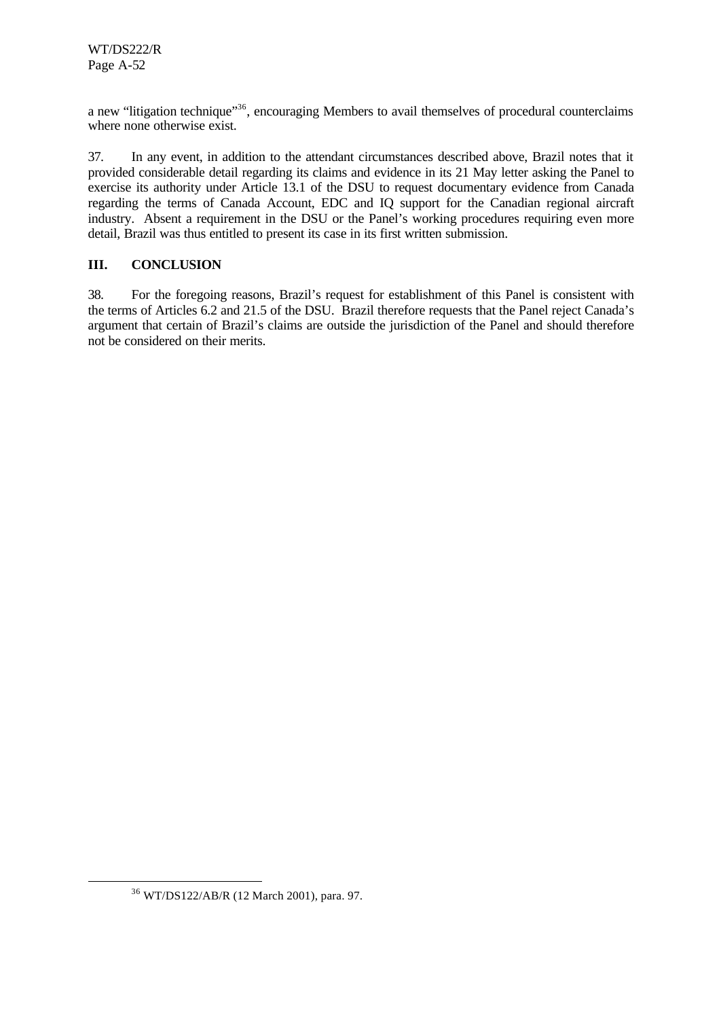a new "litigation technique"<sup>36</sup>, encouraging Members to avail themselves of procedural counterclaims where none otherwise exist.

37. In any event, in addition to the attendant circumstances described above, Brazil notes that it provided considerable detail regarding its claims and evidence in its 21 May letter asking the Panel to exercise its authority under Article 13.1 of the DSU to request documentary evidence from Canada regarding the terms of Canada Account, EDC and IQ support for the Canadian regional aircraft industry. Absent a requirement in the DSU or the Panel's working procedures requiring even more detail, Brazil was thus entitled to present its case in its first written submission.

## **III. CONCLUSION**

38. For the foregoing reasons, Brazil's request for establishment of this Panel is consistent with the terms of Articles 6.2 and 21.5 of the DSU. Brazil therefore requests that the Panel reject Canada's argument that certain of Brazil's claims are outside the jurisdiction of the Panel and should therefore not be considered on their merits.

<sup>36</sup> WT/DS122/AB/R (12 March 2001), para. 97.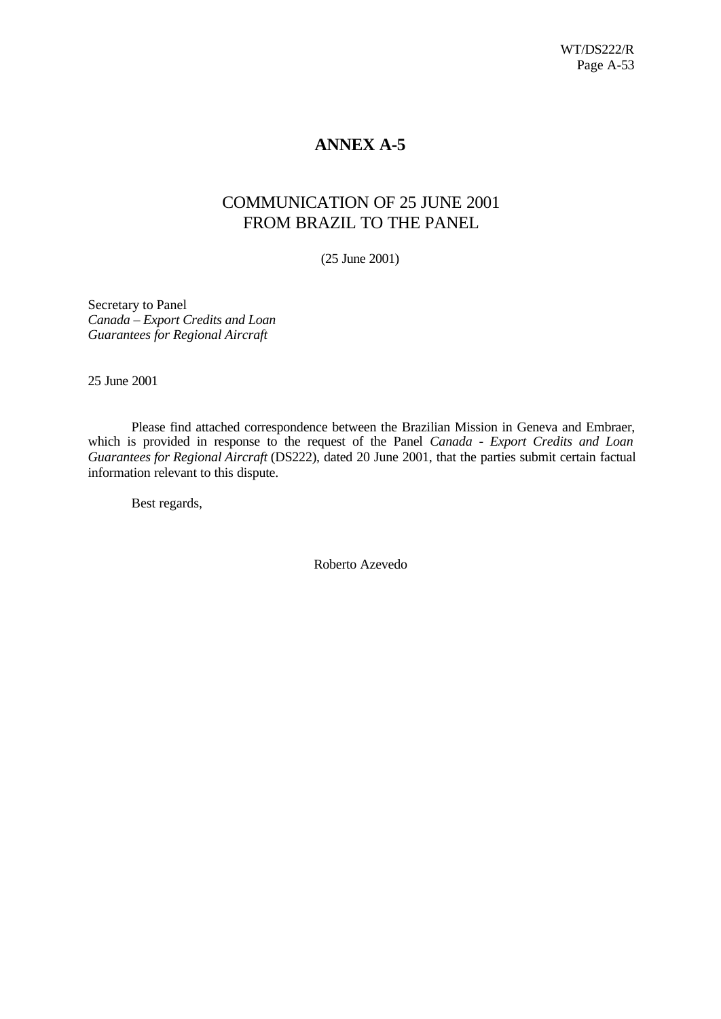## **ANNEX A-5**

## COMMUNICATION OF 25 JUNE 2001 FROM BRAZIL TO THE PANEL

(25 June 2001)

Secretary to Panel *Canada – Export Credits and Loan Guarantees for Regional Aircraft*

25 June 2001

Please find attached correspondence between the Brazilian Mission in Geneva and Embraer, which is provided in response to the request of the Panel *Canada - Export Credits and Loan Guarantees for Regional Aircraft* (DS222), dated 20 June 2001, that the parties submit certain factual information relevant to this dispute.

Best regards,

Roberto Azevedo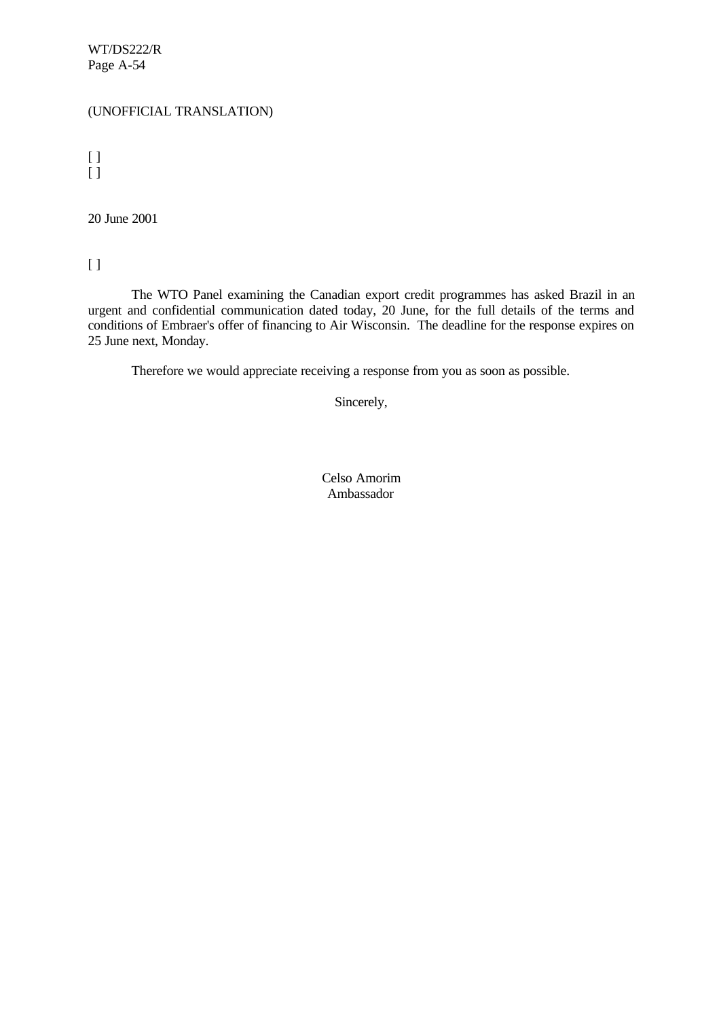WT/DS222/R Page A-54

## (UNOFFICIAL TRANSLATION)

[ ]  $\overline{1}$ 

20 June 2001

[ ]

The WTO Panel examining the Canadian export credit programmes has asked Brazil in an urgent and confidential communication dated today, 20 June, for the full details of the terms and conditions of Embraer's offer of financing to Air Wisconsin. The deadline for the response expires on 25 June next, Monday.

Therefore we would appreciate receiving a response from you as soon as possible.

Sincerely,

Celso Amorim Ambassador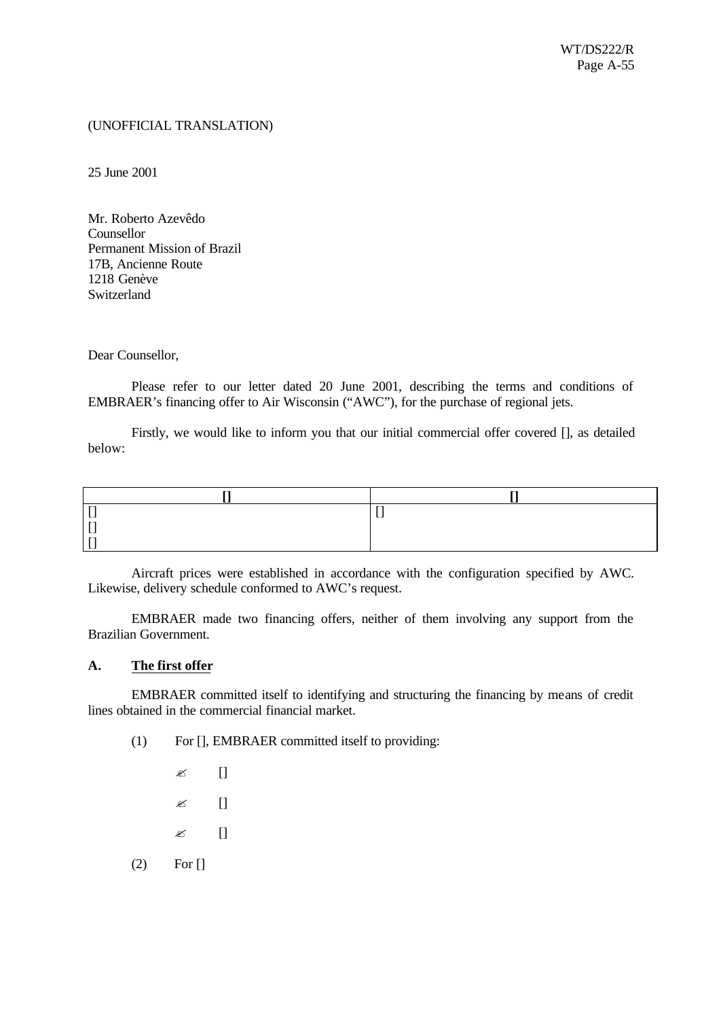#### (UNOFFICIAL TRANSLATION)

25 June 2001

Mr. Roberto Azevêdo Counsellor Permanent Mission of Brazil 17B, Ancienne Route 1218 Genève Switzerland

Dear Counsellor,

Please refer to our letter dated 20 June 2001, describing the terms and conditions of EMBRAER's financing offer to Air Wisconsin ("AWC"), for the purchase of regional jets.

Firstly, we would like to inform you that our initial commercial offer covered [], as detailed below:

Aircraft prices were established in accordance with the configuration specified by AWC. Likewise, delivery schedule conformed to AWC's request.

EMBRAER made two financing offers, neither of them involving any support from the Brazilian Government.

#### **A. The first offer**

EMBRAER committed itself to identifying and structuring the financing by means of credit lines obtained in the commercial financial market.

- (1) For [], EMBRAER committed itself to providing:
- $\lbrack \mathscr{L} \rbrack$  $\lbrack \mathscr{L} \rbrack$  $\lbrack \mathscr{L} \rbrack$ (2) For []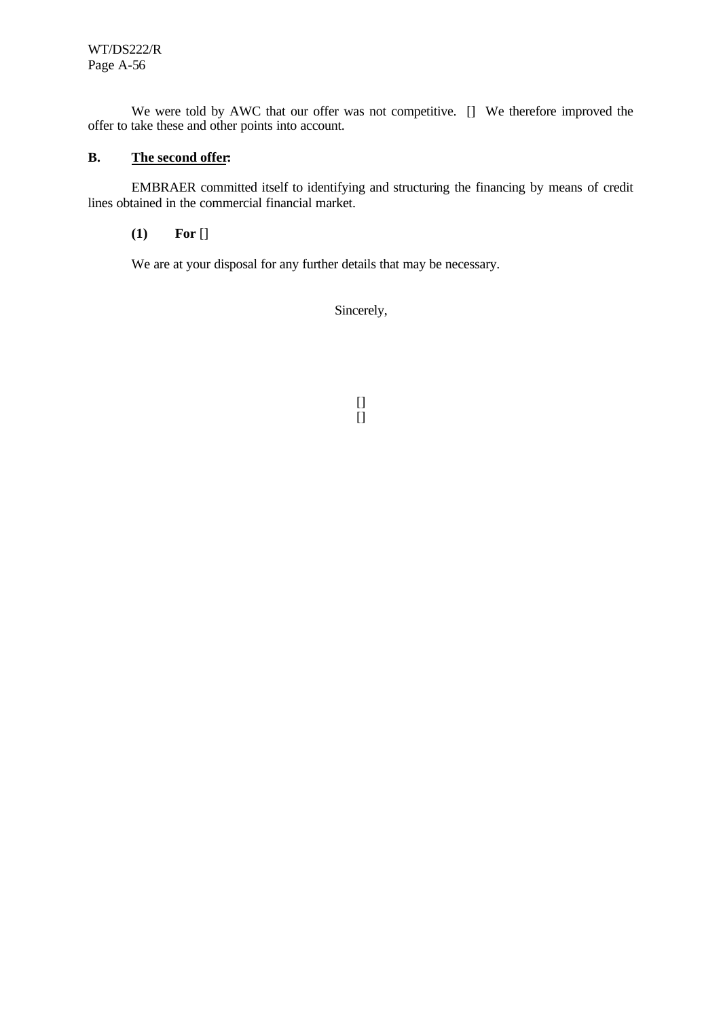We were told by AWC that our offer was not competitive. [] We therefore improved the offer to take these and other points into account.

## **B. The second offer:**

EMBRAER committed itself to identifying and structuring the financing by means of credit lines obtained in the commercial financial market.

## **(1) For** []

We are at your disposal for any further details that may be necessary.

Sincerely,

[] []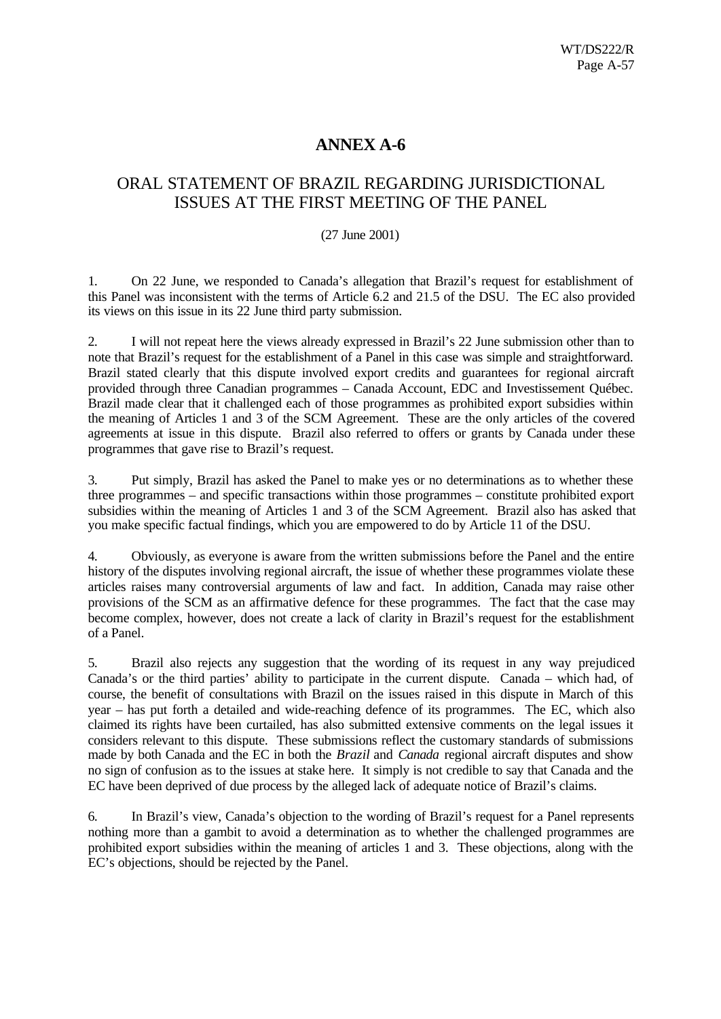## **ANNEX A-6**

## ORAL STATEMENT OF BRAZIL REGARDING JURISDICTIONAL ISSUES AT THE FIRST MEETING OF THE PANEL

#### (27 June 2001)

1. On 22 June, we responded to Canada's allegation that Brazil's request for establishment of this Panel was inconsistent with the terms of Article 6.2 and 21.5 of the DSU. The EC also provided its views on this issue in its 22 June third party submission.

2. I will not repeat here the views already expressed in Brazil's 22 June submission other than to note that Brazil's request for the establishment of a Panel in this case was simple and straightforward. Brazil stated clearly that this dispute involved export credits and guarantees for regional aircraft provided through three Canadian programmes – Canada Account, EDC and Investissement Québec. Brazil made clear that it challenged each of those programmes as prohibited export subsidies within the meaning of Articles 1 and 3 of the SCM Agreement. These are the only articles of the covered agreements at issue in this dispute. Brazil also referred to offers or grants by Canada under these programmes that gave rise to Brazil's request.

3. Put simply, Brazil has asked the Panel to make yes or no determinations as to whether these three programmes – and specific transactions within those programmes – constitute prohibited export subsidies within the meaning of Articles 1 and 3 of the SCM Agreement. Brazil also has asked that you make specific factual findings, which you are empowered to do by Article 11 of the DSU.

4. Obviously, as everyone is aware from the written submissions before the Panel and the entire history of the disputes involving regional aircraft, the issue of whether these programmes violate these articles raises many controversial arguments of law and fact. In addition, Canada may raise other provisions of the SCM as an affirmative defence for these programmes. The fact that the case may become complex, however, does not create a lack of clarity in Brazil's request for the establishment of a Panel.

5. Brazil also rejects any suggestion that the wording of its request in any way prejudiced Canada's or the third parties' ability to participate in the current dispute. Canada – which had, of course, the benefit of consultations with Brazil on the issues raised in this dispute in March of this year – has put forth a detailed and wide-reaching defence of its programmes. The EC, which also claimed its rights have been curtailed, has also submitted extensive comments on the legal issues it considers relevant to this dispute. These submissions reflect the customary standards of submissions made by both Canada and the EC in both the *Brazil* and *Canada* regional aircraft disputes and show no sign of confusion as to the issues at stake here. It simply is not credible to say that Canada and the EC have been deprived of due process by the alleged lack of adequate notice of Brazil's claims.

6. In Brazil's view, Canada's objection to the wording of Brazil's request for a Panel represents nothing more than a gambit to avoid a determination as to whether the challenged programmes are prohibited export subsidies within the meaning of articles 1 and 3. These objections, along with the EC's objections, should be rejected by the Panel.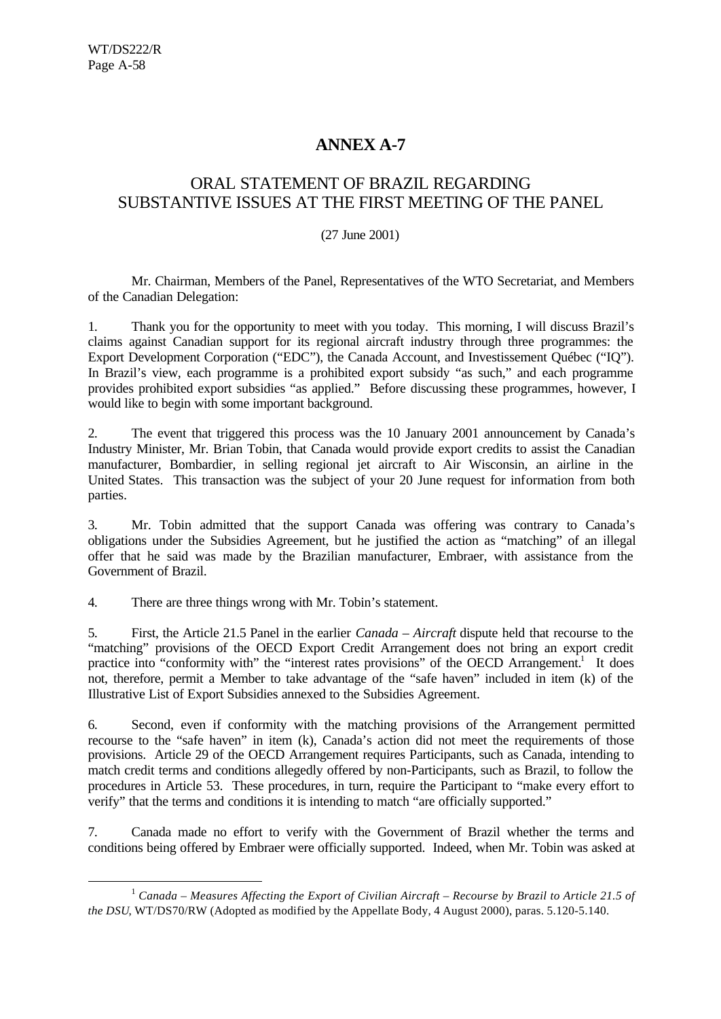l

## **ANNEX A-7**

## ORAL STATEMENT OF BRAZIL REGARDING SUBSTANTIVE ISSUES AT THE FIRST MEETING OF THE PANEL

### (27 June 2001)

Mr. Chairman, Members of the Panel, Representatives of the WTO Secretariat, and Members of the Canadian Delegation:

1. Thank you for the opportunity to meet with you today. This morning, I will discuss Brazil's claims against Canadian support for its regional aircraft industry through three programmes: the Export Development Corporation ("EDC"), the Canada Account, and Investissement Québec ("IQ"). In Brazil's view, each programme is a prohibited export subsidy "as such," and each programme provides prohibited export subsidies "as applied." Before discussing these programmes, however, I would like to begin with some important background.

2. The event that triggered this process was the 10 January 2001 announcement by Canada's Industry Minister, Mr. Brian Tobin, that Canada would provide export credits to assist the Canadian manufacturer, Bombardier, in selling regional jet aircraft to Air Wisconsin, an airline in the United States. This transaction was the subject of your 20 June request for information from both parties.

3. Mr. Tobin admitted that the support Canada was offering was contrary to Canada's obligations under the Subsidies Agreement, but he justified the action as "matching" of an illegal offer that he said was made by the Brazilian manufacturer, Embraer, with assistance from the Government of Brazil.

4. There are three things wrong with Mr. Tobin's statement.

5. First, the Article 21.5 Panel in the earlier *Canada – Aircraft* dispute held that recourse to the "matching" provisions of the OECD Export Credit Arrangement does not bring an export credit practice into "conformity with" the "interest rates provisions" of the OECD Arrangement.<sup>1</sup> It does not, therefore, permit a Member to take advantage of the "safe haven" included in item (k) of the Illustrative List of Export Subsidies annexed to the Subsidies Agreement.

6. Second, even if conformity with the matching provisions of the Arrangement permitted recourse to the "safe haven" in item (k), Canada's action did not meet the requirements of those provisions. Article 29 of the OECD Arrangement requires Participants, such as Canada, intending to match credit terms and conditions allegedly offered by non-Participants, such as Brazil, to follow the procedures in Article 53. These procedures, in turn, require the Participant to "make every effort to verify" that the terms and conditions it is intending to match "are officially supported."

7. Canada made no effort to verify with the Government of Brazil whether the terms and conditions being offered by Embraer were officially supported. Indeed, when Mr. Tobin was asked at

<sup>1</sup> *Canada – Measures Affecting the Export of Civilian Aircraft – Recourse by Brazil to Article 21.5 of the DSU*, WT/DS70/RW (Adopted as modified by the Appellate Body, 4 August 2000), paras. 5.120-5.140.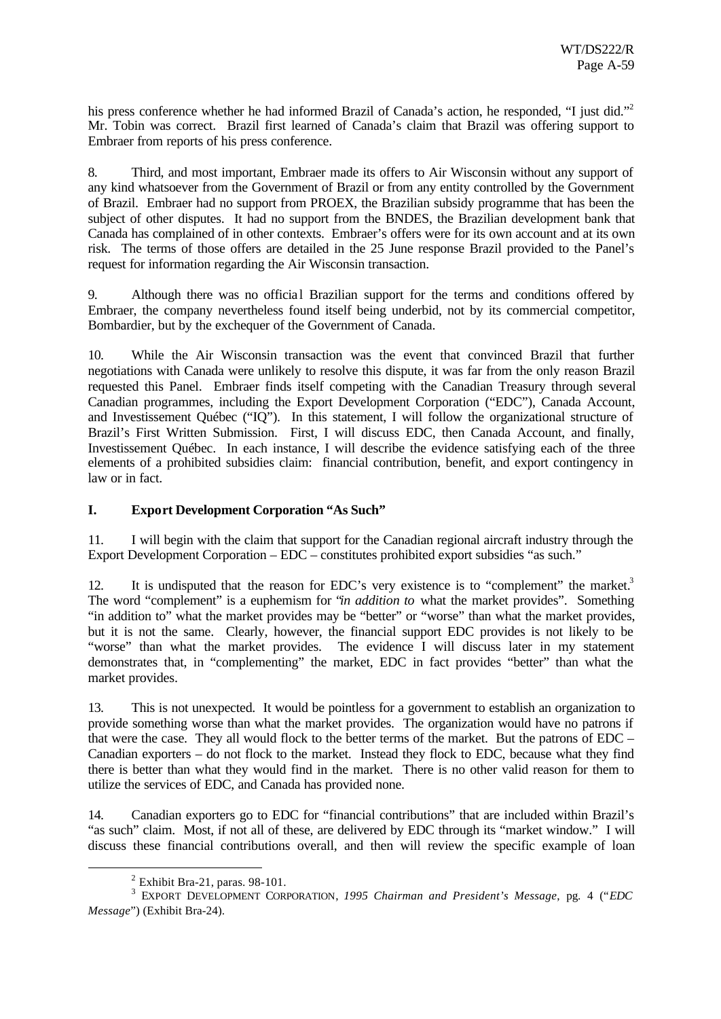his press conference whether he had informed Brazil of Canada's action, he responded, "I just did."<sup>2</sup> Mr. Tobin was correct. Brazil first learned of Canada's claim that Brazil was offering support to Embraer from reports of his press conference.

8. Third, and most important, Embraer made its offers to Air Wisconsin without any support of any kind whatsoever from the Government of Brazil or from any entity controlled by the Government of Brazil. Embraer had no support from PROEX, the Brazilian subsidy programme that has been the subject of other disputes. It had no support from the BNDES, the Brazilian development bank that Canada has complained of in other contexts. Embraer's offers were for its own account and at its own risk. The terms of those offers are detailed in the 25 June response Brazil provided to the Panel's request for information regarding the Air Wisconsin transaction.

9. Although there was no officia l Brazilian support for the terms and conditions offered by Embraer, the company nevertheless found itself being underbid, not by its commercial competitor, Bombardier, but by the exchequer of the Government of Canada.

10. While the Air Wisconsin transaction was the event that convinced Brazil that further negotiations with Canada were unlikely to resolve this dispute, it was far from the only reason Brazil requested this Panel. Embraer finds itself competing with the Canadian Treasury through several Canadian programmes, including the Export Development Corporation ("EDC"), Canada Account, and Investissement Québec ("IQ"). In this statement, I will follow the organizational structure of Brazil's First Written Submission. First, I will discuss EDC, then Canada Account, and finally, Investissement Québec. In each instance, I will describe the evidence satisfying each of the three elements of a prohibited subsidies claim: financial contribution, benefit, and export contingency in law or in fact.

## **I. Export Development Corporation "As Such"**

11. I will begin with the claim that support for the Canadian regional aircraft industry through the Export Development Corporation – EDC – constitutes prohibited export subsidies "as such."

12. It is undisputed that the reason for EDC's very existence is to "complement" the market.<sup>3</sup> The word "complement" is a euphemism for "*in addition to* what the market provides". Something "in addition to" what the market provides may be "better" or "worse" than what the market provides, but it is not the same. Clearly, however, the financial support EDC provides is not likely to be "worse" than what the market provides. The evidence I will discuss later in my statement demonstrates that, in "complementing" the market, EDC in fact provides "better" than what the market provides.

13. This is not unexpected. It would be pointless for a government to establish an organization to provide something worse than what the market provides. The organization would have no patrons if that were the case. They all would flock to the better terms of the market. But the patrons of EDC – Canadian exporters – do not flock to the market. Instead they flock to EDC, because what they find there is better than what they would find in the market. There is no other valid reason for them to utilize the services of EDC, and Canada has provided none.

14. Canadian exporters go to EDC for "financial contributions" that are included within Brazil's "as such" claim. Most, if not all of these, are delivered by EDC through its "market window." I will discuss these financial contributions overall, and then will review the specific example of loan

 $2$  Exhibit Bra-21, paras. 98-101.

<sup>3</sup> EXPORT DEVELOPMENT CORPORATION, *1995 Chairman and President's Message*, pg. 4 ("*EDC Message*") (Exhibit Bra-24).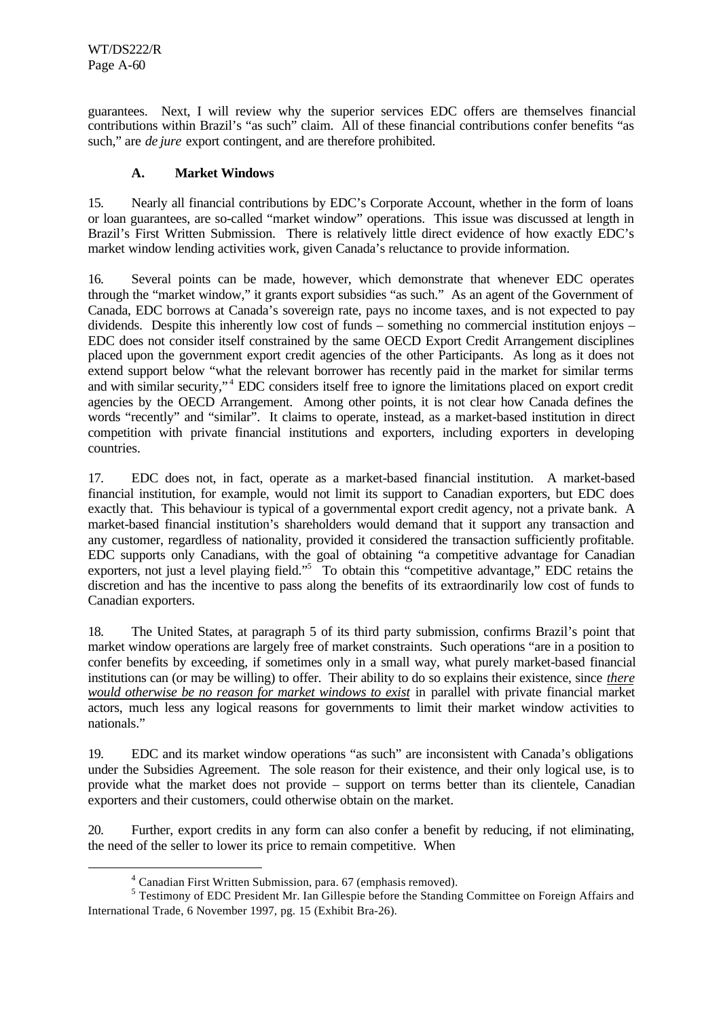l

guarantees. Next, I will review why the superior services EDC offers are themselves financial contributions within Brazil's "as such" claim. All of these financial contributions confer benefits "as such," are *de jure* export contingent, and are therefore prohibited.

## **A. Market Windows**

15. Nearly all financial contributions by EDC's Corporate Account, whether in the form of loans or loan guarantees, are so-called "market window" operations. This issue was discussed at length in Brazil's First Written Submission. There is relatively little direct evidence of how exactly EDC's market window lending activities work, given Canada's reluctance to provide information.

16. Several points can be made, however, which demonstrate that whenever EDC operates through the "market window," it grants export subsidies "as such." As an agent of the Government of Canada, EDC borrows at Canada's sovereign rate, pays no income taxes, and is not expected to pay dividends. Despite this inherently low cost of funds – something no commercial institution enjoys – EDC does not consider itself constrained by the same OECD Export Credit Arrangement disciplines placed upon the government export credit agencies of the other Participants. As long as it does not extend support below "what the relevant borrower has recently paid in the market for similar terms and with similar security,"<sup>4</sup> EDC considers itself free to ignore the limitations placed on export credit agencies by the OECD Arrangement. Among other points, it is not clear how Canada defines the words "recently" and "similar". It claims to operate, instead, as a market-based institution in direct competition with private financial institutions and exporters, including exporters in developing countries.

17. EDC does not, in fact, operate as a market-based financial institution. A market-based financial institution, for example, would not limit its support to Canadian exporters, but EDC does exactly that. This behaviour is typical of a governmental export credit agency, not a private bank. A market-based financial institution's shareholders would demand that it support any transaction and any customer, regardless of nationality, provided it considered the transaction sufficiently profitable. EDC supports only Canadians, with the goal of obtaining "a competitive advantage for Canadian exporters, not just a level playing field."<sup>5</sup> To obtain this "competitive advantage," EDC retains the discretion and has the incentive to pass along the benefits of its extraordinarily low cost of funds to Canadian exporters.

18. The United States, at paragraph 5 of its third party submission, confirms Brazil's point that market window operations are largely free of market constraints. Such operations "are in a position to confer benefits by exceeding, if sometimes only in a small way, what purely market-based financial institutions can (or may be willing) to offer. Their ability to do so explains their existence, since *there would otherwise be no reason for market windows to exist* in parallel with private financial market actors, much less any logical reasons for governments to limit their market window activities to nationals."

19. EDC and its market window operations "as such" are inconsistent with Canada's obligations under the Subsidies Agreement. The sole reason for their existence, and their only logical use, is to provide what the market does not provide – support on terms better than its clientele, Canadian exporters and their customers, could otherwise obtain on the market.

20. Further, export credits in any form can also confer a benefit by reducing, if not eliminating, the need of the seller to lower its price to remain competitive. When

<sup>&</sup>lt;sup>4</sup> Canadian First Written Submission, para. 67 (emphasis removed).

<sup>&</sup>lt;sup>5</sup> Testimony of EDC President Mr. Ian Gillespie before the Standing Committee on Foreign Affairs and International Trade, 6 November 1997, pg. 15 (Exhibit Bra-26).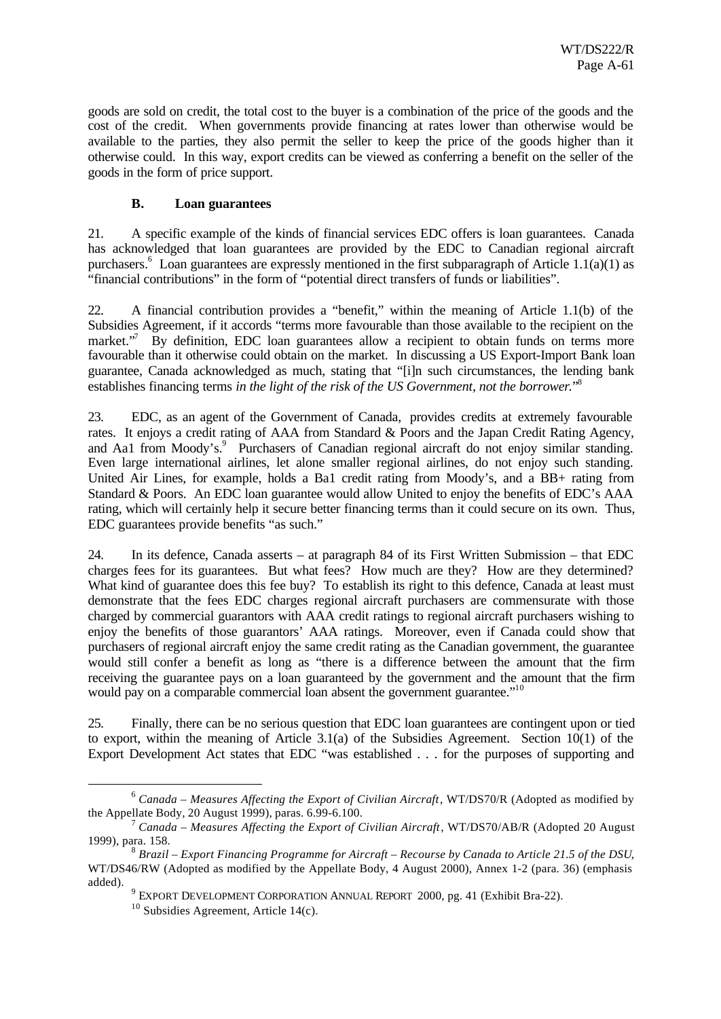goods are sold on credit, the total cost to the buyer is a combination of the price of the goods and the cost of the credit. When governments provide financing at rates lower than otherwise would be available to the parties, they also permit the seller to keep the price of the goods higher than it otherwise could. In this way, export credits can be viewed as conferring a benefit on the seller of the goods in the form of price support.

#### **B. Loan guarantees**

21. A specific example of the kinds of financial services EDC offers is loan guarantees. Canada has acknowledged that loan guarantees are provided by the EDC to Canadian regional aircraft purchasers.<sup>6</sup> Loan guarantees are expressly mentioned in the first subparagraph of Article 1.1(a)(1) as "financial contributions" in the form of "potential direct transfers of funds or liabilities".

22. A financial contribution provides a "benefit," within the meaning of Article 1.1(b) of the Subsidies Agreement, if it accords "terms more favourable than those available to the recipient on the market."<sup>7</sup> By definition, EDC loan guarantees allow a recipient to obtain funds on terms more favourable than it otherwise could obtain on the market. In discussing a US Export-Import Bank loan guarantee, Canada acknowledged as much, stating that "[i]n such circumstances, the lending bank establishes financing terms *in the light of the risk of the US Government, not the borrower*."<sup>8</sup>

23. EDC, as an agent of the Government of Canada, provides credits at extremely favourable rates. It enjoys a credit rating of AAA from Standard & Poors and the Japan Credit Rating Agency, and Aa1 from Moody's.<sup>9</sup> Purchasers of Canadian regional aircraft do not enjoy similar standing. Even large international airlines, let alone smaller regional airlines, do not enjoy such standing. United Air Lines, for example, holds a Ba1 credit rating from Moody's, and a BB+ rating from Standard & Poors. An EDC loan guarantee would allow United to enjoy the benefits of EDC's AAA rating, which will certainly help it secure better financing terms than it could secure on its own. Thus, EDC guarantees provide benefits "as such."

24. In its defence, Canada asserts – at paragraph 84 of its First Written Submission – that EDC charges fees for its guarantees. But what fees? How much are they? How are they determined? What kind of guarantee does this fee buy? To establish its right to this defence, Canada at least must demonstrate that the fees EDC charges regional aircraft purchasers are commensurate with those charged by commercial guarantors with AAA credit ratings to regional aircraft purchasers wishing to enjoy the benefits of those guarantors' AAA ratings. Moreover, even if Canada could show that purchasers of regional aircraft enjoy the same credit rating as the Canadian government, the guarantee would still confer a benefit as long as "there is a difference between the amount that the firm receiving the guarantee pays on a loan guaranteed by the government and the amount that the firm would pay on a comparable commercial loan absent the government guarantee."<sup>10</sup>

25. Finally, there can be no serious question that EDC loan guarantees are contingent upon or tied to export, within the meaning of Article 3.1(a) of the Subsidies Agreement. Section 10(1) of the Export Development Act states that EDC "was established . . . for the purposes of supporting and

<sup>6</sup> *Canada – Measures Affecting the Export of Civilian Aircraft*, WT/DS70/R (Adopted as modified by the Appellate Body, 20 August 1999), paras. 6.99-6.100.

 $7$  Canada – Measures Affecting the Export of Civilian Aircraft, WT/DS70/AB/R (Adopted 20 August) 1999), para. 158.

<sup>8</sup> *Brazil – Export Financing Programme for Aircraft – Recourse by Canada to Article 21.5 of the DSU*, WT/DS46/RW (Adopted as modified by the Appellate Body, 4 August 2000), Annex 1-2 (para. 36) (emphasis added).

<sup>&</sup>lt;sup>9</sup> EXPORT DEVELOPMENT CORPORATION ANNUAL REPORT 2000, pg. 41 (Exhibit Bra-22).

 $10$  Subsidies Agreement, Article 14(c).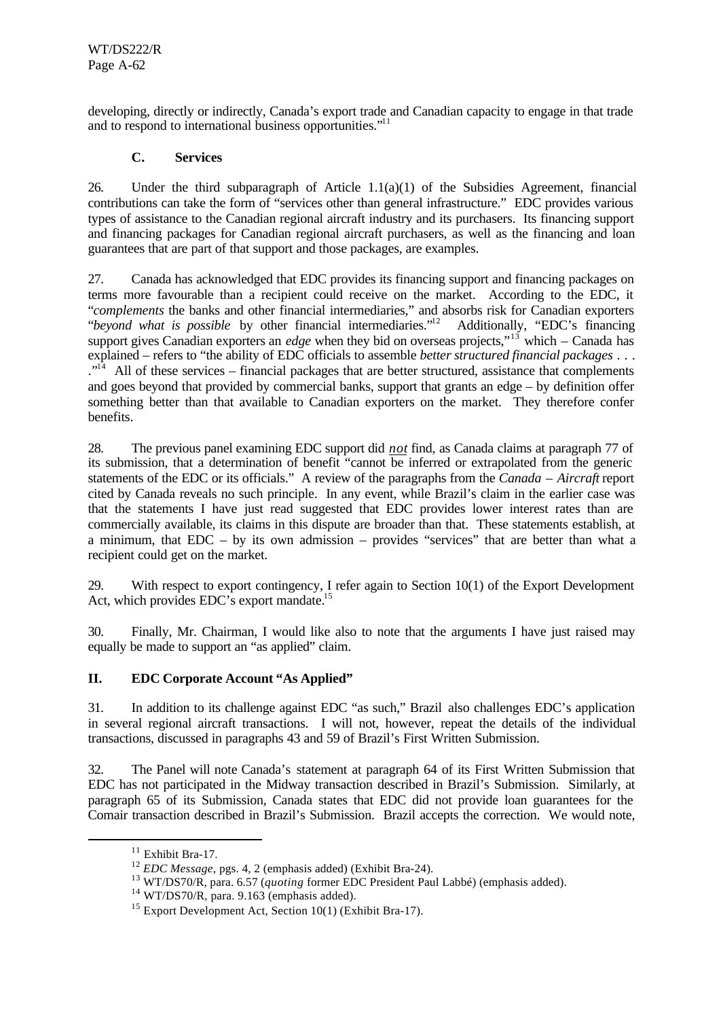developing, directly or indirectly, Canada's export trade and Canadian capacity to engage in that trade and to respond to international business opportunities."<sup>11</sup>

## **C. Services**

26. Under the third subparagraph of Article 1.1(a)(1) of the Subsidies Agreement, financial contributions can take the form of "services other than general infrastructure." EDC provides various types of assistance to the Canadian regional aircraft industry and its purchasers. Its financing support and financing packages for Canadian regional aircraft purchasers, as well as the financing and loan guarantees that are part of that support and those packages, are examples.

27. Canada has acknowledged that EDC provides its financing support and financing packages on terms more favourable than a recipient could receive on the market. According to the EDC, it "*complements* the banks and other financial intermediaries," and absorbs risk for Canadian exporters<br>"beyond what is possible by other financial intermediaries."<sup>12</sup> Additionally, "EDC's financing "*beyond what is possible* by other financial intermediaries."<sup>12</sup> support gives Canadian exporters an *edge* when they bid on overseas projects,"<sup>13</sup> which – Canada has explained – refers to "the ability of EDC officials to assemble *better structured financial packages* . . . <sup>114</sup> All of these services – financial packages that are better structured, assistance that complements and goes beyond that provided by commercial banks, support that grants an edge – by definition offer something better than that available to Canadian exporters on the market. They therefore confer benefits.

28. The previous panel examining EDC support did *not* find, as Canada claims at paragraph 77 of its submission, that a determination of benefit "cannot be inferred or extrapolated from the generic statements of the EDC or its officials." A review of the paragraphs from the *Canada – Aircraft* report cited by Canada reveals no such principle. In any event, while Brazil's claim in the earlier case was that the statements I have just read suggested that EDC provides lower interest rates than are commercially available, its claims in this dispute are broader than that. These statements establish, at a minimum, that EDC – by its own admission – provides "services" that are better than what a recipient could get on the market.

29. With respect to export contingency, I refer again to Section 10(1) of the Export Development Act, which provides EDC's export mandate.<sup>15</sup>

30. Finally, Mr. Chairman, I would like also to note that the arguments I have just raised may equally be made to support an "as applied" claim.

## **II. EDC Corporate Account "As Applied"**

31. In addition to its challenge against EDC "as such," Brazil also challenges EDC's application in several regional aircraft transactions. I will not, however, repeat the details of the individual transactions, discussed in paragraphs 43 and 59 of Brazil's First Written Submission.

32. The Panel will note Canada's statement at paragraph 64 of its First Written Submission that EDC has not participated in the Midway transaction described in Brazil's Submission. Similarly, at paragraph 65 of its Submission, Canada states that EDC did not provide loan guarantees for the Comair transaction described in Brazil's Submission. Brazil accepts the correction. We would note,

<sup>&</sup>lt;sup>11</sup> Exhibit Bra-17.

<sup>12</sup> *EDC Message*, pgs. 4, 2 (emphasis added) (Exhibit Bra-24).

<sup>13</sup> WT/DS70/R, para. 6.57 (*quoting* former EDC President Paul Labbé) (emphasis added).

 $14$  WT/DS70/R, para. 9.163 (emphasis added).

<sup>&</sup>lt;sup>15</sup> Export Development Act, Section 10(1) (Exhibit Bra-17).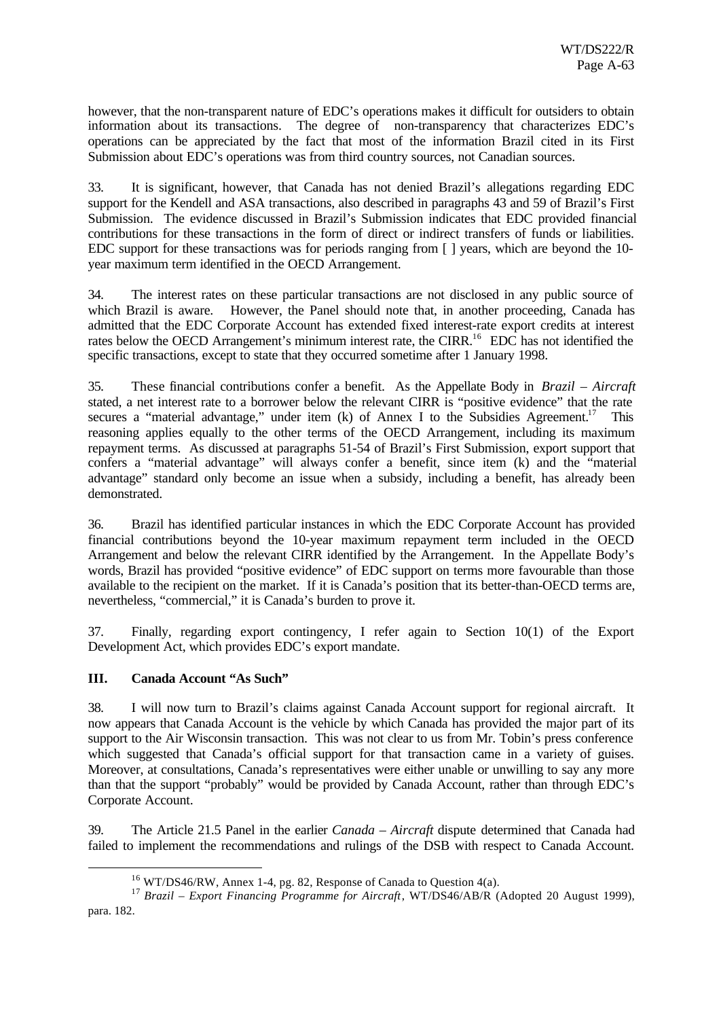however, that the non-transparent nature of EDC's operations makes it difficult for outsiders to obtain information about its transactions. The degree of non-transparency that characterizes EDC's operations can be appreciated by the fact that most of the information Brazil cited in its First Submission about EDC's operations was from third country sources, not Canadian sources.

33. It is significant, however, that Canada has not denied Brazil's allegations regarding EDC support for the Kendell and ASA transactions, also described in paragraphs 43 and 59 of Brazil's First Submission. The evidence discussed in Brazil's Submission indicates that EDC provided financial contributions for these transactions in the form of direct or indirect transfers of funds or liabilities. EDC support for these transactions was for periods ranging from [ ] years, which are beyond the 10 year maximum term identified in the OECD Arrangement.

34. The interest rates on these particular transactions are not disclosed in any public source of which Brazil is aware. However, the Panel should note that, in another proceeding, Canada has admitted that the EDC Corporate Account has extended fixed interest-rate export credits at interest rates below the OECD Arrangement's minimum interest rate, the CIRR.<sup>16</sup> EDC has not identified the specific transactions, except to state that they occurred sometime after 1 January 1998.

35. These financial contributions confer a benefit. As the Appellate Body in *Brazil – Aircraft* stated, a net interest rate to a borrower below the relevant CIRR is "positive evidence" that the rate secures a "material advantage," under item  $(k)$  of Annex I to the Subsidies Agreement.<sup>17</sup> This reasoning applies equally to the other terms of the OECD Arrangement, including its maximum repayment terms. As discussed at paragraphs 51-54 of Brazil's First Submission, export support that confers a "material advantage" will always confer a benefit, since item (k) and the "material advantage" standard only become an issue when a subsidy, including a benefit, has already been demonstrated.

36. Brazil has identified particular instances in which the EDC Corporate Account has provided financial contributions beyond the 10-year maximum repayment term included in the OECD Arrangement and below the relevant CIRR identified by the Arrangement. In the Appellate Body's words, Brazil has provided "positive evidence" of EDC support on terms more favourable than those available to the recipient on the market. If it is Canada's position that its better-than-OECD terms are, nevertheless, "commercial," it is Canada's burden to prove it.

37. Finally, regarding export contingency, I refer again to Section 10(1) of the Export Development Act, which provides EDC's export mandate.

## **III. Canada Account "As Such"**

l

38. I will now turn to Brazil's claims against Canada Account support for regional aircraft. It now appears that Canada Account is the vehicle by which Canada has provided the major part of its support to the Air Wisconsin transaction. This was not clear to us from Mr. Tobin's press conference which suggested that Canada's official support for that transaction came in a variety of guises. Moreover, at consultations, Canada's representatives were either unable or unwilling to say any more than that the support "probably" would be provided by Canada Account, rather than through EDC's Corporate Account.

39. The Article 21.5 Panel in the earlier *Canada – Aircraft* dispute determined that Canada had failed to implement the recommendations and rulings of the DSB with respect to Canada Account.

 $16$  WT/DS46/RW, Annex 1-4, pg. 82, Response of Canada to Question 4(a).

<sup>&</sup>lt;sup>17</sup> Brazil – Export Financing Programme for Aircraft, WT/DS46/AB/R (Adopted 20 August 1999), para. 182.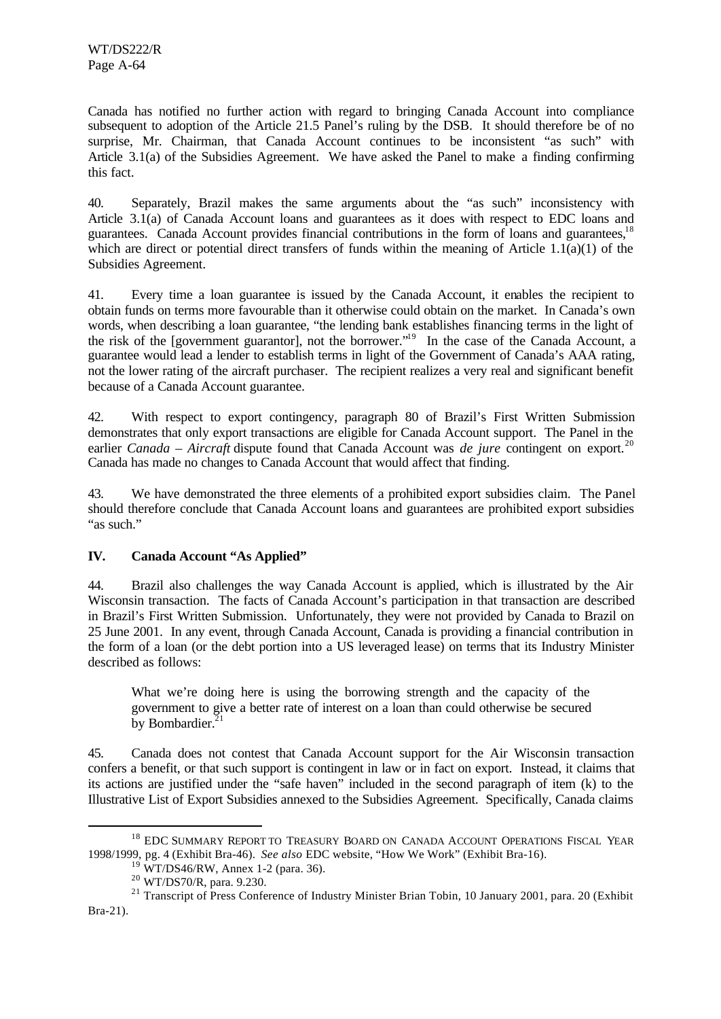Canada has notified no further action with regard to bringing Canada Account into compliance subsequent to adoption of the Article 21.5 Panel's ruling by the DSB. It should therefore be of no surprise, Mr. Chairman, that Canada Account continues to be inconsistent "as such" with Article 3.1(a) of the Subsidies Agreement. We have asked the Panel to make a finding confirming this fact.

40. Separately, Brazil makes the same arguments about the "as such" inconsistency with Article 3.1(a) of Canada Account loans and guarantees as it does with respect to EDC loans and guarantees. Canada Account provides financial contributions in the form of loans and guarantees,<sup>18</sup> which are direct or potential direct transfers of funds within the meaning of Article 1.1(a)(1) of the Subsidies Agreement.

41. Every time a loan guarantee is issued by the Canada Account, it enables the recipient to obtain funds on terms more favourable than it otherwise could obtain on the market. In Canada's own words, when describing a loan guarantee, "the lending bank establishes financing terms in the light of the risk of the [government guarantor], not the borrower."<sup>19</sup> In the case of the Canada Account, a guarantee would lead a lender to establish terms in light of the Government of Canada's AAA rating, not the lower rating of the aircraft purchaser. The recipient realizes a very real and significant benefit because of a Canada Account guarantee.

42. With respect to export contingency, paragraph 80 of Brazil's First Written Submission demonstrates that only export transactions are eligible for Canada Account support. The Panel in the earlier *Canada – Aircraft* dispute found that Canada Account was *de jure* contingent on export.<sup>20</sup> Canada has made no changes to Canada Account that would affect that finding.

43. We have demonstrated the three elements of a prohibited export subsidies claim. The Panel should therefore conclude that Canada Account loans and guarantees are prohibited export subsidies "as such."

## **IV. Canada Account "As Applied"**

44. Brazil also challenges the way Canada Account is applied, which is illustrated by the Air Wisconsin transaction. The facts of Canada Account's participation in that transaction are described in Brazil's First Written Submission. Unfortunately, they were not provided by Canada to Brazil on 25 June 2001. In any event, through Canada Account, Canada is providing a financial contribution in the form of a loan (or the debt portion into a US leveraged lease) on terms that its Industry Minister described as follows:

What we're doing here is using the borrowing strength and the capacity of the government to give a better rate of interest on a loan than could otherwise be secured by Bombardier. $21$ 

45. Canada does not contest that Canada Account support for the Air Wisconsin transaction confers a benefit, or that such support is contingent in law or in fact on export. Instead, it claims that its actions are justified under the "safe haven" included in the second paragraph of item (k) to the Illustrative List of Export Subsidies annexed to the Subsidies Agreement. Specifically, Canada claims

<sup>&</sup>lt;sup>18</sup> EDC SUMMARY REPORT TO TREASURY BOARD ON CANADA ACCOUNT OPERATIONS FISCAL YEAR 1998/1999, pg. 4 (Exhibit Bra-46). *See also* EDC website, "How We Work" (Exhibit Bra-16).

 $19$  WT/DS46/RW, Annex 1-2 (para. 36).

<sup>20</sup> WT/DS70/R, para. 9.230.

<sup>&</sup>lt;sup>21</sup> Transcript of Press Conference of Industry Minister Brian Tobin, 10 January 2001, para. 20 (Exhibit Bra-21).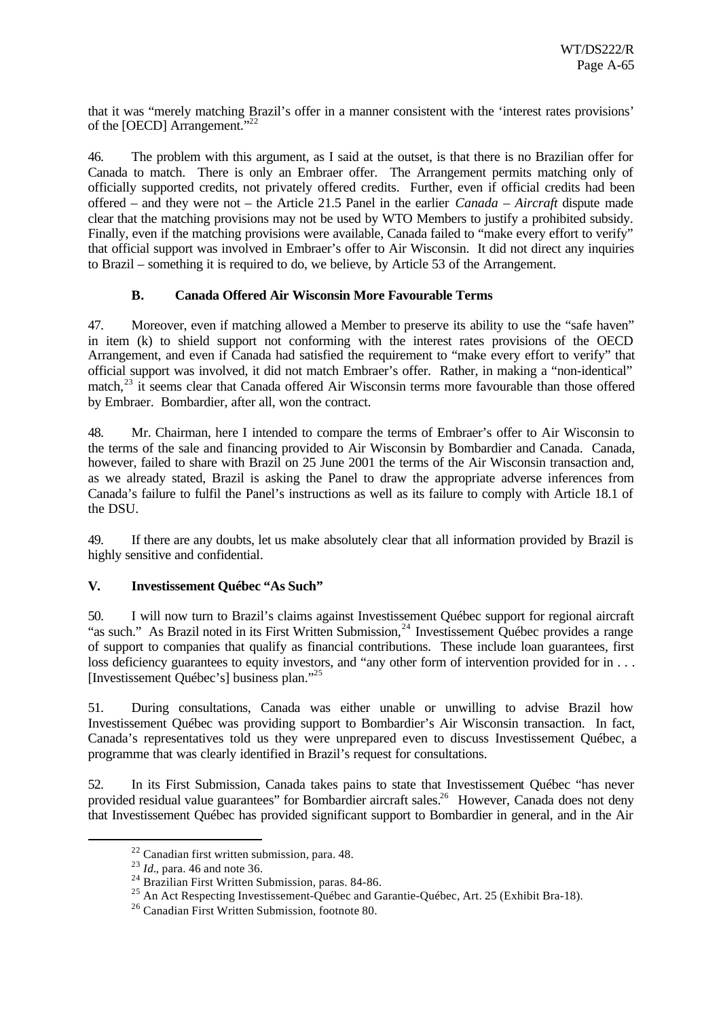that it was "merely matching Brazil's offer in a manner consistent with the 'interest rates provisions' of the [OECD] Arrangement."<sup>22</sup>

46. The problem with this argument, as I said at the outset, is that there is no Brazilian offer for Canada to match. There is only an Embraer offer. The Arrangement permits matching only of officially supported credits, not privately offered credits. Further, even if official credits had been offered – and they were not – the Article 21.5 Panel in the earlier *Canada – Aircraft* dispute made clear that the matching provisions may not be used by WTO Members to justify a prohibited subsidy. Finally, even if the matching provisions were available, Canada failed to "make every effort to verify" that official support was involved in Embraer's offer to Air Wisconsin. It did not direct any inquiries to Brazil – something it is required to do, we believe, by Article 53 of the Arrangement.

## **B. Canada Offered Air Wisconsin More Favourable Terms**

47. Moreover, even if matching allowed a Member to preserve its ability to use the "safe haven" in item (k) to shield support not conforming with the interest rates provisions of the OECD Arrangement, and even if Canada had satisfied the requirement to "make every effort to verify" that official support was involved, it did not match Embraer's offer. Rather, in making a "non-identical" match,<sup>23</sup> it seems clear that Canada offered Air Wisconsin terms more favourable than those offered by Embraer. Bombardier, after all, won the contract.

48. Mr. Chairman, here I intended to compare the terms of Embraer's offer to Air Wisconsin to the terms of the sale and financing provided to Air Wisconsin by Bombardier and Canada. Canada, however, failed to share with Brazil on 25 June 2001 the terms of the Air Wisconsin transaction and, as we already stated, Brazil is asking the Panel to draw the appropriate adverse inferences from Canada's failure to fulfil the Panel's instructions as well as its failure to comply with Article 18.1 of the DSU.

49. If there are any doubts, let us make absolutely clear that all information provided by Brazil is highly sensitive and confidential.

#### **V. Investissement Québec "As Such"**

50. I will now turn to Brazil's claims against Investissement Québec support for regional aircraft "as such." As Brazil noted in its First Written Submission,<sup>24</sup> Investissement Québec provides a range of support to companies that qualify as financial contributions. These include loan guarantees, first loss deficiency guarantees to equity investors, and "any other form of intervention provided for in . . . [Investissement Québec's] business plan."<sup>25</sup>

51. During consultations, Canada was either unable or unwilling to advise Brazil how Investissement Québec was providing support to Bombardier's Air Wisconsin transaction. In fact, Canada's representatives told us they were unprepared even to discuss Investissement Québec, a programme that was clearly identified in Brazil's request for consultations.

52. In its First Submission, Canada takes pains to state that Investissement Québec "has never provided residual value guarantees" for Bombardier aircraft sales.<sup>26</sup> However, Canada does not deny that Investissement Québec has provided significant support to Bombardier in general, and in the Air

 $22$  Canadian first written submission, para. 48.

<sup>23</sup> *Id.*, para. 46 and note 36.

<sup>&</sup>lt;sup>24</sup> Brazilian First Written Submission, paras. 84-86.

<sup>&</sup>lt;sup>25</sup> An Act Respecting Investissement-Ouébec and Garantie-Ouébec, Art. 25 (Exhibit Bra-18).

<sup>26</sup> Canadian First Written Submission, footnote 80.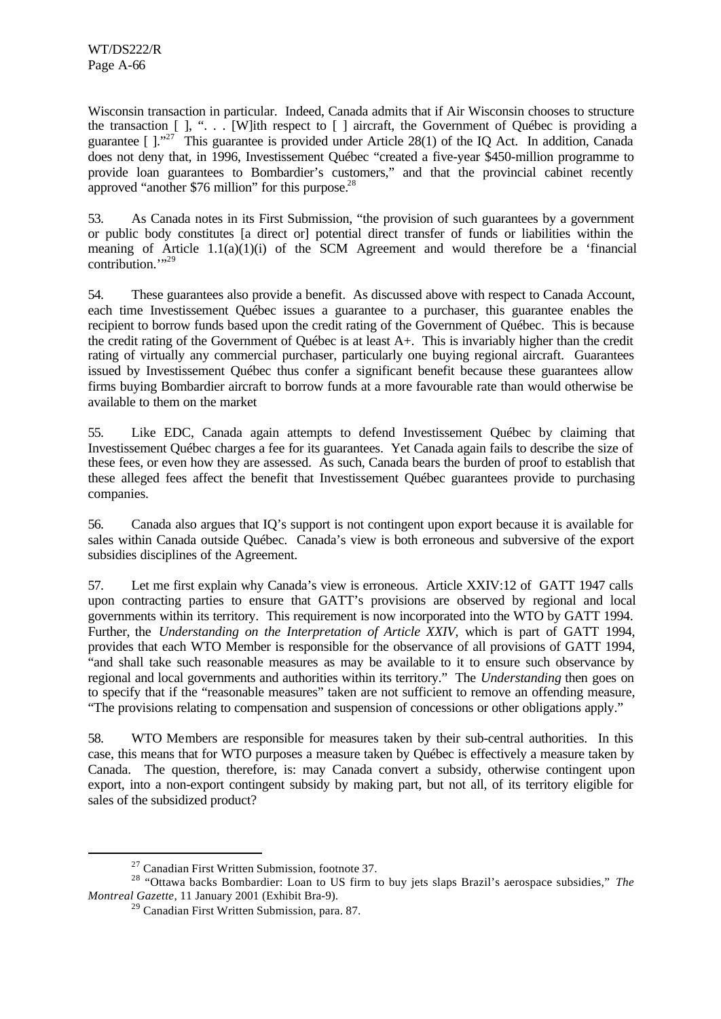Wisconsin transaction in particular. Indeed, Canada admits that if Air Wisconsin chooses to structure the transaction  $[ \ ]$ , "... [W]ith respect to  $[ \ ]$  aircraft, the Government of Québec is providing a guarantee [ ]."<sup>27</sup> This guarantee is provided under Article 28(1) of the IQ Act. In addition, Canada does not deny that, in 1996, Investissement Québec "created a five-year \$450-million programme to provide loan guarantees to Bombardier's customers," and that the provincial cabinet recently approved "another \$76 million" for this purpose. $^{28}$ 

53. As Canada notes in its First Submission, "the provision of such guarantees by a government or public body constitutes [a direct or] potential direct transfer of funds or liabilities within the meaning of Article  $1.1(a)(1)(i)$  of the SCM Agreement and would therefore be a 'financial contribution."<sup>29</sup>

54. These guarantees also provide a benefit. As discussed above with respect to Canada Account, each time Investissement Québec issues a guarantee to a purchaser, this guarantee enables the recipient to borrow funds based upon the credit rating of the Government of Québec. This is because the credit rating of the Government of Québec is at least A+. This is invariably higher than the credit rating of virtually any commercial purchaser, particularly one buying regional aircraft. Guarantees issued by Investissement Québec thus confer a significant benefit because these guarantees allow firms buying Bombardier aircraft to borrow funds at a more favourable rate than would otherwise be available to them on the market

55. Like EDC, Canada again attempts to defend Investissement Québec by claiming that Investissement Québec charges a fee for its guarantees. Yet Canada again fails to describe the size of these fees, or even how they are assessed. As such, Canada bears the burden of proof to establish that these alleged fees affect the benefit that Investissement Québec guarantees provide to purchasing companies.

56. Canada also argues that IQ's support is not contingent upon export because it is available for sales within Canada outside Québec. Canada's view is both erroneous and subversive of the export subsidies disciplines of the Agreement.

57. Let me first explain why Canada's view is erroneous. Article XXIV:12 of GATT 1947 calls upon contracting parties to ensure that GATT's provisions are observed by regional and local governments within its territory. This requirement is now incorporated into the WTO by GATT 1994. Further, the *Understanding on the Interpretation of Article XXIV*, which is part of GATT 1994, provides that each WTO Member is responsible for the observance of all provisions of GATT 1994, "and shall take such reasonable measures as may be available to it to ensure such observance by regional and local governments and authorities within its territory." The *Understanding* then goes on to specify that if the "reasonable measures" taken are not sufficient to remove an offending measure, "The provisions relating to compensation and suspension of concessions or other obligations apply."

58. WTO Members are responsible for measures taken by their sub-central authorities. In this case, this means that for WTO purposes a measure taken by Québec is effectively a measure taken by Canada. The question, therefore, is: may Canada convert a subsidy, otherwise contingent upon export, into a non-export contingent subsidy by making part, but not all, of its territory eligible for sales of the subsidized product?

<sup>27</sup> Canadian First Written Submission, footnote 37.

<sup>28</sup> "Ottawa backs Bombardier: Loan to US firm to buy jets slaps Brazil's aerospace subsidies," *The Montreal Gazette*, 11 January 2001 (Exhibit Bra-9).

 $29$  Canadian First Written Submission, para. 87.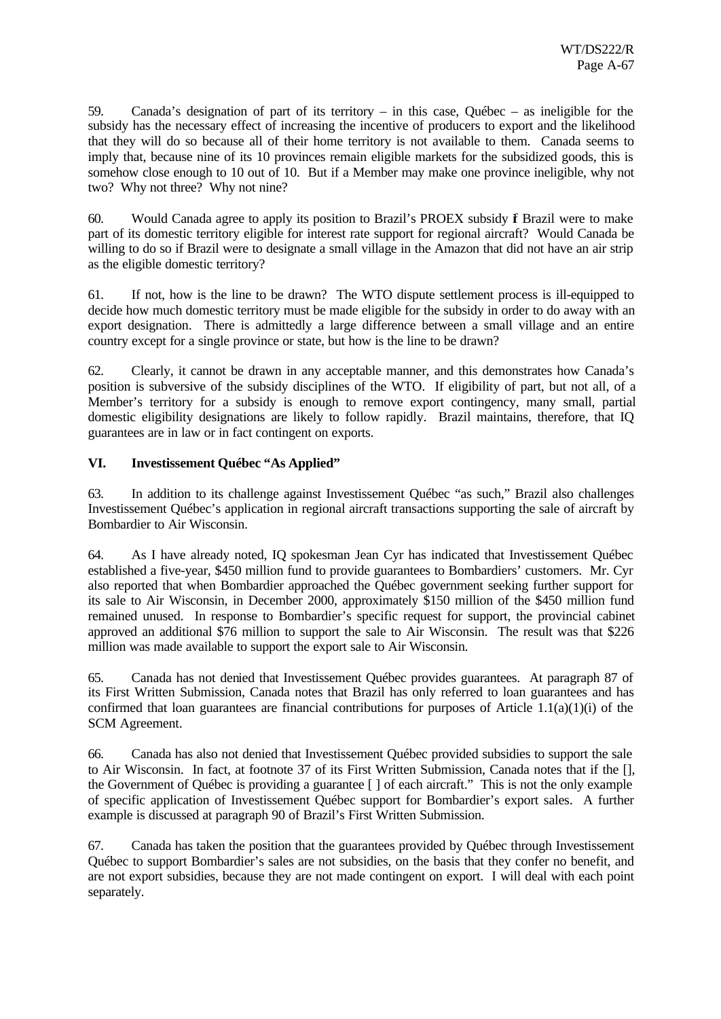59. Canada's designation of part of its territory – in this case, Québec – as ineligible for the subsidy has the necessary effect of increasing the incentive of producers to export and the likelihood that they will do so because all of their home territory is not available to them. Canada seems to imply that, because nine of its 10 provinces remain eligible markets for the subsidized goods, this is somehow close enough to 10 out of 10. But if a Member may make one province ineligible, why not two? Why not three? Why not nine?

60. Would Canada agree to apply its position to Brazil's PROEX subsidy if Brazil were to make part of its domestic territory eligible for interest rate support for regional aircraft? Would Canada be willing to do so if Brazil were to designate a small village in the Amazon that did not have an air strip as the eligible domestic territory?

61. If not, how is the line to be drawn? The WTO dispute settlement process is ill-equipped to decide how much domestic territory must be made eligible for the subsidy in order to do away with an export designation. There is admittedly a large difference between a small village and an entire country except for a single province or state, but how is the line to be drawn?

62. Clearly, it cannot be drawn in any acceptable manner, and this demonstrates how Canada's position is subversive of the subsidy disciplines of the WTO. If eligibility of part, but not all, of a Member's territory for a subsidy is enough to remove export contingency, many small, partial domestic eligibility designations are likely to follow rapidly. Brazil maintains, therefore, that IQ guarantees are in law or in fact contingent on exports.

#### **VI. Investissement Québec "As Applied"**

63. In addition to its challenge against Investissement Québec "as such," Brazil also challenges Investissement Québec's application in regional aircraft transactions supporting the sale of aircraft by Bombardier to Air Wisconsin.

64. As I have already noted, IQ spokesman Jean Cyr has indicated that Investissement Québec established a five-year, \$450 million fund to provide guarantees to Bombardiers' customers. Mr. Cyr also reported that when Bombardier approached the Québec government seeking further support for its sale to Air Wisconsin, in December 2000, approximately \$150 million of the \$450 million fund remained unused. In response to Bombardier's specific request for support, the provincial cabinet approved an additional \$76 million to support the sale to Air Wisconsin. The result was that \$226 million was made available to support the export sale to Air Wisconsin.

65. Canada has not denied that Investissement Québec provides guarantees. At paragraph 87 of its First Written Submission, Canada notes that Brazil has only referred to loan guarantees and has confirmed that loan guarantees are financial contributions for purposes of Article 1.1(a)(1)(i) of the SCM Agreement.

66. Canada has also not denied that Investissement Québec provided subsidies to support the sale to Air Wisconsin. In fact, at footnote 37 of its First Written Submission, Canada notes that if the [], the Government of Québec is providing a guarantee [ ] of each aircraft." This is not the only example of specific application of Investissement Québec support for Bombardier's export sales. A further example is discussed at paragraph 90 of Brazil's First Written Submission.

67. Canada has taken the position that the guarantees provided by Québec through Investissement Québec to support Bombardier's sales are not subsidies, on the basis that they confer no benefit, and are not export subsidies, because they are not made contingent on export. I will deal with each point separately.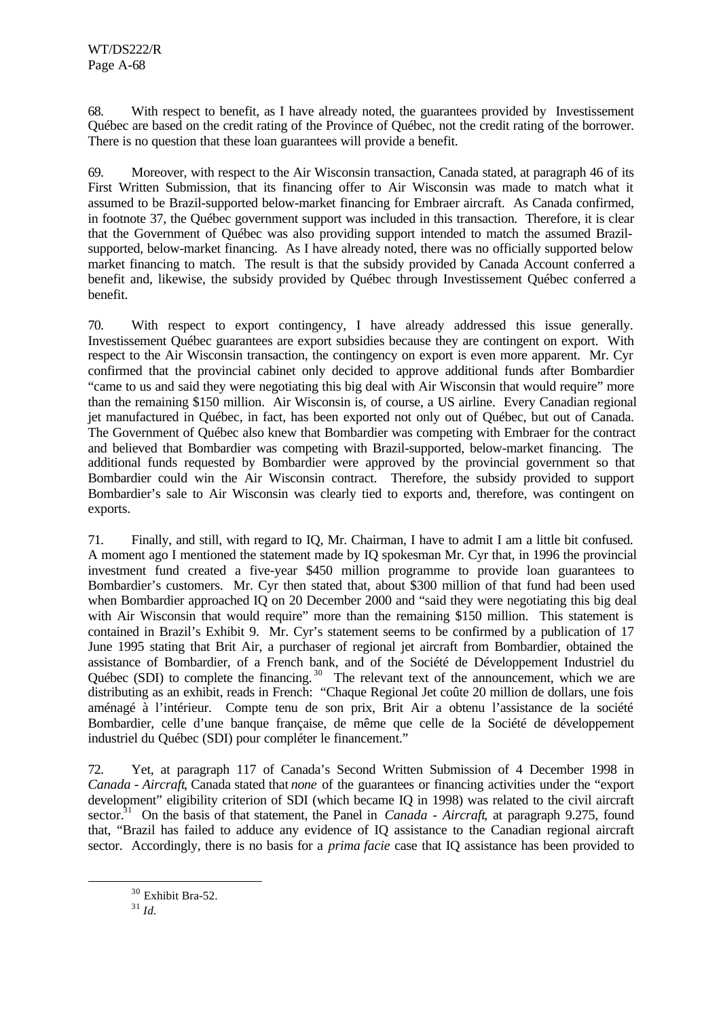68. With respect to benefit, as I have already noted, the guarantees provided by Investissement Québec are based on the credit rating of the Province of Québec, not the credit rating of the borrower. There is no question that these loan guarantees will provide a benefit.

69. Moreover, with respect to the Air Wisconsin transaction, Canada stated, at paragraph 46 of its First Written Submission, that its financing offer to Air Wisconsin was made to match what it assumed to be Brazil-supported below-market financing for Embraer aircraft. As Canada confirmed, in footnote 37, the Québec government support was included in this transaction. Therefore, it is clear that the Government of Québec was also providing support intended to match the assumed Brazilsupported, below-market financing. As I have already noted, there was no officially supported below market financing to match. The result is that the subsidy provided by Canada Account conferred a benefit and, likewise, the subsidy provided by Québec through Investissement Québec conferred a benefit.

70. With respect to export contingency, I have already addressed this issue generally. Investissement Québec guarantees are export subsidies because they are contingent on export. With respect to the Air Wisconsin transaction, the contingency on export is even more apparent. Mr. Cyr confirmed that the provincial cabinet only decided to approve additional funds after Bombardier "came to us and said they were negotiating this big deal with Air Wisconsin that would require" more than the remaining \$150 million. Air Wisconsin is, of course, a US airline. Every Canadian regional jet manufactured in Québec, in fact, has been exported not only out of Québec, but out of Canada. The Government of Québec also knew that Bombardier was competing with Embraer for the contract and believed that Bombardier was competing with Brazil-supported, below-market financing. The additional funds requested by Bombardier were approved by the provincial government so that Bombardier could win the Air Wisconsin contract. Therefore, the subsidy provided to support Bombardier's sale to Air Wisconsin was clearly tied to exports and, therefore, was contingent on exports.

71. Finally, and still, with regard to IQ, Mr. Chairman, I have to admit I am a little bit confused. A moment ago I mentioned the statement made by IQ spokesman Mr. Cyr that, in 1996 the provincial investment fund created a five-year \$450 million programme to provide loan guarantees to Bombardier's customers. Mr. Cyr then stated that, about \$300 million of that fund had been used when Bombardier approached IQ on 20 December 2000 and "said they were negotiating this big deal with Air Wisconsin that would require" more than the remaining \$150 million. This statement is contained in Brazil's Exhibit 9. Mr. Cyr's statement seems to be confirmed by a publication of 17 June 1995 stating that Brit Air, a purchaser of regional jet aircraft from Bombardier, obtained the assistance of Bombardier, of a French bank, and of the Société de Développement Industriel du Québec (SDI) to complete the financing.<sup>30</sup> The relevant text of the announcement, which we are distributing as an exhibit, reads in French: "Chaque Regional Jet coûte 20 million de dollars, une fois aménagé à l'intérieur. Compte tenu de son prix, Brit Air a obtenu l'assistance de la société Bombardier, celle d'une banque française, de même que celle de la Société de développement industriel du Québec (SDI) pour compléter le financement."

72. Yet, at paragraph 117 of Canada's Second Written Submission of 4 December 1998 in *Canada - Aircraft*, Canada stated that *none* of the guarantees or financing activities under the "export development" eligibility criterion of SDI (which became IQ in 1998) was related to the civil aircraft sector.<sup>31</sup> On the basis of that statement, the Panel in *Canada - Aircraft*, at paragraph 9.275, found that, "Brazil has failed to adduce any evidence of IQ assistance to the Canadian regional aircraft sector. Accordingly, there is no basis for a *prima facie* case that IQ assistance has been provided to

<sup>30</sup> Exhibit Bra-52.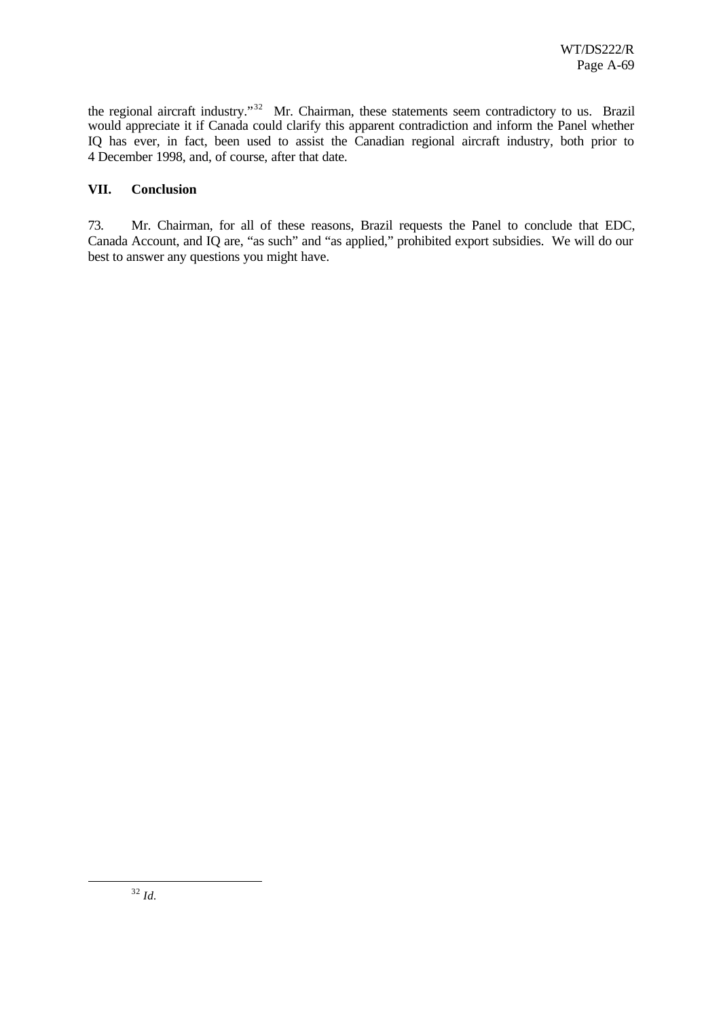the regional aircraft industry."<sup>32</sup> Mr. Chairman, these statements seem contradictory to us. Brazil would appreciate it if Canada could clarify this apparent contradiction and inform the Panel whether IQ has ever, in fact, been used to assist the Canadian regional aircraft industry, both prior to 4 December 1998, and, of course, after that date.

#### **VII. Conclusion**

73. Mr. Chairman, for all of these reasons, Brazil requests the Panel to conclude that EDC, Canada Account, and IQ are, "as such" and "as applied," prohibited export subsidies. We will do our best to answer any questions you might have.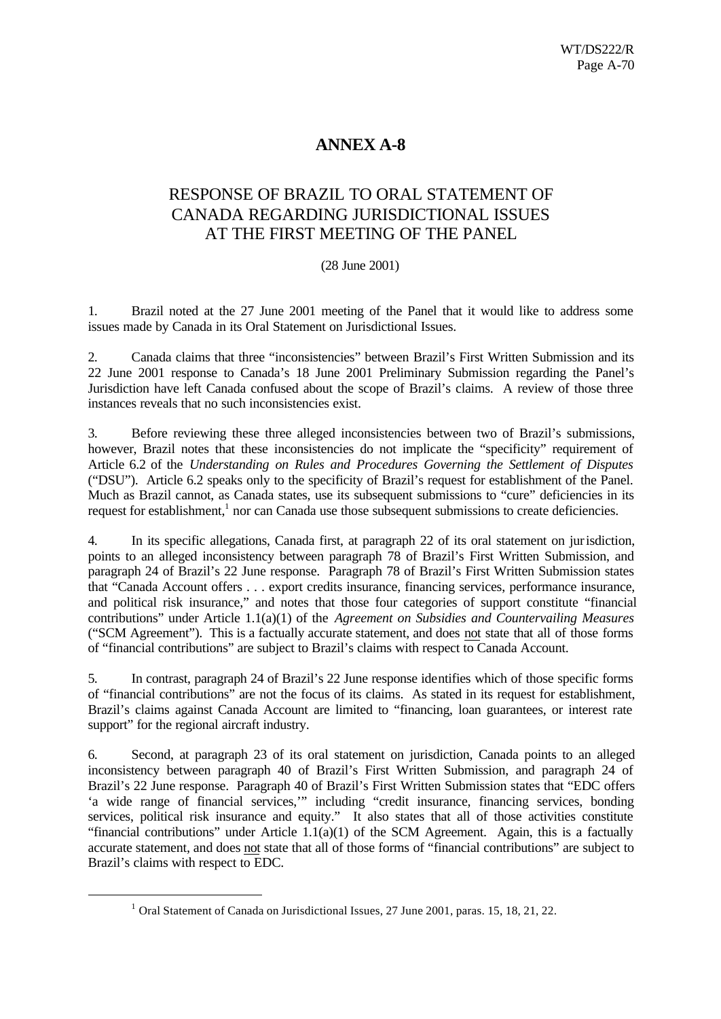## **ANNEX A-8**

## RESPONSE OF BRAZIL TO ORAL STATEMENT OF CANADA REGARDING JURISDICTIONAL ISSUES AT THE FIRST MEETING OF THE PANEL

## (28 June 2001)

1. Brazil noted at the 27 June 2001 meeting of the Panel that it would like to address some issues made by Canada in its Oral Statement on Jurisdictional Issues.

2. Canada claims that three "inconsistencies" between Brazil's First Written Submission and its 22 June 2001 response to Canada's 18 June 2001 Preliminary Submission regarding the Panel's Jurisdiction have left Canada confused about the scope of Brazil's claims. A review of those three instances reveals that no such inconsistencies exist.

3. Before reviewing these three alleged inconsistencies between two of Brazil's submissions, however, Brazil notes that these inconsistencies do not implicate the "specificity" requirement of Article 6.2 of the *Understanding on Rules and Procedures Governing the Settlement of Disputes* ("DSU"). Article 6.2 speaks only to the specificity of Brazil's request for establishment of the Panel. Much as Brazil cannot, as Canada states, use its subsequent submissions to "cure" deficiencies in its request for establishment,<sup>1</sup> nor can Canada use those subsequent submissions to create deficiencies.

4. In its specific allegations, Canada first, at paragraph 22 of its oral statement on jurisdiction, points to an alleged inconsistency between paragraph 78 of Brazil's First Written Submission, and paragraph 24 of Brazil's 22 June response. Paragraph 78 of Brazil's First Written Submission states that "Canada Account offers . . . export credits insurance, financing services, performance insurance, and political risk insurance," and notes that those four categories of support constitute "financial contributions" under Article 1.1(a)(1) of the *Agreement on Subsidies and Countervailing Measures* ("SCM Agreement"). This is a factually accurate statement, and does not state that all of those forms of "financial contributions" are subject to Brazil's claims with respect to Canada Account.

5. In contrast, paragraph 24 of Brazil's 22 June response identifies which of those specific forms of "financial contributions" are not the focus of its claims. As stated in its request for establishment, Brazil's claims against Canada Account are limited to "financing, loan guarantees, or interest rate support" for the regional aircraft industry.

6. Second, at paragraph 23 of its oral statement on jurisdiction, Canada points to an alleged inconsistency between paragraph 40 of Brazil's First Written Submission, and paragraph 24 of Brazil's 22 June response. Paragraph 40 of Brazil's First Written Submission states that "EDC offers 'a wide range of financial services,'" including "credit insurance, financing services, bonding services, political risk insurance and equity." It also states that all of those activities constitute "financial contributions" under Article  $1.1(a)(1)$  of the SCM Agreement. Again, this is a factually accurate statement, and does not state that all of those forms of "financial contributions" are subject to Brazil's claims with respect to EDC.

<sup>&</sup>lt;sup>1</sup> Oral Statement of Canada on Jurisdictional Issues, 27 June 2001, paras. 15, 18, 21, 22.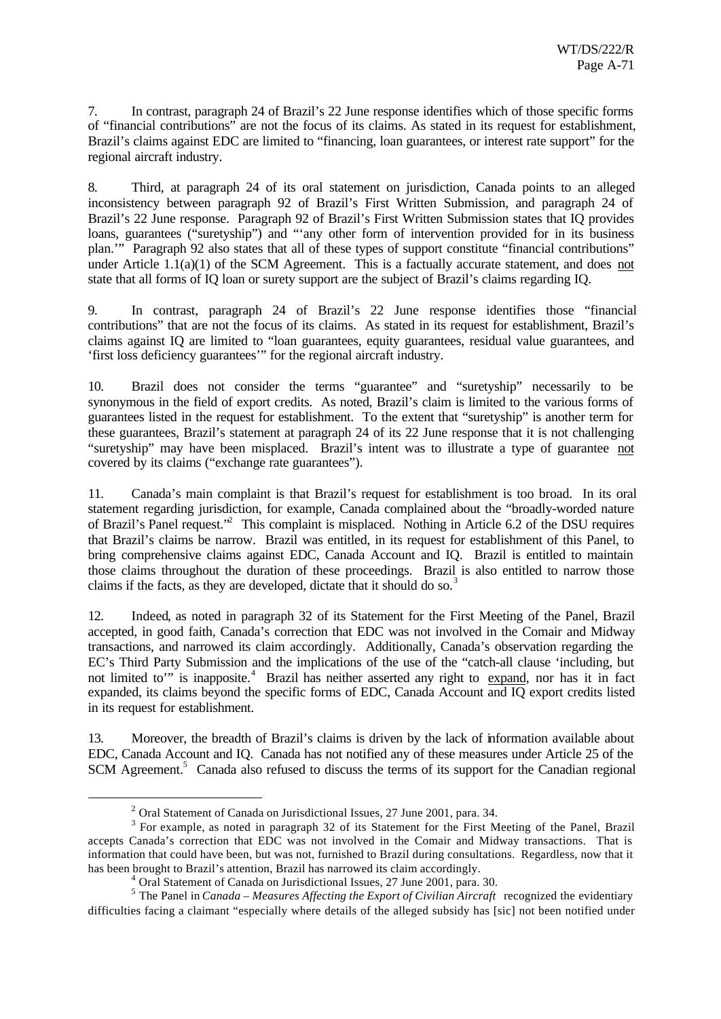7. In contrast, paragraph 24 of Brazil's 22 June response identifies which of those specific forms of "financial contributions" are not the focus of its claims. As stated in its request for establishment, Brazil's claims against EDC are limited to "financing, loan guarantees, or interest rate support" for the regional aircraft industry.

8. Third, at paragraph 24 of its oral statement on jurisdiction, Canada points to an alleged inconsistency between paragraph 92 of Brazil's First Written Submission, and paragraph 24 of Brazil's 22 June response. Paragraph 92 of Brazil's First Written Submission states that IQ provides loans, guarantees ("suretyship") and "'any other form of intervention provided for in its business plan.'" Paragraph 92 also states that all of these types of support constitute "financial contributions" under Article  $1.1(a)(1)$  of the SCM Agreement. This is a factually accurate statement, and does not state that all forms of IQ loan or surety support are the subject of Brazil's claims regarding IQ.

9. In contrast, paragraph 24 of Brazil's 22 June response identifies those "financial contributions" that are not the focus of its claims. As stated in its request for establishment, Brazil's claims against IQ are limited to "loan guarantees, equity guarantees, residual value guarantees, and 'first loss deficiency guarantees'" for the regional aircraft industry.

10. Brazil does not consider the terms "guarantee" and "suretyship" necessarily to be synonymous in the field of export credits. As noted, Brazil's claim is limited to the various forms of guarantees listed in the request for establishment. To the extent that "suretyship" is another term for these guarantees, Brazil's statement at paragraph 24 of its 22 June response that it is not challenging "suretyship" may have been misplaced. Brazil's intent was to illustrate a type of guarantee not covered by its claims ("exchange rate guarantees").

11. Canada's main complaint is that Brazil's request for establishment is too broad. In its oral statement regarding jurisdiction, for example, Canada complained about the "broadly-worded nature of Brazil's Panel request."<sup>2</sup> This complaint is misplaced. Nothing in Article 6.2 of the DSU requires that Brazil's claims be narrow. Brazil was entitled, in its request for establishment of this Panel, to bring comprehensive claims against EDC, Canada Account and IQ. Brazil is entitled to maintain those claims throughout the duration of these proceedings. Brazil is also entitled to narrow those claims if the facts, as they are developed, dictate that it should do so.<sup>3</sup>

12. Indeed, as noted in paragraph 32 of its Statement for the First Meeting of the Panel, Brazil accepted, in good faith, Canada's correction that EDC was not involved in the Comair and Midway transactions, and narrowed its claim accordingly. Additionally, Canada's observation regarding the EC's Third Party Submission and the implications of the use of the "catch-all clause 'including, but not limited to" is inapposite.<sup>4</sup> Brazil has neither asserted any right to expand, nor has it in fact expanded, its claims beyond the specific forms of EDC, Canada Account and IQ export credits listed in its request for establishment.

13. Moreover, the breadth of Brazil's claims is driven by the lack of information available about EDC, Canada Account and IQ. Canada has not notified any of these measures under Article 25 of the SCM Agreement.<sup>5</sup> Canada also refused to discuss the terms of its support for the Canadian regional

 $2$  Oral Statement of Canada on Jurisdictional Issues, 27 June 2001, para. 34.

 $3$  For example, as noted in paragraph 32 of its Statement for the First Meeting of the Panel, Brazil accepts Canada's correction that EDC was not involved in the Comair and Midway transactions. That is information that could have been, but was not, furnished to Brazil during consultations. Regardless, now that it has been brought to Brazil's attention, Brazil has narrowed its claim accordingly.

<sup>&</sup>lt;sup>4</sup> Oral Statement of Canada on Jurisdictional Issues, 27 June 2001, para. 30.

<sup>&</sup>lt;sup>5</sup> The Panel in *Canada – Measures Affecting the Export of Civilian Aircraft* recognized the evidentiary difficulties facing a claimant "especially where details of the alleged subsidy has [sic] not been notified under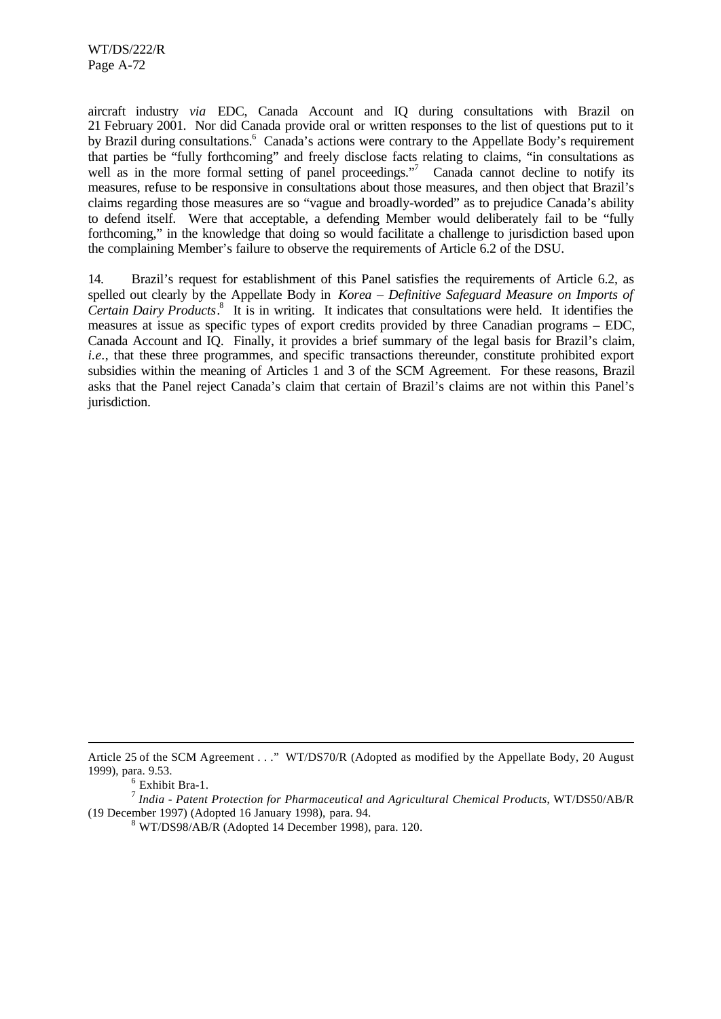aircraft industry *via* EDC, Canada Account and IQ during consultations with Brazil on 21 February 2001. Nor did Canada provide oral or written responses to the list of questions put to it by Brazil during consultations.<sup>6</sup> Canada's actions were contrary to the Appellate Body's requirement that parties be "fully forthcoming" and freely disclose facts relating to claims, "in consultations as well as in the more formal setting of panel proceedings."<sup>7</sup> Canada cannot decline to notify its measures, refuse to be responsive in consultations about those measures, and then object that Brazil's claims regarding those measures are so "vague and broadly-worded" as to prejudice Canada's ability to defend itself. Were that acceptable, a defending Member would deliberately fail to be "fully forthcoming," in the knowledge that doing so would facilitate a challenge to jurisdiction based upon the complaining Member's failure to observe the requirements of Article 6.2 of the DSU.

14. Brazil's request for establishment of this Panel satisfies the requirements of Article 6.2, as spelled out clearly by the Appellate Body in *Korea – Definitive Safeguard Measure on Imports of* Certain Dairy Products.<sup>8</sup> It is in writing. It indicates that consultations were held. It identifies the measures at issue as specific types of export credits provided by three Canadian programs – EDC, Canada Account and IQ. Finally, it provides a brief summary of the legal basis for Brazil's claim, *i.e.*, that these three programmes, and specific transactions thereunder, constitute prohibited export subsidies within the meaning of Articles 1 and 3 of the SCM Agreement. For these reasons, Brazil asks that the Panel reject Canada's claim that certain of Brazil's claims are not within this Panel's jurisdiction.

Article 25 of the SCM Agreement . . ." WT/DS70/R (Adopted as modified by the Appellate Body, 20 August 1999), para. 9.53.

<sup>6</sup> Exhibit Bra-1.

<sup>7</sup> *India - Patent Protection for Pharmaceutical and Agricultural Chemical Products*, WT/DS50/AB/R (19 December 1997) (Adopted 16 January 1998), para. 94.

<sup>8</sup> WT/DS98/AB/R (Adopted 14 December 1998), para. 120.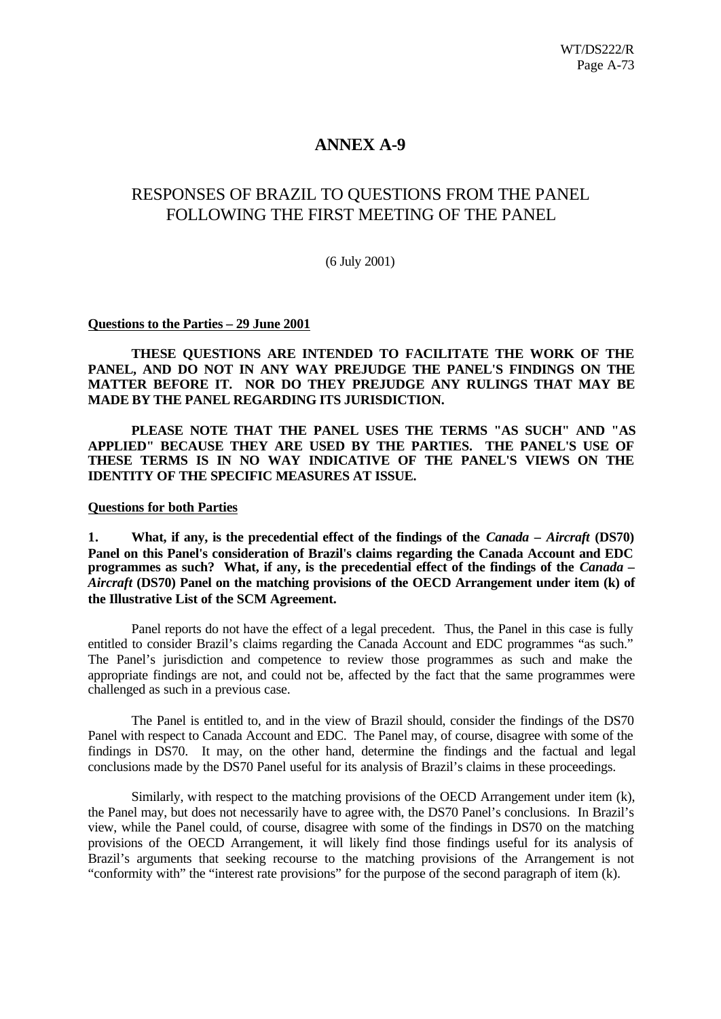# **ANNEX A-9**

# RESPONSES OF BRAZIL TO QUESTIONS FROM THE PANEL FOLLOWING THE FIRST MEETING OF THE PANEL

(6 July 2001)

#### **Questions to the Parties – 29 June 2001**

**THESE QUESTIONS ARE INTENDED TO FACILITATE THE WORK OF THE PANEL, AND DO NOT IN ANY WAY PREJUDGE THE PANEL'S FINDINGS ON THE MATTER BEFORE IT. NOR DO THEY PREJUDGE ANY RULINGS THAT MAY BE MADE BY THE PANEL REGARDING ITS JURISDICTION.**

**PLEASE NOTE THAT THE PANEL USES THE TERMS "AS SUCH" AND "AS APPLIED" BECAUSE THEY ARE USED BY THE PARTIES. THE PANEL'S USE OF THESE TERMS IS IN NO WAY INDICATIVE OF THE PANEL'S VIEWS ON THE IDENTITY OF THE SPECIFIC MEASURES AT ISSUE.**

#### **Questions for both Parties**

**1. What, if any, is the precedential effect of the findings of the** *Canada – Aircraft* **(DS70) Panel on this Panel's consideration of Brazil's claims regarding the Canada Account and EDC programmes as such? What, if any, is the precedential effect of the findings of the** *Canada – Aircraft* **(DS70) Panel on the matching provisions of the OECD Arrangement under item (k) of the Illustrative List of the SCM Agreement.**

Panel reports do not have the effect of a legal precedent. Thus, the Panel in this case is fully entitled to consider Brazil's claims regarding the Canada Account and EDC programmes "as such." The Panel's jurisdiction and competence to review those programmes as such and make the appropriate findings are not, and could not be, affected by the fact that the same programmes were challenged as such in a previous case.

The Panel is entitled to, and in the view of Brazil should, consider the findings of the DS70 Panel with respect to Canada Account and EDC. The Panel may, of course, disagree with some of the findings in DS70. It may, on the other hand, determine the findings and the factual and legal conclusions made by the DS70 Panel useful for its analysis of Brazil's claims in these proceedings.

Similarly, with respect to the matching provisions of the OECD Arrangement under item (k), the Panel may, but does not necessarily have to agree with, the DS70 Panel's conclusions. In Brazil's view, while the Panel could, of course, disagree with some of the findings in DS70 on the matching provisions of the OECD Arrangement, it will likely find those findings useful for its analysis of Brazil's arguments that seeking recourse to the matching provisions of the Arrangement is not "conformity with" the "interest rate provisions" for the purpose of the second paragraph of item (k).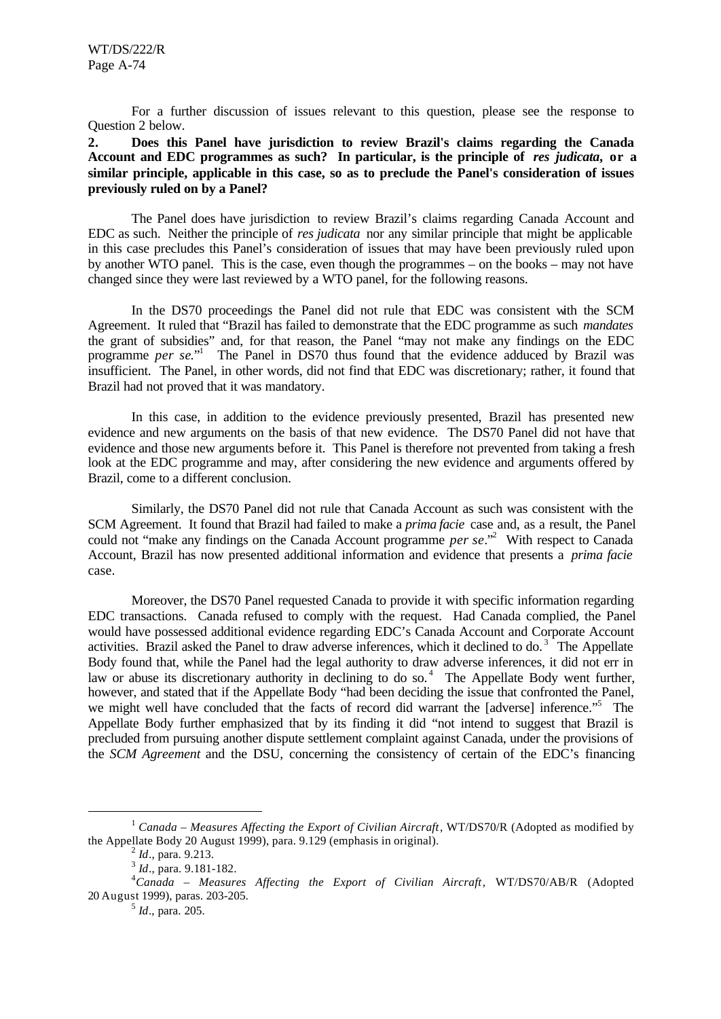For a further discussion of issues relevant to this question, please see the response to Question 2 below.

**2. Does this Panel have jurisdiction to review Brazil's claims regarding the Canada Account and EDC programmes as such? In particular, is the principle of** *res judicata***, or a similar principle, applicable in this case, so as to preclude the Panel's consideration of issues previously ruled on by a Panel?**

The Panel does have jurisdiction to review Brazil's claims regarding Canada Account and EDC as such. Neither the principle of *res judicata* nor any similar principle that might be applicable in this case precludes this Panel's consideration of issues that may have been previously ruled upon by another WTO panel. This is the case, even though the programmes – on the books – may not have changed since they were last reviewed by a WTO panel, for the following reasons.

In the DS70 proceedings the Panel did not rule that EDC was consistent with the SCM Agreement. It ruled that "Brazil has failed to demonstrate that the EDC programme as such *mandates* the grant of subsidies" and, for that reason, the Panel "may not make any findings on the EDC programme *per se*."<sup>1</sup> The Panel in DS70 thus found that the evidence adduced by Brazil was insufficient. The Panel, in other words, did not find that EDC was discretionary; rather, it found that Brazil had not proved that it was mandatory.

In this case, in addition to the evidence previously presented, Brazil has presented new evidence and new arguments on the basis of that new evidence. The DS70 Panel did not have that evidence and those new arguments before it. This Panel is therefore not prevented from taking a fresh look at the EDC programme and may, after considering the new evidence and arguments offered by Brazil, come to a different conclusion.

Similarly, the DS70 Panel did not rule that Canada Account as such was consistent with the SCM Agreement. It found that Brazil had failed to make a *prima facie* case and, as a result, the Panel could not "make any findings on the Canada Account programme *per se*."<sup>2</sup> With respect to Canada Account, Brazil has now presented additional information and evidence that presents a *prima facie* case.

Moreover, the DS70 Panel requested Canada to provide it with specific information regarding EDC transactions. Canada refused to comply with the request. Had Canada complied, the Panel would have possessed additional evidence regarding EDC's Canada Account and Corporate Account activities. Brazil asked the Panel to draw adverse inferences, which it declined to do.<sup>3</sup> The Appellate Body found that, while the Panel had the legal authority to draw adverse inferences, it did not err in law or abuse its discretionary authority in declining to do so.<sup>4</sup> The Appellate Body went further, however, and stated that if the Appellate Body "had been deciding the issue that confronted the Panel, we might well have concluded that the facts of record did warrant the [adverse] inference."<sup>5</sup> The Appellate Body further emphasized that by its finding it did "not intend to suggest that Brazil is precluded from pursuing another dispute settlement complaint against Canada, under the provisions of the *SCM Agreement* and the DSU, concerning the consistency of certain of the EDC's financing

<sup>&</sup>lt;sup>1</sup> Canada – Measures Affecting the Export of Civilian Aircraft, WT/DS70/R (Adopted as modified by the Appellate Body 20 August 1999), para. 9.129 (emphasis in original).

<sup>2</sup> *Id*., para. 9.213.

<sup>3</sup> *Id*., para. 9.181-182.

<sup>4</sup>*Canada – Measures Affecting the Export of Civilian Aircraft*, WT/DS70/AB/R (Adopted 20 August 1999), paras. 203-205.

<sup>5</sup> *Id*., para. 205.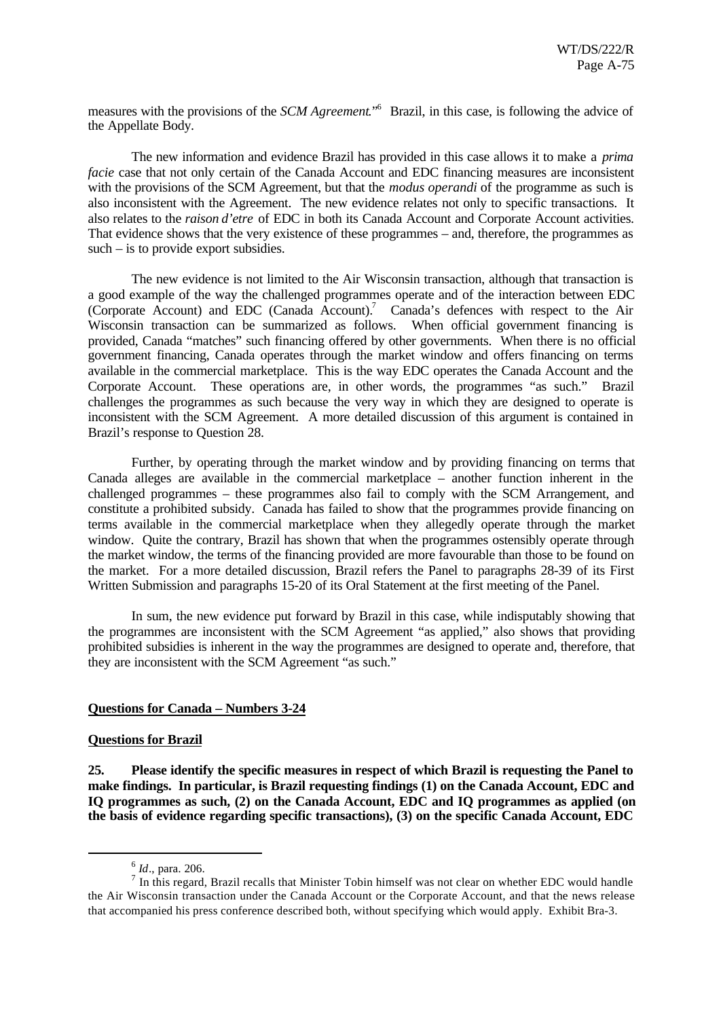measures with the provisions of the *SCM Agreement*."<sup>6</sup> Brazil, in this case, is following the advice of the Appellate Body.

The new information and evidence Brazil has provided in this case allows it to make a *prima facie* case that not only certain of the Canada Account and EDC financing measures are inconsistent with the provisions of the SCM Agreement, but that the *modus operandi* of the programme as such is also inconsistent with the Agreement. The new evidence relates not only to specific transactions. It also relates to the *raison d'etre* of EDC in both its Canada Account and Corporate Account activities. That evidence shows that the very existence of these programmes – and, therefore, the programmes as such – is to provide export subsidies.

The new evidence is not limited to the Air Wisconsin transaction, although that transaction is a good example of the way the challenged programmes operate and of the interaction between EDC (Corporate Account) and EDC (Canada Account).<sup>7</sup> Canada's defences with respect to the Air Wisconsin transaction can be summarized as follows. When official government financing is provided, Canada "matches" such financing offered by other governments. When there is no official government financing, Canada operates through the market window and offers financing on terms available in the commercial marketplace. This is the way EDC operates the Canada Account and the Corporate Account. These operations are, in other words, the programmes "as such." Brazil challenges the programmes as such because the very way in which they are designed to operate is inconsistent with the SCM Agreement. A more detailed discussion of this argument is contained in Brazil's response to Question 28.

Further, by operating through the market window and by providing financing on terms that Canada alleges are available in the commercial marketplace – another function inherent in the challenged programmes – these programmes also fail to comply with the SCM Arrangement, and constitute a prohibited subsidy. Canada has failed to show that the programmes provide financing on terms available in the commercial marketplace when they allegedly operate through the market window. Quite the contrary, Brazil has shown that when the programmes ostensibly operate through the market window, the terms of the financing provided are more favourable than those to be found on the market. For a more detailed discussion, Brazil refers the Panel to paragraphs 28-39 of its First Written Submission and paragraphs 15-20 of its Oral Statement at the first meeting of the Panel.

In sum, the new evidence put forward by Brazil in this case, while indisputably showing that the programmes are inconsistent with the SCM Agreement "as applied," also shows that providing prohibited subsidies is inherent in the way the programmes are designed to operate and, therefore, that they are inconsistent with the SCM Agreement "as such."

#### **Questions for Canada – Numbers 3-24**

#### **Questions for Brazil**

l

**25. Please identify the specific measures in respect of which Brazil is requesting the Panel to make findings. In particular, is Brazil requesting findings (1) on the Canada Account, EDC and IQ programmes as such, (2) on the Canada Account, EDC and IQ programmes as applied (on the basis of evidence regarding specific transactions), (3) on the specific Canada Account, EDC**

<sup>6</sup> *Id*., para. 206.

 $<sup>7</sup>$  In this regard, Brazil recalls that Minister Tobin himself was not clear on whether EDC would handle</sup> the Air Wisconsin transaction under the Canada Account or the Corporate Account, and that the news release that accompanied his press conference described both, without specifying which would apply. Exhibit Bra-3.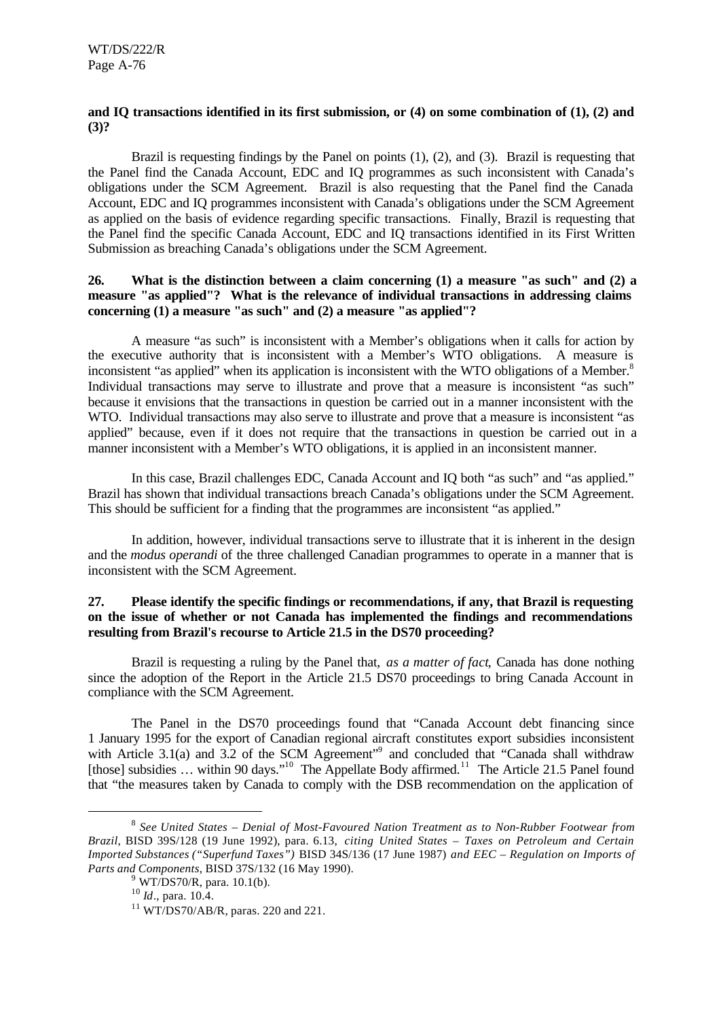#### **and IQ transactions identified in its first submission, or (4) on some combination of (1), (2) and (3)?**

Brazil is requesting findings by the Panel on points (1), (2), and (3). Brazil is requesting that the Panel find the Canada Account, EDC and IQ programmes as such inconsistent with Canada's obligations under the SCM Agreement. Brazil is also requesting that the Panel find the Canada Account, EDC and IQ programmes inconsistent with Canada's obligations under the SCM Agreement as applied on the basis of evidence regarding specific transactions. Finally, Brazil is requesting that the Panel find the specific Canada Account, EDC and IQ transactions identified in its First Written Submission as breaching Canada's obligations under the SCM Agreement.

### **26. What is the distinction between a claim concerning (1) a measure "as such" and (2) a measure "as applied"? What is the relevance of individual transactions in addressing claims concerning (1) a measure "as such" and (2) a measure "as applied"?**

A measure "as such" is inconsistent with a Member's obligations when it calls for action by the executive authority that is inconsistent with a Member's WTO obligations. A measure is inconsistent "as applied" when its application is inconsistent with the WTO obligations of a Member.<sup>8</sup> Individual transactions may serve to illustrate and prove that a measure is inconsistent "as such" because it envisions that the transactions in question be carried out in a manner inconsistent with the WTO. Individual transactions may also serve to illustrate and prove that a measure is inconsistent "as applied" because, even if it does not require that the transactions in question be carried out in a manner inconsistent with a Member's WTO obligations, it is applied in an inconsistent manner.

In this case, Brazil challenges EDC, Canada Account and IQ both "as such" and "as applied." Brazil has shown that individual transactions breach Canada's obligations under the SCM Agreement. This should be sufficient for a finding that the programmes are inconsistent "as applied."

In addition, however, individual transactions serve to illustrate that it is inherent in the design and the *modus operandi* of the three challenged Canadian programmes to operate in a manner that is inconsistent with the SCM Agreement.

#### **27. Please identify the specific findings or recommendations, if any, that Brazil is requesting on the issue of whether or not Canada has implemented the findings and recommendations resulting from Brazil's recourse to Article 21.5 in the DS70 proceeding?**

Brazil is requesting a ruling by the Panel that, *as a matter of fact*, Canada has done nothing since the adoption of the Report in the Article 21.5 DS70 proceedings to bring Canada Account in compliance with the SCM Agreement.

The Panel in the DS70 proceedings found that "Canada Account debt financing since 1 January 1995 for the export of Canadian regional aircraft constitutes export subsidies inconsistent with Article 3.1(a) and 3.2 of the SCM Agreement"<sup>9</sup> and concluded that "Canada shall withdraw [those] subsidies … within 90 days."<sup>10</sup> The Appellate Body affirmed.<sup>11</sup> The Article 21.5 Panel found that "the measures taken by Canada to comply with the DSB recommendation on the application of

<sup>8</sup> *See United States – Denial of Most-Favoured Nation Treatment as to Non-Rubber Footwear from Brazil*, BISD 39S/128 (19 June 1992), para. 6.13, *citing United States – Taxes on Petroleum and Certain Imported Substances ("Superfund Taxes")* BISD 34S/136 (17 June 1987) *and EEC – Regulation on Imports of Parts and Components*, BISD 37S/132 (16 May 1990).

 $9$  WT/DS70/R, para. 10.1(b).

<sup>10</sup> *Id*., para. 10.4.

 $11$  WT/DS70/AB/R, paras. 220 and 221.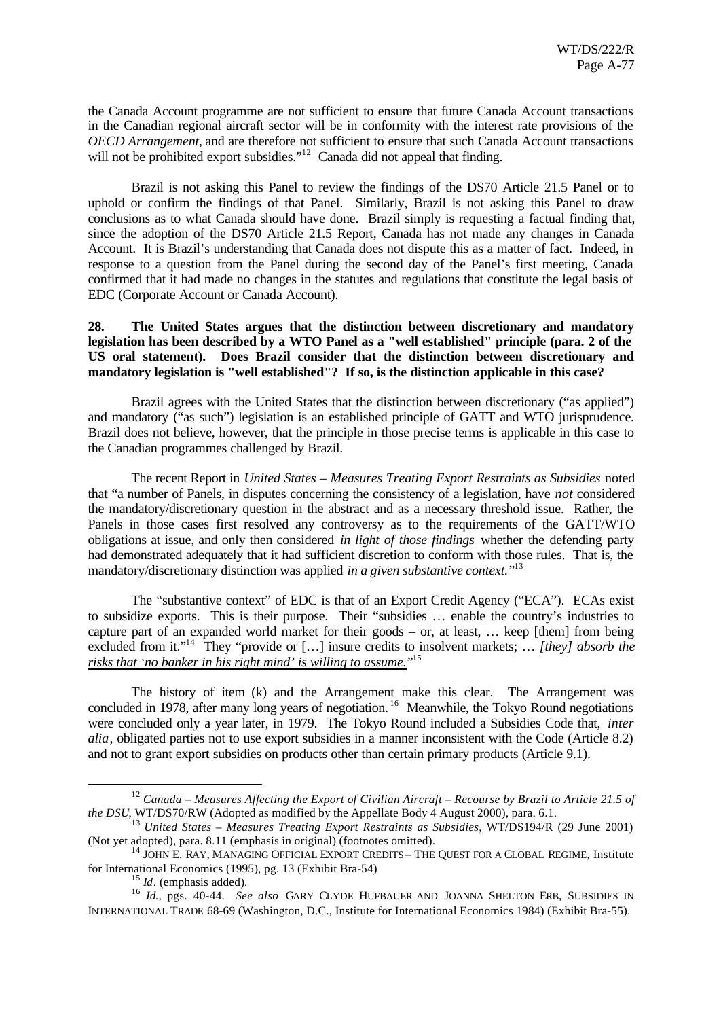the Canada Account programme are not sufficient to ensure that future Canada Account transactions in the Canadian regional aircraft sector will be in conformity with the interest rate provisions of the *OECD Arrangement,* and are therefore not sufficient to ensure that such Canada Account transactions will not be prohibited export subsidies."<sup>12</sup> Canada did not appeal that finding.

Brazil is not asking this Panel to review the findings of the DS70 Article 21.5 Panel or to uphold or confirm the findings of that Panel. Similarly, Brazil is not asking this Panel to draw conclusions as to what Canada should have done. Brazil simply is requesting a factual finding that, since the adoption of the DS70 Article 21.5 Report, Canada has not made any changes in Canada Account. It is Brazil's understanding that Canada does not dispute this as a matter of fact. Indeed, in response to a question from the Panel during the second day of the Panel's first meeting, Canada confirmed that it had made no changes in the statutes and regulations that constitute the legal basis of EDC (Corporate Account or Canada Account).

#### **28. The United States argues that the distinction between discretionary and mandatory legislation has been described by a WTO Panel as a "well established" principle (para. 2 of the US oral statement). Does Brazil consider that the distinction between discretionary and mandatory legislation is "well established"? If so, is the distinction applicable in this case?**

Brazil agrees with the United States that the distinction between discretionary ("as applied") and mandatory ("as such") legislation is an established principle of GATT and WTO jurisprudence. Brazil does not believe, however, that the principle in those precise terms is applicable in this case to the Canadian programmes challenged by Brazil.

The recent Report in *United States – Measures Treating Export Restraints as Subsidies* noted that "a number of Panels, in disputes concerning the consistency of a legislation, have *not* considered the mandatory/discretionary question in the abstract and as a necessary threshold issue. Rather, the Panels in those cases first resolved any controversy as to the requirements of the GATT/WTO obligations at issue, and only then considered *in light of those findings* whether the defending party had demonstrated adequately that it had sufficient discretion to conform with those rules. That is, the mandatory/discretionary distinction was applied *in a given substantive context*."<sup>13</sup>

The "substantive context" of EDC is that of an Export Credit Agency ("ECA"). ECAs exist to subsidize exports. This is their purpose. Their "subsidies … enable the country's industries to capture part of an expanded world market for their goods – or, at least, … keep [them] from being excluded from it."<sup>14</sup> They "provide or […] insure credits to insolvent markets; … *[they] absorb the risks that 'no banker in his right mind' is willing to assume.*" 15

The history of item (k) and the Arrangement make this clear. The Arrangement was concluded in 1978, after many long years of negotiation.<sup>16</sup> Meanwhile, the Tokyo Round negotiations were concluded only a year later, in 1979. The Tokyo Round included a Subsidies Code that, *inter alia*, obligated parties not to use export subsidies in a manner inconsistent with the Code (Article 8.2) and not to grant export subsidies on products other than certain primary products (Article 9.1).

<sup>12</sup> *Canada – Measures Affecting the Export of Civilian Aircraft – Recourse by Brazil to Article 21.5 of the DSU*, WT/DS70/RW (Adopted as modified by the Appellate Body 4 August 2000), para. 6.1.

<sup>13</sup> *United States – Measures Treating Export Restraints as Subsidies*, WT/DS194/R (29 June 2001) (Not yet adopted), para. 8.11 (emphasis in original) (footnotes omitted).

<sup>14</sup> JOHN E. RAY, MANAGING OFFICIAL EXPORT CREDITS – THE QUEST FOR A GLOBAL REGIME*,* Institute for International Economics (1995), pg. 13 (Exhibit Bra-54)

<sup>&</sup>lt;sup>15</sup> *Id*. (emphasis added).

<sup>16</sup> *Id.,* pgs. 40-44. *See also* GARY CLYDE HUFBAUER AND JOANNA SHELTON ERB, SUBSIDIES IN INTERNATIONAL TRADE 68-69 (Washington, D.C., Institute for International Economics 1984) (Exhibit Bra-55).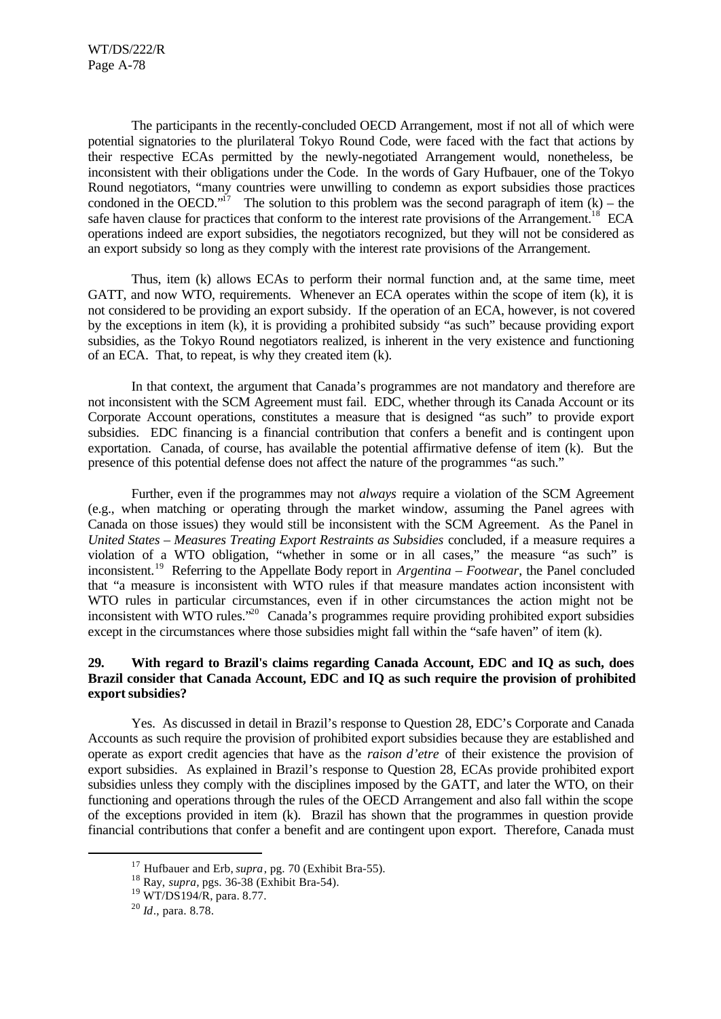The participants in the recently-concluded OECD Arrangement, most if not all of which were potential signatories to the plurilateral Tokyo Round Code, were faced with the fact that actions by their respective ECAs permitted by the newly-negotiated Arrangement would, nonetheless, be inconsistent with their obligations under the Code. In the words of Gary Hufbauer, one of the Tokyo Round negotiators, "many countries were unwilling to condemn as export subsidies those practices condoned in the OECD."<sup>17</sup> The solution to this problem was the second paragraph of item  $(k)$  – the safe haven clause for practices that conform to the interest rate provisions of the Arrangement.<sup>18</sup> ECA operations indeed are export subsidies, the negotiators recognized, but they will not be considered as an export subsidy so long as they comply with the interest rate provisions of the Arrangement.

Thus, item (k) allows ECAs to perform their normal function and, at the same time, meet GATT, and now WTO, requirements. Whenever an ECA operates within the scope of item (k), it is not considered to be providing an export subsidy. If the operation of an ECA, however, is not covered by the exceptions in item (k), it is providing a prohibited subsidy "as such" because providing export subsidies, as the Tokyo Round negotiators realized, is inherent in the very existence and functioning of an ECA. That, to repeat, is why they created item (k).

In that context, the argument that Canada's programmes are not mandatory and therefore are not inconsistent with the SCM Agreement must fail. EDC, whether through its Canada Account or its Corporate Account operations, constitutes a measure that is designed "as such" to provide export subsidies. EDC financing is a financial contribution that confers a benefit and is contingent upon exportation. Canada, of course, has available the potential affirmative defense of item (k). But the presence of this potential defense does not affect the nature of the programmes "as such."

Further, even if the programmes may not *always* require a violation of the SCM Agreement (e.g., when matching or operating through the market window, assuming the Panel agrees with Canada on those issues) they would still be inconsistent with the SCM Agreement. As the Panel in *United States – Measures Treating Export Restraints as Subsidies* concluded, if a measure requires a violation of a WTO obligation, "whether in some or in all cases," the measure "as such" is inconsistent.<sup>19</sup> Referring to the Appellate Body report in *Argentina – Footwear*, the Panel concluded that "a measure is inconsistent with WTO rules if that measure mandates action inconsistent with WTO rules in particular circumstances, even if in other circumstances the action might not be inconsistent with WTO rules.<sup>20</sup> Canada's programmes require providing prohibited export subsidies except in the circumstances where those subsidies might fall within the "safe haven" of item (k).

#### **29. With regard to Brazil's claims regarding Canada Account, EDC and IQ as such, does Brazil consider that Canada Account, EDC and IQ as such require the provision of prohibited export subsidies?**

Yes. As discussed in detail in Brazil's response to Question 28, EDC's Corporate and Canada Accounts as such require the provision of prohibited export subsidies because they are established and operate as export credit agencies that have as the *raison d'etre* of their existence the provision of export subsidies. As explained in Brazil's response to Question 28, ECAs provide prohibited export subsidies unless they comply with the disciplines imposed by the GATT, and later the WTO, on their functioning and operations through the rules of the OECD Arrangement and also fall within the scope of the exceptions provided in item (k). Brazil has shown that the programmes in question provide financial contributions that confer a benefit and are contingent upon export. Therefore, Canada must

<sup>17</sup> Hufbauer and Erb, *supra*, pg. 70 (Exhibit Bra-55).

<sup>18</sup> Ray, *supra,* pgs. 36-38 (Exhibit Bra-54).

<sup>&</sup>lt;sup>19</sup> WT/DS194/R, para. 8.77.

<sup>20</sup> *Id*., para. 8.78.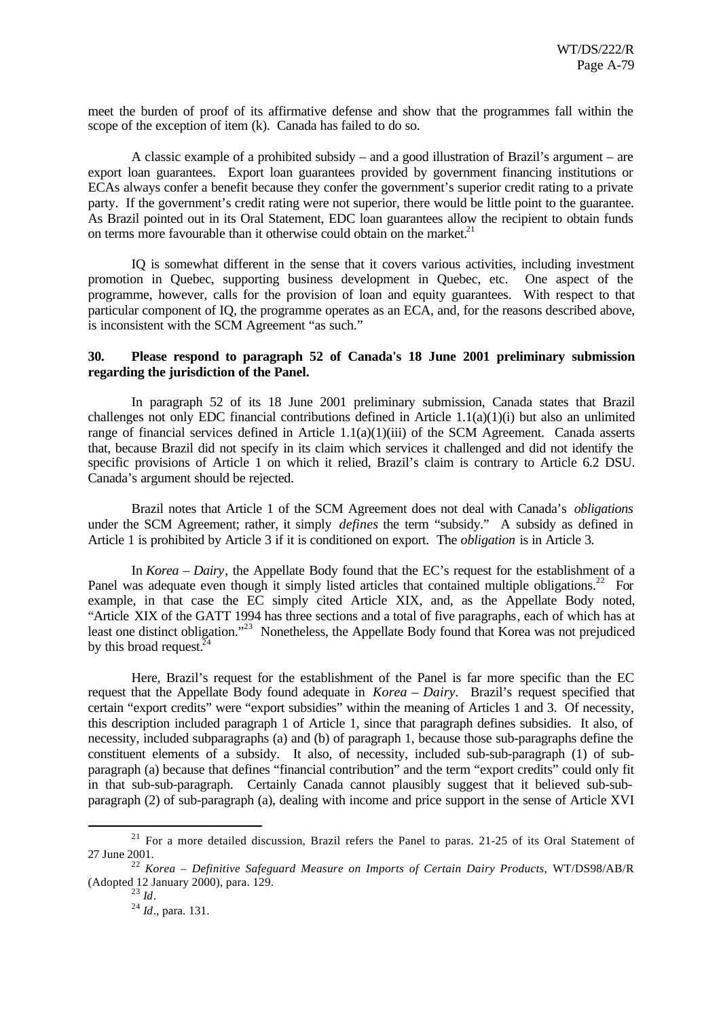meet the burden of proof of its affirmative defense and show that the programmes fall within the scope of the exception of item (k). Canada has failed to do so.

A classic example of a prohibited subsidy – and a good illustration of Brazil's argument – are export loan guarantees. Export loan guarantees provided by government financing institutions or ECAs always confer a benefit because they confer the government's superior credit rating to a private party. If the government's credit rating were not superior, there would be little point to the guarantee. As Brazil pointed out in its Oral Statement, EDC loan guarantees allow the recipient to obtain funds on terms more favourable than it otherwise could obtain on the market. $21$ 

IQ is somewhat different in the sense that it covers various activities, including investment promotion in Quebec, supporting business development in Quebec, etc. One aspect of the programme, however, calls for the provision of loan and equity guarantees. With respect to that particular component of IQ, the programme operates as an ECA, and, for the reasons described above, is inconsistent with the SCM Agreement "as such."

#### **30. Please respond to paragraph 52 of Canada's 18 June 2001 preliminary submission regarding the jurisdiction of the Panel.**

In paragraph 52 of its 18 June 2001 preliminary submission, Canada states that Brazil challenges not only EDC financial contributions defined in Article  $1.1(a)(1)(i)$  but also an unlimited range of financial services defined in Article  $1.1(a)(1)(iii)$  of the SCM Agreement. Canada asserts that, because Brazil did not specify in its claim which services it challenged and did not identify the specific provisions of Article 1 on which it relied, Brazil's claim is contrary to Article 6.2 DSU. Canada's argument should be rejected.

Brazil notes that Article 1 of the SCM Agreement does not deal with Canada's *obligations* under the SCM Agreement; rather, it simply *defines* the term "subsidy." A subsidy as defined in Article 1 is prohibited by Article 3 if it is conditioned on export. The *obligation* is in Article 3.

In *Korea – Dairy*, the Appellate Body found that the EC's request for the establishment of a Panel was adequate even though it simply listed articles that contained multiple obligations.<sup>22</sup> For example, in that case the EC simply cited Article XIX, and, as the Appellate Body noted, "Article XIX of the GATT 1994 has three sections and a total of five paragraphs, each of which has at least one distinct obligation."<sup>23</sup> Nonetheless, the Appellate Body found that Korea was not prejudiced by this broad request. $24$ 

Here, Brazil's request for the establishment of the Panel is far more specific than the EC request that the Appellate Body found adequate in *Korea – Dairy*. Brazil's request specified that certain "export credits" were "export subsidies" within the meaning of Articles 1 and 3. Of necessity, this description included paragraph 1 of Article 1, since that paragraph defines subsidies. It also, of necessity, included subparagraphs (a) and (b) of paragraph 1, because those sub-paragraphs define the constituent elements of a subsidy. It also, of necessity, included sub-sub-paragraph (1) of subparagraph (a) because that defines "financial contribution" and the term "export credits" could only fit in that sub-sub-paragraph. Certainly Canada cannot plausibly suggest that it believed sub-subparagraph (2) of sub-paragraph (a), dealing with income and price support in the sense of Article XVI

<sup>&</sup>lt;sup>21</sup> For a more detailed discussion, Brazil refers the Panel to paras. 21-25 of its Oral Statement of 27 June 2001.

<sup>22</sup> *Korea – Definitive Safeguard Measure on Imports of Certain Dairy Products*, WT/DS98/AB/R (Adopted 12 January 2000), para. 129.

 $23$  *Id.* 

<sup>24</sup> *Id*., para. 131.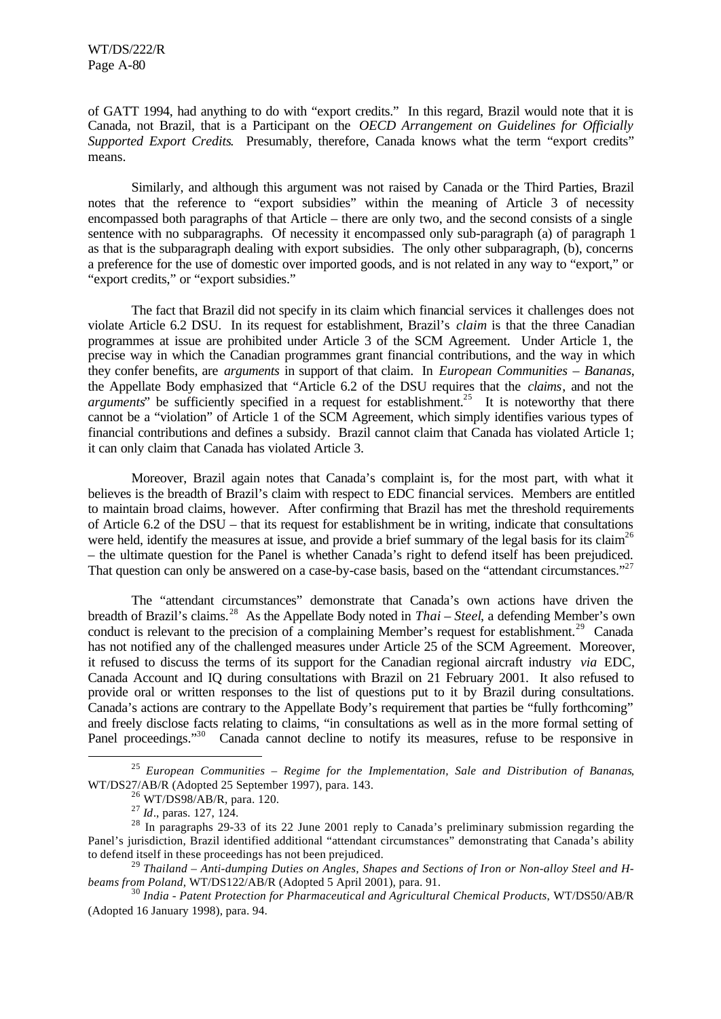of GATT 1994, had anything to do with "export credits." In this regard, Brazil would note that it is Canada, not Brazil, that is a Participant on the *OECD Arrangement on Guidelines for Officially Supported Export Credits*. Presumably, therefore, Canada knows what the term "export credits" means.

Similarly, and although this argument was not raised by Canada or the Third Parties, Brazil notes that the reference to "export subsidies" within the meaning of Article 3 of necessity encompassed both paragraphs of that Article – there are only two, and the second consists of a single sentence with no subparagraphs. Of necessity it encompassed only sub-paragraph (a) of paragraph 1 as that is the subparagraph dealing with export subsidies. The only other subparagraph, (b), concerns a preference for the use of domestic over imported goods, and is not related in any way to "export," or "export credits," or "export subsidies."

The fact that Brazil did not specify in its claim which financial services it challenges does not violate Article 6.2 DSU. In its request for establishment, Brazil's *claim* is that the three Canadian programmes at issue are prohibited under Article 3 of the SCM Agreement. Under Article 1, the precise way in which the Canadian programmes grant financial contributions, and the way in which they confer benefits, are *arguments* in support of that claim. In *European Communities – Bananas*, the Appellate Body emphasized that "Article 6.2 of the DSU requires that the *claims*, and not the *arguments*" be sufficiently specified in a request for establishment.<sup>25</sup> It is noteworthy that there cannot be a "violation" of Article 1 of the SCM Agreement, which simply identifies various types of financial contributions and defines a subsidy. Brazil cannot claim that Canada has violated Article 1; it can only claim that Canada has violated Article 3.

Moreover, Brazil again notes that Canada's complaint is, for the most part, with what it believes is the breadth of Brazil's claim with respect to EDC financial services. Members are entitled to maintain broad claims, however. After confirming that Brazil has met the threshold requirements of Article 6.2 of the DSU – that its request for establishment be in writing, indicate that consultations were held, identify the measures at issue, and provide a brief summary of the legal basis for its claim<sup>26</sup> – the ultimate question for the Panel is whether Canada's right to defend itself has been prejudiced. That question can only be answered on a case-by-case basis, based on the "attendant circumstances."<sup>27</sup>

The "attendant circumstances" demonstrate that Canada's own actions have driven the breadth of Brazil's claims.<sup>28</sup> As the Appellate Body noted in *Thai* – Steel, a defending Member's own conduct is relevant to the precision of a complaining Member's request for establishment.<sup>29</sup> Canada has not notified any of the challenged measures under Article 25 of the SCM Agreement. Moreover, it refused to discuss the terms of its support for the Canadian regional aircraft industry *via* EDC, Canada Account and IQ during consultations with Brazil on 21 February 2001. It also refused to provide oral or written responses to the list of questions put to it by Brazil during consultations. Canada's actions are contrary to the Appellate Body's requirement that parties be "fully forthcoming" and freely disclose facts relating to claims, "in consultations as well as in the more formal setting of Panel proceedings."<sup>30</sup> Canada cannot decline to notify its measures, refuse to be responsive in

<sup>25</sup> *European Communities – Regime for the Implementation, Sale and Distribution of Bananas*, WT/DS27/AB/R (Adopted 25 September 1997), para. 143.

 $^{26}$  WT/DS98/AB/R, para. 120.

<sup>27</sup> *Id*., paras. 127, 124.

<sup>&</sup>lt;sup>28</sup> In paragraphs 29-33 of its 22 June 2001 reply to Canada's preliminary submission regarding the Panel's jurisdiction, Brazil identified additional "attendant circumstances" demonstrating that Canada's ability to defend itself in these proceedings has not been prejudiced.

<sup>29</sup> *Thailand – Anti-dumping Duties on Angles, Shapes and Sections of Iron or Non-alloy Steel and Hbeams from Poland*, WT/DS122/AB/R (Adopted 5 April 2001), para. 91.

<sup>30</sup> *India - Patent Protection for Pharmaceutical and Agricultural Chemical Products*, WT/DS50/AB/R (Adopted 16 January 1998), para. 94.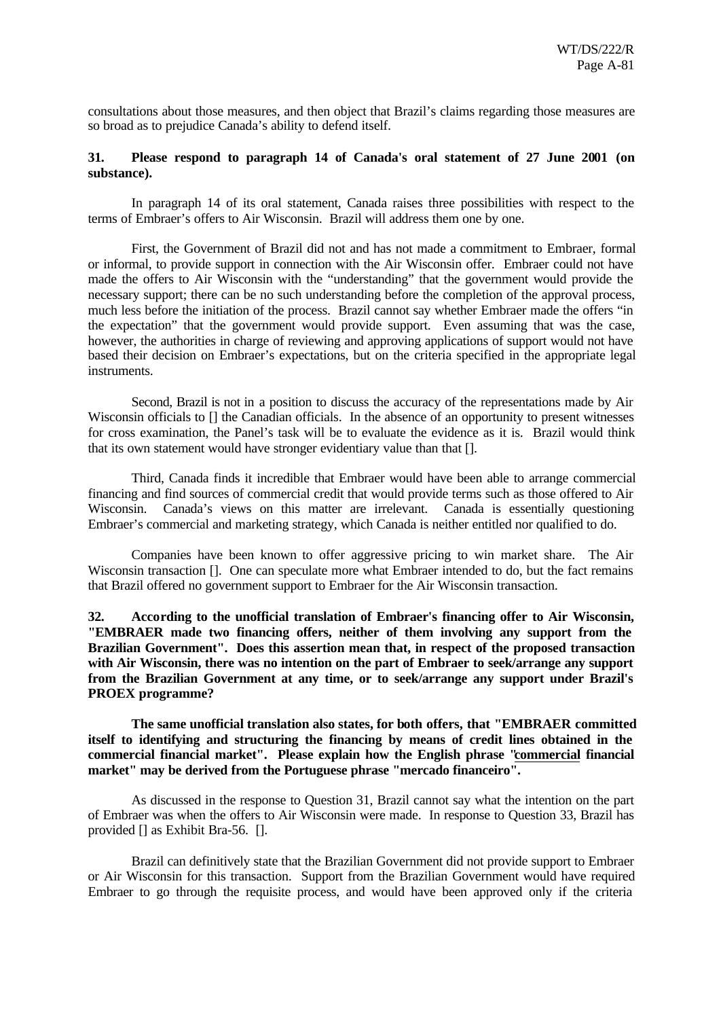consultations about those measures, and then object that Brazil's claims regarding those measures are so broad as to prejudice Canada's ability to defend itself.

#### **31. Please respond to paragraph 14 of Canada's oral statement of 27 June 2001 (on substance).**

In paragraph 14 of its oral statement, Canada raises three possibilities with respect to the terms of Embraer's offers to Air Wisconsin. Brazil will address them one by one.

First, the Government of Brazil did not and has not made a commitment to Embraer, formal or informal, to provide support in connection with the Air Wisconsin offer. Embraer could not have made the offers to Air Wisconsin with the "understanding" that the government would provide the necessary support; there can be no such understanding before the completion of the approval process, much less before the initiation of the process. Brazil cannot say whether Embraer made the offers "in the expectation" that the government would provide support. Even assuming that was the case, however, the authorities in charge of reviewing and approving applications of support would not have based their decision on Embraer's expectations, but on the criteria specified in the appropriate legal instruments.

Second, Brazil is not in a position to discuss the accuracy of the representations made by Air Wisconsin officials to  $\Box$  the Canadian officials. In the absence of an opportunity to present witnesses for cross examination, the Panel's task will be to evaluate the evidence as it is. Brazil would think that its own statement would have stronger evidentiary value than that [].

Third, Canada finds it incredible that Embraer would have been able to arrange commercial financing and find sources of commercial credit that would provide terms such as those offered to Air Wisconsin. Canada's views on this matter are irrelevant. Canada is essentially questioning Embraer's commercial and marketing strategy, which Canada is neither entitled nor qualified to do.

Companies have been known to offer aggressive pricing to win market share. The Air Wisconsin transaction  $\Pi$ . One can speculate more what Embraer intended to do, but the fact remains that Brazil offered no government support to Embraer for the Air Wisconsin transaction.

**32. According to the unofficial translation of Embraer's financing offer to Air Wisconsin, "EMBRAER made two financing offers, neither of them involving any support from the Brazilian Government". Does this assertion mean that, in respect of the proposed transaction with Air Wisconsin, there was no intention on the part of Embraer to seek/arrange any support from the Brazilian Government at any time, or to seek/arrange any support under Brazil's PROEX programme?**

**The same unofficial translation also states, for both offers, that "EMBRAER committed itself to identifying and structuring the financing by means of credit lines obtained in the commercial financial market". Please explain how the English phrase "commercial financial market" may be derived from the Portuguese phrase "mercado financeiro".**

As discussed in the response to Question 31, Brazil cannot say what the intention on the part of Embraer was when the offers to Air Wisconsin were made. In response to Question 33, Brazil has provided [] as Exhibit Bra-56. [].

Brazil can definitively state that the Brazilian Government did not provide support to Embraer or Air Wisconsin for this transaction. Support from the Brazilian Government would have required Embraer to go through the requisite process, and would have been approved only if the criteria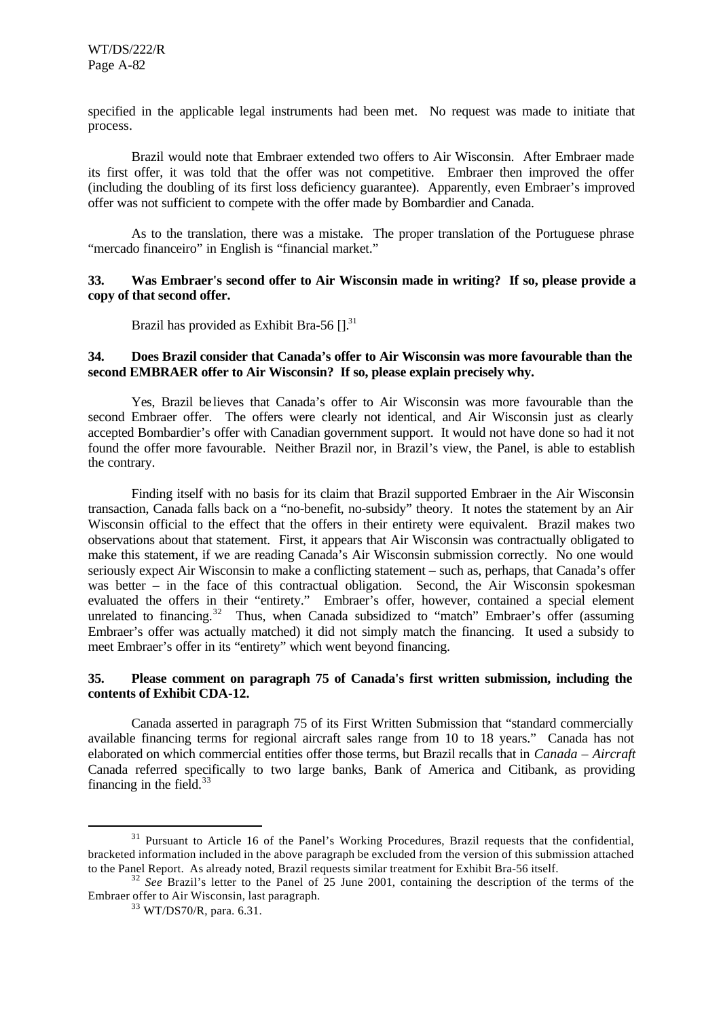specified in the applicable legal instruments had been met. No request was made to initiate that process.

Brazil would note that Embraer extended two offers to Air Wisconsin. After Embraer made its first offer, it was told that the offer was not competitive. Embraer then improved the offer (including the doubling of its first loss deficiency guarantee). Apparently, even Embraer's improved offer was not sufficient to compete with the offer made by Bombardier and Canada.

As to the translation, there was a mistake. The proper translation of the Portuguese phrase "mercado financeiro" in English is "financial market."

#### **33. Was Embraer's second offer to Air Wisconsin made in writing? If so, please provide a copy of that second offer.**

Brazil has provided as Exhibit Bra-56  $\Pi$ <sup>31</sup>

#### **34. Does Brazil consider that Canada's offer to Air Wisconsin was more favourable than the second EMBRAER offer to Air Wisconsin? If so, please explain precisely why.**

Yes, Brazil be lieves that Canada's offer to Air Wisconsin was more favourable than the second Embraer offer. The offers were clearly not identical, and Air Wisconsin just as clearly accepted Bombardier's offer with Canadian government support. It would not have done so had it not found the offer more favourable. Neither Brazil nor, in Brazil's view, the Panel, is able to establish the contrary.

Finding itself with no basis for its claim that Brazil supported Embraer in the Air Wisconsin transaction, Canada falls back on a "no-benefit, no-subsidy" theory. It notes the statement by an Air Wisconsin official to the effect that the offers in their entirety were equivalent. Brazil makes two observations about that statement. First, it appears that Air Wisconsin was contractually obligated to make this statement, if we are reading Canada's Air Wisconsin submission correctly. No one would seriously expect Air Wisconsin to make a conflicting statement – such as, perhaps, that Canada's offer was better – in the face of this contractual obligation. Second, the Air Wisconsin spokesman evaluated the offers in their "entirety." Embraer's offer, however, contained a special element unrelated to financing.<sup>32</sup> Thus, when Canada subsidized to "match" Embraer's offer (assuming Embraer's offer was actually matched) it did not simply match the financing. It used a subsidy to meet Embraer's offer in its "entirety" which went beyond financing.

#### **35. Please comment on paragraph 75 of Canada's first written submission, including the contents of Exhibit CDA-12.**

Canada asserted in paragraph 75 of its First Written Submission that "standard commercially available financing terms for regional aircraft sales range from 10 to 18 years." Canada has not elaborated on which commercial entities offer those terms, but Brazil recalls that in *Canada – Aircraft* Canada referred specifically to two large banks, Bank of America and Citibank, as providing financing in the field. $33$ 

<sup>&</sup>lt;sup>31</sup> Pursuant to Article 16 of the Panel's Working Procedures, Brazil requests that the confidential, bracketed information included in the above paragraph be excluded from the version of this submission attached to the Panel Report. As already noted, Brazil requests similar treatment for Exhibit Bra-56 itself.

<sup>&</sup>lt;sup>32</sup> See<sup></sup> Brazil's letter to the Panel of 25 June 2001, containing the description of the terms of the Embraer offer to Air Wisconsin, last paragraph.

<sup>33</sup> WT/DS70/R, para. 6.31.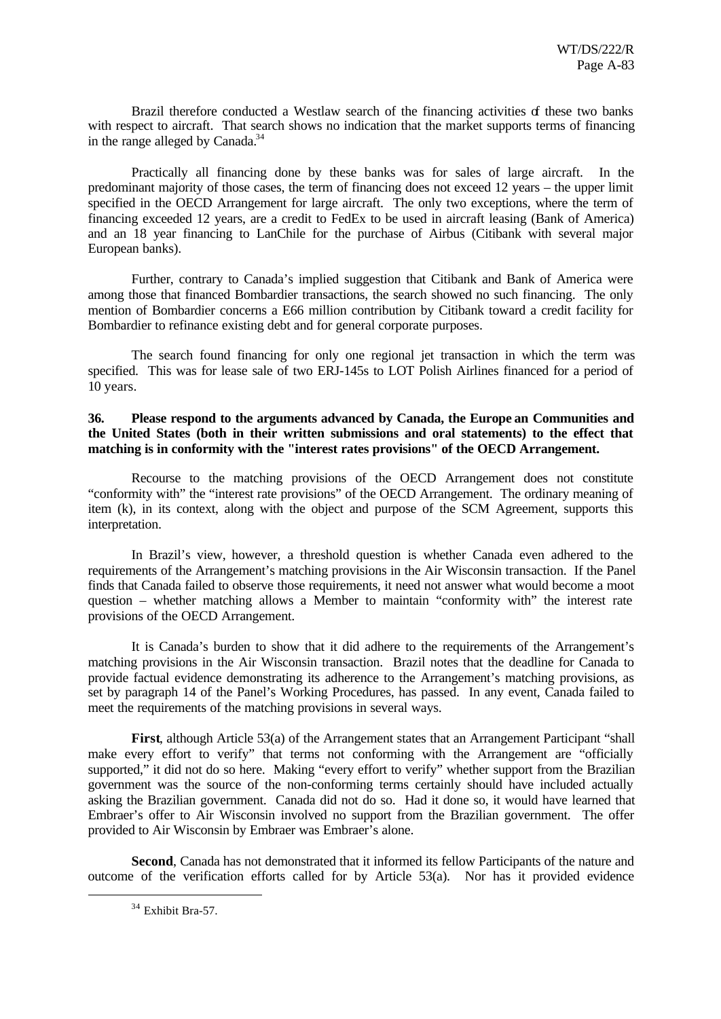Brazil therefore conducted a Westlaw search of the financing activities of these two banks with respect to aircraft. That search shows no indication that the market supports terms of financing in the range alleged by Canada.<sup>34</sup>

Practically all financing done by these banks was for sales of large aircraft. In the predominant majority of those cases, the term of financing does not exceed 12 years – the upper limit specified in the OECD Arrangement for large aircraft. The only two exceptions, where the term of financing exceeded 12 years, are a credit to FedEx to be used in aircraft leasing (Bank of America) and an 18 year financing to LanChile for the purchase of Airbus (Citibank with several major European banks).

Further, contrary to Canada's implied suggestion that Citibank and Bank of America were among those that financed Bombardier transactions, the search showed no such financing. The only mention of Bombardier concerns a E66 million contribution by Citibank toward a credit facility for Bombardier to refinance existing debt and for general corporate purposes.

The search found financing for only one regional jet transaction in which the term was specified. This was for lease sale of two ERJ-145s to LOT Polish Airlines financed for a period of 10 years.

#### **36. Please respond to the arguments advanced by Canada, the Europe an Communities and the United States (both in their written submissions and oral statements) to the effect that matching is in conformity with the "interest rates provisions" of the OECD Arrangement.**

Recourse to the matching provisions of the OECD Arrangement does not constitute "conformity with" the "interest rate provisions" of the OECD Arrangement. The ordinary meaning of item (k), in its context, along with the object and purpose of the SCM Agreement, supports this interpretation.

In Brazil's view, however, a threshold question is whether Canada even adhered to the requirements of the Arrangement's matching provisions in the Air Wisconsin transaction. If the Panel finds that Canada failed to observe those requirements, it need not answer what would become a moot question – whether matching allows a Member to maintain "conformity with" the interest rate provisions of the OECD Arrangement.

It is Canada's burden to show that it did adhere to the requirements of the Arrangement's matching provisions in the Air Wisconsin transaction. Brazil notes that the deadline for Canada to provide factual evidence demonstrating its adherence to the Arrangement's matching provisions, as set by paragraph 14 of the Panel's Working Procedures, has passed. In any event, Canada failed to meet the requirements of the matching provisions in several ways.

**First**, although Article 53(a) of the Arrangement states that an Arrangement Participant "shall make every effort to verify" that terms not conforming with the Arrangement are "officially supported," it did not do so here. Making "every effort to verify" whether support from the Brazilian government was the source of the non-conforming terms certainly should have included actually asking the Brazilian government. Canada did not do so. Had it done so, it would have learned that Embraer's offer to Air Wisconsin involved no support from the Brazilian government. The offer provided to Air Wisconsin by Embraer was Embraer's alone.

**Second**, Canada has not demonstrated that it informed its fellow Participants of the nature and outcome of the verification efforts called for by Article 53(a). Nor has it provided evidence

<sup>&</sup>lt;sup>34</sup> Exhibit Bra-57.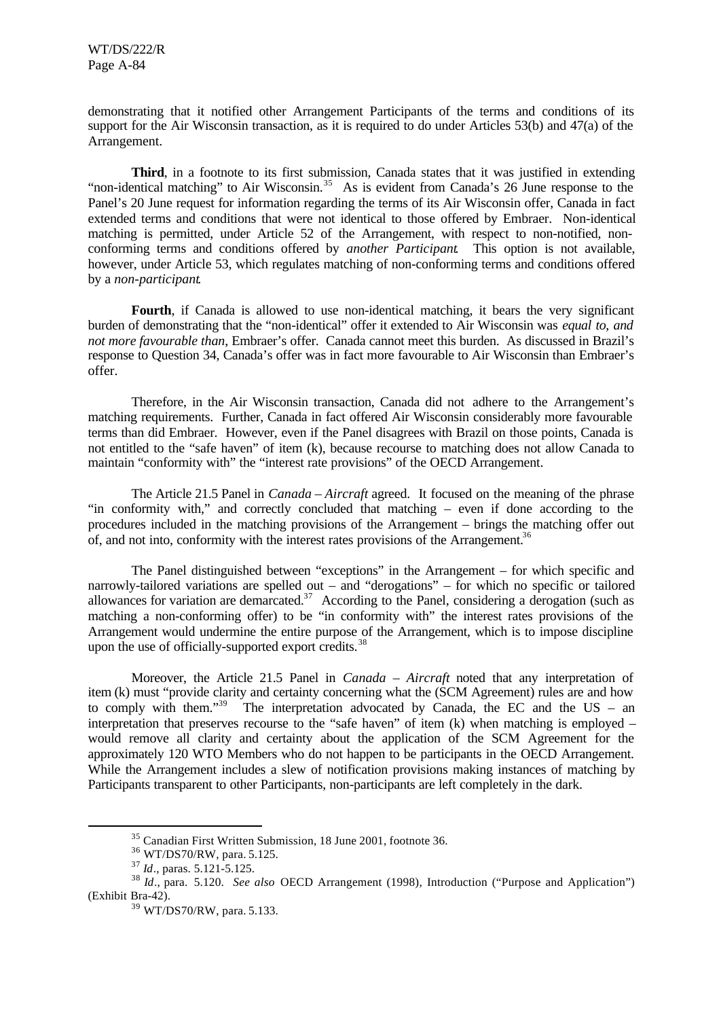demonstrating that it notified other Arrangement Participants of the terms and conditions of its support for the Air Wisconsin transaction, as it is required to do under Articles 53(b) and 47(a) of the Arrangement.

**Third**, in a footnote to its first submission, Canada states that it was justified in extending "non-identical matching" to Air Wisconsin.<sup>35</sup> As is evident from Canada's 26 June response to the Panel's 20 June request for information regarding the terms of its Air Wisconsin offer, Canada in fact extended terms and conditions that were not identical to those offered by Embraer. Non-identical matching is permitted, under Article 52 of the Arrangement, with respect to non-notified, nonconforming terms and conditions offered by *another Participant*. This option is not available, however, under Article 53, which regulates matching of non-conforming terms and conditions offered by a *non-participant*.

**Fourth**, if Canada is allowed to use non-identical matching, it bears the very significant burden of demonstrating that the "non-identical" offer it extended to Air Wisconsin was *equal to, and not more favourable than*, Embraer's offer. Canada cannot meet this burden. As discussed in Brazil's response to Question 34, Canada's offer was in fact more favourable to Air Wisconsin than Embraer's offer.

Therefore, in the Air Wisconsin transaction, Canada did not adhere to the Arrangement's matching requirements. Further, Canada in fact offered Air Wisconsin considerably more favourable terms than did Embraer. However, even if the Panel disagrees with Brazil on those points, Canada is not entitled to the "safe haven" of item (k), because recourse to matching does not allow Canada to maintain "conformity with" the "interest rate provisions" of the OECD Arrangement.

The Article 21.5 Panel in *Canada – Aircraft* agreed. It focused on the meaning of the phrase "in conformity with," and correctly concluded that matching – even if done according to the procedures included in the matching provisions of the Arrangement – brings the matching offer out of, and not into, conformity with the interest rates provisions of the Arrangement.<sup>36</sup>

The Panel distinguished between "exceptions" in the Arrangement – for which specific and narrowly-tailored variations are spelled out – and "derogations" – for which no specific or tailored allowances for variation are demarcated.<sup>37</sup> According to the Panel, considering a derogation (such as matching a non-conforming offer) to be "in conformity with" the interest rates provisions of the Arrangement would undermine the entire purpose of the Arrangement, which is to impose discipline upon the use of officially-supported export credits. $38$ 

Moreover, the Article 21.5 Panel in *Canada – Aircraft* noted that any interpretation of item (k) must "provide clarity and certainty concerning what the (SCM Agreement) rules are and how to comply with them."<sup>39</sup> The interpretation advocated by Canada, the EC and the US – an interpretation that preserves recourse to the "safe haven" of item (k) when matching is employed – would remove all clarity and certainty about the application of the SCM Agreement for the approximately 120 WTO Members who do not happen to be participants in the OECD Arrangement. While the Arrangement includes a slew of notification provisions making instances of matching by Participants transparent to other Participants, non-participants are left completely in the dark.

<sup>35</sup> Canadian First Written Submission, 18 June 2001, footnote 36.

<sup>36</sup> WT/DS70/RW, para. 5.125.

<sup>37</sup> *Id*., paras. 5.121-5.125.

<sup>&</sup>lt;sup>38</sup> *Id.*, para. 5.120. *See also* OECD Arrangement (1998), Introduction ("Purpose and Application") (Exhibit Bra-42).

<sup>39</sup> WT/DS70/RW, para. 5.133.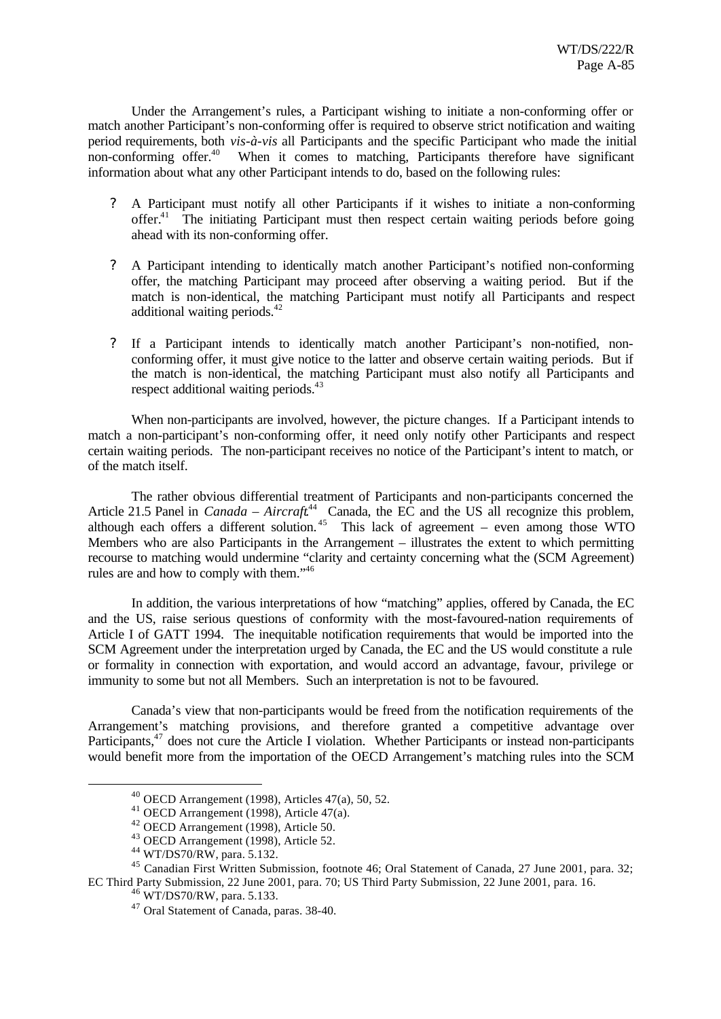Under the Arrangement's rules, a Participant wishing to initiate a non-conforming offer or match another Participant's non-conforming offer is required to observe strict notification and waiting period requirements, both *vis-à-vis* all Participants and the specific Participant who made the initial non-conforming offer.<sup>40</sup> When it comes to matching, Participants therefore have significant information about what any other Participant intends to do, based on the following rules:

- ? A Participant must notify all other Participants if it wishes to initiate a non-conforming offer.<sup>41</sup> The initiating Participant must then respect certain waiting periods before going ahead with its non-conforming offer.
- ? A Participant intending to identically match another Participant's notified non-conforming offer, the matching Participant may proceed after observing a waiting period. But if the match is non-identical, the matching Participant must notify all Participants and respect additional waiting periods.<sup>42</sup>
- ? If a Participant intends to identically match another Participant's non-notified, nonconforming offer, it must give notice to the latter and observe certain waiting periods. But if the match is non-identical, the matching Participant must also notify all Participants and respect additional waiting periods.<sup>43</sup>

When non-participants are involved, however, the picture changes. If a Participant intends to match a non-participant's non-conforming offer, it need only notify other Participants and respect certain waiting periods. The non-participant receives no notice of the Participant's intent to match, or of the match itself.

The rather obvious differential treatment of Participants and non-participants concerned the Article 21.5 Panel in *Canada – Aircraft*<sup>44</sup> Canada, the EC and the US all recognize this problem, although each offers a different solution.<sup>45</sup> This lack of agreement – even among those WTO Members who are also Participants in the Arrangement – illustrates the extent to which permitting recourse to matching would undermine "clarity and certainty concerning what the (SCM Agreement) rules are and how to comply with them."<sup>46</sup>

In addition, the various interpretations of how "matching" applies, offered by Canada, the EC and the US, raise serious questions of conformity with the most-favoured-nation requirements of Article I of GATT 1994. The inequitable notification requirements that would be imported into the SCM Agreement under the interpretation urged by Canada, the EC and the US would constitute a rule or formality in connection with exportation, and would accord an advantage, favour, privilege or immunity to some but not all Members. Such an interpretation is not to be favoured.

Canada's view that non-participants would be freed from the notification requirements of the Arrangement's matching provisions, and therefore granted a competitive advantage over Participants,<sup>47</sup> does not cure the Article I violation. Whether Participants or instead non-participants would benefit more from the importation of the OECD Arrangement's matching rules into the SCM

 $40$  OECD Arrangement (1998), Articles 47(a), 50, 52.

<sup>41</sup> OECD Arrangement (1998), Article 47(a).

<sup>42</sup> OECD Arrangement (1998), Article 50.

<sup>43</sup> OECD Arrangement (1998), Article 52.

<sup>44</sup> WT/DS70/RW, para. 5.132.

<sup>45</sup> Canadian First Written Submission, footnote 46; Oral Statement of Canada, 27 June 2001, para. 32; EC Third Party Submission, 22 June 2001, para. 70; US Third Party Submission, 22 June 2001, para. 16.

<sup>46</sup> WT/DS70/RW, para. 5.133.

<sup>47</sup> Oral Statement of Canada, paras. 38-40.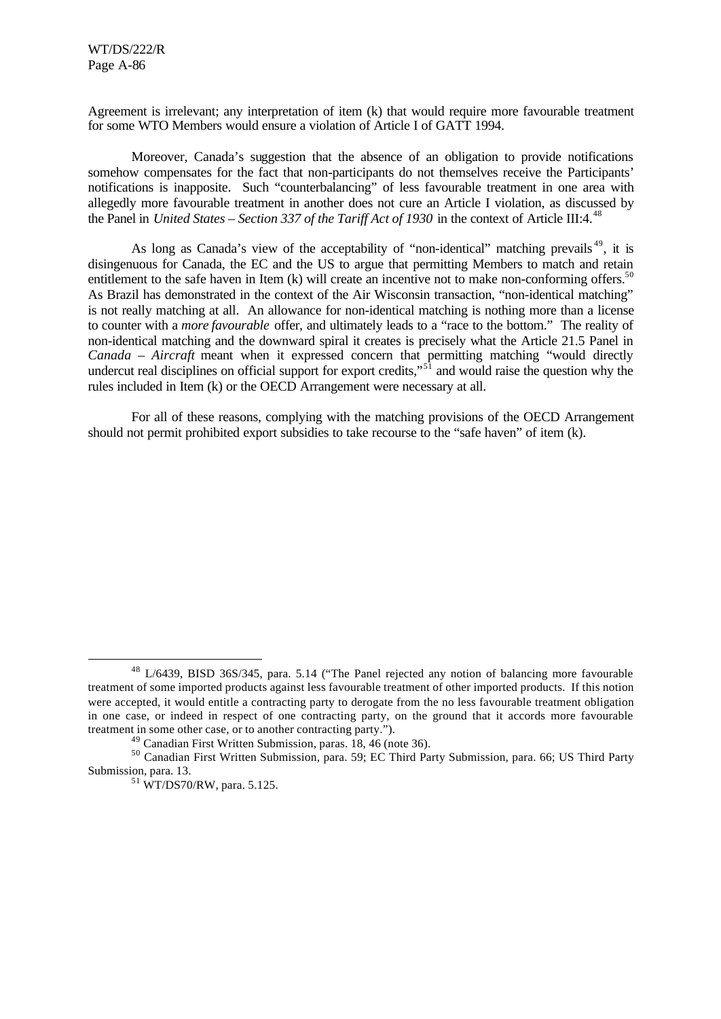Agreement is irrelevant; any interpretation of item (k) that would require more favourable treatment for some WTO Members would ensure a violation of Article I of GATT 1994.

Moreover, Canada's suggestion that the absence of an obligation to provide notifications somehow compensates for the fact that non-participants do not themselves receive the Participants' notifications is inapposite. Such "counterbalancing" of less favourable treatment in one area with allegedly more favourable treatment in another does not cure an Article I violation, as discussed by the Panel in *United States – Section 337 of the Tariff Act of 1930* in the context of Article III:4.<sup>48</sup>

As long as Canada's view of the acceptability of "non-identical" matching prevails  $49$ , it is disingenuous for Canada, the EC and the US to argue that permitting Members to match and retain entitlement to the safe haven in Item  $(k)$  will create an incentive not to make non-conforming offers.<sup>50</sup> As Brazil has demonstrated in the context of the Air Wisconsin transaction, "non-identical matching" is not really matching at all. An allowance for non-identical matching is nothing more than a license to counter with a *more favourable* offer, and ultimately leads to a "race to the bottom." The reality of non-identical matching and the downward spiral it creates is precisely what the Article 21.5 Panel in *Canada – Aircraft* meant when it expressed concern that permitting matching "would directly undercut real disciplines on official support for export credits,"<sup>51</sup> and would raise the question why the rules included in Item (k) or the OECD Arrangement were necessary at all.

For all of these reasons, complying with the matching provisions of the OECD Arrangement should not permit prohibited export subsidies to take recourse to the "safe haven" of item (k).

<sup>48</sup> L/6439, BISD 36S/345, para. 5.14 ("The Panel rejected any notion of balancing more favourable treatment of some imported products against less favourable treatment of other imported products. If this notion were accepted, it would entitle a contracting party to derogate from the no less favourable treatment obligation in one case, or indeed in respect of one contracting party, on the ground that it accords more favourable treatment in some other case, or to another contracting party.").

 $49$  Canadian First Written Submission, paras. 18, 46 (note 36).

<sup>50</sup> Canadian First Written Submission, para. 59; EC Third Party Submission, para. 66; US Third Party Submission, para. 13.

<sup>51</sup> WT/DS70/RW, para. 5.125.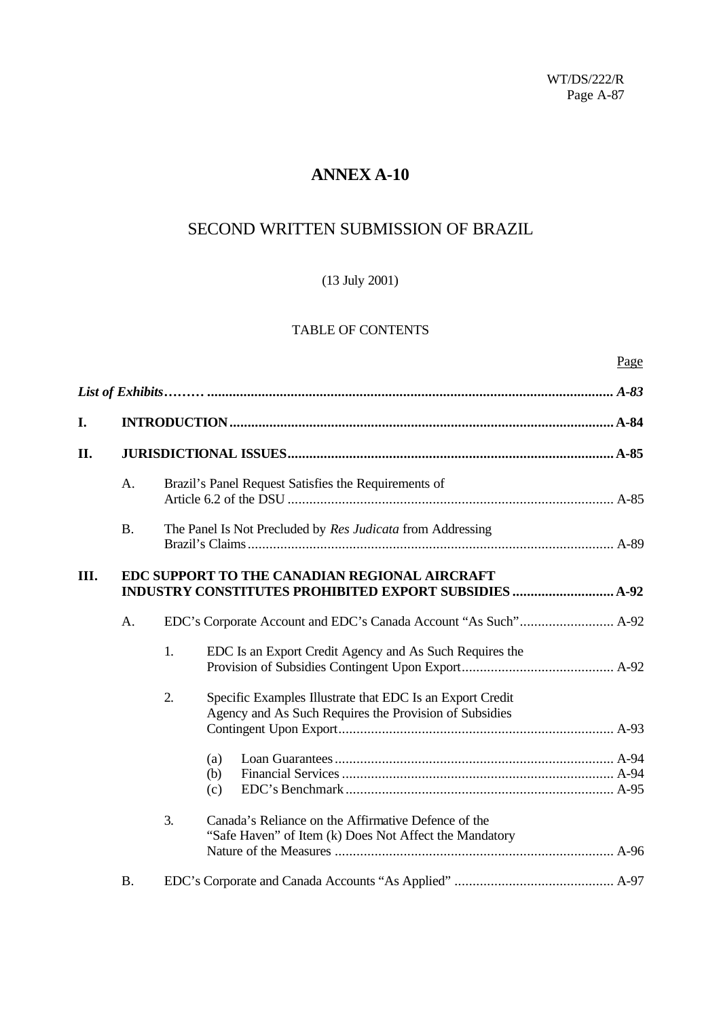WT/DS/222/R Page A-87

# **ANNEX A-10**

# SECOND WRITTEN SUBMISSION OF BRAZIL

# (13 July 2001)

## TABLE OF CONTENTS

|      |           |    |                                                                                                                     | Page |  |
|------|-----------|----|---------------------------------------------------------------------------------------------------------------------|------|--|
| I.   |           |    |                                                                                                                     |      |  |
| II.  |           |    |                                                                                                                     |      |  |
|      | A.        |    | Brazil's Panel Request Satisfies the Requirements of                                                                |      |  |
|      | <b>B.</b> |    | The Panel Is Not Precluded by Res Judicata from Addressing                                                          |      |  |
| III. |           |    | EDC SUPPORT TO THE CANADIAN REGIONAL AIRCRAFT<br>INDUSTRY CONSTITUTES PROHIBITED EXPORT SUBSIDIES  A-92             |      |  |
|      | A.        |    |                                                                                                                     |      |  |
|      |           | 1. | EDC Is an Export Credit Agency and As Such Requires the                                                             |      |  |
|      |           | 2. | Specific Examples Illustrate that EDC Is an Export Credit<br>Agency and As Such Requires the Provision of Subsidies |      |  |
|      |           |    | (a)<br>(b)<br>(c)                                                                                                   |      |  |
|      |           | 3. | Canada's Reliance on the Affirmative Defence of the<br>"Safe Haven" of Item (k) Does Not Affect the Mandatory       |      |  |
|      | <b>B.</b> |    |                                                                                                                     |      |  |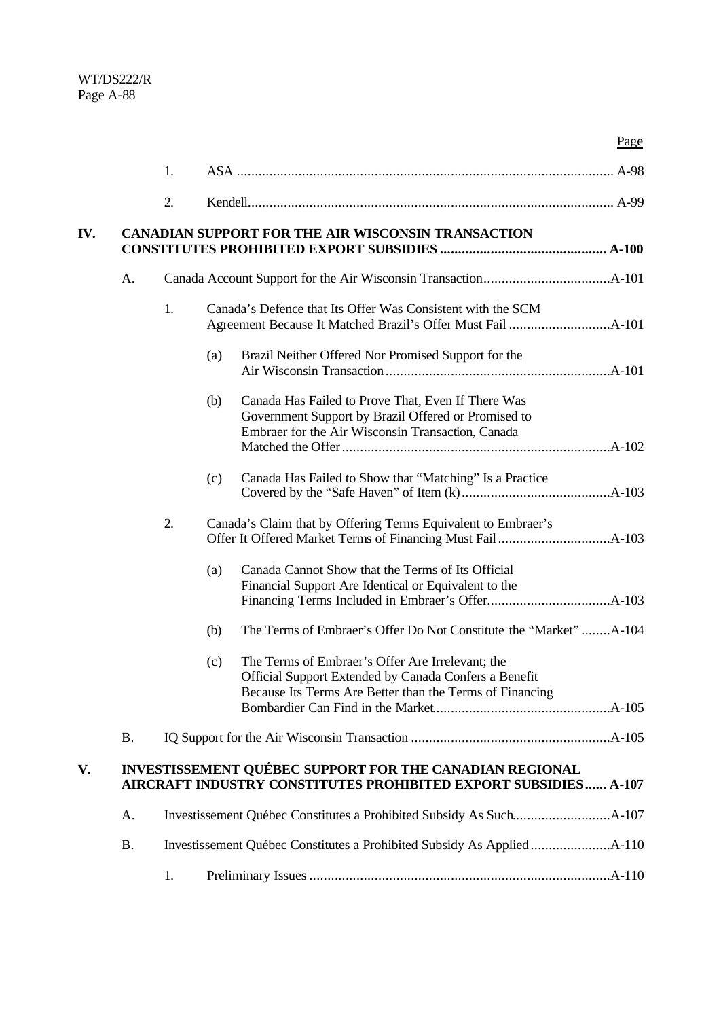| IV. |           | <b>CANADIAN SUPPORT FOR THE AIR WISCONSIN TRANSACTION</b>                                                                  |                                                                                                                                                                              |  |  |  |  |  |  |
|-----|-----------|----------------------------------------------------------------------------------------------------------------------------|------------------------------------------------------------------------------------------------------------------------------------------------------------------------------|--|--|--|--|--|--|
|     | А.        |                                                                                                                            |                                                                                                                                                                              |  |  |  |  |  |  |
|     |           | 1.                                                                                                                         | Canada's Defence that Its Offer Was Consistent with the SCM                                                                                                                  |  |  |  |  |  |  |
|     |           |                                                                                                                            | Brazil Neither Offered Nor Promised Support for the<br>(a)                                                                                                                   |  |  |  |  |  |  |
|     |           |                                                                                                                            | Canada Has Failed to Prove That, Even If There Was<br>(b)<br>Government Support by Brazil Offered or Promised to<br>Embraer for the Air Wisconsin Transaction, Canada        |  |  |  |  |  |  |
|     |           |                                                                                                                            | Canada Has Failed to Show that "Matching" Is a Practice<br>(c)                                                                                                               |  |  |  |  |  |  |
|     |           | 2.                                                                                                                         | Canada's Claim that by Offering Terms Equivalent to Embraer's                                                                                                                |  |  |  |  |  |  |
|     |           |                                                                                                                            | Canada Cannot Show that the Terms of Its Official<br>(a)<br>Financial Support Are Identical or Equivalent to the                                                             |  |  |  |  |  |  |
|     |           |                                                                                                                            | The Terms of Embraer's Offer Do Not Constitute the "Market" A-104<br>(b)                                                                                                     |  |  |  |  |  |  |
|     |           |                                                                                                                            | The Terms of Embraer's Offer Are Irrelevant; the<br>(c)<br>Official Support Extended by Canada Confers a Benefit<br>Because Its Terms Are Better than the Terms of Financing |  |  |  |  |  |  |
|     | <b>B.</b> |                                                                                                                            |                                                                                                                                                                              |  |  |  |  |  |  |
| V.  |           | INVESTISSEMENT QUÉBEC SUPPORT FOR THE CANADIAN REGIONAL<br>AIRCRAFT INDUSTRY CONSTITUTES PROHIBITED EXPORT SUBSIDIES A-107 |                                                                                                                                                                              |  |  |  |  |  |  |
|     | A.        |                                                                                                                            |                                                                                                                                                                              |  |  |  |  |  |  |
|     | <b>B.</b> |                                                                                                                            |                                                                                                                                                                              |  |  |  |  |  |  |
|     |           | 1.                                                                                                                         |                                                                                                                                                                              |  |  |  |  |  |  |

Page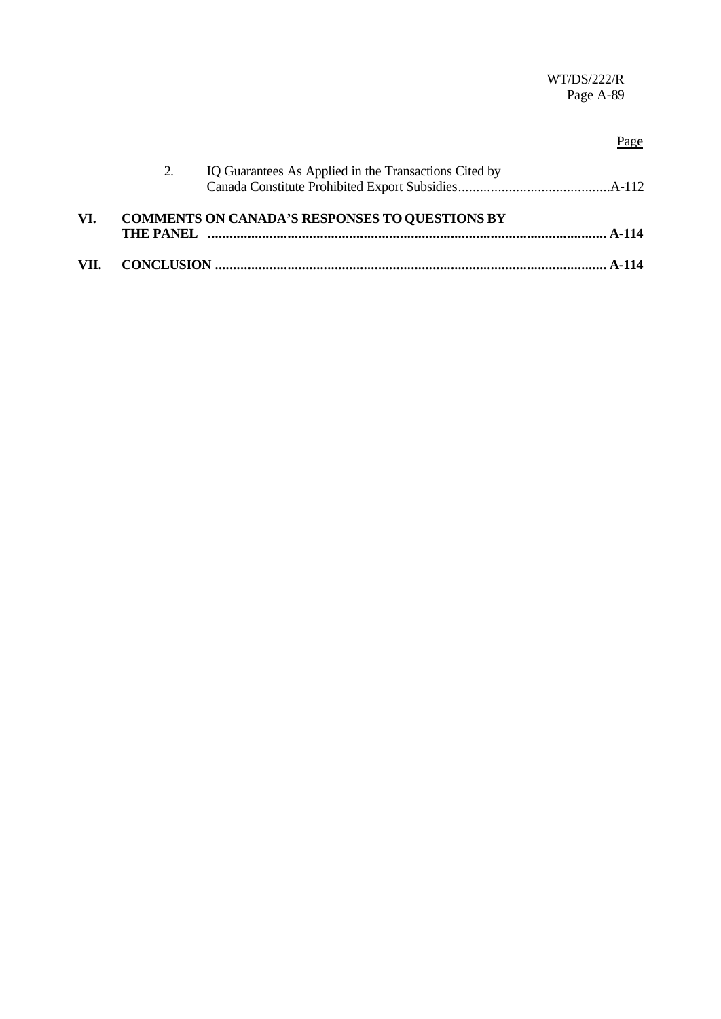## Page

|     | IQ Guarantees As Applied in the Transactions Cited by |  |
|-----|-------------------------------------------------------|--|
| VI. | <b>COMMENTS ON CANADA'S RESPONSES TO QUESTIONS BY</b> |  |
|     |                                                       |  |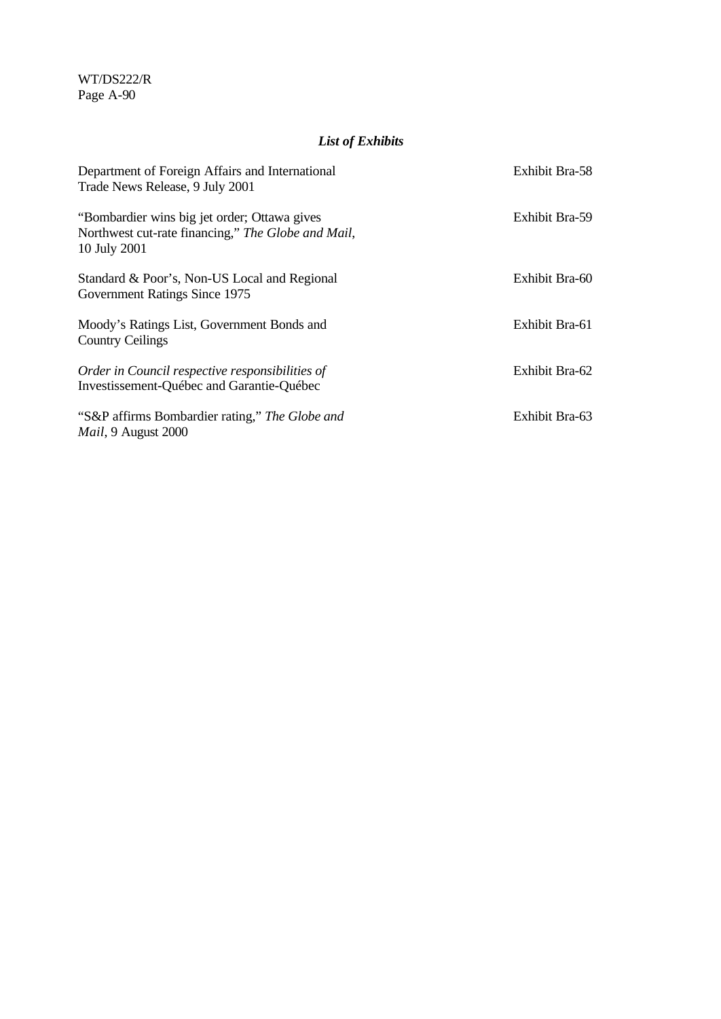WT/DS222/R Page A-90

# *List of Exhibits*

| Department of Foreign Affairs and International<br>Trade News Release, 9 July 2001                                 | <b>Exhibit Bra-58</b> |  |
|--------------------------------------------------------------------------------------------------------------------|-----------------------|--|
| "Bombardier wins big jet order; Ottawa gives<br>Northwest cut-rate financing," The Globe and Mail,<br>10 July 2001 | Exhibit Bra-59        |  |
| Standard & Poor's, Non-US Local and Regional<br>Government Ratings Since 1975                                      | Exhibit Bra-60        |  |
| Moody's Ratings List, Government Bonds and<br><b>Country Ceilings</b>                                              | Exhibit Bra-61        |  |
| Order in Council respective responsibilities of<br>Investissement-Québec and Garantie-Québec                       | Exhibit Bra-62        |  |
| "S&P affirms Bombardier rating," The Globe and<br><i>Mail</i> , 9 August 2000                                      | Exhibit Bra-63        |  |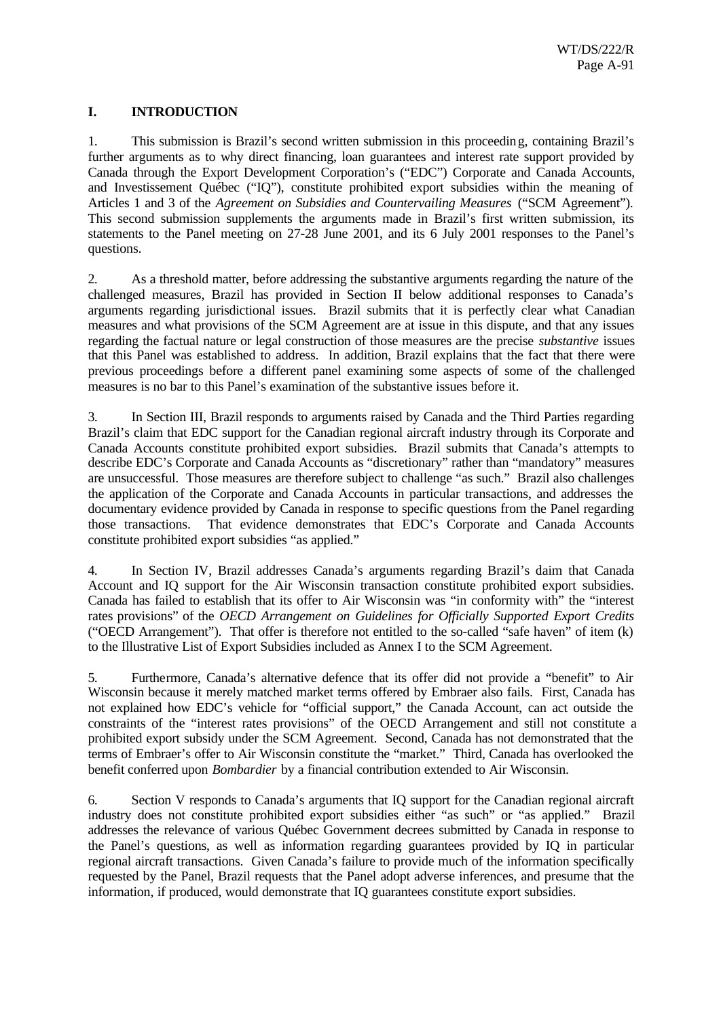## **I. INTRODUCTION**

1. This submission is Brazil's second written submission in this proceeding, containing Brazil's further arguments as to why direct financing, loan guarantees and interest rate support provided by Canada through the Export Development Corporation's ("EDC") Corporate and Canada Accounts, and Investissement Québec ("IQ"), constitute prohibited export subsidies within the meaning of Articles 1 and 3 of the *Agreement on Subsidies and Countervailing Measures* ("SCM Agreement"). This second submission supplements the arguments made in Brazil's first written submission, its statements to the Panel meeting on 27-28 June 2001, and its 6 July 2001 responses to the Panel's questions.

2. As a threshold matter, before addressing the substantive arguments regarding the nature of the challenged measures, Brazil has provided in Section II below additional responses to Canada's arguments regarding jurisdictional issues. Brazil submits that it is perfectly clear what Canadian measures and what provisions of the SCM Agreement are at issue in this dispute, and that any issues regarding the factual nature or legal construction of those measures are the precise *substantive* issues that this Panel was established to address. In addition, Brazil explains that the fact that there were previous proceedings before a different panel examining some aspects of some of the challenged measures is no bar to this Panel's examination of the substantive issues before it.

3. In Section III, Brazil responds to arguments raised by Canada and the Third Parties regarding Brazil's claim that EDC support for the Canadian regional aircraft industry through its Corporate and Canada Accounts constitute prohibited export subsidies. Brazil submits that Canada's attempts to describe EDC's Corporate and Canada Accounts as "discretionary" rather than "mandatory" measures are unsuccessful. Those measures are therefore subject to challenge "as such." Brazil also challenges the application of the Corporate and Canada Accounts in particular transactions, and addresses the documentary evidence provided by Canada in response to specific questions from the Panel regarding those transactions. That evidence demonstrates that EDC's Corporate and Canada Accounts constitute prohibited export subsidies "as applied."

4. In Section IV, Brazil addresses Canada's arguments regarding Brazil's daim that Canada Account and IQ support for the Air Wisconsin transaction constitute prohibited export subsidies. Canada has failed to establish that its offer to Air Wisconsin was "in conformity with" the "interest rates provisions" of the *OECD Arrangement on Guidelines for Officially Supported Export Credits* ("OECD Arrangement"). That offer is therefore not entitled to the so-called "safe haven" of item (k) to the Illustrative List of Export Subsidies included as Annex I to the SCM Agreement.

5. Furthermore, Canada's alternative defence that its offer did not provide a "benefit" to Air Wisconsin because it merely matched market terms offered by Embraer also fails. First, Canada has not explained how EDC's vehicle for "official support," the Canada Account, can act outside the constraints of the "interest rates provisions" of the OECD Arrangement and still not constitute a prohibited export subsidy under the SCM Agreement. Second, Canada has not demonstrated that the terms of Embraer's offer to Air Wisconsin constitute the "market." Third, Canada has overlooked the benefit conferred upon *Bombardier* by a financial contribution extended to Air Wisconsin.

6. Section V responds to Canada's arguments that IQ support for the Canadian regional aircraft industry does not constitute prohibited export subsidies either "as such" or "as applied." Brazil addresses the relevance of various Québec Government decrees submitted by Canada in response to the Panel's questions, as well as information regarding guarantees provided by IQ in particular regional aircraft transactions. Given Canada's failure to provide much of the information specifically requested by the Panel, Brazil requests that the Panel adopt adverse inferences, and presume that the information, if produced, would demonstrate that IQ guarantees constitute export subsidies.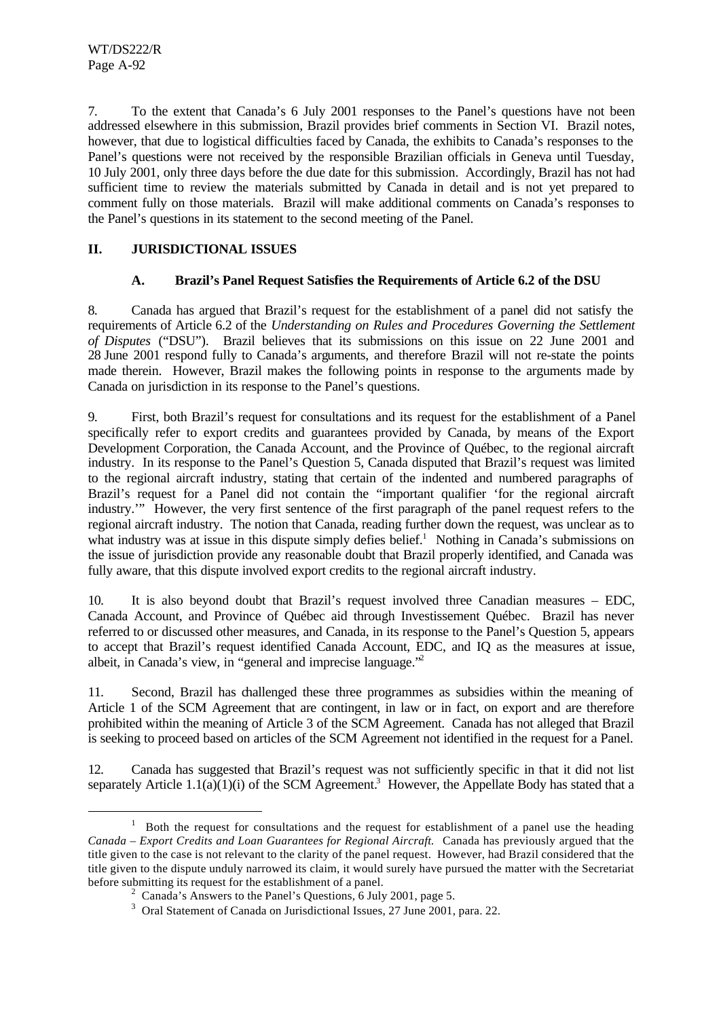l

7. To the extent that Canada's 6 July 2001 responses to the Panel's questions have not been addressed elsewhere in this submission, Brazil provides brief comments in Section VI. Brazil notes, however, that due to logistical difficulties faced by Canada, the exhibits to Canada's responses to the Panel's questions were not received by the responsible Brazilian officials in Geneva until Tuesday, 10 July 2001, only three days before the due date for this submission. Accordingly, Brazil has not had sufficient time to review the materials submitted by Canada in detail and is not yet prepared to comment fully on those materials. Brazil will make additional comments on Canada's responses to the Panel's questions in its statement to the second meeting of the Panel.

## **II. JURISDICTIONAL ISSUES**

## **A. Brazil's Panel Request Satisfies the Requirements of Article 6.2 of the DSU**

8. Canada has argued that Brazil's request for the establishment of a panel did not satisfy the requirements of Article 6.2 of the *Understanding on Rules and Procedures Governing the Settlement of Disputes* ("DSU"). Brazil believes that its submissions on this issue on 22 June 2001 and 28 June 2001 respond fully to Canada's arguments, and therefore Brazil will not re-state the points made therein. However, Brazil makes the following points in response to the arguments made by Canada on jurisdiction in its response to the Panel's questions.

9. First, both Brazil's request for consultations and its request for the establishment of a Panel specifically refer to export credits and guarantees provided by Canada, by means of the Export Development Corporation, the Canada Account, and the Province of Québec, to the regional aircraft industry. In its response to the Panel's Question 5, Canada disputed that Brazil's request was limited to the regional aircraft industry, stating that certain of the indented and numbered paragraphs of Brazil's request for a Panel did not contain the "important qualifier 'for the regional aircraft industry.'" However, the very first sentence of the first paragraph of the panel request refers to the regional aircraft industry. The notion that Canada, reading further down the request, was unclear as to what industry was at issue in this dispute simply defies belief.<sup>1</sup> Nothing in Canada's submissions on the issue of jurisdiction provide any reasonable doubt that Brazil properly identified, and Canada was fully aware, that this dispute involved export credits to the regional aircraft industry.

10. It is also beyond doubt that Brazil's request involved three Canadian measures – EDC, Canada Account, and Province of Québec aid through Investissement Québec. Brazil has never referred to or discussed other measures, and Canada, in its response to the Panel's Question 5, appears to accept that Brazil's request identified Canada Account, EDC, and IQ as the measures at issue, albeit, in Canada's view, in "general and imprecise language."

11. Second, Brazil has challenged these three programmes as subsidies within the meaning of Article 1 of the SCM Agreement that are contingent, in law or in fact, on export and are therefore prohibited within the meaning of Article 3 of the SCM Agreement. Canada has not alleged that Brazil is seeking to proceed based on articles of the SCM Agreement not identified in the request for a Panel.

12. Canada has suggested that Brazil's request was not sufficiently specific in that it did not list separately Article  $1.1(a)(1)(i)$  of the SCM Agreement.<sup>3</sup> However, the Appellate Body has stated that a

 $1$  Both the request for consultations and the request for establishment of a panel use the heading *Canada – Export Credits and Loan Guarantees for Regional Aircraft.* Canada has previously argued that the title given to the case is not relevant to the clarity of the panel request. However, had Brazil considered that the title given to the dispute unduly narrowed its claim, it would surely have pursued the matter with the Secretariat before submitting its request for the establishment of a panel.

<sup>&</sup>lt;sup>2</sup> Canada's Answers to the Panel's Questions, 6 July 2001, page 5.

<sup>&</sup>lt;sup>3</sup> Oral Statement of Canada on Jurisdictional Issues, 27 June 2001, para. 22.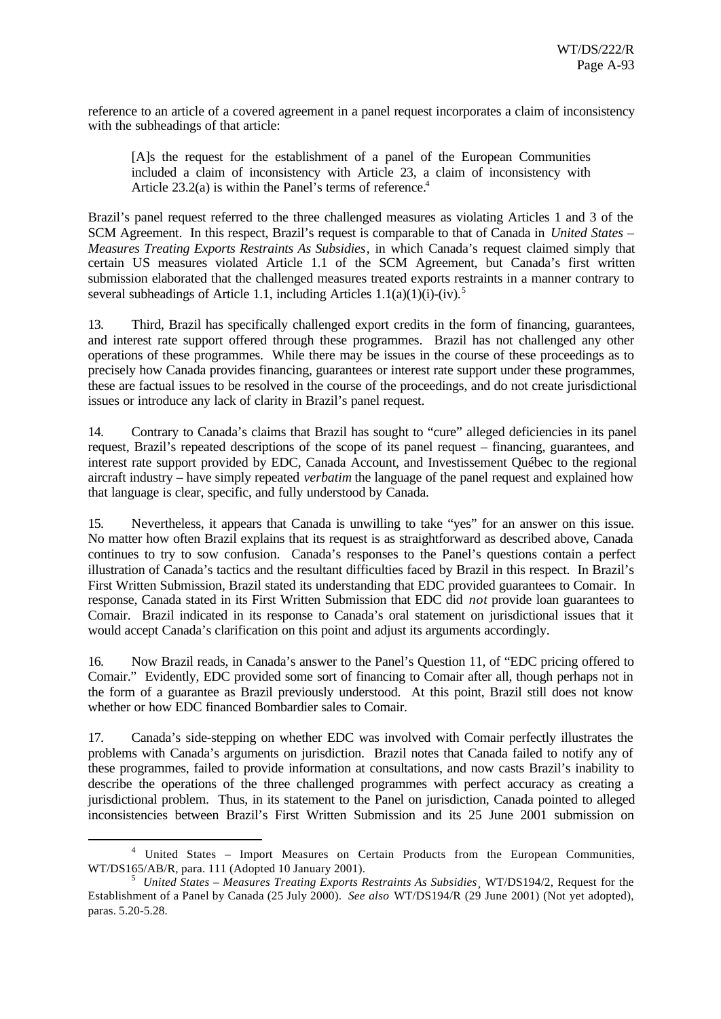reference to an article of a covered agreement in a panel request incorporates a claim of inconsistency with the subheadings of that article:

[A]s the request for the establishment of a panel of the European Communities included a claim of inconsistency with Article 23, a claim of inconsistency with Article  $23.2(a)$  is within the Panel's terms of reference.<sup>4</sup>

Brazil's panel request referred to the three challenged measures as violating Articles 1 and 3 of the SCM Agreement. In this respect, Brazil's request is comparable to that of Canada in *United States – Measures Treating Exports Restraints As Subsidies*, in which Canada's request claimed simply that certain US measures violated Article 1.1 of the SCM Agreement, but Canada's first written submission elaborated that the challenged measures treated exports restraints in a manner contrary to several subheadings of Article 1.1, including Articles  $1.1(a)(1)(i)-(iv).$ <sup>5</sup>

13. Third, Brazil has specifically challenged export credits in the form of financing, guarantees, and interest rate support offered through these programmes. Brazil has not challenged any other operations of these programmes. While there may be issues in the course of these proceedings as to precisely how Canada provides financing, guarantees or interest rate support under these programmes, these are factual issues to be resolved in the course of the proceedings, and do not create jurisdictional issues or introduce any lack of clarity in Brazil's panel request.

14. Contrary to Canada's claims that Brazil has sought to "cure" alleged deficiencies in its panel request, Brazil's repeated descriptions of the scope of its panel request – financing, guarantees, and interest rate support provided by EDC, Canada Account, and Investissement Québec to the regional aircraft industry – have simply repeated *verbatim* the language of the panel request and explained how that language is clear, specific, and fully understood by Canada.

15. Nevertheless, it appears that Canada is unwilling to take "yes" for an answer on this issue. No matter how often Brazil explains that its request is as straightforward as described above, Canada continues to try to sow confusion. Canada's responses to the Panel's questions contain a perfect illustration of Canada's tactics and the resultant difficulties faced by Brazil in this respect. In Brazil's First Written Submission, Brazil stated its understanding that EDC provided guarantees to Comair. In response, Canada stated in its First Written Submission that EDC did *not* provide loan guarantees to Comair. Brazil indicated in its response to Canada's oral statement on jurisdictional issues that it would accept Canada's clarification on this point and adjust its arguments accordingly.

16. Now Brazil reads, in Canada's answer to the Panel's Question 11, of "EDC pricing offered to Comair." Evidently, EDC provided some sort of financing to Comair after all, though perhaps not in the form of a guarantee as Brazil previously understood. At this point, Brazil still does not know whether or how EDC financed Bombardier sales to Comair.

17. Canada's side-stepping on whether EDC was involved with Comair perfectly illustrates the problems with Canada's arguments on jurisdiction. Brazil notes that Canada failed to notify any of these programmes, failed to provide information at consultations, and now casts Brazil's inability to describe the operations of the three challenged programmes with perfect accuracy as creating a jurisdictional problem. Thus, in its statement to the Panel on jurisdiction, Canada pointed to alleged inconsistencies between Brazil's First Written Submission and its 25 June 2001 submission on

<sup>&</sup>lt;sup>4</sup> United States – Import Measures on Certain Products from the European Communities, WT/DS165/AB/R, para. 111 (Adopted 10 January 2001).

<sup>5</sup> *United States – Measures Treating Exports Restraints As Subsidies*¸ WT/DS194/2, Request for the Establishment of a Panel by Canada (25 July 2000). *See also* WT/DS194/R (29 June 2001) (Not yet adopted), paras. 5.20-5.28.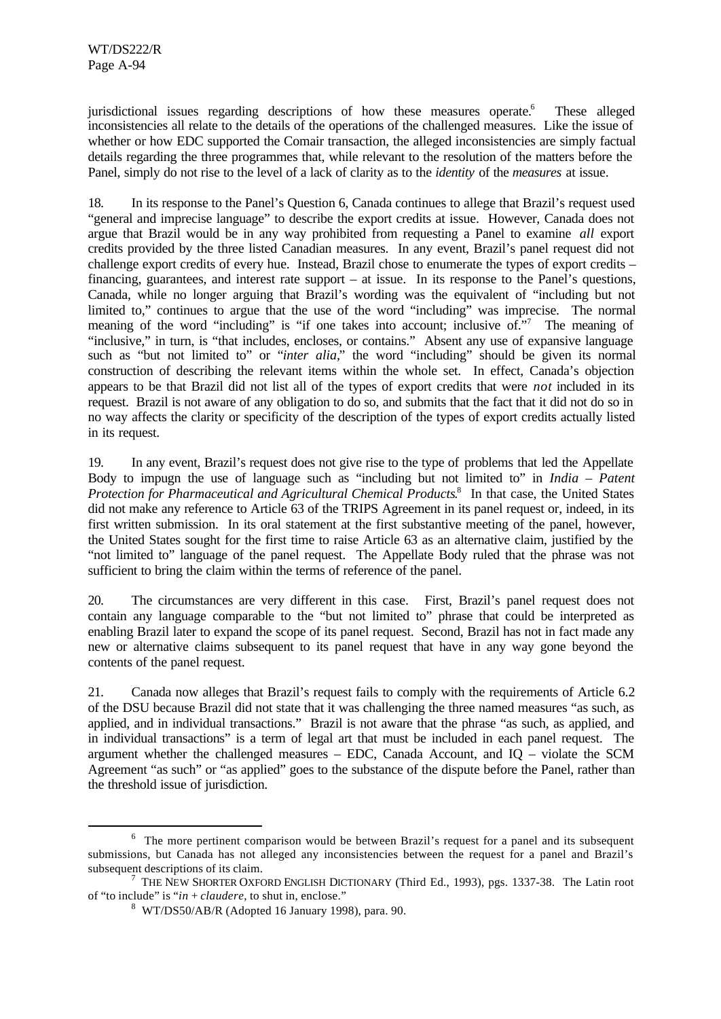l

jurisdictional issues regarding descriptions of how these measures operate.<sup>6</sup> These alleged inconsistencies all relate to the details of the operations of the challenged measures. Like the issue of whether or how EDC supported the Comair transaction, the alleged inconsistencies are simply factual details regarding the three programmes that, while relevant to the resolution of the matters before the Panel, simply do not rise to the level of a lack of clarity as to the *identity* of the *measures* at issue.

18. In its response to the Panel's Question 6, Canada continues to allege that Brazil's request used "general and imprecise language" to describe the export credits at issue. However, Canada does not argue that Brazil would be in any way prohibited from requesting a Panel to examine *all* export credits provided by the three listed Canadian measures. In any event, Brazil's panel request did not challenge export credits of every hue. Instead, Brazil chose to enumerate the types of export credits – financing, guarantees, and interest rate support – at issue. In its response to the Panel's questions, Canada, while no longer arguing that Brazil's wording was the equivalent of "including but not limited to," continues to argue that the use of the word "including" was imprecise. The normal meaning of the word "including" is "if one takes into account; inclusive of."<sup>7</sup> The meaning of "inclusive," in turn, is "that includes, encloses, or contains." Absent any use of expansive language such as "but not limited to" or "*inter alia,*" the word "including" should be given its normal construction of describing the relevant items within the whole set. In effect, Canada's objection appears to be that Brazil did not list all of the types of export credits that were *not* included in its request. Brazil is not aware of any obligation to do so, and submits that the fact that it did not do so in no way affects the clarity or specificity of the description of the types of export credits actually listed in its request.

19. In any event, Brazil's request does not give rise to the type of problems that led the Appellate Body to impugn the use of language such as "including but not limited to" in *India – Patent Protection for Pharmaceutical and Agricultural Chemical Products*. 8 In that case, the United States did not make any reference to Article 63 of the TRIPS Agreement in its panel request or, indeed, in its first written submission. In its oral statement at the first substantive meeting of the panel, however, the United States sought for the first time to raise Article 63 as an alternative claim, justified by the "not limited to" language of the panel request. The Appellate Body ruled that the phrase was not sufficient to bring the claim within the terms of reference of the panel.

20. The circumstances are very different in this case. First, Brazil's panel request does not contain any language comparable to the "but not limited to" phrase that could be interpreted as enabling Brazil later to expand the scope of its panel request. Second, Brazil has not in fact made any new or alternative claims subsequent to its panel request that have in any way gone beyond the contents of the panel request.

21. Canada now alleges that Brazil's request fails to comply with the requirements of Article 6.2 of the DSU because Brazil did not state that it was challenging the three named measures "as such, as applied, and in individual transactions." Brazil is not aware that the phrase "as such, as applied, and in individual transactions" is a term of legal art that must be included in each panel request. The argument whether the challenged measures – EDC, Canada Account, and IQ – violate the SCM Agreement "as such" or "as applied" goes to the substance of the dispute before the Panel, rather than the threshold issue of jurisdiction.

 $6\degree$  The more pertinent comparison would be between Brazil's request for a panel and its subsequent submissions, but Canada has not alleged any inconsistencies between the request for a panel and Brazil's subsequent descriptions of its claim.

<sup>&</sup>lt;sup>7</sup> THE NEW SHORTER OXFORD ENGLISH DICTIONARY (Third Ed., 1993), pgs. 1337-38. The Latin root of "to include" is "*in* + *claudere*, to shut in, enclose."

 $8$  WT/DS50/AB/R (Adopted 16 January 1998), para. 90.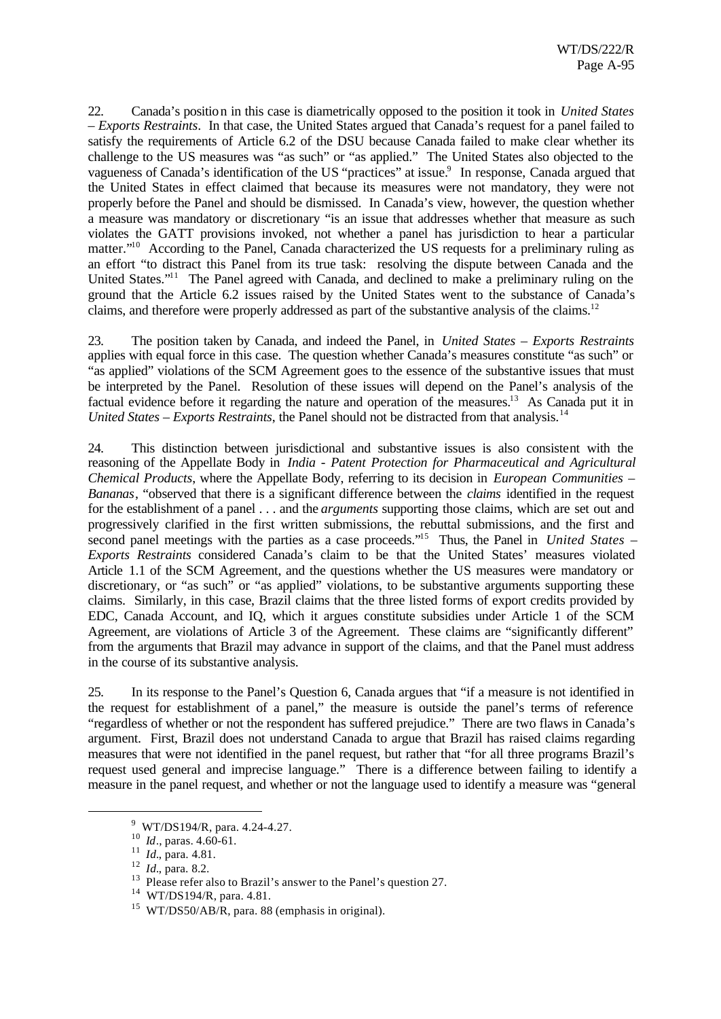22. Canada's position in this case is diametrically opposed to the position it took in *United States – Exports Restraints*. In that case, the United States argued that Canada's request for a panel failed to satisfy the requirements of Article 6.2 of the DSU because Canada failed to make clear whether its challenge to the US measures was "as such" or "as applied." The United States also objected to the vagueness of Canada's identification of the US "practices" at issue.<sup>9</sup> In response, Canada argued that the United States in effect claimed that because its measures were not mandatory, they were not properly before the Panel and should be dismissed. In Canada's view, however, the question whether a measure was mandatory or discretionary "is an issue that addresses whether that measure as such violates the GATT provisions invoked, not whether a panel has jurisdiction to hear a particular matter."<sup>10</sup> According to the Panel, Canada characterized the US requests for a preliminary ruling as an effort "to distract this Panel from its true task: resolving the dispute between Canada and the United States."<sup>11</sup> The Panel agreed with Canada, and declined to make a preliminary ruling on the ground that the Article 6.2 issues raised by the United States went to the substance of Canada's claims, and therefore were properly addressed as part of the substantive analysis of the claims.<sup>12</sup>

23. The position taken by Canada, and indeed the Panel, in *United States – Exports Restraints* applies with equal force in this case. The question whether Canada's measures constitute "as such" or "as applied" violations of the SCM Agreement goes to the essence of the substantive issues that must be interpreted by the Panel. Resolution of these issues will depend on the Panel's analysis of the factual evidence before it regarding the nature and operation of the measures.<sup>13</sup> As Canada put it in *United States – Exports Restraints*, the Panel should not be distracted from that analysis.<sup>14</sup>

24. This distinction between jurisdictional and substantive issues is also consistent with the reasoning of the Appellate Body in *India - Patent Protection for Pharmaceutical and Agricultural Chemical Products*, where the Appellate Body, referring to its decision in *European Communities – Bananas*, "observed that there is a significant difference between the *claims* identified in the request for the establishment of a panel . . . and the *arguments* supporting those claims, which are set out and progressively clarified in the first written submissions, the rebuttal submissions, and the first and second panel meetings with the parties as a case proceeds."<sup>15</sup> Thus, the Panel in *United States – Exports Restraints* considered Canada's claim to be that the United States' measures violated Article 1.1 of the SCM Agreement, and the questions whether the US measures were mandatory or discretionary, or "as such" or "as applied" violations, to be substantive arguments supporting these claims. Similarly, in this case, Brazil claims that the three listed forms of export credits provided by EDC, Canada Account, and IQ, which it argues constitute subsidies under Article 1 of the SCM Agreement, are violations of Article 3 of the Agreement. These claims are "significantly different" from the arguments that Brazil may advance in support of the claims, and that the Panel must address in the course of its substantive analysis.

25. In its response to the Panel's Question 6, Canada argues that "if a measure is not identified in the request for establishment of a panel," the measure is outside the panel's terms of reference "regardless of whether or not the respondent has suffered prejudice." There are two flaws in Canada's argument. First, Brazil does not understand Canada to argue that Brazil has raised claims regarding measures that were not identified in the panel request, but rather that "for all three programs Brazil's request used general and imprecise language." There is a difference between failing to identify a measure in the panel request, and whether or not the language used to identify a measure was "general

<sup>&</sup>lt;sup>9</sup> WT/DS194/R, para. 4.24-4.27.

<sup>10</sup> *Id*., paras. 4.60-61.

<sup>11</sup> *Id.*, para. 4.81.

<sup>12</sup> *Id.*, para. 8.2.

<sup>&</sup>lt;sup>13</sup> Please refer also to Brazil's answer to the Panel's question 27.

<sup>14</sup> WT/DS194/R, para. 4.81.

<sup>15</sup> WT/DS50/AB/R, para. 88 (emphasis in original).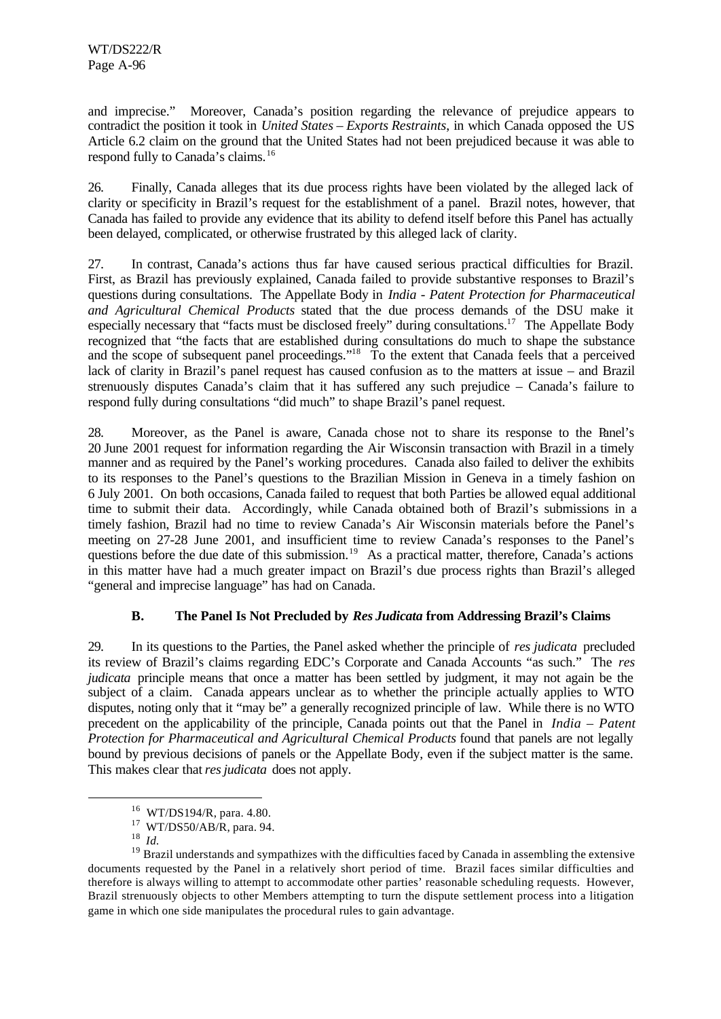and imprecise." Moreover, Canada's position regarding the relevance of prejudice appears to contradict the position it took in *United States – Exports Restraints*, in which Canada opposed the US Article 6.2 claim on the ground that the United States had not been prejudiced because it was able to respond fully to Canada's claims.<sup>16</sup>

26. Finally, Canada alleges that its due process rights have been violated by the alleged lack of clarity or specificity in Brazil's request for the establishment of a panel. Brazil notes, however, that Canada has failed to provide any evidence that its ability to defend itself before this Panel has actually been delayed, complicated, or otherwise frustrated by this alleged lack of clarity.

27. In contrast, Canada's actions thus far have caused serious practical difficulties for Brazil. First, as Brazil has previously explained, Canada failed to provide substantive responses to Brazil's questions during consultations. The Appellate Body in *India - Patent Protection for Pharmaceutical and Agricultural Chemical Products* stated that the due process demands of the DSU make it especially necessary that "facts must be disclosed freely" during consultations.<sup>17</sup> The Appellate Body recognized that "the facts that are established during consultations do much to shape the substance and the scope of subsequent panel proceedings."<sup>18</sup> To the extent that Canada feels that a perceived lack of clarity in Brazil's panel request has caused confusion as to the matters at issue – and Brazil strenuously disputes Canada's claim that it has suffered any such prejudice – Canada's failure to respond fully during consultations "did much" to shape Brazil's panel request.

28. Moreover, as the Panel is aware, Canada chose not to share its response to the Panel's 20 June 2001 request for information regarding the Air Wisconsin transaction with Brazil in a timely manner and as required by the Panel's working procedures. Canada also failed to deliver the exhibits to its responses to the Panel's questions to the Brazilian Mission in Geneva in a timely fashion on 6 July 2001. On both occasions, Canada failed to request that both Parties be allowed equal additional time to submit their data. Accordingly, while Canada obtained both of Brazil's submissions in a timely fashion, Brazil had no time to review Canada's Air Wisconsin materials before the Panel's meeting on 27-28 June 2001, and insufficient time to review Canada's responses to the Panel's questions before the due date of this submission.<sup>19</sup> As a practical matter, therefore, Canada's actions in this matter have had a much greater impact on Brazil's due process rights than Brazil's alleged "general and imprecise language" has had on Canada.

## **B. The Panel Is Not Precluded by** *Res Judicata* **from Addressing Brazil's Claims**

29. In its questions to the Parties, the Panel asked whether the principle of *res judicata* precluded its review of Brazil's claims regarding EDC's Corporate and Canada Accounts "as such." The *res judicata* principle means that once a matter has been settled by judgment, it may not again be the subject of a claim. Canada appears unclear as to whether the principle actually applies to WTO disputes, noting only that it "may be" a generally recognized principle of law. While there is no WTO precedent on the applicability of the principle, Canada points out that the Panel in *India – Patent Protection for Pharmaceutical and Agricultural Chemical Products* found that panels are not legally bound by previous decisions of panels or the Appellate Body, even if the subject matter is the same. This makes clear that *res judicata* does not apply.

<sup>16</sup> WT/DS194/R, para. 4.80.

<sup>17</sup> WT/DS50/AB/R, para. 94.

<sup>18</sup> *Id.*

<sup>&</sup>lt;sup>19</sup> Brazil understands and sympathizes with the difficulties faced by Canada in assembling the extensive documents requested by the Panel in a relatively short period of time. Brazil faces similar difficulties and therefore is always willing to attempt to accommodate other parties' reasonable scheduling requests. However, Brazil strenuously objects to other Members attempting to turn the dispute settlement process into a litigation game in which one side manipulates the procedural rules to gain advantage.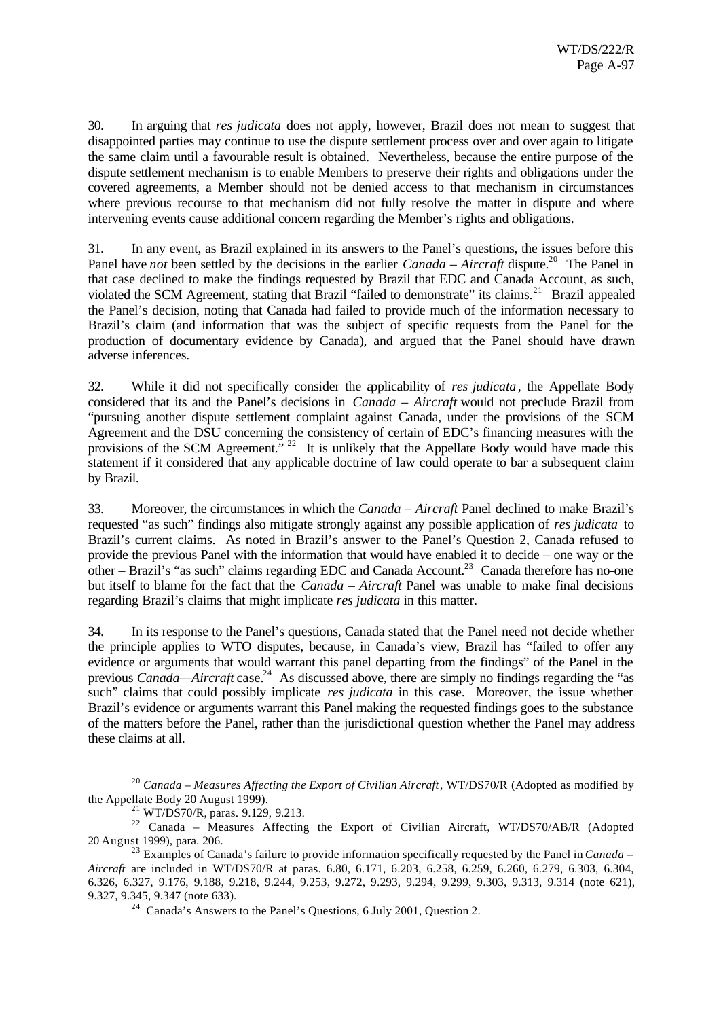30. In arguing that *res judicata* does not apply, however, Brazil does not mean to suggest that disappointed parties may continue to use the dispute settlement process over and over again to litigate the same claim until a favourable result is obtained. Nevertheless, because the entire purpose of the dispute settlement mechanism is to enable Members to preserve their rights and obligations under the covered agreements, a Member should not be denied access to that mechanism in circumstances where previous recourse to that mechanism did not fully resolve the matter in dispute and where intervening events cause additional concern regarding the Member's rights and obligations.

31. In any event, as Brazil explained in its answers to the Panel's questions, the issues before this Panel have *not* been settled by the decisions in the earlier *Canada – Aircraft* dispute.<sup>20</sup> The Panel in that case declined to make the findings requested by Brazil that EDC and Canada Account, as such, violated the SCM Agreement, stating that Brazil "failed to demonstrate" its claims.<sup>21</sup> Brazil appealed the Panel's decision, noting that Canada had failed to provide much of the information necessary to Brazil's claim (and information that was the subject of specific requests from the Panel for the production of documentary evidence by Canada), and argued that the Panel should have drawn adverse inferences.

32. While it did not specifically consider the applicability of *res judicata*, the Appellate Body considered that its and the Panel's decisions in *Canada – Aircraft* would not preclude Brazil from "pursuing another dispute settlement complaint against Canada, under the provisions of the SCM Agreement and the DSU concerning the consistency of certain of EDC's financing measures with the provisions of the SCM Agreement."<sup>22</sup> It is unlikely that the Appellate Body would have made this statement if it considered that any applicable doctrine of law could operate to bar a subsequent claim by Brazil.

33. Moreover, the circumstances in which the *Canada – Aircraft* Panel declined to make Brazil's requested "as such" findings also mitigate strongly against any possible application of *res judicata* to Brazil's current claims. As noted in Brazil's answer to the Panel's Question 2, Canada refused to provide the previous Panel with the information that would have enabled it to decide – one way or the other – Brazil's "as such" claims regarding EDC and Canada Account.<sup>23</sup> Canada therefore has no-one but itself to blame for the fact that the *Canada – Aircraft* Panel was unable to make final decisions regarding Brazil's claims that might implicate *res judicata* in this matter.

34. In its response to the Panel's questions, Canada stated that the Panel need not decide whether the principle applies to WTO disputes, because, in Canada's view, Brazil has "failed to offer any evidence or arguments that would warrant this panel departing from the findings" of the Panel in the previous *Canada—Aircraft* case.<sup>24</sup> As discussed above, there are simply no findings regarding the "as such" claims that could possibly implicate *res judicata* in this case. Moreover, the issue whether Brazil's evidence or arguments warrant this Panel making the requested findings goes to the substance of the matters before the Panel, rather than the jurisdictional question whether the Panel may address these claims at all.

<sup>&</sup>lt;sup>20</sup> Canada – Measures Affecting the Export of Civilian Aircraft, WT/DS70/R (Adopted as modified by the Appellate Body 20 August 1999).

 $^{21}$  WT/DS70/R, paras. 9.129, 9.213.

<sup>22</sup> Canada – Measures Affecting the Export of Civilian Aircraft, WT/DS70/AB/R (Adopted 20 August 1999), para. 206.

<sup>23</sup> Examples of Canada's failure to provide information specifically requested by the Panel in *Canada – Aircraft* are included in WT/DS70/R at paras. 6.80, 6.171, 6.203, 6.258, 6.259, 6.260, 6.279, 6.303, 6.304, 6.326, 6.327, 9.176, 9.188, 9.218, 9.244, 9.253, 9.272, 9.293, 9.294, 9.299, 9.303, 9.313, 9.314 (note 621), 9.327, 9.345, 9.347 (note 633).

<sup>&</sup>lt;sup>24</sup> Canada's Answers to the Panel's Questions, 6 July 2001, Question 2.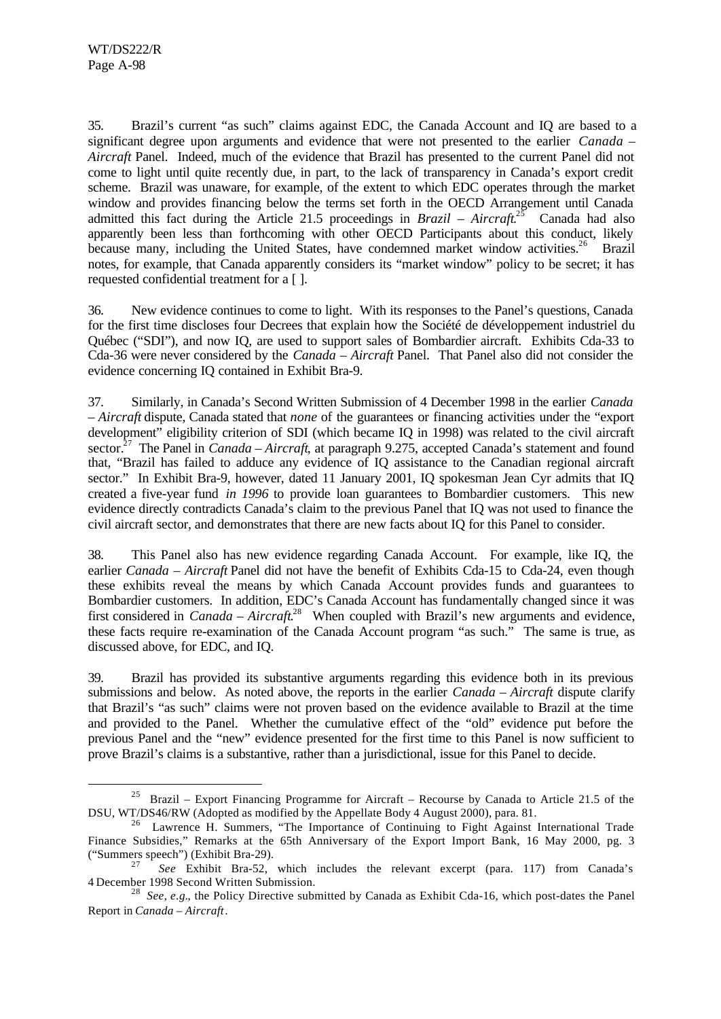l

35. Brazil's current "as such" claims against EDC, the Canada Account and IQ are based to a significant degree upon arguments and evidence that were not presented to the earlier *Canada – Aircraft* Panel. Indeed, much of the evidence that Brazil has presented to the current Panel did not come to light until quite recently due, in part, to the lack of transparency in Canada's export credit scheme. Brazil was unaware, for example, of the extent to which EDC operates through the market window and provides financing below the terms set forth in the OECD Arrangement until Canada admitted this fact during the Article 21.5 proceedings in *Brazil – Aircraft*.<sup>25</sup> Canada had also apparently been less than forthcoming with other OECD Participants about this conduct, likely because many, including the United States, have condemned market window activities.<sup>26</sup> Brazil notes, for example, that Canada apparently considers its "market window" policy to be secret; it has requested confidential treatment for a [ ].

36. New evidence continues to come to light. With its responses to the Panel's questions, Canada for the first time discloses four Decrees that explain how the Société de développement industriel du Québec ("SDI"), and now IQ, are used to support sales of Bombardier aircraft. Exhibits Cda-33 to Cda-36 were never considered by the *Canada – Aircraft* Panel. That Panel also did not consider the evidence concerning IQ contained in Exhibit Bra-9.

37. Similarly, in Canada's Second Written Submission of 4 December 1998 in the earlier *Canada – Aircraft* dispute, Canada stated that *none* of the guarantees or financing activities under the "export development<sup>"</sup> eligibility criterion of SDI (which became IO in 1998) was related to the civil aircraft sector.<sup>27</sup> The Panel in *Canada – Aircraft*, at paragraph 9.275, accepted Canada's statement and found that, "Brazil has failed to adduce any evidence of IQ assistance to the Canadian regional aircraft sector." In Exhibit Bra-9, however, dated 11 January 2001, IQ spokesman Jean Cyr admits that IQ created a five-year fund *in 1996* to provide loan guarantees to Bombardier customers. This new evidence directly contradicts Canada's claim to the previous Panel that IQ was not used to finance the civil aircraft sector, and demonstrates that there are new facts about IQ for this Panel to consider.

38. This Panel also has new evidence regarding Canada Account. For example, like IQ, the earlier *Canada – Aircraft* Panel did not have the benefit of Exhibits Cda-15 to Cda-24, even though these exhibits reveal the means by which Canada Account provides funds and guarantees to Bombardier customers. In addition, EDC's Canada Account has fundamentally changed since it was first considered in *Canada – Aircraft*.<sup>28</sup> When coupled with Brazil's new arguments and evidence, these facts require re-examination of the Canada Account program "as such." The same is true, as discussed above, for EDC, and IQ.

39. Brazil has provided its substantive arguments regarding this evidence both in its previous submissions and below. As noted above, the reports in the earlier *Canada – Aircraft* dispute clarify that Brazil's "as such" claims were not proven based on the evidence available to Brazil at the time and provided to the Panel. Whether the cumulative effect of the "old" evidence put before the previous Panel and the "new" evidence presented for the first time to this Panel is now sufficient to prove Brazil's claims is a substantive, rather than a jurisdictional, issue for this Panel to decide.

<sup>&</sup>lt;sup>25</sup> Brazil – Export Financing Programme for Aircraft – Recourse by Canada to Article 21.5 of the DSU, WT/DS46/RW (Adopted as modified by the Appellate Body 4 August 2000), para. 81.

<sup>&</sup>lt;sup>26</sup> Lawrence H. Summers, "The Importance of Continuing to Fight Against International Trade Finance Subsidies," Remarks at the 65th Anniversary of the Export Import Bank, 16 May 2000, pg. 3 ("Summers speech") (Exhibit Bra-29).

<sup>27</sup> *See* Exhibit Bra-52, which includes the relevant excerpt (para. 117) from Canada's 4 December 1998 Second Written Submission.

<sup>28</sup> *See*, *e.g.*, the Policy Directive submitted by Canada as Exhibit Cda-16, which post-dates the Panel Report in *Canada – Aircraft*.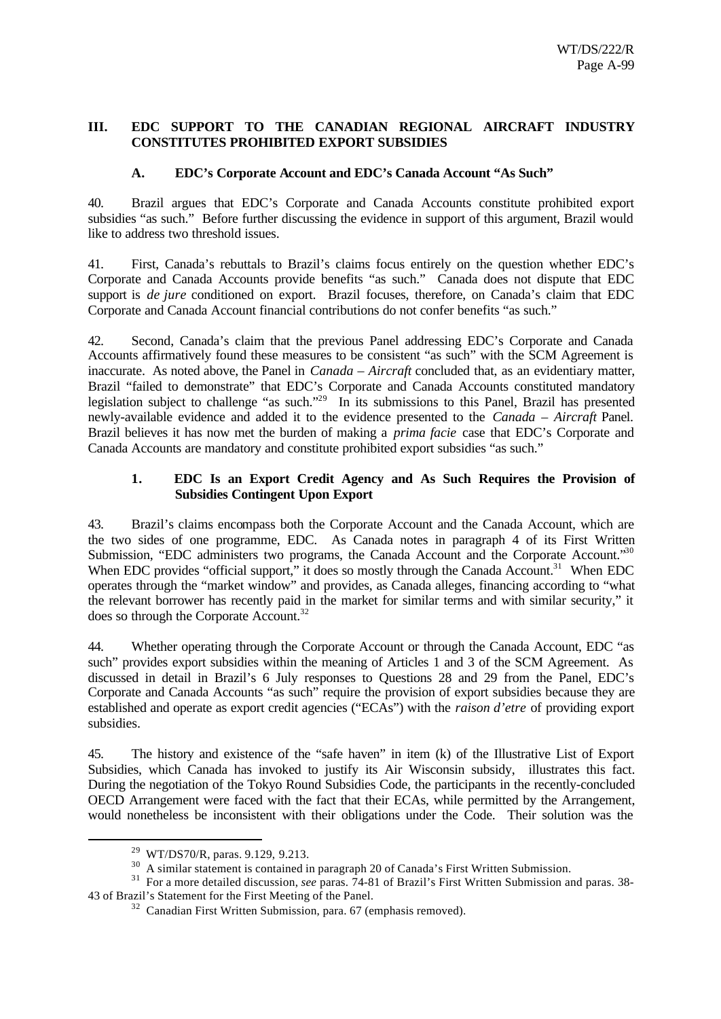### **III. EDC SUPPORT TO THE CANADIAN REGIONAL AIRCRAFT INDUSTRY CONSTITUTES PROHIBITED EXPORT SUBSIDIES**

### **A. EDC's Corporate Account and EDC's Canada Account "As Such"**

40. Brazil argues that EDC's Corporate and Canada Accounts constitute prohibited export subsidies "as such." Before further discussing the evidence in support of this argument, Brazil would like to address two threshold issues.

41. First, Canada's rebuttals to Brazil's claims focus entirely on the question whether EDC's Corporate and Canada Accounts provide benefits "as such." Canada does not dispute that EDC support is *de jure* conditioned on export. Brazil focuses, therefore, on Canada's claim that EDC Corporate and Canada Account financial contributions do not confer benefits "as such."

42. Second, Canada's claim that the previous Panel addressing EDC's Corporate and Canada Accounts affirmatively found these measures to be consistent "as such" with the SCM Agreement is inaccurate. As noted above, the Panel in *Canada – Aircraft* concluded that, as an evidentiary matter, Brazil "failed to demonstrate" that EDC's Corporate and Canada Accounts constituted mandatory legislation subject to challenge "as such."<sup>29</sup> In its submissions to this Panel, Brazil has presented newly-available evidence and added it to the evidence presented to the *Canada – Aircraft* Panel. Brazil believes it has now met the burden of making a *prima facie* case that EDC's Corporate and Canada Accounts are mandatory and constitute prohibited export subsidies "as such."

### **1. EDC Is an Export Credit Agency and As Such Requires the Provision of Subsidies Contingent Upon Export**

43. Brazil's claims encompass both the Corporate Account and the Canada Account, which are the two sides of one programme, EDC. As Canada notes in paragraph 4 of its First Written Submission, "EDC administers two programs, the Canada Account and the Corporate Account."<sup>30</sup> When EDC provides "official support," it does so mostly through the Canada Account.<sup>31</sup> When EDC operates through the "market window" and provides, as Canada alleges, financing according to "what the relevant borrower has recently paid in the market for similar terms and with similar security," it does so through the Corporate Account.<sup>32</sup>

44. Whether operating through the Corporate Account or through the Canada Account, EDC "as such" provides export subsidies within the meaning of Articles 1 and 3 of the SCM Agreement. As discussed in detail in Brazil's 6 July responses to Questions 28 and 29 from the Panel, EDC's Corporate and Canada Accounts "as such" require the provision of export subsidies because they are established and operate as export credit agencies ("ECAs") with the *raison d'etre* of providing export subsidies.

45. The history and existence of the "safe haven" in item (k) of the Illustrative List of Export Subsidies, which Canada has invoked to justify its Air Wisconsin subsidy, illustrates this fact. During the negotiation of the Tokyo Round Subsidies Code, the participants in the recently-concluded OECD Arrangement were faced with the fact that their ECAs, while permitted by the Arrangement, would nonetheless be inconsistent with their obligations under the Code. Their solution was the

<sup>29</sup> WT/DS70/R, paras. 9.129, 9.213.

<sup>&</sup>lt;sup>30</sup> A similar statement is contained in paragraph 20 of Canada's First Written Submission.

<sup>&</sup>lt;sup>31</sup> For a more detailed discussion, *see* paras. 74-81 of Brazil's First Written Submission and paras. 38-43 of Brazil's Statement for the First Meeting of the Panel.

 $32$  Canadian First Written Submission, para. 67 (emphasis removed).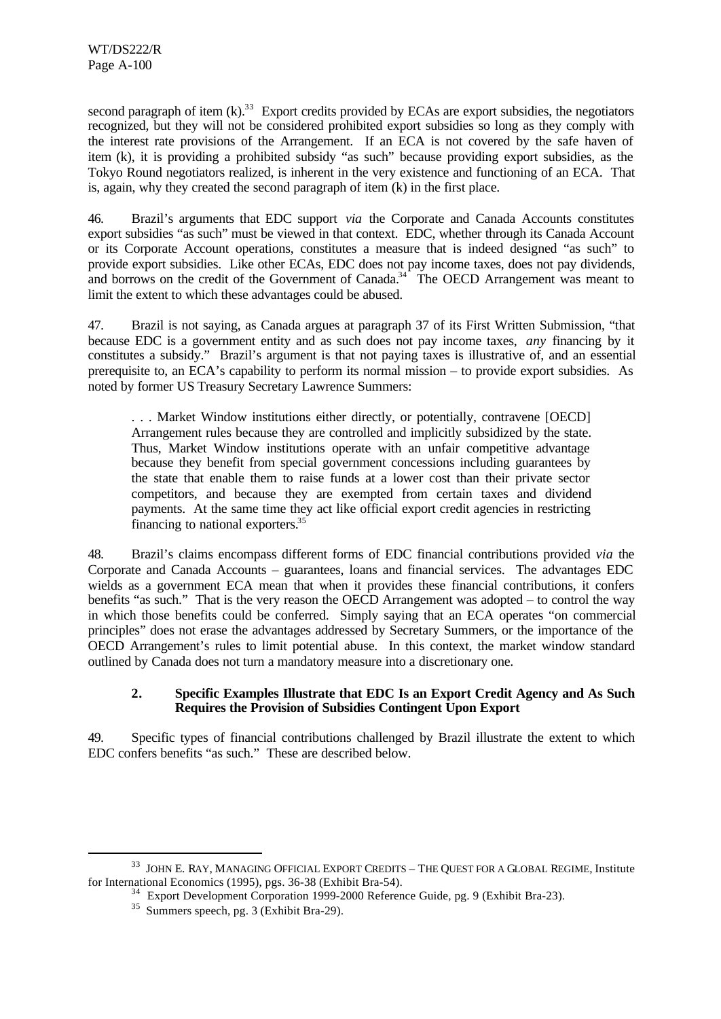second paragraph of item  $(k)$ <sup>33</sup> Export credits provided by ECAs are export subsidies, the negotiators recognized, but they will not be considered prohibited export subsidies so long as they comply with the interest rate provisions of the Arrangement. If an ECA is not covered by the safe haven of item (k), it is providing a prohibited subsidy "as such" because providing export subsidies, as the Tokyo Round negotiators realized, is inherent in the very existence and functioning of an ECA. That is, again, why they created the second paragraph of item (k) in the first place.

46. Brazil's arguments that EDC support *via* the Corporate and Canada Accounts constitutes export subsidies "as such" must be viewed in that context. EDC, whether through its Canada Account or its Corporate Account operations, constitutes a measure that is indeed designed "as such" to provide export subsidies. Like other ECAs, EDC does not pay income taxes, does not pay dividends, and borrows on the credit of the Government of Canada.<sup>34</sup> The OECD Arrangement was meant to limit the extent to which these advantages could be abused.

47. Brazil is not saying, as Canada argues at paragraph 37 of its First Written Submission, "that because EDC is a government entity and as such does not pay income taxes, *any* financing by it constitutes a subsidy." Brazil's argument is that not paying taxes is illustrative of, and an essential prerequisite to, an ECA's capability to perform its normal mission – to provide export subsidies. As noted by former US Treasury Secretary Lawrence Summers:

. . . Market Window institutions either directly, or potentially, contravene [OECD] Arrangement rules because they are controlled and implicitly subsidized by the state. Thus, Market Window institutions operate with an unfair competitive advantage because they benefit from special government concessions including guarantees by the state that enable them to raise funds at a lower cost than their private sector competitors, and because they are exempted from certain taxes and dividend payments. At the same time they act like official export credit agencies in restricting financing to national exporters.<sup>35</sup>

48. Brazil's claims encompass different forms of EDC financial contributions provided *via* the Corporate and Canada Accounts – guarantees, loans and financial services. The advantages EDC wields as a government ECA mean that when it provides these financial contributions, it confers benefits "as such." That is the very reason the OECD Arrangement was adopted – to control the way in which those benefits could be conferred. Simply saying that an ECA operates "on commercial principles" does not erase the advantages addressed by Secretary Summers, or the importance of the OECD Arrangement's rules to limit potential abuse. In this context, the market window standard outlined by Canada does not turn a mandatory measure into a discretionary one.

### **2. Specific Examples Illustrate that EDC Is an Export Credit Agency and As Such Requires the Provision of Subsidies Contingent Upon Export**

49. Specific types of financial contributions challenged by Brazil illustrate the extent to which EDC confers benefits "as such." These are described below.

<sup>33</sup> JOHN E. RAY, MANAGING OFFICIAL EXPORT CREDITS – THE QUEST FOR A GLOBAL REGIME*,* Institute for International Economics (1995), pgs. 36-38 (Exhibit Bra-54).

<sup>&</sup>lt;sup>34</sup> Export Development Corporation 1999-2000 Reference Guide, pg. 9 (Exhibit Bra-23).

<sup>35</sup> Summers speech, pg. 3 (Exhibit Bra-29).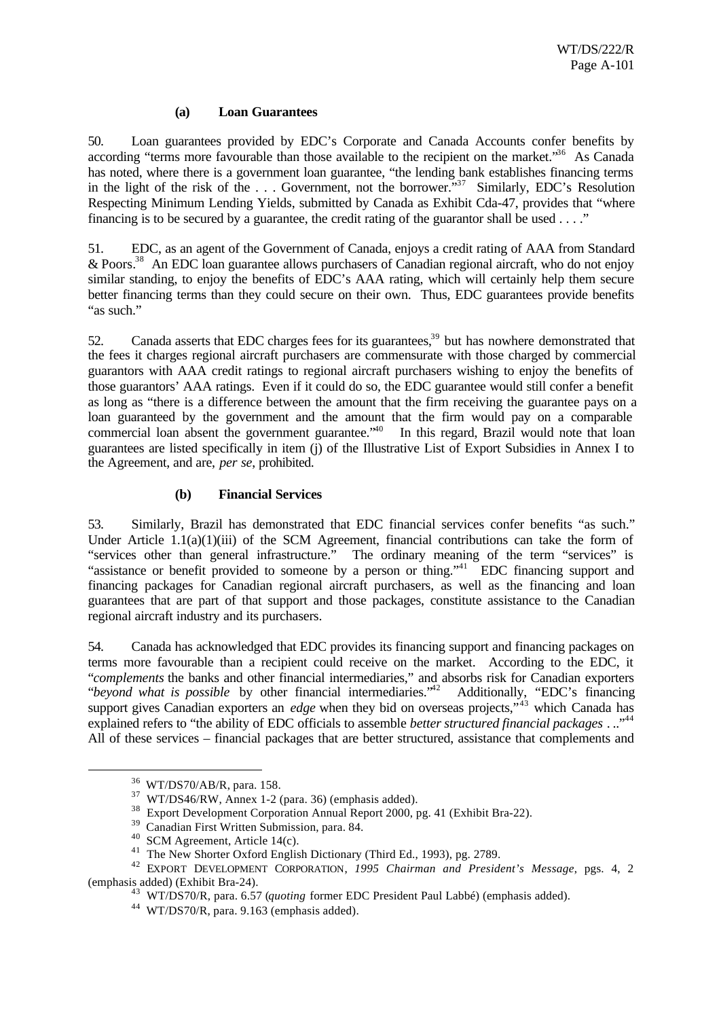### **(a) Loan Guarantees**

50. Loan guarantees provided by EDC's Corporate and Canada Accounts confer benefits by according "terms more favourable than those available to the recipient on the market."<sup>36</sup> As Canada has noted, where there is a government loan guarantee, "the lending bank establishes financing terms in the light of the risk of the ... Government, not the borrower."<sup>37</sup> Similarly, EDC's Resolution Respecting Minimum Lending Yields, submitted by Canada as Exhibit Cda-47, provides that "where financing is to be secured by a guarantee, the credit rating of the guarantor shall be used  $\dots$ ."

51. EDC, as an agent of the Government of Canada, enjoys a credit rating of AAA from Standard & Poors.<sup>38</sup> An EDC loan guarantee allows purchasers of Canadian regional aircraft, who do not enjoy similar standing, to enjoy the benefits of EDC's AAA rating, which will certainly help them secure better financing terms than they could secure on their own. Thus, EDC guarantees provide benefits "as such."

52. Canada asserts that EDC charges fees for its guarantees,<sup>39</sup> but has nowhere demonstrated that the fees it charges regional aircraft purchasers are commensurate with those charged by commercial guarantors with AAA credit ratings to regional aircraft purchasers wishing to enjoy the benefits of those guarantors' AAA ratings. Even if it could do so, the EDC guarantee would still confer a benefit as long as "there is a difference between the amount that the firm receiving the guarantee pays on a loan guaranteed by the government and the amount that the firm would pay on a comparable commercial loan absent the government guarantee.<sup>"40</sup> In this regard, Brazil would note that loan guarantees are listed specifically in item (j) of the Illustrative List of Export Subsidies in Annex I to the Agreement, and are, *per se*, prohibited.

## **(b) Financial Services**

53. Similarly, Brazil has demonstrated that EDC financial services confer benefits "as such." Under Article 1.1(a)(1)(iii) of the SCM Agreement, financial contributions can take the form of "services other than general infrastructure." The ordinary meaning of the term "services" is "assistance or benefit provided to someone by a person or thing."<sup>41</sup> EDC financing support and financing packages for Canadian regional aircraft purchasers, as well as the financing and loan guarantees that are part of that support and those packages, constitute assistance to the Canadian regional aircraft industry and its purchasers.

54. Canada has acknowledged that EDC provides its financing support and financing packages on terms more favourable than a recipient could receive on the market. According to the EDC, it "*complements* the banks and other financial intermediaries," and absorbs risk for Canadian exporters "*beyond what is possible* by other financial intermediaries."<sup>42</sup> Additionally, "EDC's financing support gives Canadian exporters an *edge* when they bid on overseas projects,"<sup>43</sup> which Canada has explained refers to "the ability of EDC officials to assemble *better structured financial packages* . .."<sup>44</sup> All of these services – financial packages that are better structured, assistance that complements and

<sup>36</sup> WT/DS70/AB/R, para. 158.

 $37$  WT/DS46/RW, Annex 1-2 (para. 36) (emphasis added).

<sup>38</sup> Export Development Corporation Annual Report 2000, pg. 41 (Exhibit Bra-22).

<sup>39</sup> Canadian First Written Submission, para. 84.

<sup>40</sup> SCM Agreement, Article 14(c).

<sup>&</sup>lt;sup>41</sup> The New Shorter Oxford English Dictionary (Third Ed., 1993), pg. 2789.

<sup>42</sup> EXPORT DEVELOPMENT CORPORATION, *1995 Chairman and President's Message*, pgs. 4, 2 (emphasis added) (Exhibit Bra-24).

<sup>43</sup> WT/DS70/R, para. 6.57 (*quoting* former EDC President Paul Labbé) (emphasis added).

<sup>44</sup> WT/DS70/R, para. 9.163 (emphasis added).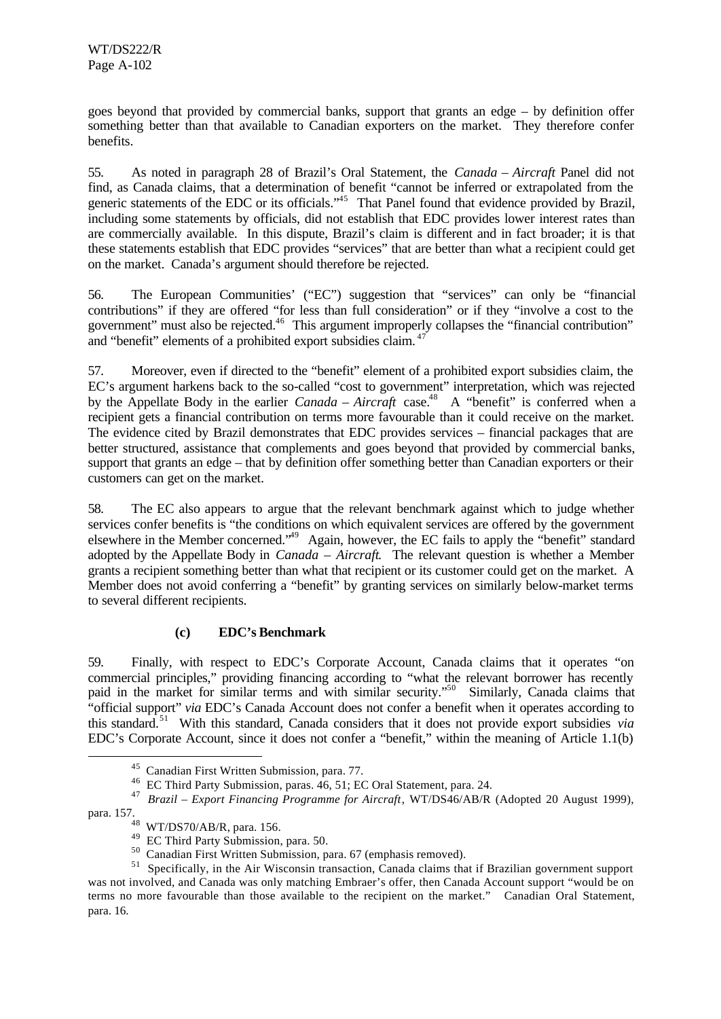goes beyond that provided by commercial banks, support that grants an edge – by definition offer something better than that available to Canadian exporters on the market. They therefore confer benefits.

55. As noted in paragraph 28 of Brazil's Oral Statement, the *Canada – Aircraft* Panel did not find, as Canada claims, that a determination of benefit "cannot be inferred or extrapolated from the generic statements of the EDC or its officials."<sup>45</sup> That Panel found that evidence provided by Brazil, including some statements by officials, did not establish that EDC provides lower interest rates than are commercially available. In this dispute, Brazil's claim is different and in fact broader; it is that these statements establish that EDC provides "services" that are better than what a recipient could get on the market. Canada's argument should therefore be rejected.

56. The European Communities' ("EC") suggestion that "services" can only be "financial contributions" if they are offered "for less than full consideration" or if they "involve a cost to the government" must also be rejected.<sup>46</sup> This argument improperly collapses the "financial contribution" and "benefit" elements of a prohibited export subsidies claim.<sup>4</sup>

57. Moreover, even if directed to the "benefit" element of a prohibited export subsidies claim, the EC's argument harkens back to the so-called "cost to government" interpretation, which was rejected by the Appellate Body in the earlier *Canada – Aircraft* case.<sup>48</sup> A "benefit" is conferred when a recipient gets a financial contribution on terms more favourable than it could receive on the market. The evidence cited by Brazil demonstrates that EDC provides services – financial packages that are better structured, assistance that complements and goes beyond that provided by commercial banks, support that grants an edge – that by definition offer something better than Canadian exporters or their customers can get on the market.

58. The EC also appears to argue that the relevant benchmark against which to judge whether services confer benefits is "the conditions on which equivalent services are offered by the government elsewhere in the Member concerned."<sup>49</sup> Again, however, the EC fails to apply the "benefit" standard adopted by the Appellate Body in *Canada – Aircraft*. The relevant question is whether a Member grants a recipient something better than what that recipient or its customer could get on the market. A Member does not avoid conferring a "benefit" by granting services on similarly below-market terms to several different recipients.

## **(c) EDC's Benchmark**

59. Finally, with respect to EDC's Corporate Account, Canada claims that it operates "on commercial principles," providing financing according to "what the relevant borrower has recently paid in the market for similar terms and with similar security."<sup>50</sup> Similarly, Canada claims that "official support" *via* EDC's Canada Account does not confer a benefit when it operates according to this standard.<sup>51</sup> With this standard, Canada considers that it does not provide export subsidies *via* EDC's Corporate Account, since it does not confer a "benefit," within the meaning of Article 1.1(b)

para. 157.

<sup>45</sup> Canadian First Written Submission, para. 77.

<sup>46</sup> EC Third Party Submission, paras. 46, 51; EC Oral Statement, para. 24.

<sup>&</sup>lt;sup>47</sup> Brazil – Export Financing Programme for Aircraft, WT/DS46/AB/R (Adopted 20 August 1999),

 $48$  WT/DS70/AB/R, para. 156.

<sup>49</sup> EC Third Party Submission, para. 50.

<sup>50</sup> Canadian First Written Submission, para. 67 (emphasis removed).

<sup>&</sup>lt;sup>51</sup> Specifically, in the Air Wisconsin transaction, Canada claims that if Brazilian government support was not involved, and Canada was only matching Embraer's offer, then Canada Account support "would be on terms no more favourable than those available to the recipient on the market." Canadian Oral Statement, para. 16.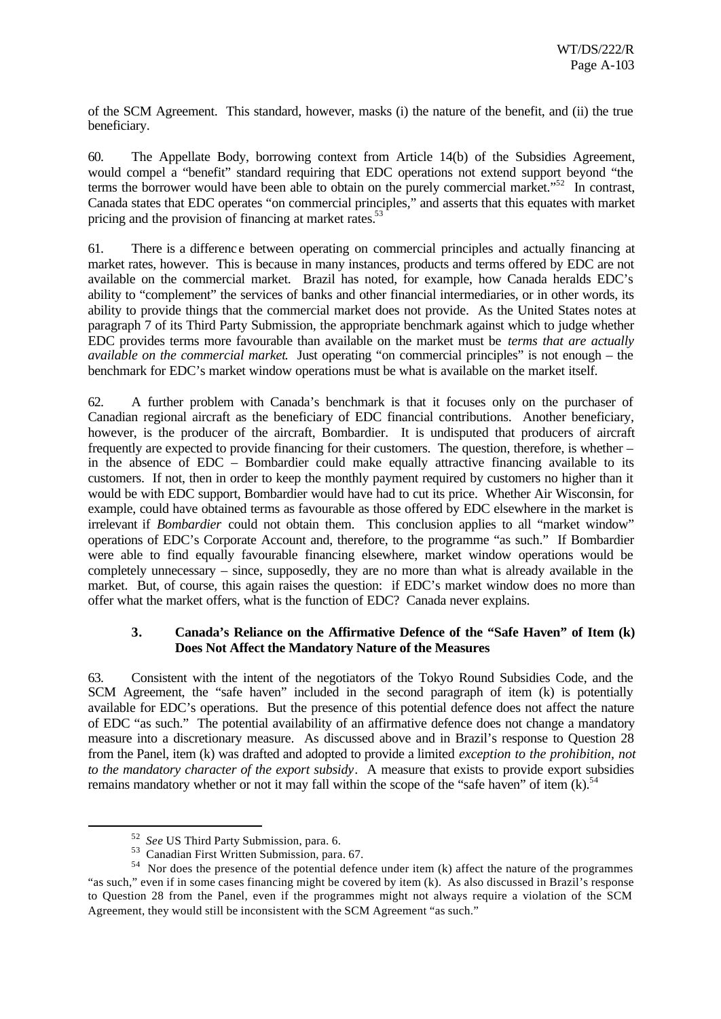of the SCM Agreement. This standard, however, masks (i) the nature of the benefit, and (ii) the true beneficiary.

60. The Appellate Body, borrowing context from Article 14(b) of the Subsidies Agreement, would compel a "benefit" standard requiring that EDC operations not extend support beyond "the terms the borrower would have been able to obtain on the purely commercial market."<sup>52</sup> In contrast, Canada states that EDC operates "on commercial principles," and asserts that this equates with market pricing and the provision of financing at market rates.<sup>53</sup>

61. There is a differenc e between operating on commercial principles and actually financing at market rates, however. This is because in many instances, products and terms offered by EDC are not available on the commercial market. Brazil has noted, for example, how Canada heralds EDC's ability to "complement" the services of banks and other financial intermediaries, or in other words, its ability to provide things that the commercial market does not provide. As the United States notes at paragraph 7 of its Third Party Submission, the appropriate benchmark against which to judge whether EDC provides terms more favourable than available on the market must be *terms that are actually available on the commercial market*. Just operating "on commercial principles" is not enough – the benchmark for EDC's market window operations must be what is available on the market itself.

62. A further problem with Canada's benchmark is that it focuses only on the purchaser of Canadian regional aircraft as the beneficiary of EDC financial contributions. Another beneficiary, however, is the producer of the aircraft, Bombardier. It is undisputed that producers of aircraft frequently are expected to provide financing for their customers. The question, therefore, is whether – in the absence of EDC – Bombardier could make equally attractive financing available to its customers. If not, then in order to keep the monthly payment required by customers no higher than it would be with EDC support, Bombardier would have had to cut its price. Whether Air Wisconsin, for example, could have obtained terms as favourable as those offered by EDC elsewhere in the market is irrelevant if *Bombardier* could not obtain them. This conclusion applies to all "market window" operations of EDC's Corporate Account and, therefore, to the programme "as such." If Bombardier were able to find equally favourable financing elsewhere, market window operations would be completely unnecessary – since, supposedly, they are no more than what is already available in the market. But, of course, this again raises the question: if EDC's market window does no more than offer what the market offers, what is the function of EDC? Canada never explains.

### **3. Canada's Reliance on the Affirmative Defence of the "Safe Haven" of Item (k) Does Not Affect the Mandatory Nature of the Measures**

63. Consistent with the intent of the negotiators of the Tokyo Round Subsidies Code, and the SCM Agreement, the "safe haven" included in the second paragraph of item (k) is potentially available for EDC's operations. But the presence of this potential defence does not affect the nature of EDC "as such." The potential availability of an affirmative defence does not change a mandatory measure into a discretionary measure. As discussed above and in Brazil's response to Question 28 from the Panel, item (k) was drafted and adopted to provide a limited *exception to the prohibition, not to the mandatory character of the export subsidy*. A measure that exists to provide export subsidies remains mandatory whether or not it may fall within the scope of the "safe haven" of item  $(k)$ .<sup>54</sup>

<sup>52</sup> *See* US Third Party Submission, para. 6.

<sup>53</sup> Canadian First Written Submission, para. 67.

<sup>&</sup>lt;sup>54</sup> Nor does the presence of the potential defence under item (k) affect the nature of the programmes "as such," even if in some cases financing might be covered by item (k). As also discussed in Brazil's response to Question 28 from the Panel, even if the programmes might not always require a violation of the SCM Agreement, they would still be inconsistent with the SCM Agreement "as such."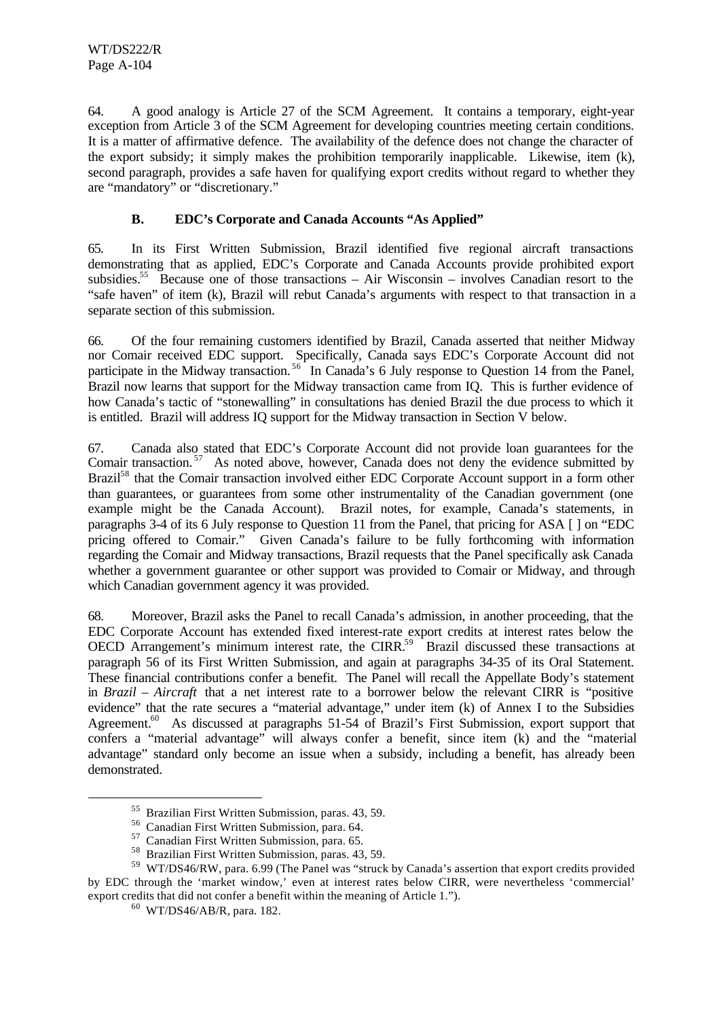64. A good analogy is Article 27 of the SCM Agreement. It contains a temporary, eight-year exception from Article 3 of the SCM Agreement for developing countries meeting certain conditions. It is a matter of affirmative defence. The availability of the defence does not change the character of the export subsidy; it simply makes the prohibition temporarily inapplicable. Likewise, item (k), second paragraph, provides a safe haven for qualifying export credits without regard to whether they are "mandatory" or "discretionary."

## **B. EDC's Corporate and Canada Accounts "As Applied"**

65. In its First Written Submission, Brazil identified five regional aircraft transactions demonstrating that as applied, EDC's Corporate and Canada Accounts provide prohibited export subsidies.<sup>55</sup> Because one of those transactions – Air Wisconsin – involves Canadian resort to the "safe haven" of item (k), Brazil will rebut Canada's arguments with respect to that transaction in a separate section of this submission.

66. Of the four remaining customers identified by Brazil, Canada asserted that neither Midway nor Comair received EDC support. Specifically, Canada says EDC's Corporate Account did not participate in the Midway transaction.<sup>56</sup> In Canada's 6 July response to Question 14 from the Panel, Brazil now learns that support for the Midway transaction came from IQ. This is further evidence of how Canada's tactic of "stonewalling" in consultations has denied Brazil the due process to which it is entitled. Brazil will address IQ support for the Midway transaction in Section V below.

67. Canada also stated that EDC's Corporate Account did not provide loan guarantees for the Comair transaction.<sup>57</sup> As noted above, however, Canada does not deny the evidence submitted by Brazil<sup>58</sup> that the Comair transaction involved either EDC Corporate Account support in a form other than guarantees, or guarantees from some other instrumentality of the Canadian government (one example might be the Canada Account). Brazil notes, for example, Canada's statements, in paragraphs 3-4 of its 6 July response to Question 11 from the Panel, that pricing for ASA [ ] on "EDC pricing offered to Comair." Given Canada's failure to be fully forthcoming with information regarding the Comair and Midway transactions, Brazil requests that the Panel specifically ask Canada whether a government guarantee or other support was provided to Comair or Midway, and through which Canadian government agency it was provided.

68. Moreover, Brazil asks the Panel to recall Canada's admission, in another proceeding, that the EDC Corporate Account has extended fixed interest-rate export credits at interest rates below the OECD Arrangement's minimum interest rate, the CIRR.<sup>59</sup> Brazil discussed these transactions at paragraph 56 of its First Written Submission, and again at paragraphs 34-35 of its Oral Statement. These financial contributions confer a benefit. The Panel will recall the Appellate Body's statement in *Brazil – Aircraft* that a net interest rate to a borrower below the relevant CIRR is "positive evidence" that the rate secures a "material advantage," under item (k) of Annex I to the Subsidies Agreement.<sup>60</sup> As discussed at paragraphs 51-54 of Brazil's First Submission, export support that confers a "material advantage" will always confer a benefit, since item (k) and the "material advantage" standard only become an issue when a subsidy, including a benefit, has already been demonstrated.

<sup>55</sup> Brazilian First Written Submission, paras. 43, 59.

<sup>56</sup> Canadian First Written Submission, para. 64.

<sup>57</sup> Canadian First Written Submission, para. 65.

<sup>58</sup> Brazilian First Written Submission, paras. 43, 59.

<sup>59</sup> WT/DS46/RW, para. 6.99 (The Panel was "struck by Canada's assertion that export credits provided by EDC through the 'market window,' even at interest rates below CIRR, were nevertheless 'commercial' export credits that did not confer a benefit within the meaning of Article 1.").

<sup>60</sup> WT/DS46/AB/R, para. 182.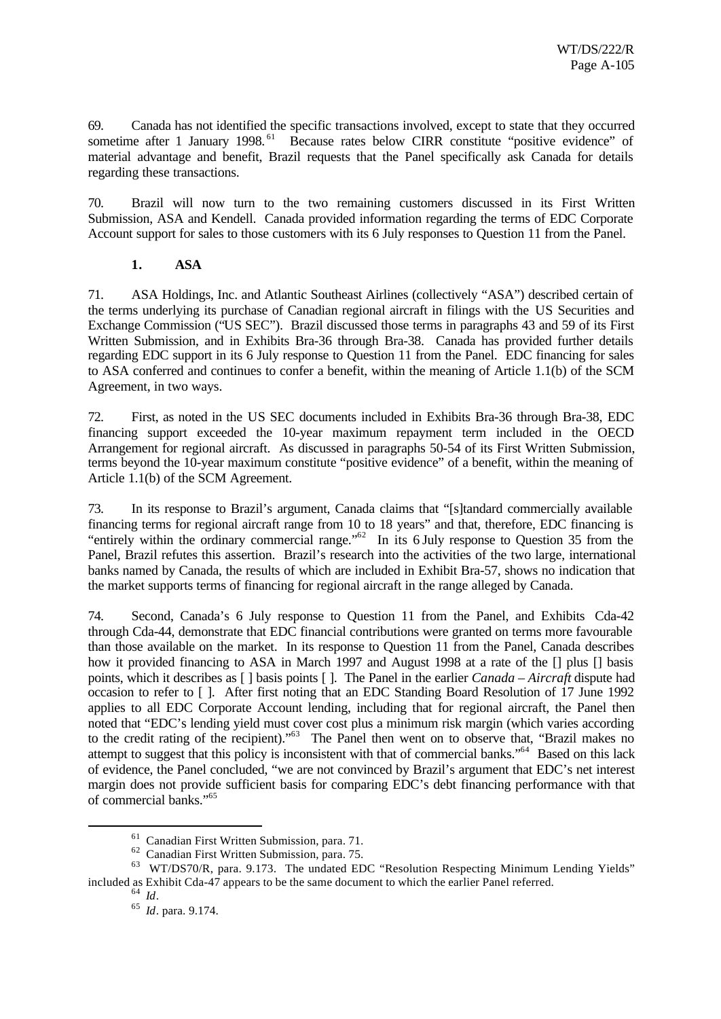69. Canada has not identified the specific transactions involved, except to state that they occurred sometime after 1 January 1998.<sup>61</sup> Because rates below CIRR constitute "positive evidence" of material advantage and benefit, Brazil requests that the Panel specifically ask Canada for details regarding these transactions.

70. Brazil will now turn to the two remaining customers discussed in its First Written Submission, ASA and Kendell. Canada provided information regarding the terms of EDC Corporate Account support for sales to those customers with its 6 July responses to Question 11 from the Panel.

### **1. ASA**

71. ASA Holdings, Inc. and Atlantic Southeast Airlines (collectively "ASA") described certain of the terms underlying its purchase of Canadian regional aircraft in filings with the US Securities and Exchange Commission ("US SEC"). Brazil discussed those terms in paragraphs 43 and 59 of its First Written Submission, and in Exhibits Bra-36 through Bra-38. Canada has provided further details regarding EDC support in its 6 July response to Question 11 from the Panel. EDC financing for sales to ASA conferred and continues to confer a benefit, within the meaning of Article 1.1(b) of the SCM Agreement, in two ways.

72. First, as noted in the US SEC documents included in Exhibits Bra-36 through Bra-38, EDC financing support exceeded the 10-year maximum repayment term included in the OECD Arrangement for regional aircraft. As discussed in paragraphs 50-54 of its First Written Submission, terms beyond the 10-year maximum constitute "positive evidence" of a benefit, within the meaning of Article 1.1(b) of the SCM Agreement.

73. In its response to Brazil's argument, Canada claims that "[s]tandard commercially available financing terms for regional aircraft range from 10 to 18 years" and that, therefore, EDC financing is "entirely within the ordinary commercial range."<sup>62</sup> In its 6 July response to Question 35 from the Panel, Brazil refutes this assertion. Brazil's research into the activities of the two large, international banks named by Canada, the results of which are included in Exhibit Bra-57, shows no indication that the market supports terms of financing for regional aircraft in the range alleged by Canada.

74. Second, Canada's 6 July response to Question 11 from the Panel, and Exhibits Cda-42 through Cda-44, demonstrate that EDC financial contributions were granted on terms more favourable than those available on the market. In its response to Question 11 from the Panel, Canada describes how it provided financing to ASA in March 1997 and August 1998 at a rate of the [] plus [] basis points, which it describes as [ ] basis points [ ]. The Panel in the earlier *Canada – Aircraft* dispute had occasion to refer to [ ]. After first noting that an EDC Standing Board Resolution of 17 June 1992 applies to all EDC Corporate Account lending, including that for regional aircraft, the Panel then noted that "EDC's lending yield must cover cost plus a minimum risk margin (which varies according to the credit rating of the recipient)."<sup>63</sup> The Panel then went on to observe that, "Brazil makes no attempt to suggest that this policy is inconsistent with that of commercial banks." $64$  Based on this lack of evidence, the Panel concluded, "we are not convinced by Brazil's argument that EDC's net interest margin does not provide sufficient basis for comparing EDC's debt financing performance with that of commercial banks."<sup>65</sup>

<sup>61</sup> Canadian First Written Submission, para. 71.

<sup>62</sup> Canadian First Written Submission, para. 75.

<sup>63</sup> WT/DS70/R, para. 9.173. The undated EDC "Resolution Respecting Minimum Lending Yields" included as Exhibit Cda-47 appears to be the same document to which the earlier Panel referred.

<sup>64</sup> *Id*. 65 *Id*. para. 9.174.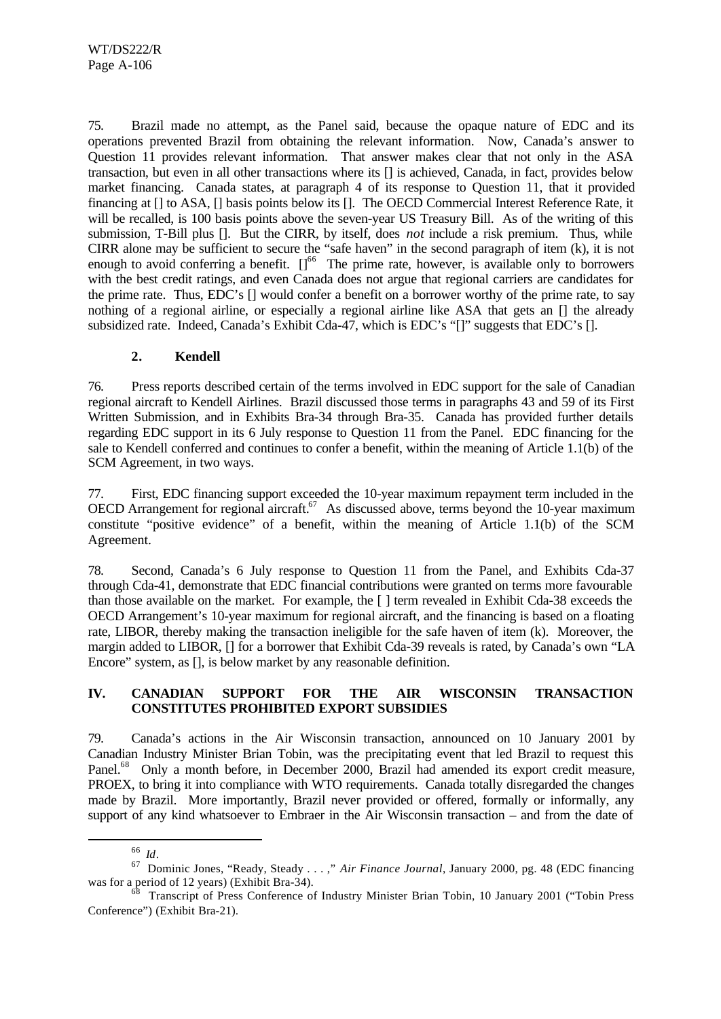75. Brazil made no attempt, as the Panel said, because the opaque nature of EDC and its operations prevented Brazil from obtaining the relevant information. Now, Canada's answer to Question 11 provides relevant information. That answer makes clear that not only in the ASA transaction, but even in all other transactions where its [] is achieved, Canada, in fact, provides below market financing. Canada states, at paragraph 4 of its response to Question 11, that it provided financing at [] to ASA, [] basis points below its []. The OECD Commercial Interest Reference Rate, it will be recalled, is 100 basis points above the seven-year US Treasury Bill. As of the writing of this submission, T-Bill plus []. But the CIRR, by itself, does *not* include a risk premium. Thus, while CIRR alone may be sufficient to secure the "safe haven" in the second paragraph of item (k), it is not enough to avoid conferring a benefit.  $[]^{66}$  The prime rate, however, is available only to borrowers with the best credit ratings, and even Canada does not argue that regional carriers are candidates for the prime rate. Thus, EDC's [] would confer a benefit on a borrower worthy of the prime rate, to say nothing of a regional airline, or especially a regional airline like ASA that gets an [] the already subsidized rate. Indeed, Canada's Exhibit Cda-47, which is EDC's "[]" suggests that EDC's [].

## **2. Kendell**

76. Press reports described certain of the terms involved in EDC support for the sale of Canadian regional aircraft to Kendell Airlines. Brazil discussed those terms in paragraphs 43 and 59 of its First Written Submission, and in Exhibits Bra-34 through Bra-35. Canada has provided further details regarding EDC support in its 6 July response to Question 11 from the Panel. EDC financing for the sale to Kendell conferred and continues to confer a benefit, within the meaning of Article 1.1(b) of the SCM Agreement, in two ways.

77. First, EDC financing support exceeded the 10-year maximum repayment term included in the OECD Arrangement for regional aircraft.<sup>67</sup> As discussed above, terms beyond the 10-year maximum constitute "positive evidence" of a benefit, within the meaning of Article 1.1(b) of the SCM Agreement.

78. Second, Canada's 6 July response to Question 11 from the Panel, and Exhibits Cda-37 through Cda-41, demonstrate that EDC financial contributions were granted on terms more favourable than those available on the market. For example, the [ ] term revealed in Exhibit Cda-38 exceeds the OECD Arrangement's 10-year maximum for regional aircraft, and the financing is based on a floating rate, LIBOR, thereby making the transaction ineligible for the safe haven of item (k). Moreover, the margin added to LIBOR, [] for a borrower that Exhibit Cda-39 reveals is rated, by Canada's own "LA Encore" system, as  $\Box$ , is below market by any reasonable definition.

## **IV. CANADIAN SUPPORT FOR THE AIR WISCONSIN TRANSACTION CONSTITUTES PROHIBITED EXPORT SUBSIDIES**

79. Canada's actions in the Air Wisconsin transaction, announced on 10 January 2001 by Canadian Industry Minister Brian Tobin, was the precipitating event that led Brazil to request this Panel.<sup>68</sup> Only a month before, in December 2000, Brazil had amended its export credit measure, PROEX, to bring it into compliance with WTO requirements. Canada totally disregarded the changes made by Brazil. More importantly, Brazil never provided or offered, formally or informally, any support of any kind whatsoever to Embraer in the Air Wisconsin transaction – and from the date of

<sup>66</sup> *Id*.

<sup>67</sup> Dominic Jones, "Ready, Steady . . . ," *Air Finance Journal*, January 2000, pg. 48 (EDC financing was for a period of 12 years) (Exhibit Bra-34).

<sup>68</sup> Transcript of Press Conference of Industry Minister Brian Tobin, 10 January 2001 ("Tobin Press Conference") (Exhibit Bra-21).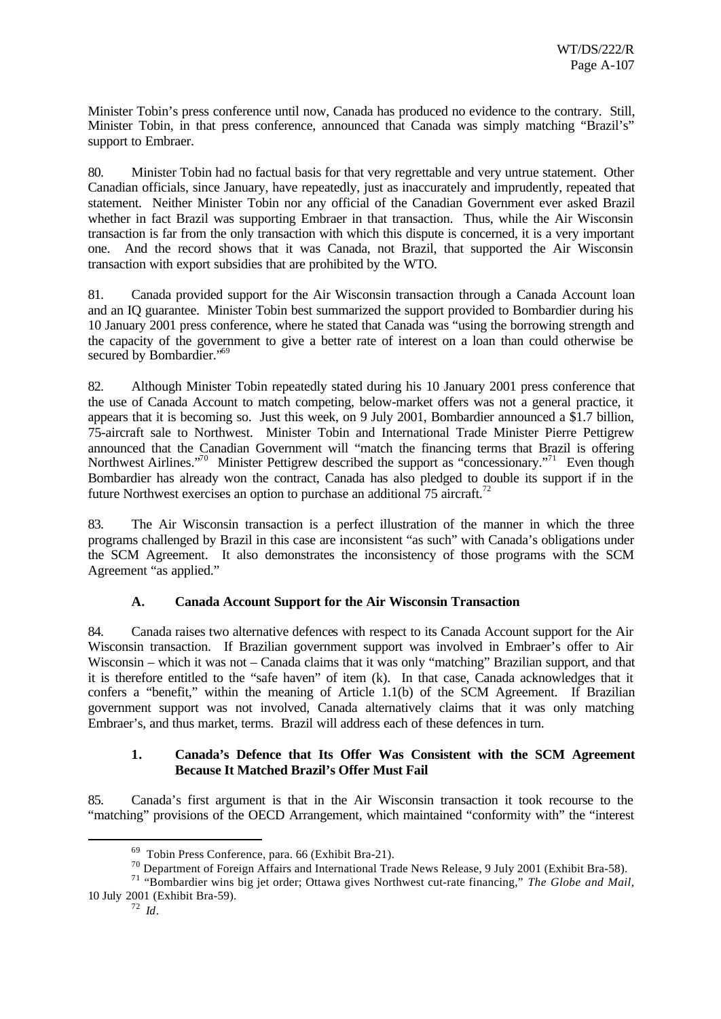Minister Tobin's press conference until now, Canada has produced no evidence to the contrary. Still, Minister Tobin, in that press conference, announced that Canada was simply matching "Brazil's" support to Embraer.

80. Minister Tobin had no factual basis for that very regrettable and very untrue statement. Other Canadian officials, since January, have repeatedly, just as inaccurately and imprudently, repeated that statement. Neither Minister Tobin nor any official of the Canadian Government ever asked Brazil whether in fact Brazil was supporting Embraer in that transaction. Thus, while the Air Wisconsin transaction is far from the only transaction with which this dispute is concerned, it is a very important one. And the record shows that it was Canada, not Brazil, that supported the Air Wisconsin transaction with export subsidies that are prohibited by the WTO.

81. Canada provided support for the Air Wisconsin transaction through a Canada Account loan and an IQ guarantee. Minister Tobin best summarized the support provided to Bombardier during his 10 January 2001 press conference, where he stated that Canada was "using the borrowing strength and the capacity of the government to give a better rate of interest on a loan than could otherwise be secured by Bombardier."<sup>69</sup>

82. Although Minister Tobin repeatedly stated during his 10 January 2001 press conference that the use of Canada Account to match competing, below-market offers was not a general practice, it appears that it is becoming so. Just this week, on 9 July 2001, Bombardier announced a \$1.7 billion, 75-aircraft sale to Northwest. Minister Tobin and International Trade Minister Pierre Pettigrew announced that the Canadian Government will "match the financing terms that Brazil is offering Northwest Airlines."<sup>70</sup> Minister Pettigrew described the support as "concessionary."<sup>71</sup> Even though Bombardier has already won the contract, Canada has also pledged to double its support if in the future Northwest exercises an option to purchase an additional  $75$  aircraft.<sup>72</sup>

83. The Air Wisconsin transaction is a perfect illustration of the manner in which the three programs challenged by Brazil in this case are inconsistent "as such" with Canada's obligations under the SCM Agreement. It also demonstrates the inconsistency of those programs with the SCM Agreement "as applied."

## **A. Canada Account Support for the Air Wisconsin Transaction**

84. Canada raises two alternative defences with respect to its Canada Account support for the Air Wisconsin transaction. If Brazilian government support was involved in Embraer's offer to Air Wisconsin – which it was not – Canada claims that it was only "matching" Brazilian support, and that it is therefore entitled to the "safe haven" of item (k). In that case, Canada acknowledges that it confers a "benefit," within the meaning of Article 1.1(b) of the SCM Agreement. If Brazilian government support was not involved, Canada alternatively claims that it was only matching Embraer's, and thus market, terms. Brazil will address each of these defences in turn.

### **1. Canada's Defence that Its Offer Was Consistent with the SCM Agreement Because It Matched Brazil's Offer Must Fail**

85. Canada's first argument is that in the Air Wisconsin transaction it took recourse to the "matching" provisions of the OECD Arrangement, which maintained "conformity with" the "interest

<sup>69</sup> Tobin Press Conference, para. 66 (Exhibit Bra-21).

<sup>70</sup> Department of Foreign Affairs and International Trade News Release, 9 July 2001 (Exhibit Bra-58).

<sup>71</sup> "Bombardier wins big jet order; Ottawa gives Northwest cut-rate financing," *The Globe and Mail*, 10 July 2001 (Exhibit Bra-59).

<sup>72</sup> *Id*.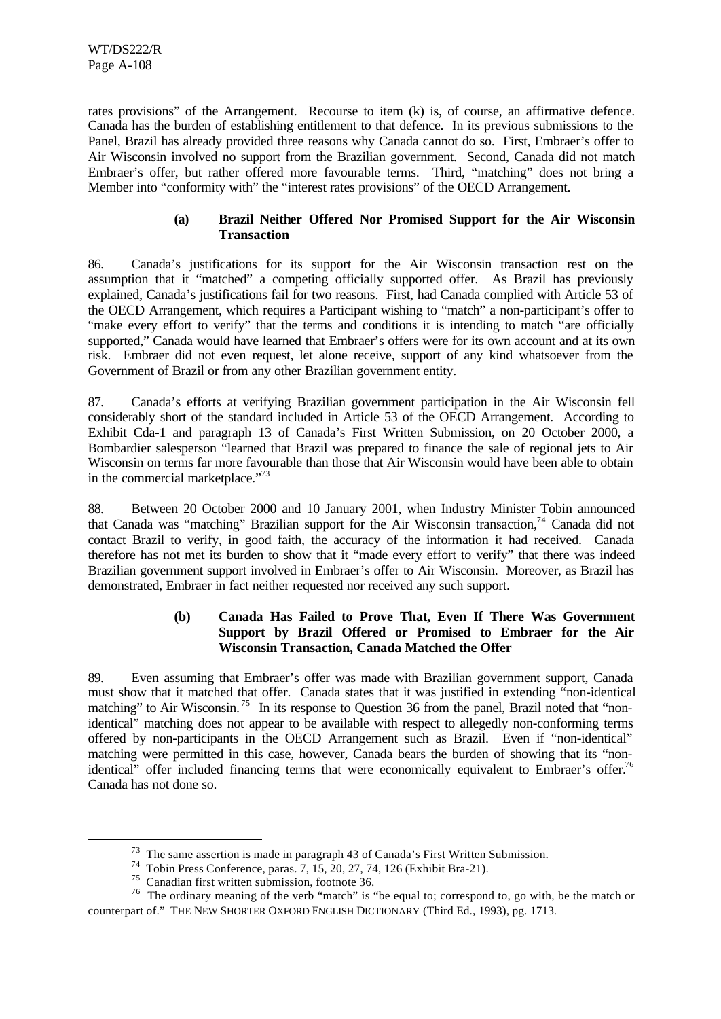rates provisions" of the Arrangement. Recourse to item (k) is, of course, an affirmative defence. Canada has the burden of establishing entitlement to that defence. In its previous submissions to the Panel, Brazil has already provided three reasons why Canada cannot do so. First, Embraer's offer to Air Wisconsin involved no support from the Brazilian government. Second, Canada did not match Embraer's offer, but rather offered more favourable terms. Third, "matching" does not bring a Member into "conformity with" the "interest rates provisions" of the OECD Arrangement.

## **(a) Brazil Neither Offered Nor Promised Support for the Air Wisconsin Transaction**

86. Canada's justifications for its support for the Air Wisconsin transaction rest on the assumption that it "matched" a competing officially supported offer. As Brazil has previously explained, Canada's justifications fail for two reasons. First, had Canada complied with Article 53 of the OECD Arrangement, which requires a Participant wishing to "match" a non-participant's offer to "make every effort to verify" that the terms and conditions it is intending to match "are officially supported," Canada would have learned that Embraer's offers were for its own account and at its own risk. Embraer did not even request, let alone receive, support of any kind whatsoever from the Government of Brazil or from any other Brazilian government entity.

87. Canada's efforts at verifying Brazilian government participation in the Air Wisconsin fell considerably short of the standard included in Article 53 of the OECD Arrangement. According to Exhibit Cda-1 and paragraph 13 of Canada's First Written Submission, on 20 October 2000, a Bombardier salesperson "learned that Brazil was prepared to finance the sale of regional jets to Air Wisconsin on terms far more favourable than those that Air Wisconsin would have been able to obtain in the commercial marketplace."<sup>73</sup>

88. Between 20 October 2000 and 10 January 2001, when Industry Minister Tobin announced that Canada was "matching" Brazilian support for the Air Wisconsin transaction,  $74$  Canada did not contact Brazil to verify, in good faith, the accuracy of the information it had received. Canada therefore has not met its burden to show that it "made every effort to verify" that there was indeed Brazilian government support involved in Embraer's offer to Air Wisconsin. Moreover, as Brazil has demonstrated, Embraer in fact neither requested nor received any such support.

## **(b) Canada Has Failed to Prove That, Even If There Was Government Support by Brazil Offered or Promised to Embraer for the Air Wisconsin Transaction, Canada Matched the Offer**

89. Even assuming that Embraer's offer was made with Brazilian government support, Canada must show that it matched that offer. Canada states that it was justified in extending "non-identical matching" to Air Wisconsin.<sup>75</sup> In its response to Question 36 from the panel, Brazil noted that "nonidentical" matching does not appear to be available with respect to allegedly non-conforming terms offered by non-participants in the OECD Arrangement such as Brazil. Even if "non-identical" matching were permitted in this case, however, Canada bears the burden of showing that its "nonidentical" offer included financing terms that were economically equivalent to Embraer's offer.<sup>76</sup> Canada has not done so.

 $73$  The same assertion is made in paragraph 43 of Canada's First Written Submission.

<sup>74</sup> Tobin Press Conference, paras. 7, 15, 20, 27, 74, 126 (Exhibit Bra-21).

<sup>75</sup> Canadian first written submission, footnote 36.

<sup>&</sup>lt;sup>76</sup> The ordinary meaning of the verb "match" is "be equal to; correspond to, go with, be the match or counterpart of." THE NEW SHORTER OXFORD ENGLISH DICTIONARY (Third Ed., 1993), pg. 1713.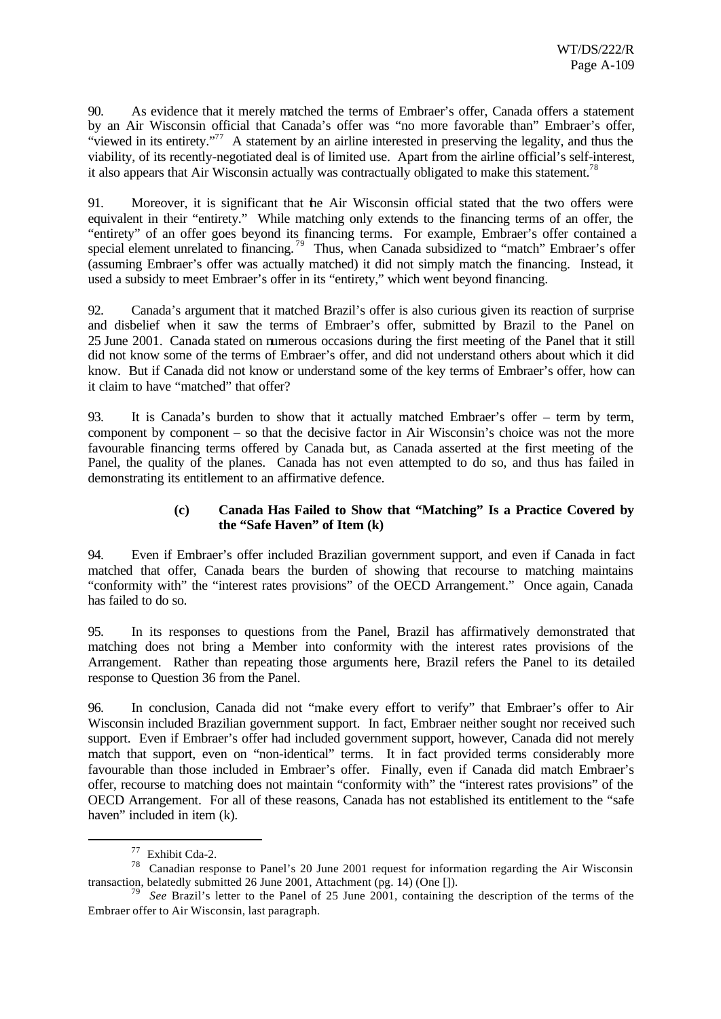90. As evidence that it merely matched the terms of Embraer's offer, Canada offers a statement by an Air Wisconsin official that Canada's offer was "no more favorable than" Embraer's offer, "viewed in its entirety."<sup>77</sup> A statement by an airline interested in preserving the legality, and thus the viability, of its recently-negotiated deal is of limited use. Apart from the airline official's self-interest, it also appears that Air Wisconsin actually was contractually obligated to make this statement.<sup>78</sup>

91. Moreover, it is significant that the Air Wisconsin official stated that the two offers were equivalent in their "entirety." While matching only extends to the financing terms of an offer, the "entirety" of an offer goes beyond its financing terms. For example, Embraer's offer contained a special element unrelated to financing.<sup>79</sup> Thus, when Canada subsidized to "match" Embraer's offer (assuming Embraer's offer was actually matched) it did not simply match the financing. Instead, it used a subsidy to meet Embraer's offer in its "entirety," which went beyond financing.

92. Canada's argument that it matched Brazil's offer is also curious given its reaction of surprise and disbelief when it saw the terms of Embraer's offer, submitted by Brazil to the Panel on 25 June 2001. Canada stated on numerous occasions during the first meeting of the Panel that it still did not know some of the terms of Embraer's offer, and did not understand others about which it did know. But if Canada did not know or understand some of the key terms of Embraer's offer, how can it claim to have "matched" that offer?

93. It is Canada's burden to show that it actually matched Embraer's offer – term by term, component by component – so that the decisive factor in Air Wisconsin's choice was not the more favourable financing terms offered by Canada but, as Canada asserted at the first meeting of the Panel, the quality of the planes. Canada has not even attempted to do so, and thus has failed in demonstrating its entitlement to an affirmative defence.

### **(c) Canada Has Failed to Show that "Matching" Is a Practice Covered by the "Safe Haven" of Item (k)**

94. Even if Embraer's offer included Brazilian government support, and even if Canada in fact matched that offer, Canada bears the burden of showing that recourse to matching maintains "conformity with" the "interest rates provisions" of the OECD Arrangement." Once again, Canada has failed to do so.

95. In its responses to questions from the Panel, Brazil has affirmatively demonstrated that matching does not bring a Member into conformity with the interest rates provisions of the Arrangement. Rather than repeating those arguments here, Brazil refers the Panel to its detailed response to Question 36 from the Panel.

96. In conclusion, Canada did not "make every effort to verify" that Embraer's offer to Air Wisconsin included Brazilian government support. In fact, Embraer neither sought nor received such support. Even if Embraer's offer had included government support, however, Canada did not merely match that support, even on "non-identical" terms. It in fact provided terms considerably more favourable than those included in Embraer's offer. Finally, even if Canada did match Embraer's offer, recourse to matching does not maintain "conformity with" the "interest rates provisions" of the OECD Arrangement. For all of these reasons, Canada has not established its entitlement to the "safe haven" included in item (k).

<sup>77</sup> Exhibit Cda-2.

<sup>78</sup> Canadian response to Panel's 20 June 2001 request for information regarding the Air Wisconsin transaction, belatedly submitted 26 June 2001, Attachment (pg. 14) (One []).

<sup>&</sup>lt;sup>79</sup> See Brazil's letter to the Panel of 25 June 2001, containing the description of the terms of the Embraer offer to Air Wisconsin, last paragraph.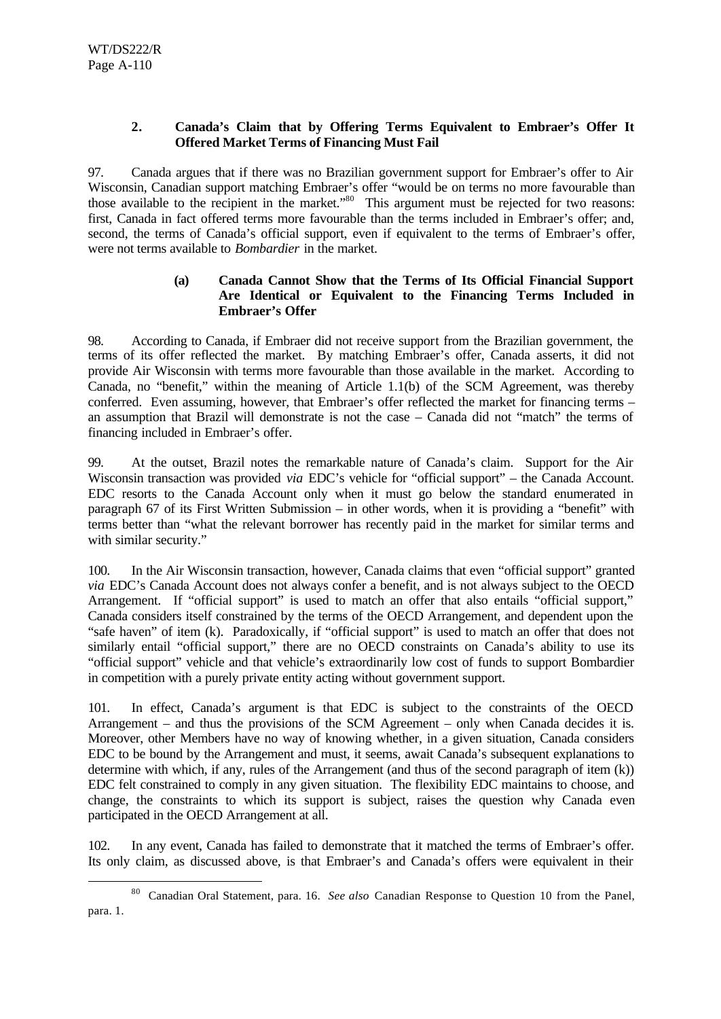l

## **2. Canada's Claim that by Offering Terms Equivalent to Embraer's Offer It Offered Market Terms of Financing Must Fail**

97. Canada argues that if there was no Brazilian government support for Embraer's offer to Air Wisconsin, Canadian support matching Embraer's offer "would be on terms no more favourable than those available to the recipient in the market."<sup>80</sup> This argument must be rejected for two reasons: first, Canada in fact offered terms more favourable than the terms included in Embraer's offer; and, second, the terms of Canada's official support, even if equivalent to the terms of Embraer's offer, were not terms available to *Bombardier* in the market.

### **(a) Canada Cannot Show that the Terms of Its Official Financial Support Are Identical or Equivalent to the Financing Terms Included in Embraer's Offer**

98. According to Canada, if Embraer did not receive support from the Brazilian government, the terms of its offer reflected the market. By matching Embraer's offer, Canada asserts, it did not provide Air Wisconsin with terms more favourable than those available in the market. According to Canada, no "benefit," within the meaning of Article 1.1(b) of the SCM Agreement, was thereby conferred. Even assuming, however, that Embraer's offer reflected the market for financing terms – an assumption that Brazil will demonstrate is not the case – Canada did not "match" the terms of financing included in Embraer's offer.

99. At the outset, Brazil notes the remarkable nature of Canada's claim. Support for the Air Wisconsin transaction was provided *via* EDC's vehicle for "official support" – the Canada Account. EDC resorts to the Canada Account only when it must go below the standard enumerated in paragraph 67 of its First Written Submission – in other words, when it is providing a "benefit" with terms better than "what the relevant borrower has recently paid in the market for similar terms and with similar security."

100. In the Air Wisconsin transaction, however, Canada claims that even "official support" granted *via* EDC's Canada Account does not always confer a benefit, and is not always subject to the OECD Arrangement. If "official support" is used to match an offer that also entails "official support," Canada considers itself constrained by the terms of the OECD Arrangement, and dependent upon the "safe haven" of item (k). Paradoxically, if "official support" is used to match an offer that does not similarly entail "official support," there are no OECD constraints on Canada's ability to use its "official support" vehicle and that vehicle's extraordinarily low cost of funds to support Bombardier in competition with a purely private entity acting without government support.

101. In effect, Canada's argument is that EDC is subject to the constraints of the OECD Arrangement – and thus the provisions of the SCM Agreement – only when Canada decides it is. Moreover, other Members have no way of knowing whether, in a given situation, Canada considers EDC to be bound by the Arrangement and must, it seems, await Canada's subsequent explanations to determine with which, if any, rules of the Arrangement (and thus of the second paragraph of item (k)) EDC felt constrained to comply in any given situation. The flexibility EDC maintains to choose, and change, the constraints to which its support is subject, raises the question why Canada even participated in the OECD Arrangement at all.

102. In any event, Canada has failed to demonstrate that it matched the terms of Embraer's offer. Its only claim, as discussed above, is that Embraer's and Canada's offers were equivalent in their

<sup>80</sup> Canadian Oral Statement, para. 16. *See also* Canadian Response to Question 10 from the Panel, para. 1.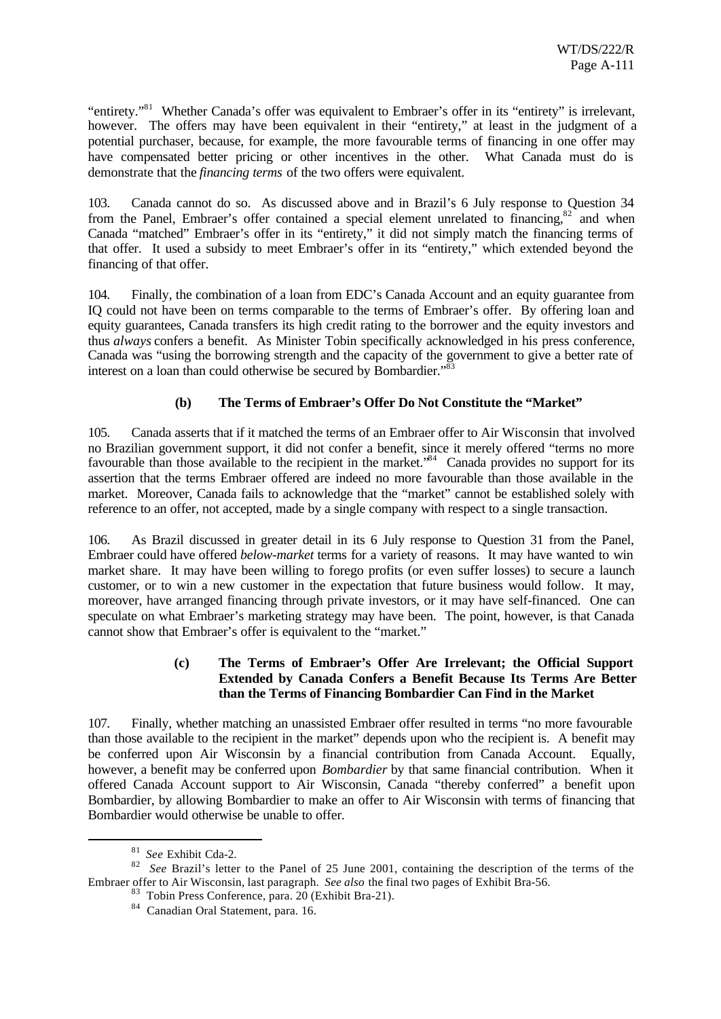"entirety."<sup>81</sup> Whether Canada's offer was equivalent to Embraer's offer in its "entirety" is irrelevant, however. The offers may have been equivalent in their "entirety," at least in the judgment of a potential purchaser, because, for example, the more favourable terms of financing in one offer may have compensated better pricing or other incentives in the other. What Canada must do is demonstrate that the *financing terms* of the two offers were equivalent.

103. Canada cannot do so. As discussed above and in Brazil's 6 July response to Question 34 from the Panel, Embraer's offer contained a special element unrelated to financing, $82$  and when Canada "matched" Embraer's offer in its "entirety," it did not simply match the financing terms of that offer. It used a subsidy to meet Embraer's offer in its "entirety," which extended beyond the financing of that offer.

104. Finally, the combination of a loan from EDC's Canada Account and an equity guarantee from IQ could not have been on terms comparable to the terms of Embraer's offer. By offering loan and equity guarantees, Canada transfers its high credit rating to the borrower and the equity investors and thus *always* confers a benefit. As Minister Tobin specifically acknowledged in his press conference, Canada was "using the borrowing strength and the capacity of the government to give a better rate of interest on a loan than could otherwise be secured by Bombardier."<sup>83</sup>

# **(b) The Terms of Embraer's Offer Do Not Constitute the "Market"**

105. Canada asserts that if it matched the terms of an Embraer offer to Air Wisconsin that involved no Brazilian government support, it did not confer a benefit, since it merely offered "terms no more favourable than those available to the recipient in the market.<sup>384</sup> Canada provides no support for its assertion that the terms Embraer offered are indeed no more favourable than those available in the market. Moreover, Canada fails to acknowledge that the "market" cannot be established solely with reference to an offer, not accepted, made by a single company with respect to a single transaction.

106. As Brazil discussed in greater detail in its 6 July response to Question 31 from the Panel, Embraer could have offered *below-market* terms for a variety of reasons. It may have wanted to win market share. It may have been willing to forego profits (or even suffer losses) to secure a launch customer, or to win a new customer in the expectation that future business would follow. It may, moreover, have arranged financing through private investors, or it may have self-financed. One can speculate on what Embraer's marketing strategy may have been. The point, however, is that Canada cannot show that Embraer's offer is equivalent to the "market."

### **(c) The Terms of Embraer's Offer Are Irrelevant; the Official Support Extended by Canada Confers a Benefit Because Its Terms Are Better than the Terms of Financing Bombardier Can Find in the Market**

107. Finally, whether matching an unassisted Embraer offer resulted in terms "no more favourable than those available to the recipient in the market" depends upon who the recipient is. A benefit may be conferred upon Air Wisconsin by a financial contribution from Canada Account. Equally, however, a benefit may be conferred upon *Bombardier* by that same financial contribution. When it offered Canada Account support to Air Wisconsin, Canada "thereby conferred" a benefit upon Bombardier, by allowing Bombardier to make an offer to Air Wisconsin with terms of financing that Bombardier would otherwise be unable to offer.

<sup>81</sup> *See* Exhibit Cda-2.

<sup>82</sup> *See* Brazil's letter to the Panel of 25 June 2001, containing the description of the terms of the Embraer offer to Air Wisconsin, last paragraph. *See also* the final two pages of Exhibit Bra-56.

<sup>83</sup> Tobin Press Conference, para. 20 (Exhibit Bra-21).

<sup>84</sup> Canadian Oral Statement, para. 16.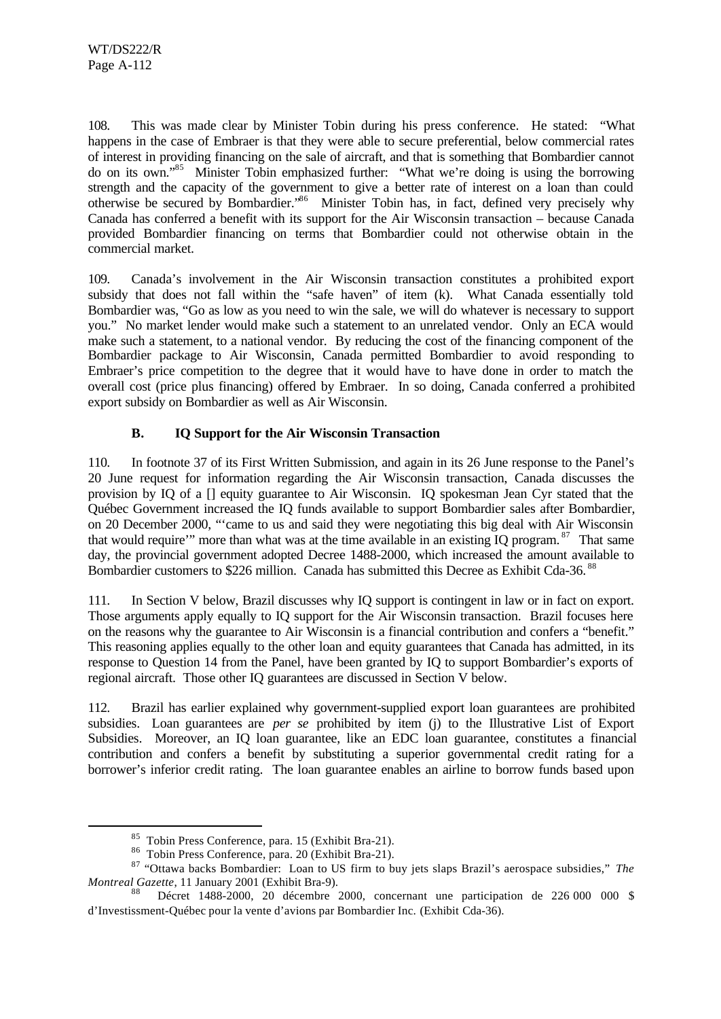108. This was made clear by Minister Tobin during his press conference. He stated: "What happens in the case of Embraer is that they were able to secure preferential, below commercial rates of interest in providing financing on the sale of aircraft, and that is something that Bombardier cannot do on its own."<sup>85</sup> Minister Tobin emphasized further: "What we're doing is using the borrowing strength and the capacity of the government to give a better rate of interest on a loan than could otherwise be secured by Bombardier."<sup>86</sup> Minister Tobin has, in fact, defined very precisely why Canada has conferred a benefit with its support for the Air Wisconsin transaction – because Canada provided Bombardier financing on terms that Bombardier could not otherwise obtain in the commercial market.

109. Canada's involvement in the Air Wisconsin transaction constitutes a prohibited export subsidy that does not fall within the "safe haven" of item (k). What Canada essentially told Bombardier was, "Go as low as you need to win the sale, we will do whatever is necessary to support you." No market lender would make such a statement to an unrelated vendor. Only an ECA would make such a statement, to a national vendor. By reducing the cost of the financing component of the Bombardier package to Air Wisconsin, Canada permitted Bombardier to avoid responding to Embraer's price competition to the degree that it would have to have done in order to match the overall cost (price plus financing) offered by Embraer. In so doing, Canada conferred a prohibited export subsidy on Bombardier as well as Air Wisconsin.

## **B. IQ Support for the Air Wisconsin Transaction**

110. In footnote 37 of its First Written Submission, and again in its 26 June response to the Panel's 20 June request for information regarding the Air Wisconsin transaction, Canada discusses the provision by IQ of a [] equity guarantee to Air Wisconsin. IQ spokesman Jean Cyr stated that the Québec Government increased the IQ funds available to support Bombardier sales after Bombardier, on 20 December 2000, "'came to us and said they were negotiating this big deal with Air Wisconsin that would require'" more than what was at the time available in an existing IQ program. <sup>87</sup> That same day, the provincial government adopted Decree 1488-2000, which increased the amount available to Bombardier customers to \$226 million. Canada has submitted this Decree as Exhibit Cda-36.<sup>88</sup>

111. In Section V below, Brazil discusses why IQ support is contingent in law or in fact on export. Those arguments apply equally to IQ support for the Air Wisconsin transaction. Brazil focuses here on the reasons why the guarantee to Air Wisconsin is a financial contribution and confers a "benefit." This reasoning applies equally to the other loan and equity guarantees that Canada has admitted, in its response to Question 14 from the Panel, have been granted by IQ to support Bombardier's exports of regional aircraft. Those other IQ guarantees are discussed in Section V below.

112. Brazil has earlier explained why government-supplied export loan guarantees are prohibited subsidies. Loan guarantees are *per se* prohibited by item (j) to the Illustrative List of Export Subsidies. Moreover, an IQ loan guarantee, like an EDC loan guarantee, constitutes a financial contribution and confers a benefit by substituting a superior governmental credit rating for a borrower's inferior credit rating. The loan guarantee enables an airline to borrow funds based upon

<sup>85</sup> Tobin Press Conference, para. 15 (Exhibit Bra-21).

<sup>86</sup> Tobin Press Conference, para. 20 (Exhibit Bra-21).

<sup>87</sup> "Ottawa backs Bombardier: Loan to US firm to buy jets slaps Brazil's aerospace subsidies," *The Montreal Gazette*, 11 January 2001 (Exhibit Bra-9).

<sup>88</sup> Décret 1488-2000, 20 décembre 2000, concernant une participation de 226 000 000 \$ d'Investissment-Québec pour la vente d'avions par Bombardier Inc. (Exhibit Cda-36).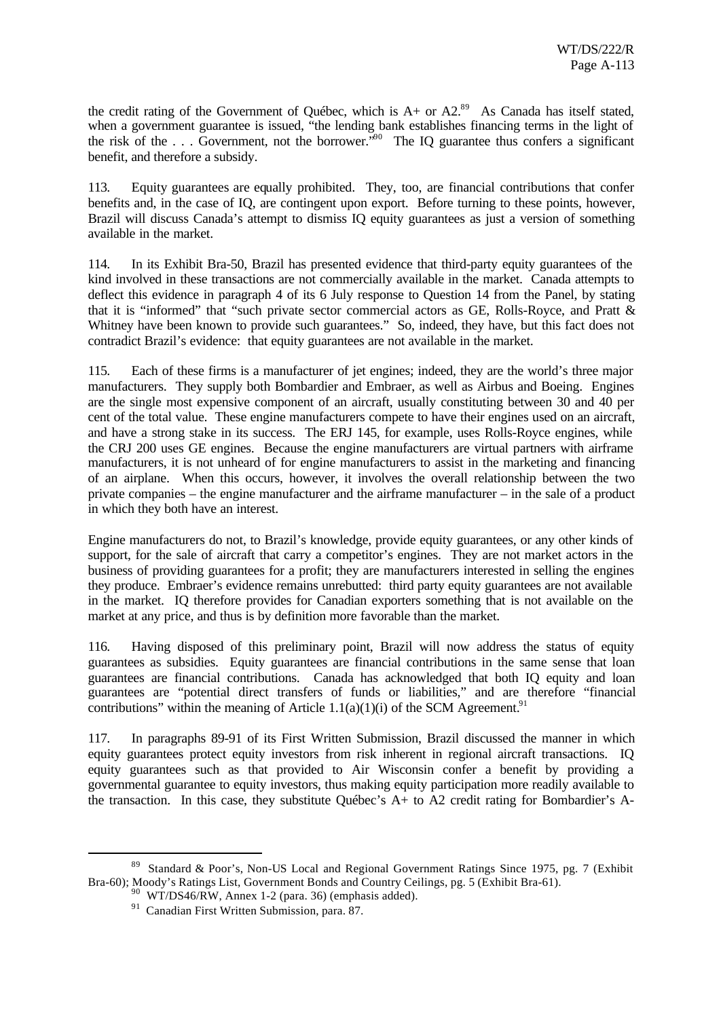the credit rating of the Government of Québec, which is  $A+$  or  $A2$ <sup>89</sup> As Canada has itself stated, when a government guarantee is issued, "the lending bank establishes financing terms in the light of the risk of the  $\ldots$  Government, not the borrower.<sup>590</sup> The IQ guarantee thus confers a significant benefit, and therefore a subsidy.

113. Equity guarantees are equally prohibited. They, too, are financial contributions that confer benefits and, in the case of IQ, are contingent upon export. Before turning to these points, however, Brazil will discuss Canada's attempt to dismiss IQ equity guarantees as just a version of something available in the market.

114. In its Exhibit Bra-50, Brazil has presented evidence that third-party equity guarantees of the kind involved in these transactions are not commercially available in the market. Canada attempts to deflect this evidence in paragraph 4 of its 6 July response to Question 14 from the Panel, by stating that it is "informed" that "such private sector commercial actors as GE, Rolls-Royce, and Pratt & Whitney have been known to provide such guarantees." So, indeed, they have, but this fact does not contradict Brazil's evidence: that equity guarantees are not available in the market.

115. Each of these firms is a manufacturer of jet engines; indeed, they are the world's three major manufacturers. They supply both Bombardier and Embraer, as well as Airbus and Boeing. Engines are the single most expensive component of an aircraft, usually constituting between 30 and 40 per cent of the total value. These engine manufacturers compete to have their engines used on an aircraft, and have a strong stake in its success. The ERJ 145, for example, uses Rolls-Royce engines, while the CRJ 200 uses GE engines. Because the engine manufacturers are virtual partners with airframe manufacturers, it is not unheard of for engine manufacturers to assist in the marketing and financing of an airplane. When this occurs, however, it involves the overall relationship between the two private companies – the engine manufacturer and the airframe manufacturer – in the sale of a product in which they both have an interest.

Engine manufacturers do not, to Brazil's knowledge, provide equity guarantees, or any other kinds of support, for the sale of aircraft that carry a competitor's engines. They are not market actors in the business of providing guarantees for a profit; they are manufacturers interested in selling the engines they produce. Embraer's evidence remains unrebutted: third party equity guarantees are not available in the market. IQ therefore provides for Canadian exporters something that is not available on the market at any price, and thus is by definition more favorable than the market.

116. Having disposed of this preliminary point, Brazil will now address the status of equity guarantees as subsidies. Equity guarantees are financial contributions in the same sense that loan guarantees are financial contributions. Canada has acknowledged that both IQ equity and loan guarantees are "potential direct transfers of funds or liabilities," and are therefore "financial contributions" within the meaning of Article 1.1(a)(1)(i) of the SCM Agreement.<sup>91</sup>

117. In paragraphs 89-91 of its First Written Submission, Brazil discussed the manner in which equity guarantees protect equity investors from risk inherent in regional aircraft transactions. IQ equity guarantees such as that provided to Air Wisconsin confer a benefit by providing a governmental guarantee to equity investors, thus making equity participation more readily available to the transaction. In this case, they substitute Québec's A+ to A2 credit rating for Bombardier's A-

<sup>89</sup> Standard & Poor's, Non-US Local and Regional Government Ratings Since 1975, pg. 7 (Exhibit Bra-60); Moody's Ratings List, Government Bonds and Country Ceilings, pg. 5 (Exhibit Bra-61).

 $90$  WT/DS46/RW, Annex 1-2 (para. 36) (emphasis added).

<sup>&</sup>lt;sup>91</sup> Canadian First Written Submission, para. 87.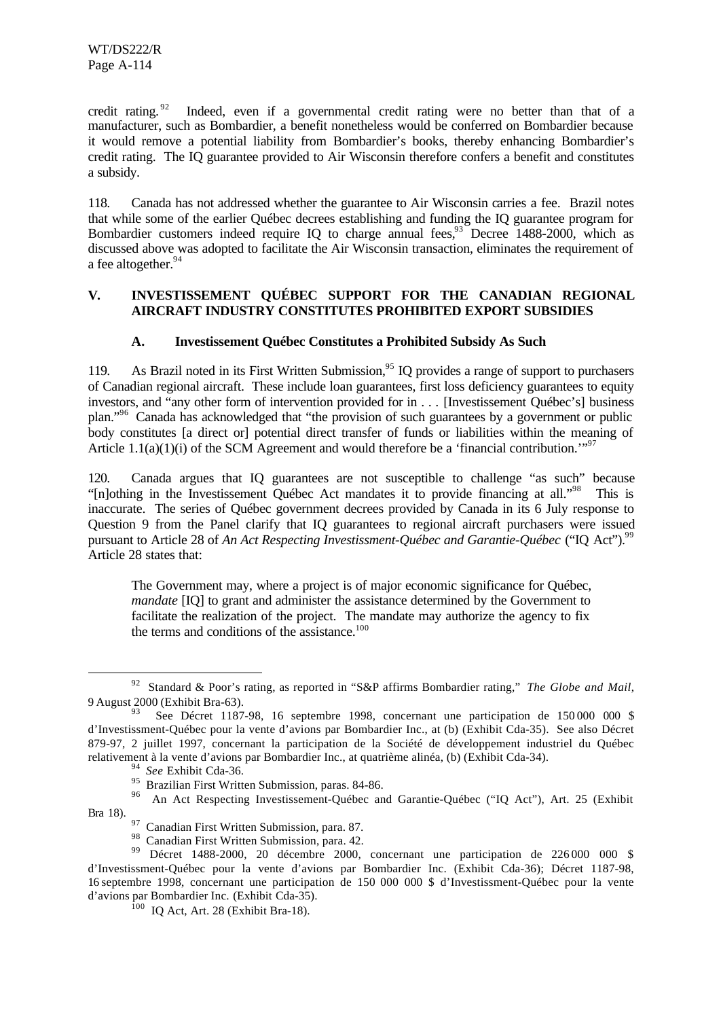credit rating. <sup>92</sup> Indeed, even if a governmental credit rating were no better than that of a manufacturer, such as Bombardier, a benefit nonetheless would be conferred on Bombardier because it would remove a potential liability from Bombardier's books, thereby enhancing Bombardier's credit rating. The IQ guarantee provided to Air Wisconsin therefore confers a benefit and constitutes a subsidy.

118. Canada has not addressed whether the guarantee to Air Wisconsin carries a fee. Brazil notes that while some of the earlier Québec decrees establishing and funding the IQ guarantee program for Bombardier customers indeed require IQ to charge annual fees, $93\degree$  Decree 1488-2000, which as discussed above was adopted to facilitate the Air Wisconsin transaction, eliminates the requirement of a fee altogether.<sup>94</sup>

### **V. INVESTISSEMENT QUÉBEC SUPPORT FOR THE CANADIAN REGIONAL AIRCRAFT INDUSTRY CONSTITUTES PROHIBITED EXPORT SUBSIDIES**

## **A. Investissement Québec Constitutes a Prohibited Subsidy As Such**

119. As Brazil noted in its First Written Submission,<sup>95</sup> IQ provides a range of support to purchasers of Canadian regional aircraft. These include loan guarantees, first loss deficiency guarantees to equity investors, and "any other form of intervention provided for in . . . [Investissement Québec's] business plan."<sup>96</sup> Canada has acknowledged that "the provision of such guarantees by a government or public body constitutes [a direct or] potential direct transfer of funds or liabilities within the meaning of Article 1.1(a)(1)(i) of the SCM Agreement and would therefore be a 'financial contribution."<sup>97</sup>

120. Canada argues that IQ guarantees are not susceptible to challenge "as such" because "[n]othing in the Investissement Québec Act mandates it to provide financing at all."<sup>98</sup> This is inaccurate. The series of Québec government decrees provided by Canada in its 6 July response to Question 9 from the Panel clarify that IQ guarantees to regional aircraft purchasers were issued pursuant to Article 28 of *An Act Respecting Investissment-Québec and Garantie-Québec* ("IQ Act").<sup>99</sup> Article 28 states that:

The Government may, where a project is of major economic significance for Québec, *mandate* [IQ] to grant and administer the assistance determined by the Government to facilitate the realization of the project. The mandate may authorize the agency to fix the terms and conditions of the assistance. $100$ 

<sup>92</sup> Standard & Poor's rating, as reported in "S&P affirms Bombardier rating," *The Globe and Mail*, 9 August 2000 (Exhibit Bra-63).

See Décret 1187-98, 16 septembre 1998, concernant une participation de 150 000 000 \$ d'Investissment-Québec pour la vente d'avions par Bombardier Inc., at (b) (Exhibit Cda-35). See also Décret 879-97, 2 juillet 1997, concernant la participation de la Société de développement industriel du Québec relativement à la vente d'avions par Bombardier Inc., at quatrième alinéa, (b) (Exhibit Cda-34).

<sup>94</sup> *See* Exhibit Cda-36.

<sup>95</sup> Brazilian First Written Submission, paras. 84-86.

<sup>&</sup>lt;sup>96</sup> An Act Respecting Investissement-Québec and Garantie-Québec ("IQ Act"), Art. 25 (Exhibit

Bra 18).

<sup>97</sup> Canadian First Written Submission, para. 87.

<sup>98</sup> Canadian First Written Submission, para. 42.

<sup>99</sup> Décret 1488-2000, 20 décembre 2000, concernant une participation de 226 000 000 \$ d'Investissment-Québec pour la vente d'avions par Bombardier Inc. (Exhibit Cda-36); Décret 1187-98, 16 septembre 1998, concernant une participation de 150 000 000 \$ d'Investissment-Québec pour la vente d'avions par Bombardier Inc. (Exhibit Cda-35).

 $100$  IO Act, Art. 28 (Exhibit Bra-18).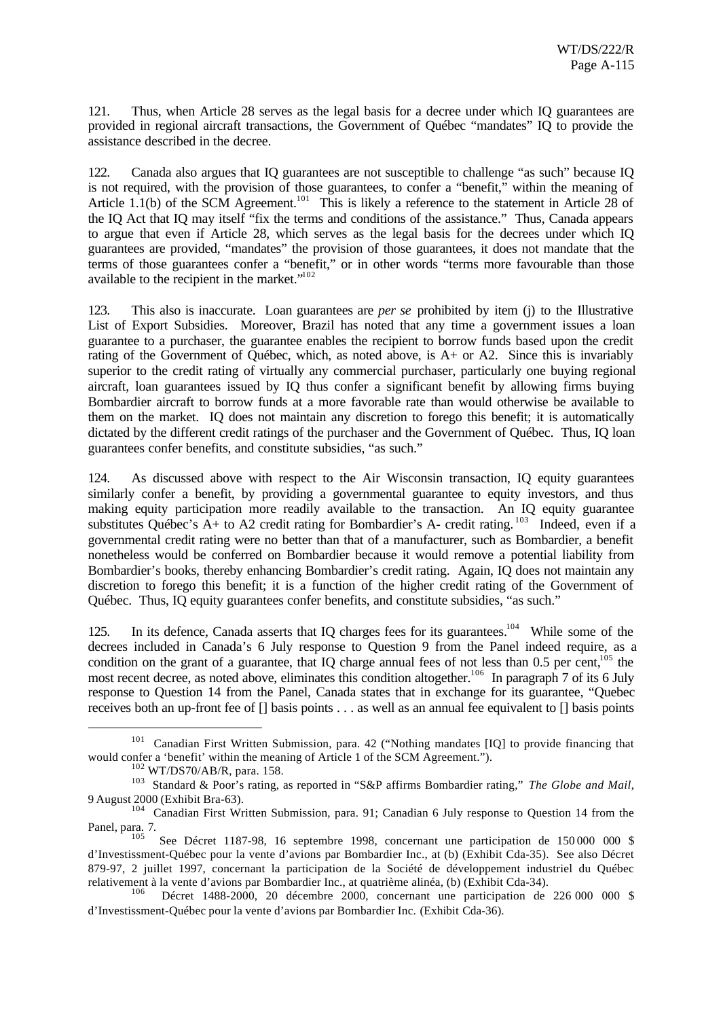121. Thus, when Article 28 serves as the legal basis for a decree under which IQ guarantees are provided in regional aircraft transactions, the Government of Québec "mandates" IQ to provide the assistance described in the decree.

122. Canada also argues that IQ guarantees are not susceptible to challenge "as such" because IQ is not required, with the provision of those guarantees, to confer a "benefit," within the meaning of Article 1.1(b) of the SCM Agreement.<sup>101</sup> This is likely a reference to the statement in Article 28 of the IQ Act that IQ may itself "fix the terms and conditions of the assistance." Thus, Canada appears to argue that even if Article 28, which serves as the legal basis for the decrees under which IQ guarantees are provided, "mandates" the provision of those guarantees, it does not mandate that the terms of those guarantees confer a "benefit," or in other words "terms more favourable than those available to the recipient in the market."<sup>102</sup>

123. This also is inaccurate. Loan guarantees are *per se* prohibited by item (j) to the Illustrative List of Export Subsidies. Moreover, Brazil has noted that any time a government issues a loan guarantee to a purchaser, the guarantee enables the recipient to borrow funds based upon the credit rating of the Government of Québec, which, as noted above, is A+ or A2. Since this is invariably superior to the credit rating of virtually any commercial purchaser, particularly one buying regional aircraft, loan guarantees issued by IQ thus confer a significant benefit by allowing firms buying Bombardier aircraft to borrow funds at a more favorable rate than would otherwise be available to them on the market. IQ does not maintain any discretion to forego this benefit; it is automatically dictated by the different credit ratings of the purchaser and the Government of Québec. Thus, IQ loan guarantees confer benefits, and constitute subsidies, "as such."

124. As discussed above with respect to the Air Wisconsin transaction, IQ equity guarantees similarly confer a benefit, by providing a governmental guarantee to equity investors, and thus making equity participation more readily available to the transaction. An IQ equity guarantee substitutes Québec's  $\overrightarrow{A}$  to A2 credit rating for Bombardier's A- credit rating.  $\overrightarrow{03}$  Indeed, even if a governmental credit rating were no better than that of a manufacturer, such as Bombardier, a benefit nonetheless would be conferred on Bombardier because it would remove a potential liability from Bombardier's books, thereby enhancing Bombardier's credit rating. Again, IQ does not maintain any discretion to forego this benefit; it is a function of the higher credit rating of the Government of Québec. Thus, IQ equity guarantees confer benefits, and constitute subsidies, "as such."

125. In its defence, Canada asserts that IQ charges fees for its guarantees.<sup>104</sup> While some of the decrees included in Canada's 6 July response to Question 9 from the Panel indeed require, as a condition on the grant of a guarantee, that IQ charge annual fees of not less than 0.5 per cent.<sup>105</sup> the most recent decree, as noted above, eliminates this condition altogether.<sup>106</sup> In paragraph 7 of its 6 July response to Question 14 from the Panel, Canada states that in exchange for its guarantee, "Quebec receives both an up-front fee of [] basis points . . . as well as an annual fee equivalent to [] basis points

<sup>&</sup>lt;sup>101</sup> Canadian First Written Submission, para. 42 ("Nothing mandates [IQ] to provide financing that would confer a 'benefit' within the meaning of Article 1 of the SCM Agreement.").

<sup>102</sup> WT/DS70/AB/R, para. 158.

<sup>103</sup> Standard & Poor's rating, as reported in "S&P affirms Bombardier rating," *The Globe and Mail*, 9 August 2000 (Exhibit Bra-63).

<sup>&</sup>lt;sup>104</sup> Canadian First Written Submission, para. 91; Canadian 6 July response to Question 14 from the Panel, para. 7.

See Décret 1187-98, 16 septembre 1998, concernant une participation de 150 000 000 \$ d'Investissment-Québec pour la vente d'avions par Bombardier Inc., at (b) (Exhibit Cda-35). See also Décret 879-97, 2 juillet 1997, concernant la participation de la Société de développement industriel du Québec relativement à la vente d'avions par Bombardier Inc., at quatrième alinéa, (b) (Exhibit Cda-34).

<sup>106</sup> Décret 1488-2000, 20 décembre 2000, concernant une participation de 226 000 000 \$ d'Investissment-Québec pour la vente d'avions par Bombardier Inc. (Exhibit Cda-36).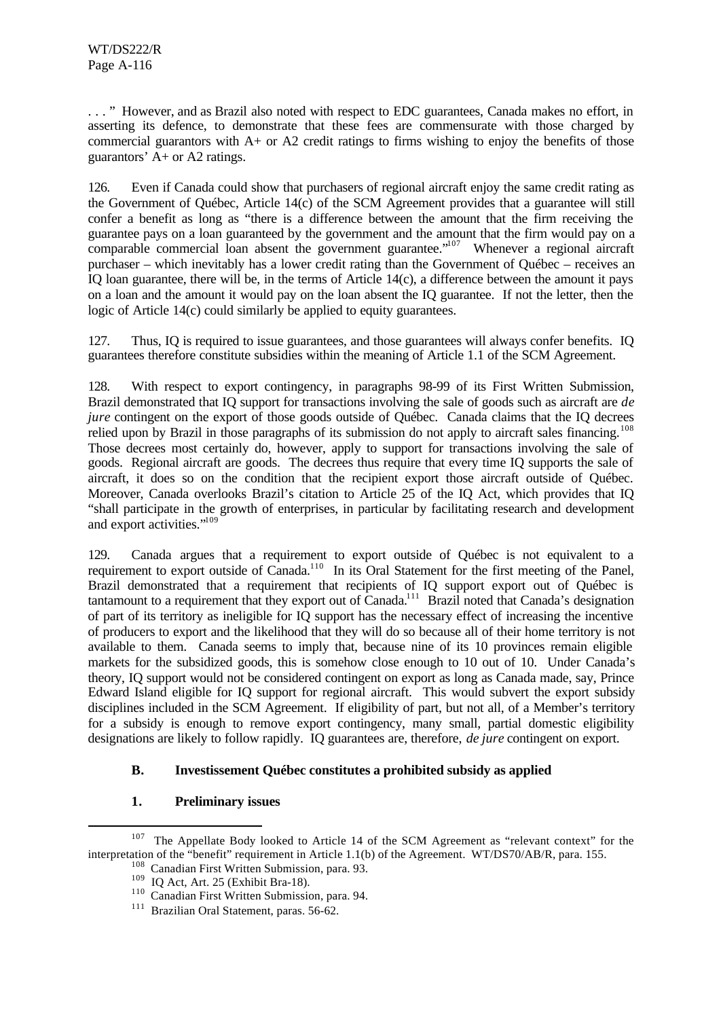. . . " However, and as Brazil also noted with respect to EDC guarantees, Canada makes no effort, in asserting its defence, to demonstrate that these fees are commensurate with those charged by commercial guarantors with  $A$ + or  $A2$  credit ratings to firms wishing to enjoy the benefits of those guarantors' A+ or A2 ratings.

126. Even if Canada could show that purchasers of regional aircraft enjoy the same credit rating as the Government of Québec, Article 14(c) of the SCM Agreement provides that a guarantee will still confer a benefit as long as "there is a difference between the amount that the firm receiving the guarantee pays on a loan guaranteed by the government and the amount that the firm would pay on a comparable commercial loan absent the government guarantee."<sup>107</sup> Whenever a regional aircraft purchaser – which inevitably has a lower credit rating than the Government of Québec – receives an IQ loan guarantee, there will be, in the terms of Article 14(c), a difference between the amount it pays on a loan and the amount it would pay on the loan absent the IQ guarantee. If not the letter, then the logic of Article 14(c) could similarly be applied to equity guarantees.

127. Thus, IQ is required to issue guarantees, and those guarantees will always confer benefits. IQ guarantees therefore constitute subsidies within the meaning of Article 1.1 of the SCM Agreement.

128. With respect to export contingency, in paragraphs 98-99 of its First Written Submission, Brazil demonstrated that IQ support for transactions involving the sale of goods such as aircraft are *de jure* contingent on the export of those goods outside of Québec. Canada claims that the IQ decrees relied upon by Brazil in those paragraphs of its submission do not apply to aircraft sales financing.<sup>108</sup> Those decrees most certainly do, however, apply to support for transactions involving the sale of goods. Regional aircraft are goods. The decrees thus require that every time IQ supports the sale of aircraft, it does so on the condition that the recipient export those aircraft outside of Québec. Moreover, Canada overlooks Brazil's citation to Article 25 of the IQ Act, which provides that IQ "shall participate in the growth of enterprises, in particular by facilitating research and development and export activities."<sup>109</sup>

129. Canada argues that a requirement to export outside of Québec is not equivalent to a requirement to export outside of Canada.<sup>110</sup> In its Oral Statement for the first meeting of the Panel, Brazil demonstrated that a requirement that recipients of IQ support export out of Québec is tantamount to a requirement that they export out of Canada.<sup>111</sup> Brazil noted that Canada's designation of part of its territory as ineligible for IQ support has the necessary effect of increasing the incentive of producers to export and the likelihood that they will do so because all of their home territory is not available to them. Canada seems to imply that, because nine of its 10 provinces remain eligible markets for the subsidized goods, this is somehow close enough to 10 out of 10. Under Canada's theory, IQ support would not be considered contingent on export as long as Canada made, say, Prince Edward Island eligible for IQ support for regional aircraft. This would subvert the export subsidy disciplines included in the SCM Agreement. If eligibility of part, but not all, of a Member's territory for a subsidy is enough to remove export contingency, many small, partial domestic eligibility designations are likely to follow rapidly. IQ guarantees are, therefore, *de jure* contingent on export.

### **B. Investissement Québec constitutes a prohibited subsidy as applied**

### **1. Preliminary issues**

<sup>&</sup>lt;sup>107</sup> The Appellate Body looked to Article 14 of the SCM Agreement as "relevant context" for the interpretation of the "benefit" requirement in Article 1.1(b) of the Agreement. WT/DS70/AB/R, para. 155.

<sup>&</sup>lt;sup>108</sup> Canadian First Written Submission, para. 93.

<sup>109</sup> IQ Act, Art. 25 (Exhibit Bra-18).

<sup>110</sup> Canadian First Written Submission, para. 94.

<sup>&</sup>lt;sup>111</sup> Brazilian Oral Statement, paras. 56-62.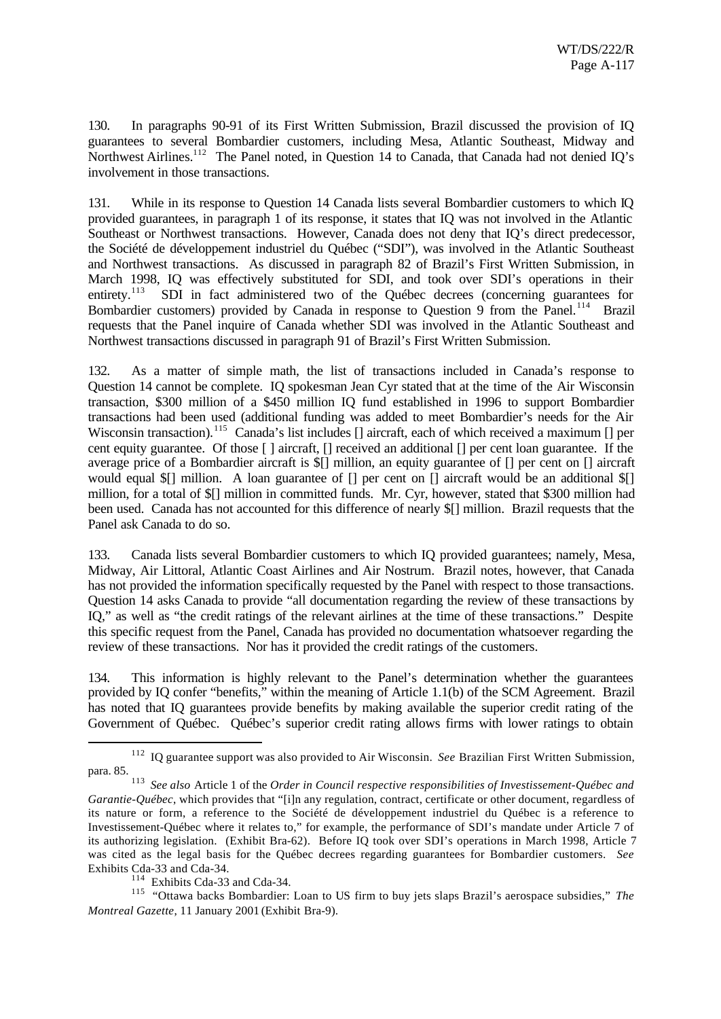130. In paragraphs 90-91 of its First Written Submission, Brazil discussed the provision of IQ guarantees to several Bombardier customers, including Mesa, Atlantic Southeast, Midway and Northwest Airlines.<sup>112</sup> The Panel noted, in Question 14 to Canada, that Canada had not denied IQ's involvement in those transactions.

131. While in its response to Question 14 Canada lists several Bombardier customers to which IQ provided guarantees, in paragraph 1 of its response, it states that IQ was not involved in the Atlantic Southeast or Northwest transactions. However, Canada does not deny that IQ's direct predecessor, the Société de développement industriel du Québec ("SDI"), was involved in the Atlantic Southeast and Northwest transactions. As discussed in paragraph 82 of Brazil's First Written Submission, in March 1998, IQ was effectively substituted for SDI, and took over SDI's operations in their entirety.<sup>113</sup> SDI in fact administered two of the Québec decrees (concerning guarantees for Bombardier customers) provided by Canada in response to Question 9 from the Panel.<sup>114</sup> Brazil requests that the Panel inquire of Canada whether SDI was involved in the Atlantic Southeast and Northwest transactions discussed in paragraph 91 of Brazil's First Written Submission.

132. As a matter of simple math, the list of transactions included in Canada's response to Question 14 cannot be complete. IQ spokesman Jean Cyr stated that at the time of the Air Wisconsin transaction, \$300 million of a \$450 million IQ fund established in 1996 to support Bombardier transactions had been used (additional funding was added to meet Bombardier's needs for the Air Wisconsin transaction).<sup>115</sup> Canada's list includes [] aircraft, each of which received a maximum [] per cent equity guarantee. Of those [ ] aircraft, [] received an additional [] per cent loan guarantee. If the average price of a Bombardier aircraft is \$[] million, an equity guarantee of [] per cent on [] aircraft would equal  $\{\}$  million. A loan guarantee of  $\[\]$  per cent on  $\[\]$  aircraft would be an additional  $\[\]$ million, for a total of \$[] million in committed funds. Mr. Cyr, however, stated that \$300 million had been used. Canada has not accounted for this difference of nearly \$[] million. Brazil requests that the Panel ask Canada to do so.

133. Canada lists several Bombardier customers to which IQ provided guarantees; namely, Mesa, Midway, Air Littoral, Atlantic Coast Airlines and Air Nostrum. Brazil notes, however, that Canada has not provided the information specifically requested by the Panel with respect to those transactions. Question 14 asks Canada to provide "all documentation regarding the review of these transactions by IQ," as well as "the credit ratings of the relevant airlines at the time of these transactions." Despite this specific request from the Panel, Canada has provided no documentation whatsoever regarding the review of these transactions. Nor has it provided the credit ratings of the customers.

134. This information is highly relevant to the Panel's determination whether the guarantees provided by IQ confer "benefits," within the meaning of Article 1.1(b) of the SCM Agreement. Brazil has noted that IQ guarantees provide benefits by making available the superior credit rating of the Government of Québec. Québec's superior credit rating allows firms with lower ratings to obtain

<sup>112</sup> IQ guarantee support was also provided to Air Wisconsin. *See* Brazilian First Written Submission, para. 85.

<sup>113</sup> *See also* Article 1 of the *Order in Council respective responsibilities of Investissement-Québec and Garantie-Québec*, which provides that "[i]n any regulation, contract, certificate or other document, regardless of its nature or form, a reference to the Société de développement industriel du Québec is a reference to Investissement-Québec where it relates to," for example, the performance of SDI's mandate under Article 7 of its authorizing legislation. (Exhibit Bra-62). Before IQ took over SDI's operations in March 1998, Article 7 was cited as the legal basis for the Québec decrees regarding guarantees for Bombardier customers. *See* Exhibits Cda-33 and Cda-34.

<sup>114</sup> Exhibits Cda-33 and Cda-34.

<sup>115</sup> "Ottawa backs Bombardier: Loan to US firm to buy jets slaps Brazil's aerospace subsidies," *The Montreal Gazette*, 11 January 2001 (Exhibit Bra-9).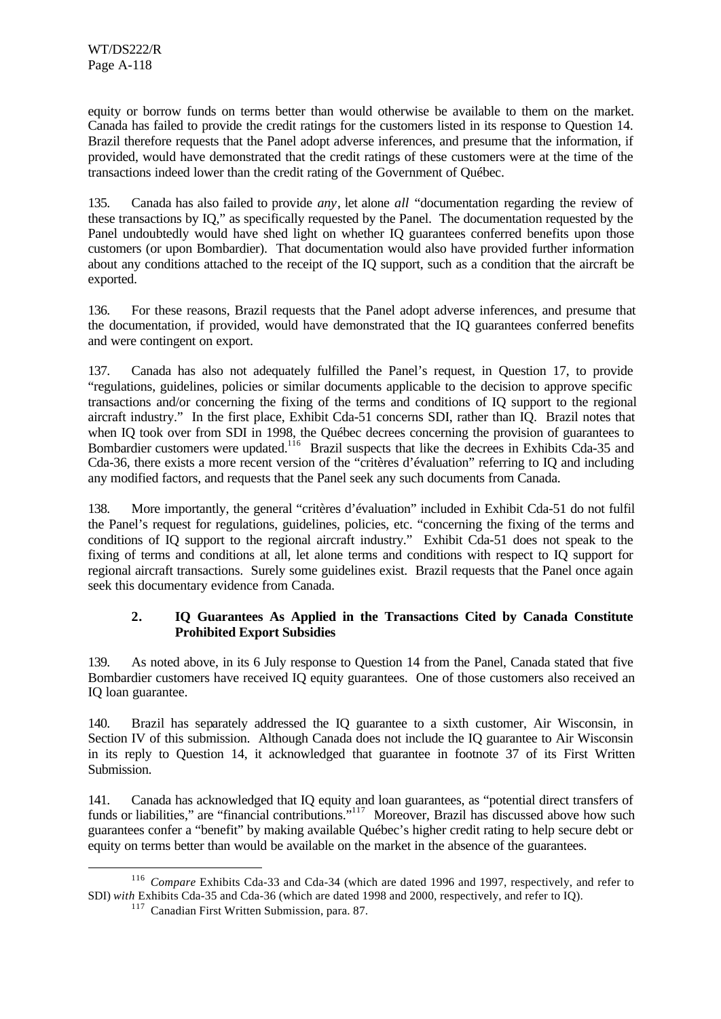equity or borrow funds on terms better than would otherwise be available to them on the market. Canada has failed to provide the credit ratings for the customers listed in its response to Question 14. Brazil therefore requests that the Panel adopt adverse inferences, and presume that the information, if provided, would have demonstrated that the credit ratings of these customers were at the time of the transactions indeed lower than the credit rating of the Government of Québec.

135. Canada has also failed to provide *any*, let alone *all* "documentation regarding the review of these transactions by IQ," as specifically requested by the Panel. The documentation requested by the Panel undoubtedly would have shed light on whether IO guarantees conferred benefits upon those customers (or upon Bombardier). That documentation would also have provided further information about any conditions attached to the receipt of the IQ support, such as a condition that the aircraft be exported.

136. For these reasons, Brazil requests that the Panel adopt adverse inferences, and presume that the documentation, if provided, would have demonstrated that the IQ guarantees conferred benefits and were contingent on export.

137. Canada has also not adequately fulfilled the Panel's request, in Question 17, to provide "regulations, guidelines, policies or similar documents applicable to the decision to approve specific transactions and/or concerning the fixing of the terms and conditions of IQ support to the regional aircraft industry." In the first place, Exhibit Cda-51 concerns SDI, rather than IQ. Brazil notes that when IQ took over from SDI in 1998, the Québec decrees concerning the provision of guarantees to Bombardier customers were updated.<sup>116</sup> Brazil suspects that like the decrees in Exhibits Cda-35 and Cda-36, there exists a more recent version of the "critères d'évaluation" referring to IQ and including any modified factors, and requests that the Panel seek any such documents from Canada.

138. More importantly, the general "critères d'évaluation" included in Exhibit Cda-51 do not fulfil the Panel's request for regulations, guidelines, policies, etc. "concerning the fixing of the terms and conditions of IQ support to the regional aircraft industry." Exhibit Cda-51 does not speak to the fixing of terms and conditions at all, let alone terms and conditions with respect to IQ support for regional aircraft transactions. Surely some guidelines exist. Brazil requests that the Panel once again seek this documentary evidence from Canada.

## **2. IQ Guarantees As Applied in the Transactions Cited by Canada Constitute Prohibited Export Subsidies**

139. As noted above, in its 6 July response to Question 14 from the Panel, Canada stated that five Bombardier customers have received IQ equity guarantees. One of those customers also received an IQ loan guarantee.

140. Brazil has separately addressed the IQ guarantee to a sixth customer, Air Wisconsin, in Section IV of this submission. Although Canada does not include the IQ guarantee to Air Wisconsin in its reply to Question 14, it acknowledged that guarantee in footnote 37 of its First Written Submission.

141. Canada has acknowledged that IQ equity and loan guarantees, as "potential direct transfers of funds or liabilities," are "financial contributions."<sup>117</sup> Moreover, Brazil has discussed above how such guarantees confer a "benefit" by making available Québec's higher credit rating to help secure debt or equity on terms better than would be available on the market in the absence of the guarantees.

<sup>&</sup>lt;sup>116</sup> Compare Exhibits Cda-33 and Cda-34 (which are dated 1996 and 1997, respectively, and refer to SDI) *with* Exhibits Cda-35 and Cda-36 (which are dated 1998 and 2000, respectively, and refer to IQ).

<sup>&</sup>lt;sup>117</sup> Canadian First Written Submission, para. 87.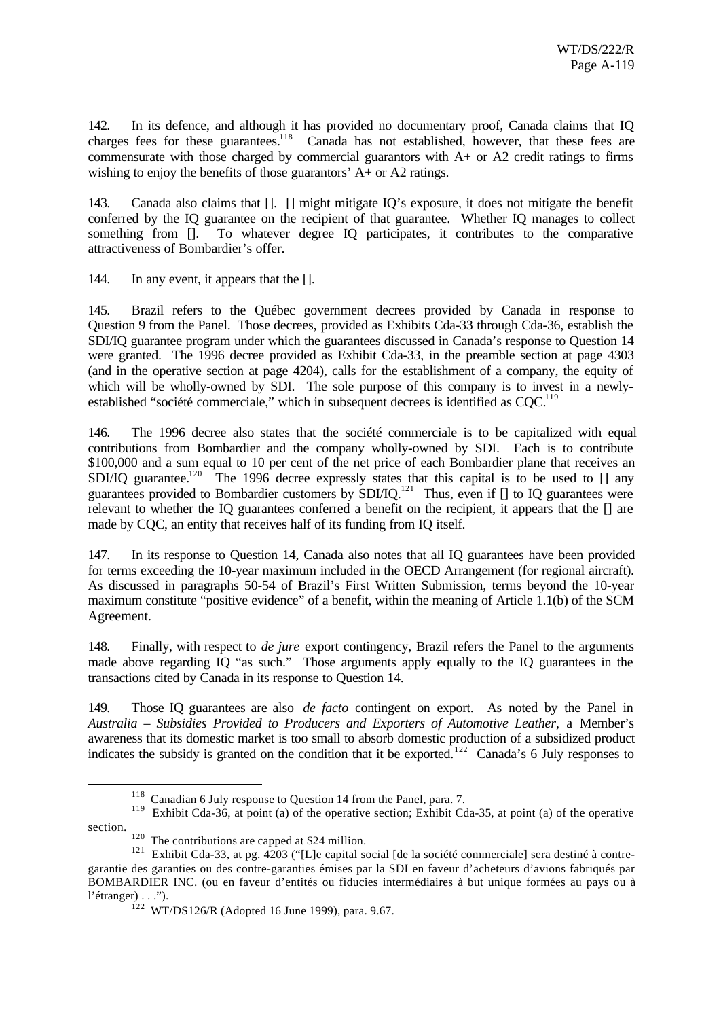142. In its defence, and although it has provided no documentary proof, Canada claims that IQ charges fees for these guarantees.<sup>118</sup> Canada has not established, however, that these fees are commensurate with those charged by commercial guarantors with A+ or A2 credit ratings to firms wishing to enjoy the benefits of those guarantors' A+ or A2 ratings.

143. Canada also claims that []. [] might mitigate IQ's exposure, it does not mitigate the benefit conferred by the IQ guarantee on the recipient of that guarantee. Whether IQ manages to collect something from []. To whatever degree IQ participates, it contributes to the comparative attractiveness of Bombardier's offer.

144. In any event, it appears that the [].

145. Brazil refers to the Québec government decrees provided by Canada in response to Question 9 from the Panel. Those decrees, provided as Exhibits Cda-33 through Cda-36, establish the SDI/IQ guarantee program under which the guarantees discussed in Canada's response to Question 14 were granted. The 1996 decree provided as Exhibit Cda-33, in the preamble section at page 4303 (and in the operative section at page 4204), calls for the establishment of a company, the equity of which will be wholly-owned by SDI. The sole purpose of this company is to invest in a newlyestablished "société commerciale," which in subsequent decrees is identified as  $CQC$ <sup>119</sup>

146. The 1996 decree also states that the société commerciale is to be capitalized with equal contributions from Bombardier and the company wholly-owned by SDI. Each is to contribute \$100,000 and a sum equal to 10 per cent of the net price of each Bombardier plane that receives an SDI/IQ guarantee.<sup>120</sup> The 1996 decree expressly states that this capital is to be used to  $[]$  any guarantees provided to Bombardier customers by SDI/IQ.<sup>121</sup> Thus, even if  $[]$  to IQ guarantees were relevant to whether the IQ guarantees conferred a benefit on the recipient, it appears that the [] are made by CQC, an entity that receives half of its funding from IQ itself.

147. In its response to Question 14, Canada also notes that all IQ guarantees have been provided for terms exceeding the 10-year maximum included in the OECD Arrangement (for regional aircraft). As discussed in paragraphs 50-54 of Brazil's First Written Submission, terms beyond the 10-year maximum constitute "positive evidence" of a benefit, within the meaning of Article 1.1(b) of the SCM Agreement.

148. Finally, with respect to *de jure* export contingency, Brazil refers the Panel to the arguments made above regarding IQ "as such." Those arguments apply equally to the IQ guarantees in the transactions cited by Canada in its response to Question 14.

149. Those IQ guarantees are also *de facto* contingent on export. As noted by the Panel in *Australia – Subsidies Provided to Producers and Exporters of Automotive Leather*, a Member's awareness that its domestic market is too small to absorb domestic production of a subsidized product indicates the subsidy is granted on the condition that it be exported.<sup>122</sup> Canada's 6 July responses to

<sup>118</sup> Canadian 6 July response to Question 14 from the Panel, para. 7.

<sup>119</sup> Exhibit Cda-36, at point (a) of the operative section; Exhibit Cda-35, at point (a) of the operative section.

<sup>&</sup>lt;sup>120</sup> The contributions are capped at \$24 million.

<sup>&</sup>lt;sup>121</sup> Exhibit Cda-33, at pg. 4203 ("[L]e capital social [de la société commerciale] sera destiné à contregarantie des garanties ou des contre-garanties émises par la SDI en faveur d'acheteurs d'avions fabriqués par BOMBARDIER INC. (ou en faveur d'entités ou fiducies intermédiaires à but unique formées au pays ou à  $l'$ étranger)  $\dots$ ").

<sup>122</sup> WT/DS126/R (Adopted 16 June 1999), para. 9.67.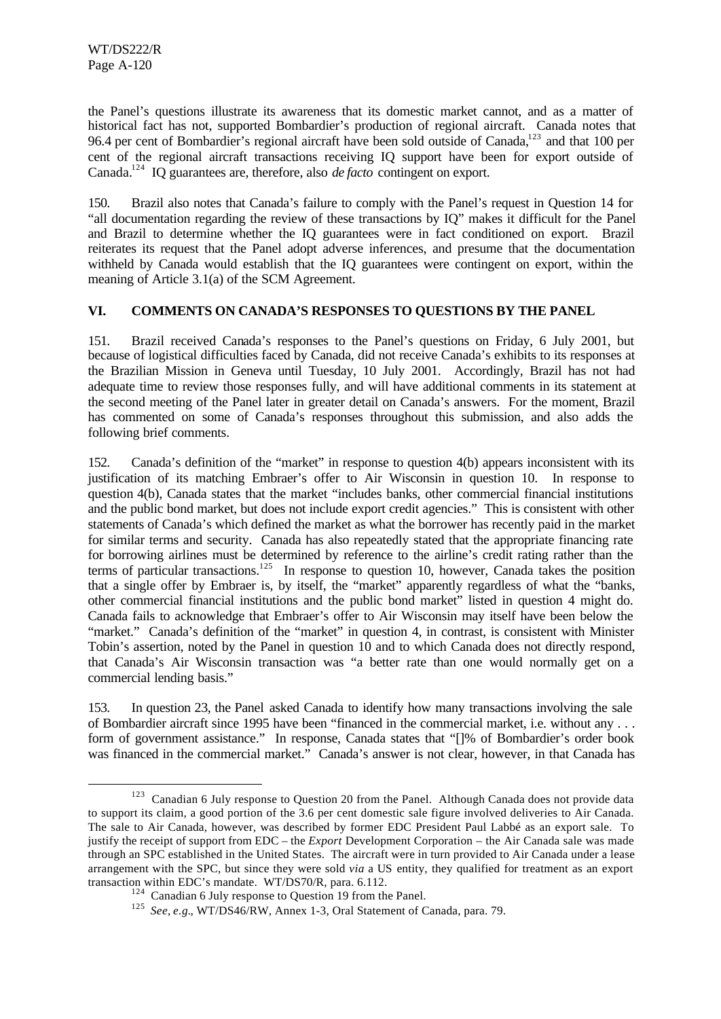l

the Panel's questions illustrate its awareness that its domestic market cannot, and as a matter of historical fact has not, supported Bombardier's production of regional aircraft. Canada notes that 96.4 per cent of Bombardier's regional aircraft have been sold outside of Canada,<sup>123</sup> and that 100 per cent of the regional aircraft transactions receiving IQ support have been for export outside of Canada.<sup>124</sup> IQ guarantees are, therefore, also *de facto* contingent on export.

150. Brazil also notes that Canada's failure to comply with the Panel's request in Question 14 for "all documentation regarding the review of these transactions by IQ" makes it difficult for the Panel and Brazil to determine whether the IQ guarantees were in fact conditioned on export. Brazil reiterates its request that the Panel adopt adverse inferences, and presume that the documentation withheld by Canada would establish that the IQ guarantees were contingent on export, within the meaning of Article 3.1(a) of the SCM Agreement.

## **VI. COMMENTS ON CANADA'S RESPONSES TO QUESTIONS BY THE PANEL**

151. Brazil received Canada's responses to the Panel's questions on Friday, 6 July 2001, but because of logistical difficulties faced by Canada, did not receive Canada's exhibits to its responses at the Brazilian Mission in Geneva until Tuesday, 10 July 2001. Accordingly, Brazil has not had adequate time to review those responses fully, and will have additional comments in its statement at the second meeting of the Panel later in greater detail on Canada's answers. For the moment, Brazil has commented on some of Canada's responses throughout this submission, and also adds the following brief comments.

152. Canada's definition of the "market" in response to question 4(b) appears inconsistent with its justification of its matching Embraer's offer to Air Wisconsin in question 10. In response to question 4(b), Canada states that the market "includes banks, other commercial financial institutions and the public bond market, but does not include export credit agencies." This is consistent with other statements of Canada's which defined the market as what the borrower has recently paid in the market for similar terms and security. Canada has also repeatedly stated that the appropriate financing rate for borrowing airlines must be determined by reference to the airline's credit rating rather than the terms of particular transactions.<sup>125</sup> In response to question 10, however, Canada takes the position that a single offer by Embraer is, by itself, the "market" apparently regardless of what the "banks, other commercial financial institutions and the public bond market" listed in question 4 might do. Canada fails to acknowledge that Embraer's offer to Air Wisconsin may itself have been below the "market." Canada's definition of the "market" in question 4, in contrast, is consistent with Minister Tobin's assertion, noted by the Panel in question 10 and to which Canada does not directly respond, that Canada's Air Wisconsin transaction was "a better rate than one would normally get on a commercial lending basis."

153. In question 23, the Panel asked Canada to identify how many transactions involving the sale of Bombardier aircraft since 1995 have been "financed in the commercial market, i.e. without any . . . form of government assistance." In response, Canada states that "[]% of Bombardier's order book was financed in the commercial market." Canada's answer is not clear, however, in that Canada has

<sup>&</sup>lt;sup>123</sup> Canadian 6 July response to Question 20 from the Panel. Although Canada does not provide data to support its claim, a good portion of the 3.6 per cent domestic sale figure involved deliveries to Air Canada. The sale to Air Canada, however, was described by former EDC President Paul Labbé as an export sale. To justify the receipt of support from EDC – the *Export* Development Corporation – the Air Canada sale was made through an SPC established in the United States. The aircraft were in turn provided to Air Canada under a lease arrangement with the SPC, but since they were sold *via* a US entity, they qualified for treatment as an export transaction within EDC's mandate. WT/DS70/R, para. 6.112.

<sup>&</sup>lt;sup>124</sup> Canadian 6 July response to Question 19 from the Panel.

<sup>125</sup> *See*, *e.g.*, WT/DS46/RW, Annex 1-3, Oral Statement of Canada, para. 79.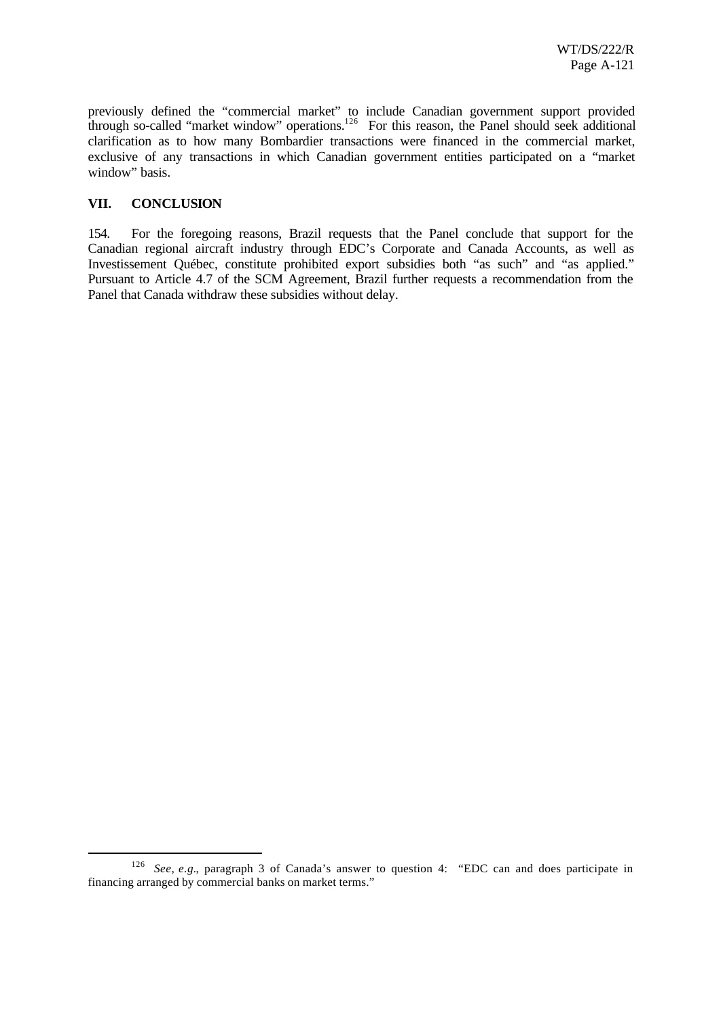previously defined the "commercial market" to include Canadian government support provided through so-called "market window" operations.<sup>126</sup> For this reason, the Panel should seek additional clarification as to how many Bombardier transactions were financed in the commercial market, exclusive of any transactions in which Canadian government entities participated on a "market window" basis.

### **VII. CONCLUSION**

l

154. For the foregoing reasons, Brazil requests that the Panel conclude that support for the Canadian regional aircraft industry through EDC's Corporate and Canada Accounts, as well as Investissement Québec, constitute prohibited export subsidies both "as such" and "as applied." Pursuant to Article 4.7 of the SCM Agreement, Brazil further requests a recommendation from the Panel that Canada withdraw these subsidies without delay.

<sup>126</sup> *See*, *e.g.*, paragraph 3 of Canada's answer to question 4: "EDC can and does participate in financing arranged by commercial banks on market terms."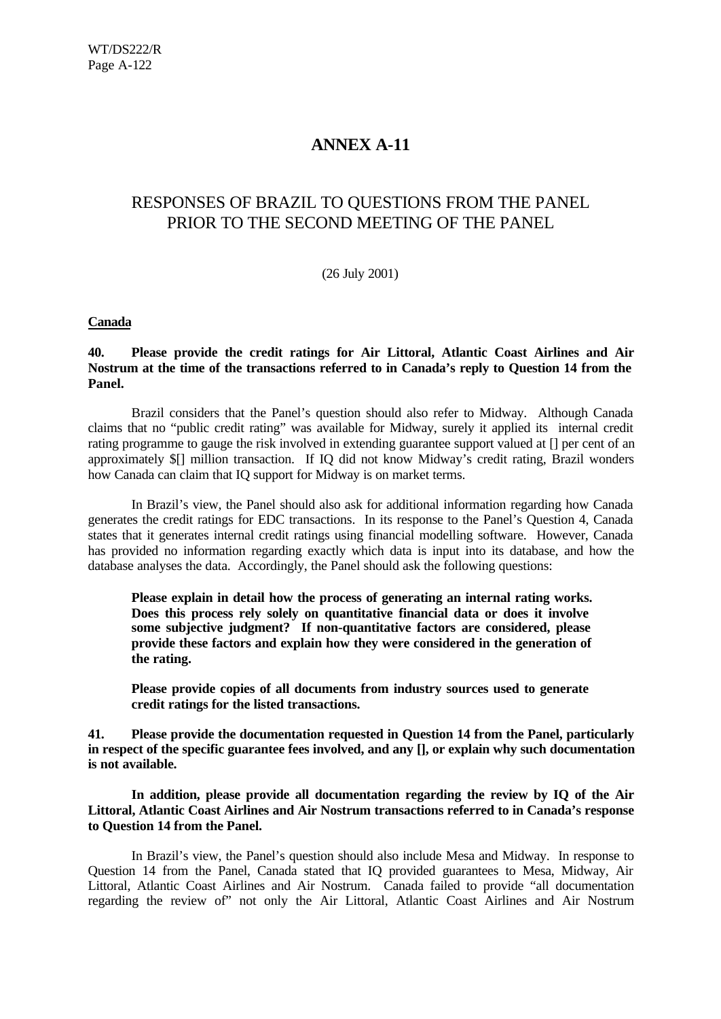# **ANNEX A-11**

# RESPONSES OF BRAZIL TO QUESTIONS FROM THE PANEL PRIOR TO THE SECOND MEETING OF THE PANEL

(26 July 2001)

#### **Canada**

### **40. Please provide the credit ratings for Air Littoral, Atlantic Coast Airlines and Air Nostrum at the time of the transactions referred to in Canada's reply to Question 14 from the Panel.**

Brazil considers that the Panel's question should also refer to Midway. Although Canada claims that no "public credit rating" was available for Midway, surely it applied its internal credit rating programme to gauge the risk involved in extending guarantee support valued at [] per cent of an approximately \$[] million transaction. If IQ did not know Midway's credit rating, Brazil wonders how Canada can claim that IQ support for Midway is on market terms.

In Brazil's view, the Panel should also ask for additional information regarding how Canada generates the credit ratings for EDC transactions. In its response to the Panel's Question 4, Canada states that it generates internal credit ratings using financial modelling software. However, Canada has provided no information regarding exactly which data is input into its database, and how the database analyses the data. Accordingly, the Panel should ask the following questions:

**Please explain in detail how the process of generating an internal rating works. Does this process rely solely on quantitative financial data or does it involve some subjective judgment? If non-quantitative factors are considered, please provide these factors and explain how they were considered in the generation of the rating.**

**Please provide copies of all documents from industry sources used to generate credit ratings for the listed transactions.**

**41. Please provide the documentation requested in Question 14 from the Panel, particularly in respect of the specific guarantee fees involved, and any [], or explain why such documentation is not available.**

**In addition, please provide all documentation regarding the review by IQ of the Air Littoral, Atlantic Coast Airlines and Air Nostrum transactions referred to in Canada's response to Question 14 from the Panel.**

In Brazil's view, the Panel's question should also include Mesa and Midway. In response to Question 14 from the Panel, Canada stated that IQ provided guarantees to Mesa, Midway, Air Littoral, Atlantic Coast Airlines and Air Nostrum. Canada failed to provide "all documentation regarding the review of" not only the Air Littoral, Atlantic Coast Airlines and Air Nostrum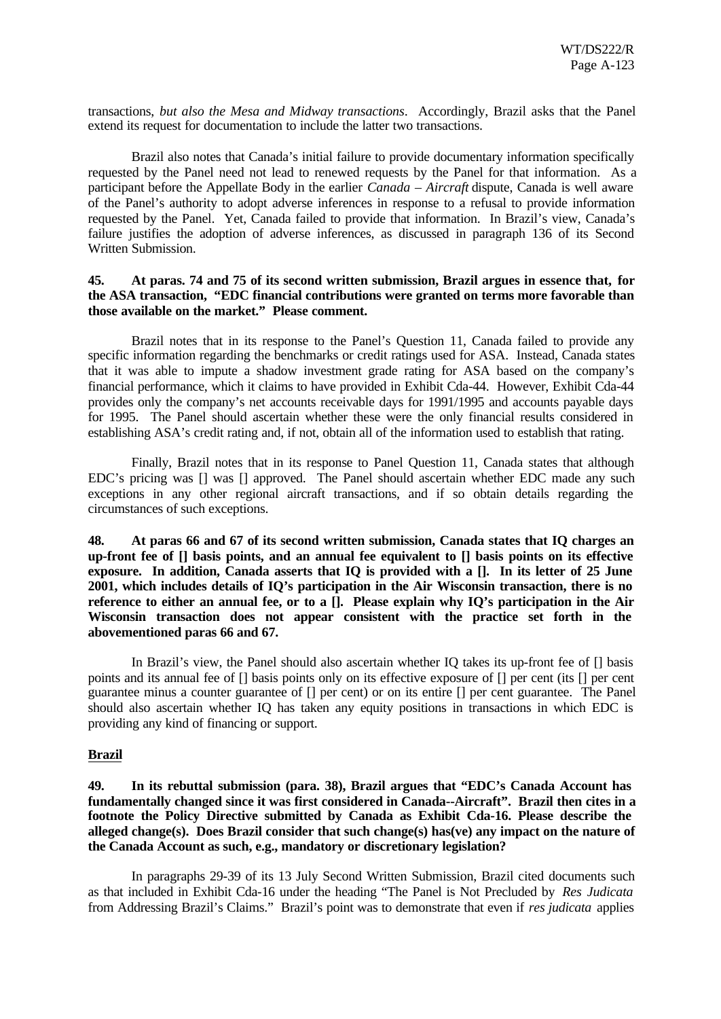transactions, *but also the Mesa and Midway transactions*. Accordingly, Brazil asks that the Panel extend its request for documentation to include the latter two transactions.

Brazil also notes that Canada's initial failure to provide documentary information specifically requested by the Panel need not lead to renewed requests by the Panel for that information. As a participant before the Appellate Body in the earlier *Canada – Aircraft* dispute, Canada is well aware of the Panel's authority to adopt adverse inferences in response to a refusal to provide information requested by the Panel. Yet, Canada failed to provide that information. In Brazil's view, Canada's failure justifies the adoption of adverse inferences, as discussed in paragraph 136 of its Second Written Submission.

### **45. At paras. 74 and 75 of its second written submission, Brazil argues in essence that, for the ASA transaction, "EDC financial contributions were granted on terms more favorable than those available on the market." Please comment.**

Brazil notes that in its response to the Panel's Question 11, Canada failed to provide any specific information regarding the benchmarks or credit ratings used for ASA. Instead, Canada states that it was able to impute a shadow investment grade rating for ASA based on the company's financial performance, which it claims to have provided in Exhibit Cda-44. However, Exhibit Cda-44 provides only the company's net accounts receivable days for 1991/1995 and accounts payable days for 1995. The Panel should ascertain whether these were the only financial results considered in establishing ASA's credit rating and, if not, obtain all of the information used to establish that rating.

Finally, Brazil notes that in its response to Panel Question 11, Canada states that although EDC's pricing was [] was [] approved. The Panel should ascertain whether EDC made any such exceptions in any other regional aircraft transactions, and if so obtain details regarding the circumstances of such exceptions.

**48. At paras 66 and 67 of its second written submission, Canada states that IQ charges an up-front fee of [] basis points, and an annual fee equivalent to [] basis points on its effective exposure. In addition, Canada asserts that IQ is provided with a []. In its letter of 25 June 2001, which includes details of IQ's participation in the Air Wisconsin transaction, there is no reference to either an annual fee, or to a []. Please explain why IQ's participation in the Air Wisconsin transaction does not appear consistent with the practice set forth in the abovementioned paras 66 and 67.**

In Brazil's view, the Panel should also ascertain whether IQ takes its up-front fee of [] basis points and its annual fee of [] basis points only on its effective exposure of [] per cent (its [] per cent guarantee minus a counter guarantee of [] per cent) or on its entire [] per cent guarantee. The Panel should also ascertain whether IQ has taken any equity positions in transactions in which EDC is providing any kind of financing or support.

### **Brazil**

**49. In its rebuttal submission (para. 38), Brazil argues that "EDC's Canada Account has fundamentally changed since it was first considered in Canada--Aircraft". Brazil then cites in a footnote the Policy Directive submitted by Canada as Exhibit Cda-16. Please describe the alleged change(s). Does Brazil consider that such change(s) has(ve) any impact on the nature of the Canada Account as such, e.g., mandatory or discretionary legislation?**

In paragraphs 29-39 of its 13 July Second Written Submission, Brazil cited documents such as that included in Exhibit Cda-16 under the heading "The Panel is Not Precluded by *Res Judicata* from Addressing Brazil's Claims." Brazil's point was to demonstrate that even if *res judicata* applies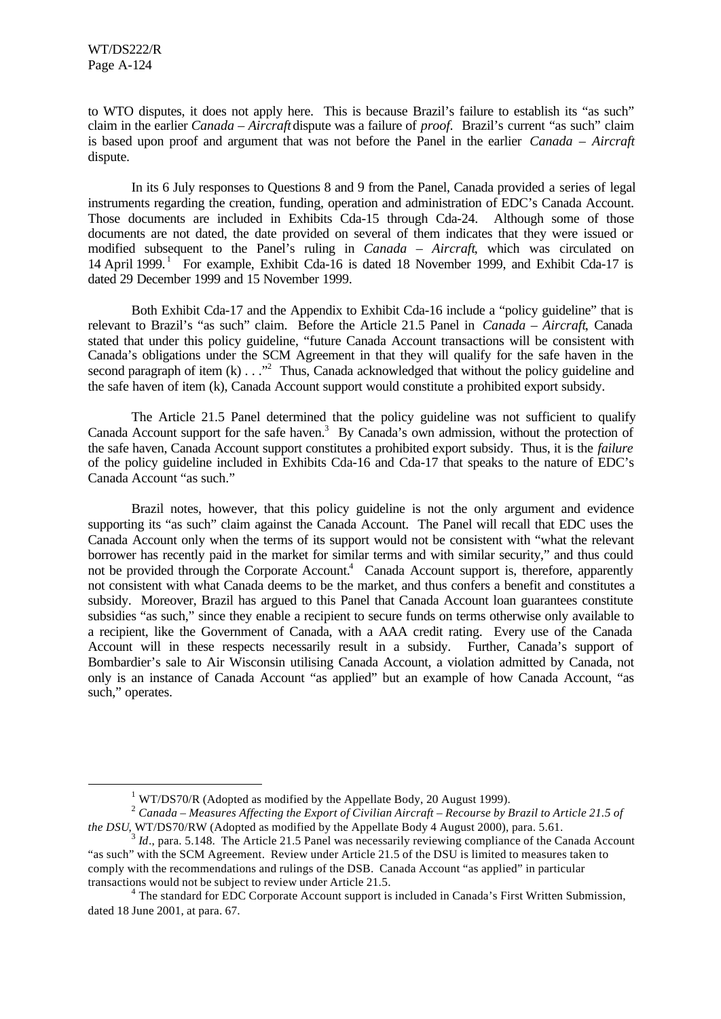l

to WTO disputes, it does not apply here. This is because Brazil's failure to establish its "as such" claim in the earlier *Canada – Aircraft* dispute was a failure of *proof*. Brazil's current "as such" claim is based upon proof and argument that was not before the Panel in the earlier *Canada – Aircraft* dispute.

In its 6 July responses to Questions 8 and 9 from the Panel, Canada provided a series of legal instruments regarding the creation, funding, operation and administration of EDC's Canada Account. Those documents are included in Exhibits Cda-15 through Cda-24. Although some of those documents are not dated, the date provided on several of them indicates that they were issued or modified subsequent to the Panel's ruling in *Canada – Aircraft*, which was circulated on 14 April 1999.<sup>1</sup> For example, Exhibit Cda-16 is dated 18 November 1999, and Exhibit Cda-17 is dated 29 December 1999 and 15 November 1999.

Both Exhibit Cda-17 and the Appendix to Exhibit Cda-16 include a "policy guideline" that is relevant to Brazil's "as such" claim. Before the Article 21.5 Panel in *Canada – Aircraft*, Canada stated that under this policy guideline, "future Canada Account transactions will be consistent with Canada's obligations under the SCM Agreement in that they will qualify for the safe haven in the second paragraph of item  $(k)$ ..."<sup>2</sup> Thus, Canada acknowledged that without the policy guideline and the safe haven of item (k), Canada Account support would constitute a prohibited export subsidy.

The Article 21.5 Panel determined that the policy guideline was not sufficient to qualify Canada Account support for the safe haven.<sup>3</sup> By Canada's own admission, without the protection of the safe haven, Canada Account support constitutes a prohibited export subsidy. Thus, it is the *failure* of the policy guideline included in Exhibits Cda-16 and Cda-17 that speaks to the nature of EDC's Canada Account "as such."

Brazil notes, however, that this policy guideline is not the only argument and evidence supporting its "as such" claim against the Canada Account. The Panel will recall that EDC uses the Canada Account only when the terms of its support would not be consistent with "what the relevant borrower has recently paid in the market for similar terms and with similar security," and thus could not be provided through the Corporate Account.<sup>4</sup> Canada Account support is, therefore, apparently not consistent with what Canada deems to be the market, and thus confers a benefit and constitutes a subsidy. Moreover, Brazil has argued to this Panel that Canada Account loan guarantees constitute subsidies "as such," since they enable a recipient to secure funds on terms otherwise only available to a recipient, like the Government of Canada, with a AAA credit rating. Every use of the Canada Account will in these respects necessarily result in a subsidy. Further, Canada's support of Bombardier's sale to Air Wisconsin utilising Canada Account, a violation admitted by Canada, not only is an instance of Canada Account "as applied" but an example of how Canada Account, "as such," operates.

<sup>&</sup>lt;sup>1</sup> WT/DS70/R (Adopted as modified by the Appellate Body, 20 August 1999).

<sup>2</sup> *Canada – Measures Affecting the Export of Civilian Aircraft – Recourse by Brazil to Article 21.5 of the DSU*, WT/DS70/RW (Adopted as modified by the Appellate Body 4 August 2000), para. 5.61.

<sup>&</sup>lt;sup>3</sup> Id., para. 5.148. The Article 21.5 Panel was necessarily reviewing compliance of the Canada Account "as such" with the SCM Agreement. Review under Article 21.5 of the DSU is limited to measures taken to comply with the recommendations and rulings of the DSB. Canada Account "as applied" in particular transactions would not be subject to review under Article 21.5.

<sup>&</sup>lt;sup>4</sup> The standard for EDC Corporate Account support is included in Canada's First Written Submission, dated 18 June 2001, at para. 67.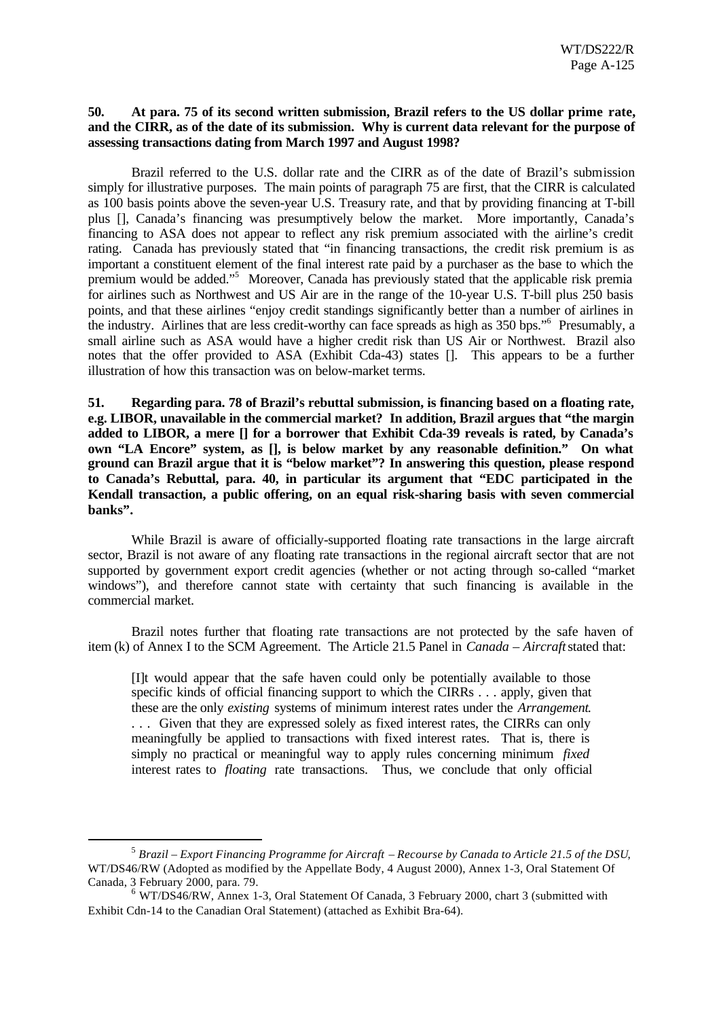#### **50. At para. 75 of its second written submission, Brazil refers to the US dollar prime rate, and the CIRR, as of the date of its submission. Why is current data relevant for the purpose of assessing transactions dating from March 1997 and August 1998?**

Brazil referred to the U.S. dollar rate and the CIRR as of the date of Brazil's submission simply for illustrative purposes. The main points of paragraph 75 are first, that the CIRR is calculated as 100 basis points above the seven-year U.S. Treasury rate, and that by providing financing at T-bill plus [], Canada's financing was presumptively below the market. More importantly, Canada's financing to ASA does not appear to reflect any risk premium associated with the airline's credit rating. Canada has previously stated that "in financing transactions, the credit risk premium is as important a constituent element of the final interest rate paid by a purchaser as the base to which the premium would be added."<sup>5</sup> Moreover, Canada has previously stated that the applicable risk premia for airlines such as Northwest and US Air are in the range of the 10-year U.S. T-bill plus 250 basis points, and that these airlines "enjoy credit standings significantly better than a number of airlines in the industry. Airlines that are less credit-worthy can face spreads as high as 350 bps."<sup>6</sup> Presumably, a small airline such as ASA would have a higher credit risk than US Air or Northwest. Brazil also notes that the offer provided to ASA (Exhibit Cda-43) states []. This appears to be a further illustration of how this transaction was on below-market terms.

**51. Regarding para. 78 of Brazil's rebuttal submission, is financing based on a floating rate, e.g. LIBOR, unavailable in the commercial market? In addition, Brazil argues that "the margin added to LIBOR, a mere [] for a borrower that Exhibit Cda-39 reveals is rated, by Canada's own "LA Encore" system, as [], is below market by any reasonable definition." On what ground can Brazil argue that it is "below market"? In answering this question, please respond to Canada's Rebuttal, para. 40, in particular its argument that "EDC participated in the Kendall transaction, a public offering, on an equal risk-sharing basis with seven commercial banks".**

While Brazil is aware of officially-supported floating rate transactions in the large aircraft sector, Brazil is not aware of any floating rate transactions in the regional aircraft sector that are not supported by government export credit agencies (whether or not acting through so-called "market windows"), and therefore cannot state with certainty that such financing is available in the commercial market.

Brazil notes further that floating rate transactions are not protected by the safe haven of item (k) of Annex I to the SCM Agreement. The Article 21.5 Panel in *Canada – Aircraft* stated that:

[I]t would appear that the safe haven could only be potentially available to those specific kinds of official financing support to which the CIRRs . . . apply, given that these are the only *existing* systems of minimum interest rates under the *Arrangement*. . . . Given that they are expressed solely as fixed interest rates, the CIRRs can only meaningfully be applied to transactions with fixed interest rates. That is, there is simply no practical or meaningful way to apply rules concerning minimum *fixed* interest rates to *floating* rate transactions. Thus, we conclude that only official

<sup>5</sup> *Brazil – Export Financing Programme for Aircraft* – *Recourse by Canada to Article 21.5 of the DSU*, WT/DS46/RW (Adopted as modified by the Appellate Body, 4 August 2000), Annex 1-3, Oral Statement Of Canada, 3 February 2000, para. 79.

<sup>&</sup>lt;sup>6</sup> WT/DS46/RW, Annex 1-3, Oral Statement Of Canada, 3 February 2000, chart 3 (submitted with Exhibit Cdn-14 to the Canadian Oral Statement) (attached as Exhibit Bra-64).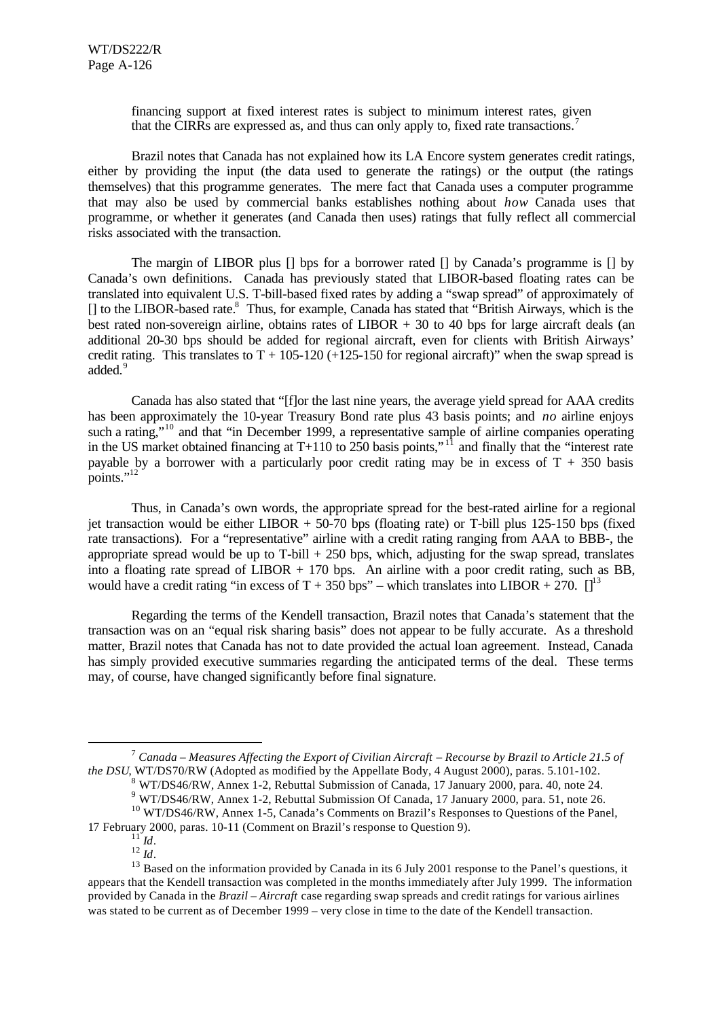financing support at fixed interest rates is subject to minimum interest rates, given that the CIRRs are expressed as, and thus can only apply to, fixed rate transactions.<sup>7</sup>

Brazil notes that Canada has not explained how its LA Encore system generates credit ratings, either by providing the input (the data used to generate the ratings) or the output (the ratings themselves) that this programme generates. The mere fact that Canada uses a computer programme that may also be used by commercial banks establishes nothing about *how* Canada uses that programme, or whether it generates (and Canada then uses) ratings that fully reflect all commercial risks associated with the transaction.

The margin of LIBOR plus [] bps for a borrower rated [] by Canada's programme is [] by Canada's own definitions. Canada has previously stated that LIBOR-based floating rates can be translated into equivalent U.S. T-bill-based fixed rates by adding a "swap spread" of approximately of [] to the LIBOR-based rate.<sup>8</sup> Thus, for example, Canada has stated that "British Airways, which is the best rated non-sovereign airline, obtains rates of LIBOR  $+$  30 to 40 bps for large aircraft deals (an additional 20-30 bps should be added for regional aircraft, even for clients with British Airways' credit rating. This translates to  $T + 105-120$  ( $+125-150$  for regional aircraft)" when the swap spread is added.<sup>9</sup>

Canada has also stated that "[f]or the last nine years, the average yield spread for AAA credits has been approximately the 10-year Treasury Bond rate plus 43 basis points; and *no* airline enjoys such a rating,"<sup>10</sup> and that "in December 1999, a representative sample of airline companies operating in the US market obtained financing at T+110 to 250 basis points,"<sup>11</sup> and finally that the "interest rate" payable by a borrower with a particularly poor credit rating may be in excess of  $T + 350$  basis points."<sup>12</sup>

Thus, in Canada's own words, the appropriate spread for the best-rated airline for a regional jet transaction would be either LIBOR  $+ 50-70$  bps (floating rate) or T-bill plus 125-150 bps (fixed rate transactions). For a "representative" airline with a credit rating ranging from AAA to BBB-, the appropriate spread would be up to  $T$ -bill  $+ 250$  bps, which, adjusting for the swap spread, translates into a floating rate spread of LIBOR + 170 bps. An airline with a poor credit rating, such as BB, would have a credit rating "in excess of  $T + 350$  bps" – which translates into LIBOR + 270.  $\left[\right]^{13}$ 

Regarding the terms of the Kendell transaction, Brazil notes that Canada's statement that the transaction was on an "equal risk sharing basis" does not appear to be fully accurate. As a threshold matter, Brazil notes that Canada has not to date provided the actual loan agreement. Instead, Canada has simply provided executive summaries regarding the anticipated terms of the deal. These terms may, of course, have changed significantly before final signature.

<sup>7</sup> *Canada – Measures Affecting the Export of Civilian Aircraft – Recourse by Brazil to Article 21.5 of the DSU*, WT/DS70/RW (Adopted as modified by the Appellate Body, 4 August 2000), paras. 5.101-102.

<sup>&</sup>lt;sup>8</sup> WT/DS46/RW, Annex 1-2, Rebuttal Submission of Canada, 17 January 2000, para. 40, note 24.

<sup>&</sup>lt;sup>9</sup> WT/DS46/RW, Annex 1-2, Rebuttal Submission Of Canada, 17 January 2000, para. 51, note 26.

<sup>10</sup> WT/DS46/RW, Annex 1-5, Canada's Comments on Brazil's Responses to Questions of the Panel, 17 February 2000, paras. 10-11 (Comment on Brazil's response to Question 9).

 $^{11}$ *Id*. <sup>12</sup> *Id*.

<sup>&</sup>lt;sup>13</sup> Based on the information provided by Canada in its 6 July 2001 response to the Panel's questions, it appears that the Kendell transaction was completed in the months immediately after July 1999. The information provided by Canada in the *Brazil – Aircraft* case regarding swap spreads and credit ratings for various airlines was stated to be current as of December 1999 – very close in time to the date of the Kendell transaction.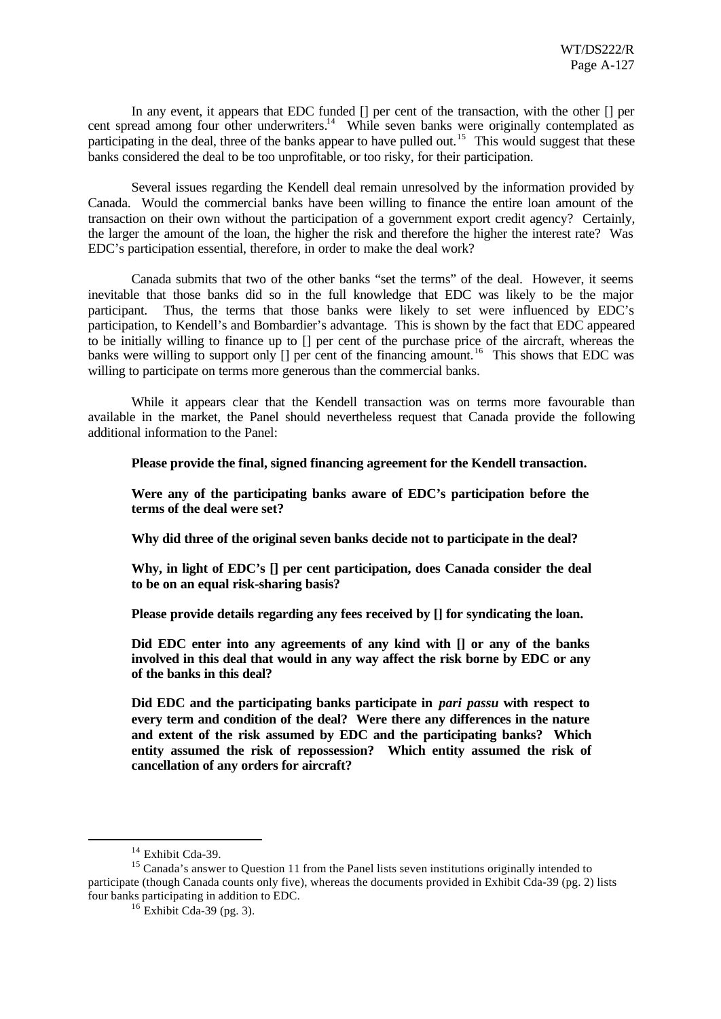In any event, it appears that EDC funded [] per cent of the transaction, with the other [] per cent spread among four other underwriters.<sup>14</sup> While seven banks were originally contemplated as participating in the deal, three of the banks appear to have pulled out.<sup>15</sup> This would suggest that these banks considered the deal to be too unprofitable, or too risky, for their participation.

Several issues regarding the Kendell deal remain unresolved by the information provided by Canada. Would the commercial banks have been willing to finance the entire loan amount of the transaction on their own without the participation of a government export credit agency? Certainly, the larger the amount of the loan, the higher the risk and therefore the higher the interest rate? Was EDC's participation essential, therefore, in order to make the deal work?

Canada submits that two of the other banks "set the terms" of the deal. However, it seems inevitable that those banks did so in the full knowledge that EDC was likely to be the major participant. Thus, the terms that those banks were likely to set were influenced by EDC's participation, to Kendell's and Bombardier's advantage. This is shown by the fact that EDC appeared to be initially willing to finance up to [] per cent of the purchase price of the aircraft, whereas the banks were willing to support only  $\lceil \rceil$  per cent of the financing amount.<sup>16</sup> This shows that EDC was willing to participate on terms more generous than the commercial banks.

While it appears clear that the Kendell transaction was on terms more favourable than available in the market, the Panel should nevertheless request that Canada provide the following additional information to the Panel:

**Please provide the final, signed financing agreement for the Kendell transaction.**

**Were any of the participating banks aware of EDC's participation before the terms of the deal were set?**

**Why did three of the original seven banks decide not to participate in the deal?**

**Why, in light of EDC's [] per cent participation, does Canada consider the deal to be on an equal risk-sharing basis?**

**Please provide details regarding any fees received by [] for syndicating the loan.**

**Did EDC enter into any agreements of any kind with [] or any of the banks involved in this deal that would in any way affect the risk borne by EDC or any of the banks in this deal?**

**Did EDC and the participating banks participate in** *pari passu* **with respect to every term and condition of the deal? Were there any differences in the nature and extent of the risk assumed by EDC and the participating banks? Which entity assumed the risk of repossession? Which entity assumed the risk of cancellation of any orders for aircraft?**

<sup>&</sup>lt;sup>14</sup> Exhibit Cda-39.

<sup>&</sup>lt;sup>15</sup> Canada's answer to Ouestion 11 from the Panel lists seven institutions originally intended to participate (though Canada counts only five), whereas the documents provided in Exhibit Cda-39 (pg. 2) lists four banks participating in addition to EDC.

 $16$  Exhibit Cda-39 (pg. 3).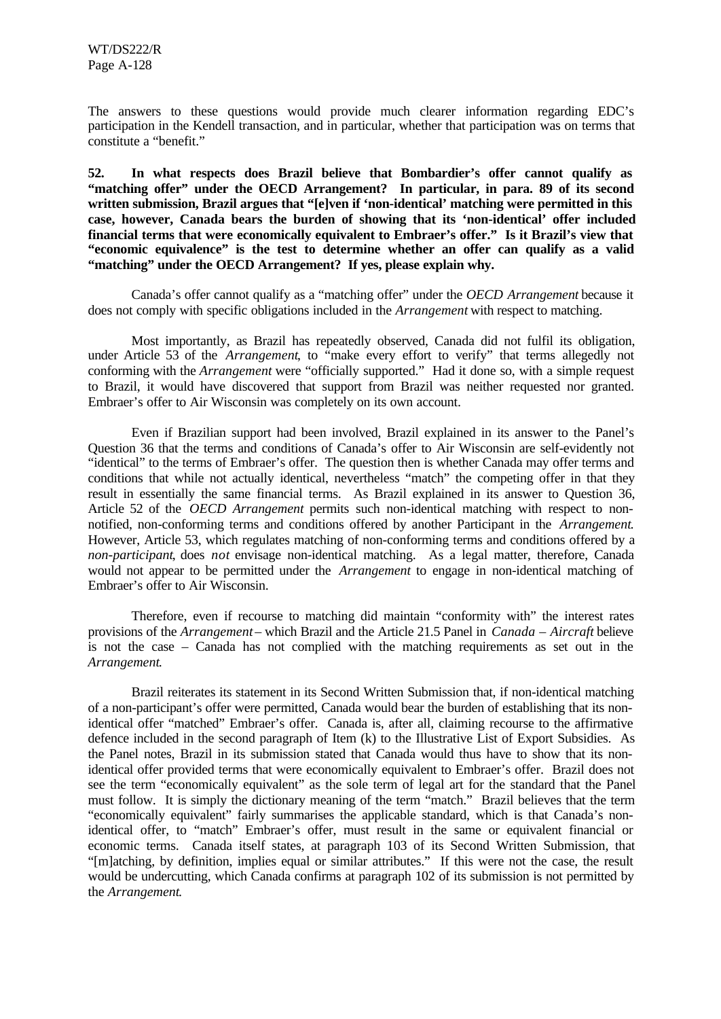The answers to these questions would provide much clearer information regarding EDC's participation in the Kendell transaction, and in particular, whether that participation was on terms that constitute a "benefit."

**52. In what respects does Brazil believe that Bombardier's offer cannot qualify as "matching offer" under the OECD Arrangement? In particular, in para. 89 of its second written submission, Brazil argues that "[e]ven if 'non-identical' matching were permitted in this case, however, Canada bears the burden of showing that its 'non-identical' offer included financial terms that were economically equivalent to Embraer's offer." Is it Brazil's view that "economic equivalence" is the test to determine whether an offer can qualify as a valid "matching" under the OECD Arrangement? If yes, please explain why.**

Canada's offer cannot qualify as a "matching offer" under the *OECD Arrangement* because it does not comply with specific obligations included in the *Arrangement* with respect to matching.

Most importantly, as Brazil has repeatedly observed, Canada did not fulfil its obligation, under Article 53 of the *Arrangement*, to "make every effort to verify" that terms allegedly not conforming with the *Arrangement* were "officially supported." Had it done so, with a simple request to Brazil, it would have discovered that support from Brazil was neither requested nor granted. Embraer's offer to Air Wisconsin was completely on its own account.

Even if Brazilian support had been involved, Brazil explained in its answer to the Panel's Question 36 that the terms and conditions of Canada's offer to Air Wisconsin are self-evidently not "identical" to the terms of Embraer's offer. The question then is whether Canada may offer terms and conditions that while not actually identical, nevertheless "match" the competing offer in that they result in essentially the same financial terms. As Brazil explained in its answer to Question 36, Article 52 of the *OECD Arrangement* permits such non-identical matching with respect to nonnotified, non-conforming terms and conditions offered by another Participant in the *Arrangement*. However, Article 53, which regulates matching of non-conforming terms and conditions offered by a *non-participant*, does *not* envisage non-identical matching. As a legal matter, therefore, Canada would not appear to be permitted under the *Arrangement* to engage in non-identical matching of Embraer's offer to Air Wisconsin.

Therefore, even if recourse to matching did maintain "conformity with" the interest rates provisions of the *Arrangement* – which Brazil and the Article 21.5 Panel in *Canada – Aircraft* believe is not the case – Canada has not complied with the matching requirements as set out in the *Arrangement*.

Brazil reiterates its statement in its Second Written Submission that, if non-identical matching of a non-participant's offer were permitted, Canada would bear the burden of establishing that its nonidentical offer "matched" Embraer's offer. Canada is, after all, claiming recourse to the affirmative defence included in the second paragraph of Item (k) to the Illustrative List of Export Subsidies. As the Panel notes, Brazil in its submission stated that Canada would thus have to show that its nonidentical offer provided terms that were economically equivalent to Embraer's offer. Brazil does not see the term "economically equivalent" as the sole term of legal art for the standard that the Panel must follow. It is simply the dictionary meaning of the term "match." Brazil believes that the term "economically equivalent" fairly summarises the applicable standard, which is that Canada's nonidentical offer, to "match" Embraer's offer, must result in the same or equivalent financial or economic terms. Canada itself states, at paragraph 103 of its Second Written Submission, that "[m]atching, by definition, implies equal or similar attributes." If this were not the case, the result would be undercutting, which Canada confirms at paragraph 102 of its submission is not permitted by the *Arrangement*.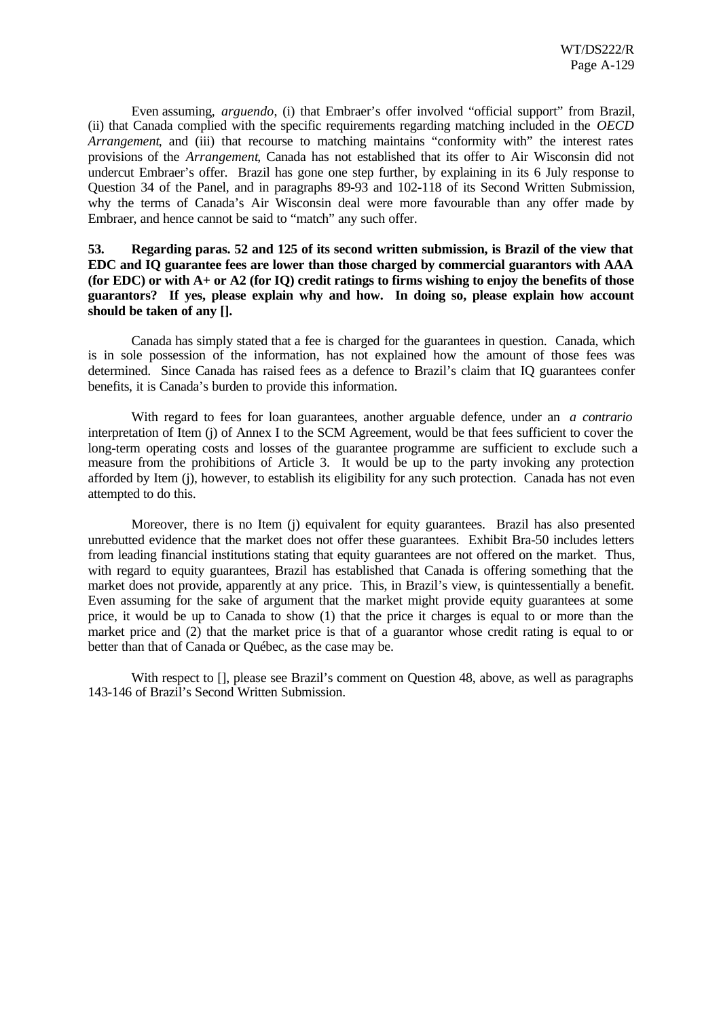Even assuming, *arguendo*, (i) that Embraer's offer involved "official support" from Brazil, (ii) that Canada complied with the specific requirements regarding matching included in the *OECD Arrangement*, and (iii) that recourse to matching maintains "conformity with" the interest rates provisions of the *Arrangement*, Canada has not established that its offer to Air Wisconsin did not undercut Embraer's offer. Brazil has gone one step further, by explaining in its 6 July response to Question 34 of the Panel, and in paragraphs 89-93 and 102-118 of its Second Written Submission, why the terms of Canada's Air Wisconsin deal were more favourable than any offer made by Embraer, and hence cannot be said to "match" any such offer.

### **53. Regarding paras. 52 and 125 of its second written submission, is Brazil of the view that EDC and IQ guarantee fees are lower than those charged by commercial guarantors with AAA (for EDC) or with A+ or A2 (for IQ) credit ratings to firms wishing to enjoy the benefits of those guarantors? If yes, please explain why and how. In doing so, please explain how account should be taken of any [].**

Canada has simply stated that a fee is charged for the guarantees in question. Canada, which is in sole possession of the information, has not explained how the amount of those fees was determined. Since Canada has raised fees as a defence to Brazil's claim that IQ guarantees confer benefits, it is Canada's burden to provide this information.

With regard to fees for loan guarantees, another arguable defence, under an *a contrario* interpretation of Item (j) of Annex I to the SCM Agreement, would be that fees sufficient to cover the long-term operating costs and losses of the guarantee programme are sufficient to exclude such a measure from the prohibitions of Article 3. It would be up to the party invoking any protection afforded by Item (j), however, to establish its eligibility for any such protection. Canada has not even attempted to do this.

Moreover, there is no Item (j) equivalent for equity guarantees. Brazil has also presented unrebutted evidence that the market does not offer these guarantees. Exhibit Bra-50 includes letters from leading financial institutions stating that equity guarantees are not offered on the market. Thus, with regard to equity guarantees. Brazil has established that Canada is offering something that the market does not provide, apparently at any price. This, in Brazil's view, is quintessentially a benefit. Even assuming for the sake of argument that the market might provide equity guarantees at some price, it would be up to Canada to show (1) that the price it charges is equal to or more than the market price and (2) that the market price is that of a guarantor whose credit rating is equal to or better than that of Canada or Québec, as the case may be.

With respect to  $\Box$ , please see Brazil's comment on Question 48, above, as well as paragraphs 143-146 of Brazil's Second Written Submission.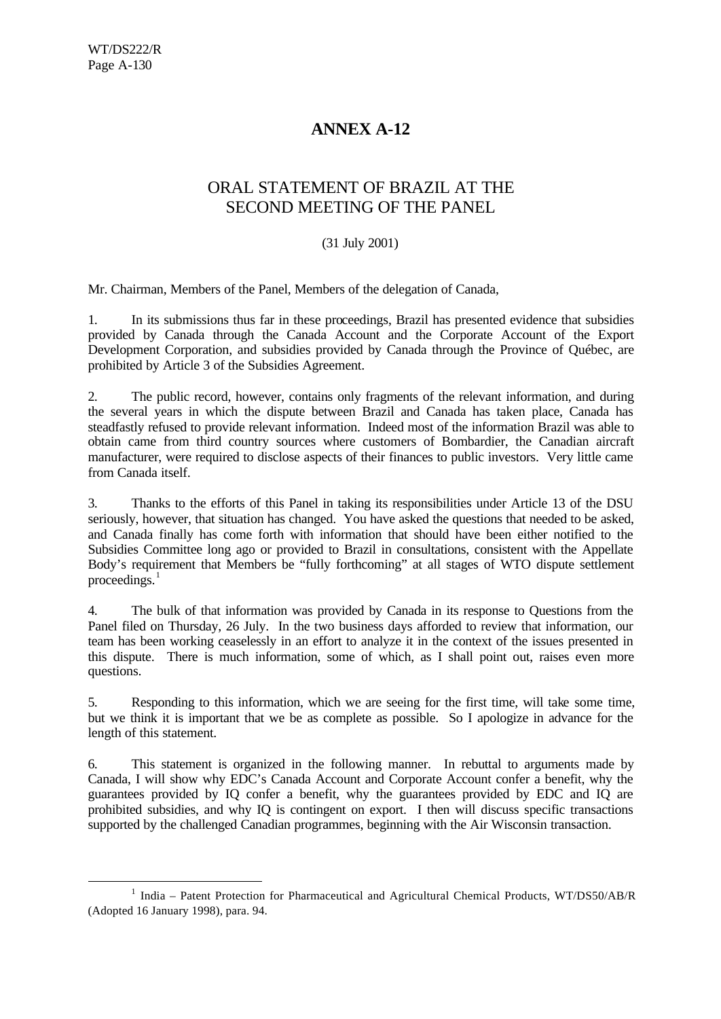l

# **ANNEX A-12**

# ORAL STATEMENT OF BRAZIL AT THE SECOND MEETING OF THE PANEL

## (31 July 2001)

Mr. Chairman, Members of the Panel, Members of the delegation of Canada,

1. In its submissions thus far in these proceedings, Brazil has presented evidence that subsidies provided by Canada through the Canada Account and the Corporate Account of the Export Development Corporation, and subsidies provided by Canada through the Province of Québec, are prohibited by Article 3 of the Subsidies Agreement.

2. The public record, however, contains only fragments of the relevant information, and during the several years in which the dispute between Brazil and Canada has taken place, Canada has steadfastly refused to provide relevant information. Indeed most of the information Brazil was able to obtain came from third country sources where customers of Bombardier, the Canadian aircraft manufacturer, were required to disclose aspects of their finances to public investors. Very little came from Canada itself.

3. Thanks to the efforts of this Panel in taking its responsibilities under Article 13 of the DSU seriously, however, that situation has changed. You have asked the questions that needed to be asked, and Canada finally has come forth with information that should have been either notified to the Subsidies Committee long ago or provided to Brazil in consultations, consistent with the Appellate Body's requirement that Members be "fully forthcoming" at all stages of WTO dispute settlement proceedings. $1$ 

4. The bulk of that information was provided by Canada in its response to Questions from the Panel filed on Thursday, 26 July. In the two business days afforded to review that information, our team has been working ceaselessly in an effort to analyze it in the context of the issues presented in this dispute. There is much information, some of which, as I shall point out, raises even more questions.

5. Responding to this information, which we are seeing for the first time, will take some time, but we think it is important that we be as complete as possible. So I apologize in advance for the length of this statement.

6. This statement is organized in the following manner. In rebuttal to arguments made by Canada, I will show why EDC's Canada Account and Corporate Account confer a benefit, why the guarantees provided by IQ confer a benefit, why the guarantees provided by EDC and IQ are prohibited subsidies, and why IQ is contingent on export. I then will discuss specific transactions supported by the challenged Canadian programmes, beginning with the Air Wisconsin transaction.

<sup>&</sup>lt;sup>1</sup> India – Patent Protection for Pharmaceutical and Agricultural Chemical Products, WT/DS50/AB/R (Adopted 16 January 1998), para. 94.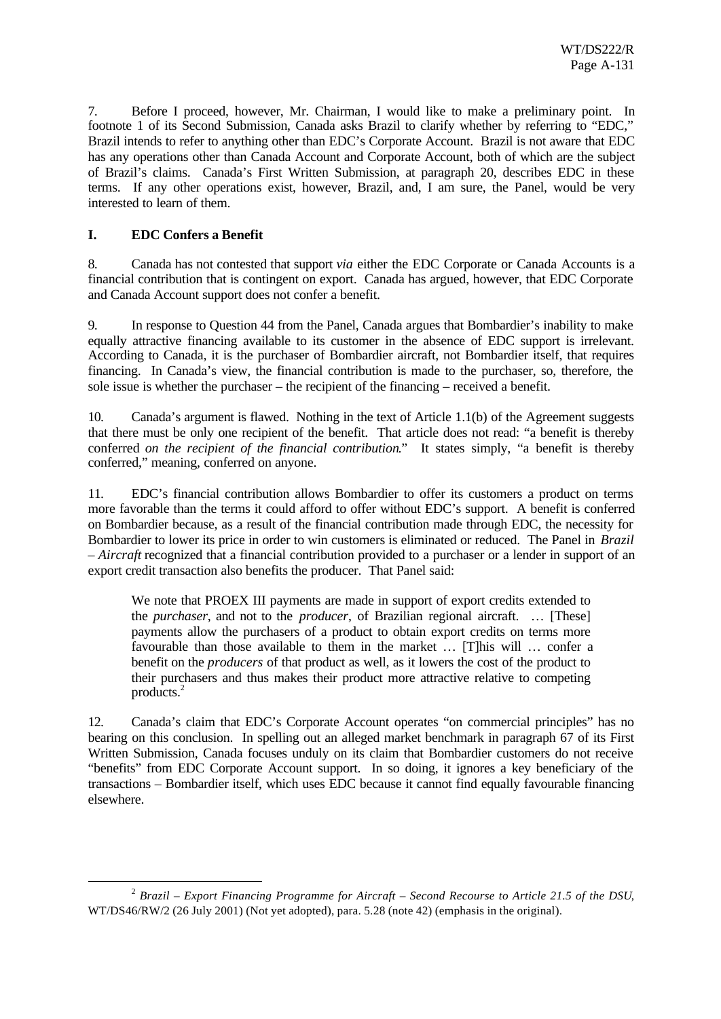7. Before I proceed, however, Mr. Chairman, I would like to make a preliminary point. In footnote 1 of its Second Submission, Canada asks Brazil to clarify whether by referring to "EDC," Brazil intends to refer to anything other than EDC's Corporate Account. Brazil is not aware that EDC has any operations other than Canada Account and Corporate Account, both of which are the subject of Brazil's claims. Canada's First Written Submission, at paragraph 20, describes EDC in these terms. If any other operations exist, however, Brazil, and, I am sure, the Panel, would be very interested to learn of them.

## **I. EDC Confers a Benefit**

l

8. Canada has not contested that support *via* either the EDC Corporate or Canada Accounts is a financial contribution that is contingent on export. Canada has argued, however, that EDC Corporate and Canada Account support does not confer a benefit.

9. In response to Question 44 from the Panel, Canada argues that Bombardier's inability to make equally attractive financing available to its customer in the absence of EDC support is irrelevant. According to Canada, it is the purchaser of Bombardier aircraft, not Bombardier itself, that requires financing. In Canada's view, the financial contribution is made to the purchaser, so, therefore, the sole issue is whether the purchaser – the recipient of the financing – received a benefit.

10. Canada's argument is flawed. Nothing in the text of Article 1.1(b) of the Agreement suggests that there must be only one recipient of the benefit. That article does not read: "a benefit is thereby conferred *on the recipient of the financial contribution*." It states simply, "a benefit is thereby conferred," meaning, conferred on anyone.

11. EDC's financial contribution allows Bombardier to offer its customers a product on terms more favorable than the terms it could afford to offer without EDC's support. A benefit is conferred on Bombardier because, as a result of the financial contribution made through EDC, the necessity for Bombardier to lower its price in order to win customers is eliminated or reduced. The Panel in *Brazil – Aircraft* recognized that a financial contribution provided to a purchaser or a lender in support of an export credit transaction also benefits the producer. That Panel said:

We note that PROEX III payments are made in support of export credits extended to the *purchaser*, and not to the *producer*, of Brazilian regional aircraft. … [These] payments allow the purchasers of a product to obtain export credits on terms more favourable than those available to them in the market … [T]his will … confer a benefit on the *producers* of that product as well, as it lowers the cost of the product to their purchasers and thus makes their product more attractive relative to competing products.<sup>2</sup>

12. Canada's claim that EDC's Corporate Account operates "on commercial principles" has no bearing on this conclusion. In spelling out an alleged market benchmark in paragraph 67 of its First Written Submission, Canada focuses unduly on its claim that Bombardier customers do not receive "benefits" from EDC Corporate Account support. In so doing, it ignores a key beneficiary of the transactions – Bombardier itself, which uses EDC because it cannot find equally favourable financing elsewhere.

<sup>2</sup> *Brazil – Export Financing Programme for Aircraft – Second Recourse to Article 21.5 of the DSU*, WT/DS46/RW/2 (26 July 2001) (Not yet adopted), para. 5.28 (note 42) (emphasis in the original).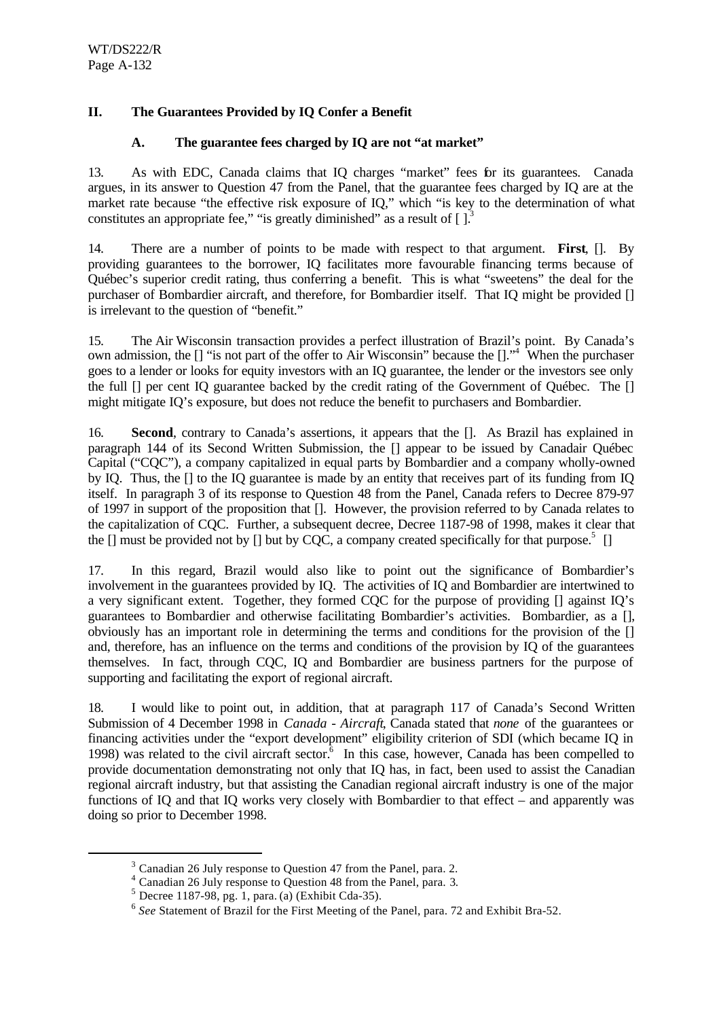# **II. The Guarantees Provided by IQ Confer a Benefit**

## **A. The guarantee fees charged by IQ are not "at market"**

13. As with EDC, Canada claims that IQ charges "market" fees for its guarantees. Canada argues, in its answer to Question 47 from the Panel, that the guarantee fees charged by IQ are at the market rate because "the effective risk exposure of IQ," which "is key to the determination of what constitutes an appropriate fee," "is greatly diminished" as a result of  $\lceil \cdot \rceil^3$ 

14. There are a number of points to be made with respect to that argument. **First**, []. By providing guarantees to the borrower, IQ facilitates more favourable financing terms because of Québec's superior credit rating, thus conferring a benefit. This is what "sweetens" the deal for the purchaser of Bombardier aircraft, and therefore, for Bombardier itself. That IQ might be provided [] is irrelevant to the question of "benefit."

15. The Air Wisconsin transaction provides a perfect illustration of Brazil's point. By Canada's own admission, the  $[]$  "is not part of the offer to Air Wisconsin" because the  $[]$ ." When the purchaser goes to a lender or looks for equity investors with an IQ guarantee, the lender or the investors see only the full [] per cent IQ guarantee backed by the credit rating of the Government of Québec. The [] might mitigate IQ's exposure, but does not reduce the benefit to purchasers and Bombardier.

16. **Second**, contrary to Canada's assertions, it appears that the []. As Brazil has explained in paragraph 144 of its Second Written Submission, the [] appear to be issued by Canadair Québec Capital ("CQC"), a company capitalized in equal parts by Bombardier and a company wholly-owned by IQ. Thus, the [] to the IQ guarantee is made by an entity that receives part of its funding from IQ itself. In paragraph 3 of its response to Question 48 from the Panel, Canada refers to Decree 879-97 of 1997 in support of the proposition that []. However, the provision referred to by Canada relates to the capitalization of CQC. Further, a subsequent decree, Decree 1187-98 of 1998, makes it clear that the  $[]$  must be provided not by  $[]$  but by CQC, a company created specifically for that purpose.<sup>5</sup>  $[]$ 

17. In this regard, Brazil would also like to point out the significance of Bombardier's involvement in the guarantees provided by IQ. The activities of IQ and Bombardier are intertwined to a very significant extent. Together, they formed CQC for the purpose of providing [] against IQ's guarantees to Bombardier and otherwise facilitating Bombardier's activities. Bombardier, as a [], obviously has an important role in determining the terms and conditions for the provision of the [] and, therefore, has an influence on the terms and conditions of the provision by IQ of the guarantees themselves. In fact, through CQC, IQ and Bombardier are business partners for the purpose of supporting and facilitating the export of regional aircraft.

18. I would like to point out, in addition, that at paragraph 117 of Canada's Second Written Submission of 4 December 1998 in *Canada - Aircraft*, Canada stated that *none* of the guarantees or financing activities under the "export development" eligibility criterion of SDI (which became IQ in 1998) was related to the civil aircraft sector. In this case, however, Canada has been compelled to provide documentation demonstrating not only that IQ has, in fact, been used to assist the Canadian regional aircraft industry, but that assisting the Canadian regional aircraft industry is one of the major functions of IQ and that IQ works very closely with Bombardier to that effect – and apparently was doing so prior to December 1998.

 $3$  Canadian 26 July response to Question 47 from the Panel, para. 2.

<sup>4</sup> Canadian 26 July response to Question 48 from the Panel, para. 3.

 $5$  Decree 1187-98, pg. 1, para. (a) (Exhibit Cda-35).

<sup>&</sup>lt;sup>6</sup> See Statement of Brazil for the First Meeting of the Panel, para. 72 and Exhibit Bra-52.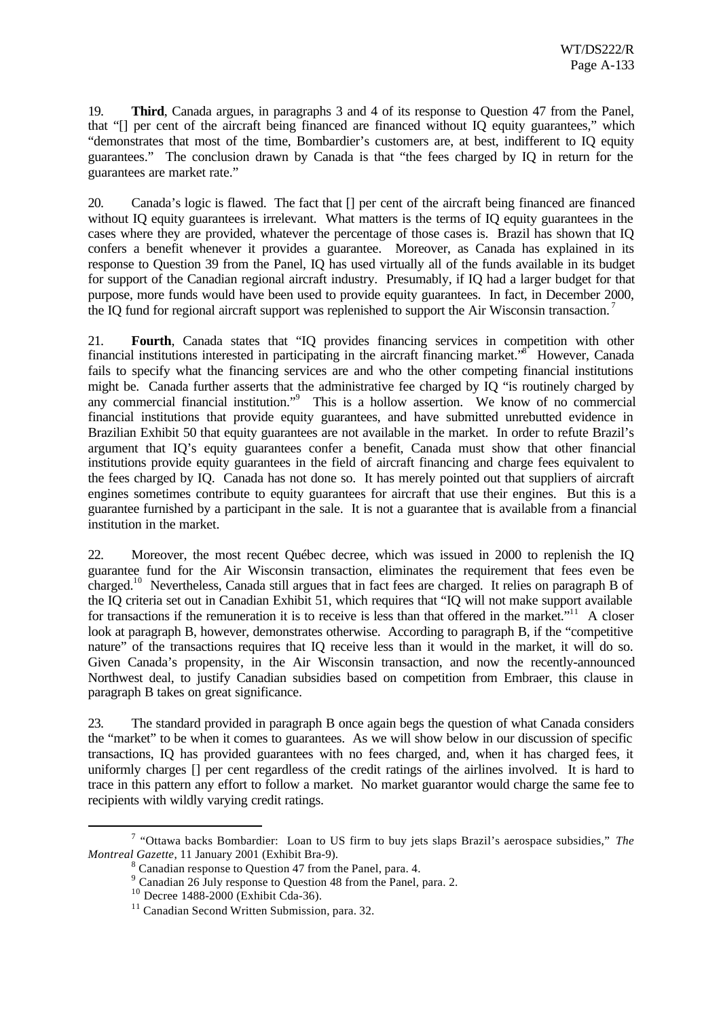19. **Third**, Canada argues, in paragraphs 3 and 4 of its response to Question 47 from the Panel, that "[] per cent of the aircraft being financed are financed without IQ equity guarantees," which "demonstrates that most of the time, Bombardier's customers are, at best, indifferent to IQ equity guarantees." The conclusion drawn by Canada is that "the fees charged by IQ in return for the guarantees are market rate."

20. Canada's logic is flawed. The fact that [] per cent of the aircraft being financed are financed without IQ equity guarantees is irrelevant. What matters is the terms of IQ equity guarantees in the cases where they are provided, whatever the percentage of those cases is. Brazil has shown that IQ confers a benefit whenever it provides a guarantee. Moreover, as Canada has explained in its response to Question 39 from the Panel, IQ has used virtually all of the funds available in its budget for support of the Canadian regional aircraft industry. Presumably, if IQ had a larger budget for that purpose, more funds would have been used to provide equity guarantees. In fact, in December 2000, the IQ fund for regional aircraft support was replenished to support the Air Wisconsin transaction.<sup>7</sup>

21. **Fourth**, Canada states that "IQ provides financing services in competition with other financial institutions interested in participating in the aircraft financing market.<sup>8</sup> However, Canada fails to specify what the financing services are and who the other competing financial institutions might be. Canada further asserts that the administrative fee charged by IQ "is routinely charged by any commercial financial institution."<sup>9</sup> This is a hollow assertion. We know of no commercial financial institutions that provide equity guarantees, and have submitted unrebutted evidence in Brazilian Exhibit 50 that equity guarantees are not available in the market. In order to refute Brazil's argument that IQ's equity guarantees confer a benefit, Canada must show that other financial institutions provide equity guarantees in the field of aircraft financing and charge fees equivalent to the fees charged by IQ. Canada has not done so. It has merely pointed out that suppliers of aircraft engines sometimes contribute to equity guarantees for aircraft that use their engines. But this is a guarantee furnished by a participant in the sale. It is not a guarantee that is available from a financial institution in the market.

22. Moreover, the most recent Québec decree, which was issued in 2000 to replenish the IQ guarantee fund for the Air Wisconsin transaction, eliminates the requirement that fees even be charged.<sup>10</sup> Nevertheless, Canada still argues that in fact fees are charged. It relies on paragraph B of the IQ criteria set out in Canadian Exhibit 51, which requires that "IQ will not make support available for transactions if the remuneration it is to receive is less than that offered in the market."<sup>11</sup> A closer look at paragraph B, however, demonstrates otherwise. According to paragraph B, if the "competitive nature" of the transactions requires that IQ receive less than it would in the market, it will do so. Given Canada's propensity, in the Air Wisconsin transaction, and now the recently-announced Northwest deal, to justify Canadian subsidies based on competition from Embraer, this clause in paragraph B takes on great significance.

23. The standard provided in paragraph B once again begs the question of what Canada considers the "market" to be when it comes to guarantees. As we will show below in our discussion of specific transactions, IQ has provided guarantees with no fees charged, and, when it has charged fees, it uniformly charges [] per cent regardless of the credit ratings of the airlines involved. It is hard to trace in this pattern any effort to follow a market. No market guarantor would charge the same fee to recipients with wildly varying credit ratings.

<sup>7</sup> "Ottawa backs Bombardier: Loan to US firm to buy jets slaps Brazil's aerospace subsidies," *The Montreal Gazette*, 11 January 2001 (Exhibit Bra-9).

<sup>&</sup>lt;sup>8</sup> Canadian response to Question 47 from the Panel, para. 4.

<sup>&</sup>lt;sup>9</sup> Canadian 26 July response to Question 48 from the Panel, para. 2.

<sup>&</sup>lt;sup>10</sup> Decree 1488-2000 (Exhibit Cda-36).

<sup>&</sup>lt;sup>11</sup> Canadian Second Written Submission, para. 32.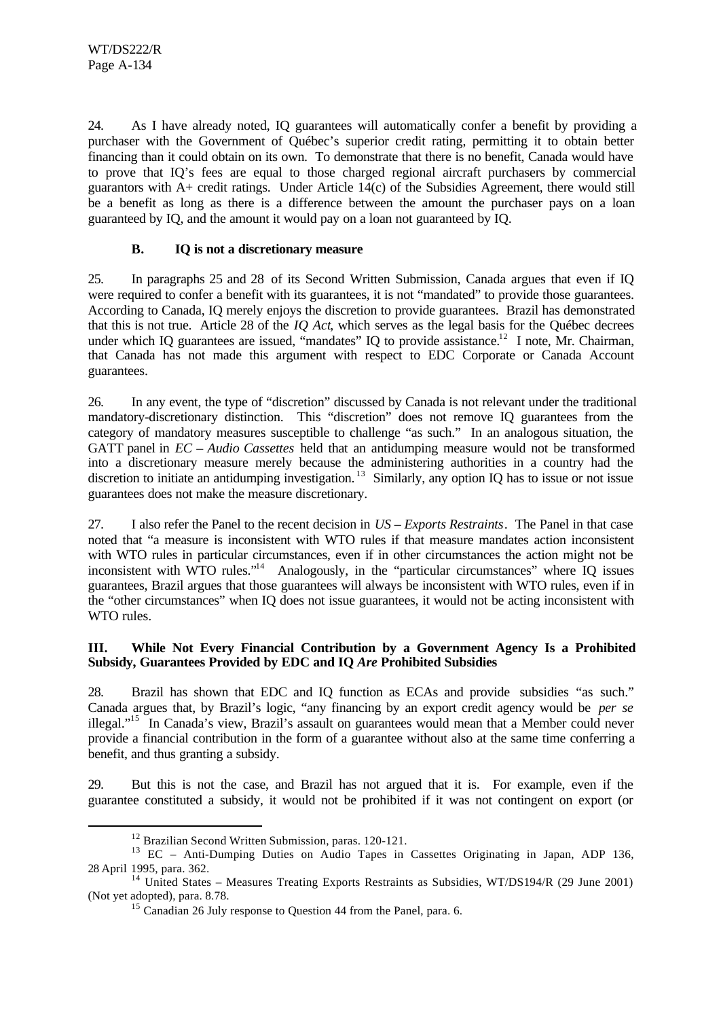24. As I have already noted, IQ guarantees will automatically confer a benefit by providing a purchaser with the Government of Québec's superior credit rating, permitting it to obtain better financing than it could obtain on its own. To demonstrate that there is no benefit, Canada would have to prove that IQ's fees are equal to those charged regional aircraft purchasers by commercial guarantors with A+ credit ratings. Under Article 14(c) of the Subsidies Agreement, there would still be a benefit as long as there is a difference between the amount the purchaser pays on a loan guaranteed by IQ, and the amount it would pay on a loan not guaranteed by IQ.

## **B. IQ is not a discretionary measure**

25. In paragraphs 25 and 28 of its Second Written Submission, Canada argues that even if IQ were required to confer a benefit with its guarantees, it is not "mandated" to provide those guarantees. According to Canada, IQ merely enjoys the discretion to provide guarantees. Brazil has demonstrated that this is not true. Article 28 of the *IQ Act*, which serves as the legal basis for the Québec decrees under which IQ guarantees are issued, "mandates" IQ to provide assistance.<sup>12</sup> I note, Mr. Chairman, that Canada has not made this argument with respect to EDC Corporate or Canada Account guarantees.

26. In any event, the type of "discretion" discussed by Canada is not relevant under the traditional mandatory-discretionary distinction. This "discretion" does not remove IQ guarantees from the category of mandatory measures susceptible to challenge "as such." In an analogous situation, the GATT panel in *EC – Audio Cassettes* held that an antidumping measure would not be transformed into a discretionary measure merely because the administering authorities in a country had the discretion to initiate an antidumping investigation.<sup>13</sup> Similarly, any option IQ has to issue or not issue guarantees does not make the measure discretionary.

27. I also refer the Panel to the recent decision in *US – Exports Restraints*. The Panel in that case noted that "a measure is inconsistent with WTO rules if that measure mandates action inconsistent with WTO rules in particular circumstances, even if in other circumstances the action might not be inconsistent with WTO rules."<sup>14</sup> Analogously, in the "particular circumstances" where IQ issues guarantees, Brazil argues that those guarantees will always be inconsistent with WTO rules, even if in the "other circumstances" when IQ does not issue guarantees, it would not be acting inconsistent with WTO rules.

### **III. While Not Every Financial Contribution by a Government Agency Is a Prohibited Subsidy, Guarantees Provided by EDC and IQ** *Are* **Prohibited Subsidies**

28. Brazil has shown that EDC and IQ function as ECAs and provide subsidies "as such." Canada argues that, by Brazil's logic, "any financing by an export credit agency would be *per se* illegal."<sup>15</sup> In Canada's view, Brazil's assault on guarantees would mean that a Member could never provide a financial contribution in the form of a guarantee without also at the same time conferring a benefit, and thus granting a subsidy.

29. But this is not the case, and Brazil has not argued that it is. For example, even if the guarantee constituted a subsidy, it would not be prohibited if it was not contingent on export (or

<sup>12</sup> Brazilian Second Written Submission, paras. 120-121.

<sup>&</sup>lt;sup>13</sup> EC – Anti-Dumping Duties on Audio Tapes in Cassettes Originating in Japan, ADP 136, 28 April 1995, para. 362.

<sup>&</sup>lt;sup>14</sup> United States – Measures Treating Exports Restraints as Subsidies, WT/DS194/R (29 June 2001) (Not yet adopted), para. 8.78.

<sup>&</sup>lt;sup>15</sup> Canadian 26 July response to Question 44 from the Panel, para. 6.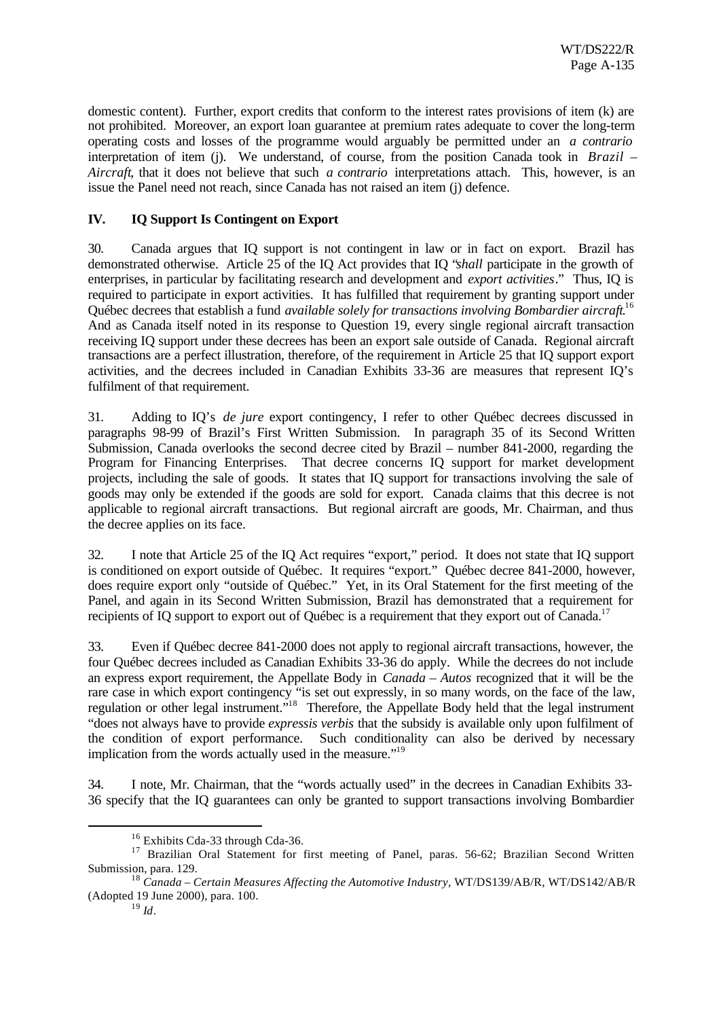domestic content). Further, export credits that conform to the interest rates provisions of item (k) are not prohibited. Moreover, an export loan guarantee at premium rates adequate to cover the long-term operating costs and losses of the programme would arguably be permitted under an *a contrario* interpretation of item (j). We understand, of course, from the position Canada took in *Brazil – Aircraft*, that it does not believe that such *a contrario* interpretations attach. This, however, is an issue the Panel need not reach, since Canada has not raised an item (j) defence.

### **IV. IQ Support Is Contingent on Export**

30. Canada argues that IQ support is not contingent in law or in fact on export. Brazil has demonstrated otherwise. Article 25 of the IQ Act provides that IQ "*shall* participate in the growth of enterprises, in particular by facilitating research and development and *export activities*." Thus, IQ is required to participate in export activities. It has fulfilled that requirement by granting support under Québec decrees that establish a fund *available solely for transactions involving Bombardier aircraft*. 16 And as Canada itself noted in its response to Question 19, every single regional aircraft transaction receiving IQ support under these decrees has been an export sale outside of Canada. Regional aircraft transactions are a perfect illustration, therefore, of the requirement in Article 25 that IQ support export activities, and the decrees included in Canadian Exhibits 33-36 are measures that represent IQ's fulfilment of that requirement.

31. Adding to IQ's *de jure* export contingency, I refer to other Québec decrees discussed in paragraphs 98-99 of Brazil's First Written Submission. In paragraph 35 of its Second Written Submission, Canada overlooks the second decree cited by Brazil – number 841-2000, regarding the Program for Financing Enterprises. That decree concerns IQ support for market development projects, including the sale of goods. It states that IQ support for transactions involving the sale of goods may only be extended if the goods are sold for export. Canada claims that this decree is not applicable to regional aircraft transactions. But regional aircraft are goods, Mr. Chairman, and thus the decree applies on its face.

32. I note that Article 25 of the IQ Act requires "export," period. It does not state that IQ support is conditioned on export outside of Québec. It requires "export." Québec decree 841-2000, however, does require export only "outside of Québec." Yet, in its Oral Statement for the first meeting of the Panel, and again in its Second Written Submission, Brazil has demonstrated that a requirement for recipients of IO support to export out of Québec is a requirement that they export out of Canada.<sup>17</sup>

33. Even if Québec decree 841-2000 does not apply to regional aircraft transactions, however, the four Québec decrees included as Canadian Exhibits 33-36 do apply. While the decrees do not include an express export requirement, the Appellate Body in *Canada – Autos* recognized that it will be the rare case in which export contingency "is set out expressly, in so many words, on the face of the law, regulation or other legal instrument."<sup>18</sup> Therefore, the Appellate Body held that the legal instrument "does not always have to provide *expressis verbis* that the subsidy is available only upon fulfilment of the condition of export performance. Such conditionality can also be derived by necessary implication from the words actually used in the measure."<sup>19</sup>

34. I note, Mr. Chairman, that the "words actually used" in the decrees in Canadian Exhibits 33- 36 specify that the IQ guarantees can only be granted to support transactions involving Bombardier

<sup>&</sup>lt;sup>16</sup> Exhibits Cda-33 through Cda-36.

<sup>&</sup>lt;sup>17</sup> Brazilian Oral Statement for first meeting of Panel, paras. 56-62; Brazilian Second Written Submission, para. 129.

<sup>&</sup>lt;sup>18</sup> Canada – Certain Measures Affecting the Automotive Industry, WT/DS139/AB/R, WT/DS142/AB/R (Adopted 19 June 2000), para. 100.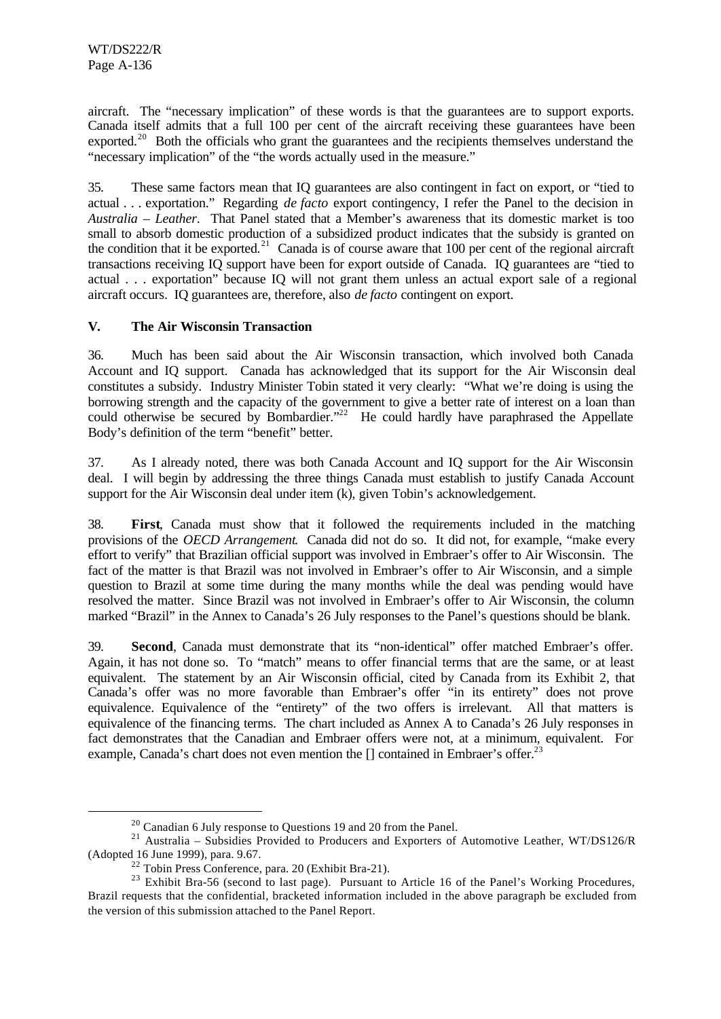aircraft. The "necessary implication" of these words is that the guarantees are to support exports. Canada itself admits that a full 100 per cent of the aircraft receiving these guarantees have been exported.<sup>20</sup> Both the officials who grant the guarantees and the recipients themselves understand the "necessary implication" of the "the words actually used in the measure."

35. These same factors mean that IQ guarantees are also contingent in fact on export, or "tied to actual . . . exportation." Regarding *de facto* export contingency, I refer the Panel to the decision in *Australia – Leather*. That Panel stated that a Member's awareness that its domestic market is too small to absorb domestic production of a subsidized product indicates that the subsidy is granted on the condition that it be exported.<sup>21</sup> Canada is of course aware that 100 per cent of the regional aircraft transactions receiving IQ support have been for export outside of Canada. IQ guarantees are "tied to actual . . . exportation" because IQ will not grant them unless an actual export sale of a regional aircraft occurs. IQ guarantees are, therefore, also *de facto* contingent on export.

## **V. The Air Wisconsin Transaction**

36. Much has been said about the Air Wisconsin transaction, which involved both Canada Account and IQ support. Canada has acknowledged that its support for the Air Wisconsin deal constitutes a subsidy. Industry Minister Tobin stated it very clearly: "What we're doing is using the borrowing strength and the capacity of the government to give a better rate of interest on a loan than could otherwise be secured by Bombardier."<sup>22</sup> He could hardly have paraphrased the Appellate Body's definition of the term "benefit" better.

37. As I already noted, there was both Canada Account and IQ support for the Air Wisconsin deal. I will begin by addressing the three things Canada must establish to justify Canada Account support for the Air Wisconsin deal under item (k), given Tobin's acknowledgement.

38. **First**, Canada must show that it followed the requirements included in the matching provisions of the *OECD Arrangement*. Canada did not do so. It did not, for example, "make every effort to verify" that Brazilian official support was involved in Embraer's offer to Air Wisconsin. The fact of the matter is that Brazil was not involved in Embraer's offer to Air Wisconsin, and a simple question to Brazil at some time during the many months while the deal was pending would have resolved the matter. Since Brazil was not involved in Embraer's offer to Air Wisconsin, the column marked "Brazil" in the Annex to Canada's 26 July responses to the Panel's questions should be blank.

39. **Second**, Canada must demonstrate that its "non-identical" offer matched Embraer's offer. Again, it has not done so. To "match" means to offer financial terms that are the same, or at least equivalent. The statement by an Air Wisconsin official, cited by Canada from its Exhibit 2, that Canada's offer was no more favorable than Embraer's offer "in its entirety" does not prove equivalence. Equivalence of the "entirety" of the two offers is irrelevant. All that matters is equivalence of the financing terms. The chart included as Annex A to Canada's 26 July responses in fact demonstrates that the Canadian and Embraer offers were not, at a minimum, equivalent. For example, Canada's chart does not even mention the  $\iota$  contained in Embraer's offer.<sup>23</sup>

 $20$  Canadian 6 July response to Questions 19 and 20 from the Panel.

<sup>&</sup>lt;sup>21</sup> Australia – Subsidies Provided to Producers and Exporters of Automotive Leather, WT/DS126/R (Adopted 16 June 1999), para. 9.67.

 $^{22}$  Tobin Press Conference, para. 20 (Exhibit Bra-21).

<sup>&</sup>lt;sup>23</sup> Exhibit Bra-56 (second to last page). Pursuant to Article 16 of the Panel's Working Procedures, Brazil requests that the confidential, bracketed information included in the above paragraph be excluded from the version of this submission attached to the Panel Report.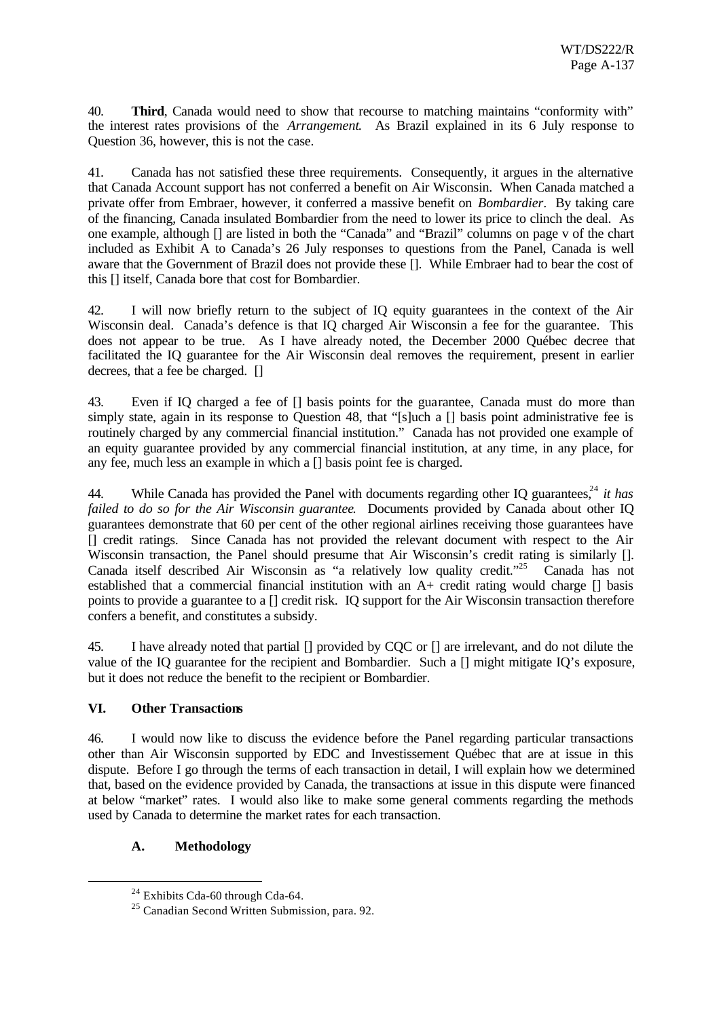40. **Third**, Canada would need to show that recourse to matching maintains "conformity with" the interest rates provisions of the *Arrangement*. As Brazil explained in its 6 July response to Question 36, however, this is not the case.

41. Canada has not satisfied these three requirements. Consequently, it argues in the alternative that Canada Account support has not conferred a benefit on Air Wisconsin. When Canada matched a private offer from Embraer, however, it conferred a massive benefit on *Bombardier*. By taking care of the financing, Canada insulated Bombardier from the need to lower its price to clinch the deal. As one example, although [] are listed in both the "Canada" and "Brazil" columns on page v of the chart included as Exhibit A to Canada's 26 July responses to questions from the Panel, Canada is well aware that the Government of Brazil does not provide these []. While Embraer had to bear the cost of this [] itself, Canada bore that cost for Bombardier.

42. I will now briefly return to the subject of IQ equity guarantees in the context of the Air Wisconsin deal. Canada's defence is that IQ charged Air Wisconsin a fee for the guarantee. This does not appear to be true. As I have already noted, the December 2000 Québec decree that facilitated the IQ guarantee for the Air Wisconsin deal removes the requirement, present in earlier decrees, that a fee be charged. []

43. Even if IQ charged a fee of [] basis points for the guarantee, Canada must do more than simply state, again in its response to Question 48, that "[s]uch a [] basis point administrative fee is routinely charged by any commercial financial institution." Canada has not provided one example of an equity guarantee provided by any commercial financial institution, at any time, in any place, for any fee, much less an example in which a [] basis point fee is charged.

44. While Canada has provided the Panel with documents regarding other IQ guarantees,<sup>24</sup> *it has failed to do so for the Air Wisconsin guarantee*. Documents provided by Canada about other IQ guarantees demonstrate that 60 per cent of the other regional airlines receiving those guarantees have [] credit ratings. Since Canada has not provided the relevant document with respect to the Air Wisconsin transaction, the Panel should presume that Air Wisconsin's credit rating is similarly []. Canada itself described Air Wisconsin as "a relatively low quality credit."<sup>25</sup> Canada has not established that a commercial financial institution with an A+ credit rating would charge [] basis points to provide a guarantee to a [] credit risk. IQ support for the Air Wisconsin transaction therefore confers a benefit, and constitutes a subsidy.

45. I have already noted that partial [] provided by CQC or [] are irrelevant, and do not dilute the value of the IQ guarantee for the recipient and Bombardier. Such a [] might mitigate IQ's exposure, but it does not reduce the benefit to the recipient or Bombardier.

# **VI. Other Transactions**

46. I would now like to discuss the evidence before the Panel regarding particular transactions other than Air Wisconsin supported by EDC and Investissement Québec that are at issue in this dispute. Before I go through the terms of each transaction in detail, I will explain how we determined that, based on the evidence provided by Canada, the transactions at issue in this dispute were financed at below "market" rates. I would also like to make some general comments regarding the methods used by Canada to determine the market rates for each transaction.

## **A. Methodology**

 $^{24}$  Exhibits Cda-60 through Cda-64.

<sup>25</sup> Canadian Second Written Submission, para. 92.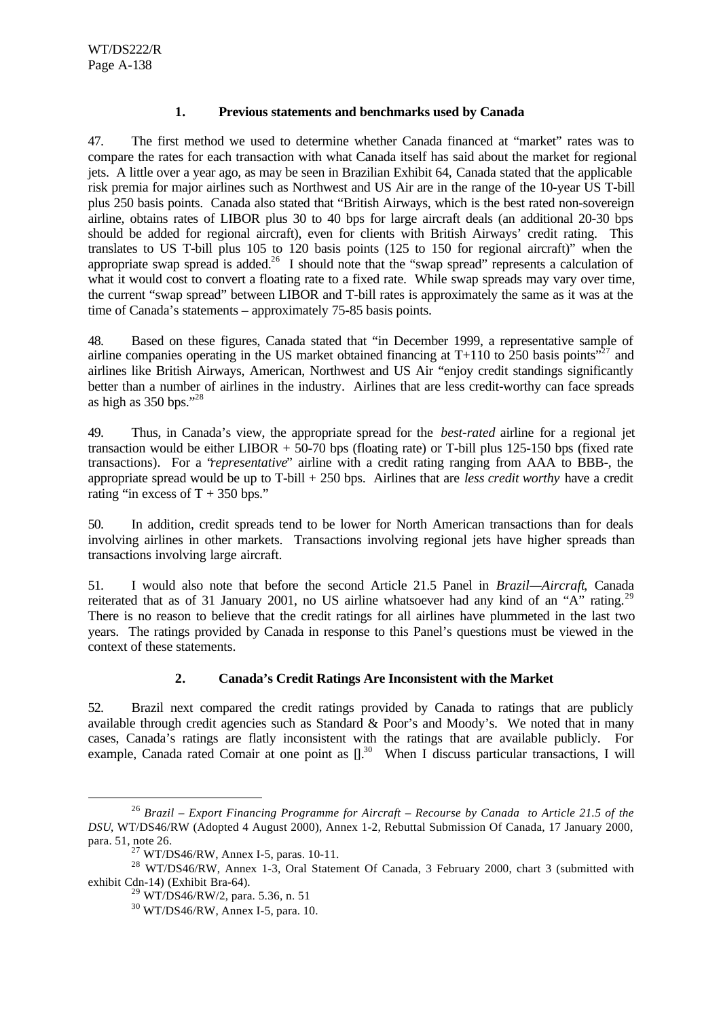## **1. Previous statements and benchmarks used by Canada**

47. The first method we used to determine whether Canada financed at "market" rates was to compare the rates for each transaction with what Canada itself has said about the market for regional jets. A little over a year ago, as may be seen in Brazilian Exhibit 64, Canada stated that the applicable risk premia for major airlines such as Northwest and US Air are in the range of the 10-year US T-bill plus 250 basis points. Canada also stated that "British Airways, which is the best rated non-sovereign airline, obtains rates of LIBOR plus 30 to 40 bps for large aircraft deals (an additional 20-30 bps should be added for regional aircraft), even for clients with British Airways' credit rating. This translates to US T-bill plus 105 to 120 basis points (125 to 150 for regional aircraft)" when the appropriate swap spread is added.<sup>26</sup> I should note that the "swap spread" represents a calculation of what it would cost to convert a floating rate to a fixed rate. While swap spreads may vary over time, the current "swap spread" between LIBOR and T-bill rates is approximately the same as it was at the time of Canada's statements – approximately 75-85 basis points.

48. Based on these figures, Canada stated that "in December 1999, a representative sample of airline companies operating in the US market obtained financing at  $T+110$  to 250 basis points<sup>"27</sup> and airlines like British Airways, American, Northwest and US Air "enjoy credit standings significantly better than a number of airlines in the industry. Airlines that are less credit-worthy can face spreads as high as  $350$  bps."<sup>28</sup>

49. Thus, in Canada's view, the appropriate spread for the *best-rated* airline for a regional jet transaction would be either LIBOR  $+$  50-70 bps (floating rate) or T-bill plus 125-150 bps (fixed rate transactions). For a "*representative*" airline with a credit rating ranging from AAA to BBB-, the appropriate spread would be up to T-bill + 250 bps. Airlines that are *less credit worthy* have a credit rating "in excess of  $T + 350$  bps."

50. In addition, credit spreads tend to be lower for North American transactions than for deals involving airlines in other markets. Transactions involving regional jets have higher spreads than transactions involving large aircraft.

51. I would also note that before the second Article 21.5 Panel in *Brazil—Aircraft*, Canada reiterated that as of 31 January 2001, no US airline whatsoever had any kind of an "A" rating.<sup>29</sup> There is no reason to believe that the credit ratings for all airlines have plummeted in the last two years. The ratings provided by Canada in response to this Panel's questions must be viewed in the context of these statements.

## **2. Canada's Credit Ratings Are Inconsistent with the Market**

52. Brazil next compared the credit ratings provided by Canada to ratings that are publicly available through credit agencies such as Standard & Poor's and Moody's. We noted that in many cases, Canada's ratings are flatly inconsistent with the ratings that are available publicly. For example, Canada rated Comair at one point as  $\left[\begin{array}{cc} 30 \\ 0 \end{array}\right]$  When I discuss particular transactions, I will

<sup>26</sup> *Brazil – Export Financing Programme for Aircraft – Recourse by Canada to Article 21.5 of the DSU*, WT/DS46/RW (Adopted 4 August 2000), Annex 1-2, Rebuttal Submission Of Canada, 17 January 2000, para. 51, note 26.

 $27$  WT/DS46/RW, Annex I-5, paras. 10-11.

<sup>&</sup>lt;sup>28</sup> WT/DS46/RW, Annex 1-3, Oral Statement Of Canada, 3 February 2000, chart 3 (submitted with exhibit Cdn-14) (Exhibit Bra-64).

 $^{29}$  WT/DS46/RW/2, para. 5.36, n. 51

<sup>30</sup> WT/DS46/RW, Annex I-5, para. 10.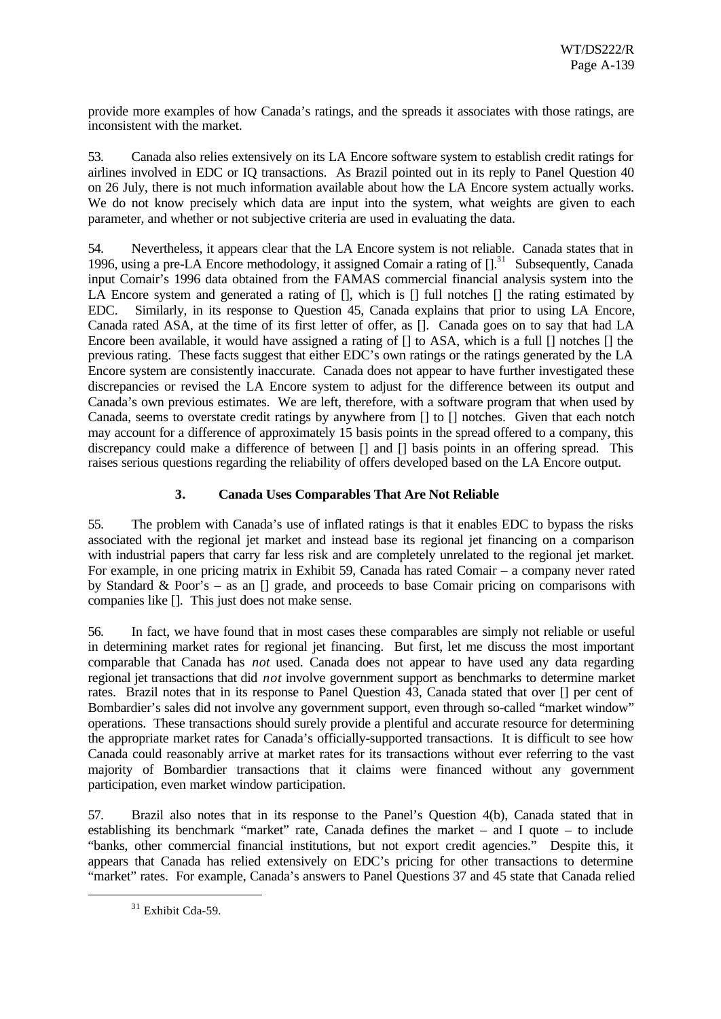provide more examples of how Canada's ratings, and the spreads it associates with those ratings, are inconsistent with the market.

53. Canada also relies extensively on its LA Encore software system to establish credit ratings for airlines involved in EDC or IQ transactions. As Brazil pointed out in its reply to Panel Question 40 on 26 July, there is not much information available about how the LA Encore system actually works. We do not know precisely which data are input into the system, what weights are given to each parameter, and whether or not subjective criteria are used in evaluating the data.

54. Nevertheless, it appears clear that the LA Encore system is not reliable. Canada states that in 1996, using a pre-LA Encore methodology, it assigned Comair a rating of  $[]$ <sup>31</sup> Subsequently, Canada input Comair's 1996 data obtained from the FAMAS commercial financial analysis system into the LA Encore system and generated a rating of  $\prod$ , which is  $\prod$  full notches  $\prod$  the rating estimated by EDC. Similarly, in its response to Question 45, Canada explains that prior to using LA Encore, Canada rated ASA, at the time of its first letter of offer, as []. Canada goes on to say that had LA Encore been available, it would have assigned a rating of  $\Box$  to ASA, which is a full  $\Box$  notches  $\Box$  the previous rating. These facts suggest that either EDC's own ratings or the ratings generated by the LA Encore system are consistently inaccurate. Canada does not appear to have further investigated these discrepancies or revised the LA Encore system to adjust for the difference between its output and Canada's own previous estimates. We are left, therefore, with a software program that when used by Canada, seems to overstate credit ratings by anywhere from [] to [] notches. Given that each notch may account for a difference of approximately 15 basis points in the spread offered to a company, this discrepancy could make a difference of between [] and [] basis points in an offering spread. This raises serious questions regarding the reliability of offers developed based on the LA Encore output.

# **3. Canada Uses Comparables That Are Not Reliable**

55. The problem with Canada's use of inflated ratings is that it enables EDC to bypass the risks associated with the regional jet market and instead base its regional jet financing on a comparison with industrial papers that carry far less risk and are completely unrelated to the regional jet market. For example, in one pricing matrix in Exhibit 59, Canada has rated Comair – a company never rated by Standard & Poor's – as an [] grade, and proceeds to base Comair pricing on comparisons with companies like []. This just does not make sense.

56. In fact, we have found that in most cases these comparables are simply not reliable or useful in determining market rates for regional jet financing. But first, let me discuss the most important comparable that Canada has *not* used. Canada does not appear to have used any data regarding regional jet transactions that did *not* involve government support as benchmarks to determine market rates. Brazil notes that in its response to Panel Question 43, Canada stated that over [] per cent of Bombardier's sales did not involve any government support, even through so-called "market window" operations. These transactions should surely provide a plentiful and accurate resource for determining the appropriate market rates for Canada's officially-supported transactions. It is difficult to see how Canada could reasonably arrive at market rates for its transactions without ever referring to the vast majority of Bombardier transactions that it claims were financed without any government participation, even market window participation.

57. Brazil also notes that in its response to the Panel's Question 4(b), Canada stated that in establishing its benchmark "market" rate, Canada defines the market – and I quote – to include "banks, other commercial financial institutions, but not export credit agencies." Despite this, it appears that Canada has relied extensively on EDC's pricing for other transactions to determine "market" rates. For example, Canada's answers to Panel Questions 37 and 45 state that Canada relied

<sup>&</sup>lt;sup>31</sup> Exhibit Cda-59.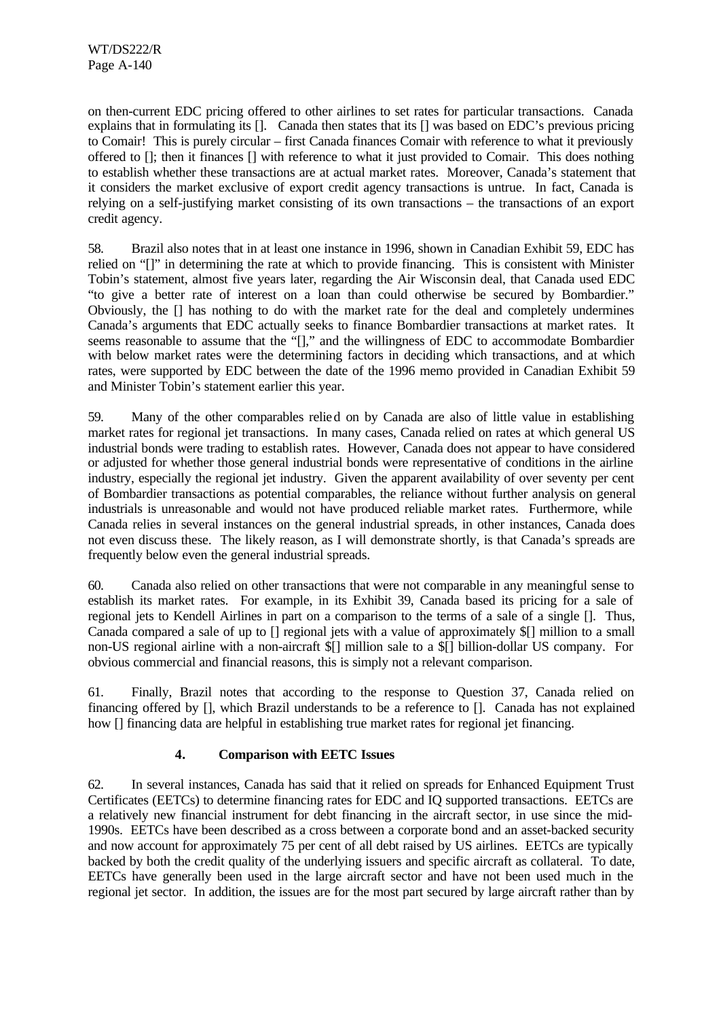on then-current EDC pricing offered to other airlines to set rates for particular transactions. Canada explains that in formulating its []. Canada then states that its [] was based on EDC's previous pricing to Comair! This is purely circular – first Canada finances Comair with reference to what it previously offered to []; then it finances [] with reference to what it just provided to Comair. This does nothing to establish whether these transactions are at actual market rates. Moreover, Canada's statement that it considers the market exclusive of export credit agency transactions is untrue. In fact, Canada is relying on a self-justifying market consisting of its own transactions – the transactions of an export credit agency.

58. Brazil also notes that in at least one instance in 1996, shown in Canadian Exhibit 59, EDC has relied on "[]" in determining the rate at which to provide financing. This is consistent with Minister Tobin's statement, almost five years later, regarding the Air Wisconsin deal, that Canada used EDC "to give a better rate of interest on a loan than could otherwise be secured by Bombardier." Obviously, the [] has nothing to do with the market rate for the deal and completely undermines Canada's arguments that EDC actually seeks to finance Bombardier transactions at market rates. It seems reasonable to assume that the "[]," and the willingness of EDC to accommodate Bombardier with below market rates were the determining factors in deciding which transactions, and at which rates, were supported by EDC between the date of the 1996 memo provided in Canadian Exhibit 59 and Minister Tobin's statement earlier this year.

59. Many of the other comparables relied on by Canada are also of little value in establishing market rates for regional jet transactions. In many cases, Canada relied on rates at which general US industrial bonds were trading to establish rates. However, Canada does not appear to have considered or adjusted for whether those general industrial bonds were representative of conditions in the airline industry, especially the regional jet industry. Given the apparent availability of over seventy per cent of Bombardier transactions as potential comparables, the reliance without further analysis on general industrials is unreasonable and would not have produced reliable market rates. Furthermore, while Canada relies in several instances on the general industrial spreads, in other instances, Canada does not even discuss these. The likely reason, as I will demonstrate shortly, is that Canada's spreads are frequently below even the general industrial spreads.

60. Canada also relied on other transactions that were not comparable in any meaningful sense to establish its market rates. For example, in its Exhibit 39, Canada based its pricing for a sale of regional jets to Kendell Airlines in part on a comparison to the terms of a sale of a single []. Thus, Canada compared a sale of up to [] regional jets with a value of approximately \$[] million to a small non-US regional airline with a non-aircraft \$[] million sale to a \$[] billion-dollar US company. For obvious commercial and financial reasons, this is simply not a relevant comparison.

61. Finally, Brazil notes that according to the response to Question 37, Canada relied on financing offered by [], which Brazil understands to be a reference to []. Canada has not explained how  $\Box$  financing data are helpful in establishing true market rates for regional jet financing.

# **4. Comparison with EETC Issues**

62. In several instances, Canada has said that it relied on spreads for Enhanced Equipment Trust Certificates (EETCs) to determine financing rates for EDC and IQ supported transactions. EETCs are a relatively new financial instrument for debt financing in the aircraft sector, in use since the mid-1990s. EETCs have been described as a cross between a corporate bond and an asset-backed security and now account for approximately 75 per cent of all debt raised by US airlines. EETCs are typically backed by both the credit quality of the underlying issuers and specific aircraft as collateral. To date, EETCs have generally been used in the large aircraft sector and have not been used much in the regional jet sector. In addition, the issues are for the most part secured by large aircraft rather than by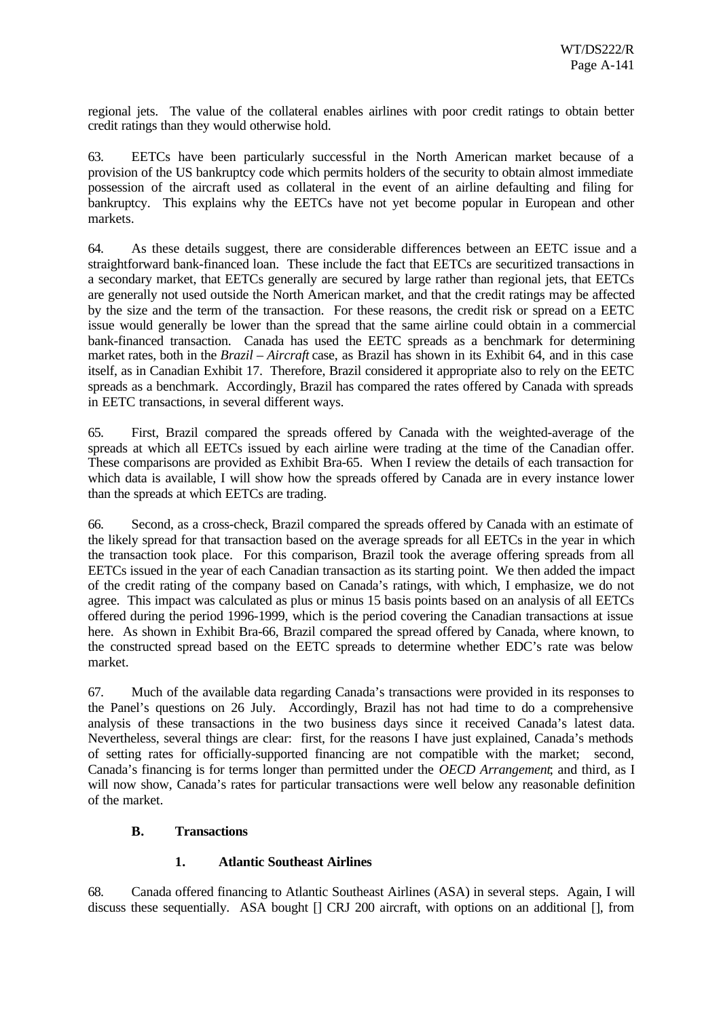regional jets. The value of the collateral enables airlines with poor credit ratings to obtain better credit ratings than they would otherwise hold.

63. EETCs have been particularly successful in the North American market because of a provision of the US bankruptcy code which permits holders of the security to obtain almost immediate possession of the aircraft used as collateral in the event of an airline defaulting and filing for bankruptcy. This explains why the EETCs have not yet become popular in European and other markets.

64. As these details suggest, there are considerable differences between an EETC issue and a straightforward bank-financed loan. These include the fact that EETCs are securitized transactions in a secondary market, that EETCs generally are secured by large rather than regional jets, that EETCs are generally not used outside the North American market, and that the credit ratings may be affected by the size and the term of the transaction. For these reasons, the credit risk or spread on a EETC issue would generally be lower than the spread that the same airline could obtain in a commercial bank-financed transaction. Canada has used the EETC spreads as a benchmark for determining market rates, both in the *Brazil – Aircraft* case, as Brazil has shown in its Exhibit 64, and in this case itself, as in Canadian Exhibit 17. Therefore, Brazil considered it appropriate also to rely on the EETC spreads as a benchmark. Accordingly, Brazil has compared the rates offered by Canada with spreads in EETC transactions, in several different ways.

65. First, Brazil compared the spreads offered by Canada with the weighted-average of the spreads at which all EETCs issued by each airline were trading at the time of the Canadian offer. These comparisons are provided as Exhibit Bra-65. When I review the details of each transaction for which data is available, I will show how the spreads offered by Canada are in every instance lower than the spreads at which EETCs are trading.

66. Second, as a cross-check, Brazil compared the spreads offered by Canada with an estimate of the likely spread for that transaction based on the average spreads for all EETCs in the year in which the transaction took place. For this comparison, Brazil took the average offering spreads from all EETCs issued in the year of each Canadian transaction as its starting point. We then added the impact of the credit rating of the company based on Canada's ratings, with which, I emphasize, we do not agree. This impact was calculated as plus or minus 15 basis points based on an analysis of all EETCs offered during the period 1996-1999, which is the period covering the Canadian transactions at issue here. As shown in Exhibit Bra-66, Brazil compared the spread offered by Canada, where known, to the constructed spread based on the EETC spreads to determine whether EDC's rate was below market.

67. Much of the available data regarding Canada's transactions were provided in its responses to the Panel's questions on 26 July. Accordingly, Brazil has not had time to do a comprehensive analysis of these transactions in the two business days since it received Canada's latest data. Nevertheless, several things are clear: first, for the reasons I have just explained, Canada's methods of setting rates for officially-supported financing are not compatible with the market; second, Canada's financing is for terms longer than permitted under the *OECD Arrangement*; and third, as I will now show, Canada's rates for particular transactions were well below any reasonable definition of the market.

## **B. Transactions**

## **1. Atlantic Southeast Airlines**

68. Canada offered financing to Atlantic Southeast Airlines (ASA) in several steps. Again, I will discuss these sequentially. ASA bought [] CRJ 200 aircraft, with options on an additional [], from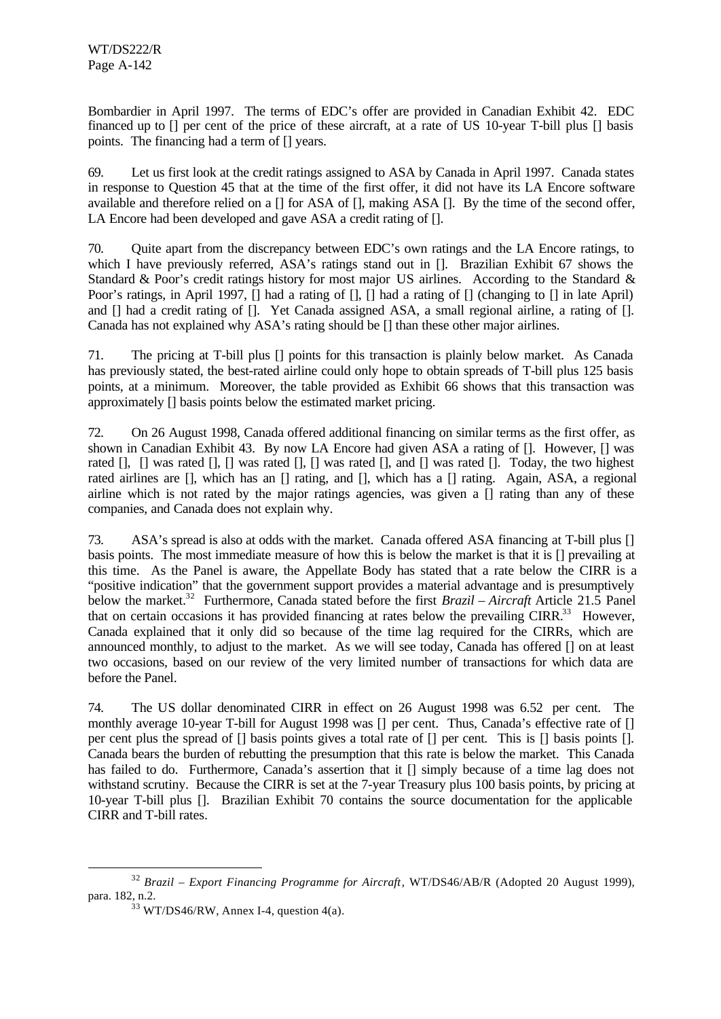Bombardier in April 1997. The terms of EDC's offer are provided in Canadian Exhibit 42. EDC financed up to [] per cent of the price of these aircraft, at a rate of US 10-year T-bill plus [] basis points. The financing had a term of [] years.

69. Let us first look at the credit ratings assigned to ASA by Canada in April 1997. Canada states in response to Question 45 that at the time of the first offer, it did not have its LA Encore software available and therefore relied on a [] for ASA of [], making ASA []. By the time of the second offer, LA Encore had been developed and gave ASA a credit rating of [].

70. Quite apart from the discrepancy between EDC's own ratings and the LA Encore ratings, to which I have previously referred, ASA's ratings stand out in  $\Box$ . Brazilian Exhibit 67 shows the Standard & Poor's credit ratings history for most major US airlines. According to the Standard & Poor's ratings, in April 1997, [] had a rating of [], [] had a rating of [] (changing to [] in late April) and [] had a credit rating of []. Yet Canada assigned ASA, a small regional airline, a rating of []. Canada has not explained why ASA's rating should be [] than these other major airlines.

71. The pricing at T-bill plus [] points for this transaction is plainly below market. As Canada has previously stated, the best-rated airline could only hope to obtain spreads of T-bill plus 125 basis points, at a minimum. Moreover, the table provided as Exhibit 66 shows that this transaction was approximately [] basis points below the estimated market pricing.

72. On 26 August 1998, Canada offered additional financing on similar terms as the first offer, as shown in Canadian Exhibit 43. By now LA Encore had given ASA a rating of []. However, [] was rated  $[$ ],  $[$ ] was rated  $[$ ],  $[$ ] was rated  $[$ ],  $[$ ] was rated  $[$ ],  $]$  was rated  $[$ ]. Today, the two highest rated airlines are [], which has an [] rating, and [], which has a [] rating. Again, ASA, a regional airline which is not rated by the major ratings agencies, was given a [] rating than any of these companies, and Canada does not explain why.

73. ASA's spread is also at odds with the market. Canada offered ASA financing at T-bill plus [] basis points. The most immediate measure of how this is below the market is that it is [] prevailing at this time. As the Panel is aware, the Appellate Body has stated that a rate below the CIRR is a "positive indication" that the government support provides a material advantage and is presumptively below the market.<sup>32</sup> Furthermore, Canada stated before the first *Brazil – Aircraft* Article 21.5 Panel that on certain occasions it has provided financing at rates below the prevailing CIRR.<sup>33</sup> However, Canada explained that it only did so because of the time lag required for the CIRRs, which are announced monthly, to adjust to the market. As we will see today, Canada has offered [] on at least two occasions, based on our review of the very limited number of transactions for which data are before the Panel.

74. The US dollar denominated CIRR in effect on 26 August 1998 was 6.52 per cent. The monthly average 10-year T-bill for August 1998 was [] per cent. Thus, Canada's effective rate of [] per cent plus the spread of [] basis points gives a total rate of [] per cent. This is [] basis points []. Canada bears the burden of rebutting the presumption that this rate is below the market. This Canada has failed to do. Furthermore, Canada's assertion that it [] simply because of a time lag does not withstand scrutiny. Because the CIRR is set at the 7-year Treasury plus 100 basis points, by pricing at 10-year T-bill plus []. Brazilian Exhibit 70 contains the source documentation for the applicable CIRR and T-bill rates.

<sup>&</sup>lt;sup>32</sup> Brazil – Export Financing Programme for Aircraft, WT/DS46/AB/R (Adopted 20 August 1999), para. 182, n.2.

 $33$  WT/DS46/RW, Annex I-4, question 4(a).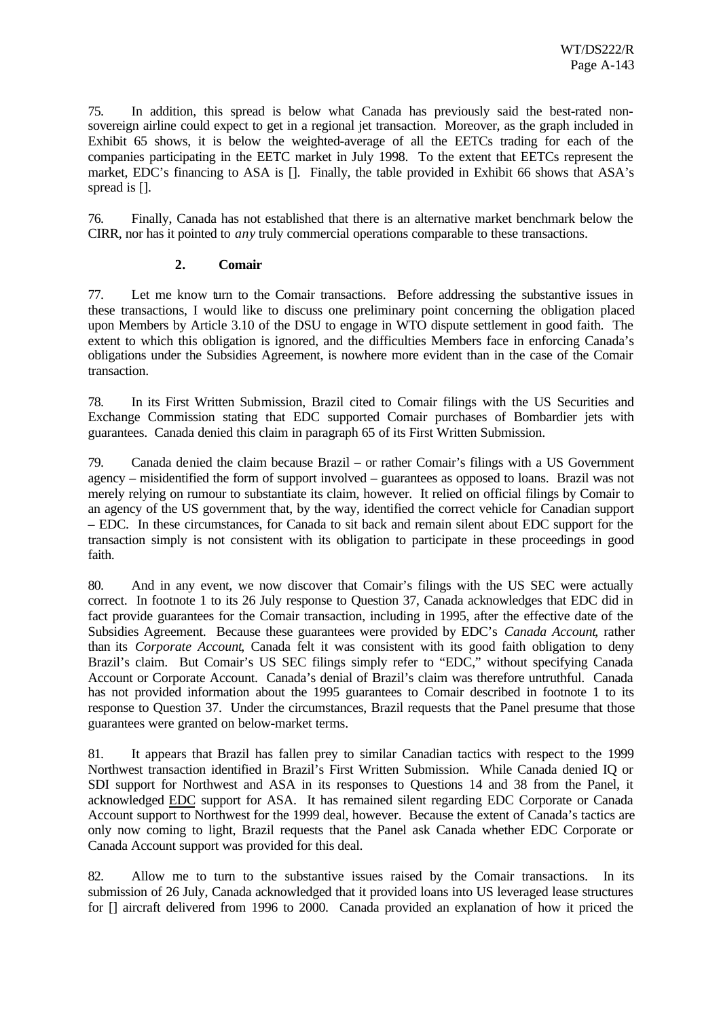75. In addition, this spread is below what Canada has previously said the best-rated nonsovereign airline could expect to get in a regional jet transaction. Moreover, as the graph included in Exhibit 65 shows, it is below the weighted-average of all the EETCs trading for each of the companies participating in the EETC market in July 1998. To the extent that EETCs represent the market, EDC's financing to ASA is []. Finally, the table provided in Exhibit 66 shows that ASA's spread is [].

76. Finally, Canada has not established that there is an alternative market benchmark below the CIRR, nor has it pointed to *any* truly commercial operations comparable to these transactions.

### **2. Comair**

77. Let me know turn to the Comair transactions. Before addressing the substantive issues in these transactions, I would like to discuss one preliminary point concerning the obligation placed upon Members by Article 3.10 of the DSU to engage in WTO dispute settlement in good faith. The extent to which this obligation is ignored, and the difficulties Members face in enforcing Canada's obligations under the Subsidies Agreement, is nowhere more evident than in the case of the Comair transaction.

78. In its First Written Submission, Brazil cited to Comair filings with the US Securities and Exchange Commission stating that EDC supported Comair purchases of Bombardier jets with guarantees. Canada denied this claim in paragraph 65 of its First Written Submission.

79. Canada denied the claim because Brazil – or rather Comair's filings with a US Government agency – misidentified the form of support involved – guarantees as opposed to loans. Brazil was not merely relying on rumour to substantiate its claim, however. It relied on official filings by Comair to an agency of the US government that, by the way, identified the correct vehicle for Canadian support – EDC. In these circumstances, for Canada to sit back and remain silent about EDC support for the transaction simply is not consistent with its obligation to participate in these proceedings in good faith.

80. And in any event, we now discover that Comair's filings with the US SEC were actually correct. In footnote 1 to its 26 July response to Question 37, Canada acknowledges that EDC did in fact provide guarantees for the Comair transaction, including in 1995, after the effective date of the Subsidies Agreement. Because these guarantees were provided by EDC's *Canada Account*, rather than its *Corporate Account*, Canada felt it was consistent with its good faith obligation to deny Brazil's claim. But Comair's US SEC filings simply refer to "EDC," without specifying Canada Account or Corporate Account. Canada's denial of Brazil's claim was therefore untruthful. Canada has not provided information about the 1995 guarantees to Comair described in footnote 1 to its response to Question 37. Under the circumstances, Brazil requests that the Panel presume that those guarantees were granted on below-market terms.

81. It appears that Brazil has fallen prey to similar Canadian tactics with respect to the 1999 Northwest transaction identified in Brazil's First Written Submission. While Canada denied IQ or SDI support for Northwest and ASA in its responses to Questions 14 and 38 from the Panel, it acknowledged EDC support for ASA. It has remained silent regarding EDC Corporate or Canada Account support to Northwest for the 1999 deal, however. Because the extent of Canada's tactics are only now coming to light, Brazil requests that the Panel ask Canada whether EDC Corporate or Canada Account support was provided for this deal.

82. Allow me to turn to the substantive issues raised by the Comair transactions. In its submission of 26 July, Canada acknowledged that it provided loans into US leveraged lease structures for [] aircraft delivered from 1996 to 2000. Canada provided an explanation of how it priced the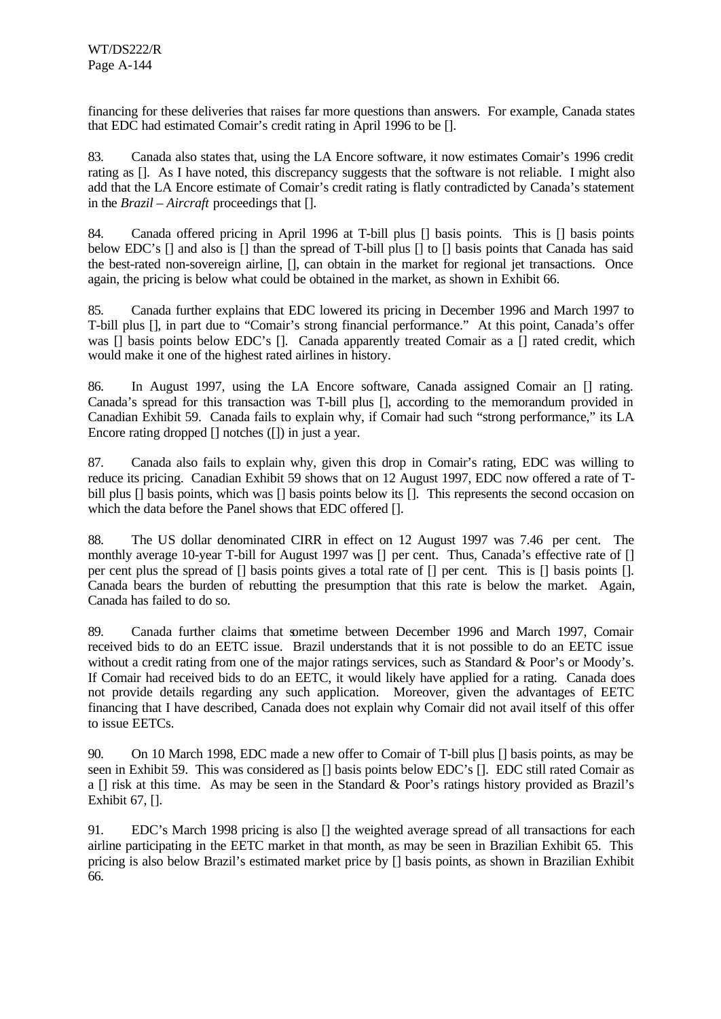financing for these deliveries that raises far more questions than answers. For example, Canada states that EDC had estimated Comair's credit rating in April 1996 to be [].

83. Canada also states that, using the LA Encore software, it now estimates Comair's 1996 credit rating as []. As I have noted, this discrepancy suggests that the software is not reliable. I might also add that the LA Encore estimate of Comair's credit rating is flatly contradicted by Canada's statement in the *Brazil – Aircraft* proceedings that [].

84. Canada offered pricing in April 1996 at T-bill plus [] basis points. This is [] basis points below EDC's [] and also is [] than the spread of T-bill plus [] to [] basis points that Canada has said the best-rated non-sovereign airline, [], can obtain in the market for regional jet transactions. Once again, the pricing is below what could be obtained in the market, as shown in Exhibit 66.

85. Canada further explains that EDC lowered its pricing in December 1996 and March 1997 to T-bill plus [], in part due to "Comair's strong financial performance." At this point, Canada's offer was [] basis points below EDC's []. Canada apparently treated Comair as a [] rated credit, which would make it one of the highest rated airlines in history.

86. In August 1997, using the LA Encore software, Canada assigned Comair an [] rating. Canada's spread for this transaction was T-bill plus [], according to the memorandum provided in Canadian Exhibit 59. Canada fails to explain why, if Comair had such "strong performance," its LA Encore rating dropped  $\lceil \cdot \rceil$  notches  $\lceil \cdot \rceil$  in just a year.

87. Canada also fails to explain why, given this drop in Comair's rating, EDC was willing to reduce its pricing. Canadian Exhibit 59 shows that on 12 August 1997, EDC now offered a rate of Tbill plus [] basis points, which was [] basis points below its []. This represents the second occasion on which the data before the Panel shows that EDC offered [].

88. The US dollar denominated CIRR in effect on 12 August 1997 was 7.46 per cent. The monthly average 10-year T-bill for August 1997 was  $\lceil \rceil$  per cent. Thus, Canada's effective rate of  $\lceil \rceil$ per cent plus the spread of [] basis points gives a total rate of [] per cent. This is [] basis points []. Canada bears the burden of rebutting the presumption that this rate is below the market. Again, Canada has failed to do so.

89. Canada further claims that sometime between December 1996 and March 1997, Comair received bids to do an EETC issue. Brazil understands that it is not possible to do an EETC issue without a credit rating from one of the major ratings services, such as Standard & Poor's or Moody's. If Comair had received bids to do an EETC, it would likely have applied for a rating. Canada does not provide details regarding any such application. Moreover, given the advantages of EETC financing that I have described, Canada does not explain why Comair did not avail itself of this offer to issue EETCs.

90. On 10 March 1998, EDC made a new offer to Comair of T-bill plus [] basis points, as may be seen in Exhibit 59. This was considered as [] basis points below EDC's []. EDC still rated Comair as a  $\Box$  risk at this time. As may be seen in the Standard & Poor's ratings history provided as Brazil's Exhibit 67, [].

91. EDC's March 1998 pricing is also [] the weighted average spread of all transactions for each airline participating in the EETC market in that month, as may be seen in Brazilian Exhibit 65. This pricing is also below Brazil's estimated market price by [] basis points, as shown in Brazilian Exhibit 66.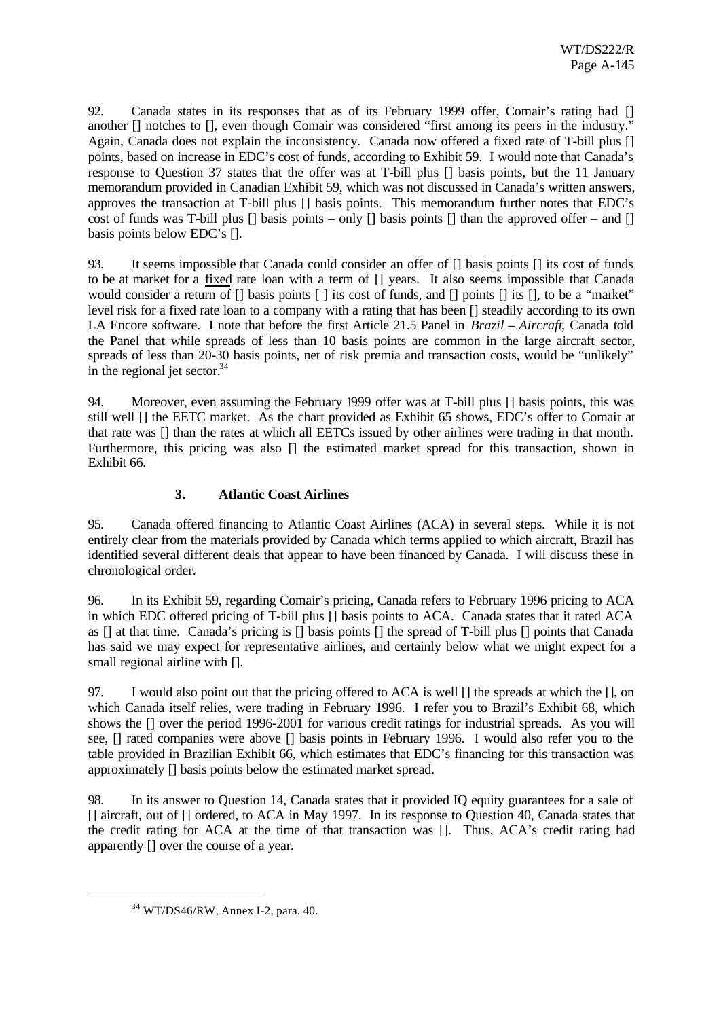92. Canada states in its responses that as of its February 1999 offer, Comair's rating had [] another [] notches to [], even though Comair was considered "first among its peers in the industry." Again, Canada does not explain the inconsistency. Canada now offered a fixed rate of T-bill plus [] points, based on increase in EDC's cost of funds, according to Exhibit 59. I would note that Canada's response to Question 37 states that the offer was at T-bill plus [] basis points, but the 11 January memorandum provided in Canadian Exhibit 59, which was not discussed in Canada's written answers, approves the transaction at T-bill plus [] basis points. This memorandum further notes that EDC's cost of funds was T-bill plus  $\lceil \cdot \rceil$  basis points – only  $\lceil \cdot \rceil$  basis points  $\lceil \cdot \rceil$  than the approved offer – and  $\lceil \cdot \rceil$ basis points below EDC's [].

93. It seems impossible that Canada could consider an offer of [] basis points [] its cost of funds to be at market for a fixed rate loan with a term of [] years. It also seems impossible that Canada would consider a return of  $\iota$  basis points  $\iota$  its cost of funds, and  $\iota$  points  $\iota$  its  $\iota$ , to be a "market" level risk for a fixed rate loan to a company with a rating that has been [] steadily according to its own LA Encore software. I note that before the first Article 21.5 Panel in *Brazil – Aircraft*, Canada told the Panel that while spreads of less than 10 basis points are common in the large aircraft sector, spreads of less than 20-30 basis points, net of risk premia and transaction costs, would be "unlikely" in the regional jet sector. $34$ 

94. Moreover, even assuming the February 1999 offer was at T-bill plus [] basis points, this was still well [] the EETC market. As the chart provided as Exhibit 65 shows, EDC's offer to Comair at that rate was [] than the rates at which all EETCs issued by other airlines were trading in that month. Furthermore, this pricing was also  $\Box$  the estimated market spread for this transaction, shown in Exhibit 66.

## **3. Atlantic Coast Airlines**

95. Canada offered financing to Atlantic Coast Airlines (ACA) in several steps. While it is not entirely clear from the materials provided by Canada which terms applied to which aircraft, Brazil has identified several different deals that appear to have been financed by Canada. I will discuss these in chronological order.

96. In its Exhibit 59, regarding Comair's pricing, Canada refers to February 1996 pricing to ACA in which EDC offered pricing of T-bill plus [] basis points to ACA. Canada states that it rated ACA as [] at that time. Canada's pricing is [] basis points [] the spread of T-bill plus [] points that Canada has said we may expect for representative airlines, and certainly below what we might expect for a small regional airline with [].

97. I would also point out that the pricing offered to ACA is well [] the spreads at which the [], on which Canada itself relies, were trading in February 1996. I refer you to Brazil's Exhibit 68, which shows the [] over the period 1996-2001 for various credit ratings for industrial spreads. As you will see, [] rated companies were above [] basis points in February 1996. I would also refer you to the table provided in Brazilian Exhibit 66, which estimates that EDC's financing for this transaction was approximately [] basis points below the estimated market spread.

98. In its answer to Question 14, Canada states that it provided IQ equity guarantees for a sale of [] aircraft, out of [] ordered, to ACA in May 1997. In its response to Question 40, Canada states that the credit rating for ACA at the time of that transaction was []. Thus, ACA's credit rating had apparently [] over the course of a year.

<sup>34</sup> WT/DS46/RW, Annex I-2, para. 40.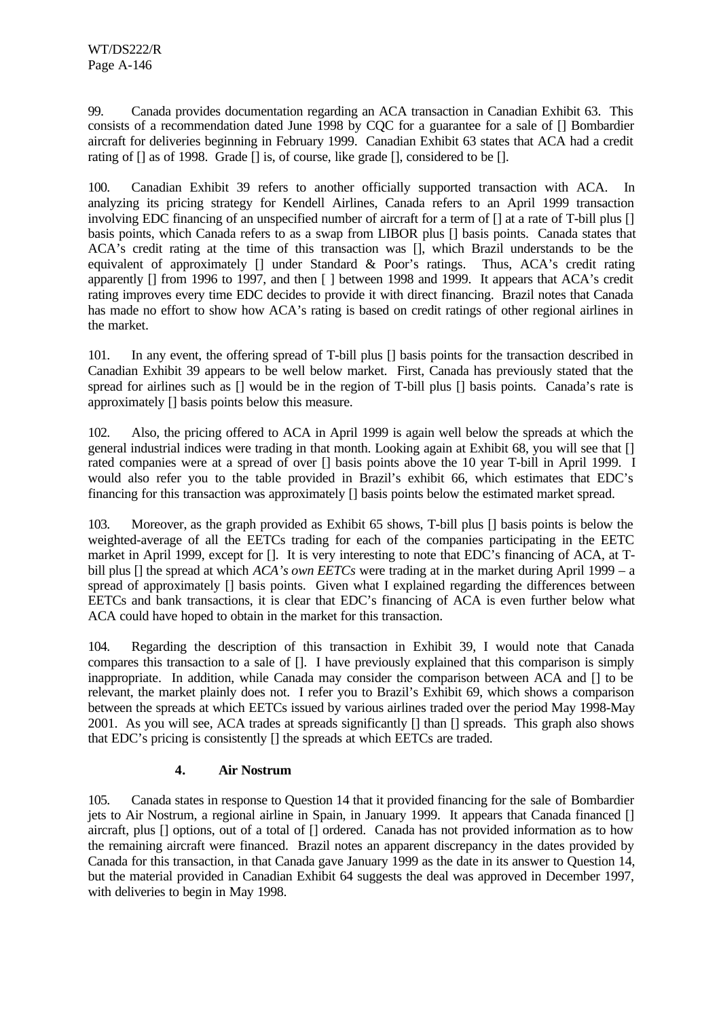99. Canada provides documentation regarding an ACA transaction in Canadian Exhibit 63. This consists of a recommendation dated June 1998 by CQC for a guarantee for a sale of [] Bombardier aircraft for deliveries beginning in February 1999. Canadian Exhibit 63 states that ACA had a credit rating of [] as of 1998. Grade [] is, of course, like grade [], considered to be [].

100. Canadian Exhibit 39 refers to another officially supported transaction with ACA. In analyzing its pricing strategy for Kendell Airlines, Canada refers to an April 1999 transaction involving EDC financing of an unspecified number of aircraft for a term of [] at a rate of T-bill plus [] basis points, which Canada refers to as a swap from LIBOR plus [] basis points. Canada states that ACA's credit rating at the time of this transaction was [], which Brazil understands to be the equivalent of approximately [] under Standard & Poor's ratings. Thus, ACA's credit rating apparently [] from 1996 to 1997, and then [ ] between 1998 and 1999. It appears that ACA's credit rating improves every time EDC decides to provide it with direct financing. Brazil notes that Canada has made no effort to show how ACA's rating is based on credit ratings of other regional airlines in the market.

101. In any event, the offering spread of T-bill plus [] basis points for the transaction described in Canadian Exhibit 39 appears to be well below market. First, Canada has previously stated that the spread for airlines such as [] would be in the region of T-bill plus [] basis points. Canada's rate is approximately [] basis points below this measure.

102. Also, the pricing offered to ACA in April 1999 is again well below the spreads at which the general industrial indices were trading in that month. Looking again at Exhibit 68, you will see that [] rated companies were at a spread of over [] basis points above the 10 year T-bill in April 1999. I would also refer you to the table provided in Brazil's exhibit 66, which estimates that EDC's financing for this transaction was approximately [] basis points below the estimated market spread.

103. Moreover, as the graph provided as Exhibit 65 shows, T-bill plus [] basis points is below the weighted-average of all the EETCs trading for each of the companies participating in the EETC market in April 1999, except for []. It is very interesting to note that EDC's financing of ACA, at Tbill plus [] the spread at which *ACA's own EETCs* were trading at in the market during April 1999 – a spread of approximately  $\Box$  basis points. Given what I explained regarding the differences between EETCs and bank transactions, it is clear that EDC's financing of ACA is even further below what ACA could have hoped to obtain in the market for this transaction.

104. Regarding the description of this transaction in Exhibit 39, I would note that Canada compares this transaction to a sale of []. I have previously explained that this comparison is simply inappropriate. In addition, while Canada may consider the comparison between ACA and [] to be relevant, the market plainly does not. I refer you to Brazil's Exhibit 69, which shows a comparison between the spreads at which EETCs issued by various airlines traded over the period May 1998-May 2001. As you will see, ACA trades at spreads significantly [] than [] spreads. This graph also shows that EDC's pricing is consistently [] the spreads at which EETCs are traded.

## **4. Air Nostrum**

105. Canada states in response to Question 14 that it provided financing for the sale of Bombardier jets to Air Nostrum, a regional airline in Spain, in January 1999. It appears that Canada financed [] aircraft, plus [] options, out of a total of [] ordered. Canada has not provided information as to how the remaining aircraft were financed. Brazil notes an apparent discrepancy in the dates provided by Canada for this transaction, in that Canada gave January 1999 as the date in its answer to Question 14, but the material provided in Canadian Exhibit 64 suggests the deal was approved in December 1997, with deliveries to begin in May 1998.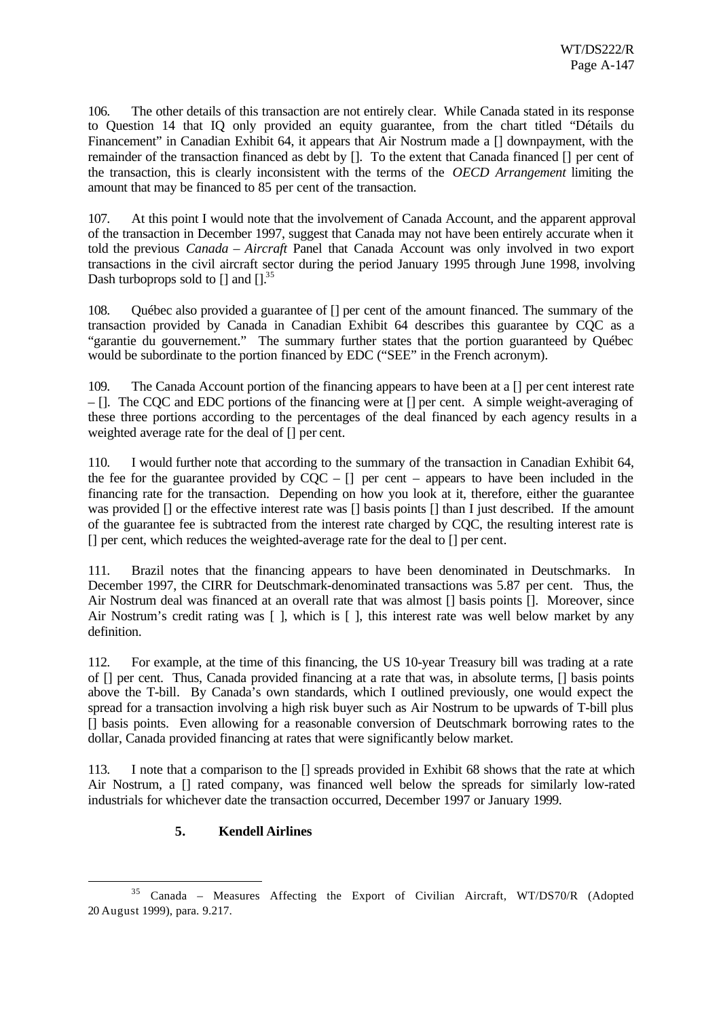106. The other details of this transaction are not entirely clear. While Canada stated in its response to Question 14 that IQ only provided an equity guarantee, from the chart titled "Détails du Financement" in Canadian Exhibit 64, it appears that Air Nostrum made a  $\Box$  downpayment, with the remainder of the transaction financed as debt by []. To the extent that Canada financed [] per cent of the transaction, this is clearly inconsistent with the terms of the *OECD Arrangement* limiting the amount that may be financed to 85 per cent of the transaction.

107. At this point I would note that the involvement of Canada Account, and the apparent approval of the transaction in December 1997, suggest that Canada may not have been entirely accurate when it told the previous *Canada – Aircraft* Panel that Canada Account was only involved in two export transactions in the civil aircraft sector during the period January 1995 through June 1998, involving Dash turboprops sold to  $\prod$  and  $\prod$ <sup>35</sup>

108. Québec also provided a guarantee of [] per cent of the amount financed. The summary of the transaction provided by Canada in Canadian Exhibit 64 describes this guarantee by CQC as a "garantie du gouvernement." The summary further states that the portion guaranteed by Québec would be subordinate to the portion financed by EDC ("SEE" in the French acronym).

109. The Canada Account portion of the financing appears to have been at a [] per cent interest rate – []. The CQC and EDC portions of the financing were at [] per cent. A simple weight-averaging of these three portions according to the percentages of the deal financed by each agency results in a weighted average rate for the deal of [] per cent.

110. I would further note that according to the summary of the transaction in Canadian Exhibit 64, the fee for the guarantee provided by  $COC - []$  per cent – appears to have been included in the financing rate for the transaction. Depending on how you look at it, therefore, either the guarantee was provided  $\Box$  or the effective interest rate was  $\Box$  basis points  $\Box$  than I just described. If the amount of the guarantee fee is subtracted from the interest rate charged by CQC, the resulting interest rate is [] per cent, which reduces the weighted-average rate for the deal to [] per cent.

111. Brazil notes that the financing appears to have been denominated in Deutschmarks. In December 1997, the CIRR for Deutschmark-denominated transactions was 5.87 per cent. Thus, the Air Nostrum deal was financed at an overall rate that was almost [] basis points []. Moreover, since Air Nostrum's credit rating was [ ], which is [ ], this interest rate was well below market by any definition.

112. For example, at the time of this financing, the US 10-year Treasury bill was trading at a rate of [] per cent. Thus, Canada provided financing at a rate that was, in absolute terms, [] basis points above the T-bill. By Canada's own standards, which I outlined previously, one would expect the spread for a transaction involving a high risk buyer such as Air Nostrum to be upwards of T-bill plus [] basis points. Even allowing for a reasonable conversion of Deutschmark borrowing rates to the dollar, Canada provided financing at rates that were significantly below market.

113. I note that a comparison to the [] spreads provided in Exhibit 68 shows that the rate at which Air Nostrum, a [] rated company, was financed well below the spreads for similarly low-rated industrials for whichever date the transaction occurred, December 1997 or January 1999.

## **5. Kendell Airlines**

<sup>35</sup> Canada – Measures Affecting the Export of Civilian Aircraft, WT/DS70/R (Adopted 20 August 1999), para. 9.217.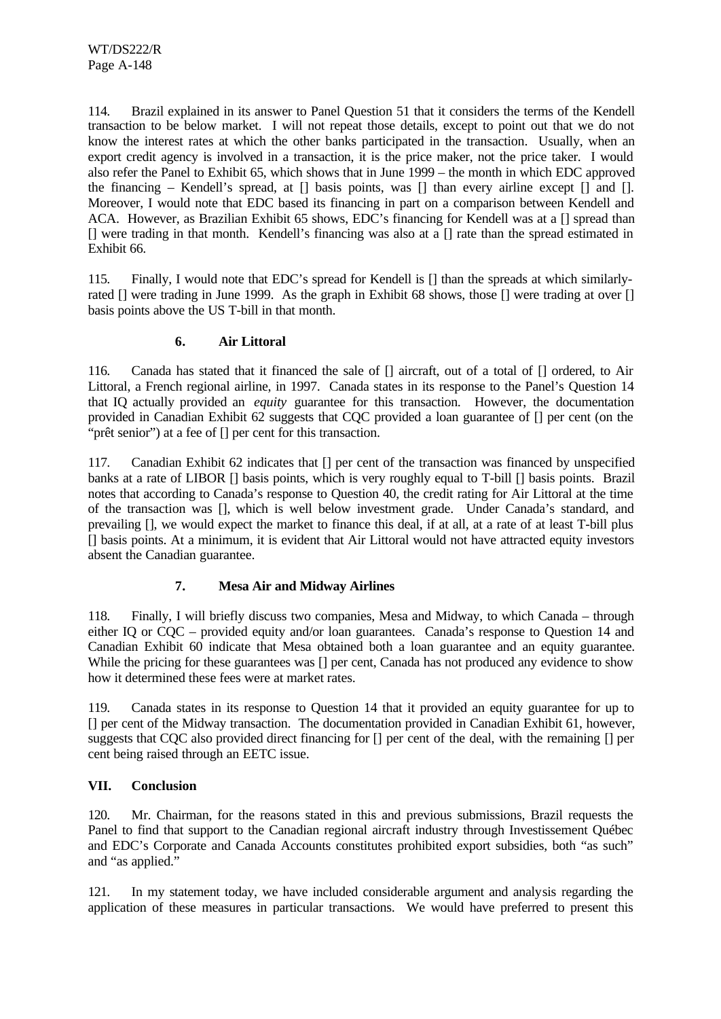114. Brazil explained in its answer to Panel Question 51 that it considers the terms of the Kendell transaction to be below market. I will not repeat those details, except to point out that we do not know the interest rates at which the other banks participated in the transaction. Usually, when an export credit agency is involved in a transaction, it is the price maker, not the price taker. I would also refer the Panel to Exhibit 65, which shows that in June 1999 – the month in which EDC approved the financing – Kendell's spread, at [] basis points, was [] than every airline except [] and []. Moreover, I would note that EDC based its financing in part on a comparison between Kendell and ACA. However, as Brazilian Exhibit 65 shows, EDC's financing for Kendell was at a [] spread than [] were trading in that month. Kendell's financing was also at a [] rate than the spread estimated in Exhibit 66.

115. Finally, I would note that EDC's spread for Kendell is [] than the spreads at which similarlyrated [] were trading in June 1999. As the graph in Exhibit 68 shows, those [] were trading at over [] basis points above the US T-bill in that month.

## **6. Air Littoral**

116. Canada has stated that it financed the sale of [] aircraft, out of a total of [] ordered, to Air Littoral, a French regional airline, in 1997. Canada states in its response to the Panel's Question 14 that IQ actually provided an *equity* guarantee for this transaction. However, the documentation provided in Canadian Exhibit 62 suggests that CQC provided a loan guarantee of [] per cent (on the "prêt senior") at a fee of  $\Box$  per cent for this transaction.

117. Canadian Exhibit 62 indicates that [] per cent of the transaction was financed by unspecified banks at a rate of LIBOR [] basis points, which is very roughly equal to T-bill [] basis points. Brazil notes that according to Canada's response to Question 40, the credit rating for Air Littoral at the time of the transaction was [], which is well below investment grade. Under Canada's standard, and prevailing [], we would expect the market to finance this deal, if at all, at a rate of at least T-bill plus [] basis points. At a minimum, it is evident that Air Littoral would not have attracted equity investors absent the Canadian guarantee.

## **7. Mesa Air and Midway Airlines**

118. Finally, I will briefly discuss two companies, Mesa and Midway, to which Canada – through either IQ or CQC – provided equity and/or loan guarantees. Canada's response to Question 14 and Canadian Exhibit 60 indicate that Mesa obtained both a loan guarantee and an equity guarantee. While the pricing for these guarantees was  $\Box$  per cent, Canada has not produced any evidence to show how it determined these fees were at market rates.

119. Canada states in its response to Question 14 that it provided an equity guarantee for up to [] per cent of the Midway transaction. The documentation provided in Canadian Exhibit 61, however, suggests that CQC also provided direct financing for [] per cent of the deal, with the remaining [] per cent being raised through an EETC issue.

## **VII. Conclusion**

120. Mr. Chairman, for the reasons stated in this and previous submissions, Brazil requests the Panel to find that support to the Canadian regional aircraft industry through Investissement Québec and EDC's Corporate and Canada Accounts constitutes prohibited export subsidies, both "as such" and "as applied."

121. In my statement today, we have included considerable argument and analysis regarding the application of these measures in particular transactions. We would have preferred to present this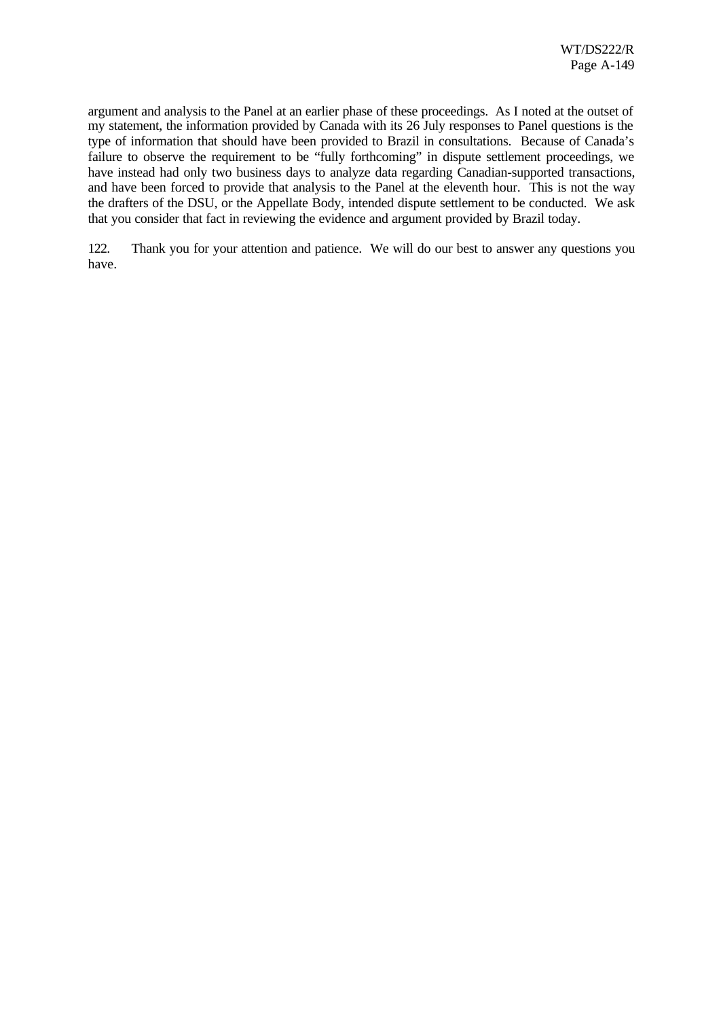argument and analysis to the Panel at an earlier phase of these proceedings. As I noted at the outset of my statement, the information provided by Canada with its 26 July responses to Panel questions is the type of information that should have been provided to Brazil in consultations. Because of Canada's failure to observe the requirement to be "fully forthcoming" in dispute settlement proceedings, we have instead had only two business days to analyze data regarding Canadian-supported transactions, and have been forced to provide that analysis to the Panel at the eleventh hour. This is not the way the drafters of the DSU, or the Appellate Body, intended dispute settlement to be conducted. We ask that you consider that fact in reviewing the evidence and argument provided by Brazil today.

122. Thank you for your attention and patience. We will do our best to answer any questions you have.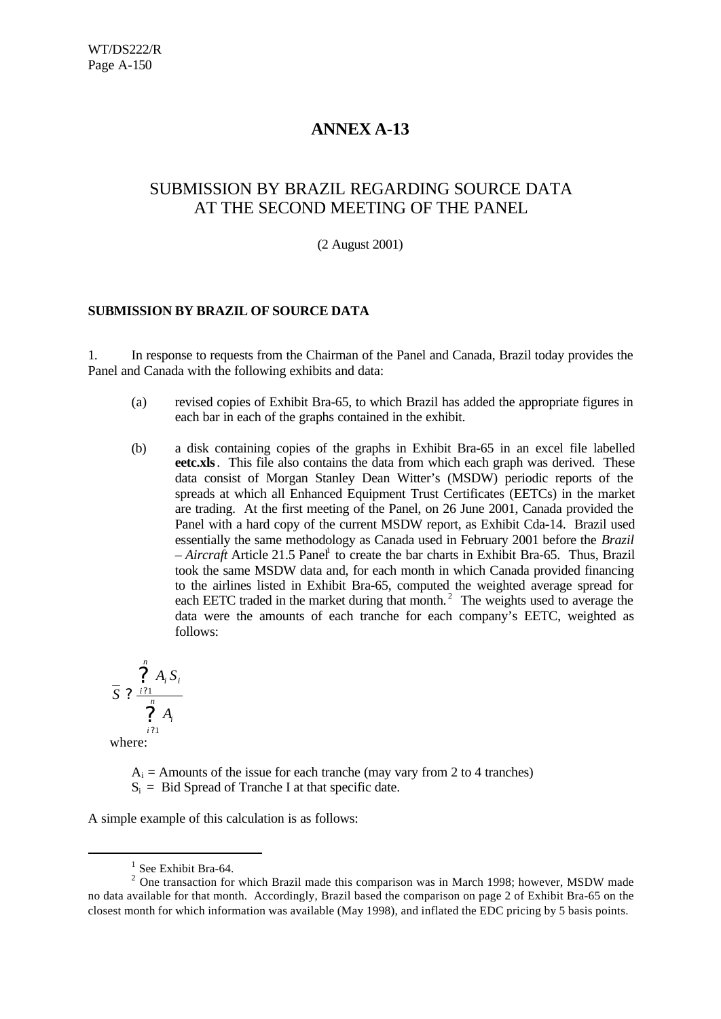# **ANNEX A-13**

## SUBMISSION BY BRAZIL REGARDING SOURCE DATA AT THE SECOND MEETING OF THE PANEL

(2 August 2001)

## **SUBMISSION BY BRAZIL OF SOURCE DATA**

1. In response to requests from the Chairman of the Panel and Canada, Brazil today provides the Panel and Canada with the following exhibits and data:

- (a) revised copies of Exhibit Bra-65, to which Brazil has added the appropriate figures in each bar in each of the graphs contained in the exhibit.
- (b) a disk containing copies of the graphs in Exhibit Bra-65 in an excel file labelled **eetc.xls**. This file also contains the data from which each graph was derived. These data consist of Morgan Stanley Dean Witter's (MSDW) periodic reports of the spreads at which all Enhanced Equipment Trust Certificates (EETCs) in the market are trading. At the first meeting of the Panel, on 26 June 2001, Canada provided the Panel with a hard copy of the current MSDW report, as Exhibit Cda-14. Brazil used essentially the same methodology as Canada used in February 2001 before the *Brazil* – Aircraft Article 21.5 Panel<sup>1</sup> to create the bar charts in Exhibit Bra-65. Thus, Brazil took the same MSDW data and, for each month in which Canada provided financing to the airlines listed in Exhibit Bra-65, computed the weighted average spread for each EETC traded in the market during that month. $2$  The weights used to average the data were the amounts of each tranche for each company's EETC, weighted as follows:

$$
\overline{S} \begin{array}{c} \overline{S} \\ \overline{S} \end{array} \begin{array}{c} \overline{S} \\ \overline{S} \end{array} \begin{array}{c} \overline{S} \\ \overline{S} \end{array}
$$

where:

l

 $A_i$  = Amounts of the issue for each tranche (may vary from 2 to 4 tranches)  $S_i$  = Bid Spread of Tranche I at that specific date.

A simple example of this calculation is as follows:

<sup>&</sup>lt;sup>1</sup> See Exhibit Bra-64.

 $2$  One transaction for which Brazil made this comparison was in March 1998; however, MSDW made no data available for that month. Accordingly, Brazil based the comparison on page 2 of Exhibit Bra-65 on the closest month for which information was available (May 1998), and inflated the EDC pricing by 5 basis points.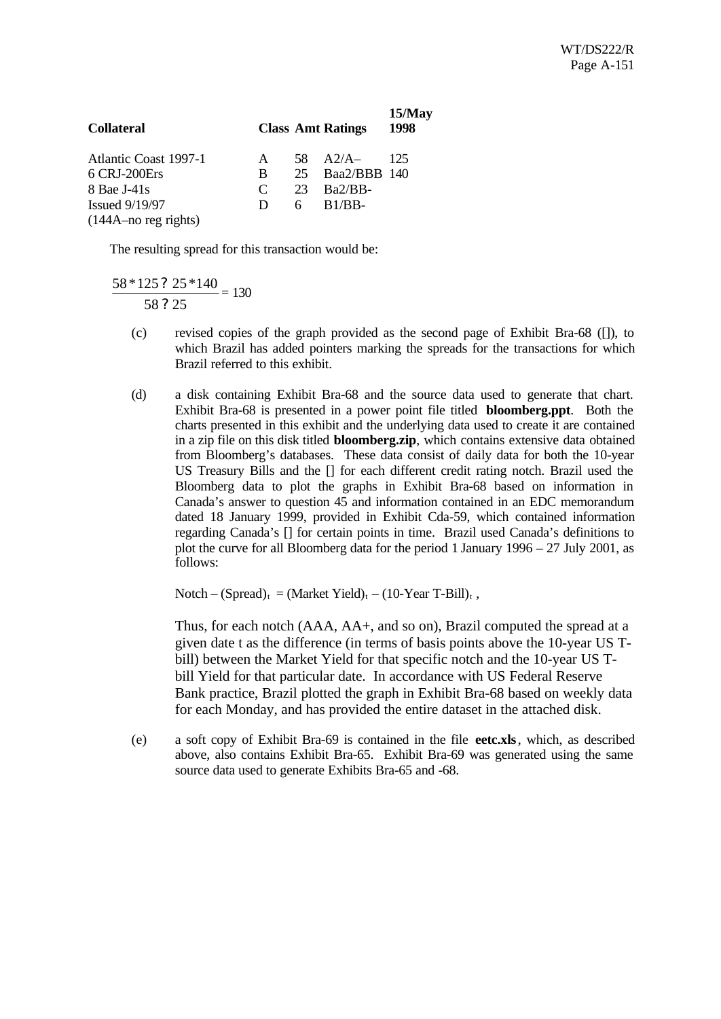| <b>Collateral</b>        |              |     | <b>Class Amt Ratings</b> | 15/May<br>1998 |
|--------------------------|--------------|-----|--------------------------|----------------|
| Atlantic Coast 1997-1    | $\mathsf{A}$ |     | 58 $A2/A-$               | 125            |
| 6 CRJ-200Ers             | B            | 25. | Baa2/BBB 140             |                |
| 8 Bae J-41s              | C            | 23. | Ba2/BB-                  |                |
| Issued $9/19/97$         | D            | 6   | $B1/BB-$                 |                |
| $(144A - no$ reg rights) |              |     |                          |                |

The resulting spread for this transaction would be:

58 ? 25  $\frac{58 * 125 ? 25 * 140}{25 * 140} = 130$ 

- (c) revised copies of the graph provided as the second page of Exhibit Bra-68 ([]), to which Brazil has added pointers marking the spreads for the transactions for which Brazil referred to this exhibit.
- (d) a disk containing Exhibit Bra-68 and the source data used to generate that chart. Exhibit Bra-68 is presented in a power point file titled **bloomberg.ppt**. Both the charts presented in this exhibit and the underlying data used to create it are contained in a zip file on this disk titled **bloomberg.zip**, which contains extensive data obtained from Bloomberg's databases. These data consist of daily data for both the 10-year US Treasury Bills and the [] for each different credit rating notch. Brazil used the Bloomberg data to plot the graphs in Exhibit Bra-68 based on information in Canada's answer to question 45 and information contained in an EDC memorandum dated 18 January 1999, provided in Exhibit Cda-59, which contained information regarding Canada's [] for certain points in time. Brazil used Canada's definitions to plot the curve for all Bloomberg data for the period 1 January 1996 – 27 July 2001, as follows:

Notch –  $(Spread)_t = (Market Yield)_t - (10$ -Year T-Bill)<sub>t</sub>,

Thus, for each notch (AAA, AA+, and so on), Brazil computed the spread at a given date t as the difference (in terms of basis points above the 10-year US Tbill) between the Market Yield for that specific notch and the 10-year US Tbill Yield for that particular date. In accordance with US Federal Reserve Bank practice, Brazil plotted the graph in Exhibit Bra-68 based on weekly data for each Monday, and has provided the entire dataset in the attached disk.

(e) a soft copy of Exhibit Bra-69 is contained in the file **eetc.xls**, which, as described above, also contains Exhibit Bra-65. Exhibit Bra-69 was generated using the same source data used to generate Exhibits Bra-65 and -68.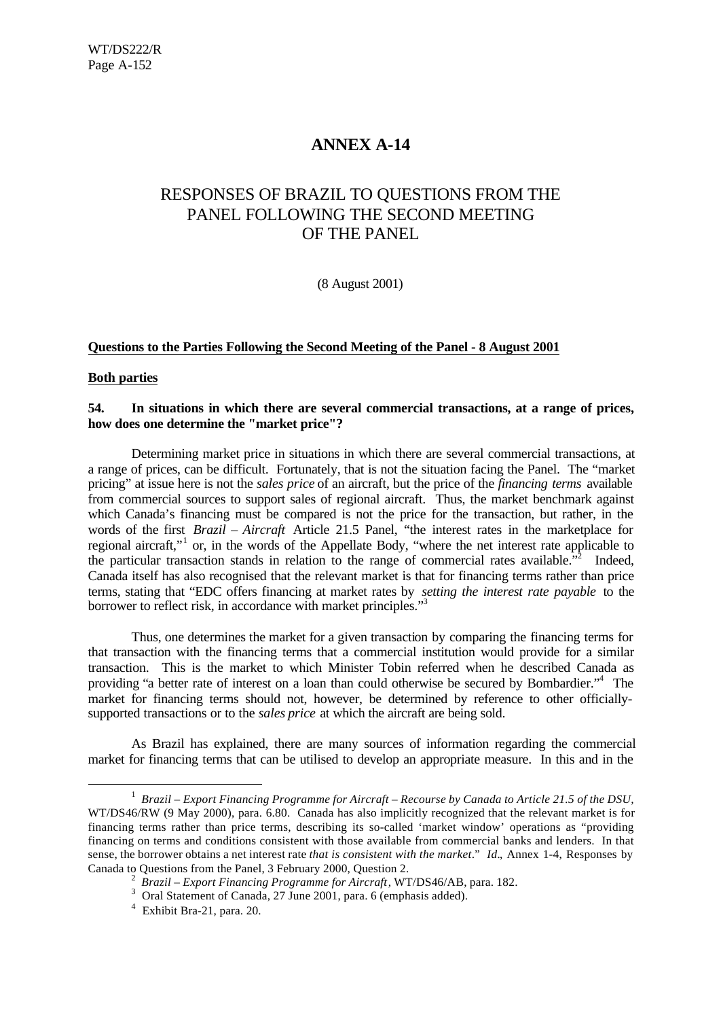# **ANNEX A-14**

# RESPONSES OF BRAZIL TO QUESTIONS FROM THE PANEL FOLLOWING THE SECOND MEETING OF THE PANEL

(8 August 2001)

#### **Questions to the Parties Following the Second Meeting of the Panel - 8 August 2001**

#### **Both parties**

l

#### **54. In situations in which there are several commercial transactions, at a range of prices, how does one determine the "market price"?**

Determining market price in situations in which there are several commercial transactions, at a range of prices, can be difficult. Fortunately, that is not the situation facing the Panel. The "market pricing" at issue here is not the *sales price* of an aircraft, but the price of the *financing terms* available from commercial sources to support sales of regional aircraft. Thus, the market benchmark against which Canada's financing must be compared is not the price for the transaction, but rather, in the words of the first *Brazil – Aircraft* Article 21.5 Panel, "the interest rates in the marketplace for regional aircraft,"<sup>1</sup> or, in the words of the Appellate Body, "where the net interest rate applicable to the particular transaction stands in relation to the range of commercial rates available.<sup>52</sup> Indeed, Canada itself has also recognised that the relevant market is that for financing terms rather than price terms, stating that "EDC offers financing at market rates by *setting the interest rate payable* to the borrower to reflect risk, in accordance with market principles."<sup>3</sup>

Thus, one determines the market for a given transaction by comparing the financing terms for that transaction with the financing terms that a commercial institution would provide for a similar transaction. This is the market to which Minister Tobin referred when he described Canada as providing "a better rate of interest on a loan than could otherwise be secured by Bombardier."<sup>4</sup> The market for financing terms should not, however, be determined by reference to other officiallysupported transactions or to the *sales price* at which the aircraft are being sold.

As Brazil has explained, there are many sources of information regarding the commercial market for financing terms that can be utilised to develop an appropriate measure. In this and in the

<sup>1</sup> *Brazil – Export Financing Programme for Aircraft – Recourse by Canada to Article 21.5 of the DSU,* WT/DS46/RW (9 May 2000), para. 6.80. Canada has also implicitly recognized that the relevant market is for financing terms rather than price terms, describing its so-called 'market window' operations as "providing financing on terms and conditions consistent with those available from commercial banks and lenders. In that sense, the borrower obtains a net interest rate *that is consistent with the market*." *Id.*, Annex 1-4, Responses by Canada to Questions from the Panel, 3 February 2000, Question 2.

<sup>2</sup> *Brazil – Export Financing Programme for Aircraft*, WT/DS46/AB, para. 182.

<sup>&</sup>lt;sup>3</sup> Oral Statement of Canada, 27 June 2001, para. 6 (emphasis added).

<sup>4</sup> Exhibit Bra-21, para. 20.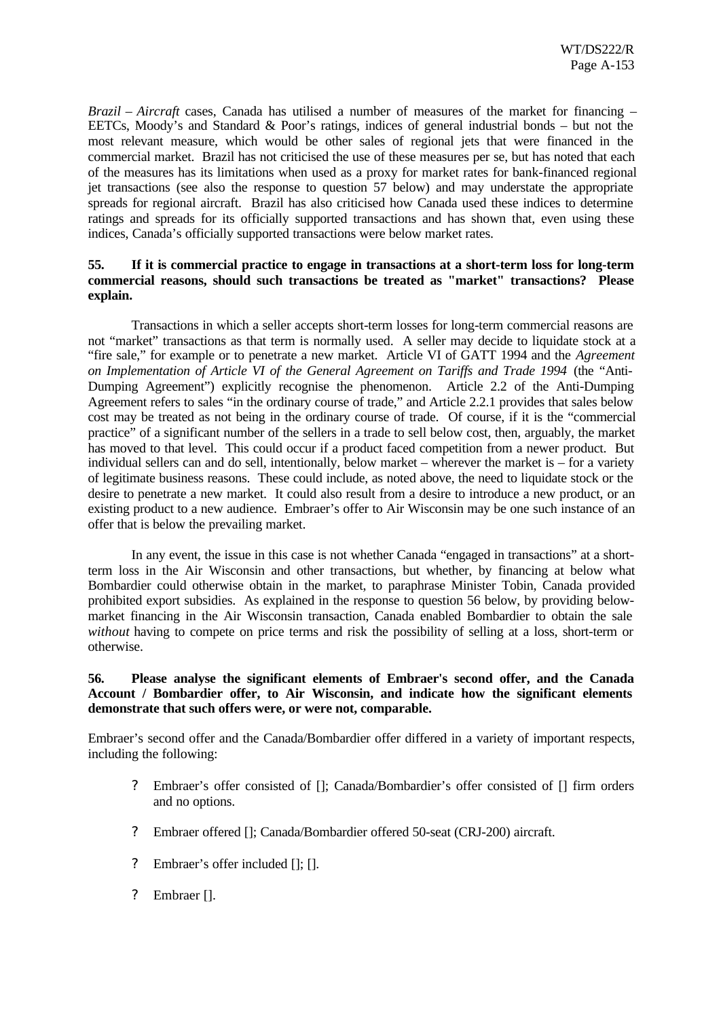*Brazil – Aircraft* cases, Canada has utilised a number of measures of the market for financing – EETCs, Moody's and Standard & Poor's ratings, indices of general industrial bonds – but not the most relevant measure, which would be other sales of regional jets that were financed in the commercial market. Brazil has not criticised the use of these measures per se, but has noted that each of the measures has its limitations when used as a proxy for market rates for bank-financed regional jet transactions (see also the response to question 57 below) and may understate the appropriate spreads for regional aircraft. Brazil has also criticised how Canada used these indices to determine ratings and spreads for its officially supported transactions and has shown that, even using these indices, Canada's officially supported transactions were below market rates.

### **55. If it is commercial practice to engage in transactions at a short-term loss for long-term commercial reasons, should such transactions be treated as "market" transactions? Please explain.**

Transactions in which a seller accepts short-term losses for long-term commercial reasons are not "market" transactions as that term is normally used. A seller may decide to liquidate stock at a "fire sale," for example or to penetrate a new market. Article VI of GATT 1994 and the *Agreement on Implementation of Article VI of the General Agreement on Tariffs and Trade 1994* (the "Anti-Dumping Agreement") explicitly recognise the phenomenon. Article 2.2 of the Anti-Dumping Agreement refers to sales "in the ordinary course of trade," and Article 2.2.1 provides that sales below cost may be treated as not being in the ordinary course of trade. Of course, if it is the "commercial practice" of a significant number of the sellers in a trade to sell below cost, then, arguably, the market has moved to that level. This could occur if a product faced competition from a newer product. But individual sellers can and do sell, intentionally, below market – wherever the market is – for a variety of legitimate business reasons. These could include, as noted above, the need to liquidate stock or the desire to penetrate a new market. It could also result from a desire to introduce a new product, or an existing product to a new audience. Embraer's offer to Air Wisconsin may be one such instance of an offer that is below the prevailing market.

In any event, the issue in this case is not whether Canada "engaged in transactions" at a shortterm loss in the Air Wisconsin and other transactions, but whether, by financing at below what Bombardier could otherwise obtain in the market, to paraphrase Minister Tobin, Canada provided prohibited export subsidies. As explained in the response to question 56 below, by providing belowmarket financing in the Air Wisconsin transaction, Canada enabled Bombardier to obtain the sale *without* having to compete on price terms and risk the possibility of selling at a loss, short-term or otherwise.

### **56. Please analyse the significant elements of Embraer's second offer, and the Canada Account / Bombardier offer, to Air Wisconsin, and indicate how the significant elements demonstrate that such offers were, or were not, comparable.**

Embraer's second offer and the Canada/Bombardier offer differed in a variety of important respects, including the following:

- ? Embraer's offer consisted of []; Canada/Bombardier's offer consisted of [] firm orders and no options.
- ? Embraer offered []; Canada/Bombardier offered 50-seat (CRJ-200) aircraft.
- ? Embraer's offer included []; [].
- ? Embraer [].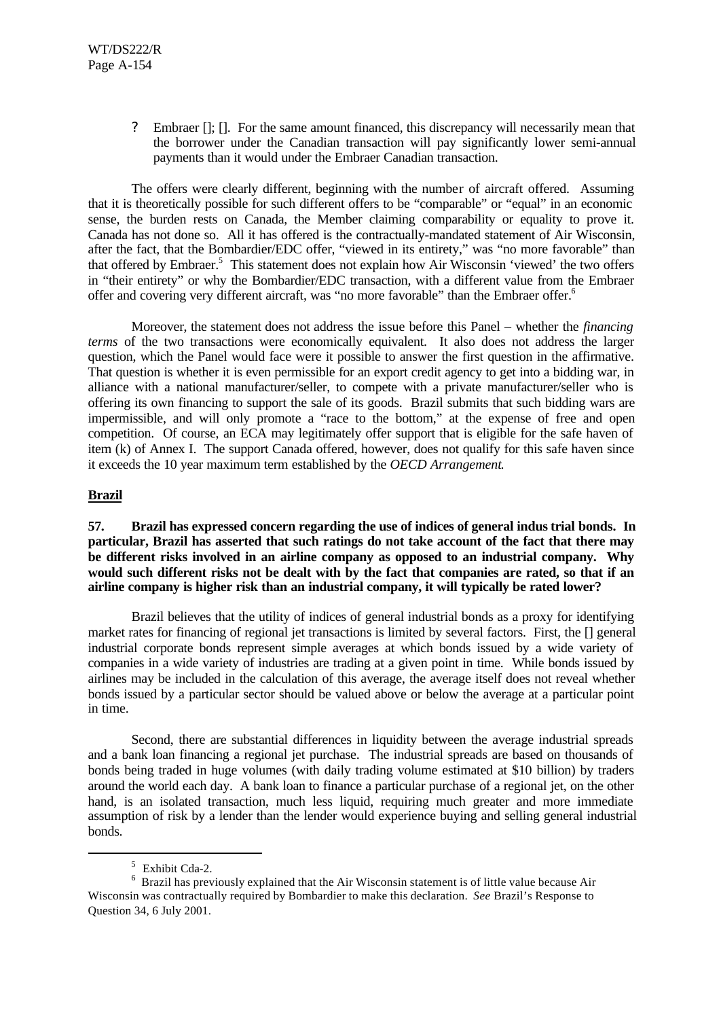? Embraer []; []. For the same amount financed, this discrepancy will necessarily mean that the borrower under the Canadian transaction will pay significantly lower semi-annual payments than it would under the Embraer Canadian transaction.

The offers were clearly different, beginning with the number of aircraft offered. Assuming that it is theoretically possible for such different offers to be "comparable" or "equal" in an economic sense, the burden rests on Canada, the Member claiming comparability or equality to prove it. Canada has not done so. All it has offered is the contractually-mandated statement of Air Wisconsin, after the fact, that the Bombardier/EDC offer, "viewed in its entirety," was "no more favorable" than that offered by Embraer.<sup>5</sup> This statement does not explain how Air Wisconsin 'viewed' the two offers in "their entirety" or why the Bombardier/EDC transaction, with a different value from the Embraer offer and covering very different aircraft, was "no more favorable" than the Embraer offer.<sup>6</sup>

Moreover, the statement does not address the issue before this Panel – whether the *financing terms* of the two transactions were economically equivalent. It also does not address the larger question, which the Panel would face were it possible to answer the first question in the affirmative. That question is whether it is even permissible for an export credit agency to get into a bidding war, in alliance with a national manufacturer/seller, to compete with a private manufacturer/seller who is offering its own financing to support the sale of its goods. Brazil submits that such bidding wars are impermissible, and will only promote a "race to the bottom," at the expense of free and open competition. Of course, an ECA may legitimately offer support that is eligible for the safe haven of item (k) of Annex I. The support Canada offered, however, does not qualify for this safe haven since it exceeds the 10 year maximum term established by the *OECD Arrangement*.

### **Brazil**

**57. Brazil has expressed concern regarding the use of indices of general industrial bonds. In particular, Brazil has asserted that such ratings do not take account of the fact that there may be different risks involved in an airline company as opposed to an industrial company. Why would such different risks not be dealt with by the fact that companies are rated, so that if an airline company is higher risk than an industrial company, it will typically be rated lower?**

Brazil believes that the utility of indices of general industrial bonds as a proxy for identifying market rates for financing of regional jet transactions is limited by several factors. First, the [] general industrial corporate bonds represent simple averages at which bonds issued by a wide variety of companies in a wide variety of industries are trading at a given point in time. While bonds issued by airlines may be included in the calculation of this average, the average itself does not reveal whether bonds issued by a particular sector should be valued above or below the average at a particular point in time.

Second, there are substantial differences in liquidity between the average industrial spreads and a bank loan financing a regional jet purchase. The industrial spreads are based on thousands of bonds being traded in huge volumes (with daily trading volume estimated at \$10 billion) by traders around the world each day. A bank loan to finance a particular purchase of a regional jet, on the other hand, is an isolated transaction, much less liquid, requiring much greater and more immediate assumption of risk by a lender than the lender would experience buying and selling general industrial bonds.

<sup>5</sup> Exhibit Cda-2.

 $6$  Brazil has previously explained that the Air Wisconsin statement is of little value because Air Wisconsin was contractually required by Bombardier to make this declaration. *See* Brazil's Response to Question 34, 6 July 2001.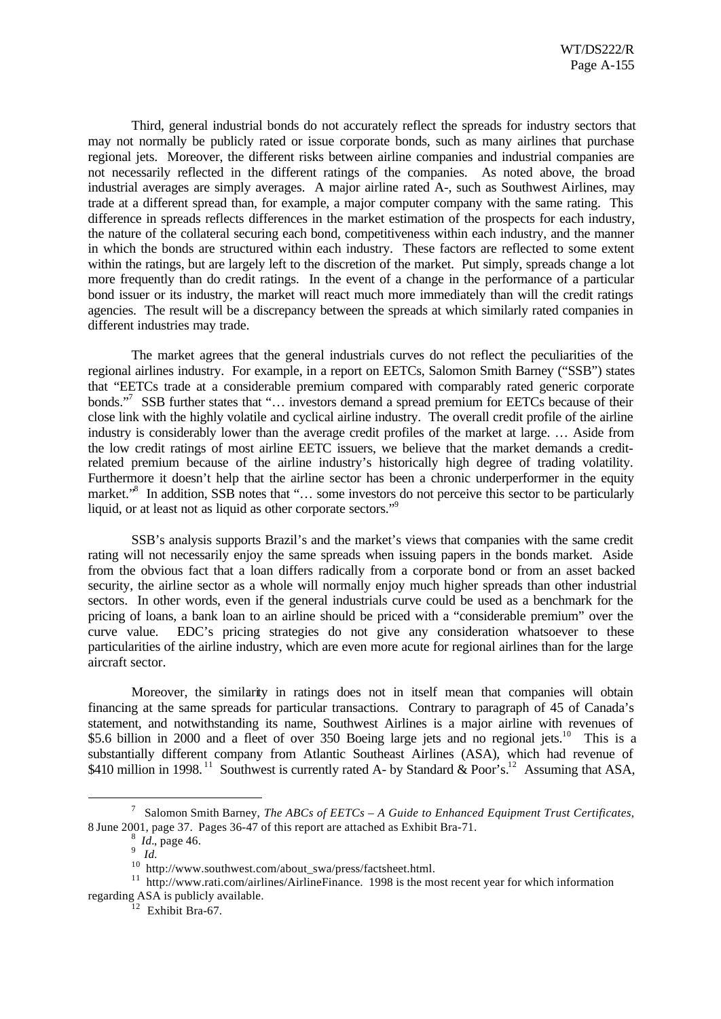Third, general industrial bonds do not accurately reflect the spreads for industry sectors that may not normally be publicly rated or issue corporate bonds, such as many airlines that purchase regional jets. Moreover, the different risks between airline companies and industrial companies are not necessarily reflected in the different ratings of the companies. As noted above, the broad industrial averages are simply averages. A major airline rated A-, such as Southwest Airlines, may trade at a different spread than, for example, a major computer company with the same rating. This difference in spreads reflects differences in the market estimation of the prospects for each industry, the nature of the collateral securing each bond, competitiveness within each industry, and the manner in which the bonds are structured within each industry. These factors are reflected to some extent within the ratings, but are largely left to the discretion of the market. Put simply, spreads change a lot more frequently than do credit ratings. In the event of a change in the performance of a particular bond issuer or its industry, the market will react much more immediately than will the credit ratings agencies. The result will be a discrepancy between the spreads at which similarly rated companies in different industries may trade.

The market agrees that the general industrials curves do not reflect the peculiarities of the regional airlines industry. For example, in a report on EETCs, Salomon Smith Barney ("SSB") states that "EETCs trade at a considerable premium compared with comparably rated generic corporate bonds."<sup>7</sup> SSB further states that "... investors demand a spread premium for EETCs because of their close link with the highly volatile and cyclical airline industry. The overall credit profile of the airline industry is considerably lower than the average credit profiles of the market at large. … Aside from the low credit ratings of most airline EETC issuers, we believe that the market demands a creditrelated premium because of the airline industry's historically high degree of trading volatility. Furthermore it doesn't help that the airline sector has been a chronic underperformer in the equity market.<sup>38</sup> In addition, SSB notes that "... some investors do not perceive this sector to be particularly liquid, or at least not as liquid as other corporate sectors."<sup>9</sup>

SSB's analysis supports Brazil's and the market's views that companies with the same credit rating will not necessarily enjoy the same spreads when issuing papers in the bonds market. Aside from the obvious fact that a loan differs radically from a corporate bond or from an asset backed security, the airline sector as a whole will normally enjoy much higher spreads than other industrial sectors. In other words, even if the general industrials curve could be used as a benchmark for the pricing of loans, a bank loan to an airline should be priced with a "considerable premium" over the curve value. EDC's pricing strategies do not give any consideration whatsoever to these particularities of the airline industry, which are even more acute for regional airlines than for the large aircraft sector.

Moreover, the similarity in ratings does not in itself mean that companies will obtain financing at the same spreads for particular transactions. Contrary to paragraph of 45 of Canada's statement, and notwithstanding its name, Southwest Airlines is a major airline with revenues of \$5.6 billion in 2000 and a fleet of over 350 Boeing large jets and no regional jets.<sup>10</sup> This is a substantially different company from Atlantic Southeast Airlines (ASA), which had revenue of \$410 million in 1998.<sup>11</sup> Southwest is currently rated A- by Standard & Poor's.<sup>12</sup> Assuming that ASA,

<sup>7</sup> Salomon Smith Barney, *The ABCs of EETCs – A Guide to Enhanced Equipment Trust Certificates*, 8 June 2001, page 37. Pages 36-47 of this report are attached as Exhibit Bra-71.

<sup>8</sup> *Id.*, page 46. 9 *Id.*

<sup>&</sup>lt;sup>10</sup> http://www.southwest.com/about\_swa/press/factsheet.html.

<sup>&</sup>lt;sup>11</sup> http://www.rati.com/airlines/AirlineFinance. 1998 is the most recent year for which information regarding ASA is publicly available.

 $12$  Exhibit Bra-67.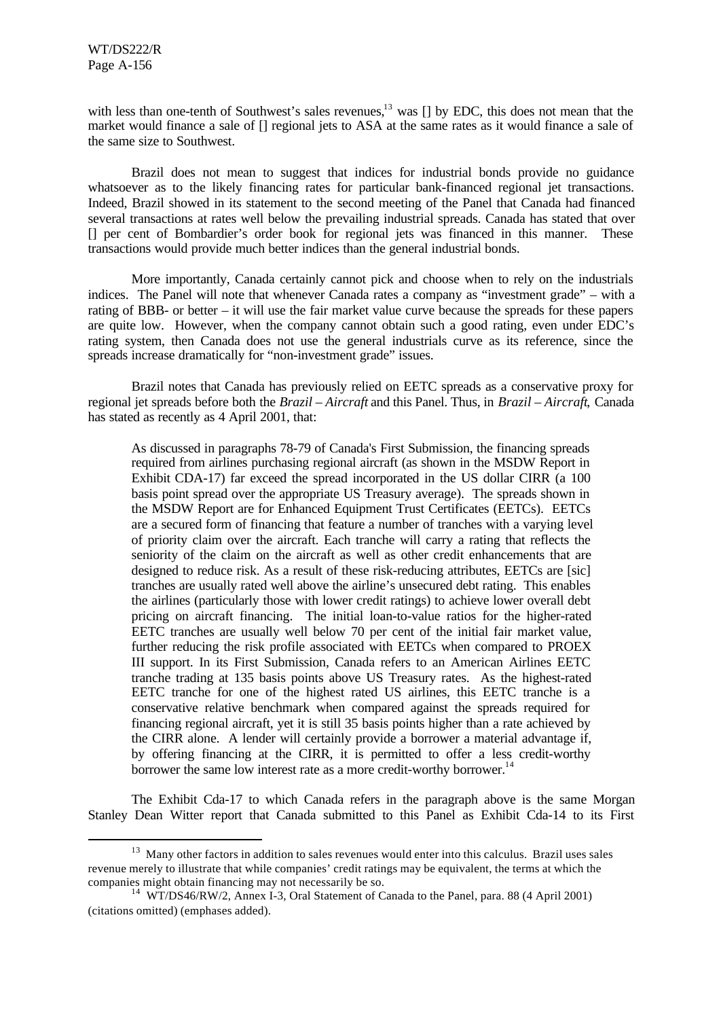l

with less than one-tenth of Southwest's sales revenues, $^{13}$  was [] by EDC, this does not mean that the market would finance a sale of [] regional jets to ASA at the same rates as it would finance a sale of the same size to Southwest.

Brazil does not mean to suggest that indices for industrial bonds provide no guidance whatsoever as to the likely financing rates for particular bank-financed regional jet transactions. Indeed, Brazil showed in its statement to the second meeting of the Panel that Canada had financed several transactions at rates well below the prevailing industrial spreads. Canada has stated that over [] per cent of Bombardier's order book for regional jets was financed in this manner. These transactions would provide much better indices than the general industrial bonds.

More importantly, Canada certainly cannot pick and choose when to rely on the industrials indices. The Panel will note that whenever Canada rates a company as "investment grade" – with a rating of BBB- or better – it will use the fair market value curve because the spreads for these papers are quite low. However, when the company cannot obtain such a good rating, even under EDC's rating system, then Canada does not use the general industrials curve as its reference, since the spreads increase dramatically for "non-investment grade" issues.

Brazil notes that Canada has previously relied on EETC spreads as a conservative proxy for regional jet spreads before both the *Brazil – Aircraft* and this Panel. Thus, in *Brazil – Aircraft*, Canada has stated as recently as 4 April 2001, that:

As discussed in paragraphs 78-79 of Canada's First Submission, the financing spreads required from airlines purchasing regional aircraft (as shown in the MSDW Report in Exhibit CDA-17) far exceed the spread incorporated in the US dollar CIRR (a 100 basis point spread over the appropriate US Treasury average). The spreads shown in the MSDW Report are for Enhanced Equipment Trust Certificates (EETCs). EETCs are a secured form of financing that feature a number of tranches with a varying level of priority claim over the aircraft. Each tranche will carry a rating that reflects the seniority of the claim on the aircraft as well as other credit enhancements that are designed to reduce risk. As a result of these risk-reducing attributes, EETCs are [sic] tranches are usually rated well above the airline's unsecured debt rating. This enables the airlines (particularly those with lower credit ratings) to achieve lower overall debt pricing on aircraft financing. The initial loan-to-value ratios for the higher-rated EETC tranches are usually well below 70 per cent of the initial fair market value, further reducing the risk profile associated with EETCs when compared to PROEX III support. In its First Submission, Canada refers to an American Airlines EETC tranche trading at 135 basis points above US Treasury rates. As the highest-rated EETC tranche for one of the highest rated US airlines, this EETC tranche is a conservative relative benchmark when compared against the spreads required for financing regional aircraft, yet it is still 35 basis points higher than a rate achieved by the CIRR alone. A lender will certainly provide a borrower a material advantage if, by offering financing at the CIRR, it is permitted to offer a less credit-worthy borrower the same low interest rate as a more credit-worthy borrower.<sup>14</sup>

The Exhibit Cda-17 to which Canada refers in the paragraph above is the same Morgan Stanley Dean Witter report that Canada submitted to this Panel as Exhibit Cda-14 to its First

<sup>&</sup>lt;sup>13</sup> Many other factors in addition to sales revenues would enter into this calculus. Brazil uses sales revenue merely to illustrate that while companies' credit ratings may be equivalent, the terms at which the companies might obtain financing may not necessarily be so.

<sup>&</sup>lt;sup>14</sup> WT/DS46/RW/2, Annex I-3, Oral Statement of Canada to the Panel, para. 88 (4 April 2001) (citations omitted) (emphases added).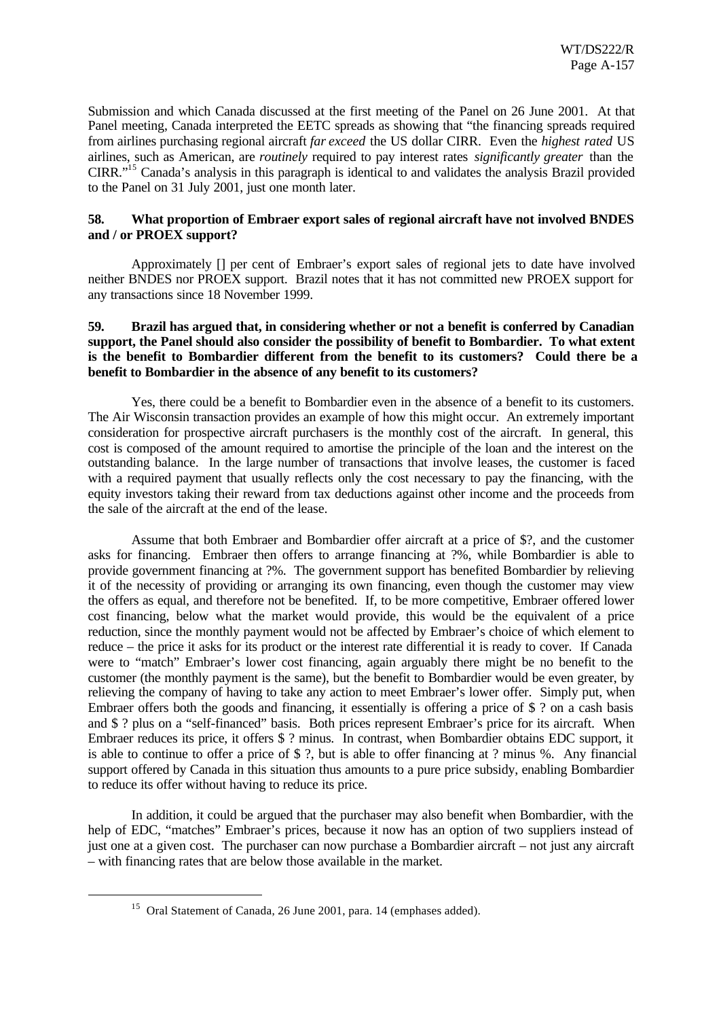Submission and which Canada discussed at the first meeting of the Panel on 26 June 2001. At that Panel meeting, Canada interpreted the EETC spreads as showing that "the financing spreads required from airlines purchasing regional aircraft *far exceed* the US dollar CIRR. Even the *highest rated* US airlines, such as American, are *routinely* required to pay interest rates *significantly greater* than the CIRR."<sup>15</sup> Canada's analysis in this paragraph is identical to and validates the analysis Brazil provided to the Panel on 31 July 2001, just one month later.

### **58. What proportion of Embraer export sales of regional aircraft have not involved BNDES and / or PROEX support?**

Approximately [] per cent of Embraer's export sales of regional jets to date have involved neither BNDES nor PROEX support. Brazil notes that it has not committed new PROEX support for any transactions since 18 November 1999.

#### **59. Brazil has argued that, in considering whether or not a benefit is conferred by Canadian support, the Panel should also consider the possibility of benefit to Bombardier. To what extent is the benefit to Bombardier different from the benefit to its customers? Could there be a benefit to Bombardier in the absence of any benefit to its customers?**

Yes, there could be a benefit to Bombardier even in the absence of a benefit to its customers. The Air Wisconsin transaction provides an example of how this might occur. An extremely important consideration for prospective aircraft purchasers is the monthly cost of the aircraft. In general, this cost is composed of the amount required to amortise the principle of the loan and the interest on the outstanding balance. In the large number of transactions that involve leases, the customer is faced with a required payment that usually reflects only the cost necessary to pay the financing, with the equity investors taking their reward from tax deductions against other income and the proceeds from the sale of the aircraft at the end of the lease.

Assume that both Embraer and Bombardier offer aircraft at a price of \$?, and the customer asks for financing. Embraer then offers to arrange financing at ?%, while Bombardier is able to provide government financing at ?%. The government support has benefited Bombardier by relieving it of the necessity of providing or arranging its own financing, even though the customer may view the offers as equal, and therefore not be benefited. If, to be more competitive, Embraer offered lower cost financing, below what the market would provide, this would be the equivalent of a price reduction, since the monthly payment would not be affected by Embraer's choice of which element to reduce – the price it asks for its product or the interest rate differential it is ready to cover. If Canada were to "match" Embraer's lower cost financing, again arguably there might be no benefit to the customer (the monthly payment is the same), but the benefit to Bombardier would be even greater, by relieving the company of having to take any action to meet Embraer's lower offer. Simply put, when Embraer offers both the goods and financing, it essentially is offering a price of \$ ? on a cash basis and \$ ? plus on a "self-financed" basis. Both prices represent Embraer's price for its aircraft. When Embraer reduces its price, it offers \$ ? minus. In contrast, when Bombardier obtains EDC support, it is able to continue to offer a price of \$ ?, but is able to offer financing at ? minus %. Any financial support offered by Canada in this situation thus amounts to a pure price subsidy, enabling Bombardier to reduce its offer without having to reduce its price.

In addition, it could be argued that the purchaser may also benefit when Bombardier, with the help of EDC, "matches" Embraer's prices, because it now has an option of two suppliers instead of just one at a given cost. The purchaser can now purchase a Bombardier aircraft – not just any aircraft – with financing rates that are below those available in the market.

<sup>&</sup>lt;sup>15</sup> Oral Statement of Canada, 26 June 2001, para. 14 (emphases added).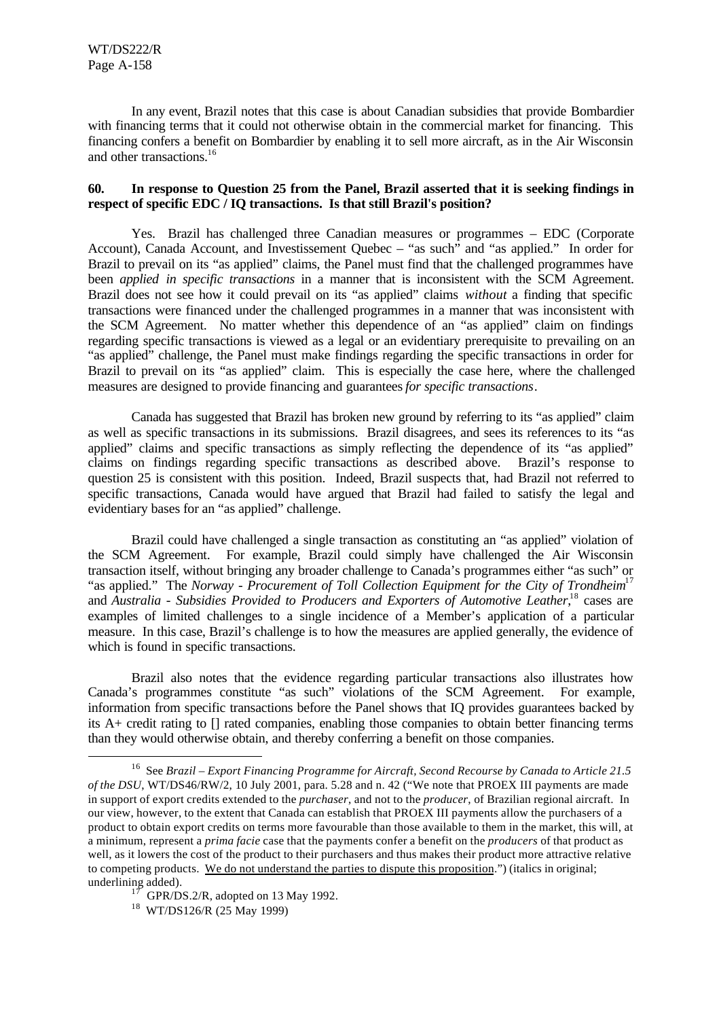In any event, Brazil notes that this case is about Canadian subsidies that provide Bombardier with financing terms that it could not otherwise obtain in the commercial market for financing. This financing confers a benefit on Bombardier by enabling it to sell more aircraft, as in the Air Wisconsin and other transactions.<sup>16</sup>

#### **60. In response to Question 25 from the Panel, Brazil asserted that it is seeking findings in respect of specific EDC / IQ transactions. Is that still Brazil's position?**

Yes. Brazil has challenged three Canadian measures or programmes – EDC (Corporate Account), Canada Account, and Investissement Quebec – "as such" and "as applied." In order for Brazil to prevail on its "as applied" claims, the Panel must find that the challenged programmes have been *applied in specific transactions* in a manner that is inconsistent with the SCM Agreement. Brazil does not see how it could prevail on its "as applied" claims *without* a finding that specific transactions were financed under the challenged programmes in a manner that was inconsistent with the SCM Agreement. No matter whether this dependence of an "as applied" claim on findings regarding specific transactions is viewed as a legal or an evidentiary prerequisite to prevailing on an "as applied" challenge, the Panel must make findings regarding the specific transactions in order for Brazil to prevail on its "as applied" claim. This is especially the case here, where the challenged measures are designed to provide financing and guarantees *for specific transactions*.

Canada has suggested that Brazil has broken new ground by referring to its "as applied" claim as well as specific transactions in its submissions. Brazil disagrees, and sees its references to its "as applied" claims and specific transactions as simply reflecting the dependence of its "as applied" claims on findings regarding specific transactions as described above. Brazil's response to question 25 is consistent with this position. Indeed, Brazil suspects that, had Brazil not referred to specific transactions, Canada would have argued that Brazil had failed to satisfy the legal and evidentiary bases for an "as applied" challenge.

Brazil could have challenged a single transaction as constituting an "as applied" violation of the SCM Agreement. For example, Brazil could simply have challenged the Air Wisconsin transaction itself, without bringing any broader challenge to Canada's programmes either "as such" or "as applied." The *Norway - Procurement of Toll Collection Equipment for the City of Trondheim*<sup>17</sup> and Australia - Subsidies Provided to Producers and Exporters of Automotive Leather,<sup>18</sup> cases are examples of limited challenges to a single incidence of a Member's application of a particular measure. In this case, Brazil's challenge is to how the measures are applied generally, the evidence of which is found in specific transactions.

Brazil also notes that the evidence regarding particular transactions also illustrates how Canada's programmes constitute "as such" violations of the SCM Agreement. For example, information from specific transactions before the Panel shows that IQ provides guarantees backed by its A+ credit rating to [] rated companies, enabling those companies to obtain better financing terms than they would otherwise obtain, and thereby conferring a benefit on those companies.

<sup>16</sup> See *Brazil – Export Financing Programme for Aircraft, Second Recourse by Canada to Article 21.5 of the DSU*, WT/DS46/RW/2, 10 July 2001, para. 5.28 and n. 42 ("We note that PROEX III payments are made in support of export credits extended to the *purchaser*, and not to the *producer*, of Brazilian regional aircraft. In our view, however, to the extent that Canada can establish that PROEX III payments allow the purchasers of a product to obtain export credits on terms more favourable than those available to them in the market, this will, at a minimum, represent a *prima facie* case that the payments confer a benefit on the *producers* of that product as well, as it lowers the cost of the product to their purchasers and thus makes their product more attractive relative to competing products. We do not understand the parties to dispute this proposition.") (italics in original; underlining added).

<sup>17</sup> GPR/DS.2/R, adopted on 13 May 1992.

<sup>18</sup> WT/DS126/R (25 May 1999)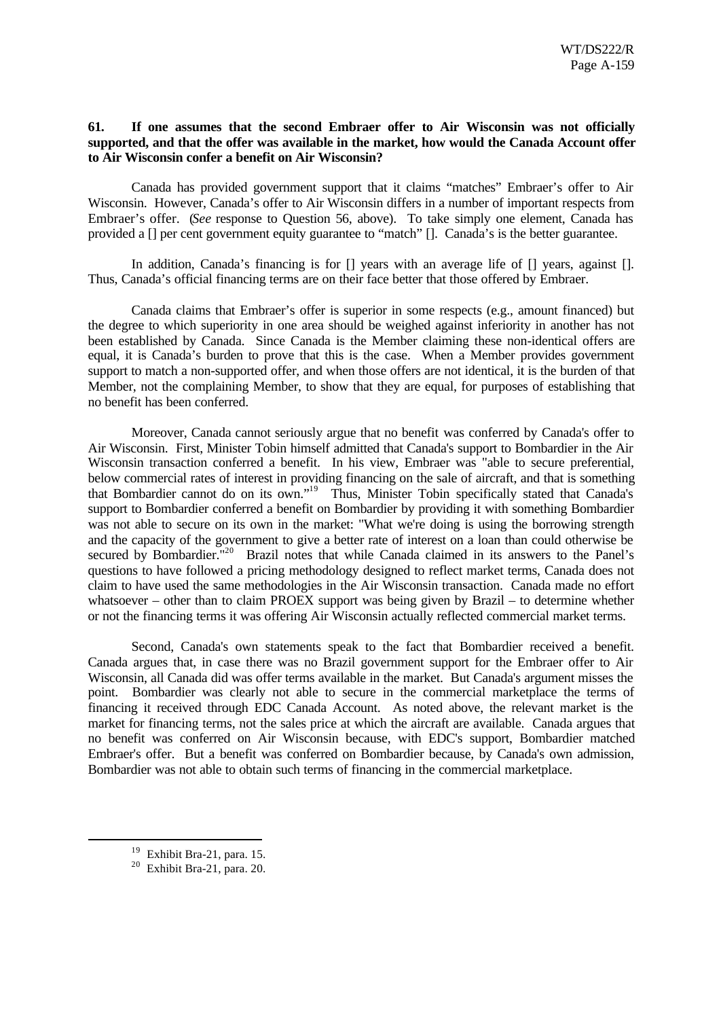#### **61. If one assumes that the second Embraer offer to Air Wisconsin was not officially supported, and that the offer was available in the market, how would the Canada Account offer to Air Wisconsin confer a benefit on Air Wisconsin?**

Canada has provided government support that it claims "matches" Embraer's offer to Air Wisconsin. However, Canada's offer to Air Wisconsin differs in a number of important respects from Embraer's offer. (*See* response to Question 56, above). To take simply one element, Canada has provided a [] per cent government equity guarantee to "match" []. Canada's is the better guarantee.

In addition, Canada's financing is for [] years with an average life of [] years, against []. Thus, Canada's official financing terms are on their face better that those offered by Embraer.

Canada claims that Embraer's offer is superior in some respects (e.g., amount financed) but the degree to which superiority in one area should be weighed against inferiority in another has not been established by Canada. Since Canada is the Member claiming these non-identical offers are equal, it is Canada's burden to prove that this is the case. When a Member provides government support to match a non-supported offer, and when those offers are not identical, it is the burden of that Member, not the complaining Member, to show that they are equal, for purposes of establishing that no benefit has been conferred.

Moreover, Canada cannot seriously argue that no benefit was conferred by Canada's offer to Air Wisconsin. First, Minister Tobin himself admitted that Canada's support to Bombardier in the Air Wisconsin transaction conferred a benefit. In his view, Embraer was "able to secure preferential, below commercial rates of interest in providing financing on the sale of aircraft, and that is something that Bombardier cannot do on its own."<sup>19</sup> Thus, Minister Tobin specifically stated that Canada's support to Bombardier conferred a benefit on Bombardier by providing it with something Bombardier was not able to secure on its own in the market: "What we're doing is using the borrowing strength and the capacity of the government to give a better rate of interest on a loan than could otherwise be secured by Bombardier."<sup>20</sup> Brazil notes that while Canada claimed in its answers to the Panel's questions to have followed a pricing methodology designed to reflect market terms, Canada does not claim to have used the same methodologies in the Air Wisconsin transaction. Canada made no effort whatsoever – other than to claim PROEX support was being given by Brazil – to determine whether or not the financing terms it was offering Air Wisconsin actually reflected commercial market terms.

Second, Canada's own statements speak to the fact that Bombardier received a benefit. Canada argues that, in case there was no Brazil government support for the Embraer offer to Air Wisconsin, all Canada did was offer terms available in the market. But Canada's argument misses the point. Bombardier was clearly not able to secure in the commercial marketplace the terms of financing it received through EDC Canada Account. As noted above, the relevant market is the market for financing terms, not the sales price at which the aircraft are available. Canada argues that no benefit was conferred on Air Wisconsin because, with EDC's support, Bombardier matched Embraer's offer. But a benefit was conferred on Bombardier because, by Canada's own admission, Bombardier was not able to obtain such terms of financing in the commercial marketplace.

 $19$  Exhibit Bra-21, para. 15.

<sup>20</sup> Exhibit Bra-21, para. 20.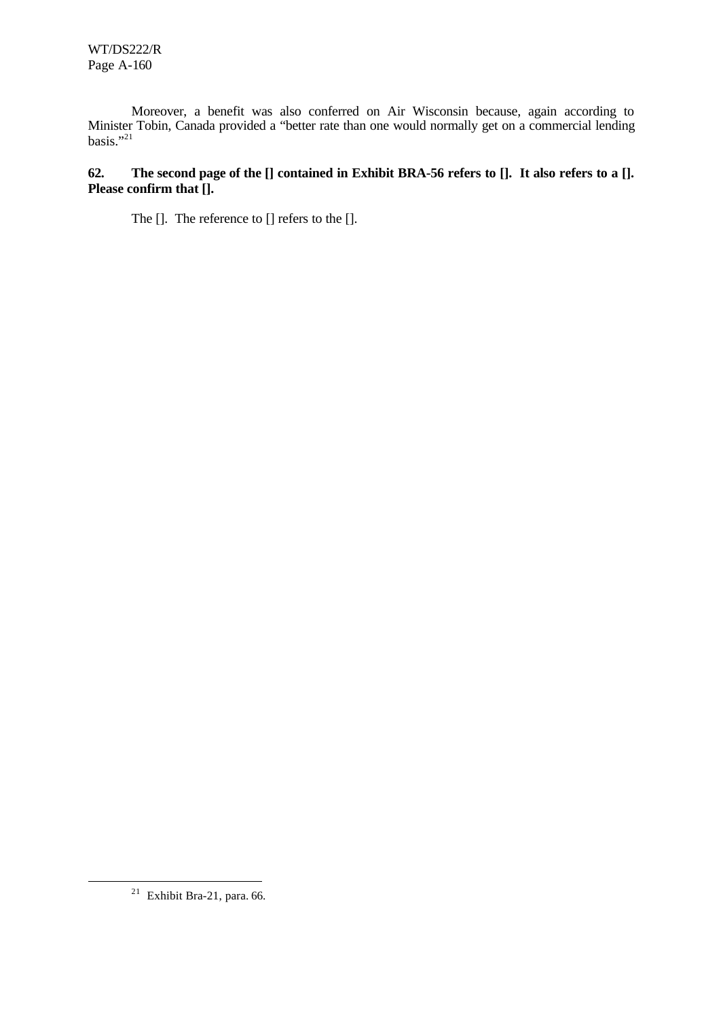Moreover, a benefit was also conferred on Air Wisconsin because, again according to Minister Tobin, Canada provided a "better rate than one would normally get on a commercial lending basis." $^{21}$ 

## **62. The second page of the [] contained in Exhibit BRA-56 refers to []. It also refers to a []. Please confirm that [].**

The []. The reference to [] refers to the [].

<sup>&</sup>lt;sup>21</sup> Exhibit Bra-21, para. 66.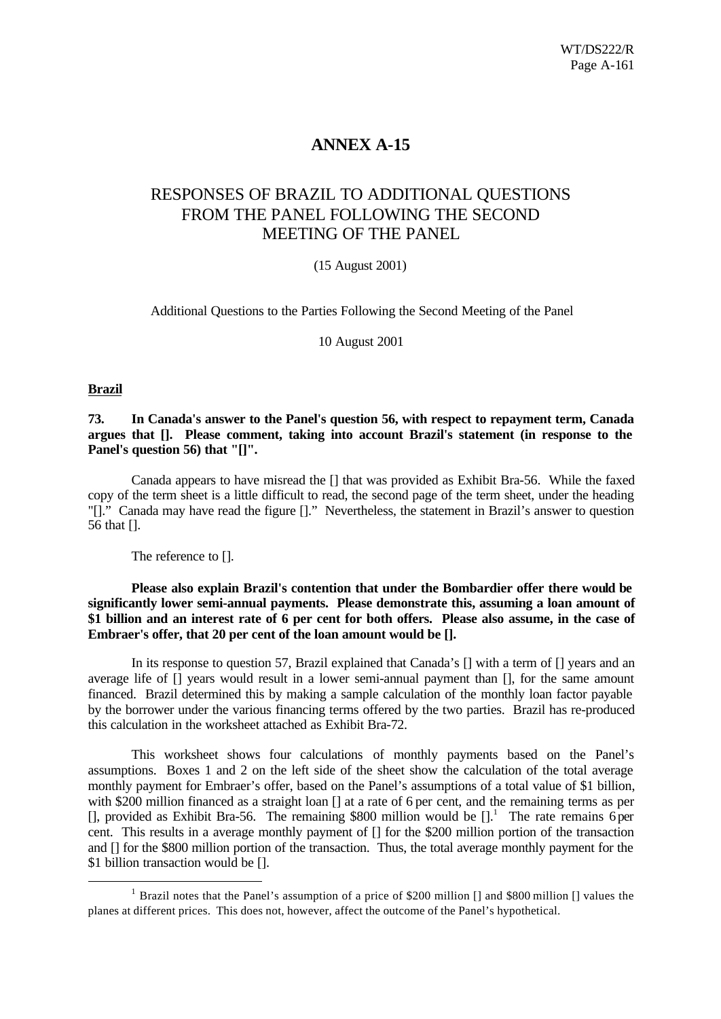# **ANNEX A-15**

# RESPONSES OF BRAZIL TO ADDITIONAL QUESTIONS FROM THE PANEL FOLLOWING THE SECOND MEETING OF THE PANEL

#### (15 August 2001)

Additional Questions to the Parties Following the Second Meeting of the Panel

10 August 2001

#### **Brazil**

l

#### **73. In Canada's answer to the Panel's question 56, with respect to repayment term, Canada argues that []. Please comment, taking into account Brazil's statement (in response to the Panel's question 56) that "[]".**

Canada appears to have misread the [] that was provided as Exhibit Bra-56. While the faxed copy of the term sheet is a little difficult to read, the second page of the term sheet, under the heading "[]." Canada may have read the figure []." Nevertheless, the statement in Brazil's answer to question 56 that [].

The reference to [].

### **Please also explain Brazil's contention that under the Bombardier offer there would be significantly lower semi-annual payments. Please demonstrate this, assuming a loan amount of \$1 billion and an interest rate of 6 per cent for both offers. Please also assume, in the case of Embraer's offer, that 20 per cent of the loan amount would be [].**

In its response to question 57, Brazil explained that Canada's  $[]$  with a term of  $[]$  years and an average life of [] years would result in a lower semi-annual payment than [], for the same amount financed. Brazil determined this by making a sample calculation of the monthly loan factor payable by the borrower under the various financing terms offered by the two parties. Brazil has re-produced this calculation in the worksheet attached as Exhibit Bra-72.

This worksheet shows four calculations of monthly payments based on the Panel's assumptions. Boxes 1 and 2 on the left side of the sheet show the calculation of the total average monthly payment for Embraer's offer, based on the Panel's assumptions of a total value of \$1 billion, with \$200 million financed as a straight loan [] at a rate of 6 per cent, and the remaining terms as per [], provided as Exhibit Bra-56. The remaining \$800 million would be  $[]$ <sup>1</sup>. The rate remains 6 per cent. This results in a average monthly payment of [] for the \$200 million portion of the transaction and [] for the \$800 million portion of the transaction. Thus, the total average monthly payment for the \$1 billion transaction would be [].

<sup>&</sup>lt;sup>1</sup> Brazil notes that the Panel's assumption of a price of \$200 million [] and \$800 million [] values the planes at different prices. This does not, however, affect the outcome of the Panel's hypothetical.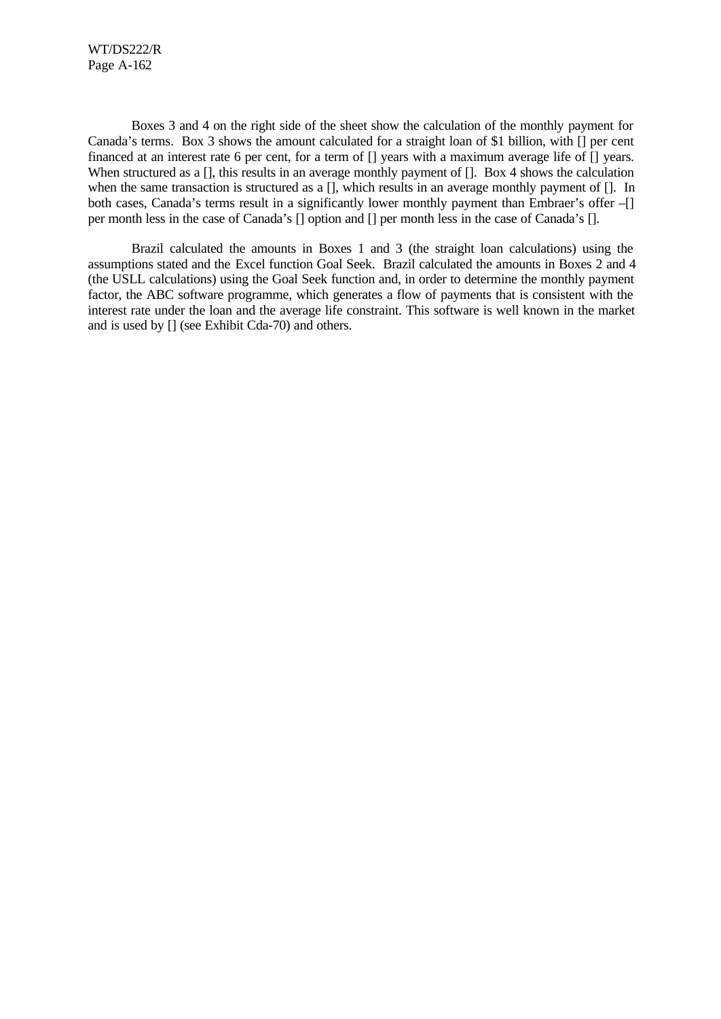Boxes 3 and 4 on the right side of the sheet show the calculation of the monthly payment for Canada's terms. Box 3 shows the amount calculated for a straight loan of \$1 billion, with [] per cent financed at an interest rate 6 per cent, for a term of [] years with a maximum average life of [] years. When structured as a  $\lceil \cdot \rceil$ , this results in an average monthly payment of  $\lceil \cdot \rceil$ . Box 4 shows the calculation when the same transaction is structured as a [], which results in an average monthly payment of []. In both cases, Canada's terms result in a significantly lower monthly payment than Embraer's offer –[] per month less in the case of Canada's [] option and [] per month less in the case of Canada's [].

Brazil calculated the amounts in Boxes 1 and 3 (the straight loan calculations) using the assumptions stated and the Excel function Goal Seek. Brazil calculated the amounts in Boxes 2 and 4 (the USLL calculations) using the Goal Seek function and, in order to determine the monthly payment factor, the ABC software programme, which generates a flow of payments that is consistent with the interest rate under the loan and the average life constraint. This software is well known in the market and is used by [] (see Exhibit Cda-70) and others.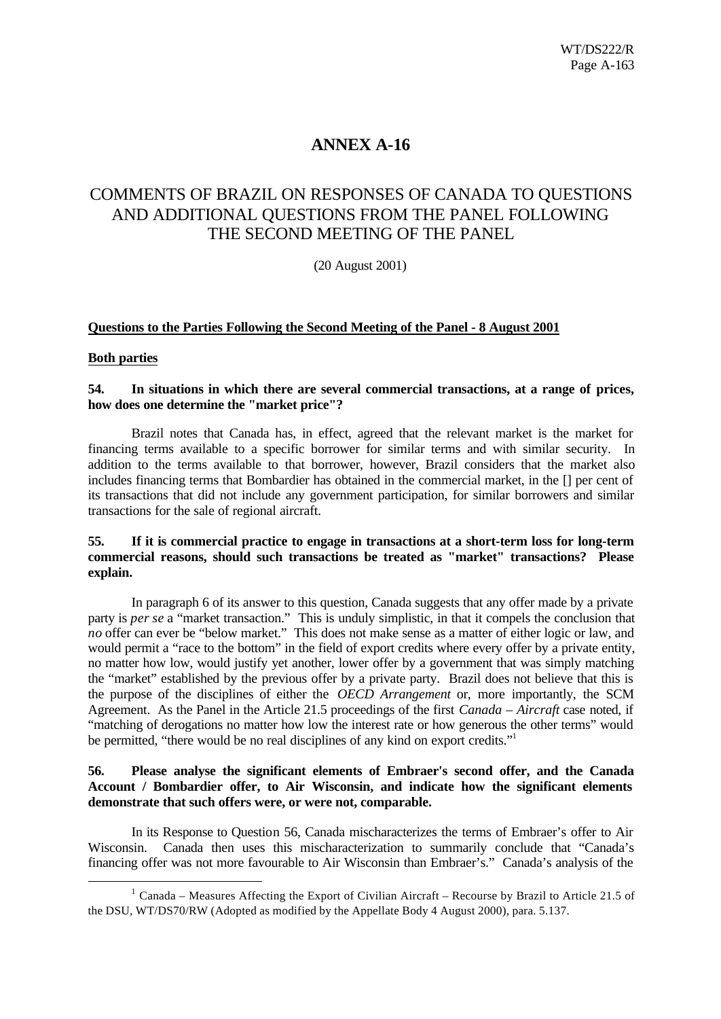# **ANNEX A-16**

# COMMENTS OF BRAZIL ON RESPONSES OF CANADA TO QUESTIONS AND ADDITIONAL QUESTIONS FROM THE PANEL FOLLOWING THE SECOND MEETING OF THE PANEL

## (20 August 2001)

#### **Questions to the Parties Following the Second Meeting of the Panel - 8 August 2001**

### **Both parties**

l

#### **54. In situations in which there are several commercial transactions, at a range of prices, how does one determine the "market price"?**

Brazil notes that Canada has, in effect, agreed that the relevant market is the market for financing terms available to a specific borrower for similar terms and with similar security. In addition to the terms available to that borrower, however, Brazil considers that the market also includes financing terms that Bombardier has obtained in the commercial market, in the [] per cent of its transactions that did not include any government participation, for similar borrowers and similar transactions for the sale of regional aircraft.

#### **55. If it is commercial practice to engage in transactions at a short-term loss for long-term commercial reasons, should such transactions be treated as "market" transactions? Please explain.**

In paragraph 6 of its answer to this question, Canada suggests that any offer made by a private party is *per se* a "market transaction." This is unduly simplistic, in that it compels the conclusion that *no* offer can ever be "below market." This does not make sense as a matter of either logic or law, and would permit a "race to the bottom" in the field of export credits where every offer by a private entity, no matter how low, would justify yet another, lower offer by a government that was simply matching the "market" established by the previous offer by a private party. Brazil does not believe that this is the purpose of the disciplines of either the *OECD Arrangement* or, more importantly, the SCM Agreement. As the Panel in the Article 21.5 proceedings of the first *Canada – Aircraft* case noted, if "matching of derogations no matter how low the interest rate or how generous the other terms" would be permitted, "there would be no real disciplines of any kind on export credits."<sup>1</sup>

#### **56. Please analyse the significant elements of Embraer's second offer, and the Canada Account / Bombardier offer, to Air Wisconsin, and indicate how the significant elements demonstrate that such offers were, or were not, comparable.**

In its Response to Question 56, Canada mischaracterizes the terms of Embraer's offer to Air Wisconsin. Canada then uses this mischaracterization to summarily conclude that "Canada's financing offer was not more favourable to Air Wisconsin than Embraer's." Canada's analysis of the

<sup>&</sup>lt;sup>1</sup> Canada – Measures Affecting the Export of Civilian Aircraft – Recourse by Brazil to Article 21.5 of the DSU, WT/DS70/RW (Adopted as modified by the Appellate Body 4 August 2000), para. 5.137.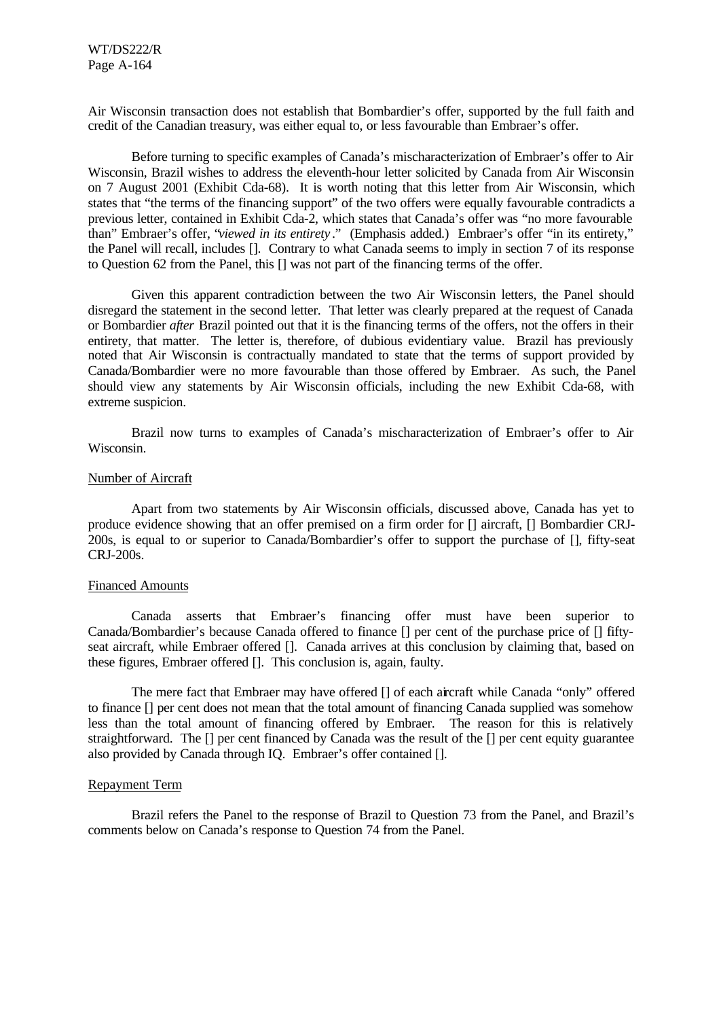Air Wisconsin transaction does not establish that Bombardier's offer, supported by the full faith and credit of the Canadian treasury, was either equal to, or less favourable than Embraer's offer.

Before turning to specific examples of Canada's mischaracterization of Embraer's offer to Air Wisconsin, Brazil wishes to address the eleventh-hour letter solicited by Canada from Air Wisconsin on 7 August 2001 (Exhibit Cda-68). It is worth noting that this letter from Air Wisconsin, which states that "the terms of the financing support" of the two offers were equally favourable contradicts a previous letter, contained in Exhibit Cda-2, which states that Canada's offer was "no more favourable than" Embraer's offer, "*viewed in its entirety* ." (Emphasis added.) Embraer's offer "in its entirety," the Panel will recall, includes []. Contrary to what Canada seems to imply in section 7 of its response to Question 62 from the Panel, this [] was not part of the financing terms of the offer.

Given this apparent contradiction between the two Air Wisconsin letters, the Panel should disregard the statement in the second letter. That letter was clearly prepared at the request of Canada or Bombardier *after* Brazil pointed out that it is the financing terms of the offers, not the offers in their entirety, that matter. The letter is, therefore, of dubious evidentiary value. Brazil has previously noted that Air Wisconsin is contractually mandated to state that the terms of support provided by Canada/Bombardier were no more favourable than those offered by Embraer. As such, the Panel should view any statements by Air Wisconsin officials, including the new Exhibit Cda-68, with extreme suspicion.

Brazil now turns to examples of Canada's mischaracterization of Embraer's offer to Air Wisconsin.

#### Number of Aircraft

Apart from two statements by Air Wisconsin officials, discussed above, Canada has yet to produce evidence showing that an offer premised on a firm order for [] aircraft, [] Bombardier CRJ-200s, is equal to or superior to Canada/Bombardier's offer to support the purchase of [], fifty-seat CRJ-200s.

#### Financed Amounts

Canada asserts that Embraer's financing offer must have been superior to Canada/Bombardier's because Canada offered to finance [] per cent of the purchase price of [] fiftyseat aircraft, while Embraer offered []. Canada arrives at this conclusion by claiming that, based on these figures, Embraer offered []. This conclusion is, again, faulty.

The mere fact that Embraer may have offered [] of each aircraft while Canada "only" offered to finance [] per cent does not mean that the total amount of financing Canada supplied was somehow less than the total amount of financing offered by Embraer. The reason for this is relatively straightforward. The [] per cent financed by Canada was the result of the [] per cent equity guarantee also provided by Canada through IQ. Embraer's offer contained [].

#### Repayment Term

Brazil refers the Panel to the response of Brazil to Question 73 from the Panel, and Brazil's comments below on Canada's response to Question 74 from the Panel.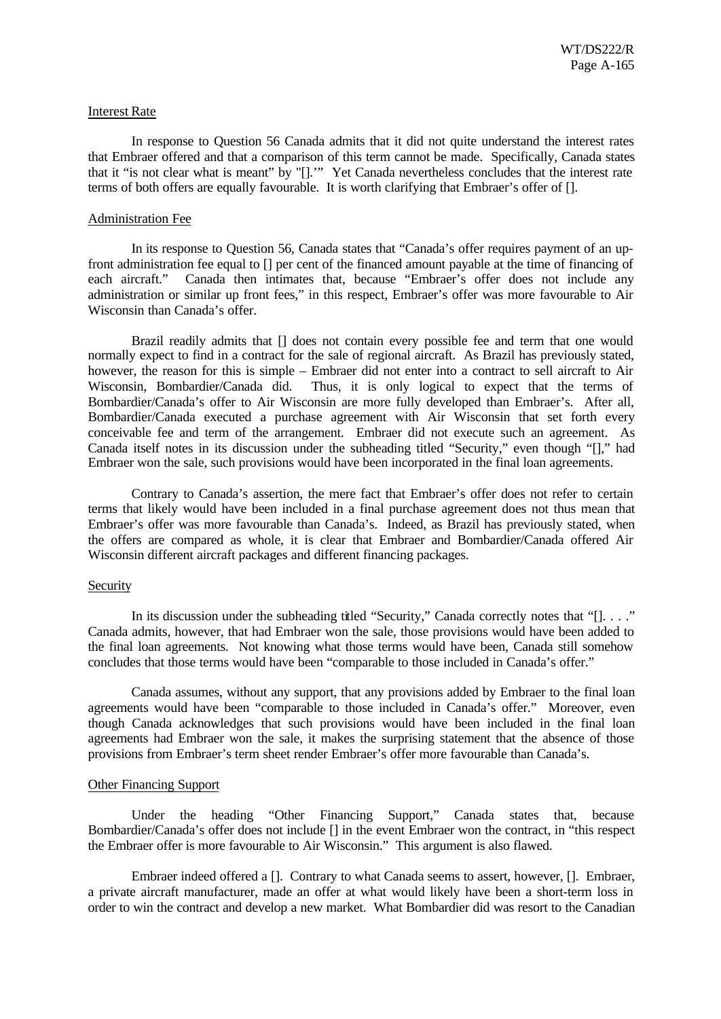#### Interest Rate

In response to Question 56 Canada admits that it did not quite understand the interest rates that Embraer offered and that a comparison of this term cannot be made. Specifically, Canada states that it "is not clear what is meant" by "[].'" Yet Canada nevertheless concludes that the interest rate terms of both offers are equally favourable. It is worth clarifying that Embraer's offer of [].

#### Administration Fee

In its response to Question 56, Canada states that "Canada's offer requires payment of an upfront administration fee equal to [] per cent of the financed amount payable at the time of financing of each aircraft." Canada then intimates that, because "Embraer's offer does not include any administration or similar up front fees," in this respect, Embraer's offer was more favourable to Air Wisconsin than Canada's offer.

Brazil readily admits that [] does not contain every possible fee and term that one would normally expect to find in a contract for the sale of regional aircraft. As Brazil has previously stated, however, the reason for this is simple – Embraer did not enter into a contract to sell aircraft to Air Wisconsin, Bombardier/Canada did. Thus, it is only logical to expect that the terms of Bombardier/Canada's offer to Air Wisconsin are more fully developed than Embraer's. After all, Bombardier/Canada executed a purchase agreement with Air Wisconsin that set forth every conceivable fee and term of the arrangement. Embraer did not execute such an agreement. As Canada itself notes in its discussion under the subheading titled "Security," even though "[]," had Embraer won the sale, such provisions would have been incorporated in the final loan agreements.

Contrary to Canada's assertion, the mere fact that Embraer's offer does not refer to certain terms that likely would have been included in a final purchase agreement does not thus mean that Embraer's offer was more favourable than Canada's. Indeed, as Brazil has previously stated, when the offers are compared as whole, it is clear that Embraer and Bombardier/Canada offered Air Wisconsin different aircraft packages and different financing packages.

#### Security

In its discussion under the subheading titled "Security," Canada correctly notes that "[]. . . ." Canada admits, however, that had Embraer won the sale, those provisions would have been added to the final loan agreements. Not knowing what those terms would have been, Canada still somehow concludes that those terms would have been "comparable to those included in Canada's offer."

Canada assumes, without any support, that any provisions added by Embraer to the final loan agreements would have been "comparable to those included in Canada's offer." Moreover, even though Canada acknowledges that such provisions would have been included in the final loan agreements had Embraer won the sale, it makes the surprising statement that the absence of those provisions from Embraer's term sheet render Embraer's offer more favourable than Canada's.

#### Other Financing Support

Under the heading "Other Financing Support," Canada states that, because Bombardier/Canada's offer does not include [] in the event Embraer won the contract, in "this respect the Embraer offer is more favourable to Air Wisconsin." This argument is also flawed.

Embraer indeed offered a []. Contrary to what Canada seems to assert, however, []. Embraer, a private aircraft manufacturer, made an offer at what would likely have been a short-term loss in order to win the contract and develop a new market. What Bombardier did was resort to the Canadian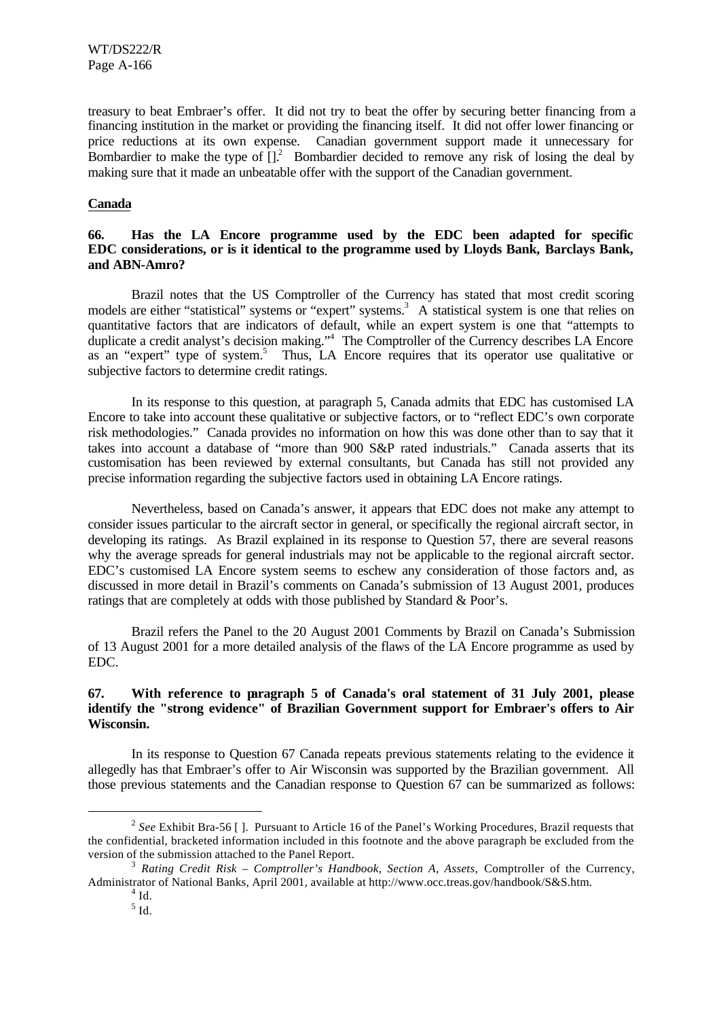treasury to beat Embraer's offer. It did not try to beat the offer by securing better financing from a financing institution in the market or providing the financing itself. It did not offer lower financing or price reductions at its own expense. Canadian government support made it unnecessary for Bombardier to make the type of  $\left[ \right]$ . Bombardier decided to remove any risk of losing the deal by making sure that it made an unbeatable offer with the support of the Canadian government.

#### **Canada**

#### **66. Has the LA Encore programme used by the EDC been adapted for specific EDC considerations, or is it identical to the programme used by Lloyds Bank, Barclays Bank, and ABN-Amro?**

Brazil notes that the US Comptroller of the Currency has stated that most credit scoring models are either "statistical" systems or "expert" systems.<sup>3</sup> A statistical system is one that relies on quantitative factors that are indicators of default, while an expert system is one that "attempts to duplicate a credit analyst's decision making."<sup>4</sup> The Comptroller of the Currency describes LA Encore as an "expert" type of system.<sup>5</sup> Thus, LA Encore requires that its operator use qualitative or subjective factors to determine credit ratings.

In its response to this question, at paragraph 5, Canada admits that EDC has customised LA Encore to take into account these qualitative or subjective factors, or to "reflect EDC's own corporate risk methodologies." Canada provides no information on how this was done other than to say that it takes into account a database of "more than 900 S&P rated industrials." Canada asserts that its customisation has been reviewed by external consultants, but Canada has still not provided any precise information regarding the subjective factors used in obtaining LA Encore ratings.

Nevertheless, based on Canada's answer, it appears that EDC does not make any attempt to consider issues particular to the aircraft sector in general, or specifically the regional aircraft sector, in developing its ratings. As Brazil explained in its response to Question 57, there are several reasons why the average spreads for general industrials may not be applicable to the regional aircraft sector. EDC's customised LA Encore system seems to eschew any consideration of those factors and, as discussed in more detail in Brazil's comments on Canada's submission of 13 August 2001, produces ratings that are completely at odds with those published by Standard & Poor's.

Brazil refers the Panel to the 20 August 2001 Comments by Brazil on Canada's Submission of 13 August 2001 for a more detailed analysis of the flaws of the LA Encore programme as used by EDC.

#### **67. With reference to paragraph 5 of Canada's oral statement of 31 July 2001, please identify the "strong evidence" of Brazilian Government support for Embraer's offers to Air Wisconsin.**

In its response to Question 67 Canada repeats previous statements relating to the evidence it allegedly has that Embraer's offer to Air Wisconsin was supported by the Brazilian government. All those previous statements and the Canadian response to Question 67 can be summarized as follows:

<sup>&</sup>lt;sup>2</sup> See Exhibit Bra-56 []. Pursuant to Article 16 of the Panel's Working Procedures, Brazil requests that the confidential, bracketed information included in this footnote and the above paragraph be excluded from the version of the submission attached to the Panel Report.

<sup>3</sup> *Rating Credit Risk – Comptroller's Handbook, Section A, Assets,* Comptroller of the Currency, Administrator of National Banks, April 2001, available at http://www.occ.treas.gov/handbook/S&S.htm.

 $4$  Id.

 $<sup>5</sup>$  Id.</sup>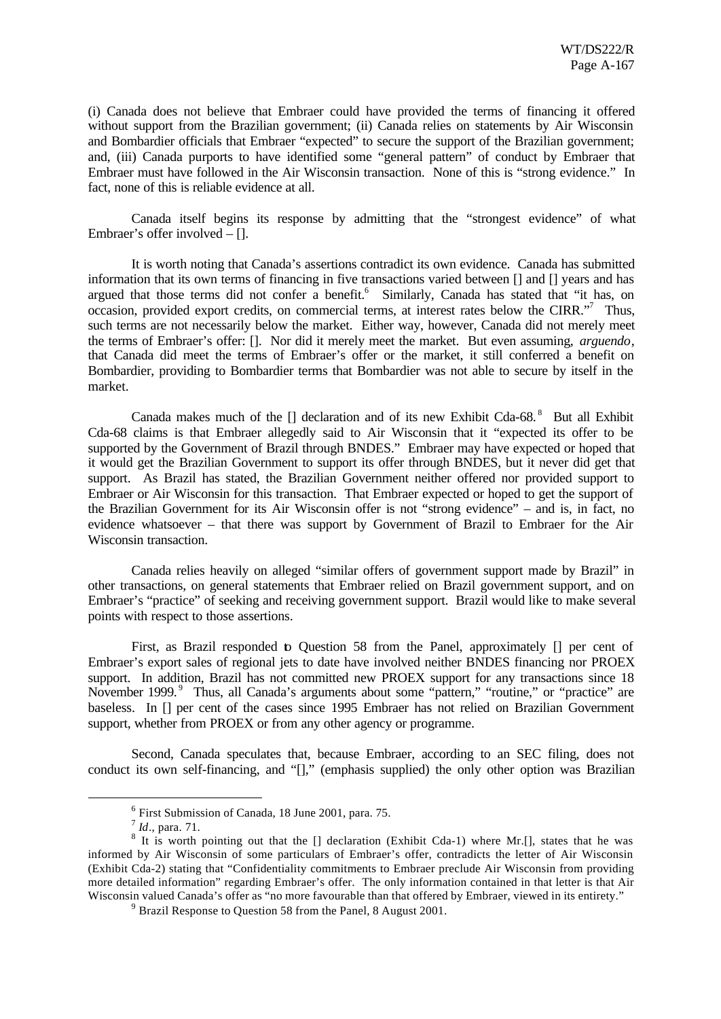(i) Canada does not believe that Embraer could have provided the terms of financing it offered without support from the Brazilian government; (ii) Canada relies on statements by Air Wisconsin and Bombardier officials that Embraer "expected" to secure the support of the Brazilian government; and, (iii) Canada purports to have identified some "general pattern" of conduct by Embraer that Embraer must have followed in the Air Wisconsin transaction. None of this is "strong evidence." In fact, none of this is reliable evidence at all.

Canada itself begins its response by admitting that the "strongest evidence" of what Embraer's offer involved – [].

It is worth noting that Canada's assertions contradict its own evidence. Canada has submitted information that its own terms of financing in five transactions varied between [] and [] years and has argued that those terms did not confer a benefit.<sup>6</sup> Similarly, Canada has stated that "it has, on occasion, provided export credits, on commercial terms, at interest rates below the CIRR."<sup>7</sup> Thus, such terms are not necessarily below the market. Either way, however, Canada did not merely meet the terms of Embraer's offer: []. Nor did it merely meet the market. But even assuming, *arguendo*, that Canada did meet the terms of Embraer's offer or the market, it still conferred a benefit on Bombardier, providing to Bombardier terms that Bombardier was not able to secure by itself in the market.

Canada makes much of the  $[]$  declaration and of its new Exhibit Cda-68.<sup>8</sup> But all Exhibit Cda-68 claims is that Embraer allegedly said to Air Wisconsin that it "expected its offer to be supported by the Government of Brazil through BNDES." Embraer may have expected or hoped that it would get the Brazilian Government to support its offer through BNDES, but it never did get that support. As Brazil has stated, the Brazilian Government neither offered nor provided support to Embraer or Air Wisconsin for this transaction. That Embraer expected or hoped to get the support of the Brazilian Government for its Air Wisconsin offer is not "strong evidence" – and is, in fact, no evidence whatsoever – that there was support by Government of Brazil to Embraer for the Air Wisconsin transaction.

Canada relies heavily on alleged "similar offers of government support made by Brazil" in other transactions, on general statements that Embraer relied on Brazil government support, and on Embraer's "practice" of seeking and receiving government support. Brazil would like to make several points with respect to those assertions.

First, as Brazil responded to Question 58 from the Panel, approximately  $\Box$  per cent of Embraer's export sales of regional jets to date have involved neither BNDES financing nor PROEX support. In addition, Brazil has not committed new PROEX support for any transactions since 18 November 1999.<sup>9</sup> Thus, all Canada's arguments about some "pattern," "routine," or "practice" are baseless. In [] per cent of the cases since 1995 Embraer has not relied on Brazilian Government support, whether from PROEX or from any other agency or programme.

Second, Canada speculates that, because Embraer, according to an SEC filing, does not conduct its own self-financing, and "[]," (emphasis supplied) the only other option was Brazilian

<sup>&</sup>lt;sup>6</sup> First Submission of Canada, 18 June 2001, para. 75.

<sup>7</sup> *Id*., para. 71.

 $8$  It is worth pointing out that the [] declaration (Exhibit Cda-1) where Mr.[], states that he was informed by Air Wisconsin of some particulars of Embraer's offer, contradicts the letter of Air Wisconsin (Exhibit Cda-2) stating that "Confidentiality commitments to Embraer preclude Air Wisconsin from providing more detailed information" regarding Embraer's offer. The only information contained in that letter is that Air Wisconsin valued Canada's offer as "no more favourable than that offered by Embraer, viewed in its entirety."

 $9^9$  Brazil Response to Question 58 from the Panel, 8 August 2001.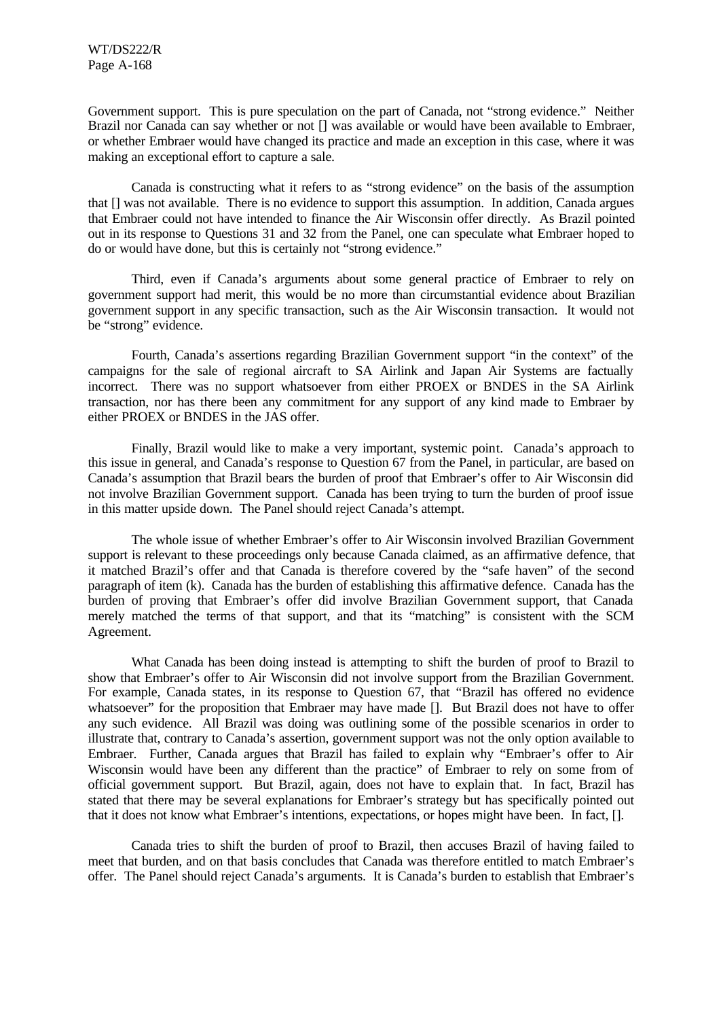Government support. This is pure speculation on the part of Canada, not "strong evidence." Neither Brazil nor Canada can say whether or not  $\lceil \cdot \rceil$  was available or would have been available to Embraer, or whether Embraer would have changed its practice and made an exception in this case, where it was making an exceptional effort to capture a sale.

Canada is constructing what it refers to as "strong evidence" on the basis of the assumption that [] was not available. There is no evidence to support this assumption. In addition, Canada argues that Embraer could not have intended to finance the Air Wisconsin offer directly. As Brazil pointed out in its response to Questions 31 and 32 from the Panel, one can speculate what Embraer hoped to do or would have done, but this is certainly not "strong evidence."

Third, even if Canada's arguments about some general practice of Embraer to rely on government support had merit, this would be no more than circumstantial evidence about Brazilian government support in any specific transaction, such as the Air Wisconsin transaction. It would not be "strong" evidence.

Fourth, Canada's assertions regarding Brazilian Government support "in the context" of the campaigns for the sale of regional aircraft to SA Airlink and Japan Air Systems are factually incorrect. There was no support whatsoever from either PROEX or BNDES in the SA Airlink transaction, nor has there been any commitment for any support of any kind made to Embraer by either PROEX or BNDES in the JAS offer.

Finally, Brazil would like to make a very important, systemic point. Canada's approach to this issue in general, and Canada's response to Question 67 from the Panel, in particular, are based on Canada's assumption that Brazil bears the burden of proof that Embraer's offer to Air Wisconsin did not involve Brazilian Government support. Canada has been trying to turn the burden of proof issue in this matter upside down. The Panel should reject Canada's attempt.

The whole issue of whether Embraer's offer to Air Wisconsin involved Brazilian Government support is relevant to these proceedings only because Canada claimed, as an affirmative defence, that it matched Brazil's offer and that Canada is therefore covered by the "safe haven" of the second paragraph of item (k). Canada has the burden of establishing this affirmative defence. Canada has the burden of proving that Embraer's offer did involve Brazilian Government support, that Canada merely matched the terms of that support, and that its "matching" is consistent with the SCM Agreement.

What Canada has been doing instead is attempting to shift the burden of proof to Brazil to show that Embraer's offer to Air Wisconsin did not involve support from the Brazilian Government. For example, Canada states, in its response to Question 67, that "Brazil has offered no evidence whatsoever" for the proposition that Embraer may have made []. But Brazil does not have to offer any such evidence. All Brazil was doing was outlining some of the possible scenarios in order to illustrate that, contrary to Canada's assertion, government support was not the only option available to Embraer. Further, Canada argues that Brazil has failed to explain why "Embraer's offer to Air Wisconsin would have been any different than the practice" of Embraer to rely on some from of official government support. But Brazil, again, does not have to explain that. In fact, Brazil has stated that there may be several explanations for Embraer's strategy but has specifically pointed out that it does not know what Embraer's intentions, expectations, or hopes might have been. In fact, [].

Canada tries to shift the burden of proof to Brazil, then accuses Brazil of having failed to meet that burden, and on that basis concludes that Canada was therefore entitled to match Embraer's offer. The Panel should reject Canada's arguments. It is Canada's burden to establish that Embraer's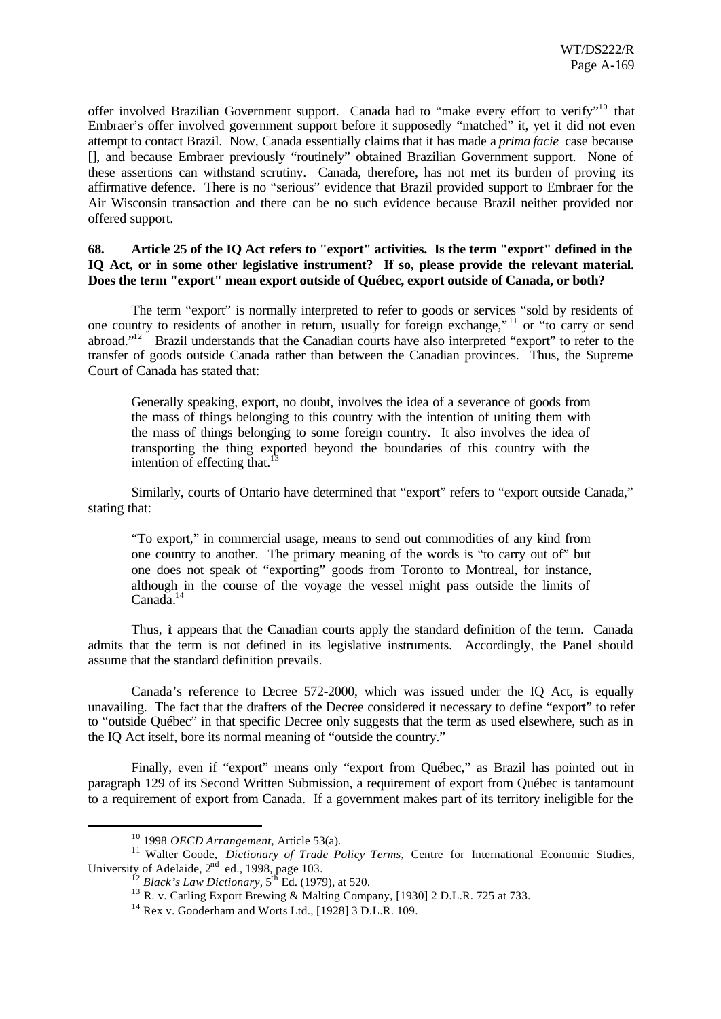offer involved Brazilian Government support. Canada had to "make every effort to verify"<sup>10</sup> that Embraer's offer involved government support before it supposedly "matched" it, yet it did not even attempt to contact Brazil. Now, Canada essentially claims that it has made a *prima facie* case because [], and because Embraer previously "routinely" obtained Brazilian Government support. None of these assertions can withstand scrutiny. Canada, therefore, has not met its burden of proving its affirmative defence. There is no "serious" evidence that Brazil provided support to Embraer for the Air Wisconsin transaction and there can be no such evidence because Brazil neither provided nor offered support.

### **68. Article 25 of the IQ Act refers to "export" activities. Is the term "export" defined in the IQ Act, or in some other legislative instrument? If so, please provide the relevant material. Does the term "export" mean export outside of Québec, export outside of Canada, or both?**

The term "export" is normally interpreted to refer to goods or services "sold by residents of one country to residents of another in return, usually for foreign exchange,"<sup>11</sup> or "to carry or send abroad."<sup>12</sup> Brazil understands that the Canadian courts have also interpreted "export" to refer to the transfer of goods outside Canada rather than between the Canadian provinces. Thus, the Supreme Court of Canada has stated that:

Generally speaking, export, no doubt, involves the idea of a severance of goods from the mass of things belonging to this country with the intention of uniting them with the mass of things belonging to some foreign country. It also involves the idea of transporting the thing exported beyond the boundaries of this country with the intention of effecting that.<sup>1</sup>

Similarly, courts of Ontario have determined that "export" refers to "export outside Canada," stating that:

"To export," in commercial usage, means to send out commodities of any kind from one country to another. The primary meaning of the words is "to carry out of" but one does not speak of "exporting" goods from Toronto to Montreal, for instance, although in the course of the voyage the vessel might pass outside the limits of  $Canada.<sup>14</sup>$ 

Thus, *i* appears that the Canadian courts apply the standard definition of the term. Canada admits that the term is not defined in its legislative instruments. Accordingly, the Panel should assume that the standard definition prevails.

Canada's reference to Decree 572-2000, which was issued under the IQ Act, is equally unavailing. The fact that the drafters of the Decree considered it necessary to define "export" to refer to "outside Québec" in that specific Decree only suggests that the term as used elsewhere, such as in the IQ Act itself, bore its normal meaning of "outside the country."

Finally, even if "export" means only "export from Québec," as Brazil has pointed out in paragraph 129 of its Second Written Submission, a requirement of export from Québec is tantamount to a requirement of export from Canada. If a government makes part of its territory ineligible for the

<sup>10</sup> 1998 *OECD Arrangement*, Article 53(a).

<sup>&</sup>lt;sup>11</sup> Walter Goode, *Dictionary of Trade Policy Terms*, Centre for International Economic Studies, University of Adelaide,  $2<sup>nd</sup>$  ed., 1998, page 103.

<sup>&</sup>lt;sup>12</sup> *Black's Law Dictionary*,  $5^{\text{th}}$  Ed. (1979), at 520.

 $13$  R. v. Carling Export Brewing & Malting Company, [1930] 2 D.L.R. 725 at 733.

<sup>&</sup>lt;sup>14</sup> Rex v. Gooderham and Worts Ltd., [1928] 3 D.L.R. 109.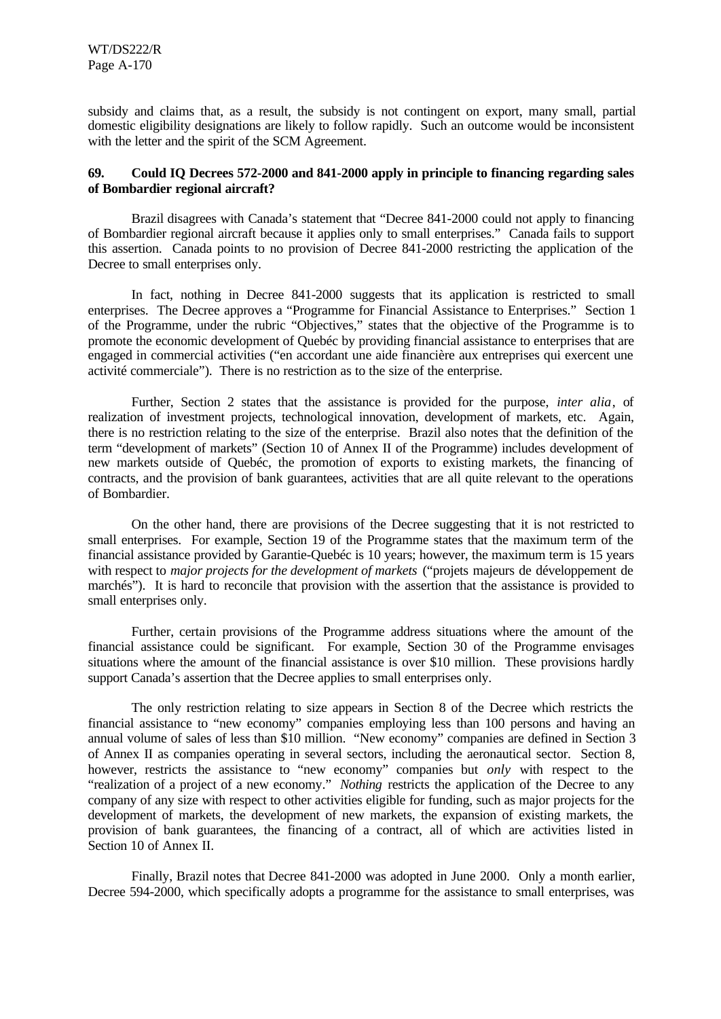subsidy and claims that, as a result, the subsidy is not contingent on export, many small, partial domestic eligibility designations are likely to follow rapidly. Such an outcome would be inconsistent with the letter and the spirit of the SCM Agreement.

### **69. Could IQ Decrees 572-2000 and 841-2000 apply in principle to financing regarding sales of Bombardier regional aircraft?**

Brazil disagrees with Canada's statement that "Decree 841-2000 could not apply to financing of Bombardier regional aircraft because it applies only to small enterprises." Canada fails to support this assertion. Canada points to no provision of Decree 841-2000 restricting the application of the Decree to small enterprises only.

In fact, nothing in Decree 841-2000 suggests that its application is restricted to small enterprises. The Decree approves a "Programme for Financial Assistance to Enterprises." Section 1 of the Programme, under the rubric "Objectives," states that the objective of the Programme is to promote the economic development of Quebéc by providing financial assistance to enterprises that are engaged in commercial activities ("en accordant une aide financière aux entreprises qui exercent une activité commerciale"). There is no restriction as to the size of the enterprise.

Further, Section 2 states that the assistance is provided for the purpose, *inter alia*, of realization of investment projects, technological innovation, development of markets, etc. Again, there is no restriction relating to the size of the enterprise. Brazil also notes that the definition of the term "development of markets" (Section 10 of Annex II of the Programme) includes development of new markets outside of Quebéc, the promotion of exports to existing markets, the financing of contracts, and the provision of bank guarantees, activities that are all quite relevant to the operations of Bombardier.

On the other hand, there are provisions of the Decree suggesting that it is not restricted to small enterprises. For example, Section 19 of the Programme states that the maximum term of the financial assistance provided by Garantie-Quebéc is 10 years; however, the maximum term is 15 years with respect to *major projects for the development of markets* ("projets majeurs de développement de marchés"). It is hard to reconcile that provision with the assertion that the assistance is provided to small enterprises only.

Further, certain provisions of the Programme address situations where the amount of the financial assistance could be significant. For example, Section 30 of the Programme envisages situations where the amount of the financial assistance is over \$10 million. These provisions hardly support Canada's assertion that the Decree applies to small enterprises only.

The only restriction relating to size appears in Section 8 of the Decree which restricts the financial assistance to "new economy" companies employing less than 100 persons and having an annual volume of sales of less than \$10 million. "New economy" companies are defined in Section 3 of Annex II as companies operating in several sectors, including the aeronautical sector. Section 8, however, restricts the assistance to "new economy" companies but *only* with respect to the "realization of a project of a new economy." *Nothing* restricts the application of the Decree to any company of any size with respect to other activities eligible for funding, such as major projects for the development of markets, the development of new markets, the expansion of existing markets, the provision of bank guarantees, the financing of a contract, all of which are activities listed in Section 10 of Annex II.

Finally, Brazil notes that Decree 841-2000 was adopted in June 2000. Only a month earlier, Decree 594-2000, which specifically adopts a programme for the assistance to small enterprises, was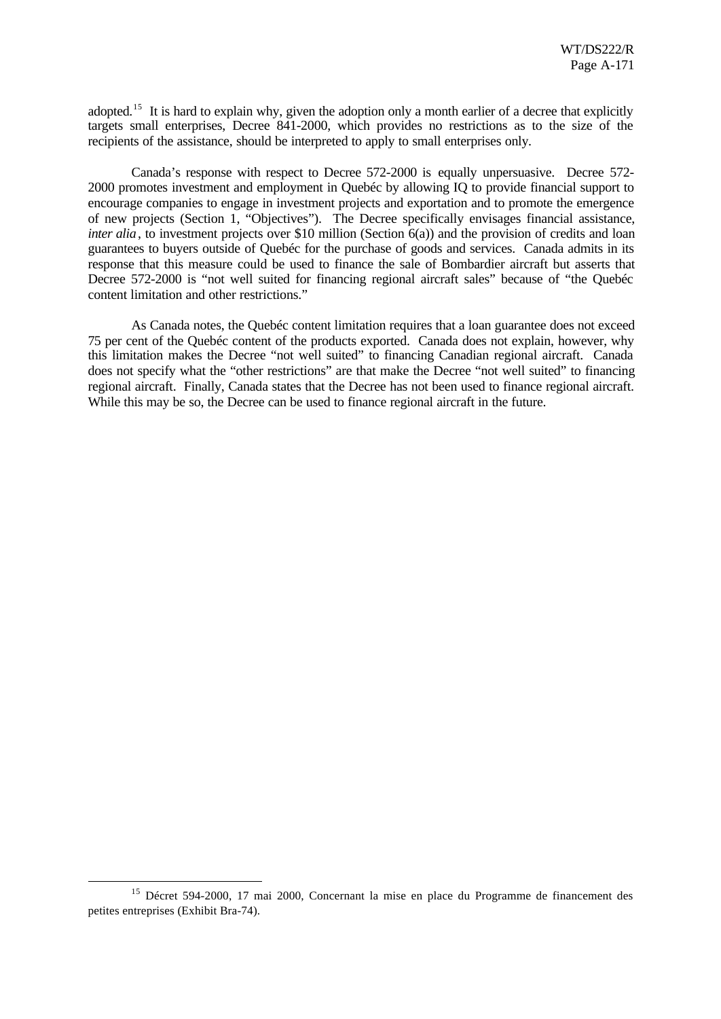adopted.<sup>15</sup> It is hard to explain why, given the adoption only a month earlier of a decree that explicitly targets small enterprises, Decree 841-2000, which provides no restrictions as to the size of the recipients of the assistance, should be interpreted to apply to small enterprises only.

Canada's response with respect to Decree 572-2000 is equally unpersuasive. Decree 572- 2000 promotes investment and employment in Quebéc by allowing IQ to provide financial support to encourage companies to engage in investment projects and exportation and to promote the emergence of new projects (Section 1, "Objectives"). The Decree specifically envisages financial assistance, *inter alia*, to investment projects over \$10 million (Section 6(a)) and the provision of credits and loan guarantees to buyers outside of Quebéc for the purchase of goods and services. Canada admits in its response that this measure could be used to finance the sale of Bombardier aircraft but asserts that Decree 572-2000 is "not well suited for financing regional aircraft sales" because of "the Quebéc content limitation and other restrictions."

As Canada notes, the Quebéc content limitation requires that a loan guarantee does not exceed 75 per cent of the Quebéc content of the products exported. Canada does not explain, however, why this limitation makes the Decree "not well suited" to financing Canadian regional aircraft. Canada does not specify what the "other restrictions" are that make the Decree "not well suited" to financing regional aircraft. Finally, Canada states that the Decree has not been used to finance regional aircraft. While this may be so, the Decree can be used to finance regional aircraft in the future.

<sup>&</sup>lt;sup>15</sup> Décret 594-2000, 17 mai 2000, Concernant la mise en place du Programme de financement des petites entreprises (Exhibit Bra-74).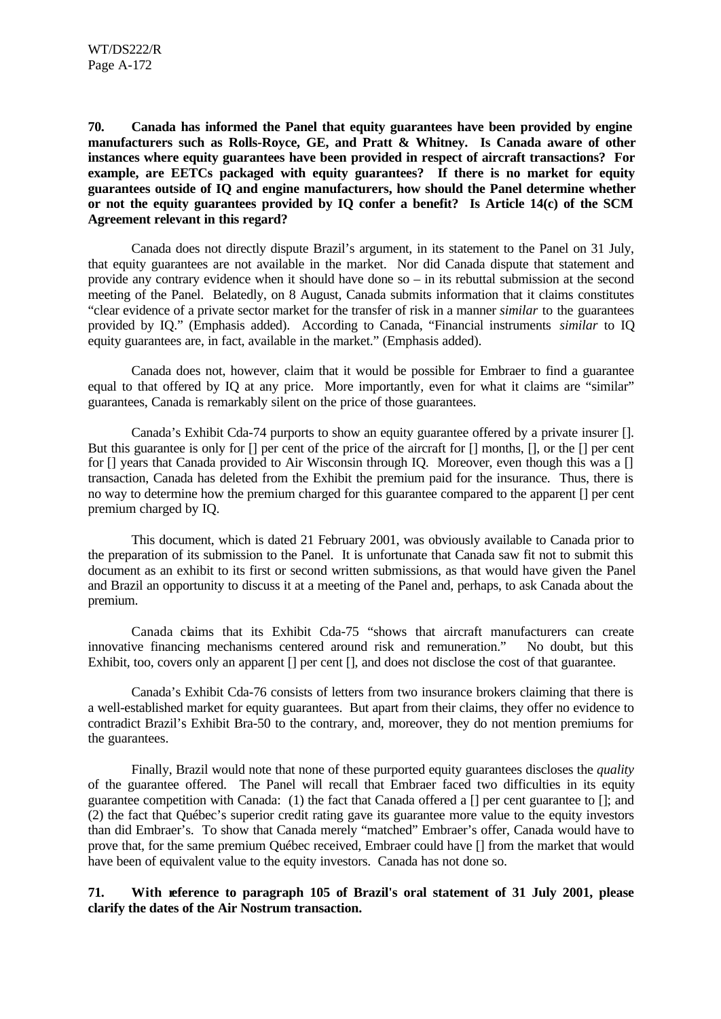**70. Canada has informed the Panel that equity guarantees have been provided by engine manufacturers such as Rolls-Royce, GE, and Pratt & Whitney. Is Canada aware of other instances where equity guarantees have been provided in respect of aircraft transactions? For example, are EETCs packaged with equity guarantees? If there is no market for equity guarantees outside of IQ and engine manufacturers, how should the Panel determine whether or not the equity guarantees provided by IQ confer a benefit? Is Article 14(c) of the SCM Agreement relevant in this regard?**

Canada does not directly dispute Brazil's argument, in its statement to the Panel on 31 July, that equity guarantees are not available in the market. Nor did Canada dispute that statement and provide any contrary evidence when it should have done so – in its rebuttal submission at the second meeting of the Panel. Belatedly, on 8 August, Canada submits information that it claims constitutes "clear evidence of a private sector market for the transfer of risk in a manner *similar* to the guarantees provided by IQ." (Emphasis added). According to Canada, "Financial instruments *similar* to IQ equity guarantees are, in fact, available in the market." (Emphasis added).

Canada does not, however, claim that it would be possible for Embraer to find a guarantee equal to that offered by IQ at any price. More importantly, even for what it claims are "similar" guarantees, Canada is remarkably silent on the price of those guarantees.

Canada's Exhibit Cda-74 purports to show an equity guarantee offered by a private insurer []. But this guarantee is only for [] per cent of the price of the aircraft for [] months, [], or the [] per cent for  $\lceil \rceil$  years that Canada provided to Air Wisconsin through IQ. Moreover, even though this was a  $\lceil \rceil$ transaction, Canada has deleted from the Exhibit the premium paid for the insurance. Thus, there is no way to determine how the premium charged for this guarantee compared to the apparent [] per cent premium charged by IQ.

This document, which is dated 21 February 2001, was obviously available to Canada prior to the preparation of its submission to the Panel. It is unfortunate that Canada saw fit not to submit this document as an exhibit to its first or second written submissions, as that would have given the Panel and Brazil an opportunity to discuss it at a meeting of the Panel and, perhaps, to ask Canada about the premium.

Canada claims that its Exhibit Cda-75 "shows that aircraft manufacturers can create innovative financing mechanisms centered around risk and remuneration." No doubt, but this Exhibit, too, covers only an apparent  $\iota$  per cent  $\iota$ , and does not disclose the cost of that guarantee.

Canada's Exhibit Cda-76 consists of letters from two insurance brokers claiming that there is a well-established market for equity guarantees. But apart from their claims, they offer no evidence to contradict Brazil's Exhibit Bra-50 to the contrary, and, moreover, they do not mention premiums for the guarantees.

Finally, Brazil would note that none of these purported equity guarantees discloses the *quality* of the guarantee offered. The Panel will recall that Embraer faced two difficulties in its equity guarantee competition with Canada: (1) the fact that Canada offered a [] per cent guarantee to []; and (2) the fact that Québec's superior credit rating gave its guarantee more value to the equity investors than did Embraer's. To show that Canada merely "matched" Embraer's offer, Canada would have to prove that, for the same premium Québec received, Embraer could have [] from the market that would have been of equivalent value to the equity investors. Canada has not done so.

**71. With reference to paragraph 105 of Brazil's oral statement of 31 July 2001, please clarify the dates of the Air Nostrum transaction.**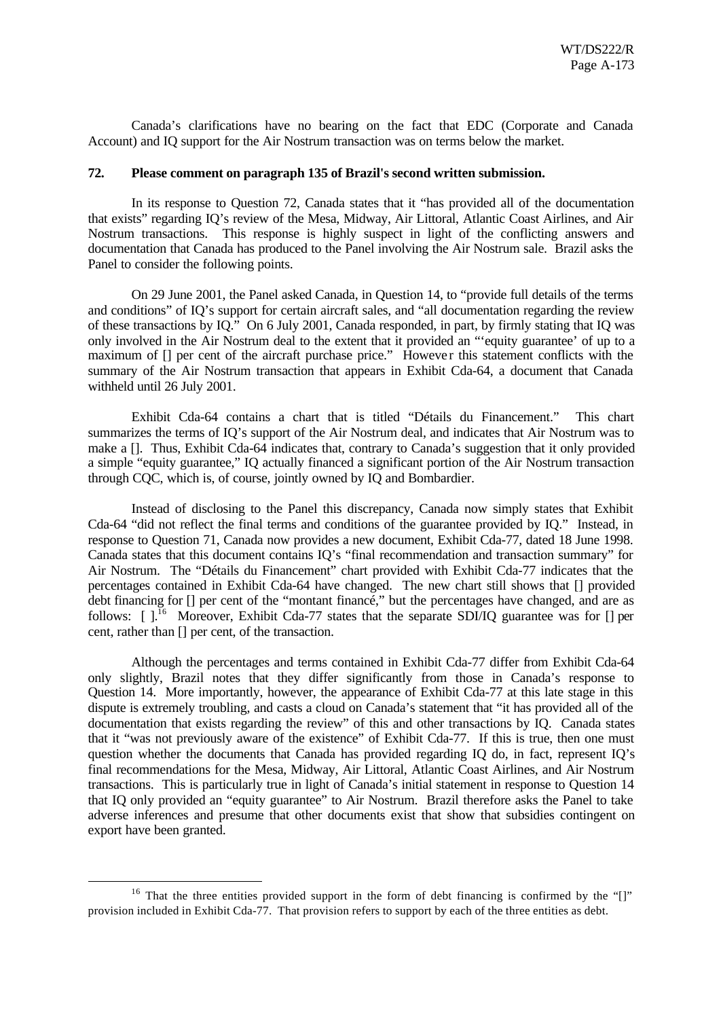Canada's clarifications have no bearing on the fact that EDC (Corporate and Canada Account) and IQ support for the Air Nostrum transaction was on terms below the market.

#### **72. Please comment on paragraph 135 of Brazil's second written submission.**

In its response to Question 72, Canada states that it "has provided all of the documentation that exists" regarding IQ's review of the Mesa, Midway, Air Littoral, Atlantic Coast Airlines, and Air Nostrum transactions. This response is highly suspect in light of the conflicting answers and documentation that Canada has produced to the Panel involving the Air Nostrum sale. Brazil asks the Panel to consider the following points.

On 29 June 2001, the Panel asked Canada, in Question 14, to "provide full details of the terms and conditions" of IQ's support for certain aircraft sales, and "all documentation regarding the review of these transactions by IQ." On 6 July 2001, Canada responded, in part, by firmly stating that IQ was only involved in the Air Nostrum deal to the extent that it provided an "'equity guarantee' of up to a maximum of  $\Box$  per cent of the aircraft purchase price." However this statement conflicts with the summary of the Air Nostrum transaction that appears in Exhibit Cda-64, a document that Canada withheld until 26 July 2001.

Exhibit Cda-64 contains a chart that is titled "Détails du Financement." This chart summarizes the terms of IQ's support of the Air Nostrum deal, and indicates that Air Nostrum was to make a []. Thus, Exhibit Cda-64 indicates that, contrary to Canada's suggestion that it only provided a simple "equity guarantee," IQ actually financed a significant portion of the Air Nostrum transaction through CQC, which is, of course, jointly owned by IQ and Bombardier.

Instead of disclosing to the Panel this discrepancy, Canada now simply states that Exhibit Cda-64 "did not reflect the final terms and conditions of the guarantee provided by IQ." Instead, in response to Question 71, Canada now provides a new document, Exhibit Cda-77, dated 18 June 1998. Canada states that this document contains IQ's "final recommendation and transaction summary" for Air Nostrum. The "Détails du Financement" chart provided with Exhibit Cda-77 indicates that the percentages contained in Exhibit Cda-64 have changed. The new chart still shows that [] provided debt financing for [] per cent of the "montant financé," but the percentages have changed, and are as follows:  $\lceil \cdot \rceil$ .<sup>16</sup> Moreover, Exhibit Cda-77 states that the separate SDI/IQ guarantee was for  $\lceil \cdot \rceil$  per cent, rather than [] per cent, of the transaction.

Although the percentages and terms contained in Exhibit Cda-77 differ from Exhibit Cda-64 only slightly, Brazil notes that they differ significantly from those in Canada's response to Question 14. More importantly, however, the appearance of Exhibit Cda-77 at this late stage in this dispute is extremely troubling, and casts a cloud on Canada's statement that "it has provided all of the documentation that exists regarding the review" of this and other transactions by IQ. Canada states that it "was not previously aware of the existence" of Exhibit Cda-77. If this is true, then one must question whether the documents that Canada has provided regarding IQ do, in fact, represent IQ's final recommendations for the Mesa, Midway, Air Littoral, Atlantic Coast Airlines, and Air Nostrum transactions. This is particularly true in light of Canada's initial statement in response to Question 14 that IQ only provided an "equity guarantee" to Air Nostrum. Brazil therefore asks the Panel to take adverse inferences and presume that other documents exist that show that subsidies contingent on export have been granted.

<sup>&</sup>lt;sup>16</sup> That the three entities provided support in the form of debt financing is confirmed by the "[]" provision included in Exhibit Cda-77. That provision refers to support by each of the three entities as debt.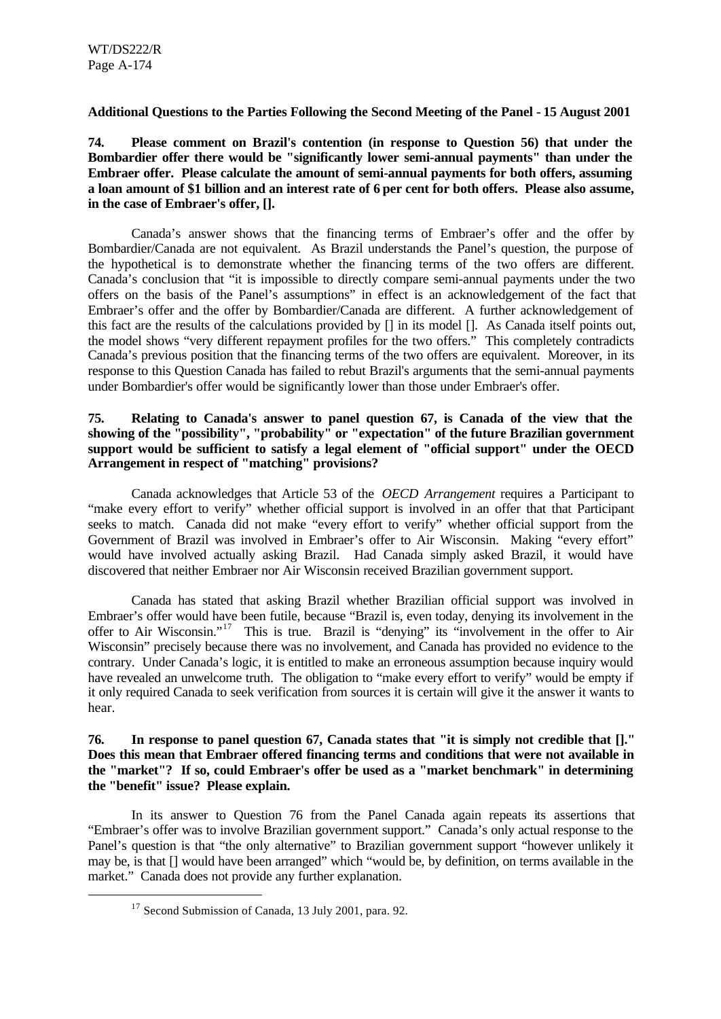### **Additional Questions to the Parties Following the Second Meeting of the Panel - 15 August 2001**

**74. Please comment on Brazil's contention (in response to Question 56) that under the Bombardier offer there would be "significantly lower semi-annual payments" than under the Embraer offer. Please calculate the amount of semi-annual payments for both offers, assuming a loan amount of \$1 billion and an interest rate of 6 per cent for both offers. Please also assume, in the case of Embraer's offer, [].**

Canada's answer shows that the financing terms of Embraer's offer and the offer by Bombardier/Canada are not equivalent. As Brazil understands the Panel's question, the purpose of the hypothetical is to demonstrate whether the financing terms of the two offers are different. Canada's conclusion that "it is impossible to directly compare semi-annual payments under the two offers on the basis of the Panel's assumptions" in effect is an acknowledgement of the fact that Embraer's offer and the offer by Bombardier/Canada are different. A further acknowledgement of this fact are the results of the calculations provided by [] in its model []. As Canada itself points out, the model shows "very different repayment profiles for the two offers." This completely contradicts Canada's previous position that the financing terms of the two offers are equivalent. Moreover, in its response to this Question Canada has failed to rebut Brazil's arguments that the semi-annual payments under Bombardier's offer would be significantly lower than those under Embraer's offer.

### **75. Relating to Canada's answer to panel question 67, is Canada of the view that the showing of the "possibility", "probability" or "expectation" of the future Brazilian government support would be sufficient to satisfy a legal element of "official support" under the OECD Arrangement in respect of "matching" provisions?**

Canada acknowledges that Article 53 of the *OECD Arrangement* requires a Participant to "make every effort to verify" whether official support is involved in an offer that that Participant seeks to match. Canada did not make "every effort to verify" whether official support from the Government of Brazil was involved in Embraer's offer to Air Wisconsin. Making "every effort" would have involved actually asking Brazil. Had Canada simply asked Brazil, it would have discovered that neither Embraer nor Air Wisconsin received Brazilian government support.

Canada has stated that asking Brazil whether Brazilian official support was involved in Embraer's offer would have been futile, because "Brazil is, even today, denying its involvement in the offer to Air Wisconsin."<sup>17</sup> This is true. Brazil is "denying" its "involvement in the offer to Air Wisconsin" precisely because there was no involvement, and Canada has provided no evidence to the contrary. Under Canada's logic, it is entitled to make an erroneous assumption because inquiry would have revealed an unwelcome truth. The obligation to "make every effort to verify" would be empty if it only required Canada to seek verification from sources it is certain will give it the answer it wants to hear.

### **76. In response to panel question 67, Canada states that "it is simply not credible that []." Does this mean that Embraer offered financing terms and conditions that were not available in the "market"? If so, could Embraer's offer be used as a "market benchmark" in determining the "benefit" issue? Please explain.**

In its answer to Question 76 from the Panel Canada again repeats its assertions that "Embraer's offer was to involve Brazilian government support." Canada's only actual response to the Panel's question is that "the only alternative" to Brazilian government support "however unlikely it may be, is that [] would have been arranged" which "would be, by definition, on terms available in the market." Canada does not provide any further explanation.

<sup>&</sup>lt;sup>17</sup> Second Submission of Canada, 13 July 2001, para. 92.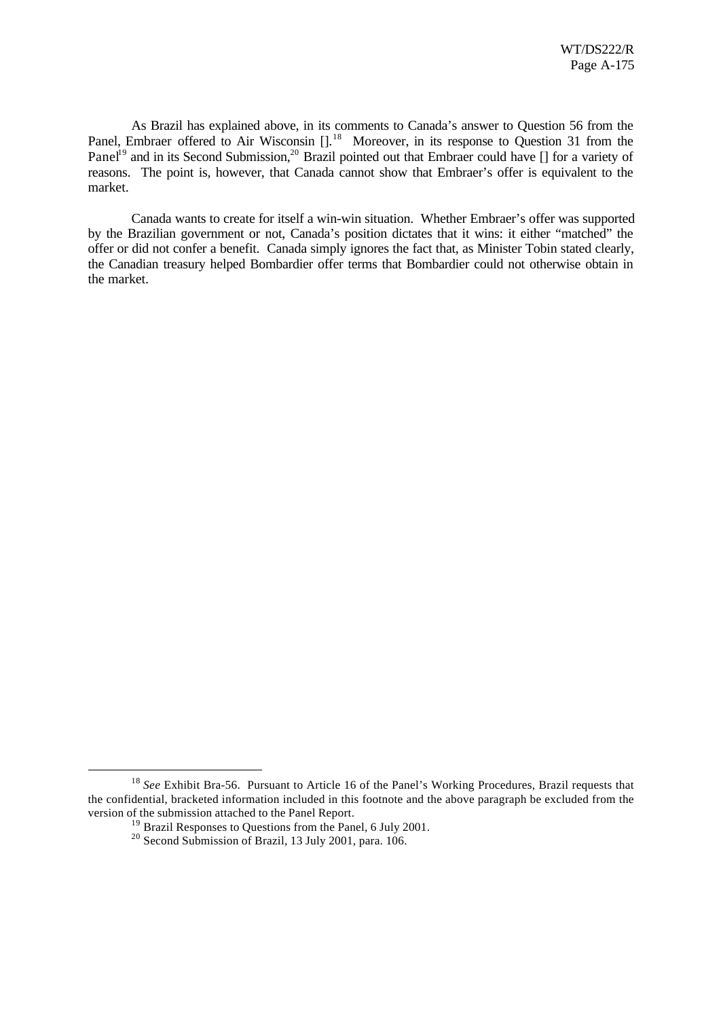As Brazil has explained above, in its comments to Canada's answer to Question 56 from the Panel, Embraer offered to Air Wisconsin [].<sup>18</sup> Moreover, in its response to Question 31 from the Panel<sup>19</sup> and in its Second Submission,<sup>20</sup> Brazil pointed out that Embraer could have [] for a variety of reasons. The point is, however, that Canada cannot show that Embraer's offer is equivalent to the market.

Canada wants to create for itself a win-win situation. Whether Embraer's offer was supported by the Brazilian government or not, Canada's position dictates that it wins: it either "matched" the offer or did not confer a benefit. Canada simply ignores the fact that, as Minister Tobin stated clearly, the Canadian treasury helped Bombardier offer terms that Bombardier could not otherwise obtain in the market.

<sup>&</sup>lt;sup>18</sup> See Exhibit Bra-56. Pursuant to Article 16 of the Panel's Working Procedures, Brazil requests that the confidential, bracketed information included in this footnote and the above paragraph be excluded from the version of the submission attached to the Panel Report.

<sup>&</sup>lt;sup>19</sup> Brazil Responses to Questions from the Panel, 6 July 2001.

<sup>&</sup>lt;sup>20</sup> Second Submission of Brazil, 13 July 2001, para. 106.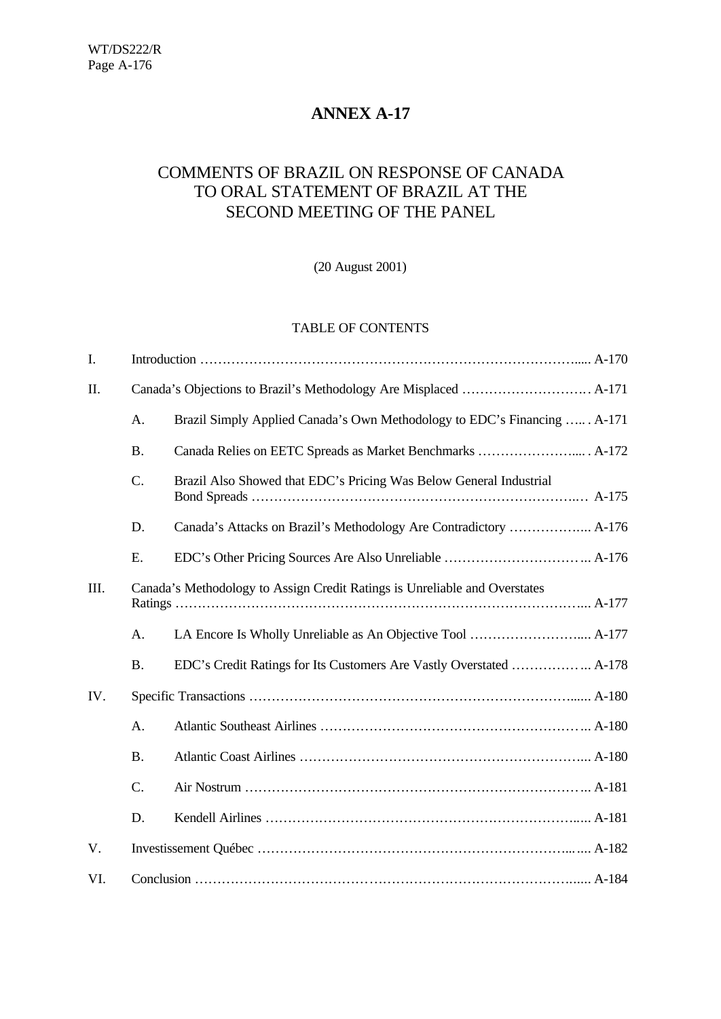# **ANNEX A-17**

# COMMENTS OF BRAZIL ON RESPONSE OF CANADA TO ORAL STATEMENT OF BRAZIL AT THE SECOND MEETING OF THE PANEL

(20 August 2001)

## TABLE OF CONTENTS

| I.   |           |                                                                            |
|------|-----------|----------------------------------------------------------------------------|
| Π.   |           |                                                                            |
|      | A.        | Brazil Simply Applied Canada's Own Methodology to EDC's Financing  A-171   |
|      | <b>B.</b> | Canada Relies on EETC Spreads as Market Benchmarks  A-172                  |
|      | C.        | Brazil Also Showed that EDC's Pricing Was Below General Industrial         |
|      | D.        | Canada's Attacks on Brazil's Methodology Are Contradictory  A-176          |
|      | E.        |                                                                            |
| III. |           | Canada's Methodology to Assign Credit Ratings is Unreliable and Overstates |
|      | A.        |                                                                            |
|      | <b>B.</b> | EDC's Credit Ratings for Its Customers Are Vastly Overstated  A-178        |
| IV.  |           |                                                                            |
|      | A.        |                                                                            |
|      | <b>B.</b> |                                                                            |
|      | C.        |                                                                            |
|      | D.        |                                                                            |
| V.   |           |                                                                            |
| VI.  |           |                                                                            |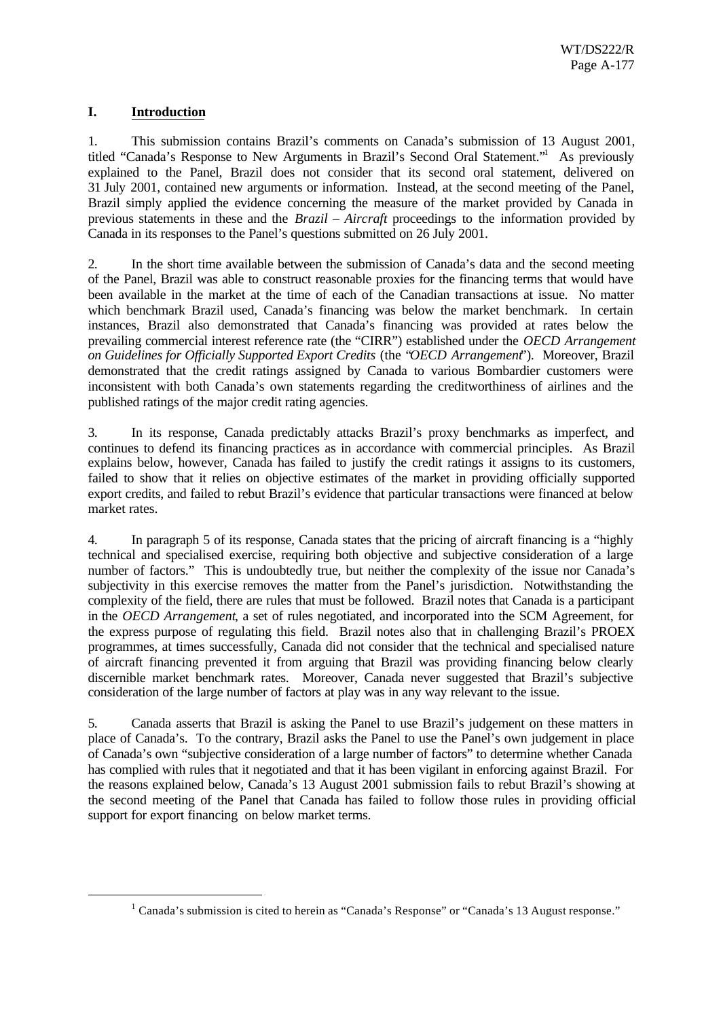## **I. Introduction**

l

1. This submission contains Brazil's comments on Canada's submission of 13 August 2001, titled "Canada's Response to New Arguments in Brazil's Second Oral Statement." As previously explained to the Panel, Brazil does not consider that its second oral statement, delivered on 31 July 2001, contained new arguments or information. Instead, at the second meeting of the Panel, Brazil simply applied the evidence concerning the measure of the market provided by Canada in previous statements in these and the *Brazil – Aircraft* proceedings to the information provided by Canada in its responses to the Panel's questions submitted on 26 July 2001.

2. In the short time available between the submission of Canada's data and the second meeting of the Panel, Brazil was able to construct reasonable proxies for the financing terms that would have been available in the market at the time of each of the Canadian transactions at issue. No matter which benchmark Brazil used, Canada's financing was below the market benchmark. In certain instances, Brazil also demonstrated that Canada's financing was provided at rates below the prevailing commercial interest reference rate (the "CIRR") established under the *OECD Arrangement on Guidelines for Officially Supported Export Credits* (the "*OECD Arrangement*"). Moreover, Brazil demonstrated that the credit ratings assigned by Canada to various Bombardier customers were inconsistent with both Canada's own statements regarding the creditworthiness of airlines and the published ratings of the major credit rating agencies.

3. In its response, Canada predictably attacks Brazil's proxy benchmarks as imperfect, and continues to defend its financing practices as in accordance with commercial principles. As Brazil explains below, however, Canada has failed to justify the credit ratings it assigns to its customers, failed to show that it relies on objective estimates of the market in providing officially supported export credits, and failed to rebut Brazil's evidence that particular transactions were financed at below market rates.

4. In paragraph 5 of its response, Canada states that the pricing of aircraft financing is a "highly technical and specialised exercise, requiring both objective and subjective consideration of a large number of factors." This is undoubtedly true, but neither the complexity of the issue nor Canada's subjectivity in this exercise removes the matter from the Panel's jurisdiction. Notwithstanding the complexity of the field, there are rules that must be followed. Brazil notes that Canada is a participant in the *OECD Arrangement*, a set of rules negotiated, and incorporated into the SCM Agreement, for the express purpose of regulating this field. Brazil notes also that in challenging Brazil's PROEX programmes, at times successfully, Canada did not consider that the technical and specialised nature of aircraft financing prevented it from arguing that Brazil was providing financing below clearly discernible market benchmark rates. Moreover, Canada never suggested that Brazil's subjective consideration of the large number of factors at play was in any way relevant to the issue.

5. Canada asserts that Brazil is asking the Panel to use Brazil's judgement on these matters in place of Canada's. To the contrary, Brazil asks the Panel to use the Panel's own judgement in place of Canada's own "subjective consideration of a large number of factors" to determine whether Canada has complied with rules that it negotiated and that it has been vigilant in enforcing against Brazil. For the reasons explained below, Canada's 13 August 2001 submission fails to rebut Brazil's showing at the second meeting of the Panel that Canada has failed to follow those rules in providing official support for export financing on below market terms.

 $<sup>1</sup>$  Canada's submission is cited to herein as "Canada's Response" or "Canada's 13 August response."</sup>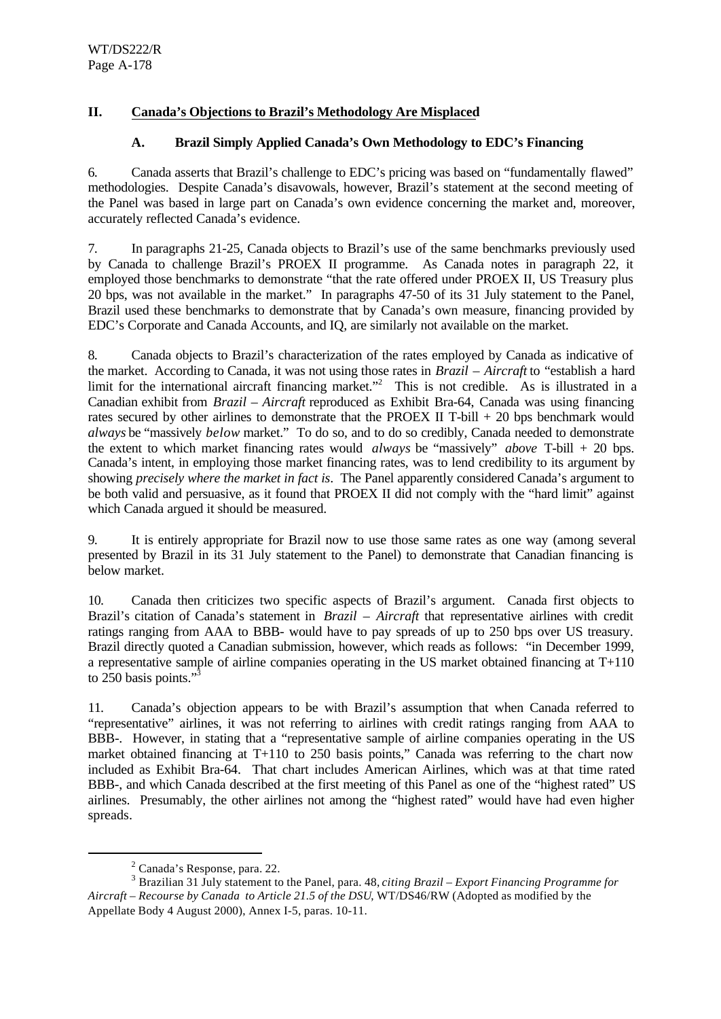## **II. Canada's Objections to Brazil's Methodology Are Misplaced**

### **A. Brazil Simply Applied Canada's Own Methodology to EDC's Financing**

6. Canada asserts that Brazil's challenge to EDC's pricing was based on "fundamentally flawed" methodologies. Despite Canada's disavowals, however, Brazil's statement at the second meeting of the Panel was based in large part on Canada's own evidence concerning the market and, moreover, accurately reflected Canada's evidence.

7. In paragraphs 21-25, Canada objects to Brazil's use of the same benchmarks previously used by Canada to challenge Brazil's PROEX II programme. As Canada notes in paragraph 22, it employed those benchmarks to demonstrate "that the rate offered under PROEX II, US Treasury plus 20 bps, was not available in the market." In paragraphs 47-50 of its 31 July statement to the Panel, Brazil used these benchmarks to demonstrate that by Canada's own measure, financing provided by EDC's Corporate and Canada Accounts, and IQ, are similarly not available on the market.

8. Canada objects to Brazil's characterization of the rates employed by Canada as indicative of the market. According to Canada, it was not using those rates in *Brazil – Aircraft* to "establish a hard limit for the international aircraft financing market."<sup>2</sup> This is not credible. As is illustrated in a Canadian exhibit from *Brazil – Aircraft* reproduced as Exhibit Bra-64, Canada was using financing rates secured by other airlines to demonstrate that the PROEX II T-bill + 20 bps benchmark would *always* be "massively *below* market." To do so, and to do so credibly, Canada needed to demonstrate the extent to which market financing rates would *always* be "massively" *above* T-bill + 20 bps. Canada's intent, in employing those market financing rates, was to lend credibility to its argument by showing *precisely where the market in fact is*. The Panel apparently considered Canada's argument to be both valid and persuasive, as it found that PROEX II did not comply with the "hard limit" against which Canada argued it should be measured.

9. It is entirely appropriate for Brazil now to use those same rates as one way (among several presented by Brazil in its 31 July statement to the Panel) to demonstrate that Canadian financing is below market.

10. Canada then criticizes two specific aspects of Brazil's argument. Canada first objects to Brazil's citation of Canada's statement in *Brazil – Aircraft* that representative airlines with credit ratings ranging from AAA to BBB- would have to pay spreads of up to 250 bps over US treasury. Brazil directly quoted a Canadian submission, however, which reads as follows: "in December 1999, a representative sample of airline companies operating in the US market obtained financing at T+110 to 250 basis points."<sup>3</sup>

11. Canada's objection appears to be with Brazil's assumption that when Canada referred to "representative" airlines, it was not referring to airlines with credit ratings ranging from AAA to BBB-. However, in stating that a "representative sample of airline companies operating in the US market obtained financing at T+110 to 250 basis points," Canada was referring to the chart now included as Exhibit Bra-64. That chart includes American Airlines, which was at that time rated BBB-, and which Canada described at the first meeting of this Panel as one of the "highest rated" US airlines. Presumably, the other airlines not among the "highest rated" would have had even higher spreads.

<sup>&</sup>lt;sup>2</sup> Canada's Response, para. 22.

<sup>3</sup> Brazilian 31 July statement to the Panel, para. 48, *citing Brazil – Export Financing Programme for Aircraft – Recourse by Canada to Article 21.5 of the DSU*, WT/DS46/RW (Adopted as modified by the Appellate Body 4 August 2000), Annex I-5, paras. 10-11.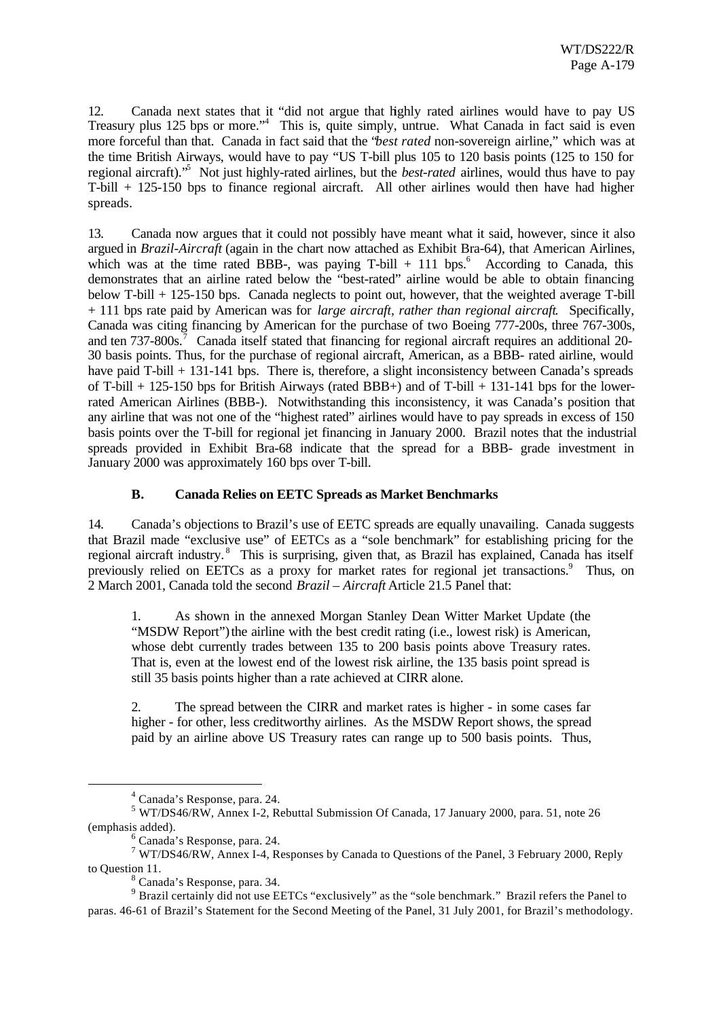12. Canada next states that it "did not argue that highly rated airlines would have to pay US Treasury plus 125 bps or more."<sup>4</sup> This is, quite simply, untrue. What Canada in fact said is even more forceful than that. Canada in fact said that the "*best rated* non-sovereign airline," which was at the time British Airways, would have to pay "US T-bill plus 105 to 120 basis points (125 to 150 for regional aircraft)."<sup>5</sup> Not just highly-rated airlines, but the *best-rated* airlines, would thus have to pay T-bill + 125-150 bps to finance regional aircraft. All other airlines would then have had higher spreads.

13. Canada now argues that it could not possibly have meant what it said, however, since it also argued in *Brazil-Aircraft* (again in the chart now attached as Exhibit Bra-64), that American Airlines, which was at the time rated BBB-, was paying  $T$ -bill + 111 bps.<sup>6</sup> According to Canada, this demonstrates that an airline rated below the "best-rated" airline would be able to obtain financing below T-bill + 125-150 bps. Canada neglects to point out, however, that the weighted average T-bill + 111 bps rate paid by American was for *large aircraft, rather than regional aircraft*. Specifically, Canada was citing financing by American for the purchase of two Boeing 777-200s, three 767-300s, and ten  $737-800s$ .<sup>7</sup> Canada itself stated that financing for regional aircraft requires an additional 20-30 basis points. Thus, for the purchase of regional aircraft, American, as a BBB- rated airline, would have paid T-bill + 131-141 bps. There is, therefore, a slight inconsistency between Canada's spreads of T-bill  $+$  125-150 bps for British Airways (rated BBB+) and of T-bill  $+$  131-141 bps for the lowerrated American Airlines (BBB-). Notwithstanding this inconsistency, it was Canada's position that any airline that was not one of the "highest rated" airlines would have to pay spreads in excess of 150 basis points over the T-bill for regional jet financing in January 2000. Brazil notes that the industrial spreads provided in Exhibit Bra-68 indicate that the spread for a BBB- grade investment in January 2000 was approximately 160 bps over T-bill.

### **B. Canada Relies on EETC Spreads as Market Benchmarks**

14. Canada's objections to Brazil's use of EETC spreads are equally unavailing. Canada suggests that Brazil made "exclusive use" of EETCs as a "sole benchmark" for establishing pricing for the regional aircraft industry.<sup>8</sup> This is surprising, given that, as Brazil has explained, Canada has itself previously relied on EETCs as a proxy for market rates for regional jet transactions.<sup>9</sup> Thus, on 2 March 2001, Canada told the second *Brazil – Aircraft* Article 21.5 Panel that:

1. As shown in the annexed Morgan Stanley Dean Witter Market Update (the "MSDW Report") the airline with the best credit rating (i.e., lowest risk) is American, whose debt currently trades between 135 to 200 basis points above Treasury rates. That is, even at the lowest end of the lowest risk airline, the 135 basis point spread is still 35 basis points higher than a rate achieved at CIRR alone.

2. The spread between the CIRR and market rates is higher - in some cases far higher - for other, less creditworthy airlines. As the MSDW Report shows, the spread paid by an airline above US Treasury rates can range up to 500 basis points. Thus,

<sup>4</sup> Canada's Response, para. 24.

<sup>&</sup>lt;sup>5</sup> WT/DS46/RW, Annex I-2, Rebuttal Submission Of Canada, 17 January 2000, para. 51, note 26 (emphasis added).

<sup>6</sup> Canada's Response, para. 24.

 $^7$  WT/DS46/RW, Annex I-4, Responses by Canada to Questions of the Panel, 3 February 2000, Reply to Question 11.

<sup>8</sup> Canada's Response, para. 34.

<sup>&</sup>lt;sup>9</sup> Brazil certainly did not use EETCs "exclusively" as the "sole benchmark." Brazil refers the Panel to paras. 46-61 of Brazil's Statement for the Second Meeting of the Panel, 31 July 2001, for Brazil's methodology.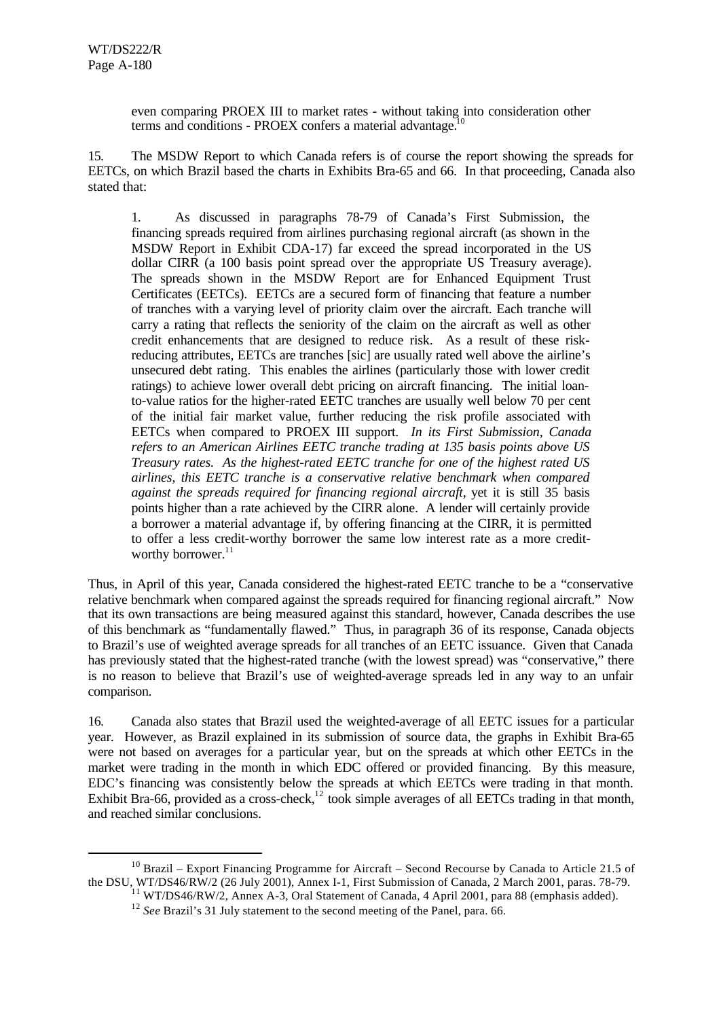l

even comparing PROEX III to market rates - without taking into consideration other terms and conditions - PROEX confers a material advantage.<sup>1</sup>

15. The MSDW Report to which Canada refers is of course the report showing the spreads for EETCs, on which Brazil based the charts in Exhibits Bra-65 and 66. In that proceeding, Canada also stated that:

1. As discussed in paragraphs 78-79 of Canada's First Submission, the financing spreads required from airlines purchasing regional aircraft (as shown in the MSDW Report in Exhibit CDA-17) far exceed the spread incorporated in the US dollar CIRR (a 100 basis point spread over the appropriate US Treasury average). The spreads shown in the MSDW Report are for Enhanced Equipment Trust Certificates (EETCs). EETCs are a secured form of financing that feature a number of tranches with a varying level of priority claim over the aircraft. Each tranche will carry a rating that reflects the seniority of the claim on the aircraft as well as other credit enhancements that are designed to reduce risk. As a result of these riskreducing attributes, EETCs are tranches [sic] are usually rated well above the airline's unsecured debt rating. This enables the airlines (particularly those with lower credit ratings) to achieve lower overall debt pricing on aircraft financing. The initial loanto-value ratios for the higher-rated EETC tranches are usually well below 70 per cent of the initial fair market value, further reducing the risk profile associated with EETCs when compared to PROEX III support. *In its First Submission, Canada refers to an American Airlines EETC tranche trading at 135 basis points above US Treasury rates. As the highest-rated EETC tranche for one of the highest rated US airlines, this EETC tranche is a conservative relative benchmark when compared against the spreads required for financing regional aircraft,* yet it is still 35 basis points higher than a rate achieved by the CIRR alone. A lender will certainly provide a borrower a material advantage if, by offering financing at the CIRR, it is permitted to offer a less credit-worthy borrower the same low interest rate as a more creditworthy borrower. $11$ 

Thus, in April of this year, Canada considered the highest-rated EETC tranche to be a "conservative relative benchmark when compared against the spreads required for financing regional aircraft." Now that its own transactions are being measured against this standard, however, Canada describes the use of this benchmark as "fundamentally flawed." Thus, in paragraph 36 of its response, Canada objects to Brazil's use of weighted average spreads for all tranches of an EETC issuance. Given that Canada has previously stated that the highest-rated tranche (with the lowest spread) was "conservative," there is no reason to believe that Brazil's use of weighted-average spreads led in any way to an unfair comparison.

16. Canada also states that Brazil used the weighted-average of all EETC issues for a particular year. However, as Brazil explained in its submission of source data, the graphs in Exhibit Bra-65 were not based on averages for a particular year, but on the spreads at which other EETCs in the market were trading in the month in which EDC offered or provided financing. By this measure, EDC's financing was consistently below the spreads at which EETCs were trading in that month. Exhibit Bra-66, provided as a cross-check,<sup>12</sup> took simple averages of all EETCs trading in that month, and reached similar conclusions.

<sup>&</sup>lt;sup>10</sup> Brazil – Export Financing Programme for Aircraft – Second Recourse by Canada to Article 21.5 of the DSU, WT/DS46/RW/2 (26 July 2001), Annex I-1, First Submission of Canada, 2 March 2001, paras. 78-79.

 $11$  WT/DS46/RW/2, Annex A-3, Oral Statement of Canada, 4 April 2001, para 88 (emphasis added).

<sup>&</sup>lt;sup>12</sup> *See* Brazil's 31 July statement to the second meeting of the Panel, para. 66.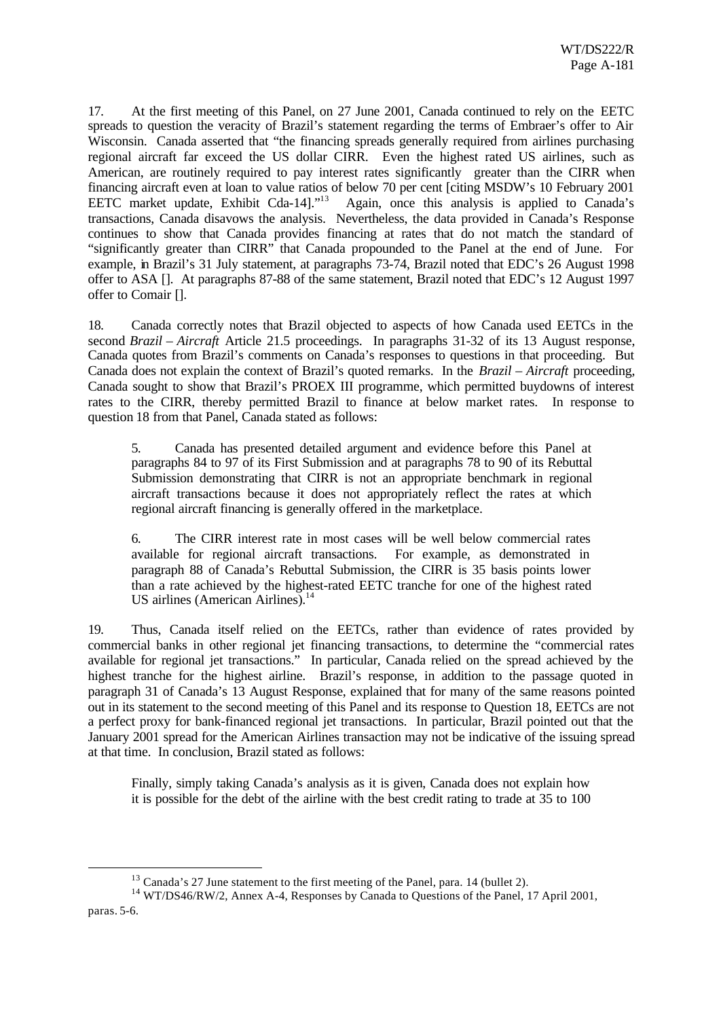17. At the first meeting of this Panel, on 27 June 2001, Canada continued to rely on the EETC spreads to question the veracity of Brazil's statement regarding the terms of Embraer's offer to Air Wisconsin. Canada asserted that "the financing spreads generally required from airlines purchasing regional aircraft far exceed the US dollar CIRR. Even the highest rated US airlines, such as American, are routinely required to pay interest rates significantly greater than the CIRR when financing aircraft even at loan to value ratios of below 70 per cent [citing MSDW's 10 February 2001 EETC market update, Exhibit Cda-14]."<sup>13</sup> Again, once this analysis is applied to Canada's transactions, Canada disavows the analysis. Nevertheless, the data provided in Canada's Response continues to show that Canada provides financing at rates that do not match the standard of "significantly greater than CIRR" that Canada propounded to the Panel at the end of June. For example, in Brazil's 31 July statement, at paragraphs 73-74, Brazil noted that EDC's 26 August 1998 offer to ASA []. At paragraphs 87-88 of the same statement, Brazil noted that EDC's 12 August 1997 offer to Comair [].

18. Canada correctly notes that Brazil objected to aspects of how Canada used EETCs in the second *Brazil – Aircraft* Article 21.5 proceedings. In paragraphs 31-32 of its 13 August response, Canada quotes from Brazil's comments on Canada's responses to questions in that proceeding. But Canada does not explain the context of Brazil's quoted remarks. In the *Brazil – Aircraft* proceeding, Canada sought to show that Brazil's PROEX III programme, which permitted buydowns of interest rates to the CIRR, thereby permitted Brazil to finance at below market rates. In response to question 18 from that Panel, Canada stated as follows:

5. Canada has presented detailed argument and evidence before this Panel at paragraphs 84 to 97 of its First Submission and at paragraphs 78 to 90 of its Rebuttal Submission demonstrating that CIRR is not an appropriate benchmark in regional aircraft transactions because it does not appropriately reflect the rates at which regional aircraft financing is generally offered in the marketplace.

6. The CIRR interest rate in most cases will be well below commercial rates available for regional aircraft transactions. For example, as demonstrated in paragraph 88 of Canada's Rebuttal Submission, the CIRR is 35 basis points lower than a rate achieved by the highest-rated EETC tranche for one of the highest rated US airlines (American Airlines). $14$ 

19. Thus, Canada itself relied on the EETCs, rather than evidence of rates provided by commercial banks in other regional jet financing transactions, to determine the "commercial rates available for regional jet transactions." In particular, Canada relied on the spread achieved by the highest tranche for the highest airline. Brazil's response, in addition to the passage quoted in paragraph 31 of Canada's 13 August Response, explained that for many of the same reasons pointed out in its statement to the second meeting of this Panel and its response to Question 18, EETCs are not a perfect proxy for bank-financed regional jet transactions. In particular, Brazil pointed out that the January 2001 spread for the American Airlines transaction may not be indicative of the issuing spread at that time. In conclusion, Brazil stated as follows:

Finally, simply taking Canada's analysis as it is given, Canada does not explain how it is possible for the debt of the airline with the best credit rating to trade at 35 to 100

<sup>&</sup>lt;sup>13</sup> Canada's 27 June statement to the first meeting of the Panel, para. 14 (bullet 2).

<sup>&</sup>lt;sup>14</sup> WT/DS46/RW/2, Annex A-4, Responses by Canada to Questions of the Panel, 17 April 2001, paras. 5-6.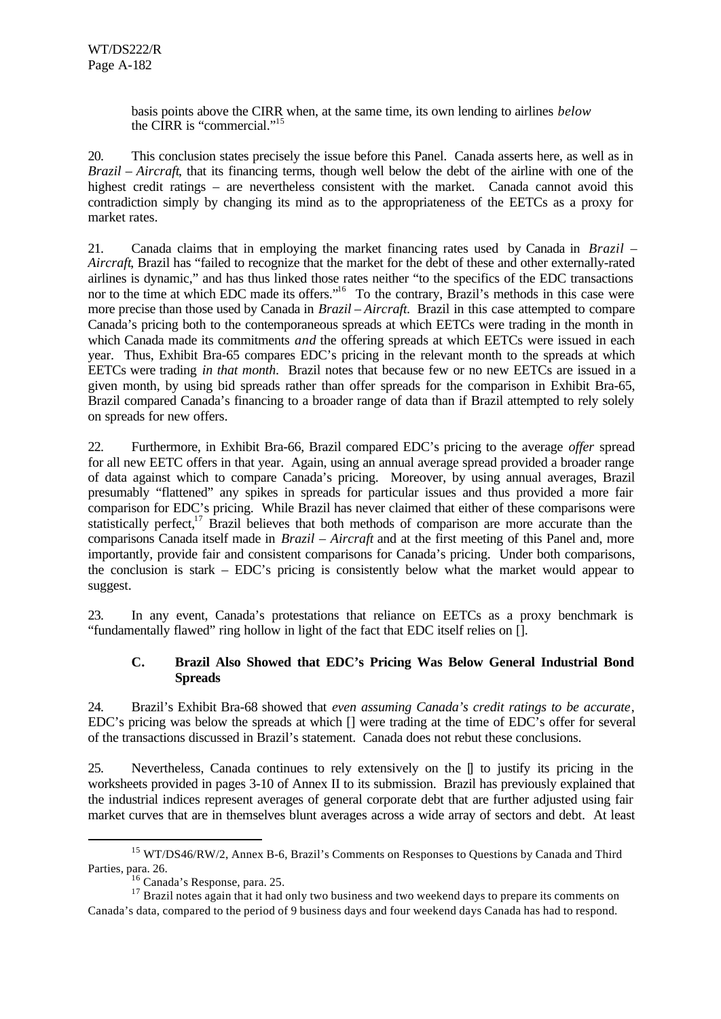basis points above the CIRR when, at the same time, its own lending to airlines *below* the CIRR is "commercial."<sup>15</sup>

20. This conclusion states precisely the issue before this Panel. Canada asserts here, as well as in *Brazil – Aircraft*, that its financing terms, though well below the debt of the airline with one of the highest credit ratings – are nevertheless consistent with the market. Canada cannot avoid this contradiction simply by changing its mind as to the appropriateness of the EETCs as a proxy for market rates.

21. Canada claims that in employing the market financing rates used by Canada in *Brazil – Aircraft*, Brazil has "failed to recognize that the market for the debt of these and other externally-rated airlines is dynamic," and has thus linked those rates neither "to the specifics of the EDC transactions nor to the time at which EDC made its offers."<sup>16</sup> To the contrary, Brazil's methods in this case were more precise than those used by Canada in *Brazil – Aircraft.* Brazil in this case attempted to compare Canada's pricing both to the contemporaneous spreads at which EETCs were trading in the month in which Canada made its commitments *and* the offering spreads at which EETCs were issued in each year. Thus, Exhibit Bra-65 compares EDC's pricing in the relevant month to the spreads at which EETCs were trading *in that month*. Brazil notes that because few or no new EETCs are issued in a given month, by using bid spreads rather than offer spreads for the comparison in Exhibit Bra-65, Brazil compared Canada's financing to a broader range of data than if Brazil attempted to rely solely on spreads for new offers.

22. Furthermore, in Exhibit Bra-66, Brazil compared EDC's pricing to the average *offer* spread for all new EETC offers in that year. Again, using an annual average spread provided a broader range of data against which to compare Canada's pricing. Moreover, by using annual averages, Brazil presumably "flattened" any spikes in spreads for particular issues and thus provided a more fair comparison for EDC's pricing. While Brazil has never claimed that either of these comparisons were statistically perfect,<sup>17</sup> Brazil believes that both methods of comparison are more accurate than the comparisons Canada itself made in *Brazil – Aircraft* and at the first meeting of this Panel and, more importantly, provide fair and consistent comparisons for Canada's pricing. Under both comparisons, the conclusion is stark – EDC's pricing is consistently below what the market would appear to suggest.

23. In any event, Canada's protestations that reliance on EETCs as a proxy benchmark is "fundamentally flawed" ring hollow in light of the fact that EDC itself relies on [].

## **C. Brazil Also Showed that EDC's Pricing Was Below General Industrial Bond Spreads**

24. Brazil's Exhibit Bra-68 showed that *even assuming Canada's credit ratings to be accurate*, EDC's pricing was below the spreads at which [] were trading at the time of EDC's offer for several of the transactions discussed in Brazil's statement. Canada does not rebut these conclusions.

25. Nevertheless, Canada continues to rely extensively on the [] to justify its pricing in the worksheets provided in pages 3-10 of Annex II to its submission. Brazil has previously explained that the industrial indices represent averages of general corporate debt that are further adjusted using fair market curves that are in themselves blunt averages across a wide array of sectors and debt. At least

<sup>&</sup>lt;sup>15</sup> WT/DS46/RW/2, Annex B-6, Brazil's Comments on Responses to Questions by Canada and Third Parties, para. 26.

<sup>16</sup> Canada's Response, para. 25.

<sup>&</sup>lt;sup>17</sup> Brazil notes again that it had only two business and two weekend days to prepare its comments on Canada's data, compared to the period of 9 business days and four weekend days Canada has had to respond.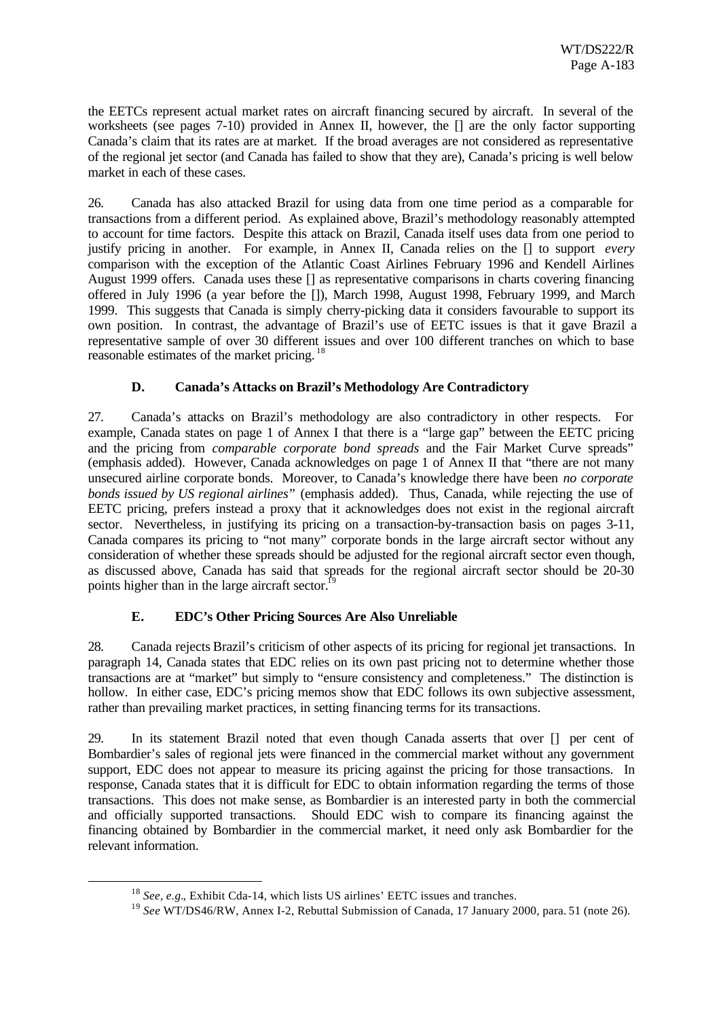the EETCs represent actual market rates on aircraft financing secured by aircraft. In several of the worksheets (see pages 7-10) provided in Annex II, however, the [] are the only factor supporting Canada's claim that its rates are at market. If the broad averages are not considered as representative of the regional jet sector (and Canada has failed to show that they are), Canada's pricing is well below market in each of these cases.

26. Canada has also attacked Brazil for using data from one time period as a comparable for transactions from a different period. As explained above, Brazil's methodology reasonably attempted to account for time factors. Despite this attack on Brazil, Canada itself uses data from one period to justify pricing in another. For example, in Annex II, Canada relies on the [] to support *every* comparison with the exception of the Atlantic Coast Airlines February 1996 and Kendell Airlines August 1999 offers. Canada uses these [] as representative comparisons in charts covering financing offered in July 1996 (a year before the []), March 1998, August 1998, February 1999, and March 1999. This suggests that Canada is simply cherry-picking data it considers favourable to support its own position. In contrast, the advantage of Brazil's use of EETC issues is that it gave Brazil a representative sample of over 30 different issues and over 100 different tranches on which to base reasonable estimates of the market pricing. <sup>18</sup>

## **D. Canada's Attacks on Brazil's Methodology Are Contradictory**

27. Canada's attacks on Brazil's methodology are also contradictory in other respects. For example, Canada states on page 1 of Annex I that there is a "large gap" between the EETC pricing and the pricing from *comparable corporate bond spreads* and the Fair Market Curve spreads" (emphasis added). However, Canada acknowledges on page 1 of Annex II that "there are not many unsecured airline corporate bonds. Moreover, to Canada's knowledge there have been *no corporate bonds issued by US regional airlines*" (emphasis added). Thus, Canada, while rejecting the use of EETC pricing, prefers instead a proxy that it acknowledges does not exist in the regional aircraft sector. Nevertheless, in justifying its pricing on a transaction-by-transaction basis on pages 3-11, Canada compares its pricing to "not many" corporate bonds in the large aircraft sector without any consideration of whether these spreads should be adjusted for the regional aircraft sector even though, as discussed above, Canada has said that spreads for the regional aircraft sector should be 20-30 points higher than in the large aircraft sector.<sup>1</sup>

## **E. EDC's Other Pricing Sources Are Also Unreliable**

28. Canada rejects Brazil's criticism of other aspects of its pricing for regional jet transactions. In paragraph 14, Canada states that EDC relies on its own past pricing not to determine whether those transactions are at "market" but simply to "ensure consistency and completeness." The distinction is hollow. In either case, EDC's pricing memos show that EDC follows its own subjective assessment, rather than prevailing market practices, in setting financing terms for its transactions.

29. In its statement Brazil noted that even though Canada asserts that over [] per cent of Bombardier's sales of regional jets were financed in the commercial market without any government support, EDC does not appear to measure its pricing against the pricing for those transactions. In response, Canada states that it is difficult for EDC to obtain information regarding the terms of those transactions. This does not make sense, as Bombardier is an interested party in both the commercial and officially supported transactions. Should EDC wish to compare its financing against the financing obtained by Bombardier in the commercial market, it need only ask Bombardier for the relevant information.

<sup>18</sup> *See, e.g.*, Exhibit Cda-14, which lists US airlines' EETC issues and tranches.

<sup>19</sup> *See* WT/DS46/RW, Annex I-2, Rebuttal Submission of Canada, 17 January 2000, para. 51 (note 26).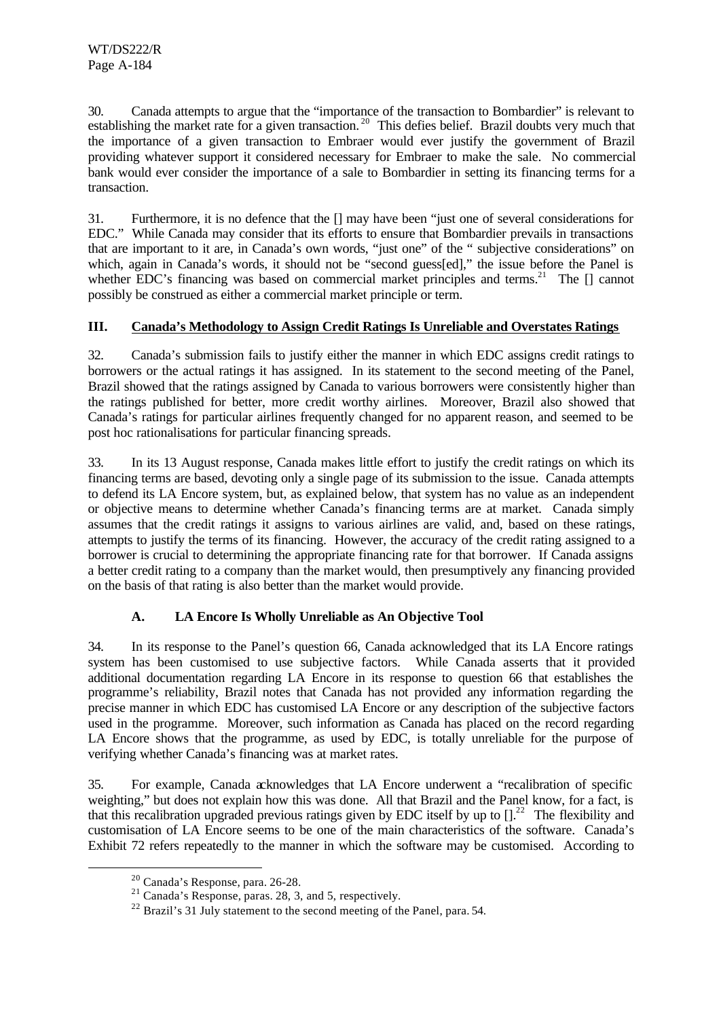30. Canada attempts to argue that the "importance of the transaction to Bombardier" is relevant to establishing the market rate for a given transaction.<sup>20</sup> This defies belief. Brazil doubts very much that the importance of a given transaction to Embraer would ever justify the government of Brazil providing whatever support it considered necessary for Embraer to make the sale. No commercial bank would ever consider the importance of a sale to Bombardier in setting its financing terms for a transaction.

31. Furthermore, it is no defence that the [] may have been "just one of several considerations for EDC." While Canada may consider that its efforts to ensure that Bombardier prevails in transactions that are important to it are, in Canada's own words, "just one" of the " subjective considerations" on which, again in Canada's words, it should not be "second guess[ed]," the issue before the Panel is whether EDC's financing was based on commercial market principles and terms.<sup>21</sup> The  $[$ ] cannot possibly be construed as either a commercial market principle or term.

## **III. Canada's Methodology to Assign Credit Ratings Is Unreliable and Overstates Ratings**

32. Canada's submission fails to justify either the manner in which EDC assigns credit ratings to borrowers or the actual ratings it has assigned. In its statement to the second meeting of the Panel, Brazil showed that the ratings assigned by Canada to various borrowers were consistently higher than the ratings published for better, more credit worthy airlines. Moreover, Brazil also showed that Canada's ratings for particular airlines frequently changed for no apparent reason, and seemed to be post hoc rationalisations for particular financing spreads.

33. In its 13 August response, Canada makes little effort to justify the credit ratings on which its financing terms are based, devoting only a single page of its submission to the issue. Canada attempts to defend its LA Encore system, but, as explained below, that system has no value as an independent or objective means to determine whether Canada's financing terms are at market. Canada simply assumes that the credit ratings it assigns to various airlines are valid, and, based on these ratings, attempts to justify the terms of its financing. However, the accuracy of the credit rating assigned to a borrower is crucial to determining the appropriate financing rate for that borrower. If Canada assigns a better credit rating to a company than the market would, then presumptively any financing provided on the basis of that rating is also better than the market would provide.

# **A. LA Encore Is Wholly Unreliable as An Objective Tool**

34. In its response to the Panel's question 66, Canada acknowledged that its LA Encore ratings system has been customised to use subjective factors. While Canada asserts that it provided additional documentation regarding LA Encore in its response to question 66 that establishes the programme's reliability, Brazil notes that Canada has not provided any information regarding the precise manner in which EDC has customised LA Encore or any description of the subjective factors used in the programme. Moreover, such information as Canada has placed on the record regarding LA Encore shows that the programme, as used by EDC, is totally unreliable for the purpose of verifying whether Canada's financing was at market rates.

35. For example, Canada acknowledges that LA Encore underwent a "recalibration of specific weighting," but does not explain how this was done. All that Brazil and the Panel know, for a fact, is that this recalibration upgraded previous ratings given by EDC itself by up to  $\prod^{22}$ . The flexibility and customisation of LA Encore seems to be one of the main characteristics of the software. Canada's Exhibit 72 refers repeatedly to the manner in which the software may be customised. According to

<sup>20</sup> Canada's Response, para. 26-28.

<sup>&</sup>lt;sup>21</sup> Canada's Response, paras. 28, 3, and 5, respectively.

 $^{22}$  Brazil's 31 July statement to the second meeting of the Panel, para. 54.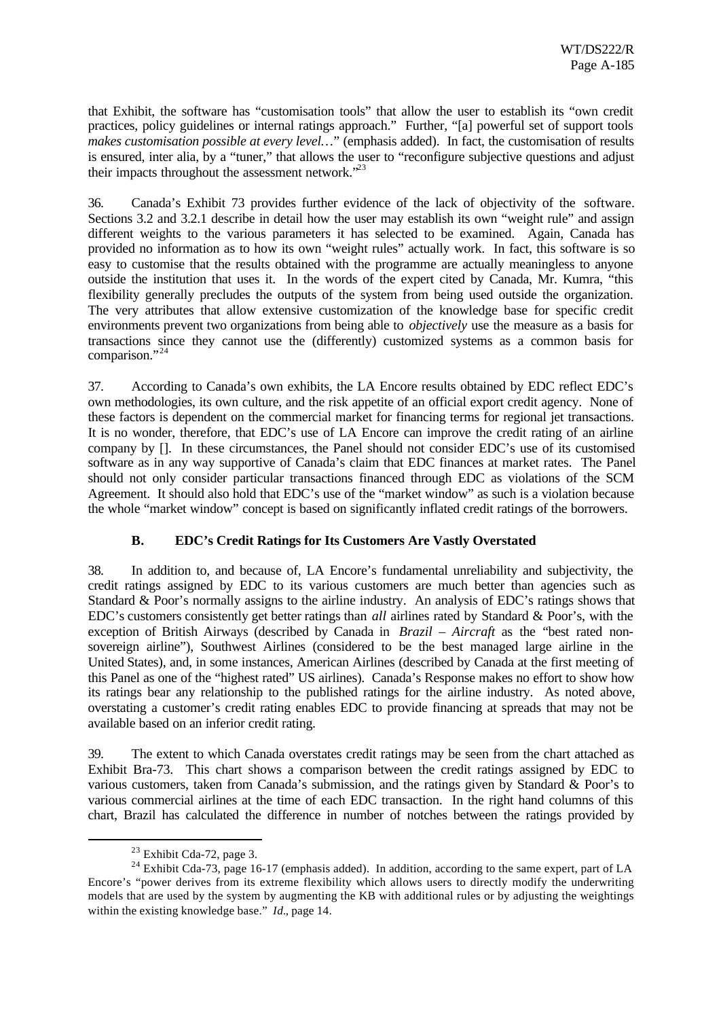that Exhibit, the software has "customisation tools" that allow the user to establish its "own credit practices, policy guidelines or internal ratings approach." Further, "[a] powerful set of support tools *makes customisation possible at every level*…" (emphasis added). In fact, the customisation of results is ensured, inter alia, by a "tuner," that allows the user to "reconfigure subjective questions and adjust their impacts throughout the assessment network. $\cdot^{23}$ 

36. Canada's Exhibit 73 provides further evidence of the lack of objectivity of the software. Sections 3.2 and 3.2.1 describe in detail how the user may establish its own "weight rule" and assign different weights to the various parameters it has selected to be examined. Again, Canada has provided no information as to how its own "weight rules" actually work. In fact, this software is so easy to customise that the results obtained with the programme are actually meaningless to anyone outside the institution that uses it. In the words of the expert cited by Canada, Mr. Kumra, "this flexibility generally precludes the outputs of the system from being used outside the organization. The very attributes that allow extensive customization of the knowledge base for specific credit environments prevent two organizations from being able to *objectively* use the measure as a basis for transactions since they cannot use the (differently) customized systems as a common basis for comparison."<sup>24</sup>

37. According to Canada's own exhibits, the LA Encore results obtained by EDC reflect EDC's own methodologies, its own culture, and the risk appetite of an official export credit agency. None of these factors is dependent on the commercial market for financing terms for regional jet transactions. It is no wonder, therefore, that EDC's use of LA Encore can improve the credit rating of an airline company by []. In these circumstances, the Panel should not consider EDC's use of its customised software as in any way supportive of Canada's claim that EDC finances at market rates. The Panel should not only consider particular transactions financed through EDC as violations of the SCM Agreement. It should also hold that EDC's use of the "market window" as such is a violation because the whole "market window" concept is based on significantly inflated credit ratings of the borrowers.

## **B. EDC's Credit Ratings for Its Customers Are Vastly Overstated**

38. In addition to, and because of, LA Encore's fundamental unreliability and subjectivity, the credit ratings assigned by EDC to its various customers are much better than agencies such as Standard & Poor's normally assigns to the airline industry. An analysis of EDC's ratings shows that EDC's customers consistently get better ratings than *all* airlines rated by Standard & Poor's, with the exception of British Airways (described by Canada in *Brazil – Aircraft* as the "best rated nonsovereign airline"), Southwest Airlines (considered to be the best managed large airline in the United States), and, in some instances, American Airlines (described by Canada at the first meeting of this Panel as one of the "highest rated" US airlines). Canada's Response makes no effort to show how its ratings bear any relationship to the published ratings for the airline industry. As noted above, overstating a customer's credit rating enables EDC to provide financing at spreads that may not be available based on an inferior credit rating.

39. The extent to which Canada overstates credit ratings may be seen from the chart attached as Exhibit Bra-73. This chart shows a comparison between the credit ratings assigned by EDC to various customers, taken from Canada's submission, and the ratings given by Standard & Poor's to various commercial airlines at the time of each EDC transaction. In the right hand columns of this chart, Brazil has calculated the difference in number of notches between the ratings provided by

 $23$  Exhibit Cda-72, page 3.

<sup>&</sup>lt;sup>24</sup> Exhibit Cda-73, page 16-17 (emphasis added). In addition, according to the same expert, part of LA Encore's "power derives from its extreme flexibility which allows users to directly modify the underwriting models that are used by the system by augmenting the KB with additional rules or by adjusting the weightings within the existing knowledge base." *Id.*, page 14.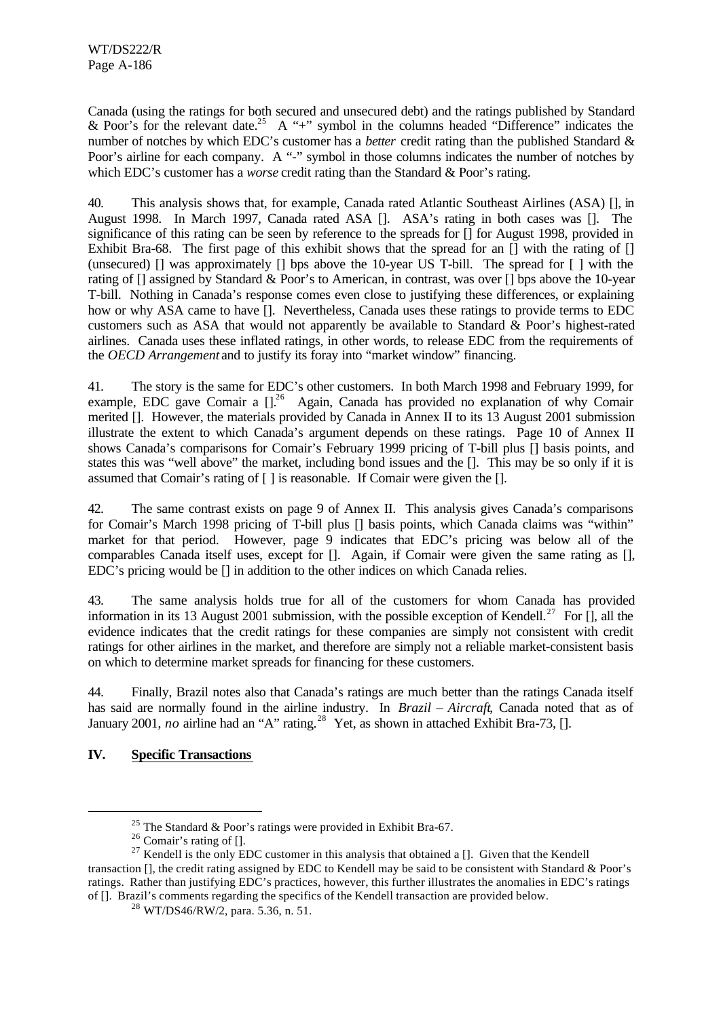Canada (using the ratings for both secured and unsecured debt) and the ratings published by Standard & Poor's for the relevant date.<sup>25</sup> A "+" symbol in the columns headed "Difference" indicates the number of notches by which EDC's customer has a *better* credit rating than the published Standard & Poor's airline for each company. A "-" symbol in those columns indicates the number of notches by which EDC's customer has a *worse* credit rating than the Standard & Poor's rating.

40. This analysis shows that, for example, Canada rated Atlantic Southeast Airlines (ASA) [], in August 1998. In March 1997, Canada rated ASA []. ASA's rating in both cases was []. The significance of this rating can be seen by reference to the spreads for [] for August 1998, provided in Exhibit Bra-68. The first page of this exhibit shows that the spread for an [] with the rating of [] (unsecured) [] was approximately [] bps above the 10-year US T-bill. The spread for [ ] with the rating of [] assigned by Standard & Poor's to American, in contrast, was over [] bps above the 10-year T-bill. Nothing in Canada's response comes even close to justifying these differences, or explaining how or why ASA came to have []. Nevertheless, Canada uses these ratings to provide terms to EDC customers such as ASA that would not apparently be available to Standard  $\&$  Poor's highest-rated airlines. Canada uses these inflated ratings, in other words, to release EDC from the requirements of the *OECD Arrangement* and to justify its foray into "market window" financing.

41. The story is the same for EDC's other customers. In both March 1998 and February 1999, for example, EDC gave Comair a  $[1]$ <sup>26</sup> Again, Canada has provided no explanation of why Comair merited []. However, the materials provided by Canada in Annex II to its 13 August 2001 submission illustrate the extent to which Canada's argument depends on these ratings. Page 10 of Annex II shows Canada's comparisons for Comair's February 1999 pricing of T-bill plus [] basis points, and states this was "well above" the market, including bond issues and the []. This may be so only if it is assumed that Comair's rating of [ ] is reasonable. If Comair were given the [].

42. The same contrast exists on page 9 of Annex II. This analysis gives Canada's comparisons for Comair's March 1998 pricing of T-bill plus [] basis points, which Canada claims was "within" market for that period. However, page 9 indicates that EDC's pricing was below all of the comparables Canada itself uses, except for []. Again, if Comair were given the same rating as [], EDC's pricing would be [] in addition to the other indices on which Canada relies.

43. The same analysis holds true for all of the customers for whom Canada has provided information in its 13 August 2001 submission, with the possible exception of Kendell.<sup>27</sup> For  $\hat{\Pi}$ , all the evidence indicates that the credit ratings for these companies are simply not consistent with credit ratings for other airlines in the market, and therefore are simply not a reliable market-consistent basis on which to determine market spreads for financing for these customers.

44. Finally, Brazil notes also that Canada's ratings are much better than the ratings Canada itself has said are normally found in the airline industry. In *Brazil – Aircraft*, Canada noted that as of January 2001, *no* airline had an "A" rating.<sup>28</sup> Yet, as shown in attached Exhibit Bra-73, [].

## **IV. Specific Transactions**

<sup>&</sup>lt;sup>25</sup> The Standard & Poor's ratings were provided in Exhibit Bra-67.

 $26$  Comair's rating of [].

<sup>&</sup>lt;sup>27</sup> Kendell is the only EDC customer in this analysis that obtained a []. Given that the Kendell transaction [], the credit rating assigned by EDC to Kendell may be said to be consistent with Standard & Poor's ratings. Rather than justifying EDC's practices, however, this further illustrates the anomalies in EDC's ratings of []. Brazil's comments regarding the specifics of the Kendell transaction are provided below.

<sup>28</sup> WT/DS46/RW/2, para. 5.36, n. 51.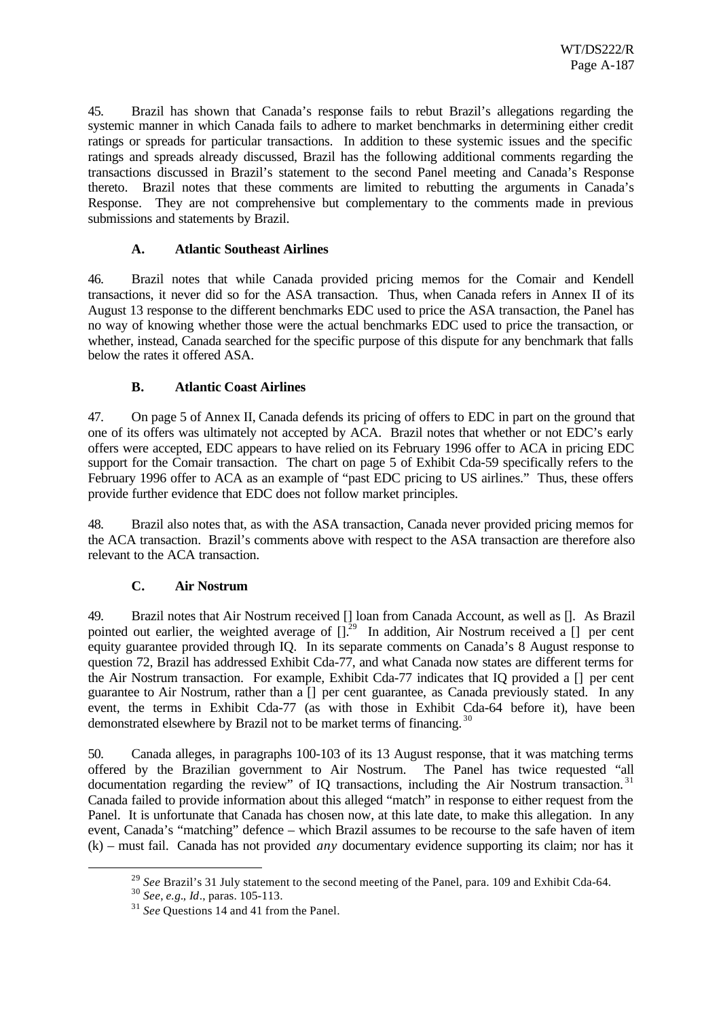45. Brazil has shown that Canada's response fails to rebut Brazil's allegations regarding the systemic manner in which Canada fails to adhere to market benchmarks in determining either credit ratings or spreads for particular transactions. In addition to these systemic issues and the specific ratings and spreads already discussed, Brazil has the following additional comments regarding the transactions discussed in Brazil's statement to the second Panel meeting and Canada's Response thereto. Brazil notes that these comments are limited to rebutting the arguments in Canada's Response. They are not comprehensive but complementary to the comments made in previous submissions and statements by Brazil.

## **A. Atlantic Southeast Airlines**

46. Brazil notes that while Canada provided pricing memos for the Comair and Kendell transactions, it never did so for the ASA transaction. Thus, when Canada refers in Annex II of its August 13 response to the different benchmarks EDC used to price the ASA transaction, the Panel has no way of knowing whether those were the actual benchmarks EDC used to price the transaction, or whether, instead, Canada searched for the specific purpose of this dispute for any benchmark that falls below the rates it offered ASA.

## **B. Atlantic Coast Airlines**

47. On page 5 of Annex II, Canada defends its pricing of offers to EDC in part on the ground that one of its offers was ultimately not accepted by ACA. Brazil notes that whether or not EDC's early offers were accepted, EDC appears to have relied on its February 1996 offer to ACA in pricing EDC support for the Comair transaction. The chart on page 5 of Exhibit Cda-59 specifically refers to the February 1996 offer to ACA as an example of "past EDC pricing to US airlines." Thus, these offers provide further evidence that EDC does not follow market principles.

48. Brazil also notes that, as with the ASA transaction, Canada never provided pricing memos for the ACA transaction. Brazil's comments above with respect to the ASA transaction are therefore also relevant to the ACA transaction.

## **C. Air Nostrum**

49. Brazil notes that Air Nostrum received [] loan from Canada Account, as well as []. As Brazil pointed out earlier, the weighted average of  $\left[\right]^{29}$  In addition, Air Nostrum received a  $\left[\right]$  per cent equity guarantee provided through IQ. In its separate comments on Canada's 8 August response to question 72, Brazil has addressed Exhibit Cda-77, and what Canada now states are different terms for the Air Nostrum transaction. For example, Exhibit Cda-77 indicates that IQ provided a [] per cent guarantee to Air Nostrum, rather than a [] per cent guarantee, as Canada previously stated. In any event, the terms in Exhibit Cda-77 (as with those in Exhibit Cda-64 before it), have been demonstrated elsewhere by Brazil not to be market terms of financing.<sup>30</sup>

50. Canada alleges, in paragraphs 100-103 of its 13 August response, that it was matching terms offered by the Brazilian government to Air Nostrum. The Panel has twice requested "all documentation regarding the review" of IQ transactions, including the Air Nostrum transaction.<sup>31</sup> Canada failed to provide information about this alleged "match" in response to either request from the Panel. It is unfortunate that Canada has chosen now, at this late date, to make this allegation. In any event, Canada's "matching" defence – which Brazil assumes to be recourse to the safe haven of item (k) – must fail. Canada has not provided *any* documentary evidence supporting its claim; nor has it

<sup>&</sup>lt;sup>29</sup> *See* Brazil's 31 July statement to the second meeting of the Panel, para. 109 and Exhibit Cda-64.

<sup>30</sup> *See*, *e.g.*, *Id*., paras. 105-113.

<sup>&</sup>lt;sup>31</sup> See Ouestions 14 and 41 from the Panel.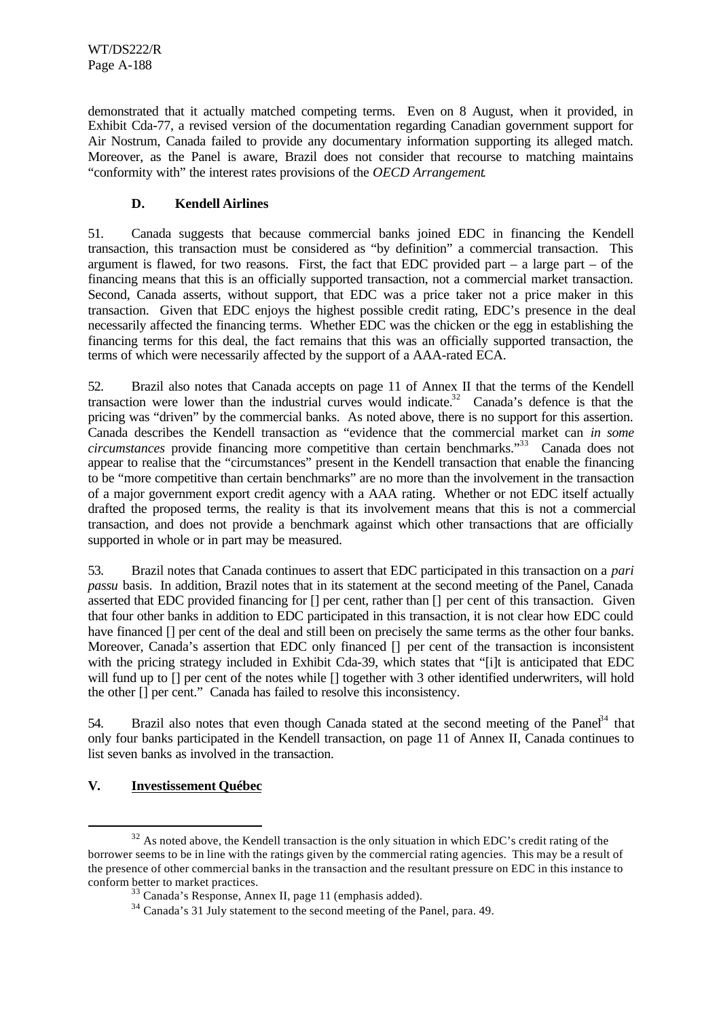demonstrated that it actually matched competing terms. Even on 8 August, when it provided, in Exhibit Cda-77, a revised version of the documentation regarding Canadian government support for Air Nostrum, Canada failed to provide any documentary information supporting its alleged match. Moreover, as the Panel is aware, Brazil does not consider that recourse to matching maintains "conformity with" the interest rates provisions of the *OECD Arrangement*.

## **D. Kendell Airlines**

51. Canada suggests that because commercial banks joined EDC in financing the Kendell transaction, this transaction must be considered as "by definition" a commercial transaction. This argument is flawed, for two reasons. First, the fact that EDC provided part – a large part – of the financing means that this is an officially supported transaction, not a commercial market transaction. Second, Canada asserts, without support, that EDC was a price taker not a price maker in this transaction. Given that EDC enjoys the highest possible credit rating, EDC's presence in the deal necessarily affected the financing terms. Whether EDC was the chicken or the egg in establishing the financing terms for this deal, the fact remains that this was an officially supported transaction, the terms of which were necessarily affected by the support of a AAA-rated ECA.

52. Brazil also notes that Canada accepts on page 11 of Annex II that the terms of the Kendell transaction were lower than the industrial curves would indicate.<sup>32</sup> Canada's defence is that the pricing was "driven" by the commercial banks. As noted above, there is no support for this assertion. Canada describes the Kendell transaction as "evidence that the commercial market can *in some circumstances* provide financing more competitive than certain benchmarks."<sup>33</sup> Canada does not appear to realise that the "circumstances" present in the Kendell transaction that enable the financing to be "more competitive than certain benchmarks" are no more than the involvement in the transaction of a major government export credit agency with a AAA rating. Whether or not EDC itself actually drafted the proposed terms, the reality is that its involvement means that this is not a commercial transaction, and does not provide a benchmark against which other transactions that are officially supported in whole or in part may be measured.

53. Brazil notes that Canada continues to assert that EDC participated in this transaction on a *pari passu* basis. In addition, Brazil notes that in its statement at the second meeting of the Panel, Canada asserted that EDC provided financing for [] per cent, rather than [] per cent of this transaction. Given that four other banks in addition to EDC participated in this transaction, it is not clear how EDC could have financed  $\Box$  per cent of the deal and still been on precisely the same terms as the other four banks. Moreover, Canada's assertion that EDC only financed  $\Box$  per cent of the transaction is inconsistent with the pricing strategy included in Exhibit Cda-39, which states that "[i]t is anticipated that EDC will fund up to  $\iint$  per cent of the notes while  $\iint$  together with 3 other identified underwriters, will hold the other [] per cent." Canada has failed to resolve this inconsistency.

54. Brazil also notes that even though Canada stated at the second meeting of the Panel<sup>34</sup> that only four banks participated in the Kendell transaction, on page 11 of Annex II, Canada continues to list seven banks as involved in the transaction.

## **V. Investissement Québec**

<sup>&</sup>lt;sup>32</sup> As noted above, the Kendell transaction is the only situation in which EDC's credit rating of the borrower seems to be in line with the ratings given by the commercial rating agencies. This may be a result of the presence of other commercial banks in the transaction and the resultant pressure on EDC in this instance to conform better to market practices.

 $33$  Canada's Response, Annex II, page 11 (emphasis added).

<sup>&</sup>lt;sup>34</sup> Canada's 31 July statement to the second meeting of the Panel, para. 49.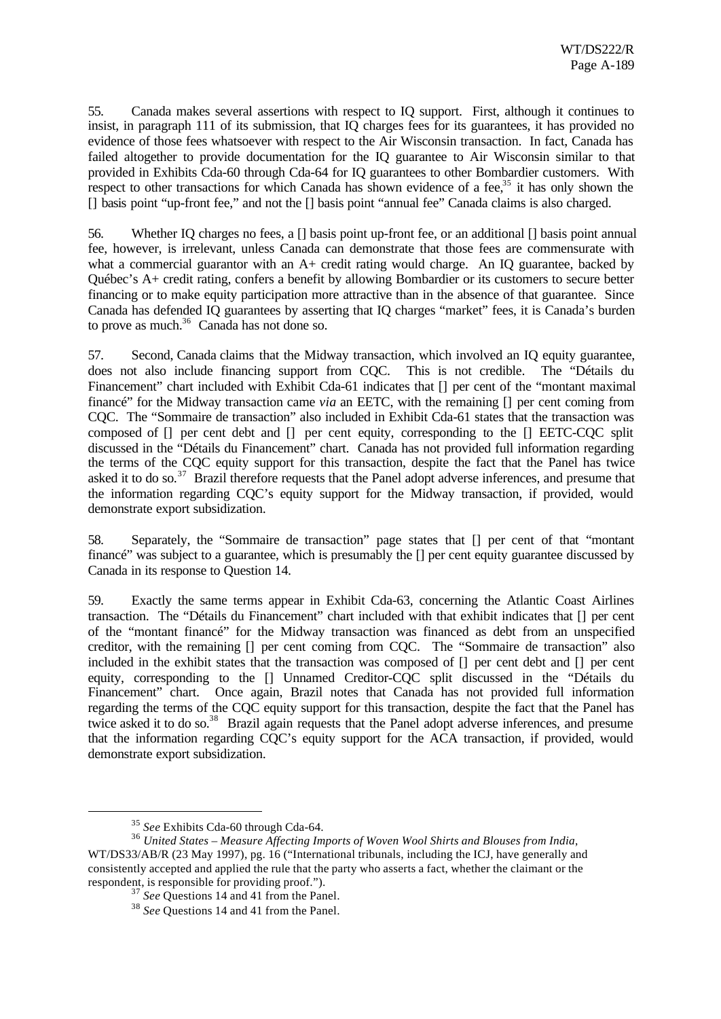55. Canada makes several assertions with respect to IQ support. First, although it continues to insist, in paragraph 111 of its submission, that IQ charges fees for its guarantees, it has provided no evidence of those fees whatsoever with respect to the Air Wisconsin transaction. In fact, Canada has failed altogether to provide documentation for the IQ guarantee to Air Wisconsin similar to that provided in Exhibits Cda-60 through Cda-64 for IQ guarantees to other Bombardier customers. With respect to other transactions for which Canada has shown evidence of a fee,<sup>35</sup> it has only shown the [] basis point "up-front fee," and not the [] basis point "annual fee" Canada claims is also charged.

56. Whether IQ charges no fees, a [] basis point up-front fee, or an additional [] basis point annual fee, however, is irrelevant, unless Canada can demonstrate that those fees are commensurate with what a commercial guarantor with an A+ credit rating would charge. An IO guarantee, backed by Québec's A+ credit rating, confers a benefit by allowing Bombardier or its customers to secure better financing or to make equity participation more attractive than in the absence of that guarantee. Since Canada has defended IQ guarantees by asserting that IQ charges "market" fees, it is Canada's burden to prove as much.<sup>36</sup> Canada has not done so.

57. Second, Canada claims that the Midway transaction, which involved an IQ equity guarantee, does not also include financing support from CQC. This is not credible. The "Détails du Financement" chart included with Exhibit Cda-61 indicates that  $\Box$  per cent of the "montant maximal" financé" for the Midway transaction came *via* an EETC, with the remaining [] per cent coming from CQC. The "Sommaire de transaction" also included in Exhibit Cda-61 states that the transaction was composed of [] per cent debt and [] per cent equity, corresponding to the [] EETC-CQC split discussed in the "Détails du Financement" chart. Canada has not provided full information regarding the terms of the CQC equity support for this transaction, despite the fact that the Panel has twice asked it to do so.<sup>37</sup> Brazil therefore requests that the Panel adopt adverse inferences, and presume that the information regarding CQC's equity support for the Midway transaction, if provided, would demonstrate export subsidization.

58. Separately, the "Sommaire de transaction" page states that [] per cent of that "montant financé" was subject to a guarantee, which is presumably the [] per cent equity guarantee discussed by Canada in its response to Question 14.

59. Exactly the same terms appear in Exhibit Cda-63, concerning the Atlantic Coast Airlines transaction. The "Détails du Financement" chart included with that exhibit indicates that [] per cent of the "montant financé" for the Midway transaction was financed as debt from an unspecified creditor, with the remaining [] per cent coming from CQC. The "Sommaire de transaction" also included in the exhibit states that the transaction was composed of [] per cent debt and [] per cent equity, corresponding to the [] Unnamed Creditor-CQC split discussed in the "Détails du Financement" chart. Once again, Brazil notes that Canada has not provided full information regarding the terms of the CQC equity support for this transaction, despite the fact that the Panel has twice asked it to do so.<sup>38</sup> Brazil again requests that the Panel adopt adverse inferences, and presume that the information regarding CQC's equity support for the ACA transaction, if provided, would demonstrate export subsidization.

<sup>35</sup> *See* Exhibits Cda-60 through Cda-64.

<sup>36</sup> *United States – Measure Affecting Imports of Woven Wool Shirts and Blouses from India*, WT/DS33/AB/R (23 May 1997), pg. 16 ("International tribunals, including the ICJ, have generally and consistently accepted and applied the rule that the party who asserts a fact, whether the claimant or the respondent, is responsible for providing proof.").

<sup>&</sup>lt;sup>37</sup> See Ouestions 14 and 41 from the Panel.

<sup>38</sup> *See* Questions 14 and 41 from the Panel.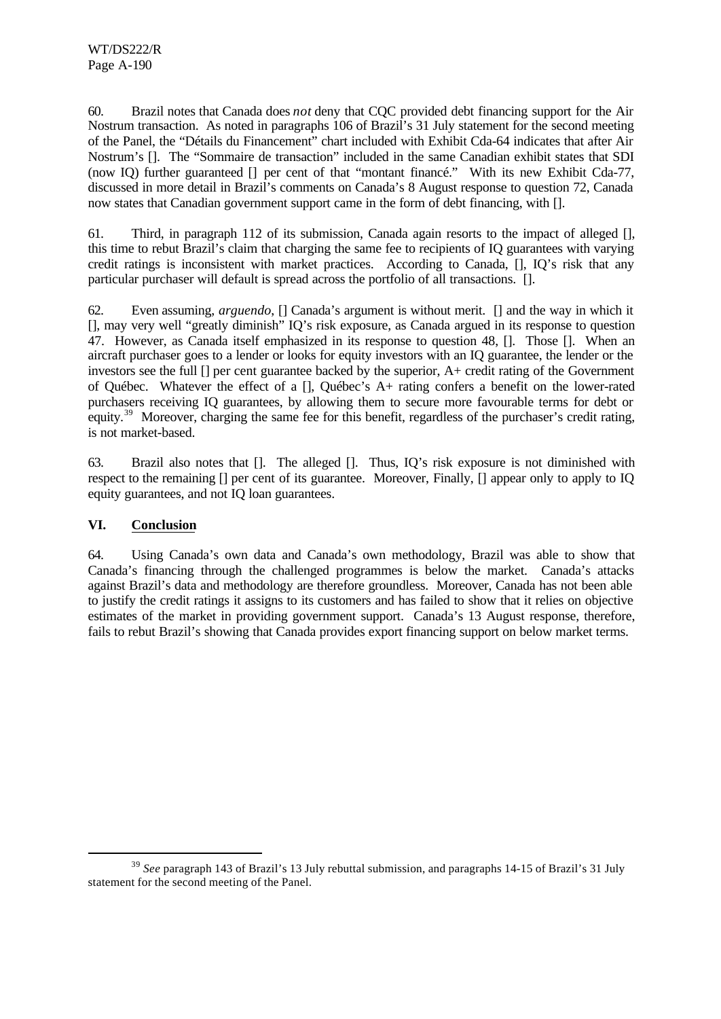60. Brazil notes that Canada does *not* deny that CQC provided debt financing support for the Air Nostrum transaction. As noted in paragraphs 106 of Brazil's 31 July statement for the second meeting of the Panel, the "Détails du Financement" chart included with Exhibit Cda-64 indicates that after Air Nostrum's []. The "Sommaire de transaction" included in the same Canadian exhibit states that SDI (now IQ) further guaranteed [] per cent of that "montant financé." With its new Exhibit Cda-77, discussed in more detail in Brazil's comments on Canada's 8 August response to question 72, Canada now states that Canadian government support came in the form of debt financing, with [].

61. Third, in paragraph 112 of its submission, Canada again resorts to the impact of alleged [], this time to rebut Brazil's claim that charging the same fee to recipients of IQ guarantees with varying credit ratings is inconsistent with market practices. According to Canada, [], IQ's risk that any particular purchaser will default is spread across the portfolio of all transactions. [].

62. Even assuming, *arguendo*, [] Canada's argument is without merit. [] and the way in which it [], may very well "greatly diminish" IQ's risk exposure, as Canada argued in its response to question 47. However, as Canada itself emphasized in its response to question 48, []. Those []. When an aircraft purchaser goes to a lender or looks for equity investors with an IQ guarantee, the lender or the investors see the full [] per cent guarantee backed by the superior, A+ credit rating of the Government of Québec. Whatever the effect of a [], Québec's A+ rating confers a benefit on the lower-rated purchasers receiving IQ guarantees, by allowing them to secure more favourable terms for debt or equity.<sup>39</sup> Moreover, charging the same fee for this benefit, regardless of the purchaser's credit rating, is not market-based.

63. Brazil also notes that []. The alleged []. Thus, IQ's risk exposure is not diminished with respect to the remaining [] per cent of its guarantee. Moreover, Finally, [] appear only to apply to IQ equity guarantees, and not IQ loan guarantees.

## **VI. Conclusion**

l

64. Using Canada's own data and Canada's own methodology, Brazil was able to show that Canada's financing through the challenged programmes is below the market. Canada's attacks against Brazil's data and methodology are therefore groundless. Moreover, Canada has not been able to justify the credit ratings it assigns to its customers and has failed to show that it relies on objective estimates of the market in providing government support. Canada's 13 August response, therefore, fails to rebut Brazil's showing that Canada provides export financing support on below market terms.

<sup>39</sup> *See* paragraph 143 of Brazil's 13 July rebuttal submission, and paragraphs 14-15 of Brazil's 31 July statement for the second meeting of the Panel.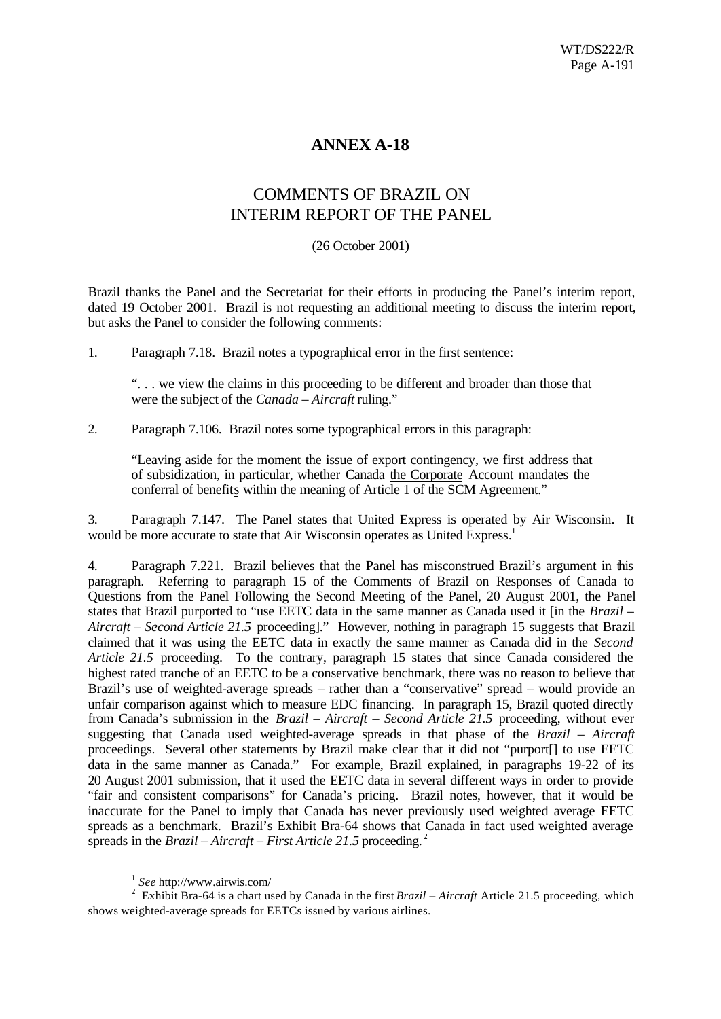# **ANNEX A-18**

# COMMENTS OF BRAZIL ON INTERIM REPORT OF THE PANEL

### (26 October 2001)

Brazil thanks the Panel and the Secretariat for their efforts in producing the Panel's interim report, dated 19 October 2001. Brazil is not requesting an additional meeting to discuss the interim report, but asks the Panel to consider the following comments:

1. Paragraph 7.18. Brazil notes a typographical error in the first sentence:

". . . we view the claims in this proceeding to be different and broader than those that were the subject of the *Canada – Aircraft* ruling."

2. Paragraph 7.106. Brazil notes some typographical errors in this paragraph:

"Leaving aside for the moment the issue of export contingency, we first address that of subsidization, in particular, whether Canada the Corporate Account mandates the conferral of benefits within the meaning of Article 1 of the SCM Agreement."

3. Paragraph 7.147. The Panel states that United Express is operated by Air Wisconsin. It would be more accurate to state that Air Wisconsin operates as United Express.<sup>1</sup>

4. Paragraph 7.221. Brazil believes that the Panel has misconstrued Brazil's argument in this paragraph. Referring to paragraph 15 of the Comments of Brazil on Responses of Canada to Questions from the Panel Following the Second Meeting of the Panel, 20 August 2001, the Panel states that Brazil purported to "use EETC data in the same manner as Canada used it [in the *Brazil – Aircraft – Second Article 21.5* proceeding]." However, nothing in paragraph 15 suggests that Brazil claimed that it was using the EETC data in exactly the same manner as Canada did in the *Second Article 21.5* proceeding. To the contrary, paragraph 15 states that since Canada considered the highest rated tranche of an EETC to be a conservative benchmark, there was no reason to believe that Brazil's use of weighted-average spreads – rather than a "conservative" spread – would provide an unfair comparison against which to measure EDC financing. In paragraph 15, Brazil quoted directly from Canada's submission in the *Brazil – Aircraft – Second Article 21.5* proceeding, without ever suggesting that Canada used weighted-average spreads in that phase of the *Brazil – Aircraft* proceedings. Several other statements by Brazil make clear that it did not "purport[] to use EETC data in the same manner as Canada." For example, Brazil explained, in paragraphs 19-22 of its 20 August 2001 submission, that it used the EETC data in several different ways in order to provide "fair and consistent comparisons" for Canada's pricing. Brazil notes, however, that it would be inaccurate for the Panel to imply that Canada has never previously used weighted average EETC spreads as a benchmark. Brazil's Exhibit Bra-64 shows that Canada in fact used weighted average spreads in the *Brazil – Aircraft – First Article 21.5* proceeding. <sup>2</sup>

<sup>1</sup> *See* http://www.airwis.com/

<sup>2</sup> Exhibit Bra-64 is a chart used by Canada in the first *Brazil – Aircraft* Article 21.5 proceeding, which shows weighted-average spreads for EETCs issued by various airlines.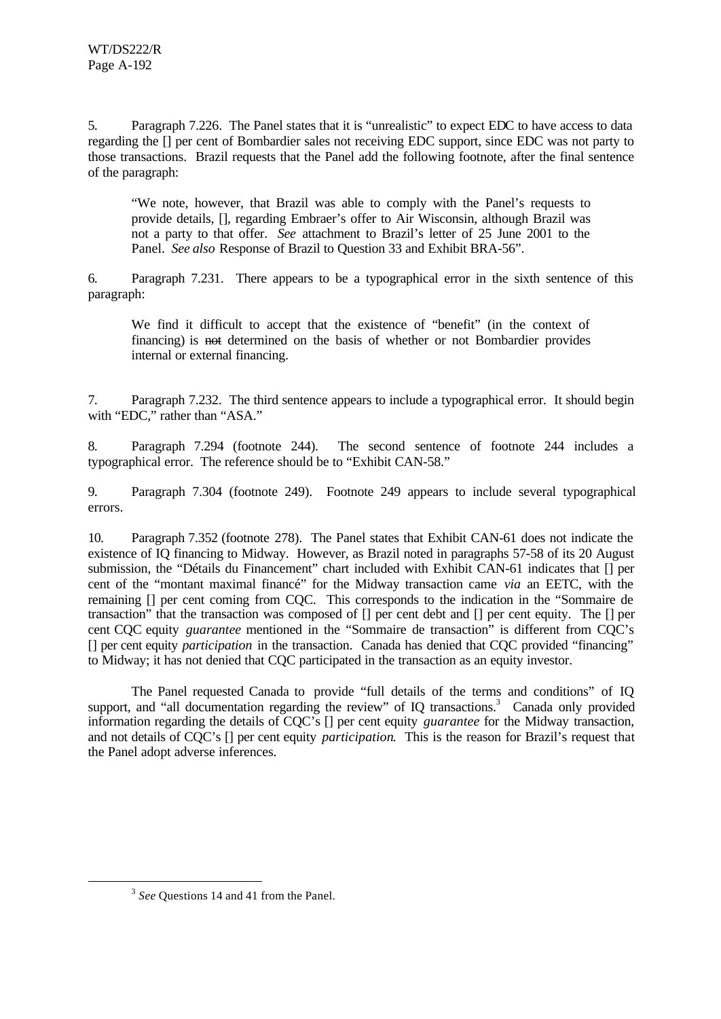5. Paragraph 7.226. The Panel states that it is "unrealistic" to expect EDC to have access to data regarding the [] per cent of Bombardier sales not receiving EDC support, since EDC was not party to those transactions. Brazil requests that the Panel add the following footnote, after the final sentence of the paragraph:

"We note, however, that Brazil was able to comply with the Panel's requests to provide details, [], regarding Embraer's offer to Air Wisconsin, although Brazil was not a party to that offer. *See* attachment to Brazil's letter of 25 June 2001 to the Panel. *See also* Response of Brazil to Question 33 and Exhibit BRA-56".

6. Paragraph 7.231. There appears to be a typographical error in the sixth sentence of this paragraph:

We find it difficult to accept that the existence of "benefit" (in the context of financing) is not determined on the basis of whether or not Bombardier provides internal or external financing.

7. Paragraph 7.232. The third sentence appears to include a typographical error. It should begin with "EDC," rather than "ASA."

8. Paragraph 7.294 (footnote 244). The second sentence of footnote 244 includes a typographical error. The reference should be to "Exhibit CAN-58."

9. Paragraph 7.304 (footnote 249). Footnote 249 appears to include several typographical errors.

10. Paragraph 7.352 (footnote 278). The Panel states that Exhibit CAN-61 does not indicate the existence of IQ financing to Midway. However, as Brazil noted in paragraphs 57-58 of its 20 August submission, the "Détails du Financement" chart included with Exhibit CAN-61 indicates that [] per cent of the "montant maximal financé" for the Midway transaction came *via* an EETC, with the remaining [] per cent coming from CQC. This corresponds to the indication in the "Sommaire de transaction" that the transaction was composed of [] per cent debt and [] per cent equity. The [] per cent CQC equity *guarantee* mentioned in the "Sommaire de transaction" is different from CQC's [] per cent equity *participation* in the transaction. Canada has denied that CQC provided "financing" to Midway; it has not denied that CQC participated in the transaction as an equity investor.

The Panel requested Canada to provide "full details of the terms and conditions" of IQ support, and "all documentation regarding the review" of IQ transactions.<sup>3</sup> Canada only provided information regarding the details of CQC's [] per cent equity *guarantee* for the Midway transaction, and not details of CQC's [] per cent equity *participation*. This is the reason for Brazil's request that the Panel adopt adverse inferences.

<sup>&</sup>lt;sup>3</sup> See Questions 14 and 41 from the Panel.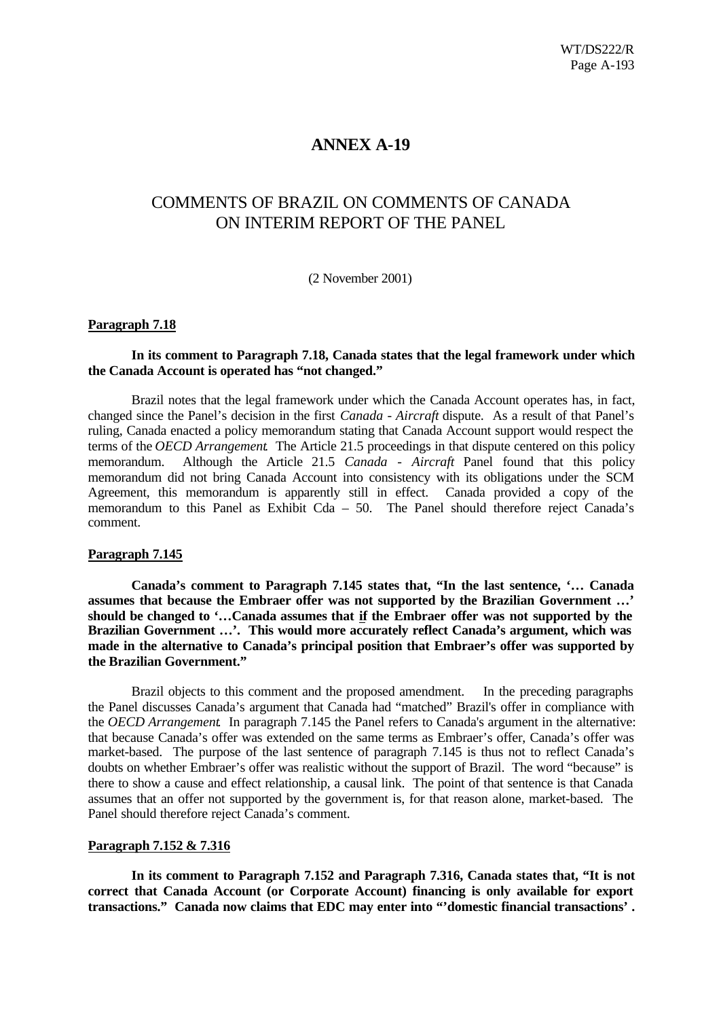# **ANNEX A-19**

# COMMENTS OF BRAZIL ON COMMENTS OF CANADA ON INTERIM REPORT OF THE PANEL

(2 November 2001)

### **Paragraph 7.18**

### **In its comment to Paragraph 7.18, Canada states that the legal framework under which the Canada Account is operated has "not changed."**

Brazil notes that the legal framework under which the Canada Account operates has, in fact, changed since the Panel's decision in the first *Canada - Aircraft* dispute. As a result of that Panel's ruling, Canada enacted a policy memorandum stating that Canada Account support would respect the terms of the *OECD Arrangement*. The Article 21.5 proceedings in that dispute centered on this policy memorandum. Although the Article 21.5 *Canada - Aircraft* Panel found that this policy memorandum did not bring Canada Account into consistency with its obligations under the SCM Agreement, this memorandum is apparently still in effect. Canada provided a copy of the memorandum to this Panel as Exhibit Cda – 50. The Panel should therefore reject Canada's comment.

### **Paragraph 7.145**

**Canada's comment to Paragraph 7.145 states that, "In the last sentence, '… Canada assumes that because the Embraer offer was not supported by the Brazilian Government …' should be changed to '…Canada assumes that if the Embraer offer was not supported by the Brazilian Government …'. This would more accurately reflect Canada's argument, which was made in the alternative to Canada's principal position that Embraer's offer was supported by the Brazilian Government."**

Brazil objects to this comment and the proposed amendment. In the preceding paragraphs the Panel discusses Canada's argument that Canada had "matched" Brazil's offer in compliance with the *OECD Arrangement*. In paragraph 7.145 the Panel refers to Canada's argument in the alternative: that because Canada's offer was extended on the same terms as Embraer's offer, Canada's offer was market-based. The purpose of the last sentence of paragraph 7.145 is thus not to reflect Canada's doubts on whether Embraer's offer was realistic without the support of Brazil. The word "because" is there to show a cause and effect relationship, a causal link. The point of that sentence is that Canada assumes that an offer not supported by the government is, for that reason alone, market-based. The Panel should therefore reject Canada's comment.

#### **Paragraph 7.152 & 7.316**

**In its comment to Paragraph 7.152 and Paragraph 7.316, Canada states that, "It is not correct that Canada Account (or Corporate Account) financing is only available for export transactions." Canada now claims that EDC may enter into "'domestic financial transactions' .**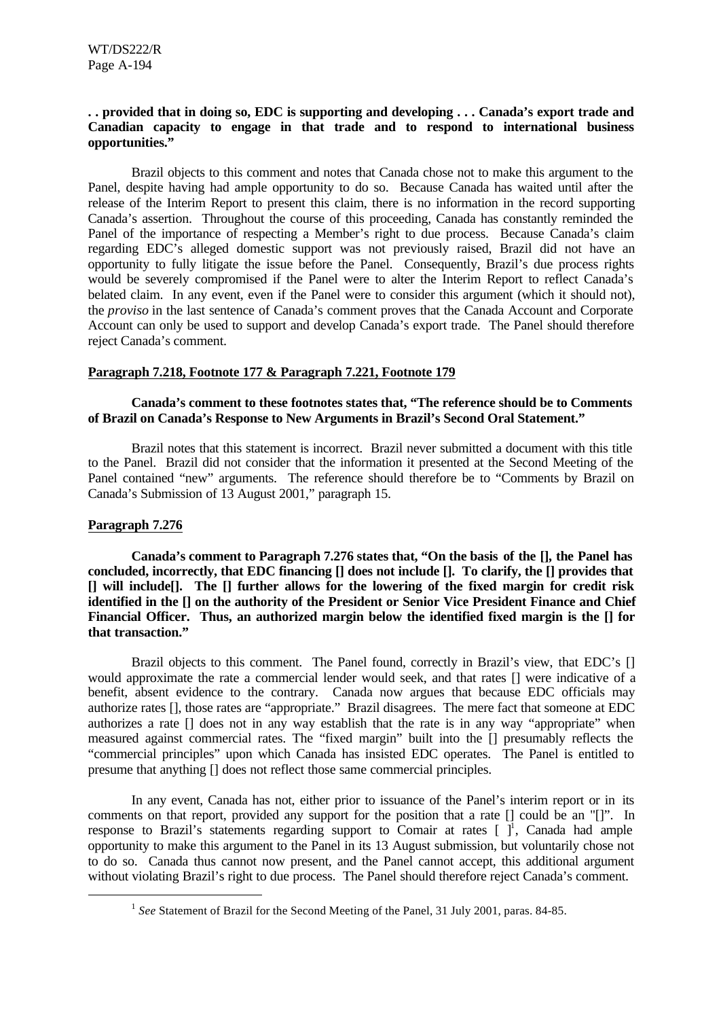### **. . provided that in doing so, EDC is supporting and developing . . . Canada's export trade and Canadian capacity to engage in that trade and to respond to international business opportunities."**

Brazil objects to this comment and notes that Canada chose not to make this argument to the Panel, despite having had ample opportunity to do so. Because Canada has waited until after the release of the Interim Report to present this claim, there is no information in the record supporting Canada's assertion. Throughout the course of this proceeding, Canada has constantly reminded the Panel of the importance of respecting a Member's right to due process. Because Canada's claim regarding EDC's alleged domestic support was not previously raised, Brazil did not have an opportunity to fully litigate the issue before the Panel. Consequently, Brazil's due process rights would be severely compromised if the Panel were to alter the Interim Report to reflect Canada's belated claim. In any event, even if the Panel were to consider this argument (which it should not), the *proviso* in the last sentence of Canada's comment proves that the Canada Account and Corporate Account can only be used to support and develop Canada's export trade. The Panel should therefore reject Canada's comment.

### **Paragraph 7.218, Footnote 177 & Paragraph 7.221, Footnote 179**

### **Canada's comment to these footnotes states that, "The reference should be to Comments of Brazil on Canada's Response to New Arguments in Brazil's Second Oral Statement."**

Brazil notes that this statement is incorrect. Brazil never submitted a document with this title to the Panel. Brazil did not consider that the information it presented at the Second Meeting of the Panel contained "new" arguments. The reference should therefore be to "Comments by Brazil on Canada's Submission of 13 August 2001," paragraph 15.

### **Paragraph 7.276**

l

**Canada's comment to Paragraph 7.276 states that, "On the basis of the [], the Panel has concluded, incorrectly, that EDC financing [] does not include []. To clarify, the [] provides that [] will include[]. The [] further allows for the lowering of the fixed margin for credit risk identified in the [] on the authority of the President or Senior Vice President Finance and Chief Financial Officer. Thus, an authorized margin below the identified fixed margin is the [] for that transaction."**

Brazil objects to this comment. The Panel found, correctly in Brazil's view, that EDC's [] would approximate the rate a commercial lender would seek, and that rates [] were indicative of a benefit, absent evidence to the contrary. Canada now argues that because EDC officials may authorize rates [], those rates are "appropriate." Brazil disagrees. The mere fact that someone at EDC authorizes a rate  $\Box$  does not in any way establish that the rate is in any way "appropriate" when measured against commercial rates. The "fixed margin" built into the [] presumably reflects the "commercial principles" upon which Canada has insisted EDC operates. The Panel is entitled to presume that anything [] does not reflect those same commercial principles.

In any event, Canada has not, either prior to issuance of the Panel's interim report or in its comments on that report, provided any support for the position that a rate [] could be an "[]". In response to Brazil's statements regarding support to Comair at rates  $[\ ]^1$ , Canada had ample opportunity to make this argument to the Panel in its 13 August submission, but voluntarily chose not to do so. Canada thus cannot now present, and the Panel cannot accept, this additional argument without violating Brazil's right to due process. The Panel should therefore reject Canada's comment.

<sup>&</sup>lt;sup>1</sup> See Statement of Brazil for the Second Meeting of the Panel, 31 July 2001, paras. 84-85.